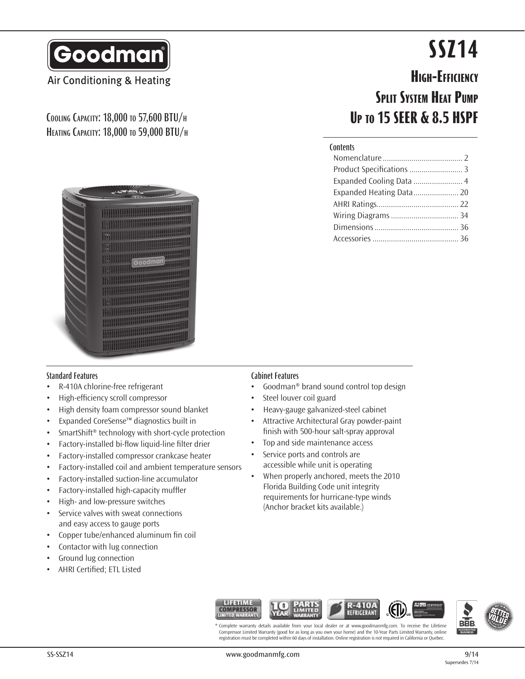

### Air Conditioning & Heating

**Cooling Capacity: 18,000 to 57,600 BTU/h Up to 15 SEER & 8.5 HSPF Heating Capacity: 18,000 to 59,000 BTU/h**

# **MANAGEMENT AND ALLEGEN MANDING SERVICE** WARRANTEE <u> Maria Maria Maria Maria Maria Maria Maria Maria Maria Maria Maria Maria Maria Maria Maria Maria Maria Maria </u>

#### **Standard Features**

- R-410A chlorine-free refrigerant
- High-efficiency scroll compressor
- High density foam compressor sound blanket
- Expanded CoreSense™ diagnostics built in
- SmartShift<sup>®</sup> technology with short-cycle protection
- Factory-installed bi-flow liquid-line filter drier
- Factory-installed compressor crankcase heater
- Factory-installed coil and ambient temperature sensors
- Factory-installed suction-line accumulator
- Factory-installed high-capacity muffler
- High- and low-pressure switches
- Service valves with sweat connections and easy access to gauge ports
- Copper tube/enhanced aluminum fin coil
- Contactor with lug connection
- Ground lug connection
- AHRI Certified; ETL Listed

#### **Cabinet Features**

- Goodman® brand sound control top design
- Steel louver coil guard
- Heavy-gauge galvanized-steel cabinet
- Attractive Architectural Gray powder-paint finish with 500-hour salt-spray approval
- Top and side maintenance access
- Service ports and controls are accessible while unit is operating
- When properly anchored, meets the 2010 Florida Building Code unit integrity requirements for hurricane-type winds (Anchor bracket kits available.)











\* Complete warranty details available from your local dealer or at www.goodmanmfg.com. To receive the Lifetime Compressor Limited Warranty (good for as long as you own your home) and the 10-Year Parts Limited Warranty, online registration must be completed within 60 days of installation. Online registration is not required in California or Quebec.

# **High-Efficiency Split System Heat Pump**

**SSZ14**

#### **Contents**

| Product Specifications  3 |  |
|---------------------------|--|
| Expanded Cooling Data  4  |  |
| Expanded Heating Data 20  |  |
|                           |  |
|                           |  |
|                           |  |
|                           |  |
|                           |  |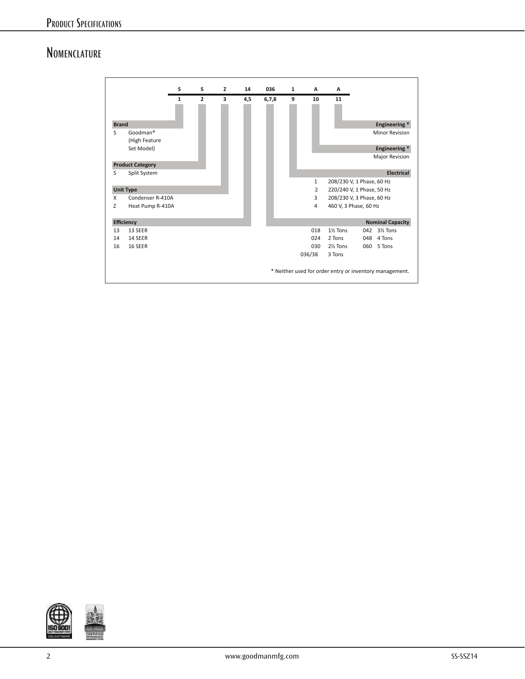### **Nomenclature**



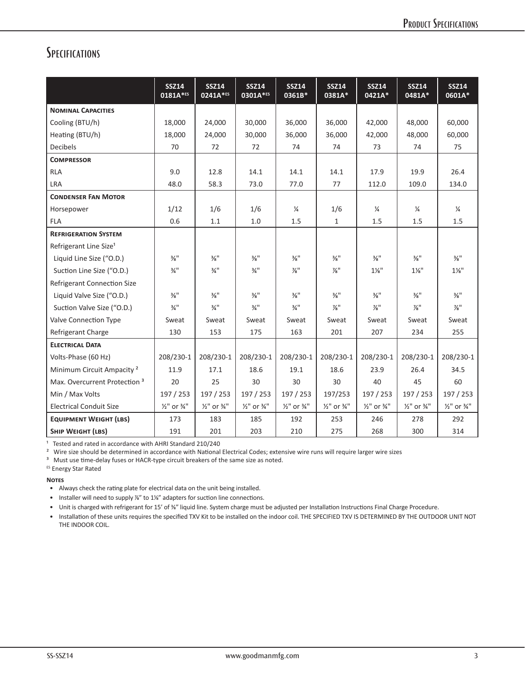### **Specifications**

|                                          | <b>SSZ14</b><br>0181A*ES           | <b>SSZ14</b><br>0241A*ES           | <b>SSZ14</b><br>0301A*ES           | <b>SSZ14</b><br>0361B*      | <b>SSZ14</b><br>0381A*      | <b>SSZ14</b><br>0421A*             | <b>SSZ14</b><br>0481A*      | <b>SSZ14</b><br>0601A*      |
|------------------------------------------|------------------------------------|------------------------------------|------------------------------------|-----------------------------|-----------------------------|------------------------------------|-----------------------------|-----------------------------|
| <b>NOMINAL CAPACITIES</b>                |                                    |                                    |                                    |                             |                             |                                    |                             |                             |
| Cooling (BTU/h)                          | 18,000                             | 24,000                             | 30,000                             | 36,000                      | 36,000                      | 42,000                             | 48,000                      | 60,000                      |
| Heating (BTU/h)                          | 18,000                             | 24,000                             | 30,000                             | 36,000                      | 36,000                      | 42,000                             | 48,000                      | 60,000                      |
| <b>Decibels</b>                          | 70                                 | 72                                 | 72                                 | 74                          | 74                          | 73                                 | 74                          | 75                          |
| <b>COMPRESSOR</b>                        |                                    |                                    |                                    |                             |                             |                                    |                             |                             |
| <b>RLA</b>                               | 9.0                                | 12.8                               | 14.1                               | 14.1                        | 14.1                        | 17.9                               | 19.9                        | 26.4                        |
| <b>LRA</b>                               | 48.0                               | 58.3                               | 73.0                               | 77.0                        | 77                          | 112.0                              | 109.0                       | 134.0                       |
| <b>CONDENSER FAN MOTOR</b>               |                                    |                                    |                                    |                             |                             |                                    |                             |                             |
| Horsepower                               | 1/12                               | 1/6                                | 1/6                                | $\frac{1}{4}$               | 1/6                         | ¼                                  | ¼                           | ¼                           |
| <b>FLA</b>                               | 0.6                                | 1.1                                | 1.0                                | 1.5                         | $\mathbf{1}$                | 1.5                                | 1.5                         | 1.5                         |
| <b>REFRIGERATION SYSTEM</b>              |                                    |                                    |                                    |                             |                             |                                    |                             |                             |
| Refrigerant Line Size <sup>1</sup>       |                                    |                                    |                                    |                             |                             |                                    |                             |                             |
| Liquid Line Size ("O.D.)                 | $\frac{3}{8}$ <sup>11</sup>        | $\frac{3}{8}$ <sup>11</sup>        | $\frac{3}{8}$ <sup>11</sup>        | $\frac{3}{8}$ <sup>11</sup> | $\frac{3}{8}$ <sup>11</sup> | $\frac{3}{8}$ <sup>11</sup>        | $\frac{3}{8}$ <sup>11</sup> | $\frac{3}{8}$ <sup>11</sup> |
| Suction Line Size ("O.D.)                | $\frac{3}{4}$ <sup>11</sup>        | $\frac{3}{4}$ <sup>11</sup>        | $\frac{3}{4}$ <sup>11</sup>        | $\frac{7}{8}$ "             | $\frac{7}{8}$ "             | $1\frac{1}{8}$ "                   | $1\frac{1}{8}$ "            | $1\frac{1}{8}$ "            |
| Refrigerant Connection Size              |                                    |                                    |                                    |                             |                             |                                    |                             |                             |
| Liquid Valve Size ("O.D.)                | $\frac{3}{8}$ <sup>11</sup>        | $\frac{3}{8}$ <sup>11</sup>        | $\frac{3}{8}$ <sup>11</sup>        | $\frac{3}{8}$ <sup>11</sup> | $\frac{3}{8}$ <sup>11</sup> | $\frac{3}{8}$ <sup>11</sup>        | $\frac{3}{8}$ <sup>11</sup> | $\frac{3}{8}$ <sup>11</sup> |
| Suction Valve Size ("O.D.)               | $\frac{3}{4}$ <sup>11</sup>        | $\frac{3}{4}$ <sup>11</sup>        | $\frac{3}{4}$ <sup>11</sup>        | $\frac{3}{4}$ <sup>11</sup> | $\frac{7}{8}$ <sup>11</sup> | $\frac{7}{8}$ "                    | $\frac{7}{8}$ <sup>11</sup> | $\frac{7}{8}$ "             |
| Valve Connection Type                    | Sweat                              | Sweat                              | Sweat                              | Sweat                       | Sweat                       | Sweat                              | Sweat                       | Sweat                       |
| Refrigerant Charge                       | 130                                | 153                                | 175                                | 163                         | 201                         | 207                                | 234                         | 255                         |
| <b>ELECTRICAL DATA</b>                   |                                    |                                    |                                    |                             |                             |                                    |                             |                             |
| Volts-Phase (60 Hz)                      | 208/230-1                          | 208/230-1                          | 208/230-1                          | 208/230-1                   | 208/230-1                   | 208/230-1                          | 208/230-1                   | 208/230-1                   |
| Minimum Circuit Ampacity <sup>2</sup>    | 11.9                               | 17.1                               | 18.6                               | 19.1                        | 18.6                        | 23.9                               | 26.4                        | 34.5                        |
| Max. Overcurrent Protection <sup>3</sup> | 20                                 | 25                                 | 30                                 | 30                          | 30                          | 40                                 | 45                          | 60                          |
| Min / Max Volts                          | 197 / 253                          | 197 / 253                          | 197 / 253                          | 197 / 253                   | 197/253                     | 197 / 253                          | 197 / 253                   | 197 / 253                   |
| <b>Electrical Conduit Size</b>           | $\frac{1}{2}$ " or $\frac{3}{4}$ " | $\frac{1}{2}$ " or $\frac{3}{4}$ " | $\frac{1}{2}$ " or $\frac{3}{4}$ " | 1/ <sub>2</sub> " or 3/4"   | 1/ <sub>2</sub> " or 3/4"   | $\frac{1}{2}$ " or $\frac{3}{4}$ " | 1/ <sub>2</sub> " or 3/4"   | 1/ <sub>2</sub> " or 3/4"   |
| <b>EQUIPMENT WEIGHT (LBS)</b>            | 173                                | 183                                | 185                                | 192                         | 253                         | 246                                | 278                         | 292                         |
| <b>SHIP WEIGHT (LBS)</b>                 | 191                                | 201                                | 203                                | 210                         | 275                         | 268                                | 300                         | 314                         |

<sup>1</sup> Tested and rated in accordance with AHRI Standard 210/240

<sup>2</sup> Wire size should be determined in accordance with National Electrical Codes; extensive wire runs will require larger wire sizes

<sup>3</sup> Must use time-delay fuses or HACR-type circuit breakers of the same size as noted.

ES Energy Star Rated

**Notes**

- Always check the rating plate for electrical data on the unit being installed.
- Installer will need to supply <sup>7%</sup> to 1<sup>%</sup> adapters for suction line connections.
- Unit is charged with refrigerant for 15' of ⅜" liquid line. System charge must be adjusted per Installation Instructions Final Charge Procedure.
- Installation of these units requires the specified TXV Kit to be installed on the indoor coil. THE SPECIFIED TXV IS DETERMINED BY THE OUTDOOR UNIT NOT THE INDOOR COIL.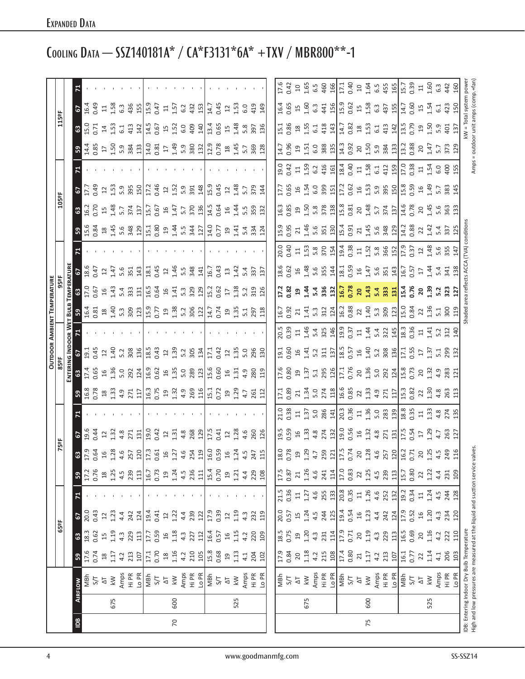| 75°F<br>65°F                                                                                                                                                                                             |  |  |  |  |  |          |                                                                                                                                                                                                                                                                                                                                                                              |                   | <b>OUTDOOR AMBIENT TEMPERATURI</b>                                                                                                                 |                                                                                                                                                                                                                                |                                                                          |       |                                                                                                                                                                                                                                                                                                                       | 105°F                                                                                                                                                                                                                                                                      |                                                                                                                                                                                                                                                                                                                                                                                                                                                                                                                        |      |                                | 115ºF                                                                                                                                                                                                                                                                                            |                                                                                                                                                                                                                                 |                                                                                                                 |
|----------------------------------------------------------------------------------------------------------------------------------------------------------------------------------------------------------|--|--|--|--|--|----------|------------------------------------------------------------------------------------------------------------------------------------------------------------------------------------------------------------------------------------------------------------------------------------------------------------------------------------------------------------------------------|-------------------|----------------------------------------------------------------------------------------------------------------------------------------------------|--------------------------------------------------------------------------------------------------------------------------------------------------------------------------------------------------------------------------------|--------------------------------------------------------------------------|-------|-----------------------------------------------------------------------------------------------------------------------------------------------------------------------------------------------------------------------------------------------------------------------------------------------------------------------|----------------------------------------------------------------------------------------------------------------------------------------------------------------------------------------------------------------------------------------------------------------------------|------------------------------------------------------------------------------------------------------------------------------------------------------------------------------------------------------------------------------------------------------------------------------------------------------------------------------------------------------------------------------------------------------------------------------------------------------------------------------------------------------------------------|------|--------------------------------|--------------------------------------------------------------------------------------------------------------------------------------------------------------------------------------------------------------------------------------------------------------------------------------------------|---------------------------------------------------------------------------------------------------------------------------------------------------------------------------------------------------------------------------------|-----------------------------------------------------------------------------------------------------------------|
|                                                                                                                                                                                                          |  |  |  |  |  | ENTERING |                                                                                                                                                                                                                                                                                                                                                                              | <b>INDOOR WET</b> | BULB                                                                                                                                               |                                                                                                                                                                                                                                | <b><i>TEMPERATURE</i></b>                                                |       |                                                                                                                                                                                                                                                                                                                       |                                                                                                                                                                                                                                                                            |                                                                                                                                                                                                                                                                                                                                                                                                                                                                                                                        |      |                                |                                                                                                                                                                                                                                                                                                  |                                                                                                                                                                                                                                 |                                                                                                                 |
| 59<br>5<br>3<br>႙<br><b>AIRFLOW</b>                                                                                                                                                                      |  |  |  |  |  |          |                                                                                                                                                                                                                                                                                                                                                                              |                   |                                                                                                                                                    |                                                                                                                                                                                                                                |                                                                          |       |                                                                                                                                                                                                                                                                                                                       |                                                                                                                                                                                                                                                                            |                                                                                                                                                                                                                                                                                                                                                                                                                                                                                                                        |      |                                |                                                                                                                                                                                                                                                                                                  |                                                                                                                                                                                                                                 |                                                                                                                 |
| 20.0<br>18.3<br>17.6<br>MBh                                                                                                                                                                              |  |  |  |  |  |          |                                                                                                                                                                                                                                                                                                                                                                              |                   |                                                                                                                                                    | 17.0                                                                                                                                                                                                                           | <u>e si</u>                                                              |       |                                                                                                                                                                                                                                                                                                                       | <b>ខ</b> ទី ទី                                                                                                                                                                                                                                                             | er 1<br>475<br>29                                                                                                                                                                                                                                                                                                                                                                                                                                                                                                      |      |                                | <b>63</b><br>15.0<br>171                                                                                                                                                                                                                                                                         | $\frac{6}{4}$                                                                                                                                                                                                                   |                                                                                                                 |
| 0.76<br>0.43<br>$\overline{12}$<br>0.62<br>15<br>0.74<br>$^{28}$<br>5/7<br>$\overline{\Delta}$                                                                                                           |  |  |  |  |  |          |                                                                                                                                                                                                                                                                                                                                                                              |                   | <mark>ទ</mark> ផ្ទី ផ្ទី ផ្ទី ដូន ដូ <mark>ង ជា</mark> ដូន ដូង ដូច ដូច ដូច ដូច ដូច ដូ<br>ស្តី ផ្ទី ផ្ទី ដូន ដូច ដូច ដូច ដូច ដូច ដូច ដូច ដូច ដូច ដូ | 0.67                                                                                                                                                                                                                           | 0.47                                                                     |       | $3.53$ $\frac{3}{2}$ $\frac{3}{2}$ $\frac{4}{2}$ $\frac{5}{2}$ $\frac{4}{2}$ $\frac{5}{2}$ $\frac{3}{2}$ $\frac{4}{2}$ $\frac{5}{2}$ $\frac{3}{2}$ $\frac{4}{2}$ $\frac{5}{2}$ $\frac{3}{2}$ $\frac{4}{2}$ $\frac{5}{2}$ $\frac{3}{2}$ $\frac{4}{2}$ $\frac{1}{2}$ $\frac{1}{2}$ $\frac{3}{2}$ $\frac{4}{2}$ $\frac{$ |                                                                                                                                                                                                                                                                            |                                                                                                                                                                                                                                                                                                                                                                                                                                                                                                                        |      |                                |                                                                                                                                                                                                                                                                                                  | 0.49<br>$\Xi$                                                                                                                                                                                                                   |                                                                                                                 |
| 1.25<br>1.23<br>1.19<br>1.17<br>$\geq$<br>675                                                                                                                                                            |  |  |  |  |  |          |                                                                                                                                                                                                                                                                                                                                                                              |                   |                                                                                                                                                    |                                                                                                                                                                                                                                | 1.47                                                                     |       |                                                                                                                                                                                                                                                                                                                       |                                                                                                                                                                                                                                                                            |                                                                                                                                                                                                                                                                                                                                                                                                                                                                                                                        |      |                                |                                                                                                                                                                                                                                                                                                  |                                                                                                                                                                                                                                 |                                                                                                                 |
| 4.5<br>4.4<br>$4.\overline{3}$<br>4.2<br>Amps                                                                                                                                                            |  |  |  |  |  |          |                                                                                                                                                                                                                                                                                                                                                                              |                   |                                                                                                                                                    |                                                                                                                                                                                                                                | 5.6<br>351                                                               |       |                                                                                                                                                                                                                                                                                                                       |                                                                                                                                                                                                                                                                            |                                                                                                                                                                                                                                                                                                                                                                                                                                                                                                                        |      |                                |                                                                                                                                                                                                                                                                                                  |                                                                                                                                                                                                                                 |                                                                                                                 |
| 239<br>113<br>242<br>229<br>113<br>213<br>107<br>Hi PR                                                                                                                                                   |  |  |  |  |  |          | 136                                                                                                                                                                                                                                                                                                                                                                          |                   |                                                                                                                                                    |                                                                                                                                                                                                                                |                                                                          |       |                                                                                                                                                                                                                                                                                                                       |                                                                                                                                                                                                                                                                            |                                                                                                                                                                                                                                                                                                                                                                                                                                                                                                                        |      |                                |                                                                                                                                                                                                                                                                                                  |                                                                                                                                                                                                                                 |                                                                                                                 |
| 16.7<br>19.4<br>124<br>17.7<br>17.1<br>L <sub>O</sub> PR<br>MBh                                                                                                                                          |  |  |  |  |  |          |                                                                                                                                                                                                                                                                                                                                                                              |                   |                                                                                                                                                    |                                                                                                                                                                                                                                | 143                                                                      |       |                                                                                                                                                                                                                                                                                                                       |                                                                                                                                                                                                                                                                            |                                                                                                                                                                                                                                                                                                                                                                                                                                                                                                                        |      |                                |                                                                                                                                                                                                                                                                                                  |                                                                                                                                                                                                                                 |                                                                                                                 |
| 0.73<br>0.41<br>0.59<br>0.70<br>5/7                                                                                                                                                                      |  |  |  |  |  |          | $\begin{array}{ccc} \boxed{3} & \frac{1}{3} & \frac{1}{3} & \frac{1}{3} & \frac{1}{3} & \frac{1}{3} \\ \boxed{4} & \frac{1}{3} & \frac{1}{3} & \frac{1}{3} & \frac{1}{3} & \frac{1}{3} \\ \boxed{5} & \frac{1}{3} & \frac{1}{3} & \frac{1}{3} & \frac{1}{3} & \frac{1}{3} \\ \boxed{6} & \frac{1}{3} & \frac{1}{3} & \frac{1}{3} & \frac{1}{3} & \frac{1}{3} \\ \end{array}$ |                   |                                                                                                                                                    | $49.375$ $47.375$ $49.375$ $49.375$ $49.375$ $49.375$ $49.375$ $49.375$ $49.375$ $49.375$ $49.375$ $49.375$ $49.375$ $49.375$ $49.375$ $49.375$ $49.375$ $49.375$ $49.375$ $49.375$ $49.375$ $49.375$ $49.375$ $49.375$ $49.3$ | $\begin{array}{c} 18.1 \\ 0.45 \\ 1.46 \\ 1.5 \\ 3.8 \\ 4.1 \end{array}$ |       |                                                                                                                                                                                                                                                                                                                       |                                                                                                                                                                                                                                                                            | $\begin{array}{c} 2 \quad \text{if} \quad \text{if} \quad \text{if} \quad \text{if} \quad \text{if} \quad \text{if} \quad \text{if} \quad \text{if} \quad \text{if} \quad \text{if} \quad \text{if} \quad \text{if} \quad \text{if} \quad \text{if} \quad \text{if} \quad \text{if} \quad \text{if} \quad \text{if} \quad \text{if} \quad \text{if} \quad \text{if} \quad \text{if} \quad \text{if} \quad \text{if} \quad \text{if} \quad \text{if} \quad \text{if} \quad \text{if} \quad \text{if} \quad \text{if} \$ |      |                                | $\frac{1}{4}$ is $\frac{1}{4}$ is $\frac{1}{4}$ is $\frac{1}{4}$ is $\frac{1}{4}$ is $\frac{1}{4}$ is $\frac{1}{4}$ is $\frac{1}{4}$ is $\frac{1}{4}$ is $\frac{1}{4}$ is $\frac{1}{4}$ is $\frac{1}{4}$ is $\frac{1}{4}$ is $\frac{1}{4}$ is $\frac{1}{4}$ is $\frac{1}{4}$ is $\frac{1}{4}$ is | ra e a alga z n z z s s a alga s e                                                                                                                                                                                              |                                                                                                                 |
| $\overline{c}$<br>$22$<br>$\frac{1}{6}$<br>$\frac{\infty}{2}$<br>$\overline{\Delta}$                                                                                                                     |  |  |  |  |  |          |                                                                                                                                                                                                                                                                                                                                                                              |                   |                                                                                                                                                    |                                                                                                                                                                                                                                |                                                                          |       |                                                                                                                                                                                                                                                                                                                       |                                                                                                                                                                                                                                                                            |                                                                                                                                                                                                                                                                                                                                                                                                                                                                                                                        |      |                                |                                                                                                                                                                                                                                                                                                  |                                                                                                                                                                                                                                 |                                                                                                                 |
| 1.24<br>1.22<br>1.18<br>1.16<br>$\overline{\mathsf{k}}$ W<br>600                                                                                                                                         |  |  |  |  |  |          |                                                                                                                                                                                                                                                                                                                                                                              |                   |                                                                                                                                                    |                                                                                                                                                                                                                                |                                                                          |       |                                                                                                                                                                                                                                                                                                                       |                                                                                                                                                                                                                                                                            |                                                                                                                                                                                                                                                                                                                                                                                                                                                                                                                        |      |                                |                                                                                                                                                                                                                                                                                                  |                                                                                                                                                                                                                                 |                                                                                                                 |
| 4.5<br>4.4<br>4.3<br>4.2<br>Amps                                                                                                                                                                         |  |  |  |  |  |          |                                                                                                                                                                                                                                                                                                                                                                              |                   |                                                                                                                                                    |                                                                                                                                                                                                                                |                                                                          |       |                                                                                                                                                                                                                                                                                                                       |                                                                                                                                                                                                                                                                            |                                                                                                                                                                                                                                                                                                                                                                                                                                                                                                                        |      |                                |                                                                                                                                                                                                                                                                                                  |                                                                                                                                                                                                                                 |                                                                                                                 |
| 236<br>239<br>227<br>210<br>Hi PR                                                                                                                                                                        |  |  |  |  |  |          |                                                                                                                                                                                                                                                                                                                                                                              |                   |                                                                                                                                                    |                                                                                                                                                                                                                                |                                                                          |       |                                                                                                                                                                                                                                                                                                                       |                                                                                                                                                                                                                                                                            |                                                                                                                                                                                                                                                                                                                                                                                                                                                                                                                        |      |                                |                                                                                                                                                                                                                                                                                                  |                                                                                                                                                                                                                                 |                                                                                                                 |
| 111<br>122<br>112<br>105<br>Lo PR                                                                                                                                                                        |  |  |  |  |  |          |                                                                                                                                                                                                                                                                                                                                                                              |                   |                                                                                                                                                    |                                                                                                                                                                                                                                |                                                                          |       |                                                                                                                                                                                                                                                                                                                       |                                                                                                                                                                                                                                                                            |                                                                                                                                                                                                                                                                                                                                                                                                                                                                                                                        |      |                                |                                                                                                                                                                                                                                                                                                  |                                                                                                                                                                                                                                 |                                                                                                                 |
| $\frac{1}{2}$ $\frac{1}{2}$ $\frac{3}{2}$ $\frac{4}{3}$ $\frac{3}{4}$ $\frac{8}{6}$ $\frac{8}{2}$ $\frac{1}{2}$ $\frac{1}{2}$ $\frac{1}{3}$ $\frac{3}{4}$<br>15.4<br>0.70<br>17.9<br>16.4<br>15.8<br>MBh |  |  |  |  |  |          |                                                                                                                                                                                                                                                                                                                                                                              |                   |                                                                                                                                                    |                                                                                                                                                                                                                                | $\frac{16.7}{0.43}$                                                      |       |                                                                                                                                                                                                                                                                                                                       |                                                                                                                                                                                                                                                                            |                                                                                                                                                                                                                                                                                                                                                                                                                                                                                                                        |      |                                |                                                                                                                                                                                                                                                                                                  |                                                                                                                                                                                                                                 |                                                                                                                 |
| 0.39<br>0.57<br>0.68<br>5/7                                                                                                                                                                              |  |  |  |  |  |          |                                                                                                                                                                                                                                                                                                                                                                              |                   |                                                                                                                                                    |                                                                                                                                                                                                                                |                                                                          |       |                                                                                                                                                                                                                                                                                                                       |                                                                                                                                                                                                                                                                            |                                                                                                                                                                                                                                                                                                                                                                                                                                                                                                                        |      |                                |                                                                                                                                                                                                                                                                                                  |                                                                                                                                                                                                                                 |                                                                                                                 |
| $\overline{a}$<br>$22$<br>16<br>19<br>$\overline{\Delta}$                                                                                                                                                |  |  |  |  |  |          |                                                                                                                                                                                                                                                                                                                                                                              |                   |                                                                                                                                                    |                                                                                                                                                                                                                                | 1.42                                                                     |       |                                                                                                                                                                                                                                                                                                                       |                                                                                                                                                                                                                                                                            |                                                                                                                                                                                                                                                                                                                                                                                                                                                                                                                        |      |                                |                                                                                                                                                                                                                                                                                                  | $\begin{array}{c}\n 1.3 \\  1.3\n \end{array}$                                                                                                                                                                                  |                                                                                                                 |
| 1.21<br>1.19<br>1.15<br>1.13<br>$\overline{\mathsf{k}}$ W<br>525                                                                                                                                         |  |  |  |  |  |          |                                                                                                                                                                                                                                                                                                                                                                              |                   |                                                                                                                                                    |                                                                                                                                                                                                                                |                                                                          |       |                                                                                                                                                                                                                                                                                                                       |                                                                                                                                                                                                                                                                            |                                                                                                                                                                                                                                                                                                                                                                                                                                                                                                                        |      |                                |                                                                                                                                                                                                                                                                                                  |                                                                                                                                                                                                                                 |                                                                                                                 |
| $1,28$<br>$1,36$<br>$4,6$<br>$260$<br>4.4<br>4.3<br>4.2<br>4.1<br>Amps                                                                                                                                   |  |  |  |  |  |          | 13.588                                                                                                                                                                                                                                                                                                                                                                       |                   |                                                                                                                                                    | <b>13</b><br>132<br>52<br>25                                                                                                                                                                                                   | 5.4<br>337                                                               |       |                                                                                                                                                                                                                                                                                                                       |                                                                                                                                                                                                                                                                            | $148$<br>$148$<br>$579$<br>$344$                                                                                                                                                                                                                                                                                                                                                                                                                                                                                       |      |                                |                                                                                                                                                                                                                                                                                                  |                                                                                                                                                                                                                                 |                                                                                                                 |
| 229<br>232<br>220<br>204<br>Hi PR                                                                                                                                                                        |  |  |  |  |  |          |                                                                                                                                                                                                                                                                                                                                                                              |                   |                                                                                                                                                    |                                                                                                                                                                                                                                |                                                                          |       |                                                                                                                                                                                                                                                                                                                       |                                                                                                                                                                                                                                                                            |                                                                                                                                                                                                                                                                                                                                                                                                                                                                                                                        |      |                                |                                                                                                                                                                                                                                                                                                  | 419<br>149                                                                                                                                                                                                                      |                                                                                                                 |
| 126<br>108<br>119<br>109<br>102<br>Lo PR                                                                                                                                                                 |  |  |  |  |  |          |                                                                                                                                                                                                                                                                                                                                                                              |                   |                                                                                                                                                    |                                                                                                                                                                                                                                | 137                                                                      |       |                                                                                                                                                                                                                                                                                                                       |                                                                                                                                                                                                                                                                            |                                                                                                                                                                                                                                                                                                                                                                                                                                                                                                                        |      |                                |                                                                                                                                                                                                                                                                                                  |                                                                                                                                                                                                                                 |                                                                                                                 |
| 21.5<br>20.0<br>18.5<br>17.9<br>MBh                                                                                                                                                                      |  |  |  |  |  |          |                                                                                                                                                                                                                                                                                                                                                                              |                   |                                                                                                                                                    |                                                                                                                                                                                                                                |                                                                          |       |                                                                                                                                                                                                                                                                                                                       |                                                                                                                                                                                                                                                                            |                                                                                                                                                                                                                                                                                                                                                                                                                                                                                                                        |      |                                |                                                                                                                                                                                                                                                                                                  |                                                                                                                                                                                                                                 |                                                                                                                 |
| 17.5<br>0.87<br>0.36<br>0.57<br>0.75<br>0.84<br>5/7                                                                                                                                                      |  |  |  |  |  |          |                                                                                                                                                                                                                                                                                                                                                                              |                   |                                                                                                                                                    |                                                                                                                                                                                                                                |                                                                          |       |                                                                                                                                                                                                                                                                                                                       |                                                                                                                                                                                                                                                                            |                                                                                                                                                                                                                                                                                                                                                                                                                                                                                                                        |      |                                |                                                                                                                                                                                                                                                                                                  |                                                                                                                                                                                                                                 | $17.6$<br>$0.42$                                                                                                |
| 80 8 9 9 2 5 8 2 2 3 3 4 5 6 7 8 9 2 3 4 5 6 7 8 9 2 4 7 8 9 2 4 7 8 9 2 4 7 8 9 2 4 7 8 9 2 4 7 8 9 10 11 8 7<br>21<br>$\Xi$<br>15<br>$\Xi$<br>20<br>$\overline{\Delta}$                                |  |  |  |  |  |          |                                                                                                                                                                                                                                                                                                                                                                              |                   | <u>.</u><br>៤០១ ដ ដ :: ដ ដ ដ ន ដ ន ន ន ដ ន ន ដ ន ន ន ដ ន ន ដ ន ន ដ                                                                                 |                                                                                                                                                                                                                                |                                                                          |       |                                                                                                                                                                                                                                                                                                                       | $\begin{array}{c} 16.89\\ 0.80\\ 3.81\\ 2.92\\ 4.1\\ 5.83\\ 6.88\\ 7.88\\ 7.81\\ 7.81\\ 7.81\\ 7.81\\ 7.81\\ 7.81\\ 7.81\\ 7.81\\ 7.81\\ 7.81\\ 7.81\\ 7.81\\ 7.81\\ 7.81\\ 7.82\\ 7.83\\ 7.83\\ 7.84\\ 7.83\\ 7.85\\ 7.85\\ 7.87\\ 7.89\\ 7.89\\ 7.89\\ 7.89\\ 7.89\\ 7.$ | r s g a r s g a r j c g a r s a r j g a r s a r s a r s a r<br>c g a r s g a r j c g a r s a r j g a r s a r s a r                                                                                                                                                                                                                                                                                                                                                                                                     |      |                                |                                                                                                                                                                                                                                                                                                  | ra se ca esta el ca esta esta el se esta el ca esta el ca esta el se esta el se esta el ca esta el control el<br>Tenes el ca esta el ca esta el ca esta el ca esta el ca esta el ca esta el ca esta el ca esta el ca esta el ca |                                                                                                                 |
| 1.26<br>1.27<br>1.24<br>1.20<br>1.18<br>$\leq$<br>675                                                                                                                                                    |  |  |  |  |  |          |                                                                                                                                                                                                                                                                                                                                                                              |                   |                                                                                                                                                    |                                                                                                                                                                                                                                |                                                                          |       |                                                                                                                                                                                                                                                                                                                       |                                                                                                                                                                                                                                                                            |                                                                                                                                                                                                                                                                                                                                                                                                                                                                                                                        |      |                                |                                                                                                                                                                                                                                                                                                  |                                                                                                                                                                                                                                 |                                                                                                                 |
| 4.6<br>4.6<br>4.5<br>$4.\overline{3}$<br>4.2<br>Amps                                                                                                                                                     |  |  |  |  |  |          |                                                                                                                                                                                                                                                                                                                                                                              |                   |                                                                                                                                                    |                                                                                                                                                                                                                                |                                                                          |       |                                                                                                                                                                                                                                                                                                                       |                                                                                                                                                                                                                                                                            |                                                                                                                                                                                                                                                                                                                                                                                                                                                                                                                        |      |                                |                                                                                                                                                                                                                                                                                                  |                                                                                                                                                                                                                                 |                                                                                                                 |
| 241<br>255<br>244<br>231<br>215<br>Hi PR                                                                                                                                                                 |  |  |  |  |  |          |                                                                                                                                                                                                                                                                                                                                                                              |                   |                                                                                                                                                    |                                                                                                                                                                                                                                |                                                                          |       |                                                                                                                                                                                                                                                                                                                       |                                                                                                                                                                                                                                                                            |                                                                                                                                                                                                                                                                                                                                                                                                                                                                                                                        |      |                                |                                                                                                                                                                                                                                                                                                  |                                                                                                                                                                                                                                 |                                                                                                                 |
| 114<br>$\frac{33}{2}$<br>125<br>$\frac{114}{1}$<br>108<br>LO PR                                                                                                                                          |  |  |  |  |  |          |                                                                                                                                                                                                                                                                                                                                                                              |                   |                                                                                                                                                    |                                                                                                                                                                                                                                |                                                                          |       |                                                                                                                                                                                                                                                                                                                       |                                                                                                                                                                                                                                                                            |                                                                                                                                                                                                                                                                                                                                                                                                                                                                                                                        |      |                                |                                                                                                                                                                                                                                                                                                  |                                                                                                                                                                                                                                 |                                                                                                                 |
| 17.0<br>20.8<br>19.4<br>17.9<br>0.71<br>17.4<br>0.80<br>MBh                                                                                                                                              |  |  |  |  |  |          |                                                                                                                                                                                                                                                                                                                                                                              |                   |                                                                                                                                                    |                                                                                                                                                                                                                                |                                                                          |       |                                                                                                                                                                                                                                                                                                                       |                                                                                                                                                                                                                                                                            |                                                                                                                                                                                                                                                                                                                                                                                                                                                                                                                        |      |                                |                                                                                                                                                                                                                                                                                                  |                                                                                                                                                                                                                                 |                                                                                                                 |
| 0.83<br>0.35<br>0.54<br>5/7                                                                                                                                                                              |  |  |  |  |  |          |                                                                                                                                                                                                                                                                                                                                                                              |                   |                                                                                                                                                    |                                                                                                                                                                                                                                |                                                                          |       |                                                                                                                                                                                                                                                                                                                       |                                                                                                                                                                                                                                                                            |                                                                                                                                                                                                                                                                                                                                                                                                                                                                                                                        |      |                                |                                                                                                                                                                                                                                                                                                  |                                                                                                                                                                                                                                 |                                                                                                                 |
| 22<br>$\Xi$<br>$\frac{1}{6}$<br>20<br>21<br>$\overline{\Delta}$                                                                                                                                          |  |  |  |  |  |          |                                                                                                                                                                                                                                                                                                                                                                              |                   |                                                                                                                                                    |                                                                                                                                                                                                                                |                                                                          |       |                                                                                                                                                                                                                                                                                                                       |                                                                                                                                                                                                                                                                            |                                                                                                                                                                                                                                                                                                                                                                                                                                                                                                                        |      |                                |                                                                                                                                                                                                                                                                                                  |                                                                                                                                                                                                                                 |                                                                                                                 |
| 1.25<br>1.26<br>1.23<br>1.19<br>1.17<br>$\overline{\mathsf{k}}$ W<br>600                                                                                                                                 |  |  |  |  |  |          |                                                                                                                                                                                                                                                                                                                                                                              |                   |                                                                                                                                                    |                                                                                                                                                                                                                                |                                                                          |       |                                                                                                                                                                                                                                                                                                                       |                                                                                                                                                                                                                                                                            |                                                                                                                                                                                                                                                                                                                                                                                                                                                                                                                        |      |                                |                                                                                                                                                                                                                                                                                                  |                                                                                                                                                                                                                                 |                                                                                                                 |
| 4.5<br>4.6<br>4.4<br>$4.\overline{3}$<br>4.2<br>Amps                                                                                                                                                     |  |  |  |  |  |          |                                                                                                                                                                                                                                                                                                                                                                              |                   |                                                                                                                                                    |                                                                                                                                                                                                                                |                                                                          |       |                                                                                                                                                                                                                                                                                                                       |                                                                                                                                                                                                                                                                            |                                                                                                                                                                                                                                                                                                                                                                                                                                                                                                                        |      |                                |                                                                                                                                                                                                                                                                                                  |                                                                                                                                                                                                                                 |                                                                                                                 |
| 239<br>252<br>242<br>229<br>213<br>Hi PR                                                                                                                                                                 |  |  |  |  |  |          |                                                                                                                                                                                                                                                                                                                                                                              |                   |                                                                                                                                                    |                                                                                                                                                                                                                                |                                                                          |       |                                                                                                                                                                                                                                                                                                                       |                                                                                                                                                                                                                                                                            |                                                                                                                                                                                                                                                                                                                                                                                                                                                                                                                        |      |                                |                                                                                                                                                                                                                                                                                                  |                                                                                                                                                                                                                                 |                                                                                                                 |
| 113<br>132<br>124<br>113<br>107<br>Lo PR                                                                                                                                                                 |  |  |  |  |  |          |                                                                                                                                                                                                                                                                                                                                                                              |                   |                                                                                                                                                    |                                                                                                                                                                                                                                |                                                                          |       |                                                                                                                                                                                                                                                                                                                       |                                                                                                                                                                                                                                                                            |                                                                                                                                                                                                                                                                                                                                                                                                                                                                                                                        |      |                                |                                                                                                                                                                                                                                                                                                  |                                                                                                                                                                                                                                 |                                                                                                                 |
| 15.7<br>19.2<br>17.9<br>16.5<br>16.1<br>MBh                                                                                                                                                              |  |  |  |  |  |          |                                                                                                                                                                                                                                                                                                                                                                              |                   |                                                                                                                                                    |                                                                                                                                                                                                                                |                                                                          |       |                                                                                                                                                                                                                                                                                                                       |                                                                                                                                                                                                                                                                            |                                                                                                                                                                                                                                                                                                                                                                                                                                                                                                                        |      |                                |                                                                                                                                                                                                                                                                                                  |                                                                                                                                                                                                                                 |                                                                                                                 |
| 0.80<br>0.34<br>0.52<br>0.69<br>0.77<br>5/7                                                                                                                                                              |  |  |  |  |  |          |                                                                                                                                                                                                                                                                                                                                                                              |                   |                                                                                                                                                    |                                                                                                                                                                                                                                |                                                                          |       |                                                                                                                                                                                                                                                                                                                       |                                                                                                                                                                                                                                                                            |                                                                                                                                                                                                                                                                                                                                                                                                                                                                                                                        |      |                                |                                                                                                                                                                                                                                                                                                  |                                                                                                                                                                                                                                 |                                                                                                                 |
| 22<br>$\Xi$<br>$\frac{6}{2}$<br>20<br>22<br>$\overline{\Delta}$                                                                                                                                          |  |  |  |  |  |          |                                                                                                                                                                                                                                                                                                                                                                              |                   |                                                                                                                                                    |                                                                                                                                                                                                                                |                                                                          |       |                                                                                                                                                                                                                                                                                                                       |                                                                                                                                                                                                                                                                            |                                                                                                                                                                                                                                                                                                                                                                                                                                                                                                                        |      |                                |                                                                                                                                                                                                                                                                                                  |                                                                                                                                                                                                                                 |                                                                                                                 |
| 1.22<br>1.24<br>1.20<br>1.16<br>1.14<br>$\leq$<br>525                                                                                                                                                    |  |  |  |  |  |          |                                                                                                                                                                                                                                                                                                                                                                              |                   |                                                                                                                                                    |                                                                                                                                                                                                                                |                                                                          |       |                                                                                                                                                                                                                                                                                                                       |                                                                                                                                                                                                                                                                            |                                                                                                                                                                                                                                                                                                                                                                                                                                                                                                                        |      |                                |                                                                                                                                                                                                                                                                                                  |                                                                                                                                                                                                                                 |                                                                                                                 |
| 4.4<br>4.5<br>4.3<br>4.2<br>4.1<br>Amps                                                                                                                                                                  |  |  |  |  |  |          |                                                                                                                                                                                                                                                                                                                                                                              |                   |                                                                                                                                                    |                                                                                                                                                                                                                                |                                                                          |       |                                                                                                                                                                                                                                                                                                                       |                                                                                                                                                                                                                                                                            |                                                                                                                                                                                                                                                                                                                                                                                                                                                                                                                        |      |                                |                                                                                                                                                                                                                                                                                                  |                                                                                                                                                                                                                                 |                                                                                                                 |
| 231<br>244<br>234<br>222<br>206<br>Hi PR                                                                                                                                                                 |  |  |  |  |  |          |                                                                                                                                                                                                                                                                                                                                                                              |                   |                                                                                                                                                    |                                                                                                                                                                                                                                |                                                                          |       |                                                                                                                                                                                                                                                                                                                       | 20,45,66,63                                                                                                                                                                                                                                                                |                                                                                                                                                                                                                                                                                                                                                                                                                                                                                                                        |      |                                |                                                                                                                                                                                                                                                                                                  |                                                                                                                                                                                                                                 | a de de de la cada de de la cada de la cada de la cada de la cada de la cada de la cada de la cada de la cada d |
| 109<br>128<br>120<br>110<br>103<br>Lo PR                                                                                                                                                                 |  |  |  |  |  |          |                                                                                                                                                                                                                                                                                                                                                                              |                   |                                                                                                                                                    |                                                                                                                                                                                                                                |                                                                          |       |                                                                                                                                                                                                                                                                                                                       |                                                                                                                                                                                                                                                                            |                                                                                                                                                                                                                                                                                                                                                                                                                                                                                                                        |      |                                |                                                                                                                                                                                                                                                                                                  |                                                                                                                                                                                                                                 |                                                                                                                 |
| High and low pressures are measured at the liquid and suction service valves<br>IDB: Entering Indoor Dry Bulb Temperature                                                                                |  |  |  |  |  |          |                                                                                                                                                                                                                                                                                                                                                                              |                   | haded                                                                                                                                              |                                                                                                                                                                                                                                | ea reflects ACCA                                                         | (TVA) | condition                                                                                                                                                                                                                                                                                                             |                                                                                                                                                                                                                                                                            |                                                                                                                                                                                                                                                                                                                                                                                                                                                                                                                        | Amps | = outdoor unit amps (comp.+fan | kW = Total system                                                                                                                                                                                                                                                                                |                                                                                                                                                                                                                                 | power                                                                                                           |
|                                                                                                                                                                                                          |  |  |  |  |  |          |                                                                                                                                                                                                                                                                                                                                                                              |                   |                                                                                                                                                    |                                                                                                                                                                                                                                |                                                                          |       |                                                                                                                                                                                                                                                                                                                       |                                                                                                                                                                                                                                                                            |                                                                                                                                                                                                                                                                                                                                                                                                                                                                                                                        |      |                                |                                                                                                                                                                                                                                                                                                  |                                                                                                                                                                                                                                 |                                                                                                                 |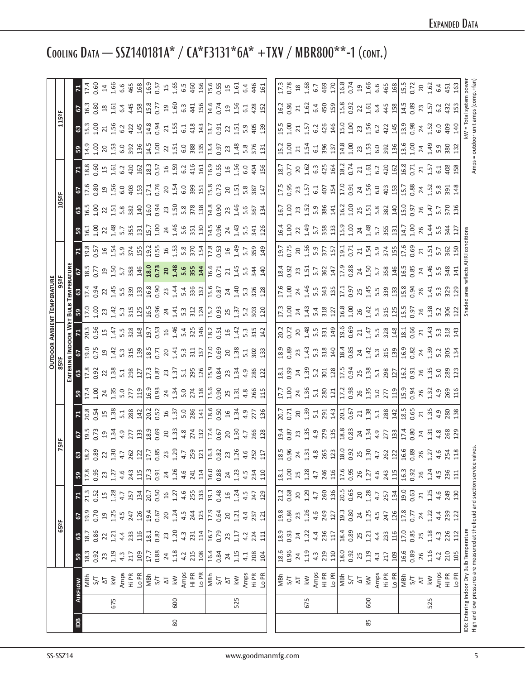| COOLING DATA - SSZ140181A* / CA*F3131*6A* +TXV / MBR800**-1 (CONT.) |  |  |
|---------------------------------------------------------------------|--|--|
|---------------------------------------------------------------------|--|--|

|                |     |                                                                              |                     |                  |                  |                      |                  |                                                                                                                                                                                                                                                                                                                                        |                                                                                                                                                                                                                                                                                                           |                                                   |                                                                                                                                                                                                                                                                                                                     |                                                                                                                                                                                                                                                                                                              |                                                                                                                                                                                                         | <b>OUTDOOR AMBIENT TEMPERATURE</b> |                                                                 |                                                                                                                                                                                                                                                                                                                      |                                                                                                                                                                                                                                |                                                                                                                                                                                                                                             |                                                                                    |                                                                                                                                                                                                                                                                                                |                                                                                                                                                                                                                                                                                                           |                                                                                            |                                                           |                                                |
|----------------|-----|------------------------------------------------------------------------------|---------------------|------------------|------------------|----------------------|------------------|----------------------------------------------------------------------------------------------------------------------------------------------------------------------------------------------------------------------------------------------------------------------------------------------------------------------------------------|-----------------------------------------------------------------------------------------------------------------------------------------------------------------------------------------------------------------------------------------------------------------------------------------------------------|---------------------------------------------------|---------------------------------------------------------------------------------------------------------------------------------------------------------------------------------------------------------------------------------------------------------------------------------------------------------------------|--------------------------------------------------------------------------------------------------------------------------------------------------------------------------------------------------------------------------------------------------------------------------------------------------------------|---------------------------------------------------------------------------------------------------------------------------------------------------------------------------------------------------------|------------------------------------|-----------------------------------------------------------------|----------------------------------------------------------------------------------------------------------------------------------------------------------------------------------------------------------------------------------------------------------------------------------------------------------------------|--------------------------------------------------------------------------------------------------------------------------------------------------------------------------------------------------------------------------------|---------------------------------------------------------------------------------------------------------------------------------------------------------------------------------------------------------------------------------------------|------------------------------------------------------------------------------------|------------------------------------------------------------------------------------------------------------------------------------------------------------------------------------------------------------------------------------------------------------------------------------------------|-----------------------------------------------------------------------------------------------------------------------------------------------------------------------------------------------------------------------------------------------------------------------------------------------------------|--------------------------------------------------------------------------------------------|-----------------------------------------------------------|------------------------------------------------|
|                |     |                                                                              |                     | 65 <sup>2</sup>  |                  |                      |                  |                                                                                                                                                                                                                                                                                                                                        |                                                                                                                                                                                                                                                                                                           |                                                   |                                                                                                                                                                                                                                                                                                                     |                                                                                                                                                                                                                                                                                                              |                                                                                                                                                                                                         |                                    |                                                                 |                                                                                                                                                                                                                                                                                                                      |                                                                                                                                                                                                                                |                                                                                                                                                                                                                                             |                                                                                    | 105°F                                                                                                                                                                                                                                                                                          |                                                                                                                                                                                                                                                                                                           |                                                                                            |                                                           |                                                |
|                |     |                                                                              |                     |                  |                  |                      |                  |                                                                                                                                                                                                                                                                                                                                        |                                                                                                                                                                                                                                                                                                           |                                                   |                                                                                                                                                                                                                                                                                                                     |                                                                                                                                                                                                                                                                                                              |                                                                                                                                                                                                         |                                    |                                                                 |                                                                                                                                                                                                                                                                                                                      |                                                                                                                                                                                                                                |                                                                                                                                                                                                                                             |                                                                                    |                                                                                                                                                                                                                                                                                                |                                                                                                                                                                                                                                                                                                           |                                                                                            |                                                           |                                                |
| $\overline{5}$ |     | MBh<br><b>AIRFLOW</b>                                                        | 18.3<br><b>S</b>    | 18.7<br>ය        | 19.9<br><u>e</u> | 21.3<br>$\mathbf{z}$ | 17.8<br><b>S</b> | <b><math>3\frac{3}{2}</math></b> $\frac{3}{2}$ $\frac{3}{2}$ $\frac{1}{2}$ $\frac{1}{2}$ $\frac{3}{2}$ $\frac{3}{2}$ $\frac{3}{2}$ $\frac{3}{2}$ $\frac{1}{2}$ $\frac{1}{2}$ $\frac{3}{2}$ $\frac{3}{2}$ $\frac{3}{2}$ $\frac{3}{2}$ $\frac{3}{2}$ $\frac{3}{2}$ $\frac{3}{2}$ $\frac{3}{2}$ $\frac{3}{2}$ $\frac{3}{2}$ $\frac{3}{2}$ | $G \sin 73$ a $\frac{3}{4}$ a $\frac{3}{4}$ a $\frac{3}{4}$ a $\frac{3}{4}$ a $\frac{3}{4}$ a $\frac{3}{4}$ a $\frac{3}{4}$ a $\frac{3}{4}$ a $\frac{3}{4}$ a $\frac{3}{4}$ a $\frac{3}{4}$ a $\frac{3}{4}$ a $\frac{3}{4}$ a $\frac{3}{4}$ a $\frac{3}{4}$ a $\frac{3}{4}$ a $\frac{3}{4}$ a $\frac{3}{$ | z g g a m g z g g d g g a m g g g d g g a m g z g | $\frac{3}{2}$ $\frac{1}{2}$ $\frac{3}{2}$ $\frac{4}{2}$ $\frac{3}{2}$ $\frac{1}{2}$ $\frac{1}{2}$ $\frac{3}{2}$ $\frac{3}{2}$ $\frac{4}{2}$ $\frac{3}{2}$ $\frac{4}{2}$ $\frac{3}{2}$ $\frac{4}{2}$ $\frac{3}{2}$ $\frac{4}{2}$ $\frac{3}{2}$ $\frac{4}{2}$ $\frac{3}{2}$ $\frac{4}{2}$ $\frac{3}{2}$ $\frac{4}{2}$ | $3\frac{8}{12}$ $\frac{8}{12}$ $\frac{8}{12}$ $\frac{1}{12}$ $\frac{8}{12}$ $\frac{8}{12}$ $\frac{8}{12}$ $\frac{8}{12}$ $\frac{1}{12}$ $\frac{8}{12}$ $\frac{8}{12}$ $\frac{1}{12}$ $\frac{8}{12}$ $\frac{8}{12}$ $\frac{1}{12}$ $\frac{8}{12}$ $\frac{8}{12}$ $\frac{1}{12}$ $\frac{8}{12}$ $\frac{1}{12}$ | <mark>្</mark> ទេ ដូន ដូន មី ដូន មី ដូន មី ដូន មី ដូន មី ដូន មី ដូន មី ដូន មី ដូន មី ដូន មី ដូន មី ដូន មី ដូន ម<br>ទី ដូន មី ដូន មី ដូន ដូន មី ដូន មី ដូន មី ដូន មី ដូន មី ដូន មី ដូន ដូន ដូន មី ដូន មី |                                    | <mark>ទ</mark> 25 និង 35 ដូង 35 និង 35 ដូង 35 និង 35 និង 35 និង | $3\frac{1}{2}$ $\frac{3}{2}$ $\frac{3}{2}$ $\frac{4}{2}$ $\frac{3}{2}$ $\frac{3}{2}$ $\frac{3}{2}$ $\frac{3}{2}$ $\frac{3}{2}$ $\frac{3}{2}$ $\frac{3}{2}$ $\frac{3}{2}$ $\frac{3}{2}$ $\frac{3}{2}$ $\frac{3}{2}$ $\frac{3}{2}$ $\frac{3}{2}$ $\frac{3}{2}$ $\frac{3}{2}$ $\frac{3}{2}$ $\frac{3}{2}$ $\frac{3}{2}$ | $58.925$ and $25.884$ and $25.84$ and $25.84$ and $25.84$ and $25.84$ and $25.84$ and $25.84$ and $25.84$ and $25.84$ and $25.84$ and $25.84$ and $25.84$ and $25.84$ and $25.84$ and $25.84$ and $25.84$ and $25.84$ and $25$ | <mark>ដ</mark> នី ប្រទេ ដូច មន្ត្រី ដូច មន្ត្រី ដូច មន្ត្រី ដូច មន្ត្រី ដូច មន្ត្រី ដូច មន្ត្រី ដូច មន្ត្រី ដូច មន្ត្រី ដូ<br>ការប្រទេ មន្ត្រី ដូច មន្ត្រី ដូច មន្ត្រី ដូច មន្ត្រី ដូច មន្ត្រី ដូច មន្ត្រី ដូច មន្ត្រី ដូច មន្ត្រី ដូច មន្ត |                                                                                    | $3\frac{16}{12}$ $32\frac{17}{12}$ $33\frac{18}{12}$ $32\frac{17}{12}$ $32\frac{17}{12}$ $33\frac{17}{12}$ $35\frac{18}{12}$ $35\frac{19}{12}$ $35\frac{19}{12}$ $35\frac{19}{12}$ $35\frac{19}{12}$ $35\frac{19}{12}$ $35\frac{19}{12}$ $35\frac{19}{12}$ $35\frac{19}{12}$ $35\frac{19}{12}$ | $5\frac{15}{12}$ $\frac{16}{12}$ $\frac{16}{12}$ $\frac{16}{12}$ $\frac{17}{12}$ $\frac{16}{12}$ $\frac{16}{12}$ $\frac{16}{12}$ $\frac{16}{12}$ $\frac{16}{12}$ $\frac{16}{12}$ $\frac{16}{12}$ $\frac{16}{12}$ $\frac{16}{12}$ $\frac{16}{12}$ $\frac{16}{12}$ $\frac{16}{12}$ $\frac{16}{12}$ $\frac{$ | <mark>ង</mark> ថ្មី ៜ ដូ ទី ខ្លី ងៀដ៍ ទី <i>ៜ</i> ដូ ទី ឌី ងូ ដូ ទី យូ ដូ ដូ ងូ ងូ ដូ ដូ ប |                                                           | z z s a me e a alge c a me a alge c a a alge c |
|                |     | 5/7                                                                          | 0.92                | 0.86             | 0.70             | 0.52                 | 0.95             |                                                                                                                                                                                                                                                                                                                                        |                                                                                                                                                                                                                                                                                                           |                                                   |                                                                                                                                                                                                                                                                                                                     |                                                                                                                                                                                                                                                                                                              |                                                                                                                                                                                                         |                                    |                                                                 |                                                                                                                                                                                                                                                                                                                      |                                                                                                                                                                                                                                |                                                                                                                                                                                                                                             |                                                                                    |                                                                                                                                                                                                                                                                                                |                                                                                                                                                                                                                                                                                                           |                                                                                            |                                                           |                                                |
|                |     | $\overline{\mathcal{L}}$                                                     | 23                  | 22               | $\overline{a}$   | 15                   | 23               |                                                                                                                                                                                                                                                                                                                                        |                                                                                                                                                                                                                                                                                                           |                                                   |                                                                                                                                                                                                                                                                                                                     |                                                                                                                                                                                                                                                                                                              |                                                                                                                                                                                                         |                                    |                                                                 |                                                                                                                                                                                                                                                                                                                      |                                                                                                                                                                                                                                |                                                                                                                                                                                                                                             |                                                                                    |                                                                                                                                                                                                                                                                                                |                                                                                                                                                                                                                                                                                                           |                                                                                            |                                                           |                                                |
|                | 675 | $\overline{\mathsf{k}}$                                                      | $\frac{2}{1}$       | 1.21             | 1.25             | 1.28                 | 1.27             |                                                                                                                                                                                                                                                                                                                                        |                                                                                                                                                                                                                                                                                                           |                                                   |                                                                                                                                                                                                                                                                                                                     |                                                                                                                                                                                                                                                                                                              |                                                                                                                                                                                                         |                                    |                                                                 |                                                                                                                                                                                                                                                                                                                      |                                                                                                                                                                                                                                |                                                                                                                                                                                                                                             |                                                                                    |                                                                                                                                                                                                                                                                                                |                                                                                                                                                                                                                                                                                                           |                                                                                            |                                                           |                                                |
|                |     | Amps<br>Hi PR                                                                | 4.3                 | 4.4              | 4.5              | 4.7                  | 4.6              |                                                                                                                                                                                                                                                                                                                                        |                                                                                                                                                                                                                                                                                                           |                                                   |                                                                                                                                                                                                                                                                                                                     |                                                                                                                                                                                                                                                                                                              |                                                                                                                                                                                                         |                                    |                                                                 |                                                                                                                                                                                                                                                                                                                      |                                                                                                                                                                                                                                |                                                                                                                                                                                                                                             |                                                                                    |                                                                                                                                                                                                                                                                                                |                                                                                                                                                                                                                                                                                                           |                                                                                            |                                                           |                                                |
|                |     |                                                                              | 217                 | 233              | 247              | 257<br>134           | 243              |                                                                                                                                                                                                                                                                                                                                        |                                                                                                                                                                                                                                                                                                           |                                                   |                                                                                                                                                                                                                                                                                                                     |                                                                                                                                                                                                                                                                                                              |                                                                                                                                                                                                         |                                    |                                                                 |                                                                                                                                                                                                                                                                                                                      |                                                                                                                                                                                                                                |                                                                                                                                                                                                                                             |                                                                                    |                                                                                                                                                                                                                                                                                                |                                                                                                                                                                                                                                                                                                           |                                                                                            |                                                           |                                                |
|                |     | Lo PR                                                                        | 109                 | 116              | 126              |                      | 115              |                                                                                                                                                                                                                                                                                                                                        |                                                                                                                                                                                                                                                                                                           |                                                   |                                                                                                                                                                                                                                                                                                                     |                                                                                                                                                                                                                                                                                                              |                                                                                                                                                                                                         |                                    |                                                                 |                                                                                                                                                                                                                                                                                                                      |                                                                                                                                                                                                                                |                                                                                                                                                                                                                                             |                                                                                    |                                                                                                                                                                                                                                                                                                |                                                                                                                                                                                                                                                                                                           |                                                                                            |                                                           |                                                |
|                |     | MBh                                                                          | 17.7                | 18.1             | 19.4             | 20.7                 | 17.3             |                                                                                                                                                                                                                                                                                                                                        |                                                                                                                                                                                                                                                                                                           |                                                   |                                                                                                                                                                                                                                                                                                                     |                                                                                                                                                                                                                                                                                                              |                                                                                                                                                                                                         |                                    |                                                                 |                                                                                                                                                                                                                                                                                                                      |                                                                                                                                                                                                                                |                                                                                                                                                                                                                                             |                                                                                    |                                                                                                                                                                                                                                                                                                |                                                                                                                                                                                                                                                                                                           |                                                                                            |                                                           |                                                |
|                |     | $5/7$                                                                        | 0.88                | 0.82             | 0.67             | 0.50                 | 0.91             |                                                                                                                                                                                                                                                                                                                                        |                                                                                                                                                                                                                                                                                                           |                                                   |                                                                                                                                                                                                                                                                                                                     |                                                                                                                                                                                                                                                                                                              |                                                                                                                                                                                                         |                                    |                                                                 |                                                                                                                                                                                                                                                                                                                      |                                                                                                                                                                                                                                |                                                                                                                                                                                                                                             |                                                                                    |                                                                                                                                                                                                                                                                                                |                                                                                                                                                                                                                                                                                                           |                                                                                            |                                                           |                                                |
|                |     | $\overline{\Delta}$                                                          | 24                  | 23               | 20               | $\frac{16}{2}$       | 24               |                                                                                                                                                                                                                                                                                                                                        |                                                                                                                                                                                                                                                                                                           |                                                   |                                                                                                                                                                                                                                                                                                                     |                                                                                                                                                                                                                                                                                                              |                                                                                                                                                                                                         |                                    |                                                                 |                                                                                                                                                                                                                                                                                                                      |                                                                                                                                                                                                                                |                                                                                                                                                                                                                                             |                                                                                    |                                                                                                                                                                                                                                                                                                |                                                                                                                                                                                                                                                                                                           |                                                                                            |                                                           |                                                |
| 80             | 600 | $\leq$                                                                       | 1.18                | 1.20             | $1.24$<br>4.5    | 1.27                 | 1.26             |                                                                                                                                                                                                                                                                                                                                        |                                                                                                                                                                                                                                                                                                           |                                                   |                                                                                                                                                                                                                                                                                                                     |                                                                                                                                                                                                                                                                                                              |                                                                                                                                                                                                         |                                    |                                                                 |                                                                                                                                                                                                                                                                                                                      |                                                                                                                                                                                                                                |                                                                                                                                                                                                                                             |                                                                                    |                                                                                                                                                                                                                                                                                                |                                                                                                                                                                                                                                                                                                           |                                                                                            |                                                           |                                                |
|                |     |                                                                              | 4.2                 | $4.\overline{3}$ |                  |                      | 4.6              |                                                                                                                                                                                                                                                                                                                                        |                                                                                                                                                                                                                                                                                                           |                                                   |                                                                                                                                                                                                                                                                                                                     |                                                                                                                                                                                                                                                                                                              |                                                                                                                                                                                                         |                                    |                                                                 |                                                                                                                                                                                                                                                                                                                      |                                                                                                                                                                                                                                |                                                                                                                                                                                                                                             |                                                                                    |                                                                                                                                                                                                                                                                                                |                                                                                                                                                                                                                                                                                                           |                                                                                            |                                                           |                                                |
|                |     | Amps<br>Hi PR<br>Lo PR                                                       | 215                 | 231              | 244              | $4.6$<br>255<br>133  | 241              |                                                                                                                                                                                                                                                                                                                                        |                                                                                                                                                                                                                                                                                                           |                                                   |                                                                                                                                                                                                                                                                                                                     |                                                                                                                                                                                                                                                                                                              |                                                                                                                                                                                                         |                                    |                                                                 |                                                                                                                                                                                                                                                                                                                      |                                                                                                                                                                                                                                |                                                                                                                                                                                                                                             |                                                                                    |                                                                                                                                                                                                                                                                                                |                                                                                                                                                                                                                                                                                                           |                                                                                            |                                                           |                                                |
|                |     |                                                                              | 108                 | 114              | 125              |                      | 114              |                                                                                                                                                                                                                                                                                                                                        |                                                                                                                                                                                                                                                                                                           |                                                   |                                                                                                                                                                                                                                                                                                                     |                                                                                                                                                                                                                                                                                                              |                                                                                                                                                                                                         |                                    |                                                                 |                                                                                                                                                                                                                                                                                                                      |                                                                                                                                                                                                                                |                                                                                                                                                                                                                                             |                                                                                    |                                                                                                                                                                                                                                                                                                |                                                                                                                                                                                                                                                                                                           |                                                                                            |                                                           |                                                |
|                |     | $\frac{2}{3}$                                                                | 16.4<br>0.84        | 16.79<br>0.79    | 17.9             | 19.1<br>0.48         | 16.0             |                                                                                                                                                                                                                                                                                                                                        |                                                                                                                                                                                                                                                                                                           |                                                   |                                                                                                                                                                                                                                                                                                                     |                                                                                                                                                                                                                                                                                                              |                                                                                                                                                                                                         |                                    |                                                                 |                                                                                                                                                                                                                                                                                                                      |                                                                                                                                                                                                                                |                                                                                                                                                                                                                                             |                                                                                    |                                                                                                                                                                                                                                                                                                |                                                                                                                                                                                                                                                                                                           |                                                                                            |                                                           |                                                |
|                |     |                                                                              |                     |                  | 0.64             |                      | 0.88             |                                                                                                                                                                                                                                                                                                                                        |                                                                                                                                                                                                                                                                                                           |                                                   |                                                                                                                                                                                                                                                                                                                     |                                                                                                                                                                                                                                                                                                              |                                                                                                                                                                                                         |                                    |                                                                 |                                                                                                                                                                                                                                                                                                                      |                                                                                                                                                                                                                                |                                                                                                                                                                                                                                             |                                                                                    |                                                                                                                                                                                                                                                                                                |                                                                                                                                                                                                                                                                                                           |                                                                                            |                                                           |                                                |
|                |     | $\overline{\Delta}$                                                          | 24                  | 23               | 20               | $\frac{1}{6}$        | 24               |                                                                                                                                                                                                                                                                                                                                        |                                                                                                                                                                                                                                                                                                           |                                                   |                                                                                                                                                                                                                                                                                                                     |                                                                                                                                                                                                                                                                                                              |                                                                                                                                                                                                         |                                    |                                                                 |                                                                                                                                                                                                                                                                                                                      |                                                                                                                                                                                                                                |                                                                                                                                                                                                                                             |                                                                                    |                                                                                                                                                                                                                                                                                                |                                                                                                                                                                                                                                                                                                           |                                                                                            |                                                           |                                                |
|                | 525 | $\leqslant$                                                                  | 1.15                | 1.17             | 1.21             | 1.24                 | 1.23             |                                                                                                                                                                                                                                                                                                                                        |                                                                                                                                                                                                                                                                                                           |                                                   |                                                                                                                                                                                                                                                                                                                     |                                                                                                                                                                                                                                                                                                              |                                                                                                                                                                                                         |                                    |                                                                 |                                                                                                                                                                                                                                                                                                                      |                                                                                                                                                                                                                                |                                                                                                                                                                                                                                             |                                                                                    |                                                                                                                                                                                                                                                                                                |                                                                                                                                                                                                                                                                                                           |                                                                                            |                                                           |                                                |
|                |     | Amps                                                                         | 4.1                 | 4.2              | 4.4              | 4.5                  | 4.5              |                                                                                                                                                                                                                                                                                                                                        |                                                                                                                                                                                                                                                                                                           |                                                   |                                                                                                                                                                                                                                                                                                                     |                                                                                                                                                                                                                                                                                                              |                                                                                                                                                                                                         |                                    |                                                                 |                                                                                                                                                                                                                                                                                                                      |                                                                                                                                                                                                                                |                                                                                                                                                                                                                                             |                                                                                    |                                                                                                                                                                                                                                                                                                |                                                                                                                                                                                                                                                                                                           |                                                                                            |                                                           |                                                |
|                |     | <b>HiPR</b>                                                                  | 208                 | 224              | 237              | 247                  | 234              |                                                                                                                                                                                                                                                                                                                                        |                                                                                                                                                                                                                                                                                                           |                                                   |                                                                                                                                                                                                                                                                                                                     |                                                                                                                                                                                                                                                                                                              |                                                                                                                                                                                                         |                                    |                                                                 |                                                                                                                                                                                                                                                                                                                      |                                                                                                                                                                                                                                |                                                                                                                                                                                                                                             |                                                                                    |                                                                                                                                                                                                                                                                                                |                                                                                                                                                                                                                                                                                                           |                                                                                            |                                                           |                                                |
|                |     | L <sub>O</sub> PR                                                            | 104                 | $\Xi$            | $\overline{21}$  | 129                  | 110              |                                                                                                                                                                                                                                                                                                                                        |                                                                                                                                                                                                                                                                                                           |                                                   |                                                                                                                                                                                                                                                                                                                     |                                                                                                                                                                                                                                                                                                              |                                                                                                                                                                                                         |                                    |                                                                 |                                                                                                                                                                                                                                                                                                                      |                                                                                                                                                                                                                                |                                                                                                                                                                                                                                             |                                                                                    |                                                                                                                                                                                                                                                                                                |                                                                                                                                                                                                                                                                                                           |                                                                                            |                                                           |                                                |
|                |     |                                                                              |                     |                  |                  |                      |                  |                                                                                                                                                                                                                                                                                                                                        |                                                                                                                                                                                                                                                                                                           |                                                   |                                                                                                                                                                                                                                                                                                                     |                                                                                                                                                                                                                                                                                                              |                                                                                                                                                                                                         |                                    |                                                                 |                                                                                                                                                                                                                                                                                                                      |                                                                                                                                                                                                                                |                                                                                                                                                                                                                                             |                                                                                    |                                                                                                                                                                                                                                                                                                |                                                                                                                                                                                                                                                                                                           |                                                                                            |                                                           |                                                |
|                |     | NBh                                                                          | 18.6                | 18.9             | 19.8             | 21.2<br>0.68         | 18.1             |                                                                                                                                                                                                                                                                                                                                        |                                                                                                                                                                                                                                                                                                           |                                                   |                                                                                                                                                                                                                                                                                                                     |                                                                                                                                                                                                                                                                                                              |                                                                                                                                                                                                         |                                    |                                                                 |                                                                                                                                                                                                                                                                                                                      |                                                                                                                                                                                                                                |                                                                                                                                                                                                                                             |                                                                                    |                                                                                                                                                                                                                                                                                                |                                                                                                                                                                                                                                                                                                           |                                                                                            |                                                           |                                                |
|                |     | 5/7                                                                          | 0.96                | 0.93             | 0.84             |                      | 00.1             |                                                                                                                                                                                                                                                                                                                                        |                                                                                                                                                                                                                                                                                                           |                                                   |                                                                                                                                                                                                                                                                                                                     |                                                                                                                                                                                                                                                                                                              |                                                                                                                                                                                                         |                                    |                                                                 |                                                                                                                                                                                                                                                                                                                      |                                                                                                                                                                                                                                |                                                                                                                                                                                                                                             |                                                                                    |                                                                                                                                                                                                                                                                                                |                                                                                                                                                                                                                                                                                                           |                                                                                            |                                                           |                                                |
|                |     | $\overline{\Delta}$                                                          | 24                  | 24               | 23               | 20                   | 25               |                                                                                                                                                                                                                                                                                                                                        |                                                                                                                                                                                                                                                                                                           |                                                   |                                                                                                                                                                                                                                                                                                                     |                                                                                                                                                                                                                                                                                                              |                                                                                                                                                                                                         |                                    |                                                                 |                                                                                                                                                                                                                                                                                                                      |                                                                                                                                                                                                                                |                                                                                                                                                                                                                                             |                                                                                    |                                                                                                                                                                                                                                                                                                |                                                                                                                                                                                                                                                                                                           |                                                                                            |                                                           |                                                |
|                | 675 | $\overline{\mathsf{k}}$                                                      | 1.19                | 1.22             | 1.26             | 1.29                 | 1.28             |                                                                                                                                                                                                                                                                                                                                        |                                                                                                                                                                                                                                                                                                           |                                                   |                                                                                                                                                                                                                                                                                                                     |                                                                                                                                                                                                                                                                                                              |                                                                                                                                                                                                         |                                    |                                                                 |                                                                                                                                                                                                                                                                                                                      |                                                                                                                                                                                                                                |                                                                                                                                                                                                                                             |                                                                                    |                                                                                                                                                                                                                                                                                                |                                                                                                                                                                                                                                                                                                           |                                                                                            |                                                           |                                                |
|                |     | Amps<br>Hi PR<br>Lo PR                                                       | 4.3                 | 4.4              | 4.6              | 4.7                  | 4.7              |                                                                                                                                                                                                                                                                                                                                        |                                                                                                                                                                                                                                                                                                           |                                                   |                                                                                                                                                                                                                                                                                                                     |                                                                                                                                                                                                                                                                                                              |                                                                                                                                                                                                         |                                    |                                                                 |                                                                                                                                                                                                                                                                                                                      |                                                                                                                                                                                                                                |                                                                                                                                                                                                                                             |                                                                                    |                                                                                                                                                                                                                                                                                                |                                                                                                                                                                                                                                                                                                           |                                                                                            |                                                           |                                                |
|                |     |                                                                              | 219                 | 236              | 249              | 260<br>136           | 246              |                                                                                                                                                                                                                                                                                                                                        |                                                                                                                                                                                                                                                                                                           |                                                   |                                                                                                                                                                                                                                                                                                                     |                                                                                                                                                                                                                                                                                                              |                                                                                                                                                                                                         |                                    |                                                                 |                                                                                                                                                                                                                                                                                                                      |                                                                                                                                                                                                                                |                                                                                                                                                                                                                                             |                                                                                    |                                                                                                                                                                                                                                                                                                |                                                                                                                                                                                                                                                                                                           |                                                                                            |                                                           |                                                |
|                |     |                                                                              | 110                 | 117              | 127              |                      | 116              |                                                                                                                                                                                                                                                                                                                                        |                                                                                                                                                                                                                                                                                                           |                                                   |                                                                                                                                                                                                                                                                                                                     |                                                                                                                                                                                                                                                                                                              |                                                                                                                                                                                                         |                                    |                                                                 |                                                                                                                                                                                                                                                                                                                      |                                                                                                                                                                                                                                |                                                                                                                                                                                                                                             |                                                                                    |                                                                                                                                                                                                                                                                                                |                                                                                                                                                                                                                                                                                                           |                                                                                            |                                                           |                                                |
|                |     | $\frac{1}{2}$<br>S/T                                                         | $\frac{18.0}{0.92}$ | 18.4<br>0.89     | 19.3             | $\frac{20.5}{0.65}$  | $\frac{17.6}{ }$ |                                                                                                                                                                                                                                                                                                                                        |                                                                                                                                                                                                                                                                                                           |                                                   |                                                                                                                                                                                                                                                                                                                     |                                                                                                                                                                                                                                                                                                              |                                                                                                                                                                                                         |                                    |                                                                 |                                                                                                                                                                                                                                                                                                                      |                                                                                                                                                                                                                                |                                                                                                                                                                                                                                             |                                                                                    |                                                                                                                                                                                                                                                                                                |                                                                                                                                                                                                                                                                                                           |                                                                                            |                                                           |                                                |
|                |     |                                                                              |                     |                  | 0.80             |                      | 0.95             |                                                                                                                                                                                                                                                                                                                                        |                                                                                                                                                                                                                                                                                                           |                                                   |                                                                                                                                                                                                                                                                                                                     |                                                                                                                                                                                                                                                                                                              |                                                                                                                                                                                                         |                                    |                                                                 |                                                                                                                                                                                                                                                                                                                      |                                                                                                                                                                                                                                |                                                                                                                                                                                                                                             |                                                                                    |                                                                                                                                                                                                                                                                                                |                                                                                                                                                                                                                                                                                                           |                                                                                            |                                                           |                                                |
|                |     | $\Delta\top$                                                                 | 25                  | 25               | 24               | $20\,$               | 26               |                                                                                                                                                                                                                                                                                                                                        |                                                                                                                                                                                                                                                                                                           |                                                   |                                                                                                                                                                                                                                                                                                                     |                                                                                                                                                                                                                                                                                                              |                                                                                                                                                                                                         |                                    |                                                                 |                                                                                                                                                                                                                                                                                                                      |                                                                                                                                                                                                                                |                                                                                                                                                                                                                                             |                                                                                    |                                                                                                                                                                                                                                                                                                |                                                                                                                                                                                                                                                                                                           |                                                                                            |                                                           |                                                |
| 85             | 600 | $\overline{\mathsf{k}}$ W                                                    | 1.19                | 1.21             | 1.25             | $1.28$<br>4.7        | 1.27             |                                                                                                                                                                                                                                                                                                                                        |                                                                                                                                                                                                                                                                                                           |                                                   |                                                                                                                                                                                                                                                                                                                     |                                                                                                                                                                                                                                                                                                              |                                                                                                                                                                                                         |                                    |                                                                 |                                                                                                                                                                                                                                                                                                                      |                                                                                                                                                                                                                                |                                                                                                                                                                                                                                             |                                                                                    |                                                                                                                                                                                                                                                                                                |                                                                                                                                                                                                                                                                                                           |                                                                                            |                                                           |                                                |
|                |     | Amps<br>Hi PR                                                                | 4.3                 | 4.4              | 4.5              |                      | 4.6              |                                                                                                                                                                                                                                                                                                                                        |                                                                                                                                                                                                                                                                                                           |                                                   |                                                                                                                                                                                                                                                                                                                     |                                                                                                                                                                                                                                                                                                              |                                                                                                                                                                                                         |                                    |                                                                 |                                                                                                                                                                                                                                                                                                                      |                                                                                                                                                                                                                                |                                                                                                                                                                                                                                             |                                                                                    |                                                                                                                                                                                                                                                                                                |                                                                                                                                                                                                                                                                                                           |                                                                                            |                                                           |                                                |
|                |     |                                                                              | 217                 | 233              | 247              | 257                  | 243              |                                                                                                                                                                                                                                                                                                                                        |                                                                                                                                                                                                                                                                                                           |                                                   |                                                                                                                                                                                                                                                                                                                     |                                                                                                                                                                                                                                                                                                              |                                                                                                                                                                                                         |                                    |                                                                 |                                                                                                                                                                                                                                                                                                                      |                                                                                                                                                                                                                                |                                                                                                                                                                                                                                             |                                                                                    |                                                                                                                                                                                                                                                                                                |                                                                                                                                                                                                                                                                                                           |                                                                                            |                                                           |                                                |
|                |     | Lo PR                                                                        | 109                 | 116              | 126              | 134                  | 115              |                                                                                                                                                                                                                                                                                                                                        |                                                                                                                                                                                                                                                                                                           |                                                   |                                                                                                                                                                                                                                                                                                                     |                                                                                                                                                                                                                                                                                                              |                                                                                                                                                                                                         |                                    |                                                                 |                                                                                                                                                                                                                                                                                                                      |                                                                                                                                                                                                                                |                                                                                                                                                                                                                                             |                                                                                    |                                                                                                                                                                                                                                                                                                |                                                                                                                                                                                                                                                                                                           |                                                                                            |                                                           |                                                |
|                |     | MBh                                                                          | 16.6                | 17.0             | 17.8             | 19.0                 | 16.3             |                                                                                                                                                                                                                                                                                                                                        |                                                                                                                                                                                                                                                                                                           |                                                   |                                                                                                                                                                                                                                                                                                                     |                                                                                                                                                                                                                                                                                                              |                                                                                                                                                                                                         |                                    |                                                                 |                                                                                                                                                                                                                                                                                                                      |                                                                                                                                                                                                                                |                                                                                                                                                                                                                                             |                                                                                    |                                                                                                                                                                                                                                                                                                |                                                                                                                                                                                                                                                                                                           |                                                                                            |                                                           |                                                |
|                |     | 5/7                                                                          | 0.89                | 0.85             | 0.77             | 0.63                 | 0.92             |                                                                                                                                                                                                                                                                                                                                        |                                                                                                                                                                                                                                                                                                           |                                                   |                                                                                                                                                                                                                                                                                                                     |                                                                                                                                                                                                                                                                                                              |                                                                                                                                                                                                         |                                    |                                                                 |                                                                                                                                                                                                                                                                                                                      |                                                                                                                                                                                                                                |                                                                                                                                                                                                                                             |                                                                                    |                                                                                                                                                                                                                                                                                                |                                                                                                                                                                                                                                                                                                           |                                                                                            |                                                           |                                                |
|                |     | $\overline{\Delta}$                                                          | 26                  | 25               | 24               | $21\,$               | 26               |                                                                                                                                                                                                                                                                                                                                        |                                                                                                                                                                                                                                                                                                           |                                                   |                                                                                                                                                                                                                                                                                                                     |                                                                                                                                                                                                                                                                                                              |                                                                                                                                                                                                         |                                    |                                                                 |                                                                                                                                                                                                                                                                                                                      |                                                                                                                                                                                                                                |                                                                                                                                                                                                                                             |                                                                                    |                                                                                                                                                                                                                                                                                                |                                                                                                                                                                                                                                                                                                           |                                                                                            |                                                           |                                                |
|                | 525 | $\leq$                                                                       | 1.16                | 1.18             | 1.22             | 1.25                 | 1.24             |                                                                                                                                                                                                                                                                                                                                        |                                                                                                                                                                                                                                                                                                           |                                                   |                                                                                                                                                                                                                                                                                                                     |                                                                                                                                                                                                                                                                                                              |                                                                                                                                                                                                         |                                    |                                                                 |                                                                                                                                                                                                                                                                                                                      |                                                                                                                                                                                                                                |                                                                                                                                                                                                                                             |                                                                                    |                                                                                                                                                                                                                                                                                                |                                                                                                                                                                                                                                                                                                           |                                                                                            |                                                           |                                                |
|                |     | Amps<br>Hi PR                                                                | 4.2                 | 4.3              | 4.4              | 4.6                  | 4.5              |                                                                                                                                                                                                                                                                                                                                        |                                                                                                                                                                                                                                                                                                           |                                                   |                                                                                                                                                                                                                                                                                                                     |                                                                                                                                                                                                                                                                                                              |                                                                                                                                                                                                         |                                    |                                                                 |                                                                                                                                                                                                                                                                                                                      |                                                                                                                                                                                                                                |                                                                                                                                                                                                                                             |                                                                                    |                                                                                                                                                                                                                                                                                                |                                                                                                                                                                                                                                                                                                           |                                                                                            |                                                           |                                                |
|                |     |                                                                              | 210                 | 226              | 239              | 249                  | 236              |                                                                                                                                                                                                                                                                                                                                        |                                                                                                                                                                                                                                                                                                           |                                                   |                                                                                                                                                                                                                                                                                                                     | <u>ផ្ទាំ ខ្លួន ដូច និង ដូច និង ដែល និង ដូច និង ដ</u><br>ដូច និង ដូច និង ដូច និង ដូច និង ដូច និង ដូច និង ដូ                                                                                                                                                                                                   | 8 3 8 3 4 5 5 6 7 5 6 7 6 7 6 7 7 8 7 7 8 7 7 8 7 7 8 7 7 8 7 7 8 7 7 8 7 7 8 7 7 8 7 7 8 7 7 8 7 7 8 7 7 7 7                                                                                           |                                    |                                                                 |                                                                                                                                                                                                                                                                                                                      |                                                                                                                                                                                                                                | <u>ក្នុង ក្នុង ក្នុង ក្នុង ក្នុង ក្នុង ក្នុង ក្នុង ក្នុង ក្នុង ក្នុង ក្នុង ក្នុង ក្នុង ក្នុង ក្នុង ក្នុង ក្នុង ក្<br/>ក្នុង ក្នុង ក្នុង ក្នុង ក្នុង ក្នុង ក្នុង ក្នុង ក្នុង ក្នុង ក្នុង ក្នុង ក្នុង ក្នុង ក្នុង ក្នុង ក្នុង ក្នុង ក</u>     | $16379$ $2797$ $283$ $3193$ $35$ $34$ $35$ $36$ $31$ $35$ $36$ $37$ $38$ $31$ $32$ |                                                                                                                                                                                                                                                                                                | 15.95 x 15.95 x 15.95 x 15.95 x 15.95 x 15.95 x 15.95 x 15.95 x 15.95 x 15.95 x 15.95 x 15.95 x 15.95 x 15.95                                                                                                                                                                                             |                                                                                            |                                                           |                                                |
|                |     | Lo PR                                                                        | 105                 | $\frac{12}{1}$   | 122              | 130                  | 111              |                                                                                                                                                                                                                                                                                                                                        |                                                                                                                                                                                                                                                                                                           |                                                   |                                                                                                                                                                                                                                                                                                                     |                                                                                                                                                                                                                                                                                                              |                                                                                                                                                                                                         |                                    |                                                                 |                                                                                                                                                                                                                                                                                                                      |                                                                                                                                                                                                                                |                                                                                                                                                                                                                                             |                                                                                    |                                                                                                                                                                                                                                                                                                |                                                                                                                                                                                                                                                                                                           |                                                                                            |                                                           |                                                |
|                |     | IDB: Entering Indoor Dry Bulb Temperature                                    |                     |                  |                  |                      |                  |                                                                                                                                                                                                                                                                                                                                        |                                                                                                                                                                                                                                                                                                           |                                                   |                                                                                                                                                                                                                                                                                                                     |                                                                                                                                                                                                                                                                                                              |                                                                                                                                                                                                         |                                    |                                                                 |                                                                                                                                                                                                                                                                                                                      |                                                                                                                                                                                                                                |                                                                                                                                                                                                                                             |                                                                                    |                                                                                                                                                                                                                                                                                                |                                                                                                                                                                                                                                                                                                           |                                                                                            | kW = Total system power<br>- outdoor unit amps (comp.+fan |                                                |
|                |     | High and low pressures are measured at the liquid and suction service valves |                     |                  |                  |                      |                  |                                                                                                                                                                                                                                                                                                                                        |                                                                                                                                                                                                                                                                                                           |                                                   |                                                                                                                                                                                                                                                                                                                     |                                                                                                                                                                                                                                                                                                              |                                                                                                                                                                                                         |                                    |                                                                 |                                                                                                                                                                                                                                                                                                                      |                                                                                                                                                                                                                                |                                                                                                                                                                                                                                             |                                                                                    |                                                                                                                                                                                                                                                                                                |                                                                                                                                                                                                                                                                                                           |                                                                                            |                                                           |                                                |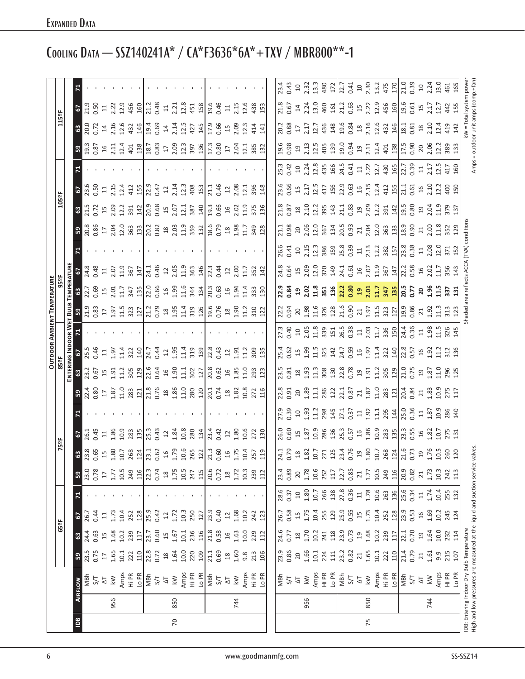| power<br>$\begin{array}{c}\n 10 \\  2.34 \\  15 \\  461 \\  49\n \end{array}$<br>23.4<br>0.43<br>Total system<br>21.8<br>0.67<br>$\frac{1}{3} \times \frac{1}{3} \times \frac{1}{3} \times \frac{1}{3} \times \frac{1}{3} \times \frac{1}{3} \times \frac{1}{3} \times \frac{1}{3} \times \frac{1}{3} \times \frac{1}{3} \times \frac{1}{3} \times \frac{1}{3} \times \frac{1}{3} \times \frac{1}{3} \times \frac{1}{3} \times \frac{1}{3} \times \frac{1}{3} \times \frac{1}{3} \times \frac{1}{3} \times \frac{1}{3} \times \frac{1}{3} \times \frac{1}{3} \times \frac{1}{3} \times \frac{1}{3} \times \frac{1$<br><b>67<br/>319</b><br>5150<br>115ºF<br>$203877778849589474849384747444$<br>20.0<br>0.72<br>$\mathbf{G}$<br>$\begin{array}{c} 45.75 \text{ } \frac{1}{2} \text{ } 4 \text{ } \frac{1}{2} \text{ } \frac{1}{2} \text{ } \frac{1}{2} \text{ } \frac{1}{2} \text{ } \frac{1}{2} \text{ } \frac{1}{2} \text{ } \frac{1}{2} \text{ } \frac{1}{2} \text{ } \frac{1}{2} \text{ } \frac{1}{2} \text{ } \frac{1}{2} \text{ } \frac{1}{2} \text{ } \frac{1}{2} \text{ } \frac{1}{2} \text{ } \frac{1}{2} \text{ } \frac{1}{2} \text{ } \frac{1}{2} \text{$<br><mark>ន</mark> មិនី<br><b>67</b><br>23.6<br>$\frac{28}{111}$<br>$\frac{11}{215}$<br>12.4<br>$\frac{12}{2.08}$<br>12.388<br>105°F<br>$2.8$ $2.3$ $3.4$ $3.4$ $1.4$ $3.5$ $3.5$ $3.5$ $3.5$ $3.5$ $3.5$ $3.5$ $3.5$ $3.5$ $3.5$ $3.5$ $3.5$ $3.5$ $3.5$ $3.5$ $3.5$ $3.5$ $3.5$ $3.5$ $3.5$ $3.5$ $3.5$ $3.5$ $3.5$ $3.5$ $3.5$ $3.5$ $3.5$ $3.5$ $3.5$ $3.5$ $3.5$<br>n 2011 2012 2013 2014 2015 2016 2017 2019 2014 2015 2016 2017 2018 2019 2019 2019 2019 2019 2019 201<br>$\frac{3}{2}$<br>condition<br>$3\frac{8}{8}$ $3\frac{8}{8}$ $5\frac{1}{3}$ $2\frac{1}{3}$ $3\frac{1}{3}$ $3\frac{1}{3}$ $3\frac{1}{3}$ $3\frac{1}{3}$ $3\frac{1}{3}$ $3\frac{1}{3}$ $3\frac{1}{3}$ $3\frac{1}{3}$ $3\frac{1}{3}$<br>(TVA)<br>ea reflects ACCA<br><b>TEMPERATURE</b><br>0.48<br>$3.35$ $\frac{3}{2}$ $\frac{3}{2}$ $\frac{3}{2}$ $\frac{3}{2}$ $\frac{3}{2}$ $\frac{3}{2}$ $\frac{3}{2}$ $\frac{4}{2}$ $\frac{1}{2}$ $\frac{3}{2}$ $\frac{5}{2}$ $\frac{3}{2}$ $\frac{5}{2}$ $\frac{3}{2}$ $\frac{1}{2}$ $\frac{3}{2}$ $\frac{3}{2}$ $\frac{2}{2}$ $\frac{3}{2}$ $\frac{3}{2}$ $\frac{3}{2}$ $\frac{$<br>$\frac{2}{2}$ .00<br>11.7<br>352<br>142<br>$\begin{array}{c} 23.69 \text{ m} & 24.7 \text{ m} \\ 25.69 \text{ m} & 25.7 \text{ m} \\ 25.69 \text{ m} & 25.7 \text{ m} \\ 25.69 \text{ m} & 25.7 \text{ m} \\ 25.69 \text{ m} & 25.7 \text{ m} \\ 25.69 \text{ m} & 25.7 \text{ m} \\ 25.69 \text{ m} & 25.7 \text{ m} \\ 25.69 \text{ m} & 25.7 \text{ m} \\ 25.7 \text{ m} & 25.7 \text{ m} \\ 25.7 \text$<br>BuuB<br>Shaded<br>ENTERING INDOOR W<br>25.5<br>0.46<br>$\frac{1}{4}$ $\frac{1}{8}$ $\frac{1}{9}$ $\frac{1}{5}$ $\frac{4}{4}$ $\frac{1}{9}$ $\frac{1}{9}$ $\frac{1}{4}$ $\frac{1}{9}$ $\frac{1}{9}$ $\frac{1}{9}$ $\frac{1}{9}$ $\frac{1}{9}$ $\frac{1}{9}$ $\frac{1}{9}$ $\frac{1}{9}$ $\frac{1}{9}$ $\frac{1}{10}$ $\frac{1}{9}$ $\frac{1}{10}$ $\frac{1}{9}$ $\frac{1}{10}$<br>1.97<br>$\begin{array}{c} 13.71 & 12.81 & 12.91 & 12.91 & 12.91 & 12.91 & 12.91 & 12.91 & 12.91 & 12.91 & 12.91 & 12.91 & 12.91 & 12.91 & 12.91 & 12.91 & 12.91 & 12.91 & 12.91 & 12.91 & 12.91 & 12.91 & 12.91 & 12.91 & 12.91 & 12.91 & 12.91 & 12.91 & 12.91 & 12.91 & 12$<br>23.2<br>0.67<br>$23.58$ $24.78$ $25.78$ $26.73$ $27.78$ $28.79$ $29.73$ $29.73$ $29.73$ $29.73$ $29.73$ $21.73$ $22.73$ $23.73$ $25.73$ $25.73$ $25.73$ $25.73$ $25.73$ $25.73$ $25.73$ $25.73$ $25.73$ $25.73$ $25.73$ $25.73$ $25.73$ $25.7$<br>$23.87$ $25.87$ $37.87$ $38.21$ $39.87$ $39.87$ $39.87$ $39.87$ $39.87$ $39.87$ $39.87$ $39.87$ $39.87$ $39.87$ $39.87$ $39.87$ $39.87$ $39.87$ $39.87$ $39.87$ $39.87$ $39.87$ $39.87$ $39.87$ $39.87$ $39.87$ $39.87$ $39.8$<br>$\mathbb{R}$<br>$\frac{2}{2}$<br>$\frac{3}{2}$ $\frac{3}{2}$ $\frac{3}{2}$ $\frac{1}{2}$ $\frac{3}{2}$ $\frac{1}{2}$ $\frac{1}{2}$ $\frac{3}{2}$ $\frac{1}{2}$ $\frac{1}{2}$ $\frac{3}{2}$ $\frac{4}{2}$ $\frac{1}{2}$ $\frac{3}{2}$ $\frac{4}{2}$ $\frac{3}{2}$ $\frac{4}{2}$ $\frac{3}{2}$ $\frac{4}{2}$ $\frac{3}{2}$ $\frac{4}{2}$<br>$\frac{1}{2}$ $\frac{8}{2}$ $\frac{6}{2}$ $\frac{8}{2}$ $\frac{8}{2}$ $\frac{8}{2}$ $\frac{8}{2}$ $\frac{8}{2}$ $\frac{8}{2}$ $\frac{8}{2}$ $\frac{8}{2}$ $\frac{8}{2}$ $\frac{8}{2}$ $\frac{8}{2}$ $\frac{8}{2}$ $\frac{8}{2}$ $\frac{8}{2}$ $\frac{8}{2}$ $\frac{8}{2}$ $\frac{8}{2}$ $\frac{8}{2}$ $\frac{8}{2}$<br><b>67</b><br>26.1<br>0.45<br>$\begin{array}{c} 12 \\ 1.80 \\ 1.90 \\ 1.71 \\ 2.72 \\ 1.90 \\ \hline \end{array}$<br>10.7<br>275<br>131<br>75°F<br>$3.88$ $3.98$ $2.82$ $1.32$ $3.98$ $1.32$ $1.33$ $1.33$ $1.33$ $1.33$ $1.33$ $1.33$ $1.33$ $1.33$ $1.33$ $1.33$ $1.33$ $1.33$ $1.33$ $1.33$ $1.33$ $1.33$ $1.33$ $1.33$ $1.33$ $1.33$ $1.33$ $1.33$ $1.33$ $1.33$ $1.33$ $1.3$<br>22.7<br>23.4<br>10.6<br>22.3<br>0.74<br>1.75<br>10.5<br>20.6<br>0.72<br>0.89<br>1.78<br>1.77<br>10.5<br>20.9<br>10.5<br>116<br>0.82<br>23.0<br>0.78<br>249<br>116<br>247<br>115<br>10.3<br>252<br>249<br>1.73<br>10.3<br>1.77<br>1.72<br>239<br>117<br>242<br>113<br>112<br>$^{28}$<br>$\frac{8}{2}$<br>20<br>21<br>$\overline{\mathbb{L}}$<br>21<br>${\tt S3}$<br>27.8<br>25.6<br>1.80<br>1.78<br>10.6<br>0.34<br>1.74<br>28.6<br>10.7<br>266<br>136<br>10.4<br>$\frac{38}{2}$<br>263<br>0.37<br>255<br>132<br>$\Box$<br>$\Xi$<br>11<br>25.9<br>0.55<br>25.9<br>23.9<br>1.68<br>1.75<br>10.4<br>1.73<br>10.4<br>23.9<br>0.53<br>1.69<br>0.42<br>1.72<br>10.3<br>0.40<br>26.7<br>0.58<br>10.2<br>10.4<br>128<br>250<br>255<br>129<br>128<br>1.73<br>252<br>10.2<br>252<br>245<br>124<br>26.7<br>0.44<br>127<br>242<br>123<br>$\overline{15}$<br>15<br>16<br>$\overline{\mathfrak{u}}$<br>$22$<br>11<br>5<br>65°F<br>IDB: Entering Indoor Dry Bulb Temperature<br>21.8<br>23.9<br>10.0<br>0.58<br>24.6<br>10.2<br>0.73<br>1.68<br>0.70<br>1.64<br>1.68<br>0.60<br>1.67<br>10.1<br>236<br>116<br>10.0<br>1.70<br>24.4<br>0.63<br>10.2<br>1.63<br>118<br>10.2<br>22.1<br>239<br>23.7<br>77<br>241<br>239<br>229<br>$\overline{a}$<br>117<br>232<br>114<br>117<br>15<br>112<br>$\overline{c}$<br>$\frac{1}{6}$<br>${\tt G3}$<br>10.0<br>21.4<br>1.64<br>0.69<br>23.9<br>$1.65$<br>$10.1$<br>0.79<br>23.5<br>0.75<br>1.65<br>22.8<br>220<br>109<br>21.1<br>1.60<br>$1.66$<br>$10.1$<br>23.2<br>0.82<br>110<br>0.72<br>0.86<br>224<br>222<br>110<br>1.61<br>10.1<br>9.9<br>222<br>$^{28}$<br>9.8<br>213<br>215<br>$^{28}$<br>106<br>11<br>21<br>107<br>21<br>$\overline{5}$<br>$\overline{17}$<br>ၛၟ<br>Amps<br>Hi PR<br>Amps<br>Hi PR<br>Amps<br>Hi PR<br>Hi PR<br>Amps<br>Hi PR<br>$\frac{LOPR}{2}$<br>Lo PR<br>Amps<br>Amps<br>Lo PR<br>Lo PR<br>LO <sub>PR</sub><br>MBh<br>Hi PR<br>Lo PR<br>$MBD$<br>$S/T$<br>NBh<br>ns<br>Sang<br>$\overline{\mathsf{k}}$<br>MBh<br>S/T<br>$\leq$<br>$\overline{\mathsf{k}}$<br>$\lesssim$<br>$\overline{\Delta}$<br>$\overline{\mathsf{k}}$<br>MB <sub>r</sub><br>$\overline{\mathbb{Q}}$<br>$\leq$<br>$\overline{\Delta}$<br>5/7<br>$\overline{\Delta}$<br>5/7<br>$\overline{\Delta}$<br>5 <sup>1</sup><br>AIRFLOW |  |  |  |  |  |  |  | <b>OUTDOOR AMBIENT TEMPERATURE</b> |  |  |  |  |  |  |
|-------------------------------------------------------------------------------------------------------------------------------------------------------------------------------------------------------------------------------------------------------------------------------------------------------------------------------------------------------------------------------------------------------------------------------------------------------------------------------------------------------------------------------------------------------------------------------------------------------------------------------------------------------------------------------------------------------------------------------------------------------------------------------------------------------------------------------------------------------------------------------------------------------------------------------------------------------------------------------------------------------------------------------------------------------------------------------------------------------------------------------------------------------------------------------------------------------------------------------------------------------------------------------------------------------------------------------------------------------------------------------------------------------------------------------------------------------------------------------------------------------------------------------------------------------------------------------------------------------------------------------------------------------------------------------------------------------------------------------------------------------------------------------------------------------------------------------------------------------------------------------------------------------------------------------------------------------------------------------------------------------------------------------------------------------------------------------------------------------------------------------------------------------------------------------------------------------------------------------------------------------------------------------------------------------------------------------------------------------------------------------------------------------------------------------------------------------------------------------------------------------------------------------------------------------------------------------------------------------------------------------------------------------------------------------------------------------------------------------------------------------------------------------------------------------------------------------------------------------------------------------------------------------------------------------------------------------------------------------------------------------------------------------------------------------------------------------------------------------------------------------------------------------------------------------------------------------------------------------------------------------------------------------------------------------------------------------------------------------------------------------------------------------------------------------------------------------------------------------------------------------------------------------------------------------------------------------------------------------------------------------------------------------------------------------------------------------------------------------------------------------------------------------------------------------------------------------------------------------------------------------------------------------------------------------------------------------------------------------------------------------------------------------------------------------------------------------------------------------------------------------------------------------------------------------------------------------------------------------------------------------------------------------------------------------------------------------------------------------------------------------------------------------------------------------------------------------------------------------------------------------------------------------------------------------------------------------------------------------------------------------------------------------------------------------------------------------------------------------------------------------------------------------------------------------------------------------------------------------------------------------------------------------------------------------------------------------------------------------------------------------------------------------------------------------------------------------------------------------------------------------------------------------------------------------------------------------------------------------------------------------------------------------------------------------------------------------------------------------------------------------------------------------------------------------------------------------------------------------------------------------------------------------------------------------------------------------------------------------------------------------------------------------------------------------------------------------------------------------------------------------------------------------------------------------------------------------------------------------------------------------------------------------------------------------------------------------------------------------------------------------------------------------------------------------------------------------------------------------------------------------------------------------------------------------------------------------------------------------------------------------------------------------------------------------------------------------------------------------------------------------------------------------------------------------------------------------------------------------------------------------------------------------------------------------------------------------------------------------------------------------------------------------------------------------------------------------------------------------------------------------------------------------------------------------------------------------------------------------------------------------------------------------------------------------------------------------------------------------------------------------------------------------------------------------------------------------------------------------------------------------------------------------------|--|--|--|--|--|--|--|------------------------------------|--|--|--|--|--|--|
|                                                                                                                                                                                                                                                                                                                                                                                                                                                                                                                                                                                                                                                                                                                                                                                                                                                                                                                                                                                                                                                                                                                                                                                                                                                                                                                                                                                                                                                                                                                                                                                                                                                                                                                                                                                                                                                                                                                                                                                                                                                                                                                                                                                                                                                                                                                                                                                                                                                                                                                                                                                                                                                                                                                                                                                                                                                                                                                                                                                                                                                                                                                                                                                                                                                                                                                                                                                                                                                                                                                                                                                                                                                                                                                                                                                                                                                                                                                                                                                                                                                                                                                                                                                                                                                                                                                                                                                                                                                                                                                                                                                                                                                                                                                                                                                                                                                                                                                                                                                                                                                                                                                                                                                                                                                                                                                                                                                                                                                                                                                                                                                                                                                                                                                                                                                                                                                                                                                                                                                                                                                                                                                                                                                                                                                                                                                                                                                                                                                                                                                                                                                                                                                                                                                                                                                                                                                                                                                                                                                                                                                                                                                                                             |  |  |  |  |  |  |  |                                    |  |  |  |  |  |  |
|                                                                                                                                                                                                                                                                                                                                                                                                                                                                                                                                                                                                                                                                                                                                                                                                                                                                                                                                                                                                                                                                                                                                                                                                                                                                                                                                                                                                                                                                                                                                                                                                                                                                                                                                                                                                                                                                                                                                                                                                                                                                                                                                                                                                                                                                                                                                                                                                                                                                                                                                                                                                                                                                                                                                                                                                                                                                                                                                                                                                                                                                                                                                                                                                                                                                                                                                                                                                                                                                                                                                                                                                                                                                                                                                                                                                                                                                                                                                                                                                                                                                                                                                                                                                                                                                                                                                                                                                                                                                                                                                                                                                                                                                                                                                                                                                                                                                                                                                                                                                                                                                                                                                                                                                                                                                                                                                                                                                                                                                                                                                                                                                                                                                                                                                                                                                                                                                                                                                                                                                                                                                                                                                                                                                                                                                                                                                                                                                                                                                                                                                                                                                                                                                                                                                                                                                                                                                                                                                                                                                                                                                                                                                                             |  |  |  |  |  |  |  |                                    |  |  |  |  |  |  |
|                                                                                                                                                                                                                                                                                                                                                                                                                                                                                                                                                                                                                                                                                                                                                                                                                                                                                                                                                                                                                                                                                                                                                                                                                                                                                                                                                                                                                                                                                                                                                                                                                                                                                                                                                                                                                                                                                                                                                                                                                                                                                                                                                                                                                                                                                                                                                                                                                                                                                                                                                                                                                                                                                                                                                                                                                                                                                                                                                                                                                                                                                                                                                                                                                                                                                                                                                                                                                                                                                                                                                                                                                                                                                                                                                                                                                                                                                                                                                                                                                                                                                                                                                                                                                                                                                                                                                                                                                                                                                                                                                                                                                                                                                                                                                                                                                                                                                                                                                                                                                                                                                                                                                                                                                                                                                                                                                                                                                                                                                                                                                                                                                                                                                                                                                                                                                                                                                                                                                                                                                                                                                                                                                                                                                                                                                                                                                                                                                                                                                                                                                                                                                                                                                                                                                                                                                                                                                                                                                                                                                                                                                                                                                             |  |  |  |  |  |  |  |                                    |  |  |  |  |  |  |
|                                                                                                                                                                                                                                                                                                                                                                                                                                                                                                                                                                                                                                                                                                                                                                                                                                                                                                                                                                                                                                                                                                                                                                                                                                                                                                                                                                                                                                                                                                                                                                                                                                                                                                                                                                                                                                                                                                                                                                                                                                                                                                                                                                                                                                                                                                                                                                                                                                                                                                                                                                                                                                                                                                                                                                                                                                                                                                                                                                                                                                                                                                                                                                                                                                                                                                                                                                                                                                                                                                                                                                                                                                                                                                                                                                                                                                                                                                                                                                                                                                                                                                                                                                                                                                                                                                                                                                                                                                                                                                                                                                                                                                                                                                                                                                                                                                                                                                                                                                                                                                                                                                                                                                                                                                                                                                                                                                                                                                                                                                                                                                                                                                                                                                                                                                                                                                                                                                                                                                                                                                                                                                                                                                                                                                                                                                                                                                                                                                                                                                                                                                                                                                                                                                                                                                                                                                                                                                                                                                                                                                                                                                                                                             |  |  |  |  |  |  |  |                                    |  |  |  |  |  |  |
|                                                                                                                                                                                                                                                                                                                                                                                                                                                                                                                                                                                                                                                                                                                                                                                                                                                                                                                                                                                                                                                                                                                                                                                                                                                                                                                                                                                                                                                                                                                                                                                                                                                                                                                                                                                                                                                                                                                                                                                                                                                                                                                                                                                                                                                                                                                                                                                                                                                                                                                                                                                                                                                                                                                                                                                                                                                                                                                                                                                                                                                                                                                                                                                                                                                                                                                                                                                                                                                                                                                                                                                                                                                                                                                                                                                                                                                                                                                                                                                                                                                                                                                                                                                                                                                                                                                                                                                                                                                                                                                                                                                                                                                                                                                                                                                                                                                                                                                                                                                                                                                                                                                                                                                                                                                                                                                                                                                                                                                                                                                                                                                                                                                                                                                                                                                                                                                                                                                                                                                                                                                                                                                                                                                                                                                                                                                                                                                                                                                                                                                                                                                                                                                                                                                                                                                                                                                                                                                                                                                                                                                                                                                                                             |  |  |  |  |  |  |  |                                    |  |  |  |  |  |  |
|                                                                                                                                                                                                                                                                                                                                                                                                                                                                                                                                                                                                                                                                                                                                                                                                                                                                                                                                                                                                                                                                                                                                                                                                                                                                                                                                                                                                                                                                                                                                                                                                                                                                                                                                                                                                                                                                                                                                                                                                                                                                                                                                                                                                                                                                                                                                                                                                                                                                                                                                                                                                                                                                                                                                                                                                                                                                                                                                                                                                                                                                                                                                                                                                                                                                                                                                                                                                                                                                                                                                                                                                                                                                                                                                                                                                                                                                                                                                                                                                                                                                                                                                                                                                                                                                                                                                                                                                                                                                                                                                                                                                                                                                                                                                                                                                                                                                                                                                                                                                                                                                                                                                                                                                                                                                                                                                                                                                                                                                                                                                                                                                                                                                                                                                                                                                                                                                                                                                                                                                                                                                                                                                                                                                                                                                                                                                                                                                                                                                                                                                                                                                                                                                                                                                                                                                                                                                                                                                                                                                                                                                                                                                                             |  |  |  |  |  |  |  |                                    |  |  |  |  |  |  |
|                                                                                                                                                                                                                                                                                                                                                                                                                                                                                                                                                                                                                                                                                                                                                                                                                                                                                                                                                                                                                                                                                                                                                                                                                                                                                                                                                                                                                                                                                                                                                                                                                                                                                                                                                                                                                                                                                                                                                                                                                                                                                                                                                                                                                                                                                                                                                                                                                                                                                                                                                                                                                                                                                                                                                                                                                                                                                                                                                                                                                                                                                                                                                                                                                                                                                                                                                                                                                                                                                                                                                                                                                                                                                                                                                                                                                                                                                                                                                                                                                                                                                                                                                                                                                                                                                                                                                                                                                                                                                                                                                                                                                                                                                                                                                                                                                                                                                                                                                                                                                                                                                                                                                                                                                                                                                                                                                                                                                                                                                                                                                                                                                                                                                                                                                                                                                                                                                                                                                                                                                                                                                                                                                                                                                                                                                                                                                                                                                                                                                                                                                                                                                                                                                                                                                                                                                                                                                                                                                                                                                                                                                                                                                             |  |  |  |  |  |  |  |                                    |  |  |  |  |  |  |
|                                                                                                                                                                                                                                                                                                                                                                                                                                                                                                                                                                                                                                                                                                                                                                                                                                                                                                                                                                                                                                                                                                                                                                                                                                                                                                                                                                                                                                                                                                                                                                                                                                                                                                                                                                                                                                                                                                                                                                                                                                                                                                                                                                                                                                                                                                                                                                                                                                                                                                                                                                                                                                                                                                                                                                                                                                                                                                                                                                                                                                                                                                                                                                                                                                                                                                                                                                                                                                                                                                                                                                                                                                                                                                                                                                                                                                                                                                                                                                                                                                                                                                                                                                                                                                                                                                                                                                                                                                                                                                                                                                                                                                                                                                                                                                                                                                                                                                                                                                                                                                                                                                                                                                                                                                                                                                                                                                                                                                                                                                                                                                                                                                                                                                                                                                                                                                                                                                                                                                                                                                                                                                                                                                                                                                                                                                                                                                                                                                                                                                                                                                                                                                                                                                                                                                                                                                                                                                                                                                                                                                                                                                                                                             |  |  |  |  |  |  |  |                                    |  |  |  |  |  |  |
|                                                                                                                                                                                                                                                                                                                                                                                                                                                                                                                                                                                                                                                                                                                                                                                                                                                                                                                                                                                                                                                                                                                                                                                                                                                                                                                                                                                                                                                                                                                                                                                                                                                                                                                                                                                                                                                                                                                                                                                                                                                                                                                                                                                                                                                                                                                                                                                                                                                                                                                                                                                                                                                                                                                                                                                                                                                                                                                                                                                                                                                                                                                                                                                                                                                                                                                                                                                                                                                                                                                                                                                                                                                                                                                                                                                                                                                                                                                                                                                                                                                                                                                                                                                                                                                                                                                                                                                                                                                                                                                                                                                                                                                                                                                                                                                                                                                                                                                                                                                                                                                                                                                                                                                                                                                                                                                                                                                                                                                                                                                                                                                                                                                                                                                                                                                                                                                                                                                                                                                                                                                                                                                                                                                                                                                                                                                                                                                                                                                                                                                                                                                                                                                                                                                                                                                                                                                                                                                                                                                                                                                                                                                                                             |  |  |  |  |  |  |  |                                    |  |  |  |  |  |  |
|                                                                                                                                                                                                                                                                                                                                                                                                                                                                                                                                                                                                                                                                                                                                                                                                                                                                                                                                                                                                                                                                                                                                                                                                                                                                                                                                                                                                                                                                                                                                                                                                                                                                                                                                                                                                                                                                                                                                                                                                                                                                                                                                                                                                                                                                                                                                                                                                                                                                                                                                                                                                                                                                                                                                                                                                                                                                                                                                                                                                                                                                                                                                                                                                                                                                                                                                                                                                                                                                                                                                                                                                                                                                                                                                                                                                                                                                                                                                                                                                                                                                                                                                                                                                                                                                                                                                                                                                                                                                                                                                                                                                                                                                                                                                                                                                                                                                                                                                                                                                                                                                                                                                                                                                                                                                                                                                                                                                                                                                                                                                                                                                                                                                                                                                                                                                                                                                                                                                                                                                                                                                                                                                                                                                                                                                                                                                                                                                                                                                                                                                                                                                                                                                                                                                                                                                                                                                                                                                                                                                                                                                                                                                                             |  |  |  |  |  |  |  |                                    |  |  |  |  |  |  |
|                                                                                                                                                                                                                                                                                                                                                                                                                                                                                                                                                                                                                                                                                                                                                                                                                                                                                                                                                                                                                                                                                                                                                                                                                                                                                                                                                                                                                                                                                                                                                                                                                                                                                                                                                                                                                                                                                                                                                                                                                                                                                                                                                                                                                                                                                                                                                                                                                                                                                                                                                                                                                                                                                                                                                                                                                                                                                                                                                                                                                                                                                                                                                                                                                                                                                                                                                                                                                                                                                                                                                                                                                                                                                                                                                                                                                                                                                                                                                                                                                                                                                                                                                                                                                                                                                                                                                                                                                                                                                                                                                                                                                                                                                                                                                                                                                                                                                                                                                                                                                                                                                                                                                                                                                                                                                                                                                                                                                                                                                                                                                                                                                                                                                                                                                                                                                                                                                                                                                                                                                                                                                                                                                                                                                                                                                                                                                                                                                                                                                                                                                                                                                                                                                                                                                                                                                                                                                                                                                                                                                                                                                                                                                             |  |  |  |  |  |  |  |                                    |  |  |  |  |  |  |
|                                                                                                                                                                                                                                                                                                                                                                                                                                                                                                                                                                                                                                                                                                                                                                                                                                                                                                                                                                                                                                                                                                                                                                                                                                                                                                                                                                                                                                                                                                                                                                                                                                                                                                                                                                                                                                                                                                                                                                                                                                                                                                                                                                                                                                                                                                                                                                                                                                                                                                                                                                                                                                                                                                                                                                                                                                                                                                                                                                                                                                                                                                                                                                                                                                                                                                                                                                                                                                                                                                                                                                                                                                                                                                                                                                                                                                                                                                                                                                                                                                                                                                                                                                                                                                                                                                                                                                                                                                                                                                                                                                                                                                                                                                                                                                                                                                                                                                                                                                                                                                                                                                                                                                                                                                                                                                                                                                                                                                                                                                                                                                                                                                                                                                                                                                                                                                                                                                                                                                                                                                                                                                                                                                                                                                                                                                                                                                                                                                                                                                                                                                                                                                                                                                                                                                                                                                                                                                                                                                                                                                                                                                                                                             |  |  |  |  |  |  |  |                                    |  |  |  |  |  |  |
|                                                                                                                                                                                                                                                                                                                                                                                                                                                                                                                                                                                                                                                                                                                                                                                                                                                                                                                                                                                                                                                                                                                                                                                                                                                                                                                                                                                                                                                                                                                                                                                                                                                                                                                                                                                                                                                                                                                                                                                                                                                                                                                                                                                                                                                                                                                                                                                                                                                                                                                                                                                                                                                                                                                                                                                                                                                                                                                                                                                                                                                                                                                                                                                                                                                                                                                                                                                                                                                                                                                                                                                                                                                                                                                                                                                                                                                                                                                                                                                                                                                                                                                                                                                                                                                                                                                                                                                                                                                                                                                                                                                                                                                                                                                                                                                                                                                                                                                                                                                                                                                                                                                                                                                                                                                                                                                                                                                                                                                                                                                                                                                                                                                                                                                                                                                                                                                                                                                                                                                                                                                                                                                                                                                                                                                                                                                                                                                                                                                                                                                                                                                                                                                                                                                                                                                                                                                                                                                                                                                                                                                                                                                                                             |  |  |  |  |  |  |  |                                    |  |  |  |  |  |  |
|                                                                                                                                                                                                                                                                                                                                                                                                                                                                                                                                                                                                                                                                                                                                                                                                                                                                                                                                                                                                                                                                                                                                                                                                                                                                                                                                                                                                                                                                                                                                                                                                                                                                                                                                                                                                                                                                                                                                                                                                                                                                                                                                                                                                                                                                                                                                                                                                                                                                                                                                                                                                                                                                                                                                                                                                                                                                                                                                                                                                                                                                                                                                                                                                                                                                                                                                                                                                                                                                                                                                                                                                                                                                                                                                                                                                                                                                                                                                                                                                                                                                                                                                                                                                                                                                                                                                                                                                                                                                                                                                                                                                                                                                                                                                                                                                                                                                                                                                                                                                                                                                                                                                                                                                                                                                                                                                                                                                                                                                                                                                                                                                                                                                                                                                                                                                                                                                                                                                                                                                                                                                                                                                                                                                                                                                                                                                                                                                                                                                                                                                                                                                                                                                                                                                                                                                                                                                                                                                                                                                                                                                                                                                                             |  |  |  |  |  |  |  |                                    |  |  |  |  |  |  |
|                                                                                                                                                                                                                                                                                                                                                                                                                                                                                                                                                                                                                                                                                                                                                                                                                                                                                                                                                                                                                                                                                                                                                                                                                                                                                                                                                                                                                                                                                                                                                                                                                                                                                                                                                                                                                                                                                                                                                                                                                                                                                                                                                                                                                                                                                                                                                                                                                                                                                                                                                                                                                                                                                                                                                                                                                                                                                                                                                                                                                                                                                                                                                                                                                                                                                                                                                                                                                                                                                                                                                                                                                                                                                                                                                                                                                                                                                                                                                                                                                                                                                                                                                                                                                                                                                                                                                                                                                                                                                                                                                                                                                                                                                                                                                                                                                                                                                                                                                                                                                                                                                                                                                                                                                                                                                                                                                                                                                                                                                                                                                                                                                                                                                                                                                                                                                                                                                                                                                                                                                                                                                                                                                                                                                                                                                                                                                                                                                                                                                                                                                                                                                                                                                                                                                                                                                                                                                                                                                                                                                                                                                                                                                             |  |  |  |  |  |  |  |                                    |  |  |  |  |  |  |
|                                                                                                                                                                                                                                                                                                                                                                                                                                                                                                                                                                                                                                                                                                                                                                                                                                                                                                                                                                                                                                                                                                                                                                                                                                                                                                                                                                                                                                                                                                                                                                                                                                                                                                                                                                                                                                                                                                                                                                                                                                                                                                                                                                                                                                                                                                                                                                                                                                                                                                                                                                                                                                                                                                                                                                                                                                                                                                                                                                                                                                                                                                                                                                                                                                                                                                                                                                                                                                                                                                                                                                                                                                                                                                                                                                                                                                                                                                                                                                                                                                                                                                                                                                                                                                                                                                                                                                                                                                                                                                                                                                                                                                                                                                                                                                                                                                                                                                                                                                                                                                                                                                                                                                                                                                                                                                                                                                                                                                                                                                                                                                                                                                                                                                                                                                                                                                                                                                                                                                                                                                                                                                                                                                                                                                                                                                                                                                                                                                                                                                                                                                                                                                                                                                                                                                                                                                                                                                                                                                                                                                                                                                                                                             |  |  |  |  |  |  |  |                                    |  |  |  |  |  |  |
|                                                                                                                                                                                                                                                                                                                                                                                                                                                                                                                                                                                                                                                                                                                                                                                                                                                                                                                                                                                                                                                                                                                                                                                                                                                                                                                                                                                                                                                                                                                                                                                                                                                                                                                                                                                                                                                                                                                                                                                                                                                                                                                                                                                                                                                                                                                                                                                                                                                                                                                                                                                                                                                                                                                                                                                                                                                                                                                                                                                                                                                                                                                                                                                                                                                                                                                                                                                                                                                                                                                                                                                                                                                                                                                                                                                                                                                                                                                                                                                                                                                                                                                                                                                                                                                                                                                                                                                                                                                                                                                                                                                                                                                                                                                                                                                                                                                                                                                                                                                                                                                                                                                                                                                                                                                                                                                                                                                                                                                                                                                                                                                                                                                                                                                                                                                                                                                                                                                                                                                                                                                                                                                                                                                                                                                                                                                                                                                                                                                                                                                                                                                                                                                                                                                                                                                                                                                                                                                                                                                                                                                                                                                                                             |  |  |  |  |  |  |  |                                    |  |  |  |  |  |  |
|                                                                                                                                                                                                                                                                                                                                                                                                                                                                                                                                                                                                                                                                                                                                                                                                                                                                                                                                                                                                                                                                                                                                                                                                                                                                                                                                                                                                                                                                                                                                                                                                                                                                                                                                                                                                                                                                                                                                                                                                                                                                                                                                                                                                                                                                                                                                                                                                                                                                                                                                                                                                                                                                                                                                                                                                                                                                                                                                                                                                                                                                                                                                                                                                                                                                                                                                                                                                                                                                                                                                                                                                                                                                                                                                                                                                                                                                                                                                                                                                                                                                                                                                                                                                                                                                                                                                                                                                                                                                                                                                                                                                                                                                                                                                                                                                                                                                                                                                                                                                                                                                                                                                                                                                                                                                                                                                                                                                                                                                                                                                                                                                                                                                                                                                                                                                                                                                                                                                                                                                                                                                                                                                                                                                                                                                                                                                                                                                                                                                                                                                                                                                                                                                                                                                                                                                                                                                                                                                                                                                                                                                                                                                                             |  |  |  |  |  |  |  |                                    |  |  |  |  |  |  |
|                                                                                                                                                                                                                                                                                                                                                                                                                                                                                                                                                                                                                                                                                                                                                                                                                                                                                                                                                                                                                                                                                                                                                                                                                                                                                                                                                                                                                                                                                                                                                                                                                                                                                                                                                                                                                                                                                                                                                                                                                                                                                                                                                                                                                                                                                                                                                                                                                                                                                                                                                                                                                                                                                                                                                                                                                                                                                                                                                                                                                                                                                                                                                                                                                                                                                                                                                                                                                                                                                                                                                                                                                                                                                                                                                                                                                                                                                                                                                                                                                                                                                                                                                                                                                                                                                                                                                                                                                                                                                                                                                                                                                                                                                                                                                                                                                                                                                                                                                                                                                                                                                                                                                                                                                                                                                                                                                                                                                                                                                                                                                                                                                                                                                                                                                                                                                                                                                                                                                                                                                                                                                                                                                                                                                                                                                                                                                                                                                                                                                                                                                                                                                                                                                                                                                                                                                                                                                                                                                                                                                                                                                                                                                             |  |  |  |  |  |  |  |                                    |  |  |  |  |  |  |
|                                                                                                                                                                                                                                                                                                                                                                                                                                                                                                                                                                                                                                                                                                                                                                                                                                                                                                                                                                                                                                                                                                                                                                                                                                                                                                                                                                                                                                                                                                                                                                                                                                                                                                                                                                                                                                                                                                                                                                                                                                                                                                                                                                                                                                                                                                                                                                                                                                                                                                                                                                                                                                                                                                                                                                                                                                                                                                                                                                                                                                                                                                                                                                                                                                                                                                                                                                                                                                                                                                                                                                                                                                                                                                                                                                                                                                                                                                                                                                                                                                                                                                                                                                                                                                                                                                                                                                                                                                                                                                                                                                                                                                                                                                                                                                                                                                                                                                                                                                                                                                                                                                                                                                                                                                                                                                                                                                                                                                                                                                                                                                                                                                                                                                                                                                                                                                                                                                                                                                                                                                                                                                                                                                                                                                                                                                                                                                                                                                                                                                                                                                                                                                                                                                                                                                                                                                                                                                                                                                                                                                                                                                                                                             |  |  |  |  |  |  |  |                                    |  |  |  |  |  |  |
|                                                                                                                                                                                                                                                                                                                                                                                                                                                                                                                                                                                                                                                                                                                                                                                                                                                                                                                                                                                                                                                                                                                                                                                                                                                                                                                                                                                                                                                                                                                                                                                                                                                                                                                                                                                                                                                                                                                                                                                                                                                                                                                                                                                                                                                                                                                                                                                                                                                                                                                                                                                                                                                                                                                                                                                                                                                                                                                                                                                                                                                                                                                                                                                                                                                                                                                                                                                                                                                                                                                                                                                                                                                                                                                                                                                                                                                                                                                                                                                                                                                                                                                                                                                                                                                                                                                                                                                                                                                                                                                                                                                                                                                                                                                                                                                                                                                                                                                                                                                                                                                                                                                                                                                                                                                                                                                                                                                                                                                                                                                                                                                                                                                                                                                                                                                                                                                                                                                                                                                                                                                                                                                                                                                                                                                                                                                                                                                                                                                                                                                                                                                                                                                                                                                                                                                                                                                                                                                                                                                                                                                                                                                                                             |  |  |  |  |  |  |  |                                    |  |  |  |  |  |  |
|                                                                                                                                                                                                                                                                                                                                                                                                                                                                                                                                                                                                                                                                                                                                                                                                                                                                                                                                                                                                                                                                                                                                                                                                                                                                                                                                                                                                                                                                                                                                                                                                                                                                                                                                                                                                                                                                                                                                                                                                                                                                                                                                                                                                                                                                                                                                                                                                                                                                                                                                                                                                                                                                                                                                                                                                                                                                                                                                                                                                                                                                                                                                                                                                                                                                                                                                                                                                                                                                                                                                                                                                                                                                                                                                                                                                                                                                                                                                                                                                                                                                                                                                                                                                                                                                                                                                                                                                                                                                                                                                                                                                                                                                                                                                                                                                                                                                                                                                                                                                                                                                                                                                                                                                                                                                                                                                                                                                                                                                                                                                                                                                                                                                                                                                                                                                                                                                                                                                                                                                                                                                                                                                                                                                                                                                                                                                                                                                                                                                                                                                                                                                                                                                                                                                                                                                                                                                                                                                                                                                                                                                                                                                                             |  |  |  |  |  |  |  |                                    |  |  |  |  |  |  |
|                                                                                                                                                                                                                                                                                                                                                                                                                                                                                                                                                                                                                                                                                                                                                                                                                                                                                                                                                                                                                                                                                                                                                                                                                                                                                                                                                                                                                                                                                                                                                                                                                                                                                                                                                                                                                                                                                                                                                                                                                                                                                                                                                                                                                                                                                                                                                                                                                                                                                                                                                                                                                                                                                                                                                                                                                                                                                                                                                                                                                                                                                                                                                                                                                                                                                                                                                                                                                                                                                                                                                                                                                                                                                                                                                                                                                                                                                                                                                                                                                                                                                                                                                                                                                                                                                                                                                                                                                                                                                                                                                                                                                                                                                                                                                                                                                                                                                                                                                                                                                                                                                                                                                                                                                                                                                                                                                                                                                                                                                                                                                                                                                                                                                                                                                                                                                                                                                                                                                                                                                                                                                                                                                                                                                                                                                                                                                                                                                                                                                                                                                                                                                                                                                                                                                                                                                                                                                                                                                                                                                                                                                                                                                             |  |  |  |  |  |  |  |                                    |  |  |  |  |  |  |
|                                                                                                                                                                                                                                                                                                                                                                                                                                                                                                                                                                                                                                                                                                                                                                                                                                                                                                                                                                                                                                                                                                                                                                                                                                                                                                                                                                                                                                                                                                                                                                                                                                                                                                                                                                                                                                                                                                                                                                                                                                                                                                                                                                                                                                                                                                                                                                                                                                                                                                                                                                                                                                                                                                                                                                                                                                                                                                                                                                                                                                                                                                                                                                                                                                                                                                                                                                                                                                                                                                                                                                                                                                                                                                                                                                                                                                                                                                                                                                                                                                                                                                                                                                                                                                                                                                                                                                                                                                                                                                                                                                                                                                                                                                                                                                                                                                                                                                                                                                                                                                                                                                                                                                                                                                                                                                                                                                                                                                                                                                                                                                                                                                                                                                                                                                                                                                                                                                                                                                                                                                                                                                                                                                                                                                                                                                                                                                                                                                                                                                                                                                                                                                                                                                                                                                                                                                                                                                                                                                                                                                                                                                                                                             |  |  |  |  |  |  |  |                                    |  |  |  |  |  |  |
|                                                                                                                                                                                                                                                                                                                                                                                                                                                                                                                                                                                                                                                                                                                                                                                                                                                                                                                                                                                                                                                                                                                                                                                                                                                                                                                                                                                                                                                                                                                                                                                                                                                                                                                                                                                                                                                                                                                                                                                                                                                                                                                                                                                                                                                                                                                                                                                                                                                                                                                                                                                                                                                                                                                                                                                                                                                                                                                                                                                                                                                                                                                                                                                                                                                                                                                                                                                                                                                                                                                                                                                                                                                                                                                                                                                                                                                                                                                                                                                                                                                                                                                                                                                                                                                                                                                                                                                                                                                                                                                                                                                                                                                                                                                                                                                                                                                                                                                                                                                                                                                                                                                                                                                                                                                                                                                                                                                                                                                                                                                                                                                                                                                                                                                                                                                                                                                                                                                                                                                                                                                                                                                                                                                                                                                                                                                                                                                                                                                                                                                                                                                                                                                                                                                                                                                                                                                                                                                                                                                                                                                                                                                                                             |  |  |  |  |  |  |  |                                    |  |  |  |  |  |  |
|                                                                                                                                                                                                                                                                                                                                                                                                                                                                                                                                                                                                                                                                                                                                                                                                                                                                                                                                                                                                                                                                                                                                                                                                                                                                                                                                                                                                                                                                                                                                                                                                                                                                                                                                                                                                                                                                                                                                                                                                                                                                                                                                                                                                                                                                                                                                                                                                                                                                                                                                                                                                                                                                                                                                                                                                                                                                                                                                                                                                                                                                                                                                                                                                                                                                                                                                                                                                                                                                                                                                                                                                                                                                                                                                                                                                                                                                                                                                                                                                                                                                                                                                                                                                                                                                                                                                                                                                                                                                                                                                                                                                                                                                                                                                                                                                                                                                                                                                                                                                                                                                                                                                                                                                                                                                                                                                                                                                                                                                                                                                                                                                                                                                                                                                                                                                                                                                                                                                                                                                                                                                                                                                                                                                                                                                                                                                                                                                                                                                                                                                                                                                                                                                                                                                                                                                                                                                                                                                                                                                                                                                                                                                                             |  |  |  |  |  |  |  |                                    |  |  |  |  |  |  |
|                                                                                                                                                                                                                                                                                                                                                                                                                                                                                                                                                                                                                                                                                                                                                                                                                                                                                                                                                                                                                                                                                                                                                                                                                                                                                                                                                                                                                                                                                                                                                                                                                                                                                                                                                                                                                                                                                                                                                                                                                                                                                                                                                                                                                                                                                                                                                                                                                                                                                                                                                                                                                                                                                                                                                                                                                                                                                                                                                                                                                                                                                                                                                                                                                                                                                                                                                                                                                                                                                                                                                                                                                                                                                                                                                                                                                                                                                                                                                                                                                                                                                                                                                                                                                                                                                                                                                                                                                                                                                                                                                                                                                                                                                                                                                                                                                                                                                                                                                                                                                                                                                                                                                                                                                                                                                                                                                                                                                                                                                                                                                                                                                                                                                                                                                                                                                                                                                                                                                                                                                                                                                                                                                                                                                                                                                                                                                                                                                                                                                                                                                                                                                                                                                                                                                                                                                                                                                                                                                                                                                                                                                                                                                             |  |  |  |  |  |  |  |                                    |  |  |  |  |  |  |
|                                                                                                                                                                                                                                                                                                                                                                                                                                                                                                                                                                                                                                                                                                                                                                                                                                                                                                                                                                                                                                                                                                                                                                                                                                                                                                                                                                                                                                                                                                                                                                                                                                                                                                                                                                                                                                                                                                                                                                                                                                                                                                                                                                                                                                                                                                                                                                                                                                                                                                                                                                                                                                                                                                                                                                                                                                                                                                                                                                                                                                                                                                                                                                                                                                                                                                                                                                                                                                                                                                                                                                                                                                                                                                                                                                                                                                                                                                                                                                                                                                                                                                                                                                                                                                                                                                                                                                                                                                                                                                                                                                                                                                                                                                                                                                                                                                                                                                                                                                                                                                                                                                                                                                                                                                                                                                                                                                                                                                                                                                                                                                                                                                                                                                                                                                                                                                                                                                                                                                                                                                                                                                                                                                                                                                                                                                                                                                                                                                                                                                                                                                                                                                                                                                                                                                                                                                                                                                                                                                                                                                                                                                                                                             |  |  |  |  |  |  |  |                                    |  |  |  |  |  |  |
|                                                                                                                                                                                                                                                                                                                                                                                                                                                                                                                                                                                                                                                                                                                                                                                                                                                                                                                                                                                                                                                                                                                                                                                                                                                                                                                                                                                                                                                                                                                                                                                                                                                                                                                                                                                                                                                                                                                                                                                                                                                                                                                                                                                                                                                                                                                                                                                                                                                                                                                                                                                                                                                                                                                                                                                                                                                                                                                                                                                                                                                                                                                                                                                                                                                                                                                                                                                                                                                                                                                                                                                                                                                                                                                                                                                                                                                                                                                                                                                                                                                                                                                                                                                                                                                                                                                                                                                                                                                                                                                                                                                                                                                                                                                                                                                                                                                                                                                                                                                                                                                                                                                                                                                                                                                                                                                                                                                                                                                                                                                                                                                                                                                                                                                                                                                                                                                                                                                                                                                                                                                                                                                                                                                                                                                                                                                                                                                                                                                                                                                                                                                                                                                                                                                                                                                                                                                                                                                                                                                                                                                                                                                                                             |  |  |  |  |  |  |  |                                    |  |  |  |  |  |  |
|                                                                                                                                                                                                                                                                                                                                                                                                                                                                                                                                                                                                                                                                                                                                                                                                                                                                                                                                                                                                                                                                                                                                                                                                                                                                                                                                                                                                                                                                                                                                                                                                                                                                                                                                                                                                                                                                                                                                                                                                                                                                                                                                                                                                                                                                                                                                                                                                                                                                                                                                                                                                                                                                                                                                                                                                                                                                                                                                                                                                                                                                                                                                                                                                                                                                                                                                                                                                                                                                                                                                                                                                                                                                                                                                                                                                                                                                                                                                                                                                                                                                                                                                                                                                                                                                                                                                                                                                                                                                                                                                                                                                                                                                                                                                                                                                                                                                                                                                                                                                                                                                                                                                                                                                                                                                                                                                                                                                                                                                                                                                                                                                                                                                                                                                                                                                                                                                                                                                                                                                                                                                                                                                                                                                                                                                                                                                                                                                                                                                                                                                                                                                                                                                                                                                                                                                                                                                                                                                                                                                                                                                                                                                                             |  |  |  |  |  |  |  |                                    |  |  |  |  |  |  |
|                                                                                                                                                                                                                                                                                                                                                                                                                                                                                                                                                                                                                                                                                                                                                                                                                                                                                                                                                                                                                                                                                                                                                                                                                                                                                                                                                                                                                                                                                                                                                                                                                                                                                                                                                                                                                                                                                                                                                                                                                                                                                                                                                                                                                                                                                                                                                                                                                                                                                                                                                                                                                                                                                                                                                                                                                                                                                                                                                                                                                                                                                                                                                                                                                                                                                                                                                                                                                                                                                                                                                                                                                                                                                                                                                                                                                                                                                                                                                                                                                                                                                                                                                                                                                                                                                                                                                                                                                                                                                                                                                                                                                                                                                                                                                                                                                                                                                                                                                                                                                                                                                                                                                                                                                                                                                                                                                                                                                                                                                                                                                                                                                                                                                                                                                                                                                                                                                                                                                                                                                                                                                                                                                                                                                                                                                                                                                                                                                                                                                                                                                                                                                                                                                                                                                                                                                                                                                                                                                                                                                                                                                                                                                             |  |  |  |  |  |  |  |                                    |  |  |  |  |  |  |
|                                                                                                                                                                                                                                                                                                                                                                                                                                                                                                                                                                                                                                                                                                                                                                                                                                                                                                                                                                                                                                                                                                                                                                                                                                                                                                                                                                                                                                                                                                                                                                                                                                                                                                                                                                                                                                                                                                                                                                                                                                                                                                                                                                                                                                                                                                                                                                                                                                                                                                                                                                                                                                                                                                                                                                                                                                                                                                                                                                                                                                                                                                                                                                                                                                                                                                                                                                                                                                                                                                                                                                                                                                                                                                                                                                                                                                                                                                                                                                                                                                                                                                                                                                                                                                                                                                                                                                                                                                                                                                                                                                                                                                                                                                                                                                                                                                                                                                                                                                                                                                                                                                                                                                                                                                                                                                                                                                                                                                                                                                                                                                                                                                                                                                                                                                                                                                                                                                                                                                                                                                                                                                                                                                                                                                                                                                                                                                                                                                                                                                                                                                                                                                                                                                                                                                                                                                                                                                                                                                                                                                                                                                                                                             |  |  |  |  |  |  |  |                                    |  |  |  |  |  |  |
|                                                                                                                                                                                                                                                                                                                                                                                                                                                                                                                                                                                                                                                                                                                                                                                                                                                                                                                                                                                                                                                                                                                                                                                                                                                                                                                                                                                                                                                                                                                                                                                                                                                                                                                                                                                                                                                                                                                                                                                                                                                                                                                                                                                                                                                                                                                                                                                                                                                                                                                                                                                                                                                                                                                                                                                                                                                                                                                                                                                                                                                                                                                                                                                                                                                                                                                                                                                                                                                                                                                                                                                                                                                                                                                                                                                                                                                                                                                                                                                                                                                                                                                                                                                                                                                                                                                                                                                                                                                                                                                                                                                                                                                                                                                                                                                                                                                                                                                                                                                                                                                                                                                                                                                                                                                                                                                                                                                                                                                                                                                                                                                                                                                                                                                                                                                                                                                                                                                                                                                                                                                                                                                                                                                                                                                                                                                                                                                                                                                                                                                                                                                                                                                                                                                                                                                                                                                                                                                                                                                                                                                                                                                                                             |  |  |  |  |  |  |  |                                    |  |  |  |  |  |  |
|                                                                                                                                                                                                                                                                                                                                                                                                                                                                                                                                                                                                                                                                                                                                                                                                                                                                                                                                                                                                                                                                                                                                                                                                                                                                                                                                                                                                                                                                                                                                                                                                                                                                                                                                                                                                                                                                                                                                                                                                                                                                                                                                                                                                                                                                                                                                                                                                                                                                                                                                                                                                                                                                                                                                                                                                                                                                                                                                                                                                                                                                                                                                                                                                                                                                                                                                                                                                                                                                                                                                                                                                                                                                                                                                                                                                                                                                                                                                                                                                                                                                                                                                                                                                                                                                                                                                                                                                                                                                                                                                                                                                                                                                                                                                                                                                                                                                                                                                                                                                                                                                                                                                                                                                                                                                                                                                                                                                                                                                                                                                                                                                                                                                                                                                                                                                                                                                                                                                                                                                                                                                                                                                                                                                                                                                                                                                                                                                                                                                                                                                                                                                                                                                                                                                                                                                                                                                                                                                                                                                                                                                                                                                                             |  |  |  |  |  |  |  |                                    |  |  |  |  |  |  |
|                                                                                                                                                                                                                                                                                                                                                                                                                                                                                                                                                                                                                                                                                                                                                                                                                                                                                                                                                                                                                                                                                                                                                                                                                                                                                                                                                                                                                                                                                                                                                                                                                                                                                                                                                                                                                                                                                                                                                                                                                                                                                                                                                                                                                                                                                                                                                                                                                                                                                                                                                                                                                                                                                                                                                                                                                                                                                                                                                                                                                                                                                                                                                                                                                                                                                                                                                                                                                                                                                                                                                                                                                                                                                                                                                                                                                                                                                                                                                                                                                                                                                                                                                                                                                                                                                                                                                                                                                                                                                                                                                                                                                                                                                                                                                                                                                                                                                                                                                                                                                                                                                                                                                                                                                                                                                                                                                                                                                                                                                                                                                                                                                                                                                                                                                                                                                                                                                                                                                                                                                                                                                                                                                                                                                                                                                                                                                                                                                                                                                                                                                                                                                                                                                                                                                                                                                                                                                                                                                                                                                                                                                                                                                             |  |  |  |  |  |  |  |                                    |  |  |  |  |  |  |
|                                                                                                                                                                                                                                                                                                                                                                                                                                                                                                                                                                                                                                                                                                                                                                                                                                                                                                                                                                                                                                                                                                                                                                                                                                                                                                                                                                                                                                                                                                                                                                                                                                                                                                                                                                                                                                                                                                                                                                                                                                                                                                                                                                                                                                                                                                                                                                                                                                                                                                                                                                                                                                                                                                                                                                                                                                                                                                                                                                                                                                                                                                                                                                                                                                                                                                                                                                                                                                                                                                                                                                                                                                                                                                                                                                                                                                                                                                                                                                                                                                                                                                                                                                                                                                                                                                                                                                                                                                                                                                                                                                                                                                                                                                                                                                                                                                                                                                                                                                                                                                                                                                                                                                                                                                                                                                                                                                                                                                                                                                                                                                                                                                                                                                                                                                                                                                                                                                                                                                                                                                                                                                                                                                                                                                                                                                                                                                                                                                                                                                                                                                                                                                                                                                                                                                                                                                                                                                                                                                                                                                                                                                                                                             |  |  |  |  |  |  |  |                                    |  |  |  |  |  |  |
|                                                                                                                                                                                                                                                                                                                                                                                                                                                                                                                                                                                                                                                                                                                                                                                                                                                                                                                                                                                                                                                                                                                                                                                                                                                                                                                                                                                                                                                                                                                                                                                                                                                                                                                                                                                                                                                                                                                                                                                                                                                                                                                                                                                                                                                                                                                                                                                                                                                                                                                                                                                                                                                                                                                                                                                                                                                                                                                                                                                                                                                                                                                                                                                                                                                                                                                                                                                                                                                                                                                                                                                                                                                                                                                                                                                                                                                                                                                                                                                                                                                                                                                                                                                                                                                                                                                                                                                                                                                                                                                                                                                                                                                                                                                                                                                                                                                                                                                                                                                                                                                                                                                                                                                                                                                                                                                                                                                                                                                                                                                                                                                                                                                                                                                                                                                                                                                                                                                                                                                                                                                                                                                                                                                                                                                                                                                                                                                                                                                                                                                                                                                                                                                                                                                                                                                                                                                                                                                                                                                                                                                                                                                                                             |  |  |  |  |  |  |  |                                    |  |  |  |  |  |  |
|                                                                                                                                                                                                                                                                                                                                                                                                                                                                                                                                                                                                                                                                                                                                                                                                                                                                                                                                                                                                                                                                                                                                                                                                                                                                                                                                                                                                                                                                                                                                                                                                                                                                                                                                                                                                                                                                                                                                                                                                                                                                                                                                                                                                                                                                                                                                                                                                                                                                                                                                                                                                                                                                                                                                                                                                                                                                                                                                                                                                                                                                                                                                                                                                                                                                                                                                                                                                                                                                                                                                                                                                                                                                                                                                                                                                                                                                                                                                                                                                                                                                                                                                                                                                                                                                                                                                                                                                                                                                                                                                                                                                                                                                                                                                                                                                                                                                                                                                                                                                                                                                                                                                                                                                                                                                                                                                                                                                                                                                                                                                                                                                                                                                                                                                                                                                                                                                                                                                                                                                                                                                                                                                                                                                                                                                                                                                                                                                                                                                                                                                                                                                                                                                                                                                                                                                                                                                                                                                                                                                                                                                                                                                                             |  |  |  |  |  |  |  |                                    |  |  |  |  |  |  |
|                                                                                                                                                                                                                                                                                                                                                                                                                                                                                                                                                                                                                                                                                                                                                                                                                                                                                                                                                                                                                                                                                                                                                                                                                                                                                                                                                                                                                                                                                                                                                                                                                                                                                                                                                                                                                                                                                                                                                                                                                                                                                                                                                                                                                                                                                                                                                                                                                                                                                                                                                                                                                                                                                                                                                                                                                                                                                                                                                                                                                                                                                                                                                                                                                                                                                                                                                                                                                                                                                                                                                                                                                                                                                                                                                                                                                                                                                                                                                                                                                                                                                                                                                                                                                                                                                                                                                                                                                                                                                                                                                                                                                                                                                                                                                                                                                                                                                                                                                                                                                                                                                                                                                                                                                                                                                                                                                                                                                                                                                                                                                                                                                                                                                                                                                                                                                                                                                                                                                                                                                                                                                                                                                                                                                                                                                                                                                                                                                                                                                                                                                                                                                                                                                                                                                                                                                                                                                                                                                                                                                                                                                                                                                             |  |  |  |  |  |  |  |                                    |  |  |  |  |  |  |
|                                                                                                                                                                                                                                                                                                                                                                                                                                                                                                                                                                                                                                                                                                                                                                                                                                                                                                                                                                                                                                                                                                                                                                                                                                                                                                                                                                                                                                                                                                                                                                                                                                                                                                                                                                                                                                                                                                                                                                                                                                                                                                                                                                                                                                                                                                                                                                                                                                                                                                                                                                                                                                                                                                                                                                                                                                                                                                                                                                                                                                                                                                                                                                                                                                                                                                                                                                                                                                                                                                                                                                                                                                                                                                                                                                                                                                                                                                                                                                                                                                                                                                                                                                                                                                                                                                                                                                                                                                                                                                                                                                                                                                                                                                                                                                                                                                                                                                                                                                                                                                                                                                                                                                                                                                                                                                                                                                                                                                                                                                                                                                                                                                                                                                                                                                                                                                                                                                                                                                                                                                                                                                                                                                                                                                                                                                                                                                                                                                                                                                                                                                                                                                                                                                                                                                                                                                                                                                                                                                                                                                                                                                                                                             |  |  |  |  |  |  |  |                                    |  |  |  |  |  |  |
|                                                                                                                                                                                                                                                                                                                                                                                                                                                                                                                                                                                                                                                                                                                                                                                                                                                                                                                                                                                                                                                                                                                                                                                                                                                                                                                                                                                                                                                                                                                                                                                                                                                                                                                                                                                                                                                                                                                                                                                                                                                                                                                                                                                                                                                                                                                                                                                                                                                                                                                                                                                                                                                                                                                                                                                                                                                                                                                                                                                                                                                                                                                                                                                                                                                                                                                                                                                                                                                                                                                                                                                                                                                                                                                                                                                                                                                                                                                                                                                                                                                                                                                                                                                                                                                                                                                                                                                                                                                                                                                                                                                                                                                                                                                                                                                                                                                                                                                                                                                                                                                                                                                                                                                                                                                                                                                                                                                                                                                                                                                                                                                                                                                                                                                                                                                                                                                                                                                                                                                                                                                                                                                                                                                                                                                                                                                                                                                                                                                                                                                                                                                                                                                                                                                                                                                                                                                                                                                                                                                                                                                                                                                                                             |  |  |  |  |  |  |  |                                    |  |  |  |  |  |  |
|                                                                                                                                                                                                                                                                                                                                                                                                                                                                                                                                                                                                                                                                                                                                                                                                                                                                                                                                                                                                                                                                                                                                                                                                                                                                                                                                                                                                                                                                                                                                                                                                                                                                                                                                                                                                                                                                                                                                                                                                                                                                                                                                                                                                                                                                                                                                                                                                                                                                                                                                                                                                                                                                                                                                                                                                                                                                                                                                                                                                                                                                                                                                                                                                                                                                                                                                                                                                                                                                                                                                                                                                                                                                                                                                                                                                                                                                                                                                                                                                                                                                                                                                                                                                                                                                                                                                                                                                                                                                                                                                                                                                                                                                                                                                                                                                                                                                                                                                                                                                                                                                                                                                                                                                                                                                                                                                                                                                                                                                                                                                                                                                                                                                                                                                                                                                                                                                                                                                                                                                                                                                                                                                                                                                                                                                                                                                                                                                                                                                                                                                                                                                                                                                                                                                                                                                                                                                                                                                                                                                                                                                                                                                                             |  |  |  |  |  |  |  |                                    |  |  |  |  |  |  |
|                                                                                                                                                                                                                                                                                                                                                                                                                                                                                                                                                                                                                                                                                                                                                                                                                                                                                                                                                                                                                                                                                                                                                                                                                                                                                                                                                                                                                                                                                                                                                                                                                                                                                                                                                                                                                                                                                                                                                                                                                                                                                                                                                                                                                                                                                                                                                                                                                                                                                                                                                                                                                                                                                                                                                                                                                                                                                                                                                                                                                                                                                                                                                                                                                                                                                                                                                                                                                                                                                                                                                                                                                                                                                                                                                                                                                                                                                                                                                                                                                                                                                                                                                                                                                                                                                                                                                                                                                                                                                                                                                                                                                                                                                                                                                                                                                                                                                                                                                                                                                                                                                                                                                                                                                                                                                                                                                                                                                                                                                                                                                                                                                                                                                                                                                                                                                                                                                                                                                                                                                                                                                                                                                                                                                                                                                                                                                                                                                                                                                                                                                                                                                                                                                                                                                                                                                                                                                                                                                                                                                                                                                                                                                             |  |  |  |  |  |  |  |                                    |  |  |  |  |  |  |
|                                                                                                                                                                                                                                                                                                                                                                                                                                                                                                                                                                                                                                                                                                                                                                                                                                                                                                                                                                                                                                                                                                                                                                                                                                                                                                                                                                                                                                                                                                                                                                                                                                                                                                                                                                                                                                                                                                                                                                                                                                                                                                                                                                                                                                                                                                                                                                                                                                                                                                                                                                                                                                                                                                                                                                                                                                                                                                                                                                                                                                                                                                                                                                                                                                                                                                                                                                                                                                                                                                                                                                                                                                                                                                                                                                                                                                                                                                                                                                                                                                                                                                                                                                                                                                                                                                                                                                                                                                                                                                                                                                                                                                                                                                                                                                                                                                                                                                                                                                                                                                                                                                                                                                                                                                                                                                                                                                                                                                                                                                                                                                                                                                                                                                                                                                                                                                                                                                                                                                                                                                                                                                                                                                                                                                                                                                                                                                                                                                                                                                                                                                                                                                                                                                                                                                                                                                                                                                                                                                                                                                                                                                                                                             |  |  |  |  |  |  |  |                                    |  |  |  |  |  |  |
|                                                                                                                                                                                                                                                                                                                                                                                                                                                                                                                                                                                                                                                                                                                                                                                                                                                                                                                                                                                                                                                                                                                                                                                                                                                                                                                                                                                                                                                                                                                                                                                                                                                                                                                                                                                                                                                                                                                                                                                                                                                                                                                                                                                                                                                                                                                                                                                                                                                                                                                                                                                                                                                                                                                                                                                                                                                                                                                                                                                                                                                                                                                                                                                                                                                                                                                                                                                                                                                                                                                                                                                                                                                                                                                                                                                                                                                                                                                                                                                                                                                                                                                                                                                                                                                                                                                                                                                                                                                                                                                                                                                                                                                                                                                                                                                                                                                                                                                                                                                                                                                                                                                                                                                                                                                                                                                                                                                                                                                                                                                                                                                                                                                                                                                                                                                                                                                                                                                                                                                                                                                                                                                                                                                                                                                                                                                                                                                                                                                                                                                                                                                                                                                                                                                                                                                                                                                                                                                                                                                                                                                                                                                                                             |  |  |  |  |  |  |  |                                    |  |  |  |  |  |  |
| = outdoor unit amps (comp.+fan)<br>High and low pressures are measured at the liquid and suction service valves                                                                                                                                                                                                                                                                                                                                                                                                                                                                                                                                                                                                                                                                                                                                                                                                                                                                                                                                                                                                                                                                                                                                                                                                                                                                                                                                                                                                                                                                                                                                                                                                                                                                                                                                                                                                                                                                                                                                                                                                                                                                                                                                                                                                                                                                                                                                                                                                                                                                                                                                                                                                                                                                                                                                                                                                                                                                                                                                                                                                                                                                                                                                                                                                                                                                                                                                                                                                                                                                                                                                                                                                                                                                                                                                                                                                                                                                                                                                                                                                                                                                                                                                                                                                                                                                                                                                                                                                                                                                                                                                                                                                                                                                                                                                                                                                                                                                                                                                                                                                                                                                                                                                                                                                                                                                                                                                                                                                                                                                                                                                                                                                                                                                                                                                                                                                                                                                                                                                                                                                                                                                                                                                                                                                                                                                                                                                                                                                                                                                                                                                                                                                                                                                                                                                                                                                                                                                                                                                                                                                                                             |  |  |  |  |  |  |  |                                    |  |  |  |  |  |  |

**Cooling Data — SSZ140241A\* / CA\*F3636\*6A\*+TXV / MBR800\*\*-1**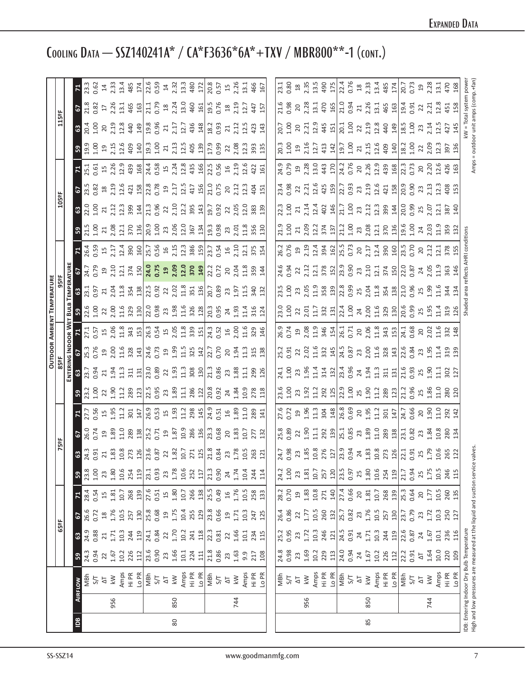**Cooling Data — SSZ140241A\* / CA\*F3636\*6A\*+TXV / MBR800\*\*-1 (cont.)**

|                                                                                                                                                                                                                                                                                                                                                                                                                                                                                                                                                                               |  | 65°F               |                                              |                            |                     | 75°F                                                                                                                                                                                                                                                                                                                |                                                                                                                                                                                                                                                                                                                       |                                                                                                                                                                                                                                                                                                           |                | <b>OUTDOOR AMBIENT TEMPERATURE</b>                                                                                   |              |                                                                                                                                                                                                                                                                                                                    |                                                                                                                                                                                                                                                                                                             |                                                                                                                                                                                                                                                                                                                      |                                                                                                                                                                                                                                | 105°F                                                                                                                                                                                                                          |                                                                                                               |                                                                                                                                                                                                                                | 115°F                                                        |                                                                                                                                                                                                                                                                                                                     |                                                                                                                                                                                                                                                                                                                                                   |
|-------------------------------------------------------------------------------------------------------------------------------------------------------------------------------------------------------------------------------------------------------------------------------------------------------------------------------------------------------------------------------------------------------------------------------------------------------------------------------------------------------------------------------------------------------------------------------|--|--------------------|----------------------------------------------|----------------------------|---------------------|---------------------------------------------------------------------------------------------------------------------------------------------------------------------------------------------------------------------------------------------------------------------------------------------------------------------|-----------------------------------------------------------------------------------------------------------------------------------------------------------------------------------------------------------------------------------------------------------------------------------------------------------------------|-----------------------------------------------------------------------------------------------------------------------------------------------------------------------------------------------------------------------------------------------------------------------------------------------------------|----------------|----------------------------------------------------------------------------------------------------------------------|--------------|--------------------------------------------------------------------------------------------------------------------------------------------------------------------------------------------------------------------------------------------------------------------------------------------------------------------|-------------------------------------------------------------------------------------------------------------------------------------------------------------------------------------------------------------------------------------------------------------------------------------------------------------|----------------------------------------------------------------------------------------------------------------------------------------------------------------------------------------------------------------------------------------------------------------------------------------------------------------------|--------------------------------------------------------------------------------------------------------------------------------------------------------------------------------------------------------------------------------|--------------------------------------------------------------------------------------------------------------------------------------------------------------------------------------------------------------------------------|---------------------------------------------------------------------------------------------------------------|--------------------------------------------------------------------------------------------------------------------------------------------------------------------------------------------------------------------------------|--------------------------------------------------------------|---------------------------------------------------------------------------------------------------------------------------------------------------------------------------------------------------------------------------------------------------------------------------------------------------------------------|---------------------------------------------------------------------------------------------------------------------------------------------------------------------------------------------------------------------------------------------------------------------------------------------------------------------------------------------------|
|                                                                                                                                                                                                                                                                                                                                                                                                                                                                                                                                                                               |  |                    |                                              |                            |                     |                                                                                                                                                                                                                                                                                                                     |                                                                                                                                                                                                                                                                                                                       |                                                                                                                                                                                                                                                                                                           |                |                                                                                                                      | <b>DOR N</b> | ā                                                                                                                                                                                                                                                                                                                  | TEMPEI                                                                                                                                                                                                                                                                                                      | RATUR                                                                                                                                                                                                                                                                                                                |                                                                                                                                                                                                                                |                                                                                                                                                                                                                                |                                                                                                               |                                                                                                                                                                                                                                |                                                              |                                                                                                                                                                                                                                                                                                                     |                                                                                                                                                                                                                                                                                                                                                   |
| $\mathbb{S}^3$<br>59<br><b>AIRFLOW</b>                                                                                                                                                                                                                                                                                                                                                                                                                                                                                                                                        |  |                    | 5                                            |                            | ${\tt S}$           |                                                                                                                                                                                                                                                                                                                     |                                                                                                                                                                                                                                                                                                                       |                                                                                                                                                                                                                                                                                                           |                |                                                                                                                      |              |                                                                                                                                                                                                                                                                                                                    |                                                                                                                                                                                                                                                                                                             |                                                                                                                                                                                                                                                                                                                      |                                                                                                                                                                                                                                |                                                                                                                                                                                                                                |                                                                                                               |                                                                                                                                                                                                                                |                                                              |                                                                                                                                                                                                                                                                                                                     |                                                                                                                                                                                                                                                                                                                                                   |
| 24.9<br>24.3<br>MBh                                                                                                                                                                                                                                                                                                                                                                                                                                                                                                                                                           |  |                    | 26.6                                         | 28.4                       | 23.8                |                                                                                                                                                                                                                                                                                                                     |                                                                                                                                                                                                                                                                                                                       |                                                                                                                                                                                                                                                                                                           | $\frac{3}{23}$ |                                                                                                                      |              |                                                                                                                                                                                                                                                                                                                    |                                                                                                                                                                                                                                                                                                             |                                                                                                                                                                                                                                                                                                                      |                                                                                                                                                                                                                                |                                                                                                                                                                                                                                |                                                                                                               |                                                                                                                                                                                                                                | <b>8</b><br>2014<br>2015                                     | $S_{2.8}$                                                                                                                                                                                                                                                                                                           |                                                                                                                                                                                                                                                                                                                                                   |
| 0.88<br>0.94<br>5/7                                                                                                                                                                                                                                                                                                                                                                                                                                                                                                                                                           |  |                    | 0.72                                         | 0.54                       | 1.00                |                                                                                                                                                                                                                                                                                                                     |                                                                                                                                                                                                                                                                                                                       |                                                                                                                                                                                                                                                                                                           |                |                                                                                                                      |              |                                                                                                                                                                                                                                                                                                                    |                                                                                                                                                                                                                                                                                                             |                                                                                                                                                                                                                                                                                                                      |                                                                                                                                                                                                                                |                                                                                                                                                                                                                                |                                                                                                               |                                                                                                                                                                                                                                |                                                              |                                                                                                                                                                                                                                                                                                                     |                                                                                                                                                                                                                                                                                                                                                   |
| 1.71<br>21<br>1.67<br>22<br>$\overline{k}$<br>$\overline{\mathcal{L}}$                                                                                                                                                                                                                                                                                                                                                                                                                                                                                                        |  |                    | 1.76<br>$^{28}$                              | 1.81<br>$15$               | 1.80                | $3\frac{1}{3}$ $3\frac{1}{5}$ $3\frac{1}{3}$ $3\frac{1}{5}$ $3\frac{1}{5}$ $3\frac{1}{5}$ $3\frac{1}{5}$ $3\frac{1}{5}$ $3\frac{1}{5}$ $3\frac{1}{5}$ $3\frac{1}{5}$ $3\frac{1}{5}$ $3\frac{1}{5}$ $3\frac{1}{5}$ $3\frac{1}{5}$ $3\frac{1}{5}$ $3\frac{1}{5}$ $3\frac{1}{5}$ $3\frac{1}{5}$ $3\frac{1}{5}$         | $5.631$ $\frac{3}{2}$ $\frac{3}{2}$ $\frac{3}{2}$ $\frac{3}{2}$ $\frac{3}{2}$ $\frac{3}{2}$ $\frac{3}{2}$ $\frac{3}{2}$ $\frac{3}{2}$ $\frac{3}{2}$ $\frac{3}{2}$ $\frac{3}{2}$ $\frac{3}{2}$ $\frac{3}{2}$ $\frac{3}{2}$ $\frac{3}{2}$ $\frac{3}{2}$ $\frac{3}{2}$ $\frac{3}{2}$ $\frac{3}{2}$ $\frac{3}{2}$ $\frac$ |                                                                                                                                                                                                                                                                                                           |                | 15<br>15 20 30 30 31 30 30 31 31 32 32 33 34 35 36 37 38 39 30 31 32 33 40 32 34 35 36 37 38 38 39 30 31 32 33 33 34 |              | $\begin{smallmatrix} 16 & 6 & 6 \\ 16 & 16 & 2 \\ 16 & 16 & 3 \\ 17 & 18 & 19 \\ 18 & 19 & 10 \\ 19 & 19 & 10 \\ 10 & 10 & 10 \\ 11 & 10 & 10 \\ 13 & 10 & 10 \\ 14 & 10 & 10 \\ 15 & 10 & 10 \\ 16 & 10 & 10 \\ 17 & 10 & 10 \\ 18 & 10 & 10 \\ 19 & 11 & 10 \\ 10 & 10 & 10 \\ 11 & 11 & 10 \\ 12 & 11 & 11 & 1$ | $3\frac{1}{2}$ $3\frac{1}{2}$ $5\frac{1}{2}$ $2\frac{3}{2}$ $3\frac{1}{2}$ $3\frac{1}{2}$ $3\frac{1}{2}$ $3\frac{1}{2}$ $3\frac{1}{2}$ $3\frac{1}{2}$ $3\frac{1}{2}$ $3\frac{1}{2}$ $3\frac{1}{2}$ $3\frac{1}{2}$ $3\frac{1}{2}$ $3\frac{1}{2}$ $3\frac{1}{2}$ $3\frac{1}{2}$ $3\frac{1}{2}$ $3\frac{1}{2}$ | $5\frac{1}{2}$ $\frac{1}{2}$ $\frac{5}{2}$ $\frac{3}{2}$ $\frac{1}{2}$ $\frac{1}{2}$ $\frac{1}{2}$ $\frac{1}{2}$ $\frac{1}{2}$ $\frac{1}{2}$ $\frac{1}{2}$ $\frac{1}{2}$ $\frac{1}{2}$ $\frac{1}{2}$ $\frac{1}{2}$ $\frac{1}{2}$ $\frac{1}{2}$ $\frac{1}{2}$ $\frac{1}{2}$ $\frac{1}{2}$ $\frac{1}{2}$ $\frac{1}{2}$ | $7.39$ $3.51$ $2.39$ $3.69$ $3.29$ $3.49$ $3.69$ $3.49$ $3.49$ $3.49$ $3.49$ $3.49$ $3.49$ $3.49$ $3.49$ $3.49$ $3.49$ $3.49$ $3.49$ $3.49$ $3.49$ $3.49$ $3.49$ $3.49$ $3.49$ $3.49$ $3.49$ $3.49$ $3.49$ $3.49$ $3.49$ $3.4$ | $3.23$ $2.3$ $3.3$ $3.4$ $1.3$ $3.5$ $3.4$ $3.5$ $3.5$ $3.5$ $3.5$ $3.5$ $3.5$ $3.5$ $3.5$ $3.5$ $3.5$ $3.5$ $3.5$ $3.5$ $3.5$ $3.5$ $3.5$ $3.5$ $3.5$ $3.5$ $3.5$ $3.5$ $3.5$ $3.5$ $3.5$ $3.5$ $3.5$ $3.5$ $3.5$ $3.5$ $3.5$ | 6 3 3 3 4 3 4 5 6 7 5 6 7 6 7 6 7 6 7 7 8 9 7 7 7 8 7 7 7 8 7 7 8 7 7 8 7 7 8 9 7 7 7 9 7 7 7 9 7 7 7 9 7 7 7 | $7.565$ $2.333$ $3.433$ $3.433$ $3.433$ $3.433$ $3.433$ $3.433$ $3.433$ $3.433$ $3.433$ $3.433$ $3.433$ $3.433$ $3.433$ $3.433$ $3.433$ $3.433$ $3.433$ $3.433$ $3.433$ $3.433$ $3.433$ $3.433$ $3.433$ $3.433$ $3.433$ $3.43$ |                                                              | $\frac{1}{2}$ $\frac{2}{3}$ $\frac{3}{4}$ $\frac{1}{5}$ $\frac{3}{5}$ $\frac{3}{5}$ $\frac{3}{4}$ $\frac{3}{5}$ $\frac{3}{4}$ $\frac{3}{4}$ $\frac{3}{4}$ $\frac{3}{4}$ $\frac{3}{4}$ $\frac{3}{4}$ $\frac{3}{4}$ $\frac{3}{4}$ $\frac{3}{4}$ $\frac{3}{4}$ $\frac{3}{4}$ $\frac{3}{4}$ $\frac{3}{4}$ $\frac{3}{4}$ | $\frac{1}{3}$ $\frac{3}{3}$ $\frac{3}{4}$ $\frac{4}{5}$ $\frac{1}{6}$ $\frac{1}{6}$ $\frac{6}{5}$ $\frac{3}{4}$ $\frac{3}{1}$ $\frac{3}{1}$ $\frac{3}{1}$ $\frac{3}{1}$ $\frac{3}{1}$ $\frac{3}{1}$ $\frac{3}{1}$ $\frac{3}{1}$ $\frac{3}{1}$ $\frac{3}{1}$ $\frac{3}{1}$ $\frac{3}{1}$ $\frac{3}{1}$ $\frac{3}{1}$                               |
| 10.3<br>10.2<br>Amps<br>Hi PR                                                                                                                                                                                                                                                                                                                                                                                                                                                                                                                                                 |  |                    | 10.5                                         | 10.7                       | 10.6                |                                                                                                                                                                                                                                                                                                                     |                                                                                                                                                                                                                                                                                                                       |                                                                                                                                                                                                                                                                                                           |                |                                                                                                                      |              |                                                                                                                                                                                                                                                                                                                    |                                                                                                                                                                                                                                                                                                             |                                                                                                                                                                                                                                                                                                                      |                                                                                                                                                                                                                                |                                                                                                                                                                                                                                |                                                                                                               |                                                                                                                                                                                                                                |                                                              |                                                                                                                                                                                                                                                                                                                     |                                                                                                                                                                                                                                                                                                                                                   |
| 119<br>244<br>226<br>112<br><b>PF</b>                                                                                                                                                                                                                                                                                                                                                                                                                                                                                                                                         |  |                    | 130<br>257                                   | 139<br>268                 | 119<br>254          |                                                                                                                                                                                                                                                                                                                     |                                                                                                                                                                                                                                                                                                                       |                                                                                                                                                                                                                                                                                                           |                |                                                                                                                      |              |                                                                                                                                                                                                                                                                                                                    |                                                                                                                                                                                                                                                                                                             |                                                                                                                                                                                                                                                                                                                      |                                                                                                                                                                                                                                |                                                                                                                                                                                                                                |                                                                                                               |                                                                                                                                                                                                                                |                                                              |                                                                                                                                                                                                                                                                                                                     |                                                                                                                                                                                                                                                                                                                                                   |
|                                                                                                                                                                                                                                                                                                                                                                                                                                                                                                                                                                               |  |                    |                                              |                            | 23.1                |                                                                                                                                                                                                                                                                                                                     |                                                                                                                                                                                                                                                                                                                       |                                                                                                                                                                                                                                                                                                           |                |                                                                                                                      |              |                                                                                                                                                                                                                                                                                                                    |                                                                                                                                                                                                                                                                                                             |                                                                                                                                                                                                                                                                                                                      |                                                                                                                                                                                                                                |                                                                                                                                                                                                                                |                                                                                                               |                                                                                                                                                                                                                                |                                                              |                                                                                                                                                                                                                                                                                                                     |                                                                                                                                                                                                                                                                                                                                                   |
| 24.1<br>0.84<br>23.6<br>0.90<br>다 기<br>지도                                                                                                                                                                                                                                                                                                                                                                                                                                                                                                                                     |  |                    | 25.8<br>0.68                                 | 27.6<br>0.51               | 0.93                |                                                                                                                                                                                                                                                                                                                     |                                                                                                                                                                                                                                                                                                                       |                                                                                                                                                                                                                                                                                                           |                |                                                                                                                      |              |                                                                                                                                                                                                                                                                                                                    |                                                                                                                                                                                                                                                                                                             |                                                                                                                                                                                                                                                                                                                      |                                                                                                                                                                                                                                |                                                                                                                                                                                                                                |                                                                                                               |                                                                                                                                                                                                                                |                                                              |                                                                                                                                                                                                                                                                                                                     |                                                                                                                                                                                                                                                                                                                                                   |
| $22$<br>1.70<br>23                                                                                                                                                                                                                                                                                                                                                                                                                                                                                                                                                            |  |                    |                                              |                            | 23                  |                                                                                                                                                                                                                                                                                                                     |                                                                                                                                                                                                                                                                                                                       |                                                                                                                                                                                                                                                                                                           |                |                                                                                                                      |              |                                                                                                                                                                                                                                                                                                                    |                                                                                                                                                                                                                                                                                                             |                                                                                                                                                                                                                                                                                                                      |                                                                                                                                                                                                                                |                                                                                                                                                                                                                                |                                                                                                               |                                                                                                                                                                                                                                |                                                              |                                                                                                                                                                                                                                                                                                                     |                                                                                                                                                                                                                                                                                                                                                   |
| $1.66$<br>$10.1$                                                                                                                                                                                                                                                                                                                                                                                                                                                                                                                                                              |  |                    | $1.75$<br>$1.75$                             | $1.80$<br>$1.07$           | 1.78<br>10.6        |                                                                                                                                                                                                                                                                                                                     |                                                                                                                                                                                                                                                                                                                       |                                                                                                                                                                                                                                                                                                           |                |                                                                                                                      |              |                                                                                                                                                                                                                                                                                                                    |                                                                                                                                                                                                                                                                                                             |                                                                                                                                                                                                                                                                                                                      |                                                                                                                                                                                                                                |                                                                                                                                                                                                                                |                                                                                                               |                                                                                                                                                                                                                                |                                                              |                                                                                                                                                                                                                                                                                                                     |                                                                                                                                                                                                                                                                                                                                                   |
| 10.2<br>$\begin{array}{c}\n\hline\n\text{km}\n\\ \text{km}\n\\ \text{km}\n\\ \text{km}\n\\ \text{km}\n\end{array}$                                                                                                                                                                                                                                                                                                                                                                                                                                                            |  |                    |                                              |                            |                     |                                                                                                                                                                                                                                                                                                                     |                                                                                                                                                                                                                                                                                                                       |                                                                                                                                                                                                                                                                                                           |                |                                                                                                                      |              |                                                                                                                                                                                                                                                                                                                    |                                                                                                                                                                                                                                                                                                             |                                                                                                                                                                                                                                                                                                                      |                                                                                                                                                                                                                                |                                                                                                                                                                                                                                |                                                                                                               |                                                                                                                                                                                                                                |                                                              |                                                                                                                                                                                                                                                                                                                     |                                                                                                                                                                                                                                                                                                                                                   |
| 241<br>224                                                                                                                                                                                                                                                                                                                                                                                                                                                                                                                                                                    |  |                    |                                              |                            | 252                 |                                                                                                                                                                                                                                                                                                                     |                                                                                                                                                                                                                                                                                                                       |                                                                                                                                                                                                                                                                                                           |                |                                                                                                                      |              |                                                                                                                                                                                                                                                                                                                    |                                                                                                                                                                                                                                                                                                             |                                                                                                                                                                                                                                                                                                                      |                                                                                                                                                                                                                                |                                                                                                                                                                                                                                |                                                                                                               |                                                                                                                                                                                                                                |                                                              |                                                                                                                                                                                                                                                                                                                     |                                                                                                                                                                                                                                                                                                                                                   |
| 11                                                                                                                                                                                                                                                                                                                                                                                                                                                                                                                                                                            |  |                    |                                              |                            | 117                 |                                                                                                                                                                                                                                                                                                                     |                                                                                                                                                                                                                                                                                                                       |                                                                                                                                                                                                                                                                                                           |                |                                                                                                                      |              |                                                                                                                                                                                                                                                                                                                    |                                                                                                                                                                                                                                                                                                             |                                                                                                                                                                                                                                                                                                                      |                                                                                                                                                                                                                                |                                                                                                                                                                                                                                |                                                                                                               |                                                                                                                                                                                                                                |                                                              |                                                                                                                                                                                                                                                                                                                     |                                                                                                                                                                                                                                                                                                                                                   |
| 21.8<br>NBh<br>S/T                                                                                                                                                                                                                                                                                                                                                                                                                                                                                                                                                            |  | $\frac{118}{22.3}$ | $\frac{255}{129}$<br>$\frac{29}{33}$<br>0.66 | 266<br>138<br>25.5<br>0.49 | $\frac{21.3}{0.90}$ |                                                                                                                                                                                                                                                                                                                     |                                                                                                                                                                                                                                                                                                                       |                                                                                                                                                                                                                                                                                                           |                |                                                                                                                      |              |                                                                                                                                                                                                                                                                                                                    |                                                                                                                                                                                                                                                                                                             |                                                                                                                                                                                                                                                                                                                      |                                                                                                                                                                                                                                |                                                                                                                                                                                                                                |                                                                                                               |                                                                                                                                                                                                                                |                                                              |                                                                                                                                                                                                                                                                                                                     |                                                                                                                                                                                                                                                                                                                                                   |
|                                                                                                                                                                                                                                                                                                                                                                                                                                                                                                                                                                               |  |                    |                                              |                            |                     |                                                                                                                                                                                                                                                                                                                     |                                                                                                                                                                                                                                                                                                                       |                                                                                                                                                                                                                                                                                                           |                |                                                                                                                      |              |                                                                                                                                                                                                                                                                                                                    |                                                                                                                                                                                                                                                                                                             |                                                                                                                                                                                                                                                                                                                      |                                                                                                                                                                                                                                |                                                                                                                                                                                                                                |                                                                                                               |                                                                                                                                                                                                                                |                                                              |                                                                                                                                                                                                                                                                                                                     |                                                                                                                                                                                                                                                                                                                                                   |
| 23<br>$\overline{\Delta}$                                                                                                                                                                                                                                                                                                                                                                                                                                                                                                                                                     |  | $\overline{2}$     | $\overline{c}$                               | $\frac{1}{6}$              | 24                  |                                                                                                                                                                                                                                                                                                                     |                                                                                                                                                                                                                                                                                                                       |                                                                                                                                                                                                                                                                                                           |                |                                                                                                                      |              |                                                                                                                                                                                                                                                                                                                    |                                                                                                                                                                                                                                                                                                             |                                                                                                                                                                                                                                                                                                                      |                                                                                                                                                                                                                                |                                                                                                                                                                                                                                |                                                                                                               |                                                                                                                                                                                                                                |                                                              |                                                                                                                                                                                                                                                                                                                     |                                                                                                                                                                                                                                                                                                                                                   |
| 1.63<br>$\lesssim$                                                                                                                                                                                                                                                                                                                                                                                                                                                                                                                                                            |  | 1.66               | 1.71                                         | 1.76                       | 1.74                |                                                                                                                                                                                                                                                                                                                     |                                                                                                                                                                                                                                                                                                                       |                                                                                                                                                                                                                                                                                                           |                |                                                                                                                      |              |                                                                                                                                                                                                                                                                                                                    |                                                                                                                                                                                                                                                                                                             |                                                                                                                                                                                                                                                                                                                      |                                                                                                                                                                                                                                |                                                                                                                                                                                                                                |                                                                                                               |                                                                                                                                                                                                                                |                                                              |                                                                                                                                                                                                                                                                                                                     |                                                                                                                                                                                                                                                                                                                                                   |
| 9.9                                                                                                                                                                                                                                                                                                                                                                                                                                                                                                                                                                           |  | 10.1               | 10.3                                         | $\frac{5}{2}$              | 10.4                |                                                                                                                                                                                                                                                                                                                     |                                                                                                                                                                                                                                                                                                                       |                                                                                                                                                                                                                                                                                                           |                |                                                                                                                      |              |                                                                                                                                                                                                                                                                                                                    |                                                                                                                                                                                                                                                                                                             |                                                                                                                                                                                                                                                                                                                      |                                                                                                                                                                                                                                |                                                                                                                                                                                                                                |                                                                                                               |                                                                                                                                                                                                                                |                                                              |                                                                                                                                                                                                                                                                                                                     |                                                                                                                                                                                                                                                                                                                                                   |
| 217<br>Amps<br>Hi PR<br>Lo PR                                                                                                                                                                                                                                                                                                                                                                                                                                                                                                                                                 |  |                    | 247                                          | 258<br>133                 | 244                 |                                                                                                                                                                                                                                                                                                                     |                                                                                                                                                                                                                                                                                                                       |                                                                                                                                                                                                                                                                                                           |                |                                                                                                                      |              |                                                                                                                                                                                                                                                                                                                    |                                                                                                                                                                                                                                                                                                             |                                                                                                                                                                                                                                                                                                                      |                                                                                                                                                                                                                                |                                                                                                                                                                                                                                |                                                                                                               |                                                                                                                                                                                                                                |                                                              |                                                                                                                                                                                                                                                                                                                     |                                                                                                                                                                                                                                                                                                                                                   |
| 108                                                                                                                                                                                                                                                                                                                                                                                                                                                                                                                                                                           |  | 234<br>115         | 125                                          |                            | 114                 |                                                                                                                                                                                                                                                                                                                     |                                                                                                                                                                                                                                                                                                                       |                                                                                                                                                                                                                                                                                                           |                |                                                                                                                      |              |                                                                                                                                                                                                                                                                                                                    |                                                                                                                                                                                                                                                                                                             |                                                                                                                                                                                                                                                                                                                      |                                                                                                                                                                                                                                |                                                                                                                                                                                                                                |                                                                                                               |                                                                                                                                                                                                                                |                                                              |                                                                                                                                                                                                                                                                                                                     |                                                                                                                                                                                                                                                                                                                                                   |
|                                                                                                                                                                                                                                                                                                                                                                                                                                                                                                                                                                               |  |                    |                                              |                            |                     |                                                                                                                                                                                                                                                                                                                     |                                                                                                                                                                                                                                                                                                                       |                                                                                                                                                                                                                                                                                                           |                |                                                                                                                      |              |                                                                                                                                                                                                                                                                                                                    |                                                                                                                                                                                                                                                                                                             |                                                                                                                                                                                                                                                                                                                      |                                                                                                                                                                                                                                |                                                                                                                                                                                                                                |                                                                                                               |                                                                                                                                                                                                                                |                                                              |                                                                                                                                                                                                                                                                                                                     |                                                                                                                                                                                                                                                                                                                                                   |
|                                                                                                                                                                                                                                                                                                                                                                                                                                                                                                                                                                               |  | 25.2               | 26.4                                         |                            |                     |                                                                                                                                                                                                                                                                                                                     |                                                                                                                                                                                                                                                                                                                       |                                                                                                                                                                                                                                                                                                           |                |                                                                                                                      |              |                                                                                                                                                                                                                                                                                                                    |                                                                                                                                                                                                                                                                                                             |                                                                                                                                                                                                                                                                                                                      |                                                                                                                                                                                                                                |                                                                                                                                                                                                                                |                                                                                                               |                                                                                                                                                                                                                                |                                                              |                                                                                                                                                                                                                                                                                                                     |                                                                                                                                                                                                                                                                                                                                                   |
| ng<br>S/T                                                                                                                                                                                                                                                                                                                                                                                                                                                                                                                                                                     |  |                    |                                              | 28.2<br>0.70               | 24.2<br>1.00        |                                                                                                                                                                                                                                                                                                                     |                                                                                                                                                                                                                                                                                                                       |                                                                                                                                                                                                                                                                                                           |                |                                                                                                                      |              |                                                                                                                                                                                                                                                                                                                    |                                                                                                                                                                                                                                                                                                             |                                                                                                                                                                                                                                                                                                                      |                                                                                                                                                                                                                                |                                                                                                                                                                                                                                |                                                                                                               |                                                                                                                                                                                                                                |                                                              |                                                                                                                                                                                                                                                                                                                     | $\frac{23.1}{0.80}$                                                                                                                                                                                                                                                                                                                               |
| $\overline{\Delta}$                                                                                                                                                                                                                                                                                                                                                                                                                                                                                                                                                           |  |                    |                                              |                            | 23                  |                                                                                                                                                                                                                                                                                                                     |                                                                                                                                                                                                                                                                                                                       |                                                                                                                                                                                                                                                                                                           |                |                                                                                                                      |              |                                                                                                                                                                                                                                                                                                                    |                                                                                                                                                                                                                                                                                                             |                                                                                                                                                                                                                                                                                                                      |                                                                                                                                                                                                                                |                                                                                                                                                                                                                                |                                                                                                               |                                                                                                                                                                                                                                |                                                              |                                                                                                                                                                                                                                                                                                                     |                                                                                                                                                                                                                                                                                                                                                   |
| 24.8<br>0.98<br>23<br>1.69<br>10.29<br>$\kappa$ M                                                                                                                                                                                                                                                                                                                                                                                                                                                                                                                             |  | $3.35$<br>$1.72$   | $0.86$<br>$22$<br>$1.77$                     | $1.83$<br>$1.83$<br>$271$  | 1.81                |                                                                                                                                                                                                                                                                                                                     |                                                                                                                                                                                                                                                                                                                       |                                                                                                                                                                                                                                                                                                           |                |                                                                                                                      |              |                                                                                                                                                                                                                                                                                                                    |                                                                                                                                                                                                                                                                                                             |                                                                                                                                                                                                                                                                                                                      |                                                                                                                                                                                                                                |                                                                                                                                                                                                                                |                                                                                                               |                                                                                                                                                                                                                                |                                                              |                                                                                                                                                                                                                                                                                                                     |                                                                                                                                                                                                                                                                                                                                                   |
|                                                                                                                                                                                                                                                                                                                                                                                                                                                                                                                                                                               |  | 10.3               | 10.5                                         |                            | 10.7                |                                                                                                                                                                                                                                                                                                                     |                                                                                                                                                                                                                                                                                                                       |                                                                                                                                                                                                                                                                                                           |                |                                                                                                                      |              |                                                                                                                                                                                                                                                                                                                    |                                                                                                                                                                                                                                                                                                             |                                                                                                                                                                                                                                                                                                                      |                                                                                                                                                                                                                                |                                                                                                                                                                                                                                |                                                                                                               |                                                                                                                                                                                                                                |                                                              |                                                                                                                                                                                                                                                                                                                     |                                                                                                                                                                                                                                                                                                                                                   |
|                                                                                                                                                                                                                                                                                                                                                                                                                                                                                                                                                                               |  | 246                | 260                                          |                            | 257                 |                                                                                                                                                                                                                                                                                                                     |                                                                                                                                                                                                                                                                                                                       |                                                                                                                                                                                                                                                                                                           |                |                                                                                                                      |              |                                                                                                                                                                                                                                                                                                                    |                                                                                                                                                                                                                                                                                                             |                                                                                                                                                                                                                                                                                                                      |                                                                                                                                                                                                                                |                                                                                                                                                                                                                                |                                                                                                               |                                                                                                                                                                                                                                |                                                              |                                                                                                                                                                                                                                                                                                                     |                                                                                                                                                                                                                                                                                                                                                   |
| 113<br>$\begin{array}{c}\n\text{Area} \\ \text{Area} \\ \text{Area} \\ \text{Area} \\ \text{Area} \\ \text{Area} \\ \text{Area} \\ \text{Area} \\ \text{Area} \\ \text{Area} \\ \text{Area} \\ \text{Area} \\ \text{Area} \\ \text{Area} \\ \text{Area} \\ \text{Area} \\ \text{Area} \\ \text{Area} \\ \text{Area} \\ \text{Area} \\ \text{Area} \\ \text{Area} \\ \text{Area} \\ \text{Area} \\ \text{Area} \\ \text{Area} \\ \text{Area} \\ \text{Area} \\ \text{Area} \\ \text{Area} \\ \text{Area} \\ \text{Area} \\ \text{Area} \\ \text{Area} \\ \text{Area} \\ \text$ |  | $\frac{121}{2}$    | $\frac{132}{25.7}$                           |                            | $\frac{20}{2}$      |                                                                                                                                                                                                                                                                                                                     |                                                                                                                                                                                                                                                                                                                       |                                                                                                                                                                                                                                                                                                           |                |                                                                                                                      |              |                                                                                                                                                                                                                                                                                                                    |                                                                                                                                                                                                                                                                                                             |                                                                                                                                                                                                                                                                                                                      |                                                                                                                                                                                                                                |                                                                                                                                                                                                                                |                                                                                                               |                                                                                                                                                                                                                                |                                                              |                                                                                                                                                                                                                                                                                                                     |                                                                                                                                                                                                                                                                                                                                                   |
| 24.0<br>0.94                                                                                                                                                                                                                                                                                                                                                                                                                                                                                                                                                                  |  | 24.5<br>0.91       |                                              | $\frac{140}{27.4}$         | 23.5<br>0.97        |                                                                                                                                                                                                                                                                                                                     |                                                                                                                                                                                                                                                                                                                       |                                                                                                                                                                                                                                                                                                           |                |                                                                                                                      |              |                                                                                                                                                                                                                                                                                                                    |                                                                                                                                                                                                                                                                                                             |                                                                                                                                                                                                                                                                                                                      |                                                                                                                                                                                                                                |                                                                                                                                                                                                                                |                                                                                                               |                                                                                                                                                                                                                                |                                                              |                                                                                                                                                                                                                                                                                                                     |                                                                                                                                                                                                                                                                                                                                                   |
|                                                                                                                                                                                                                                                                                                                                                                                                                                                                                                                                                                               |  |                    | 0.82                                         |                            |                     |                                                                                                                                                                                                                                                                                                                     |                                                                                                                                                                                                                                                                                                                       |                                                                                                                                                                                                                                                                                                           |                |                                                                                                                      |              |                                                                                                                                                                                                                                                                                                                    |                                                                                                                                                                                                                                                                                                             |                                                                                                                                                                                                                                                                                                                      |                                                                                                                                                                                                                                |                                                                                                                                                                                                                                |                                                                                                               |                                                                                                                                                                                                                                |                                                              |                                                                                                                                                                                                                                                                                                                     |                                                                                                                                                                                                                                                                                                                                                   |
| $\frac{\Delta T}{\Delta}$                                                                                                                                                                                                                                                                                                                                                                                                                                                                                                                                                     |  | $24$<br>$1.71$     | 23                                           | 20                         | 25                  |                                                                                                                                                                                                                                                                                                                     |                                                                                                                                                                                                                                                                                                                       |                                                                                                                                                                                                                                                                                                           |                |                                                                                                                      |              |                                                                                                                                                                                                                                                                                                                    |                                                                                                                                                                                                                                                                                                             |                                                                                                                                                                                                                                                                                                                      |                                                                                                                                                                                                                                |                                                                                                                                                                                                                                |                                                                                                               |                                                                                                                                                                                                                                |                                                              |                                                                                                                                                                                                                                                                                                                     |                                                                                                                                                                                                                                                                                                                                                   |
| $24$<br>$1.67$<br>$10.2$                                                                                                                                                                                                                                                                                                                                                                                                                                                                                                                                                      |  |                    |                                              | $1.81$<br>$10.7$           | 1.80                |                                                                                                                                                                                                                                                                                                                     |                                                                                                                                                                                                                                                                                                                       |                                                                                                                                                                                                                                                                                                           |                |                                                                                                                      |              |                                                                                                                                                                                                                                                                                                                    |                                                                                                                                                                                                                                                                                                             |                                                                                                                                                                                                                                                                                                                      |                                                                                                                                                                                                                                |                                                                                                                                                                                                                                |                                                                                                               |                                                                                                                                                                                                                                |                                                              |                                                                                                                                                                                                                                                                                                                     |                                                                                                                                                                                                                                                                                                                                                   |
|                                                                                                                                                                                                                                                                                                                                                                                                                                                                                                                                                                               |  | 10.3               |                                              |                            |                     |                                                                                                                                                                                                                                                                                                                     |                                                                                                                                                                                                                                                                                                                       |                                                                                                                                                                                                                                                                                                           |                |                                                                                                                      |              |                                                                                                                                                                                                                                                                                                                    |                                                                                                                                                                                                                                                                                                             |                                                                                                                                                                                                                                                                                                                      |                                                                                                                                                                                                                                |                                                                                                                                                                                                                                |                                                                                                               |                                                                                                                                                                                                                                |                                                              |                                                                                                                                                                                                                                                                                                                     |                                                                                                                                                                                                                                                                                                                                                   |
| 226<br>Amps<br>Hi PR<br>Lo PR                                                                                                                                                                                                                                                                                                                                                                                                                                                                                                                                                 |  | 244                | $1.76$<br>$10.5$<br>$130$                    | 268                        | 10.6<br>254<br>119  |                                                                                                                                                                                                                                                                                                                     |                                                                                                                                                                                                                                                                                                                       |                                                                                                                                                                                                                                                                                                           |                |                                                                                                                      |              |                                                                                                                                                                                                                                                                                                                    |                                                                                                                                                                                                                                                                                                             |                                                                                                                                                                                                                                                                                                                      |                                                                                                                                                                                                                                |                                                                                                                                                                                                                                |                                                                                                               |                                                                                                                                                                                                                                |                                                              |                                                                                                                                                                                                                                                                                                                     |                                                                                                                                                                                                                                                                                                                                                   |
| 112                                                                                                                                                                                                                                                                                                                                                                                                                                                                                                                                                                           |  | 119                |                                              |                            |                     |                                                                                                                                                                                                                                                                                                                     |                                                                                                                                                                                                                                                                                                                       |                                                                                                                                                                                                                                                                                                           |                |                                                                                                                      |              |                                                                                                                                                                                                                                                                                                                    |                                                                                                                                                                                                                                                                                                             |                                                                                                                                                                                                                                                                                                                      |                                                                                                                                                                                                                                |                                                                                                                                                                                                                                |                                                                                                               |                                                                                                                                                                                                                                |                                                              |                                                                                                                                                                                                                                                                                                                     |                                                                                                                                                                                                                                                                                                                                                   |
| 22.2<br>MBh                                                                                                                                                                                                                                                                                                                                                                                                                                                                                                                                                                   |  | 22.6               | 23.7                                         | 25.3<br>0.64               | 21.7<br>0.94        |                                                                                                                                                                                                                                                                                                                     |                                                                                                                                                                                                                                                                                                                       |                                                                                                                                                                                                                                                                                                           |                |                                                                                                                      |              |                                                                                                                                                                                                                                                                                                                    |                                                                                                                                                                                                                                                                                                             |                                                                                                                                                                                                                                                                                                                      |                                                                                                                                                                                                                                |                                                                                                                                                                                                                                |                                                                                                               |                                                                                                                                                                                                                                |                                                              |                                                                                                                                                                                                                                                                                                                     |                                                                                                                                                                                                                                                                                                                                                   |
| 0.91<br>5/7                                                                                                                                                                                                                                                                                                                                                                                                                                                                                                                                                                   |  | 0.87               | 0.79                                         |                            |                     |                                                                                                                                                                                                                                                                                                                     |                                                                                                                                                                                                                                                                                                                       |                                                                                                                                                                                                                                                                                                           |                |                                                                                                                      |              |                                                                                                                                                                                                                                                                                                                    |                                                                                                                                                                                                                                                                                                             |                                                                                                                                                                                                                                                                                                                      |                                                                                                                                                                                                                                |                                                                                                                                                                                                                                |                                                                                                               |                                                                                                                                                                                                                                |                                                              |                                                                                                                                                                                                                                                                                                                     |                                                                                                                                                                                                                                                                                                                                                   |
| $\Delta$<br>$\overline{\Delta}$                                                                                                                                                                                                                                                                                                                                                                                                                                                                                                                                               |  | 24                 | 23                                           | $^{20}_{1.7}$              | 25                  |                                                                                                                                                                                                                                                                                                                     |                                                                                                                                                                                                                                                                                                                       |                                                                                                                                                                                                                                                                                                           |                |                                                                                                                      |              |                                                                                                                                                                                                                                                                                                                    |                                                                                                                                                                                                                                                                                                             |                                                                                                                                                                                                                                                                                                                      |                                                                                                                                                                                                                                |                                                                                                                                                                                                                                |                                                                                                               |                                                                                                                                                                                                                                |                                                              |                                                                                                                                                                                                                                                                                                                     |                                                                                                                                                                                                                                                                                                                                                   |
| 1.64<br>$\leq$                                                                                                                                                                                                                                                                                                                                                                                                                                                                                                                                                                |  | 1.67               | 1.72                                         |                            | 1.75                |                                                                                                                                                                                                                                                                                                                     |                                                                                                                                                                                                                                                                                                                       |                                                                                                                                                                                                                                                                                                           |                |                                                                                                                      |              |                                                                                                                                                                                                                                                                                                                    |                                                                                                                                                                                                                                                                                                             |                                                                                                                                                                                                                                                                                                                      |                                                                                                                                                                                                                                |                                                                                                                                                                                                                                |                                                                                                               |                                                                                                                                                                                                                                |                                                              |                                                                                                                                                                                                                                                                                                                     |                                                                                                                                                                                                                                                                                                                                                   |
| 10.0                                                                                                                                                                                                                                                                                                                                                                                                                                                                                                                                                                          |  | 10.1               | 10.3                                         | 10.5                       | 10.5                |                                                                                                                                                                                                                                                                                                                     |                                                                                                                                                                                                                                                                                                                       |                                                                                                                                                                                                                                                                                                           |                |                                                                                                                      |              |                                                                                                                                                                                                                                                                                                                    |                                                                                                                                                                                                                                                                                                             |                                                                                                                                                                                                                                                                                                                      |                                                                                                                                                                                                                                |                                                                                                                                                                                                                                |                                                                                                               |                                                                                                                                                                                                                                |                                                              |                                                                                                                                                                                                                                                                                                                     |                                                                                                                                                                                                                                                                                                                                                   |
| 220<br>Amps<br>Hi PR                                                                                                                                                                                                                                                                                                                                                                                                                                                                                                                                                          |  | 236                | 250                                          | 260<br>135                 | 246                 | $\frac{1}{2}$ $\frac{2}{3}$ $\frac{2}{3}$ $\frac{2}{3}$ $\frac{2}{3}$ $\frac{1}{3}$ $\frac{1}{3}$ $\frac{3}{3}$ $\frac{3}{4}$ $\frac{3}{4}$ $\frac{3}{4}$ $\frac{3}{4}$ $\frac{3}{4}$ $\frac{3}{4}$ $\frac{3}{4}$ $\frac{3}{4}$ $\frac{3}{4}$ $\frac{3}{4}$ $\frac{3}{4}$ $\frac{3}{4}$ $\frac{3}{4}$ $\frac{3}{4}$ |                                                                                                                                                                                                                                                                                                                       | $\frac{16}{22}$ $\frac{12}{22}$ $\frac{12}{22}$ $\frac{12}{22}$ $\frac{12}{22}$ $\frac{12}{22}$ $\frac{12}{22}$ $\frac{12}{22}$ $\frac{12}{22}$ $\frac{12}{22}$ $\frac{12}{22}$ $\frac{12}{22}$ $\frac{12}{22}$ $\frac{12}{22}$ $\frac{12}{22}$ $\frac{12}{22}$ $\frac{12}{22}$ $\frac{12}{22}$ $\frac{1$ |                |                                                                                                                      |              |                                                                                                                                                                                                                                                                                                                    |                                                                                                                                                                                                                                                                                                             |                                                                                                                                                                                                                                                                                                                      |                                                                                                                                                                                                                                | $23.5$ $25.4$ $32.4$ $33.5$ $34.5$ $35.4$ $36.5$ $37.5$ $38.5$ $39.5$ $31.5$ $32.5$ $33.5$ $34.5$ $35.5$ $36.5$ $37.5$ $38.5$ $39.5$ $31.5$ $32.5$ $33.5$ $34.5$ $35.5$ $36.5$ $37.5$ $38.5$ $39.5$ $31.5$ $32.5$ $33.5$ $34.$ |                                                                                                               | $3.59$ a $2.5$ a $3.5$ a $1.5$ a $2.5$ a $2.5$ a $3.5$ a $2.5$ a $3.5$ a $3.5$ a $3.5$ a $3.5$ a $3.5$ a $3.5$ a $3.5$ a $3.5$ a $3.5$ a $3.5$ a $3.5$ a $3.5$ a $3.5$ a $3.5$ a $3.5$ a $3.5$ a $3.5$ a $3.5$ a $3.5$ a $3.5$ | ខ្លះ ខ្លះ ដូ ដូ ដៀខ្លះ ម ដូ ដូ ដូ ដូ ដូ ដូ ដូ ដូ ដូ ដូ ដូ ដូ | 2000 2000 2000 2000 2000 2000 2000 2000 2000 2000 2000 2000 2000 2000 2000 2000 2000 2000 2000 2000 2000 2000                                                                                                                                                                                                       | $\begin{array}{c} 28 \\ 20 \\ 21 \\ 22 \\ 23 \\ 24 \\ 25 \\ 26 \\ 27 \\ 28 \\ 29 \\ 20 \\ 20 \\ 21 \\ 22 \\ 23 \\ 24 \\ 26 \\ 27 \\ 28 \\ 29 \\ 20 \\ 20 \\ 21 \\ 22 \\ 23 \\ 24 \\ 26 \\ 27 \\ 28 \\ 29 \\ 21 \\ 22 \\ 23 \\ 24 \\ 25 \\ 26 \\ 27 \\ 28 \\ 29 \\ 29 \\ 21 \\ 22 \\ 23 \\ 24 \\ 25 \\ 26 \\ 27 \\ 28 \\ 29 \\ 29 \\ 21 \\ 23 \\ $ |
| 109<br>LO <sub>PR</sub>                                                                                                                                                                                                                                                                                                                                                                                                                                                                                                                                                       |  | 116                | 127                                          |                            | 115                 |                                                                                                                                                                                                                                                                                                                     |                                                                                                                                                                                                                                                                                                                       |                                                                                                                                                                                                                                                                                                           |                |                                                                                                                      |              |                                                                                                                                                                                                                                                                                                                    |                                                                                                                                                                                                                                                                                                             |                                                                                                                                                                                                                                                                                                                      |                                                                                                                                                                                                                                |                                                                                                                                                                                                                                |                                                                                                               |                                                                                                                                                                                                                                | 145                                                          |                                                                                                                                                                                                                                                                                                                     |                                                                                                                                                                                                                                                                                                                                                   |
| High and low pressures are measured at the liquid and suction service<br>IDB: Entering Indoor Dry Bulb Temperature                                                                                                                                                                                                                                                                                                                                                                                                                                                            |  |                    |                                              |                            |                     | valves                                                                                                                                                                                                                                                                                                              |                                                                                                                                                                                                                                                                                                                       |                                                                                                                                                                                                                                                                                                           |                |                                                                                                                      |              |                                                                                                                                                                                                                                                                                                                    |                                                                                                                                                                                                                                                                                                             |                                                                                                                                                                                                                                                                                                                      |                                                                                                                                                                                                                                |                                                                                                                                                                                                                                |                                                                                                               |                                                                                                                                                                                                                                | outdoor unit amps (comp.+fan                                 | I syster                                                                                                                                                                                                                                                                                                            | powe                                                                                                                                                                                                                                                                                                                                              |
|                                                                                                                                                                                                                                                                                                                                                                                                                                                                                                                                                                               |  |                    |                                              |                            |                     |                                                                                                                                                                                                                                                                                                                     |                                                                                                                                                                                                                                                                                                                       |                                                                                                                                                                                                                                                                                                           |                |                                                                                                                      |              |                                                                                                                                                                                                                                                                                                                    |                                                                                                                                                                                                                                                                                                             |                                                                                                                                                                                                                                                                                                                      |                                                                                                                                                                                                                                |                                                                                                                                                                                                                                |                                                                                                               |                                                                                                                                                                                                                                |                                                              |                                                                                                                                                                                                                                                                                                                     |                                                                                                                                                                                                                                                                                                                                                   |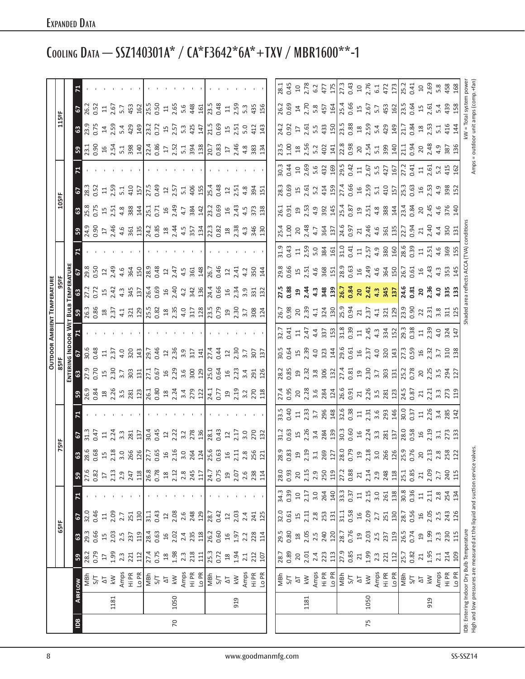|                |      |                                                                                                                   |                            |                                  |                                   |                                   |                           |                                                                                                                                                                                                                                              |                                                                                                                                                                                                                                                                                                     |                                                                                                                                                                                                                                                                                                             |                                                                                                                                                                                                                                                                             |                                                                                                                                                                                                                                                                                                                                                           | <b>OUTDOOR AMBIENT TEMPERATURI</b>                                                             |                                                                                                                                                                                                                               |                                                                                                                                                                                                                                                                                                                                                                                                                            |                                                                                                                                                                                                                                                                                                                |                                                                                                                                                                                                                               |                                                                                                                                                                                                                                                                                                                                                           |                                                                                                                                                                                                                                |                                                                                                                                                                                                                                |                                                                                                                                                                                                                                                                                                              |  |
|----------------|------|-------------------------------------------------------------------------------------------------------------------|----------------------------|----------------------------------|-----------------------------------|-----------------------------------|---------------------------|----------------------------------------------------------------------------------------------------------------------------------------------------------------------------------------------------------------------------------------------|-----------------------------------------------------------------------------------------------------------------------------------------------------------------------------------------------------------------------------------------------------------------------------------------------------|-------------------------------------------------------------------------------------------------------------------------------------------------------------------------------------------------------------------------------------------------------------------------------------------------------------|-----------------------------------------------------------------------------------------------------------------------------------------------------------------------------------------------------------------------------------------------------------------------------|-----------------------------------------------------------------------------------------------------------------------------------------------------------------------------------------------------------------------------------------------------------------------------------------------------------------------------------------------------------|------------------------------------------------------------------------------------------------|-------------------------------------------------------------------------------------------------------------------------------------------------------------------------------------------------------------------------------|----------------------------------------------------------------------------------------------------------------------------------------------------------------------------------------------------------------------------------------------------------------------------------------------------------------------------------------------------------------------------------------------------------------------------|----------------------------------------------------------------------------------------------------------------------------------------------------------------------------------------------------------------------------------------------------------------------------------------------------------------|-------------------------------------------------------------------------------------------------------------------------------------------------------------------------------------------------------------------------------|-----------------------------------------------------------------------------------------------------------------------------------------------------------------------------------------------------------------------------------------------------------------------------------------------------------------------------------------------------------|--------------------------------------------------------------------------------------------------------------------------------------------------------------------------------------------------------------------------------|--------------------------------------------------------------------------------------------------------------------------------------------------------------------------------------------------------------------------------|--------------------------------------------------------------------------------------------------------------------------------------------------------------------------------------------------------------------------------------------------------------------------------------------------------------|--|
|                |      |                                                                                                                   |                            | 65°F                             |                                   |                                   |                           |                                                                                                                                                                                                                                              | 75°F                                                                                                                                                                                                                                                                                                |                                                                                                                                                                                                                                                                                                             |                                                                                                                                                                                                                                                                             |                                                                                                                                                                                                                                                                                                                                                           |                                                                                                |                                                                                                                                                                                                                               |                                                                                                                                                                                                                                                                                                                                                                                                                            |                                                                                                                                                                                                                                                                                                                | 105°F                                                                                                                                                                                                                         |                                                                                                                                                                                                                                                                                                                                                           |                                                                                                                                                                                                                                | 115°F                                                                                                                                                                                                                          |                                                                                                                                                                                                                                                                                                              |  |
|                |      |                                                                                                                   |                            |                                  |                                   |                                   |                           |                                                                                                                                                                                                                                              |                                                                                                                                                                                                                                                                                                     |                                                                                                                                                                                                                                                                                                             |                                                                                                                                                                                                                                                                             |                                                                                                                                                                                                                                                                                                                                                           |                                                                                                |                                                                                                                                                                                                                               |                                                                                                                                                                                                                                                                                                                                                                                                                            |                                                                                                                                                                                                                                                                                                                |                                                                                                                                                                                                                               |                                                                                                                                                                                                                                                                                                                                                           |                                                                                                                                                                                                                                |                                                                                                                                                                                                                                |                                                                                                                                                                                                                                                                                                              |  |
| $\overline{a}$ |      | <b>AIRFLOW</b>                                                                                                    | នី                         | ඎ                                | 5                                 |                                   |                           |                                                                                                                                                                                                                                              |                                                                                                                                                                                                                                                                                                     |                                                                                                                                                                                                                                                                                                             |                                                                                                                                                                                                                                                                             |                                                                                                                                                                                                                                                                                                                                                           |                                                                                                |                                                                                                                                                                                                                               |                                                                                                                                                                                                                                                                                                                                                                                                                            |                                                                                                                                                                                                                                                                                                                |                                                                                                                                                                                                                               |                                                                                                                                                                                                                                                                                                                                                           |                                                                                                                                                                                                                                |                                                                                                                                                                                                                                |                                                                                                                                                                                                                                                                                                              |  |
|                |      |                                                                                                                   | 28.2                       | 29.3                             | 32.0                              |                                   |                           |                                                                                                                                                                                                                                              |                                                                                                                                                                                                                                                                                                     |                                                                                                                                                                                                                                                                                                             |                                                                                                                                                                                                                                                                             |                                                                                                                                                                                                                                                                                                                                                           |                                                                                                |                                                                                                                                                                                                                               |                                                                                                                                                                                                                                                                                                                                                                                                                            |                                                                                                                                                                                                                                                                                                                |                                                                                                                                                                                                                               |                                                                                                                                                                                                                                                                                                                                                           |                                                                                                                                                                                                                                |                                                                                                                                                                                                                                |                                                                                                                                                                                                                                                                                                              |  |
|                |      | 5/7                                                                                                               | 0.79                       | 0.66                             | 0.46                              |                                   | 0.82                      |                                                                                                                                                                                                                                              |                                                                                                                                                                                                                                                                                                     |                                                                                                                                                                                                                                                                                                             |                                                                                                                                                                                                                                                                             |                                                                                                                                                                                                                                                                                                                                                           |                                                                                                |                                                                                                                                                                                                                               |                                                                                                                                                                                                                                                                                                                                                                                                                            |                                                                                                                                                                                                                                                                                                                |                                                                                                                                                                                                                               |                                                                                                                                                                                                                                                                                                                                                           |                                                                                                                                                                                                                                |                                                                                                                                                                                                                                |                                                                                                                                                                                                                                                                                                              |  |
|                |      | $\overline{\Delta}$                                                                                               | 17                         | $\overline{15}$                  | $\Xi$                             |                                   | $\overline{\mathfrak{u}}$ | $38.88$ $37.3$ $38.81$ ; $39.8$ $39.7$ ; $39.8$ $39.7$ ; $39.8$ $39.7$ ; $39.8$ $39.7$ ; $39.8$ $39.7$ ; $39.8$ $39.7$ ; $39.8$ $39.7$ ; $39.8$ $39.7$ ; $39.8$ $39.7$ ; $39.8$ $39.7$ ; $39.8$ $39.7$ ; $39.8$ $39.7$ ; $39.8$ $39.7$ ; $3$ | $5\frac{13}{52}$ $5\frac{13}{52}$ $7\frac{3}{52}$ $3\frac{3}{52}$ $5\frac{13}{52}$ $5\frac{13}{52}$ $5\frac{13}{52}$ $5\frac{13}{52}$ $5\frac{13}{52}$ $5\frac{13}{52}$ $5\frac{13}{52}$ $5\frac{13}{52}$ $5\frac{13}{52}$ $5\frac{13}{52}$ $5\frac{13}{52}$ $5\frac{13}{52}$ $5\frac{13}{52}$ $5$  | $3\frac{1}{6}$ $3\frac{3}{6}$ $3\frac{3}{6}$ $3\frac{1}{6}$ $3\frac{5}{6}$ $3\frac{1}{6}$ $3\frac{1}{6}$ $3\frac{1}{6}$ $3\frac{3}{6}$ $3\frac{3}{6}$ $3\frac{1}{6}$ $3\frac{1}{6}$ $3\frac{1}{6}$ $3\frac{1}{6}$ $3\frac{1}{6}$ $3\frac{1}{6}$ $3\frac{1}{6}$ $3\frac{1}{6}$ $3\frac{1}{6}$ $3\frac{1}{6}$ | $3.75$ $2.8$ $3.75$ $3.75$ $3.71$ $1.5$ $1.5$ $9.8$ $3.8$ $3.8$ $2.8$ $1.6$ $3.7$ $3.7$ $3.7$ $3.7$                                                                                                                                                                         | $5\frac{6}{5}$ $\frac{6}{5}$ $\frac{3}{5}$ $\frac{3}{5}$ $\frac{1}{10}$ $\frac{5}{5}$ $\frac{6}{5}$ $\frac{4}{5}$ $\frac{1}{2}$ $\frac{1}{2}$ $\frac{5}{5}$ $\frac{6}{5}$ $\frac{3}{5}$ $\frac{1}{2}$ $\frac{1}{2}$ $\frac{4}{5}$ $\frac{3}{5}$ $\frac{1}{2}$ $\frac{1}{2}$ $\frac{5}{5}$ $\frac{2}{5}$ $\frac{1}{2}$ $\frac{1}{2}$ $\frac{1}{2}$ $\frac$ | <mark>ន</mark> ៥ខ្លួន ដូ ដូ ង ដូ ង្វៀដូ ខ្លួ ន ដូ ដូ ង ដូ ង្វៀដូ ខ្លួ ង ដូ ង ឡូ ង្វី ដូ ន ន ដូ | $3.7.2$ 5 5 $3.4$ $3.4$ $3.4$ $3.4$ $3.4$ $3.4$ $3.4$ $3.4$ $3.4$ $3.4$ $3.4$ $3.4$ $3.4$ $3.4$ $3.4$ $3.4$ $3.4$ $3.4$ $3.4$ $3.4$ $3.4$ $3.4$ $3.4$ $3.4$ $3.4$ $3.4$ $3.4$ $3.4$ $3.4$ $3.4$ $3.4$ $3.4$ $3.4$ $3.4$ $3.4$ |                                                                                                                                                                                                                                                                                                                                                                                                                            | $3\frac{3}{2}$ $3\frac{5}{2}$ $5\frac{4}{3}$ $4\frac{4}{3}$ $5\frac{11}{3}$ $5\frac{2}{3}$ $5\frac{4}{3}$ $5\frac{11}{3}$ $5\frac{11}{3}$ $5\frac{3}{3}$ $5\frac{3}{3}$ $5\frac{3}{3}$ $5\frac{3}{3}$ $5\frac{3}{3}$ $5\frac{3}{3}$ $5\frac{3}{3}$ $5\frac{3}{3}$ $5\frac{3}{3}$ $5\frac{3}{3}$ $5\frac{3}{3}$ | $3.55$ 5 5 5 $3.3$ 6 $21$ 5 5 6 7 $3.5$ 6 7 $3.5$ 6 7 $3.5$ 6 7 $3.5$ 6 7 $3.5$ 6 7 $3.5$ 6 7 $3.5$ 6 7 $3.5$ 6 7 $3.5$ 6 7 $3.5$ 6 7 $3.5$ 6 7 $3.5$ 6 7 $3.5$ 6 7 $3.5$ 6 7 $3.5$ 6 7 $3.5$ 6 7 $3.5$ 6 7 $3.5$ 6 7 $3.5$ 6 | $5\frac{8}{8}$ $\frac{3}{8}$ $5\frac{1}{2}$ $\frac{5}{1}$ $\frac{5}{1}$ $\frac{3}{1}$ $\frac{1}{1}$ $\frac{5}{1}$ $\frac{3}{1}$ $\frac{3}{1}$ $\frac{1}{2}$ $\frac{3}{1}$ $\frac{1}{2}$ $\frac{3}{1}$ $\frac{3}{1}$ $\frac{3}{1}$ $\frac{3}{1}$ $\frac{3}{1}$ $\frac{3}{1}$ $\frac{3}{1}$ $\frac{3}{1}$ $\frac{3}{1}$ $\frac{3}{1}$ $\frac{3}{1}$ $\frac$ | $3.53$ $3.53$ $4.53$ $5.53$ $5.53$ $5.53$ $5.53$ $5.53$ $5.53$ $5.53$ $5.53$ $5.53$ $5.53$ $5.53$ $5.53$ $5.53$ $5.53$ $5.53$ $5.53$ $5.53$ $5.53$ $5.53$ $5.53$ $5.53$ $5.53$ $5.53$ $5.53$ $5.53$ $5.53$ $5.53$ $5.53$ $5.5$ |                                                                                                                                                                                                                                | $5\frac{2}{3}$ $5\frac{3}{3}$ $1\frac{5}{3}$ $5\frac{3}{3}$ $1\frac{13}{3}$ $5\frac{3}{3}$ $1\frac{4}{3}$ $5\frac{3}{3}$ $1\frac{4}{3}$ $1\frac{3}{3}$ $1\frac{3}{3}$ $1\frac{3}{3}$ $1\frac{3}{3}$ $1\frac{3}{3}$ $1\frac{3}{3}$ $1\frac{3}{3}$ $1\frac{3}{3}$ $1\frac{3}{3}$ $1\frac{3}{3}$ $1\frac{3}{3}$ |  |
|                | 1181 | $\overline{\mathsf{k}\mathsf{W}}$                                                                                 | 1.99                       | 2.03                             | 2.09                              |                                   | 2.13                      |                                                                                                                                                                                                                                              |                                                                                                                                                                                                                                                                                                     |                                                                                                                                                                                                                                                                                                             |                                                                                                                                                                                                                                                                             |                                                                                                                                                                                                                                                                                                                                                           |                                                                                                |                                                                                                                                                                                                                               |                                                                                                                                                                                                                                                                                                                                                                                                                            |                                                                                                                                                                                                                                                                                                                |                                                                                                                                                                                                                               |                                                                                                                                                                                                                                                                                                                                                           |                                                                                                                                                                                                                                |                                                                                                                                                                                                                                |                                                                                                                                                                                                                                                                                                              |  |
|                |      |                                                                                                                   | $2.\overline{3}$           | 2.5                              | 2.7                               |                                   | 2.9<br>247                |                                                                                                                                                                                                                                              |                                                                                                                                                                                                                                                                                                     |                                                                                                                                                                                                                                                                                                             |                                                                                                                                                                                                                                                                             |                                                                                                                                                                                                                                                                                                                                                           |                                                                                                |                                                                                                                                                                                                                               |                                                                                                                                                                                                                                                                                                                                                                                                                            |                                                                                                                                                                                                                                                                                                                |                                                                                                                                                                                                                               |                                                                                                                                                                                                                                                                                                                                                           |                                                                                                                                                                                                                                |                                                                                                                                                                                                                                |                                                                                                                                                                                                                                                                                                              |  |
|                |      | Amps<br>Hi PR<br>Lo PR                                                                                            | 221                        | 237                              | 251                               |                                   |                           |                                                                                                                                                                                                                                              |                                                                                                                                                                                                                                                                                                     |                                                                                                                                                                                                                                                                                                             |                                                                                                                                                                                                                                                                             |                                                                                                                                                                                                                                                                                                                                                           |                                                                                                |                                                                                                                                                                                                                               |                                                                                                                                                                                                                                                                                                                                                                                                                            |                                                                                                                                                                                                                                                                                                                |                                                                                                                                                                                                                               |                                                                                                                                                                                                                                                                                                                                                           |                                                                                                                                                                                                                                |                                                                                                                                                                                                                                |                                                                                                                                                                                                                                                                                                              |  |
|                |      |                                                                                                                   | 112                        | 119                              | 130                               |                                   | 118                       |                                                                                                                                                                                                                                              |                                                                                                                                                                                                                                                                                                     |                                                                                                                                                                                                                                                                                                             |                                                                                                                                                                                                                                                                             |                                                                                                                                                                                                                                                                                                                                                           |                                                                                                |                                                                                                                                                                                                                               |                                                                                                                                                                                                                                                                                                                                                                                                                            |                                                                                                                                                                                                                                                                                                                |                                                                                                                                                                                                                               |                                                                                                                                                                                                                                                                                                                                                           |                                                                                                                                                                                                                                |                                                                                                                                                                                                                                |                                                                                                                                                                                                                                                                                                              |  |
|                |      | 등 전                                                                                                               | 27.4<br>0.75               | $\frac{18.4}{ }$                 | $\overline{31.1}$                 |                                   | $\frac{26.8}{0.78}$       |                                                                                                                                                                                                                                              |                                                                                                                                                                                                                                                                                                     |                                                                                                                                                                                                                                                                                                             |                                                                                                                                                                                                                                                                             |                                                                                                                                                                                                                                                                                                                                                           |                                                                                                |                                                                                                                                                                                                                               |                                                                                                                                                                                                                                                                                                                                                                                                                            |                                                                                                                                                                                                                                                                                                                |                                                                                                                                                                                                                               |                                                                                                                                                                                                                                                                                                                                                           |                                                                                                                                                                                                                                |                                                                                                                                                                                                                                |                                                                                                                                                                                                                                                                                                              |  |
|                |      |                                                                                                                   |                            | 0.63                             | 0.43                              |                                   |                           |                                                                                                                                                                                                                                              |                                                                                                                                                                                                                                                                                                     |                                                                                                                                                                                                                                                                                                             |                                                                                                                                                                                                                                                                             |                                                                                                                                                                                                                                                                                                                                                           |                                                                                                |                                                                                                                                                                                                                               |                                                                                                                                                                                                                                                                                                                                                                                                                            |                                                                                                                                                                                                                                                                                                                |                                                                                                                                                                                                                               |                                                                                                                                                                                                                                                                                                                                                           |                                                                                                                                                                                                                                |                                                                                                                                                                                                                                |                                                                                                                                                                                                                                                                                                              |  |
|                |      |                                                                                                                   | $^{28}$                    | $16$<br>$2.02$                   | $\overline{12}$                   |                                   | $\frac{\infty}{2}$        |                                                                                                                                                                                                                                              |                                                                                                                                                                                                                                                                                                     |                                                                                                                                                                                                                                                                                                             |                                                                                                                                                                                                                                                                             |                                                                                                                                                                                                                                                                                                                                                           |                                                                                                |                                                                                                                                                                                                                               |                                                                                                                                                                                                                                                                                                                                                                                                                            |                                                                                                                                                                                                                                                                                                                |                                                                                                                                                                                                                               |                                                                                                                                                                                                                                                                                                                                                           |                                                                                                                                                                                                                                |                                                                                                                                                                                                                                |                                                                                                                                                                                                                                                                                                              |  |
| $\mathcal{R}$  | 1050 | $\overline{\mathsf{k}}$ W                                                                                         |                            |                                  | 2.08                              |                                   | 2.12                      |                                                                                                                                                                                                                                              |                                                                                                                                                                                                                                                                                                     |                                                                                                                                                                                                                                                                                                             |                                                                                                                                                                                                                                                                             |                                                                                                                                                                                                                                                                                                                                                           |                                                                                                |                                                                                                                                                                                                                               |                                                                                                                                                                                                                                                                                                                                                                                                                            |                                                                                                                                                                                                                                                                                                                |                                                                                                                                                                                                                               |                                                                                                                                                                                                                                                                                                                                                           |                                                                                                                                                                                                                                |                                                                                                                                                                                                                                |                                                                                                                                                                                                                                                                                                              |  |
|                |      |                                                                                                                   | $1.98$<br>$2.3$            | 2.4                              | 2.6                               |                                   |                           |                                                                                                                                                                                                                                              |                                                                                                                                                                                                                                                                                                     |                                                                                                                                                                                                                                                                                                             |                                                                                                                                                                                                                                                                             |                                                                                                                                                                                                                                                                                                                                                           |                                                                                                |                                                                                                                                                                                                                               |                                                                                                                                                                                                                                                                                                                                                                                                                            |                                                                                                                                                                                                                                                                                                                |                                                                                                                                                                                                                               |                                                                                                                                                                                                                                                                                                                                                           |                                                                                                                                                                                                                                |                                                                                                                                                                                                                                |                                                                                                                                                                                                                                                                                                              |  |
|                |      |                                                                                                                   | 218                        | 235                              | 248                               |                                   | 2.8<br>245                |                                                                                                                                                                                                                                              |                                                                                                                                                                                                                                                                                                     |                                                                                                                                                                                                                                                                                                             |                                                                                                                                                                                                                                                                             |                                                                                                                                                                                                                                                                                                                                                           |                                                                                                |                                                                                                                                                                                                                               |                                                                                                                                                                                                                                                                                                                                                                                                                            |                                                                                                                                                                                                                                                                                                                |                                                                                                                                                                                                                               |                                                                                                                                                                                                                                                                                                                                                           |                                                                                                                                                                                                                                |                                                                                                                                                                                                                                |                                                                                                                                                                                                                                                                                                              |  |
|                |      |                                                                                                                   | 11                         | 118                              | 129                               |                                   | 117                       |                                                                                                                                                                                                                                              |                                                                                                                                                                                                                                                                                                     |                                                                                                                                                                                                                                                                                                             |                                                                                                                                                                                                                                                                             |                                                                                                                                                                                                                                                                                                                                                           |                                                                                                |                                                                                                                                                                                                                               |                                                                                                                                                                                                                                                                                                                                                                                                                            |                                                                                                                                                                                                                                                                                                                |                                                                                                                                                                                                                               |                                                                                                                                                                                                                                                                                                                                                           |                                                                                                                                                                                                                                |                                                                                                                                                                                                                                |                                                                                                                                                                                                                                                                                                              |  |
|                |      | Amps<br>Hi PR<br>Lo PI<br>S/T                                                                                     |                            | 26.2                             | 28.7                              |                                   |                           |                                                                                                                                                                                                                                              |                                                                                                                                                                                                                                                                                                     |                                                                                                                                                                                                                                                                                                             |                                                                                                                                                                                                                                                                             |                                                                                                                                                                                                                                                                                                                                                           |                                                                                                |                                                                                                                                                                                                                               |                                                                                                                                                                                                                                                                                                                                                                                                                            |                                                                                                                                                                                                                                                                                                                |                                                                                                                                                                                                                               |                                                                                                                                                                                                                                                                                                                                                           |                                                                                                                                                                                                                                |                                                                                                                                                                                                                                |                                                                                                                                                                                                                                                                                                              |  |
|                |      |                                                                                                                   | 25.3<br>0.72               |                                  | 0.42                              |                                   | 24.7<br>0.75              |                                                                                                                                                                                                                                              |                                                                                                                                                                                                                                                                                                     |                                                                                                                                                                                                                                                                                                             |                                                                                                                                                                                                                                                                             |                                                                                                                                                                                                                                                                                                                                                           |                                                                                                |                                                                                                                                                                                                                               |                                                                                                                                                                                                                                                                                                                                                                                                                            |                                                                                                                                                                                                                                                                                                                |                                                                                                                                                                                                                               |                                                                                                                                                                                                                                                                                                                                                           |                                                                                                                                                                                                                                |                                                                                                                                                                                                                                |                                                                                                                                                                                                                                                                                                              |  |
|                |      | $\overline{\Delta}$                                                                                               | $^{28}$                    | 0.60                             | $22$                              |                                   | $\overline{c}$            |                                                                                                                                                                                                                                              |                                                                                                                                                                                                                                                                                                     |                                                                                                                                                                                                                                                                                                             |                                                                                                                                                                                                                                                                             |                                                                                                                                                                                                                                                                                                                                                           |                                                                                                |                                                                                                                                                                                                                               |                                                                                                                                                                                                                                                                                                                                                                                                                            |                                                                                                                                                                                                                                                                                                                |                                                                                                                                                                                                                               |                                                                                                                                                                                                                                                                                                                                                           |                                                                                                                                                                                                                                |                                                                                                                                                                                                                                |                                                                                                                                                                                                                                                                                                              |  |
|                | 919  | $\lesssim$                                                                                                        | 1.94                       | 1.97                             | 2.03                              |                                   | 2.07                      |                                                                                                                                                                                                                                              |                                                                                                                                                                                                                                                                                                     |                                                                                                                                                                                                                                                                                                             |                                                                                                                                                                                                                                                                             |                                                                                                                                                                                                                                                                                                                                                           |                                                                                                |                                                                                                                                                                                                                               |                                                                                                                                                                                                                                                                                                                                                                                                                            |                                                                                                                                                                                                                                                                                                                |                                                                                                                                                                                                                               |                                                                                                                                                                                                                                                                                                                                                           |                                                                                                                                                                                                                                |                                                                                                                                                                                                                                |                                                                                                                                                                                                                                                                                                              |  |
|                |      |                                                                                                                   | 2.1                        | 2.2                              | 2.4                               |                                   | 2.6                       |                                                                                                                                                                                                                                              |                                                                                                                                                                                                                                                                                                     |                                                                                                                                                                                                                                                                                                             |                                                                                                                                                                                                                                                                             |                                                                                                                                                                                                                                                                                                                                                           |                                                                                                |                                                                                                                                                                                                                               |                                                                                                                                                                                                                                                                                                                                                                                                                            |                                                                                                                                                                                                                                                                                                                |                                                                                                                                                                                                                               |                                                                                                                                                                                                                                                                                                                                                           |                                                                                                                                                                                                                                |                                                                                                                                                                                                                                |                                                                                                                                                                                                                                                                                                              |  |
|                |      | Amps<br>Hi PR<br>Lo PR                                                                                            | 212                        | 228                              | 241                               |                                   | 238                       |                                                                                                                                                                                                                                              |                                                                                                                                                                                                                                                                                                     |                                                                                                                                                                                                                                                                                                             |                                                                                                                                                                                                                                                                             |                                                                                                                                                                                                                                                                                                                                                           |                                                                                                |                                                                                                                                                                                                                               |                                                                                                                                                                                                                                                                                                                                                                                                                            |                                                                                                                                                                                                                                                                                                                |                                                                                                                                                                                                                               |                                                                                                                                                                                                                                                                                                                                                           |                                                                                                                                                                                                                                |                                                                                                                                                                                                                                |                                                                                                                                                                                                                                                                                                              |  |
|                |      |                                                                                                                   | 107                        | $114$                            | 125                               |                                   | 114                       |                                                                                                                                                                                                                                              |                                                                                                                                                                                                                                                                                                     |                                                                                                                                                                                                                                                                                                             |                                                                                                                                                                                                                                                                             |                                                                                                                                                                                                                                                                                                                                                           |                                                                                                |                                                                                                                                                                                                                               |                                                                                                                                                                                                                                                                                                                                                                                                                            |                                                                                                                                                                                                                                                                                                                |                                                                                                                                                                                                                               |                                                                                                                                                                                                                                                                                                                                                           |                                                                                                                                                                                                                                |                                                                                                                                                                                                                                |                                                                                                                                                                                                                                                                                                              |  |
|                |      |                                                                                                                   |                            |                                  |                                   |                                   |                           |                                                                                                                                                                                                                                              |                                                                                                                                                                                                                                                                                                     |                                                                                                                                                                                                                                                                                                             |                                                                                                                                                                                                                                                                             |                                                                                                                                                                                                                                                                                                                                                           |                                                                                                |                                                                                                                                                                                                                               |                                                                                                                                                                                                                                                                                                                                                                                                                            |                                                                                                                                                                                                                                                                                                                |                                                                                                                                                                                                                               |                                                                                                                                                                                                                                                                                                                                                           |                                                                                                                                                                                                                                |                                                                                                                                                                                                                                |                                                                                                                                                                                                                                                                                                              |  |
|                |      |                                                                                                                   | 28.7                       | 29.5                             | 32.0                              | 34.3                              |                           |                                                                                                                                                                                                                                              |                                                                                                                                                                                                                                                                                                     |                                                                                                                                                                                                                                                                                                             |                                                                                                                                                                                                                                                                             |                                                                                                                                                                                                                                                                                                                                                           |                                                                                                |                                                                                                                                                                                                                               |                                                                                                                                                                                                                                                                                                                                                                                                                            |                                                                                                                                                                                                                                                                                                                |                                                                                                                                                                                                                               |                                                                                                                                                                                                                                                                                                                                                           |                                                                                                                                                                                                                                |                                                                                                                                                                                                                                |                                                                                                                                                                                                                                                                                                              |  |
|                |      | ngw<br>S/T                                                                                                        |                            |                                  | 0.61                              | 0.39                              | 28.0<br>0.93              |                                                                                                                                                                                                                                              |                                                                                                                                                                                                                                                                                                     |                                                                                                                                                                                                                                                                                                             |                                                                                                                                                                                                                                                                             |                                                                                                                                                                                                                                                                                                                                                           |                                                                                                |                                                                                                                                                                                                                               |                                                                                                                                                                                                                                                                                                                                                                                                                            |                                                                                                                                                                                                                                                                                                                |                                                                                                                                                                                                                               |                                                                                                                                                                                                                                                                                                                                                           |                                                                                                                                                                                                                                |                                                                                                                                                                                                                                |                                                                                                                                                                                                                                                                                                              |  |
|                |      | $\overline{\Delta}$                                                                                               | $0.89$<br>$20$             |                                  | $\overline{15}$                   | $\Box$                            | 20                        |                                                                                                                                                                                                                                              |                                                                                                                                                                                                                                                                                                     |                                                                                                                                                                                                                                                                                                             |                                                                                                                                                                                                                                                                             |                                                                                                                                                                                                                                                                                                                                                           |                                                                                                |                                                                                                                                                                                                                               |                                                                                                                                                                                                                                                                                                                                                                                                                            |                                                                                                                                                                                                                                                                                                                |                                                                                                                                                                                                                               |                                                                                                                                                                                                                                                                                                                                                           |                                                                                                                                                                                                                                |                                                                                                                                                                                                                                |                                                                                                                                                                                                                                                                                                              |  |
|                | 1181 | $\kappa$ M                                                                                                        |                            | 0.80<br>2.95                     | 2.11                              | 2.17                              | 2.15                      |                                                                                                                                                                                                                                              |                                                                                                                                                                                                                                                                                                     |                                                                                                                                                                                                                                                                                                             |                                                                                                                                                                                                                                                                             |                                                                                                                                                                                                                                                                                                                                                           |                                                                                                |                                                                                                                                                                                                                               |                                                                                                                                                                                                                                                                                                                                                                                                                            |                                                                                                                                                                                                                                                                                                                |                                                                                                                                                                                                                               |                                                                                                                                                                                                                                                                                                                                                           |                                                                                                                                                                                                                                |                                                                                                                                                                                                                                |                                                                                                                                                                                                                                                                                                              |  |
|                |      |                                                                                                                   | $2.01$<br>$2.4$            | 2.5                              | 2.8                               | 3.0                               | 2.9                       |                                                                                                                                                                                                                                              |                                                                                                                                                                                                                                                                                                     |                                                                                                                                                                                                                                                                                                             |                                                                                                                                                                                                                                                                             |                                                                                                                                                                                                                                                                                                                                                           |                                                                                                |                                                                                                                                                                                                                               |                                                                                                                                                                                                                                                                                                                                                                                                                            |                                                                                                                                                                                                                                                                                                                |                                                                                                                                                                                                                               |                                                                                                                                                                                                                                                                                                                                                           |                                                                                                                                                                                                                                |                                                                                                                                                                                                                                |                                                                                                                                                                                                                                                                                                              |  |
|                |      |                                                                                                                   | 223                        | 240                              | 253                               | 264                               | 250                       |                                                                                                                                                                                                                                              |                                                                                                                                                                                                                                                                                                     |                                                                                                                                                                                                                                                                                                             |                                                                                                                                                                                                                                                                             |                                                                                                                                                                                                                                                                                                                                                           |                                                                                                |                                                                                                                                                                                                                               |                                                                                                                                                                                                                                                                                                                                                                                                                            |                                                                                                                                                                                                                                                                                                                |                                                                                                                                                                                                                               |                                                                                                                                                                                                                                                                                                                                                           |                                                                                                                                                                                                                                |                                                                                                                                                                                                                                |                                                                                                                                                                                                                                                                                                              |  |
|                |      | $\begin{array}{c}\n\text{Amps} \\ \text{Hi PR} \\ \hline\n\text{MBR} \\ \text{MBr}\n\end{array}$                  | 113                        | 120                              | 131                               | $\frac{140}{33.3}$ 7              | 119                       |                                                                                                                                                                                                                                              |                                                                                                                                                                                                                                                                                                     |                                                                                                                                                                                                                                                                                                             |                                                                                                                                                                                                                                                                             |                                                                                                                                                                                                                                                                                                                                                           |                                                                                                |                                                                                                                                                                                                                               |                                                                                                                                                                                                                                                                                                                                                                                                                            |                                                                                                                                                                                                                                                                                                                |                                                                                                                                                                                                                               |                                                                                                                                                                                                                                                                                                                                                           |                                                                                                                                                                                                                                |                                                                                                                                                                                                                                |                                                                                                                                                                                                                                                                                                              |  |
|                |      |                                                                                                                   |                            | 28.7<br>0.76                     |                                   |                                   | 27.2<br>0.88              |                                                                                                                                                                                                                                              |                                                                                                                                                                                                                                                                                                     |                                                                                                                                                                                                                                                                                                             |                                                                                                                                                                                                                                                                             |                                                                                                                                                                                                                                                                                                                                                           |                                                                                                |                                                                                                                                                                                                                               |                                                                                                                                                                                                                                                                                                                                                                                                                            |                                                                                                                                                                                                                                                                                                                |                                                                                                                                                                                                                               |                                                                                                                                                                                                                                                                                                                                                           |                                                                                                                                                                                                                                |                                                                                                                                                                                                                                |                                                                                                                                                                                                                                                                                                              |  |
|                |      |                                                                                                                   | 27.9<br>0.85<br>21<br>1.99 |                                  |                                   |                                   |                           |                                                                                                                                                                                                                                              |                                                                                                                                                                                                                                                                                                     |                                                                                                                                                                                                                                                                                                             |                                                                                                                                                                                                                                                                             |                                                                                                                                                                                                                                                                                                                                                           |                                                                                                |                                                                                                                                                                                                                               |                                                                                                                                                                                                                                                                                                                                                                                                                            |                                                                                                                                                                                                                                                                                                                |                                                                                                                                                                                                                               |                                                                                                                                                                                                                                                                                                                                                           |                                                                                                                                                                                                                                |                                                                                                                                                                                                                                |                                                                                                                                                                                                                                                                                                              |  |
|                |      |                                                                                                                   |                            |                                  |                                   |                                   | $21\,$                    |                                                                                                                                                                                                                                              |                                                                                                                                                                                                                                                                                                     |                                                                                                                                                                                                                                                                                                             |                                                                                                                                                                                                                                                                             |                                                                                                                                                                                                                                                                                                                                                           |                                                                                                |                                                                                                                                                                                                                               |                                                                                                                                                                                                                                                                                                                                                                                                                            |                                                                                                                                                                                                                                                                                                                |                                                                                                                                                                                                                               |                                                                                                                                                                                                                                                                                                                                                           |                                                                                                                                                                                                                                |                                                                                                                                                                                                                                |                                                                                                                                                                                                                                                                                                              |  |
| 75             | 1050 | $\lesssim$                                                                                                        |                            | $19$<br>$2.03$<br>$2.5$<br>$237$ | 31.1<br>0.58<br>16<br>2.09<br>2.7 | $2.15$<br>$3.0$<br>$2.5$<br>$138$ | 2.14                      |                                                                                                                                                                                                                                              |                                                                                                                                                                                                                                                                                                     |                                                                                                                                                                                                                                                                                                             |                                                                                                                                                                                                                                                                             |                                                                                                                                                                                                                                                                                                                                                           |                                                                                                |                                                                                                                                                                                                                               |                                                                                                                                                                                                                                                                                                                                                                                                                            |                                                                                                                                                                                                                                                                                                                |                                                                                                                                                                                                                               |                                                                                                                                                                                                                                                                                                                                                           |                                                                                                                                                                                                                                |                                                                                                                                                                                                                                |                                                                                                                                                                                                                                                                                                              |  |
|                |      |                                                                                                                   | 2.3                        |                                  |                                   |                                   |                           |                                                                                                                                                                                                                                              |                                                                                                                                                                                                                                                                                                     |                                                                                                                                                                                                                                                                                                             |                                                                                                                                                                                                                                                                             |                                                                                                                                                                                                                                                                                                                                                           |                                                                                                |                                                                                                                                                                                                                               |                                                                                                                                                                                                                                                                                                                                                                                                                            |                                                                                                                                                                                                                                                                                                                |                                                                                                                                                                                                                               |                                                                                                                                                                                                                                                                                                                                                           |                                                                                                                                                                                                                                |                                                                                                                                                                                                                                |                                                                                                                                                                                                                                                                                                              |  |
|                |      | Amps<br>Hi PR<br><u>Lo PR</u>                                                                                     | 221                        |                                  | 251                               |                                   | 2.9<br>248<br>118         |                                                                                                                                                                                                                                              |                                                                                                                                                                                                                                                                                                     |                                                                                                                                                                                                                                                                                                             |                                                                                                                                                                                                                                                                             |                                                                                                                                                                                                                                                                                                                                                           |                                                                                                |                                                                                                                                                                                                                               |                                                                                                                                                                                                                                                                                                                                                                                                                            |                                                                                                                                                                                                                                                                                                                |                                                                                                                                                                                                                               |                                                                                                                                                                                                                                                                                                                                                           |                                                                                                                                                                                                                                |                                                                                                                                                                                                                                |                                                                                                                                                                                                                                                                                                              |  |
|                |      |                                                                                                                   | 112                        | 119                              | 130                               |                                   |                           |                                                                                                                                                                                                                                              | $\begin{array}{c} 11.63 \\ 11.65 \\ 12.67 \\ 13.67 \\ 14.68 \\ 15.69 \\ 16.61 \\ 17.62 \\ 18.63 \\ 19.63 \\ 19.65 \\ 19.67 \\ 19.68 \\ 19.69 \\ 19.61 \\ 19.62 \\ 19.63 \\ 19.64 \\ 19.65 \\ 19.67 \\ 19.69 \\ 19.67 \\ 19.69 \\ 19.69 \\ 19.69 \\ 19.69 \\ 19.69 \\ 19.69 \\ 19.69 \\ 19.69 \\ 19$ | $7.5$ $3.8$ $3.8$ $3.8$ $3.4$ $3.8$ $3.8$ $3.8$ $3.8$ $3.8$ $3.8$ $3.8$ $3.8$ $3.8$ $3.8$ $3.8$ $3.8$ $3.8$ $3.8$ $3.8$ $3.8$ $3.8$ $3.8$ $3.8$ $3.8$ $3.8$ $3.8$ $3.8$ $3.8$ $3.8$ $3.8$ $3.8$ $3.8$ $3.8$ $3.8$ $3.8$ $3.8$                                                                               | $\frac{23}{8}$ $\frac{8}{8}$ $\frac{6}{8}$ $\frac{24}{8}$ $\frac{17}{8}$ $\frac{25}{8}$ $\frac{19}{8}$ $\frac{17}{8}$ $\frac{19}{8}$ $\frac{19}{8}$ $\frac{11}{8}$ $\frac{19}{8}$ $\frac{11}{8}$ $\frac{19}{8}$ $\frac{11}{8}$ $\frac{11}{8}$ $\frac{11}{8}$ $\frac{11}{8}$ |                                                                                                                                                                                                                                                                                                                                                           |                                                                                                | <u>្ដី ខ្លួ ១ វី ដូ ង ង ជ្ឈី ខ្លួ ខ្លួ ដូ ង ង ដ្ឋ ខ្លួ ខ្លួ ខ្លួ ខ្លួ ម</u> ង ង ដូ ម្លូ ខ្លួ ម ង ង ដូ<br>ស្ដី ខ្លួ ១ វី ដូ ង ង ដ្ឋ ខ្ល្រី ខ្លួ ខ្លួ វី ដូ ង ង ដូ ខ្ពុំ ខ្លួ ខ្លួ ខ្លួ ម ង ដូ ង                                | $\begin{array}{l} 3.66 \\ 3.66 \end{array} \begin{array}{l} \begin{array}{l} 2.76 \\ 2.76 \end{array} \end{array} \begin{array}{l} \begin{array}{l} 2.76 \\ 2.76 \end{array} \end{array} \begin{array}{l} \begin{array}{l} 2.76 \\ 2.76 \end{array} \end{array} \begin{array}{l} \begin{array}{l} 2.76 \\ 2.76 \end{array} \end{array} \begin{array}{l} \begin{array}{l} 2.76 \\ 2.76 \end{array} \end{array} \end{array}$ |                                                                                                                                                                                                                                                                                                                |                                                                                                                                                                                                                               | ខ្លួន ដូន ដូន ដូ <mark>ន ដូ</mark> ន ដូន ដូន ដូច ដូន ដូន ដូន ដូន ដូ<br>ខ្លួន ដូន ដូន ដូ <mark>ន ដូ</mark> ន ដូន ដូន ដូន ដូន ដូន ដូន ដូន ដូ                                                                                                                                                                                                                | $2.5$ $2.8$ $3.3$ $3.4$ $3.8$ $3.8$ $3.8$ $3.8$ $3.8$ $3.8$ $3.8$ $3.8$ $3.8$ $3.8$ $3.8$ $3.8$ $3.8$ $3.8$ $3.8$ $3.8$ $3.8$ $3.8$ $3.8$ $3.8$ $3.8$ $3.8$ $3.8$ $3.8$ $3.8$ $3.8$ $3.8$ $3.8$ $3.8$ $3.8$ $3.8$ $3.8$ $3.8$  | $23.95$ $5.5$ $5.3$ $5.3$ $5.3$ $5.3$ $5.3$ $5.4$ $5.3$ $5.3$ $5.4$ $5.4$ $5.4$ $5.4$ $5.4$ $5.4$ $5.4$ $5.4$ $5.4$ $5.4$ $5.4$ $5.4$ $5.4$ $5.4$ $5.4$ $5.4$ $5.4$ $5.4$ $5.4$ $5.4$ $5.4$ $5.4$ $5.4$ $5.4$ $5.4$ $5.4$ $5.$ |                                                                                                                                                                                                                                                                                                              |  |
|                |      | NBh<br>S/T                                                                                                        | 25.7<br>0.82               | 26.5<br>0.74                     | 28.7<br>0.56                      | $\frac{8}{30.36}$                 | 25.1<br>0.85              |                                                                                                                                                                                                                                              |                                                                                                                                                                                                                                                                                                     |                                                                                                                                                                                                                                                                                                             |                                                                                                                                                                                                                                                                             |                                                                                                                                                                                                                                                                                                                                                           |                                                                                                |                                                                                                                                                                                                                               |                                                                                                                                                                                                                                                                                                                                                                                                                            |                                                                                                                                                                                                                                                                                                                |                                                                                                                                                                                                                               |                                                                                                                                                                                                                                                                                                                                                           |                                                                                                                                                                                                                                |                                                                                                                                                                                                                                |                                                                                                                                                                                                                                                                                                              |  |
|                |      |                                                                                                                   |                            |                                  |                                   |                                   |                           |                                                                                                                                                                                                                                              |                                                                                                                                                                                                                                                                                                     |                                                                                                                                                                                                                                                                                                             |                                                                                                                                                                                                                                                                             |                                                                                                                                                                                                                                                                                                                                                           |                                                                                                |                                                                                                                                                                                                                               |                                                                                                                                                                                                                                                                                                                                                                                                                            |                                                                                                                                                                                                                                                                                                                |                                                                                                                                                                                                                               |                                                                                                                                                                                                                                                                                                                                                           |                                                                                                                                                                                                                                |                                                                                                                                                                                                                                |                                                                                                                                                                                                                                                                                                              |  |
|                |      | $\Delta\mathsf{T}$                                                                                                | 21                         | $\overline{c}$                   | $\mathfrak{g}_\mathsf{L}$         | $\Xi$                             | 21                        |                                                                                                                                                                                                                                              |                                                                                                                                                                                                                                                                                                     |                                                                                                                                                                                                                                                                                                             |                                                                                                                                                                                                                                                                             |                                                                                                                                                                                                                                                                                                                                                           |                                                                                                |                                                                                                                                                                                                                               |                                                                                                                                                                                                                                                                                                                                                                                                                            |                                                                                                                                                                                                                                                                                                                |                                                                                                                                                                                                                               |                                                                                                                                                                                                                                                                                                                                                           |                                                                                                                                                                                                                                |                                                                                                                                                                                                                                |                                                                                                                                                                                                                                                                                                              |  |
|                | 919  | $\leq$                                                                                                            | 1.95                       | 1.99                             | 2.05                              | 2.11                              | 2.09                      |                                                                                                                                                                                                                                              |                                                                                                                                                                                                                                                                                                     |                                                                                                                                                                                                                                                                                                             |                                                                                                                                                                                                                                                                             |                                                                                                                                                                                                                                                                                                                                                           |                                                                                                |                                                                                                                                                                                                                               |                                                                                                                                                                                                                                                                                                                                                                                                                            |                                                                                                                                                                                                                                                                                                                |                                                                                                                                                                                                                               |                                                                                                                                                                                                                                                                                                                                                           |                                                                                                                                                                                                                                |                                                                                                                                                                                                                                |                                                                                                                                                                                                                                                                                                              |  |
|                |      | Amps<br>Hi PR                                                                                                     | 2.1                        | 2.3                              | 2.5                               | 2.8                               | 2.7                       |                                                                                                                                                                                                                                              |                                                                                                                                                                                                                                                                                                     |                                                                                                                                                                                                                                                                                                             |                                                                                                                                                                                                                                                                             |                                                                                                                                                                                                                                                                                                                                                           |                                                                                                |                                                                                                                                                                                                                               |                                                                                                                                                                                                                                                                                                                                                                                                                            |                                                                                                                                                                                                                                                                                                                |                                                                                                                                                                                                                               |                                                                                                                                                                                                                                                                                                                                                           |                                                                                                                                                                                                                                |                                                                                                                                                                                                                                |                                                                                                                                                                                                                                                                                                              |  |
|                |      |                                                                                                                   | 214                        | 230                              | 243                               | 254<br>134                        | 240                       |                                                                                                                                                                                                                                              |                                                                                                                                                                                                                                                                                                     |                                                                                                                                                                                                                                                                                                             |                                                                                                                                                                                                                                                                             |                                                                                                                                                                                                                                                                                                                                                           |                                                                                                |                                                                                                                                                                                                                               |                                                                                                                                                                                                                                                                                                                                                                                                                            |                                                                                                                                                                                                                                                                                                                |                                                                                                                                                                                                                               |                                                                                                                                                                                                                                                                                                                                                           |                                                                                                                                                                                                                                |                                                                                                                                                                                                                                |                                                                                                                                                                                                                                                                                                              |  |
|                |      | Lo PR                                                                                                             | 109                        | 115                              | 126                               |                                   | 115                       |                                                                                                                                                                                                                                              |                                                                                                                                                                                                                                                                                                     |                                                                                                                                                                                                                                                                                                             |                                                                                                                                                                                                                                                                             |                                                                                                                                                                                                                                                                                                                                                           |                                                                                                |                                                                                                                                                                                                                               |                                                                                                                                                                                                                                                                                                                                                                                                                            |                                                                                                                                                                                                                                                                                                                |                                                                                                                                                                                                                               |                                                                                                                                                                                                                                                                                                                                                           |                                                                                                                                                                                                                                |                                                                                                                                                                                                                                |                                                                                                                                                                                                                                                                                                              |  |
|                |      | High and low pressures are measured at the liquid and suction service<br>DB: Entering Indoor Dry Bulb Temperature |                            |                                  |                                   |                                   |                           |                                                                                                                                                                                                                                              |                                                                                                                                                                                                                                                                                                     |                                                                                                                                                                                                                                                                                                             |                                                                                                                                                                                                                                                                             |                                                                                                                                                                                                                                                                                                                                                           |                                                                                                |                                                                                                                                                                                                                               |                                                                                                                                                                                                                                                                                                                                                                                                                            |                                                                                                                                                                                                                                                                                                                |                                                                                                                                                                                                                               |                                                                                                                                                                                                                                                                                                                                                           |                                                                                                                                                                                                                                |                                                                                                                                                                                                                                |                                                                                                                                                                                                                                                                                                              |  |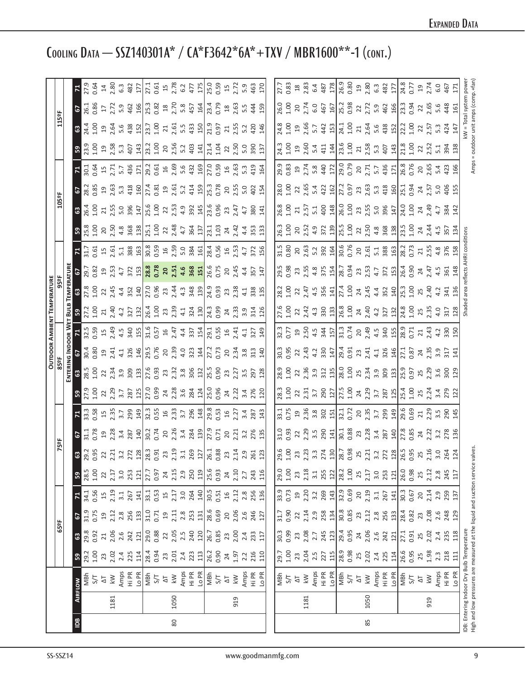|  | COOLING DATA — SSZ140301A* / CA*F3642*6A*+TXV / MBR1600**-1 (CONT.) |  |
|--|---------------------------------------------------------------------|--|
|--|---------------------------------------------------------------------|--|

|                |      |                                                                              |                                            |                                                                                                    |                                                                                             |                                                                                                                                                                                                                                                                                                     |                                                                                                                                                                                                                                                                                                                     |                                                                                                                                                                                                                                                                                                                                           |                                                                                                                                                                                                                                                                                                             |                                                                                                                                                                                                                                                                                                              |                                                                                                                                                                                                                               |                                                                                                                                                                                                                                                                                                                      | AMBIENT TEMPERATU |                                                                                                                                                                                                                                                                               |                                                                                                                                                                                                                                |                                                                                                                                                                                                                                                                                                                                    |                                                                                                                                                                                                                                     |                                                                                                                                                                                                                                                                                                  |                                                                                                                                                                                                                                                                                                                   |                                                                                                                                                                                                                              |              |                                                                                                                                                                                                                                                                                                      |                                      |                                                                                                                                                                                                                                                                                                     |
|----------------|------|------------------------------------------------------------------------------|--------------------------------------------|----------------------------------------------------------------------------------------------------|---------------------------------------------------------------------------------------------|-----------------------------------------------------------------------------------------------------------------------------------------------------------------------------------------------------------------------------------------------------------------------------------------------------|---------------------------------------------------------------------------------------------------------------------------------------------------------------------------------------------------------------------------------------------------------------------------------------------------------------------|-------------------------------------------------------------------------------------------------------------------------------------------------------------------------------------------------------------------------------------------------------------------------------------------------------------------------------------------|-------------------------------------------------------------------------------------------------------------------------------------------------------------------------------------------------------------------------------------------------------------------------------------------------------------|--------------------------------------------------------------------------------------------------------------------------------------------------------------------------------------------------------------------------------------------------------------------------------------------------------------|-------------------------------------------------------------------------------------------------------------------------------------------------------------------------------------------------------------------------------|----------------------------------------------------------------------------------------------------------------------------------------------------------------------------------------------------------------------------------------------------------------------------------------------------------------------|-------------------|-------------------------------------------------------------------------------------------------------------------------------------------------------------------------------------------------------------------------------------------------------------------------------|--------------------------------------------------------------------------------------------------------------------------------------------------------------------------------------------------------------------------------|------------------------------------------------------------------------------------------------------------------------------------------------------------------------------------------------------------------------------------------------------------------------------------------------------------------------------------|-------------------------------------------------------------------------------------------------------------------------------------------------------------------------------------------------------------------------------------|--------------------------------------------------------------------------------------------------------------------------------------------------------------------------------------------------------------------------------------------------------------------------------------------------|-------------------------------------------------------------------------------------------------------------------------------------------------------------------------------------------------------------------------------------------------------------------------------------------------------------------|------------------------------------------------------------------------------------------------------------------------------------------------------------------------------------------------------------------------------|--------------|------------------------------------------------------------------------------------------------------------------------------------------------------------------------------------------------------------------------------------------------------------------------------------------------------|--------------------------------------|-----------------------------------------------------------------------------------------------------------------------------------------------------------------------------------------------------------------------------------------------------------------------------------------------------|
|                |      |                                                                              |                                            | 65°F                                                                                               |                                                                                             |                                                                                                                                                                                                                                                                                                     |                                                                                                                                                                                                                                                                                                                     |                                                                                                                                                                                                                                                                                                                                           |                                                                                                                                                                                                                                                                                                             |                                                                                                                                                                                                                                                                                                              |                                                                                                                                                                                                                               |                                                                                                                                                                                                                                                                                                                      |                   |                                                                                                                                                                                                                                                                               |                                                                                                                                                                                                                                |                                                                                                                                                                                                                                                                                                                                    |                                                                                                                                                                                                                                     | 105°F                                                                                                                                                                                                                                                                                            |                                                                                                                                                                                                                                                                                                                   |                                                                                                                                                                                                                              |              | 115°F                                                                                                                                                                                                                                                                                                |                                      |                                                                                                                                                                                                                                                                                                     |
|                |      |                                                                              |                                            |                                                                                                    |                                                                                             |                                                                                                                                                                                                                                                                                                     |                                                                                                                                                                                                                                                                                                                     |                                                                                                                                                                                                                                                                                                                                           |                                                                                                                                                                                                                                                                                                             |                                                                                                                                                                                                                                                                                                              |                                                                                                                                                                                                                               |                                                                                                                                                                                                                                                                                                                      |                   |                                                                                                                                                                                                                                                                               |                                                                                                                                                                                                                                |                                                                                                                                                                                                                                                                                                                                    |                                                                                                                                                                                                                                     |                                                                                                                                                                                                                                                                                                  |                                                                                                                                                                                                                                                                                                                   |                                                                                                                                                                                                                              |              |                                                                                                                                                                                                                                                                                                      |                                      |                                                                                                                                                                                                                                                                                                     |
| $\overline{5}$ |      | AIRFLOW                                                                      | 29.2<br>္တ                                 | 29.8<br>$\mathbf{63}$                                                                              | 31.9<br>G                                                                                   |                                                                                                                                                                                                                                                                                                     |                                                                                                                                                                                                                                                                                                                     |                                                                                                                                                                                                                                                                                                                                           |                                                                                                                                                                                                                                                                                                             |                                                                                                                                                                                                                                                                                                              |                                                                                                                                                                                                                               |                                                                                                                                                                                                                                                                                                                      |                   |                                                                                                                                                                                                                                                                               |                                                                                                                                                                                                                                |                                                                                                                                                                                                                                                                                                                                    |                                                                                                                                                                                                                                     |                                                                                                                                                                                                                                                                                                  |                                                                                                                                                                                                                                                                                                                   |                                                                                                                                                                                                                              |              |                                                                                                                                                                                                                                                                                                      |                                      |                                                                                                                                                                                                                                                                                                     |
|                |      | ngw<br>S/T                                                                   | 001                                        | $-0.6$                                                                                             | 0.75                                                                                        | 34.1<br>0.56                                                                                                                                                                                                                                                                                        | 00.1                                                                                                                                                                                                                                                                                                                | $\frac{1}{3} \left[ \begin{matrix} 2 & 2 & 2 \\ 2 & 2 & 2 \\ 2 & 2 & 2 \end{matrix} \right] \left[ \begin{matrix} 2 & 2 & 2 \\ 2 & 2 & 2 \\ 2 & 2 & 2 \end{matrix} \right] \left[ \begin{matrix} 2 & 2 & 2 \\ 2 & 2 & 2 \\ 2 & 2 & 2 \end{matrix} \right] \left[ \begin{matrix} 2 & 2 & 2 \\ 2 & 2 & 2 \\ 2 & 2 & 2 \end{matrix} \right]$ | $\frac{1}{6}$ $\frac{1}{11}$ $\frac{18}{10}$ $\frac{8}{10}$ $\frac{3}{10}$ $\frac{4}{10}$ $\frac{5}{10}$ $\frac{1}{10}$ $\frac{1}{10}$ $\frac{1}{10}$ $\frac{1}{10}$ $\frac{1}{10}$ $\frac{1}{10}$ $\frac{1}{10}$ $\frac{1}{10}$ $\frac{3}{10}$ $\frac{3}{10}$ $\frac{3}{10}$ $\frac{3}{10}$ $\frac{3}{10}$ | $7\frac{1}{32}$ $\frac{3}{25}$ $\frac{3}{25}$ $\frac{1}{27}$ $\frac{1}{27}$ $\frac{3}{25}$ $\frac{3}{25}$ $\frac{3}{25}$ $\frac{3}{25}$ $\frac{3}{25}$ $\frac{3}{25}$ $\frac{3}{25}$ $\frac{3}{25}$ $\frac{3}{25}$ $\frac{3}{25}$ $\frac{3}{25}$ $\frac{3}{25}$ $\frac{3}{25}$ $\frac{3}{25}$ $\frac{3}{25}$ | $3.5$ $3.3$ $3.5$ $3.5$ $3.4$ $3.5$ $3.5$ $3.5$ $3.5$ $3.5$ $3.5$ $3.5$ $3.5$ $3.5$ $3.5$ $3.5$ $3.5$ $3.5$ $3.5$ $3.5$ $3.5$ $3.5$ $3.5$ $3.5$ $3.5$ $3.5$ $3.5$ $3.5$ $3.5$ $3.5$ $3.5$ $3.5$ $3.5$ $3.5$ $3.5$ $3.5$ $3.5$ | $5\frac{3}{8}$ $\frac{3}{8}$ $\frac{5}{8}$ $\frac{4}{3}$ $\frac{1}{4}$ $\frac{1}{4}$ $\frac{2}{3}$ $\frac{6}{8}$ $\frac{6}{8}$ $\frac{1}{8}$ $\frac{1}{8}$ $\frac{1}{8}$ $\frac{1}{8}$ $\frac{1}{8}$ $\frac{1}{8}$ $\frac{1}{8}$ $\frac{1}{8}$ $\frac{1}{8}$ $\frac{1}{8}$ $\frac{1}{8}$ $\frac{1}{8}$ $\frac{1}{8}$ |                   | $3\frac{1}{2}$ $2\frac{1}{2}$ $3\frac{1}{3}$ $4\frac{1}{3}$ $3\frac{1}{3}$ $4\frac{1}{3}$ $5\frac{1}{3}$ $3\frac{1}{3}$ $3\frac{1}{3}$ $4\frac{1}{3}$ $3\frac{1}{3}$ $3\frac{1}{3}$ $3\frac{1}{3}$ $3\frac{1}{3}$ $3\frac{1}{3}$ $3\frac{1}{3}$ $3\frac{1}{3}$ $3\frac{1}{3}$ | $3.23$ $2.3$ $3.4$ $3.4$ $3.4$ $3.4$ $3.4$ $3.4$ $3.4$ $3.4$ $3.4$ $3.4$ $3.4$ $3.4$ $3.4$ $3.4$ $3.4$ $3.4$ $3.4$ $3.4$ $3.4$ $3.4$ $3.4$ $3.4$ $3.4$ $3.4$ $3.4$ $3.4$ $3.4$ $3.4$ $3.4$ $3.4$ $3.4$ $3.4$ $3.4$ $3.4$ $3.4$ | $\mathbf{z}$ $\mathbf{y}$ $\mathbf{z}$ $\mathbf{z}$ $\mathbf{z}$ $\mathbf{z}$ $\mathbf{z}$ $\mathbf{z}$ $\mathbf{z}$ $\mathbf{z}$ $\mathbf{z}$ $\mathbf{z}$ $\mathbf{z}$ $\mathbf{z}$ $\mathbf{z}$ $\mathbf{z}$ $\mathbf{z}$ $\mathbf{z}$ $\mathbf{z}$ $\mathbf{z}$ $\mathbf{z}$ $\mathbf{z}$ $\mathbf{z}$ $\mathbf{z}$ $\mathbf{$ | <mark>ទ</mark> ្ធ ដូច ។ មាន ដូច ។ មាន ដូច ។ មាន ដូច ។ មាន ដូច ។ មាន ដូច ។ មាន ដូច ។ មាន ដូច ។ មាន ដូច ។ មាន ដូច ។ មាន ដូច ។<br>ស្រុក មាន អូច មាន អូច មាន អូច មាន អូច មាន អូច មាន អូច មាន អូច មាន អូច មាន អូច មាន អូច មាន អូច មាន អូ | $36\frac{3}{10}$ $32\frac{1}{10}$ $32\frac{1}{10}$ $32\frac{1}{10}$ $32\frac{1}{10}$ $33\frac{1}{10}$ $33\frac{1}{10}$ $33\frac{1}{10}$ $33\frac{1}{10}$ $33\frac{1}{10}$ $33\frac{1}{10}$ $33\frac{1}{10}$ $33\frac{1}{10}$ $33\frac{1}{10}$ $33\frac{1}{10}$ $33\frac{1}{10}$ $33\frac{1}{10}$ | $\frac{1}{6}$ $\frac{2}{8}$ $\frac{3}{8}$ $\frac{6}{9}$ $\frac{3}{12}$ $\frac{6}{12}$ $\frac{3}{12}$ $\frac{6}{12}$ $\frac{3}{12}$ $\frac{6}{12}$ $\frac{3}{12}$ $\frac{6}{12}$ $\frac{3}{12}$ $\frac{3}{12}$ $\frac{3}{12}$ $\frac{3}{12}$ $\frac{3}{12}$ $\frac{3}{12}$ $\frac{3}{12}$ $\frac{3}{12}$ $\frac{3$ |                                                                                                                                                                                                                              |              | $3\frac{3}{2}$ 3 9 $\frac{3}{2}$ 5 9 $\frac{3}{2}$ 5 $\frac{3}{2}$ 5 $\frac{1}{2}$ 5 $\frac{1}{2}$ 5 $\frac{1}{2}$ 5 $\frac{1}{2}$ 5 $\frac{1}{2}$ 5 $\frac{1}{2}$ 5 $\frac{1}{2}$ 5 $\frac{1}{2}$ 5 $\frac{1}{2}$ 5 $\frac{1}{2}$ 5 $\frac{1}{2}$ 5 $\frac{1}{2}$ 5 $\frac{1}{2}$ 5 $\frac{1}{2}$ 5 |                                      |                                                                                                                                                                                                                                                                                                     |
|                |      | $\overline{\Delta}$                                                          |                                            | 21                                                                                                 | $\overline{a}$                                                                              |                                                                                                                                                                                                                                                                                                     | 22                                                                                                                                                                                                                                                                                                                  |                                                                                                                                                                                                                                                                                                                                           |                                                                                                                                                                                                                                                                                                             |                                                                                                                                                                                                                                                                                                              |                                                                                                                                                                                                                               |                                                                                                                                                                                                                                                                                                                      |                   |                                                                                                                                                                                                                                                                               |                                                                                                                                                                                                                                |                                                                                                                                                                                                                                                                                                                                    |                                                                                                                                                                                                                                     |                                                                                                                                                                                                                                                                                                  |                                                                                                                                                                                                                                                                                                                   |                                                                                                                                                                                                                              |              |                                                                                                                                                                                                                                                                                                      |                                      |                                                                                                                                                                                                                                                                                                     |
|                | 1181 | $\overline{\mathsf{k}}$                                                      |                                            |                                                                                                    |                                                                                             |                                                                                                                                                                                                                                                                                                     |                                                                                                                                                                                                                                                                                                                     |                                                                                                                                                                                                                                                                                                                                           |                                                                                                                                                                                                                                                                                                             |                                                                                                                                                                                                                                                                                                              |                                                                                                                                                                                                                               |                                                                                                                                                                                                                                                                                                                      |                   |                                                                                                                                                                                                                                                                               |                                                                                                                                                                                                                                |                                                                                                                                                                                                                                                                                                                                    |                                                                                                                                                                                                                                     |                                                                                                                                                                                                                                                                                                  |                                                                                                                                                                                                                                                                                                                   |                                                                                                                                                                                                                              |              |                                                                                                                                                                                                                                                                                                      |                                      |                                                                                                                                                                                                                                                                                                     |
|                |      |                                                                              |                                            |                                                                                                    |                                                                                             |                                                                                                                                                                                                                                                                                                     |                                                                                                                                                                                                                                                                                                                     |                                                                                                                                                                                                                                                                                                                                           |                                                                                                                                                                                                                                                                                                             |                                                                                                                                                                                                                                                                                                              |                                                                                                                                                                                                                               |                                                                                                                                                                                                                                                                                                                      |                   |                                                                                                                                                                                                                                                                               |                                                                                                                                                                                                                                |                                                                                                                                                                                                                                                                                                                                    |                                                                                                                                                                                                                                     |                                                                                                                                                                                                                                                                                                  |                                                                                                                                                                                                                                                                                                                   |                                                                                                                                                                                                                              |              |                                                                                                                                                                                                                                                                                                      |                                      |                                                                                                                                                                                                                                                                                                     |
|                |      | Amps<br>Hi 마음<br>S 5<br>S 5                                                  |                                            | $2.96$ $2.3 \times 21$<br>$2.3 \times 21$<br>$2.3 \times 21$<br>$2.3 \times 21$<br>$2.3 \times 21$ | $\frac{23}{23}$ $\frac{8}{25}$ $\frac{83}{21}$ $\frac{12}{25}$ $\frac{71}{25}$              |                                                                                                                                                                                                                                                                                                     | $\frac{1}{2}$ $\frac{3}{2}$ $\frac{3}{2}$ $\frac{1}{2}$ $\frac{1}{2}$ $\frac{5}{2}$ $\frac{4}{2}$ $\frac{4}{2}$ $\frac{3}{2}$ $\frac{6}{2}$ $\frac{3}{2}$ $\frac{3}{2}$ $\frac{3}{2}$ $\frac{3}{2}$ $\frac{3}{2}$ $\frac{3}{2}$ $\frac{3}{2}$ $\frac{3}{2}$ $\frac{3}{2}$ $\frac{3}{2}$ $\frac{3}{2}$ $\frac{3}{2}$ |                                                                                                                                                                                                                                                                                                                                           |                                                                                                                                                                                                                                                                                                             |                                                                                                                                                                                                                                                                                                              |                                                                                                                                                                                                                               |                                                                                                                                                                                                                                                                                                                      |                   |                                                                                                                                                                                                                                                                               |                                                                                                                                                                                                                                |                                                                                                                                                                                                                                                                                                                                    |                                                                                                                                                                                                                                     |                                                                                                                                                                                                                                                                                                  |                                                                                                                                                                                                                                                                                                                   |                                                                                                                                                                                                                              |              |                                                                                                                                                                                                                                                                                                      |                                      |                                                                                                                                                                                                                                                                                                     |
|                |      |                                                                              |                                            |                                                                                                    |                                                                                             |                                                                                                                                                                                                                                                                                                     |                                                                                                                                                                                                                                                                                                                     |                                                                                                                                                                                                                                                                                                                                           |                                                                                                                                                                                                                                                                                                             |                                                                                                                                                                                                                                                                                                              |                                                                                                                                                                                                                               |                                                                                                                                                                                                                                                                                                                      |                   |                                                                                                                                                                                                                                                                               |                                                                                                                                                                                                                                |                                                                                                                                                                                                                                                                                                                                    |                                                                                                                                                                                                                                     |                                                                                                                                                                                                                                                                                                  |                                                                                                                                                                                                                                                                                                                   |                                                                                                                                                                                                                              |              |                                                                                                                                                                                                                                                                                                      |                                      |                                                                                                                                                                                                                                                                                                     |
|                |      |                                                                              |                                            |                                                                                                    |                                                                                             |                                                                                                                                                                                                                                                                                                     |                                                                                                                                                                                                                                                                                                                     |                                                                                                                                                                                                                                                                                                                                           |                                                                                                                                                                                                                                                                                                             |                                                                                                                                                                                                                                                                                                              |                                                                                                                                                                                                                               |                                                                                                                                                                                                                                                                                                                      |                   |                                                                                                                                                                                                                                                                               |                                                                                                                                                                                                                                |                                                                                                                                                                                                                                                                                                                                    |                                                                                                                                                                                                                                     |                                                                                                                                                                                                                                                                                                  |                                                                                                                                                                                                                                                                                                                   |                                                                                                                                                                                                                              |              |                                                                                                                                                                                                                                                                                                      |                                      |                                                                                                                                                                                                                                                                                                     |
|                |      |                                                                              |                                            |                                                                                                    |                                                                                             |                                                                                                                                                                                                                                                                                                     |                                                                                                                                                                                                                                                                                                                     |                                                                                                                                                                                                                                                                                                                                           |                                                                                                                                                                                                                                                                                                             |                                                                                                                                                                                                                                                                                                              |                                                                                                                                                                                                                               |                                                                                                                                                                                                                                                                                                                      |                   |                                                                                                                                                                                                                                                                               |                                                                                                                                                                                                                                |                                                                                                                                                                                                                                                                                                                                    |                                                                                                                                                                                                                                     |                                                                                                                                                                                                                                                                                                  |                                                                                                                                                                                                                                                                                                                   |                                                                                                                                                                                                                              |              |                                                                                                                                                                                                                                                                                                      |                                      |                                                                                                                                                                                                                                                                                                     |
|                |      |                                                                              |                                            |                                                                                                    | $\overline{1}9$                                                                             |                                                                                                                                                                                                                                                                                                     |                                                                                                                                                                                                                                                                                                                     |                                                                                                                                                                                                                                                                                                                                           |                                                                                                                                                                                                                                                                                                             |                                                                                                                                                                                                                                                                                                              |                                                                                                                                                                                                                               |                                                                                                                                                                                                                                                                                                                      |                   |                                                                                                                                                                                                                                                                               |                                                                                                                                                                                                                                |                                                                                                                                                                                                                                                                                                                                    |                                                                                                                                                                                                                                     |                                                                                                                                                                                                                                                                                                  |                                                                                                                                                                                                                                                                                                                   |                                                                                                                                                                                                                              |              |                                                                                                                                                                                                                                                                                                      |                                      |                                                                                                                                                                                                                                                                                                     |
| 80             | 1050 | $\overline{k}$                                                               |                                            |                                                                                                    |                                                                                             |                                                                                                                                                                                                                                                                                                     |                                                                                                                                                                                                                                                                                                                     |                                                                                                                                                                                                                                                                                                                                           |                                                                                                                                                                                                                                                                                                             |                                                                                                                                                                                                                                                                                                              |                                                                                                                                                                                                                               |                                                                                                                                                                                                                                                                                                                      |                   |                                                                                                                                                                                                                                                                               |                                                                                                                                                                                                                                |                                                                                                                                                                                                                                                                                                                                    |                                                                                                                                                                                                                                     |                                                                                                                                                                                                                                                                                                  |                                                                                                                                                                                                                                                                                                                   |                                                                                                                                                                                                                              |              |                                                                                                                                                                                                                                                                                                      |                                      |                                                                                                                                                                                                                                                                                                     |
|                |      |                                                                              |                                            |                                                                                                    |                                                                                             |                                                                                                                                                                                                                                                                                                     |                                                                                                                                                                                                                                                                                                                     |                                                                                                                                                                                                                                                                                                                                           |                                                                                                                                                                                                                                                                                                             |                                                                                                                                                                                                                                                                                                              |                                                                                                                                                                                                                               |                                                                                                                                                                                                                                                                                                                      |                   |                                                                                                                                                                                                                                                                               |                                                                                                                                                                                                                                |                                                                                                                                                                                                                                                                                                                                    |                                                                                                                                                                                                                                     |                                                                                                                                                                                                                                                                                                  |                                                                                                                                                                                                                                                                                                                   |                                                                                                                                                                                                                              |              |                                                                                                                                                                                                                                                                                                      |                                      |                                                                                                                                                                                                                                                                                                     |
|                |      |                                                                              |                                            |                                                                                                    | $2.11$<br>$2.8$<br>$2.53$<br>$131$                                                          |                                                                                                                                                                                                                                                                                                     |                                                                                                                                                                                                                                                                                                                     |                                                                                                                                                                                                                                                                                                                                           |                                                                                                                                                                                                                                                                                                             |                                                                                                                                                                                                                                                                                                              |                                                                                                                                                                                                                               |                                                                                                                                                                                                                                                                                                                      |                   |                                                                                                                                                                                                                                                                               |                                                                                                                                                                                                                                |                                                                                                                                                                                                                                                                                                                                    |                                                                                                                                                                                                                                     |                                                                                                                                                                                                                                                                                                  |                                                                                                                                                                                                                                                                                                                   |                                                                                                                                                                                                                              |              |                                                                                                                                                                                                                                                                                                      |                                      |                                                                                                                                                                                                                                                                                                     |
|                |      |                                                                              |                                            |                                                                                                    |                                                                                             |                                                                                                                                                                                                                                                                                                     |                                                                                                                                                                                                                                                                                                                     |                                                                                                                                                                                                                                                                                                                                           |                                                                                                                                                                                                                                                                                                             |                                                                                                                                                                                                                                                                                                              |                                                                                                                                                                                                                               |                                                                                                                                                                                                                                                                                                                      |                   |                                                                                                                                                                                                                                                                               |                                                                                                                                                                                                                                |                                                                                                                                                                                                                                                                                                                                    |                                                                                                                                                                                                                                     |                                                                                                                                                                                                                                                                                                  |                                                                                                                                                                                                                                                                                                                   |                                                                                                                                                                                                                              |              |                                                                                                                                                                                                                                                                                                      |                                      |                                                                                                                                                                                                                                                                                                     |
|                |      | Amps<br>Hi PR<br>Lo PIB<br>S/T                                               | 26.2<br>0.90                               | 26.7<br>0.85                                                                                       | 28.6<br>0.69                                                                                | $\frac{30.5}{0.51}$                                                                                                                                                                                                                                                                                 |                                                                                                                                                                                                                                                                                                                     |                                                                                                                                                                                                                                                                                                                                           |                                                                                                                                                                                                                                                                                                             |                                                                                                                                                                                                                                                                                                              |                                                                                                                                                                                                                               |                                                                                                                                                                                                                                                                                                                      |                   |                                                                                                                                                                                                                                                                               |                                                                                                                                                                                                                                |                                                                                                                                                                                                                                                                                                                                    |                                                                                                                                                                                                                                     |                                                                                                                                                                                                                                                                                                  |                                                                                                                                                                                                                                                                                                                   |                                                                                                                                                                                                                              |              |                                                                                                                                                                                                                                                                                                      |                                      |                                                                                                                                                                                                                                                                                                     |
|                |      |                                                                              |                                            |                                                                                                    |                                                                                             |                                                                                                                                                                                                                                                                                                     |                                                                                                                                                                                                                                                                                                                     |                                                                                                                                                                                                                                                                                                                                           |                                                                                                                                                                                                                                                                                                             |                                                                                                                                                                                                                                                                                                              |                                                                                                                                                                                                                               |                                                                                                                                                                                                                                                                                                                      |                   |                                                                                                                                                                                                                                                                               |                                                                                                                                                                                                                                |                                                                                                                                                                                                                                                                                                                                    |                                                                                                                                                                                                                                     |                                                                                                                                                                                                                                                                                                  |                                                                                                                                                                                                                                                                                                                   |                                                                                                                                                                                                                              |              |                                                                                                                                                                                                                                                                                                      |                                      |                                                                                                                                                                                                                                                                                                     |
|                |      | $\overline{\Delta}$                                                          |                                            | 23                                                                                                 | 20                                                                                          |                                                                                                                                                                                                                                                                                                     | $\overline{24}$                                                                                                                                                                                                                                                                                                     |                                                                                                                                                                                                                                                                                                                                           |                                                                                                                                                                                                                                                                                                             |                                                                                                                                                                                                                                                                                                              |                                                                                                                                                                                                                               |                                                                                                                                                                                                                                                                                                                      |                   |                                                                                                                                                                                                                                                                               |                                                                                                                                                                                                                                |                                                                                                                                                                                                                                                                                                                                    |                                                                                                                                                                                                                                     |                                                                                                                                                                                                                                                                                                  |                                                                                                                                                                                                                                                                                                                   |                                                                                                                                                                                                                              |              |                                                                                                                                                                                                                                                                                                      |                                      |                                                                                                                                                                                                                                                                                                     |
|                | 919  | $\lesssim$                                                                   | $24$<br>1.97                               | 2.00                                                                                               | 2.06                                                                                        | 2.12                                                                                                                                                                                                                                                                                                |                                                                                                                                                                                                                                                                                                                     |                                                                                                                                                                                                                                                                                                                                           |                                                                                                                                                                                                                                                                                                             |                                                                                                                                                                                                                                                                                                              |                                                                                                                                                                                                                               |                                                                                                                                                                                                                                                                                                                      |                   |                                                                                                                                                                                                                                                                               |                                                                                                                                                                                                                                |                                                                                                                                                                                                                                                                                                                                    |                                                                                                                                                                                                                                     |                                                                                                                                                                                                                                                                                                  |                                                                                                                                                                                                                                                                                                                   |                                                                                                                                                                                                                              |              |                                                                                                                                                                                                                                                                                                      |                                      |                                                                                                                                                                                                                                                                                                     |
|                |      | Amps<br>Hi PR<br>Lo PR                                                       | 2.300                                      | 2.4<br>233<br>117                                                                                  | 2.6<br>246<br>127                                                                           | 2.8                                                                                                                                                                                                                                                                                                 | $2.10$<br>$2.7$                                                                                                                                                                                                                                                                                                     |                                                                                                                                                                                                                                                                                                                                           |                                                                                                                                                                                                                                                                                                             |                                                                                                                                                                                                                                                                                                              |                                                                                                                                                                                                                               |                                                                                                                                                                                                                                                                                                                      |                   |                                                                                                                                                                                                                                                                               |                                                                                                                                                                                                                                |                                                                                                                                                                                                                                                                                                                                    |                                                                                                                                                                                                                                     |                                                                                                                                                                                                                                                                                                  |                                                                                                                                                                                                                                                                                                                   |                                                                                                                                                                                                                              |              |                                                                                                                                                                                                                                                                                                      |                                      |                                                                                                                                                                                                                                                                                                     |
|                |      |                                                                              |                                            |                                                                                                    |                                                                                             |                                                                                                                                                                                                                                                                                                     |                                                                                                                                                                                                                                                                                                                     |                                                                                                                                                                                                                                                                                                                                           |                                                                                                                                                                                                                                                                                                             |                                                                                                                                                                                                                                                                                                              |                                                                                                                                                                                                                               |                                                                                                                                                                                                                                                                                                                      |                   |                                                                                                                                                                                                                                                                               |                                                                                                                                                                                                                                |                                                                                                                                                                                                                                                                                                                                    |                                                                                                                                                                                                                                     |                                                                                                                                                                                                                                                                                                  |                                                                                                                                                                                                                                                                                                                   |                                                                                                                                                                                                                              |              |                                                                                                                                                                                                                                                                                                      |                                      |                                                                                                                                                                                                                                                                                                     |
|                |      |                                                                              |                                            |                                                                                                    |                                                                                             | 256<br>136                                                                                                                                                                                                                                                                                          | 243                                                                                                                                                                                                                                                                                                                 |                                                                                                                                                                                                                                                                                                                                           |                                                                                                                                                                                                                                                                                                             |                                                                                                                                                                                                                                                                                                              |                                                                                                                                                                                                                               |                                                                                                                                                                                                                                                                                                                      |                   |                                                                                                                                                                                                                                                                               |                                                                                                                                                                                                                                |                                                                                                                                                                                                                                                                                                                                    |                                                                                                                                                                                                                                     |                                                                                                                                                                                                                                                                                                  |                                                                                                                                                                                                                                                                                                                   |                                                                                                                                                                                                                              |              |                                                                                                                                                                                                                                                                                                      |                                      |                                                                                                                                                                                                                                                                                                     |
|                |      |                                                                              |                                            |                                                                                                    |                                                                                             |                                                                                                                                                                                                                                                                                                     |                                                                                                                                                                                                                                                                                                                     |                                                                                                                                                                                                                                                                                                                                           |                                                                                                                                                                                                                                                                                                             |                                                                                                                                                                                                                                                                                                              |                                                                                                                                                                                                                               |                                                                                                                                                                                                                                                                                                                      |                   |                                                                                                                                                                                                                                                                               |                                                                                                                                                                                                                                |                                                                                                                                                                                                                                                                                                                                    |                                                                                                                                                                                                                                     |                                                                                                                                                                                                                                                                                                  |                                                                                                                                                                                                                                                                                                                   |                                                                                                                                                                                                                              |              |                                                                                                                                                                                                                                                                                                      |                                      |                                                                                                                                                                                                                                                                                                     |
|                |      | 다 기<br>동                                                                     |                                            |                                                                                                    |                                                                                             |                                                                                                                                                                                                                                                                                                     | 29.0<br>1.00                                                                                                                                                                                                                                                                                                        |                                                                                                                                                                                                                                                                                                                                           |                                                                                                                                                                                                                                                                                                             |                                                                                                                                                                                                                                                                                                              |                                                                                                                                                                                                                               |                                                                                                                                                                                                                                                                                                                      |                   |                                                                                                                                                                                                                                                                               |                                                                                                                                                                                                                                |                                                                                                                                                                                                                                                                                                                                    |                                                                                                                                                                                                                                     |                                                                                                                                                                                                                                                                                                  |                                                                                                                                                                                                                                                                                                                   |                                                                                                                                                                                                                              |              |                                                                                                                                                                                                                                                                                                      |                                      |                                                                                                                                                                                                                                                                                                     |
|                |      |                                                                              |                                            | $30.3$<br>$0.99$                                                                                   | 31.7<br>0.90                                                                                |                                                                                                                                                                                                                                                                                                     |                                                                                                                                                                                                                                                                                                                     |                                                                                                                                                                                                                                                                                                                                           |                                                                                                                                                                                                                                                                                                             |                                                                                                                                                                                                                                                                                                              |                                                                                                                                                                                                                               |                                                                                                                                                                                                                                                                                                                      |                   |                                                                                                                                                                                                                                                                               |                                                                                                                                                                                                                                |                                                                                                                                                                                                                                                                                                                                    |                                                                                                                                                                                                                                     |                                                                                                                                                                                                                                                                                                  |                                                                                                                                                                                                                                                                                                                   |                                                                                                                                                                                                                              |              |                                                                                                                                                                                                                                                                                                      |                                      |                                                                                                                                                                                                                                                                                                     |
|                |      |                                                                              | 29.7<br>1.00<br>2.3<br>2.5<br>2.7<br>2.115 |                                                                                                    | $2, 14$<br>$2, 9$<br>$2, 8$<br>$134$                                                        |                                                                                                                                                                                                                                                                                                     |                                                                                                                                                                                                                                                                                                                     |                                                                                                                                                                                                                                                                                                                                           |                                                                                                                                                                                                                                                                                                             |                                                                                                                                                                                                                                                                                                              |                                                                                                                                                                                                                               |                                                                                                                                                                                                                                                                                                                      |                   |                                                                                                                                                                                                                                                                               |                                                                                                                                                                                                                                |                                                                                                                                                                                                                                                                                                                                    |                                                                                                                                                                                                                                     |                                                                                                                                                                                                                                                                                                  |                                                                                                                                                                                                                                                                                                                   |                                                                                                                                                                                                                              |              |                                                                                                                                                                                                                                                                                                      |                                      |                                                                                                                                                                                                                                                                                                     |
|                | 1181 |                                                                              |                                            |                                                                                                    |                                                                                             |                                                                                                                                                                                                                                                                                                     |                                                                                                                                                                                                                                                                                                                     |                                                                                                                                                                                                                                                                                                                                           |                                                                                                                                                                                                                                                                                                             |                                                                                                                                                                                                                                                                                                              |                                                                                                                                                                                                                               |                                                                                                                                                                                                                                                                                                                      |                   |                                                                                                                                                                                                                                                                               |                                                                                                                                                                                                                                |                                                                                                                                                                                                                                                                                                                                    |                                                                                                                                                                                                                                     |                                                                                                                                                                                                                                                                                                  |                                                                                                                                                                                                                                                                                                                   |                                                                                                                                                                                                                              |              |                                                                                                                                                                                                                                                                                                      |                                      |                                                                                                                                                                                                                                                                                                     |
|                |      | <b>KW<br/>Amps<br/>Hi PR</b><br>Lo PR                                        |                                            |                                                                                                    |                                                                                             |                                                                                                                                                                                                                                                                                                     |                                                                                                                                                                                                                                                                                                                     |                                                                                                                                                                                                                                                                                                                                           |                                                                                                                                                                                                                                                                                                             |                                                                                                                                                                                                                                                                                                              |                                                                                                                                                                                                                               |                                                                                                                                                                                                                                                                                                                      |                   |                                                                                                                                                                                                                                                                               |                                                                                                                                                                                                                                |                                                                                                                                                                                                                                                                                                                                    |                                                                                                                                                                                                                                     |                                                                                                                                                                                                                                                                                                  |                                                                                                                                                                                                                                                                                                                   |                                                                                                                                                                                                                              |              |                                                                                                                                                                                                                                                                                                      |                                      |                                                                                                                                                                                                                                                                                                     |
|                |      |                                                                              |                                            |                                                                                                    |                                                                                             |                                                                                                                                                                                                                                                                                                     |                                                                                                                                                                                                                                                                                                                     |                                                                                                                                                                                                                                                                                                                                           |                                                                                                                                                                                                                                                                                                             |                                                                                                                                                                                                                                                                                                              |                                                                                                                                                                                                                               |                                                                                                                                                                                                                                                                                                                      |                   |                                                                                                                                                                                                                                                                               |                                                                                                                                                                                                                                |                                                                                                                                                                                                                                                                                                                                    |                                                                                                                                                                                                                                     |                                                                                                                                                                                                                                                                                                  |                                                                                                                                                                                                                                                                                                                   |                                                                                                                                                                                                                              |              |                                                                                                                                                                                                                                                                                                      |                                      |                                                                                                                                                                                                                                                                                                     |
|                |      |                                                                              |                                            |                                                                                                    |                                                                                             |                                                                                                                                                                                                                                                                                                     |                                                                                                                                                                                                                                                                                                                     |                                                                                                                                                                                                                                                                                                                                           |                                                                                                                                                                                                                                                                                                             |                                                                                                                                                                                                                                                                                                              |                                                                                                                                                                                                                               |                                                                                                                                                                                                                                                                                                                      |                   |                                                                                                                                                                                                                                                                               |                                                                                                                                                                                                                                |                                                                                                                                                                                                                                                                                                                                    |                                                                                                                                                                                                                                     |                                                                                                                                                                                                                                                                                                  |                                                                                                                                                                                                                                                                                                                   |                                                                                                                                                                                                                              |              |                                                                                                                                                                                                                                                                                                      |                                      |                                                                                                                                                                                                                                                                                                     |
|                |      |                                                                              |                                            |                                                                                                    |                                                                                             |                                                                                                                                                                                                                                                                                                     |                                                                                                                                                                                                                                                                                                                     |                                                                                                                                                                                                                                                                                                                                           |                                                                                                                                                                                                                                                                                                             |                                                                                                                                                                                                                                                                                                              |                                                                                                                                                                                                                               |                                                                                                                                                                                                                                                                                                                      |                   |                                                                                                                                                                                                                                                                               |                                                                                                                                                                                                                                |                                                                                                                                                                                                                                                                                                                                    |                                                                                                                                                                                                                                     |                                                                                                                                                                                                                                                                                                  |                                                                                                                                                                                                                                                                                                                   |                                                                                                                                                                                                                              |              |                                                                                                                                                                                                                                                                                                      |                                      |                                                                                                                                                                                                                                                                                                     |
|                |      | 지<br>아이                                                                      | $\sqrt{23.30}$ $\frac{23.30}{23.31}$       |                                                                                                    |                                                                                             |                                                                                                                                                                                                                                                                                                     |                                                                                                                                                                                                                                                                                                                     |                                                                                                                                                                                                                                                                                                                                           |                                                                                                                                                                                                                                                                                                             |                                                                                                                                                                                                                                                                                                              |                                                                                                                                                                                                                               |                                                                                                                                                                                                                                                                                                                      |                   |                                                                                                                                                                                                                                                                               |                                                                                                                                                                                                                                |                                                                                                                                                                                                                                                                                                                                    |                                                                                                                                                                                                                                     |                                                                                                                                                                                                                                                                                                  |                                                                                                                                                                                                                                                                                                                   |                                                                                                                                                                                                                              |              |                                                                                                                                                                                                                                                                                                      |                                      |                                                                                                                                                                                                                                                                                                     |
|                |      |                                                                              |                                            |                                                                                                    |                                                                                             |                                                                                                                                                                                                                                                                                                     |                                                                                                                                                                                                                                                                                                                     |                                                                                                                                                                                                                                                                                                                                           |                                                                                                                                                                                                                                                                                                             |                                                                                                                                                                                                                                                                                                              |                                                                                                                                                                                                                               |                                                                                                                                                                                                                                                                                                                      |                   |                                                                                                                                                                                                                                                                               |                                                                                                                                                                                                                                |                                                                                                                                                                                                                                                                                                                                    |                                                                                                                                                                                                                                     |                                                                                                                                                                                                                                                                                                  |                                                                                                                                                                                                                                                                                                                   |                                                                                                                                                                                                                              |              |                                                                                                                                                                                                                                                                                                      |                                      |                                                                                                                                                                                                                                                                                                     |
| 85             | 1050 | $\lesssim$                                                                   |                                            |                                                                                                    |                                                                                             |                                                                                                                                                                                                                                                                                                     |                                                                                                                                                                                                                                                                                                                     |                                                                                                                                                                                                                                                                                                                                           |                                                                                                                                                                                                                                                                                                             |                                                                                                                                                                                                                                                                                                              |                                                                                                                                                                                                                               |                                                                                                                                                                                                                                                                                                                      |                   |                                                                                                                                                                                                                                                                               |                                                                                                                                                                                                                                |                                                                                                                                                                                                                                                                                                                                    |                                                                                                                                                                                                                                     |                                                                                                                                                                                                                                                                                                  |                                                                                                                                                                                                                                                                                                                   |                                                                                                                                                                                                                              |              |                                                                                                                                                                                                                                                                                                      |                                      |                                                                                                                                                                                                                                                                                                     |
|                |      | Amps<br>Hi PR                                                                |                                            |                                                                                                    |                                                                                             |                                                                                                                                                                                                                                                                                                     |                                                                                                                                                                                                                                                                                                                     |                                                                                                                                                                                                                                                                                                                                           |                                                                                                                                                                                                                                                                                                             |                                                                                                                                                                                                                                                                                                              |                                                                                                                                                                                                                               |                                                                                                                                                                                                                                                                                                                      |                   |                                                                                                                                                                                                                                                                               |                                                                                                                                                                                                                                |                                                                                                                                                                                                                                                                                                                                    |                                                                                                                                                                                                                                     |                                                                                                                                                                                                                                                                                                  |                                                                                                                                                                                                                                                                                                                   |                                                                                                                                                                                                                              |              |                                                                                                                                                                                                                                                                                                      |                                      |                                                                                                                                                                                                                                                                                                     |
|                |      |                                                                              |                                            |                                                                                                    | $\frac{8}{30}$ $\frac{8}{30}$ $\frac{21}{30}$ $\frac{8}{30}$ $\frac{8}{30}$ $\frac{81}{30}$ |                                                                                                                                                                                                                                                                                                     |                                                                                                                                                                                                                                                                                                                     |                                                                                                                                                                                                                                                                                                                                           |                                                                                                                                                                                                                                                                                                             |                                                                                                                                                                                                                                                                                                              |                                                                                                                                                                                                                               |                                                                                                                                                                                                                                                                                                                      |                   |                                                                                                                                                                                                                                                                               |                                                                                                                                                                                                                                |                                                                                                                                                                                                                                                                                                                                    |                                                                                                                                                                                                                                     |                                                                                                                                                                                                                                                                                                  |                                                                                                                                                                                                                                                                                                                   |                                                                                                                                                                                                                              |              |                                                                                                                                                                                                                                                                                                      |                                      |                                                                                                                                                                                                                                                                                                     |
|                |      | Lo PR                                                                        | 114                                        | 121                                                                                                |                                                                                             |                                                                                                                                                                                                                                                                                                     |                                                                                                                                                                                                                                                                                                                     |                                                                                                                                                                                                                                                                                                                                           |                                                                                                                                                                                                                                                                                                             |                                                                                                                                                                                                                                                                                                              |                                                                                                                                                                                                                               |                                                                                                                                                                                                                                                                                                                      |                   |                                                                                                                                                                                                                                                                               |                                                                                                                                                                                                                                |                                                                                                                                                                                                                                                                                                                                    |                                                                                                                                                                                                                                     |                                                                                                                                                                                                                                                                                                  |                                                                                                                                                                                                                                                                                                                   |                                                                                                                                                                                                                              |              |                                                                                                                                                                                                                                                                                                      |                                      |                                                                                                                                                                                                                                                                                                     |
|                |      | NBh<br>S/T                                                                   | 26.6<br>0.95                               | 27.1                                                                                               | 28.4                                                                                        | $\begin{array}{c} 33.65 \\ 35.67 \\ 37.79 \\ 37.87 \\ 38.79 \\ 39.67 \\ 30.67 \\ 31.38 \\ 32.67 \\ 33.68 \\ 34.69 \\ 35.69 \\ 36.69 \\ 37.69 \\ 38.69 \\ 39.69 \\ 39.69 \\ 30.69 \\ 31.69 \\ 32.69 \\ 33.69 \\ 34.69 \\ 35.69 \\ 36.69 \\ 37.69 \\ 38.69 \\ 39.69 \\ 39.69 \\ 39.69 \\ 39.69 \\ 39$ | n 3 3 3 3 3 3 3 3 4 5 3 3 4 5 6 9 8 9 7 3 4 5 7                                                                                                                                                                                                                                                                     | $\begin{bmatrix} 8 & 6 & 6 \\ 3 & 3 & 3 \\ 1 & 3 & 2 \\ 2 & 3 & 3 \\ 3 & 3 & 4 \\ 4 & 5 & 5 \\ 5 & 6 & 6 \\ 6 & 7 & 8 \\ 7 & 8 & 6 \\ 8 & 9 & 12 \\ 10 & 11 & 13 \\ 11 & 12 & 13 & 15 \\ 12 & 13 & 14 & 15 \\ 13 & 15 & 13 & 15 \\ 14 & 15 & 15 & 15 \\ 15 & 16 & 15 & 15 \\ 16 & 13 & 15 & 15 \\ 17 & 16 & 15 & 15$                      | $\begin{array}{c} 23.83 \\ 23.81 \\ 24.82 \\ 25.83 \end{array}$                                                                                                                                                                                                                                             |                                                                                                                                                                                                                                                                                                              |                                                                                                                                                                                                                               |                                                                                                                                                                                                                                                                                                                      |                   |                                                                                                                                                                                                                                                                               |                                                                                                                                                                                                                                | $\begin{array}{c} 1.538 \\ 1.380 \\ 1.631 \\ 1.542 \\ 1.553 \\ 1.533 \\ 1.554 \\ 1.561 \\ 1.572 \\ 1.583 \\ 1.573 \\ 1.583 \\ 1.513 \\ 1.513 \\ 1.513 \\ 1.513 \\ 1.513 \\ 1.513 \\ 1.513 \\ 1.513 \\ 1.513 \\ 1.513 \\ 1.513 \\ 1.513 \\ 1.513 \\ 1.513 \\ 1.513 \\ 1.513 \\ 1.513 \\ 1.513 \\ 1.$                                |                                                                                                                                                                                                                                     |                                                                                                                                                                                                                                                                                                  | $28.9$ 2 $25.4$ $25.4$ $25.5$ $25.4$ $25.5$ $25.4$ $25.4$ $25.4$ $25.4$ $25.4$ $25.4$ $25.4$ $25.4$ $25.4$ $25.4$ $25.4$ $25.4$ $25.4$ $25.4$ $25.4$ $25.4$ $25.4$ $25.4$ $25.4$ $25.4$ $25.4$ $25.4$ $25.4$ $25.4$ $25.4$ $2$                                                                                    | $20.89$ and $7.89$ and $7.89$ and $7.89$ and $7.89$ and $7.89$ and $7.89$ and $7.89$ and $7.89$ and $7.89$ and $7.89$ and $7.89$ and $7.89$ and $7.89$ and $7.89$ and $7.89$ and $7.89$ and $7.89$ and $7.89$ and $7.89$ and |              |                                                                                                                                                                                                                                                                                                      |                                      | $\begin{array}{l} 7,036 \\ 2,037 \\ 2,038 \\ 3,048 \\ 4,059 \\ 5,060 \\ 6,070 \\ 7,080 \\ 8,090 \\ 9,090 \\ 1,090 \\ 1,090 \\ 1,090 \\ 1,090 \\ 1,090 \\ 1,090 \\ 1,090 \\ 1,090 \\ 1,090 \\ 1,090 \\ 1,090 \\ 1,090 \\ 1,090 \\ 1,090 \\ 1,090 \\ 1,090 \\ 1,090 \\ 1,090 \\ 1,090 \\ 1,090 \\ 1,$ |
|                |      |                                                                              |                                            | 0.91                                                                                               | 0.82                                                                                        |                                                                                                                                                                                                                                                                                                     |                                                                                                                                                                                                                                                                                                                     |                                                                                                                                                                                                                                                                                                                                           |                                                                                                                                                                                                                                                                                                             |                                                                                                                                                                                                                                                                                                              |                                                                                                                                                                                                                               |                                                                                                                                                                                                                                                                                                                      |                   |                                                                                                                                                                                                                                                                               |                                                                                                                                                                                                                                |                                                                                                                                                                                                                                                                                                                                    |                                                                                                                                                                                                                                     |                                                                                                                                                                                                                                                                                                  |                                                                                                                                                                                                                                                                                                                   |                                                                                                                                                                                                                              |              |                                                                                                                                                                                                                                                                                                      |                                      |                                                                                                                                                                                                                                                                                                     |
|                |      | $\overline{\Delta}$                                                          | $25$<br>$1.98$                             | 25                                                                                                 | 23<br>2.08                                                                                  | 20                                                                                                                                                                                                                                                                                                  |                                                                                                                                                                                                                                                                                                                     |                                                                                                                                                                                                                                                                                                                                           |                                                                                                                                                                                                                                                                                                             |                                                                                                                                                                                                                                                                                                              |                                                                                                                                                                                                                               |                                                                                                                                                                                                                                                                                                                      |                   |                                                                                                                                                                                                                                                                               |                                                                                                                                                                                                                                |                                                                                                                                                                                                                                                                                                                                    |                                                                                                                                                                                                                                     |                                                                                                                                                                                                                                                                                                  |                                                                                                                                                                                                                                                                                                                   |                                                                                                                                                                                                                              |              |                                                                                                                                                                                                                                                                                                      |                                      |                                                                                                                                                                                                                                                                                                     |
|                | 919  | $\leq$                                                                       |                                            | 2.02                                                                                               |                                                                                             | 2.14                                                                                                                                                                                                                                                                                                |                                                                                                                                                                                                                                                                                                                     |                                                                                                                                                                                                                                                                                                                                           |                                                                                                                                                                                                                                                                                                             |                                                                                                                                                                                                                                                                                                              |                                                                                                                                                                                                                               |                                                                                                                                                                                                                                                                                                                      |                   |                                                                                                                                                                                                                                                                               |                                                                                                                                                                                                                                |                                                                                                                                                                                                                                                                                                                                    |                                                                                                                                                                                                                                     |                                                                                                                                                                                                                                                                                                  |                                                                                                                                                                                                                                                                                                                   |                                                                                                                                                                                                                              |              |                                                                                                                                                                                                                                                                                                      |                                      |                                                                                                                                                                                                                                                                                                     |
|                |      | Amps<br>Hi PR                                                                | $2.\overline{3}$<br>$218$                  | 2.4<br>235                                                                                         |                                                                                             |                                                                                                                                                                                                                                                                                                     |                                                                                                                                                                                                                                                                                                                     |                                                                                                                                                                                                                                                                                                                                           |                                                                                                                                                                                                                                                                                                             |                                                                                                                                                                                                                                                                                                              |                                                                                                                                                                                                                               |                                                                                                                                                                                                                                                                                                                      |                   |                                                                                                                                                                                                                                                                               |                                                                                                                                                                                                                                |                                                                                                                                                                                                                                                                                                                                    |                                                                                                                                                                                                                                     |                                                                                                                                                                                                                                                                                                  |                                                                                                                                                                                                                                                                                                                   |                                                                                                                                                                                                                              |              |                                                                                                                                                                                                                                                                                                      |                                      |                                                                                                                                                                                                                                                                                                     |
|                |      |                                                                              |                                            |                                                                                                    | 2.6<br>248<br>129                                                                           | 2.9<br>259                                                                                                                                                                                                                                                                                          |                                                                                                                                                                                                                                                                                                                     |                                                                                                                                                                                                                                                                                                                                           |                                                                                                                                                                                                                                                                                                             |                                                                                                                                                                                                                                                                                                              |                                                                                                                                                                                                                               |                                                                                                                                                                                                                                                                                                                      |                   |                                                                                                                                                                                                                                                                               |                                                                                                                                                                                                                                |                                                                                                                                                                                                                                                                                                                                    |                                                                                                                                                                                                                                     |                                                                                                                                                                                                                                                                                                  |                                                                                                                                                                                                                                                                                                                   |                                                                                                                                                                                                                              |              |                                                                                                                                                                                                                                                                                                      |                                      |                                                                                                                                                                                                                                                                                                     |
|                |      |                                                                              | 11                                         | 118                                                                                                |                                                                                             |                                                                                                                                                                                                                                                                                                     |                                                                                                                                                                                                                                                                                                                     |                                                                                                                                                                                                                                                                                                                                           |                                                                                                                                                                                                                                                                                                             |                                                                                                                                                                                                                                                                                                              |                                                                                                                                                                                                                               |                                                                                                                                                                                                                                                                                                                      |                   |                                                                                                                                                                                                                                                                               |                                                                                                                                                                                                                                |                                                                                                                                                                                                                                                                                                                                    |                                                                                                                                                                                                                                     |                                                                                                                                                                                                                                                                                                  |                                                                                                                                                                                                                                                                                                                   |                                                                                                                                                                                                                              |              |                                                                                                                                                                                                                                                                                                      |                                      |                                                                                                                                                                                                                                                                                                     |
|                |      | IDB: Entering Indoor Dry Bulb Temperature                                    |                                            |                                                                                                    |                                                                                             |                                                                                                                                                                                                                                                                                                     |                                                                                                                                                                                                                                                                                                                     |                                                                                                                                                                                                                                                                                                                                           |                                                                                                                                                                                                                                                                                                             |                                                                                                                                                                                                                                                                                                              |                                                                                                                                                                                                                               |                                                                                                                                                                                                                                                                                                                      |                   |                                                                                                                                                                                                                                                                               |                                                                                                                                                                                                                                |                                                                                                                                                                                                                                                                                                                                    |                                                                                                                                                                                                                                     |                                                                                                                                                                                                                                                                                                  |                                                                                                                                                                                                                                                                                                                   |                                                                                                                                                                                                                              |              |                                                                                                                                                                                                                                                                                                      | otal system powei<br>amps (comp.+fan |                                                                                                                                                                                                                                                                                                     |
|                |      | High and low pressures are measured at the liquid and suction service valves |                                            |                                                                                                    |                                                                                             |                                                                                                                                                                                                                                                                                                     |                                                                                                                                                                                                                                                                                                                     |                                                                                                                                                                                                                                                                                                                                           |                                                                                                                                                                                                                                                                                                             |                                                                                                                                                                                                                                                                                                              |                                                                                                                                                                                                                               |                                                                                                                                                                                                                                                                                                                      |                   |                                                                                                                                                                                                                                                                               |                                                                                                                                                                                                                                |                                                                                                                                                                                                                                                                                                                                    |                                                                                                                                                                                                                                     |                                                                                                                                                                                                                                                                                                  |                                                                                                                                                                                                                                                                                                                   |                                                                                                                                                                                                                              | outdoor unit |                                                                                                                                                                                                                                                                                                      |                                      |                                                                                                                                                                                                                                                                                                     |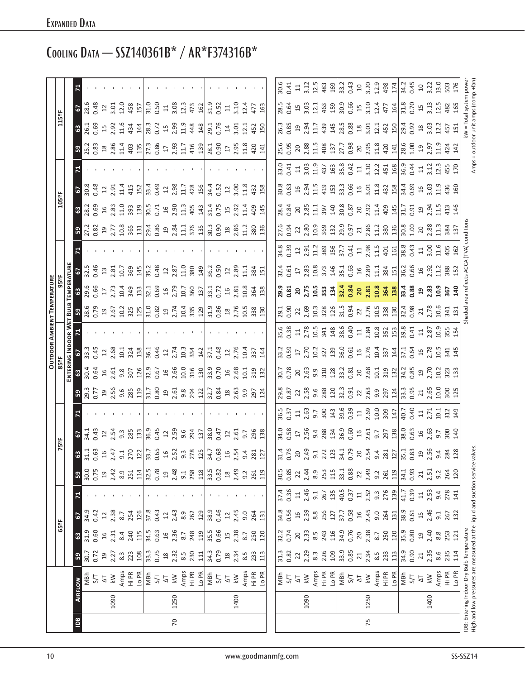|                |      |                                                                              |                                                  |                           |                 |              |                 |                                                                                                                                                                                                                                                                                                                      |                                                                                                                                                                    |                                                                                                                                                                                                                                                                                                                     |                                                                                                                                                                                                                                               |                                                                    |                                                                                                                                                                                                                                                                                |                                                                                                                                                                                                                                                                                                                     | <b>OUTDOOR AMBIENT TEMPERATURE</b>                                                                                                                                                                                                                                                                                  |                           |                                                                  |                                                         |                                                                                                                                                                                                                                                                                                                       |                                           |                                                                                                                                                                                                                                                                              |                                                                                  |                                                                                                          |                                   |                                                                                                                                                                                                                                |                                                    |
|----------------|------|------------------------------------------------------------------------------|--------------------------------------------------|---------------------------|-----------------|--------------|-----------------|----------------------------------------------------------------------------------------------------------------------------------------------------------------------------------------------------------------------------------------------------------------------------------------------------------------------|--------------------------------------------------------------------------------------------------------------------------------------------------------------------|---------------------------------------------------------------------------------------------------------------------------------------------------------------------------------------------------------------------------------------------------------------------------------------------------------------------|-----------------------------------------------------------------------------------------------------------------------------------------------------------------------------------------------------------------------------------------------|--------------------------------------------------------------------|--------------------------------------------------------------------------------------------------------------------------------------------------------------------------------------------------------------------------------------------------------------------------------|---------------------------------------------------------------------------------------------------------------------------------------------------------------------------------------------------------------------------------------------------------------------------------------------------------------------|---------------------------------------------------------------------------------------------------------------------------------------------------------------------------------------------------------------------------------------------------------------------------------------------------------------------|---------------------------|------------------------------------------------------------------|---------------------------------------------------------|-----------------------------------------------------------------------------------------------------------------------------------------------------------------------------------------------------------------------------------------------------------------------------------------------------------------------|-------------------------------------------|------------------------------------------------------------------------------------------------------------------------------------------------------------------------------------------------------------------------------------------------------------------------------|----------------------------------------------------------------------------------|----------------------------------------------------------------------------------------------------------|-----------------------------------|--------------------------------------------------------------------------------------------------------------------------------------------------------------------------------------------------------------------------------|----------------------------------------------------|
|                |      |                                                                              |                                                  |                           | 65°F            |              |                 |                                                                                                                                                                                                                                                                                                                      | 75°F                                                                                                                                                               |                                                                                                                                                                                                                                                                                                                     |                                                                                                                                                                                                                                               |                                                                    |                                                                                                                                                                                                                                                                                |                                                                                                                                                                                                                                                                                                                     |                                                                                                                                                                                                                                                                                                                     |                           |                                                                  |                                                         |                                                                                                                                                                                                                                                                                                                       | 105°F                                     |                                                                                                                                                                                                                                                                              |                                                                                  |                                                                                                          | 115°F                             |                                                                                                                                                                                                                                |                                                    |
|                |      |                                                                              |                                                  |                           |                 |              |                 |                                                                                                                                                                                                                                                                                                                      |                                                                                                                                                                    |                                                                                                                                                                                                                                                                                                                     |                                                                                                                                                                                                                                               |                                                                    | ENTERING INDOOR WET                                                                                                                                                                                                                                                            |                                                                                                                                                                                                                                                                                                                     | anng.                                                                                                                                                                                                                                                                                                               | <b><i>TEMPERATURE</i></b> |                                                                  |                                                         |                                                                                                                                                                                                                                                                                                                       |                                           |                                                                                                                                                                                                                                                                              |                                                                                  |                                                                                                          |                                   |                                                                                                                                                                                                                                |                                                    |
| åd             |      | MBh<br><b>AIRFLOW</b>                                                        | 30.7<br>S <sub>9</sub>                           | 31.9<br>ශී                | 34.9<br>G       |              |                 | $3\frac{1}{2}$ $\frac{1}{3}$ $\frac{1}{6}$ $\frac{1}{6}$ $\frac{1}{6}$ $\frac{1}{6}$ $\frac{1}{6}$ $\frac{1}{6}$ $\frac{1}{6}$ $\frac{1}{6}$ $\frac{1}{6}$ $\frac{1}{6}$ $\frac{1}{6}$ $\frac{1}{6}$ $\frac{1}{6}$ $\frac{1}{6}$ $\frac{1}{6}$ $\frac{1}{6}$ $\frac{1}{6}$ $\frac{1}{6}$ $\frac{1}{6}$ $\frac{1}{6}$ | $rac{6}{34.1}$                                                                                                                                                     |                                                                                                                                                                                                                                                                                                                     | 29.3<br>္မ                                                                                                                                                                                                                                    | 30.4<br>ඎ                                                          | 33.3                                                                                                                                                                                                                                                                           |                                                                                                                                                                                                                                                                                                                     | 28.6                                                                                                                                                                                                                                                                                                                | 29.6                      | 32.5                                                             |                                                         | 27.2<br>္မွာ                                                                                                                                                                                                                                                                                                          | 28.2<br>ය                                 | 30.8<br>e,                                                                                                                                                                                                                                                                   |                                                                                  | 25.2<br>္ဗ                                                                                               | 26.1<br>ස                         | 28.6<br>c,                                                                                                                                                                                                                     |                                                    |
|                |      | 5/7                                                                          | 0.72                                             | <b>09.C</b>               | 0.42            |              | 30.0<br>0.75    |                                                                                                                                                                                                                                                                                                                      | 0.43                                                                                                                                                               |                                                                                                                                                                                                                                                                                                                     | 0.77                                                                                                                                                                                                                                          | 0.64                                                               | 0.45                                                                                                                                                                                                                                                                           |                                                                                                                                                                                                                                                                                                                     | 0.79                                                                                                                                                                                                                                                                                                                | 0.66                      | 0.46                                                             |                                                         | 0.82                                                                                                                                                                                                                                                                                                                  | 0.69                                      | 0.48                                                                                                                                                                                                                                                                         |                                                                                  | 0.83                                                                                                     | 0.69                              | 0.48                                                                                                                                                                                                                           |                                                    |
|                |      | $\Xi$                                                                        | $\overline{1}9$                                  | 16                        | $\overline{12}$ |              | $\overline{c}$  |                                                                                                                                                                                                                                                                                                                      | $22$                                                                                                                                                               |                                                                                                                                                                                                                                                                                                                     |                                                                                                                                                                                                                                               | 16                                                                 | $\overline{\mathfrak{c}}$                                                                                                                                                                                                                                                      |                                                                                                                                                                                                                                                                                                                     | $\overline{1}9$                                                                                                                                                                                                                                                                                                     | $\overline{\mathbb{L}}$   | 13                                                               |                                                         | $\overline{1}9$                                                                                                                                                                                                                                                                                                       | $\frac{16}{1}$                            | $22$                                                                                                                                                                                                                                                                         |                                                                                  |                                                                                                          |                                   | $22$                                                                                                                                                                                                                           |                                                    |
|                | 1090 | $\overline{k}$                                                               | 2.27                                             | 2.31                      | 2.38            |              | 2.42            |                                                                                                                                                                                                                                                                                                                      | 2.54                                                                                                                                                               |                                                                                                                                                                                                                                                                                                                     | 2.56                                                                                                                                                                                                                                          | 2.61                                                               | <sub>2.68</sub>                                                                                                                                                                                                                                                                |                                                                                                                                                                                                                                                                                                                     | 2.67                                                                                                                                                                                                                                                                                                                | 2.73                      | 2.81                                                             |                                                         | 2.77                                                                                                                                                                                                                                                                                                                  |                                           | 2.91                                                                                                                                                                                                                                                                         |                                                                                  |                                                                                                          | 15.92                             | 3.01                                                                                                                                                                                                                           |                                                    |
|                |      | Amps<br>Hi PR                                                                | $8.\overline{3}$                                 | 8.4                       | 8.7             |              | 8.9             |                                                                                                                                                                                                                                                                                                                      | $9.\overline{3}$                                                                                                                                                   |                                                                                                                                                                                                                                                                                                                     | $9.83$ $\frac{9}{11}$                                                                                                                                                                                                                         | 9.8                                                                | 10.1                                                                                                                                                                                                                                                                           |                                                                                                                                                                                                                                                                                                                     | $-2$                                                                                                                                                                                                                                                                                                                | 10.4                      | 10.7                                                             |                                                         | $\frac{8}{10}$ $\frac{8}{10}$ $\frac{1}{3}$ $\frac{8}{10}$ $\frac{8}{10}$ $\frac{8}{10}$ $\frac{1}{2}$ $\frac{1}{2}$ $\frac{8}{10}$ $\frac{1}{2}$ $\frac{1}{2}$ $\frac{8}{10}$ $\frac{1}{2}$ $\frac{1}{2}$ $\frac{8}{10}$ $\frac{1}{2}$ $\frac{1}{2}$ $\frac{1}{2}$ $\frac{1}{2}$ $\frac{1}{2}$ $\frac{1}{2}$ $\frac$ | 2.83<br>11.0<br>393                       | 11.4                                                                                                                                                                                                                                                                         |                                                                                  | $2.86$<br>$2.3$<br>$4$ $3$<br>$4$<br>$13$                                                                | 1.6                               | 12.0                                                                                                                                                                                                                           |                                                    |
|                |      |                                                                              | 223                                              | 240                       | 254             |              | 251             |                                                                                                                                                                                                                                                                                                                      | 285                                                                                                                                                                |                                                                                                                                                                                                                                                                                                                     |                                                                                                                                                                                                                                               | 307                                                                | 324                                                                                                                                                                                                                                                                            |                                                                                                                                                                                                                                                                                                                     |                                                                                                                                                                                                                                                                                                                     | 349<br>133                | 369                                                              |                                                         |                                                                                                                                                                                                                                                                                                                       |                                           | 415                                                                                                                                                                                                                                                                          |                                                                                  |                                                                                                          | 434                               | 458                                                                                                                                                                                                                            |                                                    |
|                |      | LO PR                                                                        | 108                                              | 115                       | 126             |              | 114             |                                                                                                                                                                                                                                                                                                                      | 133                                                                                                                                                                |                                                                                                                                                                                                                                                                                                                     |                                                                                                                                                                                                                                               | 126                                                                | 138                                                                                                                                                                                                                                                                            |                                                                                                                                                                                                                                                                                                                     | $\frac{1}{2}$ $\frac{1}{2}$ $\frac{1}{2}$ $\frac{1}{2}$ $\frac{1}{2}$ $\frac{1}{2}$ $\frac{1}{2}$ $\frac{1}{2}$ $\frac{1}{2}$ $\frac{1}{2}$ $\frac{1}{2}$ $\frac{1}{2}$ $\frac{1}{2}$ $\frac{1}{2}$ $\frac{1}{2}$ $\frac{1}{2}$ $\frac{1}{2}$ $\frac{1}{2}$ $\frac{1}{2}$ $\frac{1}{2}$ $\frac{1}{2}$ $\frac{1}{2}$ |                           | 145                                                              |                                                         |                                                                                                                                                                                                                                                                                                                       | 139                                       | 152                                                                                                                                                                                                                                                                          |                                                                                  |                                                                                                          | 144                               | 157                                                                                                                                                                                                                            |                                                    |
|                |      | NBh<br>S/T                                                                   | 33.3<br>0.75                                     | 34.5                      | 37.8            |              | 32.5<br>0.78    |                                                                                                                                                                                                                                                                                                                      | 36.9<br>0.45                                                                                                                                                       |                                                                                                                                                                                                                                                                                                                     | $\frac{1}{2}$ ; $\frac{1}{2}$ , $\frac{1}{3}$ , $\frac{1}{3}$ , $\frac{1}{3}$ , $\frac{1}{3}$ , $\frac{1}{3}$ , $\frac{1}{3}$ , $\frac{1}{3}$ , $\frac{1}{3}$ , $\frac{1}{3}$ , $\frac{1}{3}$ , $\frac{1}{3}$ , $\frac{1}{3}$ , $\frac{1}{3}$ | $32.9$<br>$0.67$<br>$0.46$<br>$0.67$<br>$0.34$<br>$0.34$<br>$0.34$ | 36.1<br>0.46                                                                                                                                                                                                                                                                   |                                                                                                                                                                                                                                                                                                                     |                                                                                                                                                                                                                                                                                                                     | $32.1$<br>$0.69$          | 35.2                                                             |                                                         |                                                                                                                                                                                                                                                                                                                       | $30.5$<br>$0.71$                          | 33.49                                                                                                                                                                                                                                                                        |                                                                                  | $\begin{array}{c}\n 27.3 \\  20.86 \\  21.7 \\  31.7 \\  42.81 \\  23.1 \\  24.1 \\  25.9\n \end{array}$ | 28.3<br>0.72                      | $3.50$<br>0.50<br>11                                                                                                                                                                                                           |                                                    |
|                |      |                                                                              |                                                  | 0.63                      | 0.43            |              |                 |                                                                                                                                                                                                                                                                                                                      |                                                                                                                                                                    |                                                                                                                                                                                                                                                                                                                     |                                                                                                                                                                                                                                               |                                                                    |                                                                                                                                                                                                                                                                                |                                                                                                                                                                                                                                                                                                                     |                                                                                                                                                                                                                                                                                                                     |                           | 0.48                                                             |                                                         |                                                                                                                                                                                                                                                                                                                       |                                           |                                                                                                                                                                                                                                                                              |                                                                                  |                                                                                                          |                                   |                                                                                                                                                                                                                                |                                                    |
|                |      | $\overline{\Delta}$                                                          | $18$<br>$2.32$                                   | $\mathfrak{g}_\mathsf{L}$ | $22$            |              | $\overline{c}$  |                                                                                                                                                                                                                                                                                                                      | $2.59$<br>$9.59$<br>$294$                                                                                                                                          |                                                                                                                                                                                                                                                                                                                     |                                                                                                                                                                                                                                               |                                                                    | $22$                                                                                                                                                                                                                                                                           |                                                                                                                                                                                                                                                                                                                     |                                                                                                                                                                                                                                                                                                                     | $16$                      | $22$                                                             |                                                         |                                                                                                                                                                                                                                                                                                                       |                                           | $22$                                                                                                                                                                                                                                                                         |                                                                                  |                                                                                                          | $15$<br>$2.99$<br>$11.9$          |                                                                                                                                                                                                                                |                                                    |
| $\overline{C}$ | 1250 | $\lesssim$                                                                   |                                                  | 2.36                      | 2.43            |              | 2.48            |                                                                                                                                                                                                                                                                                                                      |                                                                                                                                                                    |                                                                                                                                                                                                                                                                                                                     |                                                                                                                                                                                                                                               |                                                                    | 2.74                                                                                                                                                                                                                                                                           |                                                                                                                                                                                                                                                                                                                     |                                                                                                                                                                                                                                                                                                                     | 2.79                      | 2.87<br>11.0                                                     |                                                         |                                                                                                                                                                                                                                                                                                                       |                                           | 2.98<br>11.7                                                                                                                                                                                                                                                                 |                                                                                  |                                                                                                          |                                   |                                                                                                                                                                                                                                |                                                    |
|                |      |                                                                              | 8.5                                              | 8.7                       | 8.9             |              | 9.1             |                                                                                                                                                                                                                                                                                                                      |                                                                                                                                                                    |                                                                                                                                                                                                                                                                                                                     |                                                                                                                                                                                                                                               |                                                                    |                                                                                                                                                                                                                                                                                |                                                                                                                                                                                                                                                                                                                     |                                                                                                                                                                                                                                                                                                                     | 10.7                      |                                                                  |                                                         |                                                                                                                                                                                                                                                                                                                       |                                           |                                                                                                                                                                                                                                                                              |                                                                                  |                                                                                                          |                                   |                                                                                                                                                                                                                                |                                                    |
|                |      | Amps<br>Hi PR<br>Lo PR                                                       | 230                                              | 248                       | 262             |              | 258             |                                                                                                                                                                                                                                                                                                                      |                                                                                                                                                                    |                                                                                                                                                                                                                                                                                                                     |                                                                                                                                                                                                                                               |                                                                    | 10.3<br>334<br>142                                                                                                                                                                                                                                                             |                                                                                                                                                                                                                                                                                                                     |                                                                                                                                                                                                                                                                                                                     | 360<br>137                | 380                                                              |                                                         |                                                                                                                                                                                                                                                                                                                       | $16$<br>$2.90$<br>$1.3$<br>$403$<br>$143$ | 428                                                                                                                                                                                                                                                                          |                                                                                  |                                                                                                          |                                   |                                                                                                                                                                                                                                |                                                    |
|                |      |                                                                              | $111$                                            | 119                       | 129             |              | 118             |                                                                                                                                                                                                                                                                                                                      | 137                                                                                                                                                                |                                                                                                                                                                                                                                                                                                                     |                                                                                                                                                                                                                                               |                                                                    |                                                                                                                                                                                                                                                                                |                                                                                                                                                                                                                                                                                                                     |                                                                                                                                                                                                                                                                                                                     |                           | 149                                                              |                                                         |                                                                                                                                                                                                                                                                                                                       |                                           |                                                                                                                                                                                                                                                                              |                                                                                  |                                                                                                          |                                   |                                                                                                                                                                                                                                |                                                    |
|                |      |                                                                              | 34.3<br>0.79                                     | $\frac{35.5}{0.66}$       | 38.9            |              | 33.5<br>0.82    |                                                                                                                                                                                                                                                                                                                      | $\frac{1}{38.0}$                                                                                                                                                   |                                                                                                                                                                                                                                                                                                                     |                                                                                                                                                                                                                                               | $\frac{33.9}{0.70}$                                                | $\frac{37.4}{0.48}$                                                                                                                                                                                                                                                            |                                                                                                                                                                                                                                                                                                                     |                                                                                                                                                                                                                                                                                                                     | 33.1                      | 36.2<br>0.50                                                     |                                                         |                                                                                                                                                                                                                                                                                                                       | 31.4<br>0.75                              | 34.4<br>0.52                                                                                                                                                                                                                                                                 |                                                                                  |                                                                                                          | $rac{48}{375}$                    | $3.33$ $1.3$ $1.3$ $1.3$ $1.3$ $1.5$ $1.5$ $1.5$ $1.5$ $1.5$ $1.5$ $1.5$ $1.5$ $1.5$ $1.5$ $1.5$ $1.5$ $1.5$ $1.5$ $1.5$ $1.5$ $1.5$ $1.5$ $1.5$ $1.5$ $1.5$ $1.5$ $1.5$ $1.5$ $1.5$ $1.5$ $1.5$ $1.5$ $1.5$ $1.5$ $1.5$ $1.5$ |                                                    |
|                |      | MBh<br>S/T                                                                   |                                                  |                           | 0.46            |              |                 |                                                                                                                                                                                                                                                                                                                      |                                                                                                                                                                    |                                                                                                                                                                                                                                                                                                                     |                                                                                                                                                                                                                                               |                                                                    |                                                                                                                                                                                                                                                                                |                                                                                                                                                                                                                                                                                                                     |                                                                                                                                                                                                                                                                                                                     |                           |                                                                  |                                                         |                                                                                                                                                                                                                                                                                                                       |                                           |                                                                                                                                                                                                                                                                              |                                                                                  |                                                                                                          |                                   |                                                                                                                                                                                                                                |                                                    |
|                |      | $\overline{\mathcal{L}}$                                                     | $^{28}$                                          | 15                        | $\Xi$           |              | $\frac{8}{10}$  |                                                                                                                                                                                                                                                                                                                      |                                                                                                                                                                    |                                                                                                                                                                                                                                                                                                                     |                                                                                                                                                                                                                                               | 16                                                                 | $12\,$                                                                                                                                                                                                                                                                         |                                                                                                                                                                                                                                                                                                                     |                                                                                                                                                                                                                                                                                                                     | $\mathfrak{g}_1$          | $\overline{\mathfrak{c}}$                                        |                                                         |                                                                                                                                                                                                                                                                                                                       | 15                                        | $22$                                                                                                                                                                                                                                                                         |                                                                                  |                                                                                                          |                                   | $\Xi$                                                                                                                                                                                                                          |                                                    |
|                | 1400 |                                                                              | 2.34                                             | 2.38                      | 2.45            |              | 2.49            |                                                                                                                                                                                                                                                                                                                      | $\frac{12}{2.61}$                                                                                                                                                  |                                                                                                                                                                                                                                                                                                                     |                                                                                                                                                                                                                                               | 2.68                                                               | 2.76                                                                                                                                                                                                                                                                           |                                                                                                                                                                                                                                                                                                                     |                                                                                                                                                                                                                                                                                                                     | 2.81                      | 2.89                                                             |                                                         | $18$<br>$2.86$                                                                                                                                                                                                                                                                                                        | 2.92                                      |                                                                                                                                                                                                                                                                              |                                                                                  |                                                                                                          | $\frac{14}{3.01}$                 | 3.10                                                                                                                                                                                                                           |                                                    |
|                |      |                                                                              | 8.5                                              | 8.7                       | 9.0             |              | 9.2             |                                                                                                                                                                                                                                                                                                                      | 9.7                                                                                                                                                                |                                                                                                                                                                                                                                                                                                                     |                                                                                                                                                                                                                                               | 10.1                                                               | 10.4                                                                                                                                                                                                                                                                           |                                                                                                                                                                                                                                                                                                                     | $2.76$<br>$2.5$<br>$3.38$                                                                                                                                                                                                                                                                                           | 10.8                      | 11.1                                                             |                                                         | 11.2                                                                                                                                                                                                                                                                                                                  | 11.4                                      | $3.00$<br>$11.8$                                                                                                                                                                                                                                                             |                                                                                  | $17$<br>$2.95$<br>$11.8$                                                                                 | 12.1                              | 12.4                                                                                                                                                                                                                           |                                                    |
|                |      | Amps<br>Hi PR                                                                | 233                                              | 250                       | 264             |              | 261             | 281                                                                                                                                                                                                                                                                                                                  | 296                                                                                                                                                                |                                                                                                                                                                                                                                                                                                                     | 9.9<br>297                                                                                                                                                                                                                                    | 319                                                                | 337                                                                                                                                                                                                                                                                            |                                                                                                                                                                                                                                                                                                                     |                                                                                                                                                                                                                                                                                                                     | 364                       | 384                                                              |                                                         | 380                                                                                                                                                                                                                                                                                                                   | 409                                       | 432                                                                                                                                                                                                                                                                          |                                                                                  | 420                                                                                                      | 450                               | 477                                                                                                                                                                                                                            |                                                    |
|                |      | Lo PR                                                                        | 113                                              | 120                       | 131             |              | 119             | 127                                                                                                                                                                                                                                                                                                                  | 138                                                                                                                                                                |                                                                                                                                                                                                                                                                                                                     | 124                                                                                                                                                                                                                                           | 132                                                                | $\frac{14}{3}$                                                                                                                                                                                                                                                                 |                                                                                                                                                                                                                                                                                                                     | 130                                                                                                                                                                                                                                                                                                                 | 138                       | <b>ISI</b>                                                       |                                                         | 136                                                                                                                                                                                                                                                                                                                   | 145                                       | 158                                                                                                                                                                                                                                                                          |                                                                                  | 141                                                                                                      |                                   | 163                                                                                                                                                                                                                            |                                                    |
|                |      |                                                                              |                                                  |                           |                 |              |                 |                                                                                                                                                                                                                                                                                                                      |                                                                                                                                                                    |                                                                                                                                                                                                                                                                                                                     |                                                                                                                                                                                                                                               |                                                                    |                                                                                                                                                                                                                                                                                |                                                                                                                                                                                                                                                                                                                     |                                                                                                                                                                                                                                                                                                                     |                           |                                                                  |                                                         |                                                                                                                                                                                                                                                                                                                       |                                           |                                                                                                                                                                                                                                                                              |                                                                                  |                                                                                                          |                                   |                                                                                                                                                                                                                                |                                                    |
|                |      |                                                                              |                                                  | 32.2                      | 34.8            |              |                 |                                                                                                                                                                                                                                                                                                                      |                                                                                                                                                                    |                                                                                                                                                                                                                                                                                                                     |                                                                                                                                                                                                                                               |                                                                    | 33.2                                                                                                                                                                                                                                                                           |                                                                                                                                                                                                                                                                                                                     |                                                                                                                                                                                                                                                                                                                     |                           |                                                                  |                                                         |                                                                                                                                                                                                                                                                                                                       |                                           |                                                                                                                                                                                                                                                                              |                                                                                  |                                                                                                          |                                   |                                                                                                                                                                                                                                |                                                    |
|                |      | 지<br>S/T                                                                     |                                                  | 0.74                      | 0.56            | 37.4<br>0.36 | 30.5<br>0.85    |                                                                                                                                                                                                                                                                                                                      | 34.0<br>0.58                                                                                                                                                       | 36.5<br>0.37                                                                                                                                                                                                                                                                                                        | 29.87                                                                                                                                                                                                                                         | 30.7<br>0.78                                                       | 0.59                                                                                                                                                                                                                                                                           |                                                                                                                                                                                                                                                                                                                     |                                                                                                                                                                                                                                                                                                                     | 29.9<br>0.81              | 32.4<br>0.61                                                     |                                                         | 27.6<br>0.94                                                                                                                                                                                                                                                                                                          | $28.4$<br>0.84                            |                                                                                                                                                                                                                                                                              | 33.0<br>0.41                                                                     |                                                                                                          |                                   | 28.5<br>0.64                                                                                                                                                                                                                   | 30.6<br>0.41                                       |
|                |      | $\Xi$                                                                        | $\begin{array}{c} 31.3 \\ 0.82 \\ 2 \end{array}$ | $20$                      | $\frac{16}{1}$  | $\Xi$        | 22              |                                                                                                                                                                                                                                                                                                                      | $\overline{\mathbb{L}}$                                                                                                                                            |                                                                                                                                                                                                                                                                                                                     |                                                                                                                                                                                                                                               |                                                                    | $\overline{\mathbb{L}}$                                                                                                                                                                                                                                                        | $\frac{16}{30}$<br>$\frac{38}{31}$ $\frac{17}{30}$<br>$\frac{18}{30}$<br>$\frac{18}{30}$<br>$\frac{18}{30}$<br>$\frac{16}{30}$<br>$\frac{16}{30}$                                                                                                                                                                   |                                                                                                                                                                                                                                                                                                                     |                           | $\overline{\mathbb{1}}$                                          |                                                         |                                                                                                                                                                                                                                                                                                                       |                                           |                                                                                                                                                                                                                                                                              | $\Xi$                                                                            | 25.6<br>0.95<br>20<br>2.88<br>40<br>437                                                                  | 26.3<br>0.85<br>2.94<br>2.11.7    |                                                                                                                                                                                                                                | $\Xi$                                              |
|                | 1090 |                                                                              | 2.29                                             | 2.33                      | 2.39            | 2.46         | 2.44            |                                                                                                                                                                                                                                                                                                                      |                                                                                                                                                                    |                                                                                                                                                                                                                                                                                                                     |                                                                                                                                                                                                                                               |                                                                    | 2.70                                                                                                                                                                                                                                                                           |                                                                                                                                                                                                                                                                                                                     |                                                                                                                                                                                                                                                                                                                     |                           |                                                                  |                                                         |                                                                                                                                                                                                                                                                                                                       |                                           |                                                                                                                                                                                                                                                                              |                                                                                  |                                                                                                          |                                   |                                                                                                                                                                                                                                |                                                    |
|                |      | Amps<br>Hi PR                                                                | $8.\overline{3}$                                 | $8.5$<br>243              | 8.8<br>256      | 9.1          | 8.9             |                                                                                                                                                                                                                                                                                                                      |                                                                                                                                                                    |                                                                                                                                                                                                                                                                                                                     |                                                                                                                                                                                                                                               |                                                                    |                                                                                                                                                                                                                                                                                |                                                                                                                                                                                                                                                                                                                     |                                                                                                                                                                                                                                                                                                                     |                           |                                                                  |                                                         |                                                                                                                                                                                                                                                                                                                       | $200$<br>$2.85$<br>$11.1$<br>$397$        |                                                                                                                                                                                                                                                                              |                                                                                  |                                                                                                          |                                   |                                                                                                                                                                                                                                |                                                    |
|                |      |                                                                              | 226                                              |                           |                 | 267          | 253<br>115      |                                                                                                                                                                                                                                                                                                                      |                                                                                                                                                                    |                                                                                                                                                                                                                                                                                                                     |                                                                                                                                                                                                                                               |                                                                    |                                                                                                                                                                                                                                                                                |                                                                                                                                                                                                                                                                                                                     |                                                                                                                                                                                                                                                                                                                     |                           |                                                                  |                                                         |                                                                                                                                                                                                                                                                                                                       |                                           |                                                                                                                                                                                                                                                                              |                                                                                  |                                                                                                          | 439                               |                                                                                                                                                                                                                                |                                                    |
|                |      | Lo PR                                                                        | 109                                              | 116                       | 127             | 135          |                 |                                                                                                                                                                                                                                                                                                                      | $2.56$<br>$9.4$ $8.8$ $\frac{10}{10}$<br>$8.6$ $\frac{10}{10}$<br>$8.6$ $\frac{10}{10}$<br>$8.6$ $\frac{10}{10}$<br>$8.6$ $\frac{10}{10}$<br>$8.6$ $\frac{10}{10}$ | $\frac{1}{2}$ $\frac{3}{5}$ $\frac{5}{5}$ $\frac{6}{5}$ $\frac{4}{5}$ $\frac{6}{5}$ $\frac{3}{5}$ $\frac{3}{5}$ $\frac{3}{5}$ $\frac{3}{5}$ $\frac{3}{5}$ $\frac{3}{5}$ $\frac{3}{5}$ $\frac{3}{5}$ $\frac{3}{5}$ $\frac{3}{5}$ $\frac{3}{5}$ $\frac{3}{5}$ $\frac{3}{5}$ $\frac{3}{5}$ $\frac{3}{5}$ $\frac{3}{5}$ | $2\frac{8}{10}$ $\frac{6}{3}$ $\frac{8}{3}$ $\frac{8}{2}$ $\frac{1}{3}$ $\frac{1}{3}$ $\frac{5}{3}$ $\frac{1}{2}$ $\frac{6}{3}$ $\frac{9}{3}$ $\frac{5}{3}$                                                                                   |                                                                    | $\frac{2}{3}$<br>$\frac{2}{3}$<br>$\frac{2}{3}$<br>$\frac{2}{3}$<br>$\frac{2}{3}$<br>$\frac{2}{3}$<br>$\frac{2}{3}$<br>$\frac{2}{3}$<br>$\frac{2}{3}$<br><br>$\frac{2}{3}$<br><br><br><br><br><br><br><br><br><br><br><br><br><br><br><br><br><br><br><br><br><br><br><br><br> |                                                                                                                                                                                                                                                                                                                     |                                                                                                                                                                                                                                                                                                                     |                           | $2.83$<br>$10.8$<br>$15$<br>$15$<br>$15$<br>$15$<br>$15$<br>$15$ |                                                         | $2,80$<br>$2,80$<br>$3,69$<br>$3,80$<br>$3,90$<br>$3,90$                                                                                                                                                                                                                                                              | $\frac{40}{30}$ 87                        |                                                                                                                                                                                                                                                                              |                                                                                  |                                                                                                          | $\frac{145}{28.5}$                | 15.337199066                                                                                                                                                                                                                   | $3.1288$<br>$489$<br>$3.33$<br>$3.33$              |
|                |      | NBh<br>S/T                                                                   | 33.9<br>0.85                                     | 34.9<br>0.76              | 37.7<br>0.58    | 40.5<br>0.37 | 33.1<br>0.88    |                                                                                                                                                                                                                                                                                                                      |                                                                                                                                                                    |                                                                                                                                                                                                                                                                                                                     |                                                                                                                                                                                                                                               |                                                                    |                                                                                                                                                                                                                                                                                |                                                                                                                                                                                                                                                                                                                     |                                                                                                                                                                                                                                                                                                                     |                           |                                                                  |                                                         |                                                                                                                                                                                                                                                                                                                       |                                           |                                                                                                                                                                                                                                                                              |                                                                                  | 27.7<br>0.98                                                                                             |                                   |                                                                                                                                                                                                                                |                                                    |
|                |      |                                                                              |                                                  |                           |                 |              |                 |                                                                                                                                                                                                                                                                                                                      |                                                                                                                                                                    |                                                                                                                                                                                                                                                                                                                     |                                                                                                                                                                                                                                               |                                                                    |                                                                                                                                                                                                                                                                                |                                                                                                                                                                                                                                                                                                                     |                                                                                                                                                                                                                                                                                                                     |                           |                                                                  |                                                         |                                                                                                                                                                                                                                                                                                                       |                                           |                                                                                                                                                                                                                                                                              |                                                                                  |                                                                                                          |                                   |                                                                                                                                                                                                                                |                                                    |
|                |      | $\overline{\mathcal{L}}$                                                     | $2.\overline{34}$                                |                           | $\frac{16}{1}$  | $\Xi$        | 22              |                                                                                                                                                                                                                                                                                                                      |                                                                                                                                                                    |                                                                                                                                                                                                                                                                                                                     |                                                                                                                                                                                                                                               |                                                                    |                                                                                                                                                                                                                                                                                | $\frac{11}{2.84}$                                                                                                                                                                                                                                                                                                   |                                                                                                                                                                                                                                                                                                                     |                           | $16$<br>$2.89$                                                   |                                                         |                                                                                                                                                                                                                                                                                                                       |                                           |                                                                                                                                                                                                                                                                              |                                                                                  |                                                                                                          |                                   |                                                                                                                                                                                                                                |                                                    |
| 75             | 1250 | $\lesssim$                                                                   |                                                  | $2.38$<br>$8.7$           | $2.45$<br>9.0   | 2.52<br>9.3  | 2.49            |                                                                                                                                                                                                                                                                                                                      |                                                                                                                                                                    |                                                                                                                                                                                                                                                                                                                     |                                                                                                                                                                                                                                               |                                                                    |                                                                                                                                                                                                                                                                                |                                                                                                                                                                                                                                                                                                                     |                                                                                                                                                                                                                                                                                                                     |                           |                                                                  |                                                         |                                                                                                                                                                                                                                                                                                                       |                                           |                                                                                                                                                                                                                                                                              |                                                                                  | 20<br>2.95<br>11.8                                                                                       |                                   | $15$<br>$3.10$<br>$12.4$<br>$477$                                                                                                                                                                                              |                                                    |
|                |      | Amps<br>Hi PR                                                                | 8.5                                              |                           |                 |              | 9.2             |                                                                                                                                                                                                                                                                                                                      |                                                                                                                                                                    |                                                                                                                                                                                                                                                                                                                     |                                                                                                                                                                                                                                               |                                                                    |                                                                                                                                                                                                                                                                                |                                                                                                                                                                                                                                                                                                                     |                                                                                                                                                                                                                                                                                                                     |                           | $\Xi$                                                            |                                                         |                                                                                                                                                                                                                                                                                                                       |                                           |                                                                                                                                                                                                                                                                              |                                                                                  |                                                                                                          |                                   |                                                                                                                                                                                                                                |                                                    |
|                |      |                                                                              | 233                                              | 250<br>120                | 264<br>131      | 276<br>139   | 261<br>119      |                                                                                                                                                                                                                                                                                                                      |                                                                                                                                                                    |                                                                                                                                                                                                                                                                                                                     |                                                                                                                                                                                                                                               |                                                                    |                                                                                                                                                                                                                                                                                |                                                                                                                                                                                                                                                                                                                     | $\begin{array}{c} 21.6 \\ 23.6 \\ 24.6 \\ 25.6 \\ 26.7 \\ 27.6 \\ 28.7 \\ 29.8 \\ 21.4 \\ 23.4 \\ 24.5 \\ 25.4 \\ 26.5 \\ 27.5 \\ 28.5 \\ 29.5 \\ 20.5 \\ 21.5 \\ 22.5 \\ 23.5 \\ 24.5 \\ 25.5 \\ 26.5 \\ 27.5 \\ 28.5 \\ 29.5 \\ 20.5 \\ 21.5 \\ 22.5 \\ 23.5 \\ 24.5 \\ 25.5 \\ 26.5 \\ 27.5 \\ 28.5 \\ 29$       |                           | 384                                                              |                                                         |                                                                                                                                                                                                                                                                                                                       |                                           |                                                                                                                                                                                                                                                                              |                                                                                  | 420                                                                                                      | $3.377$ $3.59$                    |                                                                                                                                                                                                                                |                                                    |
|                |      | Lo PR<br>MBh                                                                 | 34.9<br>113                                      | 35.9                      | 38.9            | 41.7         |                 |                                                                                                                                                                                                                                                                                                                      | $\frac{38}{38}$ $\frac{33}{3}$                                                                                                                                     | $\frac{147}{2}$                                                                                                                                                                                                                                                                                                     | $\frac{24}{33}$ 35                                                                                                                                                                                                                            | $\frac{23}{34}$ 35                                                 | $\frac{14}{3}$ 5.4                                                                                                                                                                                                                                                             | $\frac{3}{2}$ $\frac{3}{2}$ $\frac{3}{2}$ $\frac{3}{2}$ $\frac{3}{2}$ $\frac{3}{2}$ $\frac{3}{2}$ $\frac{3}{2}$ $\frac{3}{2}$ $\frac{3}{2}$ $\frac{3}{2}$ $\frac{3}{2}$ $\frac{3}{2}$ $\frac{3}{2}$ $\frac{3}{2}$ $\frac{3}{2}$ $\frac{3}{2}$ $\frac{3}{2}$ $\frac{3}{2}$ $\frac{3}{2}$ $\frac{3}{2}$ $\frac{3}{2}$ |                                                                                                                                                                                                                                                                                                                     |                           | $\frac{51}{36}$ 36                                               | $\frac{5}{8}$ $\frac{1}{8}$ $\frac{3}{8}$ $\frac{3}{4}$ | $21.86$ $21.88$ $21.88$ $21.88$ $21.88$ $21.88$ $21.88$ $21.88$ $21.88$ $21.88$ $21.88$ $21.88$ $21.88$ $21.88$ $21.88$ $21.88$ $21.88$ $21.88$ $21.88$ $21.88$ $21.88$ $21.88$ $21.88$ $21.88$ $21.88$ $21.88$ $21.88$ $21.8$                                                                                        |                                           | $\begin{array}{c} 8.66676 & 1.66676 \\ 8.6676 & 1.66676 \\ 8.6676 & 1.66676 \\ 8.6676 & 1.66676 \\ 8.6676 & 1.66676 \\ 8.6676 & 1.66676 \\ 8.6676 & 1.66676 \\ 8.6676 & 1.66676 \\ 8.6676 & 1.66676 \\ 8.6676 & 1.66676 \\ 8.6676 & 1.66676 \\ 8.6676 & 1.66676 \\ 8.6676 &$ | 3. 21 22 32 32 32 33 34 35 36 36 36 36 36 36 36 37 4 58 4 59 36 37 4 59 40 50 41 | $\frac{141}{28.6}$                                                                                       | 29.4                              | $\frac{318}{21}$<br>164                                                                                                                                                                                                        | $19.20$<br>$20.29$<br>$24.24$<br>$24.25$<br>$24.5$ |
|                |      | 5/7                                                                          | 0.90                                             | 0.80                      | 0.61            | 0.39         | 34.1<br>0.93    |                                                                                                                                                                                                                                                                                                                      |                                                                                                                                                                    | $\frac{10.7}{9.40}$                                                                                                                                                                                                                                                                                                 |                                                                                                                                                                                                                                               |                                                                    |                                                                                                                                                                                                                                                                                |                                                                                                                                                                                                                                                                                                                     | $\frac{32.4}{0.98}$                                                                                                                                                                                                                                                                                                 |                           |                                                                  |                                                         |                                                                                                                                                                                                                                                                                                                       |                                           |                                                                                                                                                                                                                                                                              |                                                                                  |                                                                                                          | 0.92                              | 0.70                                                                                                                                                                                                                           |                                                    |
|                |      | $\overline{\Delta}$                                                          | 21                                               | $\overline{c}$            | 15              | $\Xi$        | $\overline{21}$ |                                                                                                                                                                                                                                                                                                                      |                                                                                                                                                                    |                                                                                                                                                                                                                                                                                                                     |                                                                                                                                                                                                                                               |                                                                    |                                                                                                                                                                                                                                                                                |                                                                                                                                                                                                                                                                                                                     |                                                                                                                                                                                                                                                                                                                     | $\overline{a}$            | $\mathfrak{g}_1$                                                 | $\Xi$                                                   | 20                                                                                                                                                                                                                                                                                                                    | $\overline{1}9$                           |                                                                                                                                                                                                                                                                              |                                                                                  | 19                                                                                                       | $^{28}$                           | 15                                                                                                                                                                                                                             | $\overline{c}$                                     |
|                | 1400 | $\leq$                                                                       | 2.35                                             | 2.40                      | 2.46            | 2.53         | 2.51            |                                                                                                                                                                                                                                                                                                                      | $16^{16}_{2.63}$                                                                                                                                                   | $\frac{11}{2.7}$                                                                                                                                                                                                                                                                                                    |                                                                                                                                                                                                                                               | 2.70                                                               | $16$<br>$2.78$                                                                                                                                                                                                                                                                 | $\frac{11}{2.87}$                                                                                                                                                                                                                                                                                                   | 2.78                                                                                                                                                                                                                                                                                                                | <b>2.83</b>               | 2.92                                                             | 3.00                                                    |                                                                                                                                                                                                                                                                                                                       |                                           |                                                                                                                                                                                                                                                                              |                                                                                  | 2.97                                                                                                     | 3.03                              |                                                                                                                                                                                                                                | 3.22                                               |
|                |      | Amps                                                                         | 8.6                                              | 8.8                       | 9.1             | 9.4          | 9.2             |                                                                                                                                                                                                                                                                                                                      | 9.7                                                                                                                                                                |                                                                                                                                                                                                                                                                                                                     |                                                                                                                                                                                                                                               | $\overline{5}$                                                     |                                                                                                                                                                                                                                                                                |                                                                                                                                                                                                                                                                                                                     | $\overline{10}$ .                                                                                                                                                                                                                                                                                                   | $\frac{5}{2}$             | $\Xi$                                                            | $\frac{6}{11}$                                          | 2.88<br>11.3                                                                                                                                                                                                                                                                                                          | 2.94<br>11.5                              |                                                                                                                                                                                                                                                                              | $\begin{array}{c} 11 \\ 3.12 \\ 12.3 \end{array}$                                | 11.9                                                                                                     | 12.2                              | $3.13$<br>$12.5$                                                                                                                                                                                                               | 13.0                                               |
|                |      | Hi PR                                                                        | 235                                              | 253                       |                 | 278          |                 |                                                                                                                                                                                                                                                                                                                      | 300                                                                                                                                                                | $10.1$<br>312                                                                                                                                                                                                                                                                                                       | $21000$<br>$1000$<br>$300$                                                                                                                                                                                                                    |                                                                    |                                                                                                                                                                                                                                                                                | 03<br>555<br>154                                                                                                                                                                                                                                                                                                    | 341                                                                                                                                                                                                                                                                                                                 | 367                       |                                                                  | 405                                                     |                                                                                                                                                                                                                                                                                                                       |                                           |                                                                                                                                                                                                                                                                              |                                                                                  |                                                                                                          |                                   | 482                                                                                                                                                                                                                            | 503                                                |
|                |      | Lo PR                                                                        | 114                                              | 121                       | 267<br>132      | 141          | 264<br>120      |                                                                                                                                                                                                                                                                                                                      | 140                                                                                                                                                                | 149                                                                                                                                                                                                                                                                                                                 | 125                                                                                                                                                                                                                                           | $\begin{array}{c} 32 \\ 13 \end{array}$                            |                                                                                                                                                                                                                                                                                |                                                                                                                                                                                                                                                                                                                     |                                                                                                                                                                                                                                                                                                                     | $\frac{5}{4}$             | 388<br>152                                                       |                                                         | $384$<br>137                                                                                                                                                                                                                                                                                                          | 413<br>146                                | 436<br>160                                                                                                                                                                                                                                                                   | 455<br>170                                                                       | 424<br>142                                                                                               | 457                               | 165                                                                                                                                                                                                                            | 176                                                |
|                |      | IDB: Entering Indoor Dry Bulb Temperature                                    |                                                  |                           |                 |              |                 |                                                                                                                                                                                                                                                                                                                      |                                                                                                                                                                    |                                                                                                                                                                                                                                                                                                                     |                                                                                                                                                                                                                                               |                                                                    |                                                                                                                                                                                                                                                                                |                                                                                                                                                                                                                                                                                                                     | shaded area reflects ACCA                                                                                                                                                                                                                                                                                           |                           |                                                                  | (TVA)                                                   | condition                                                                                                                                                                                                                                                                                                             |                                           |                                                                                                                                                                                                                                                                              |                                                                                  |                                                                                                          | $\langle W = \text{Total system}$ |                                                                                                                                                                                                                                | power                                              |
|                |      | High and low pressures are measured at the liquid and suction service valves |                                                  |                           |                 |              |                 |                                                                                                                                                                                                                                                                                                                      |                                                                                                                                                                    |                                                                                                                                                                                                                                                                                                                     |                                                                                                                                                                                                                                               |                                                                    |                                                                                                                                                                                                                                                                                |                                                                                                                                                                                                                                                                                                                     |                                                                                                                                                                                                                                                                                                                     |                           |                                                                  |                                                         |                                                                                                                                                                                                                                                                                                                       |                                           |                                                                                                                                                                                                                                                                              |                                                                                  | Amps = outdoor unit amps (comp.+fan)                                                                     |                                   |                                                                                                                                                                                                                                |                                                    |

# **Cooling Data — SSZ140361B\* / AR\*F374316B\***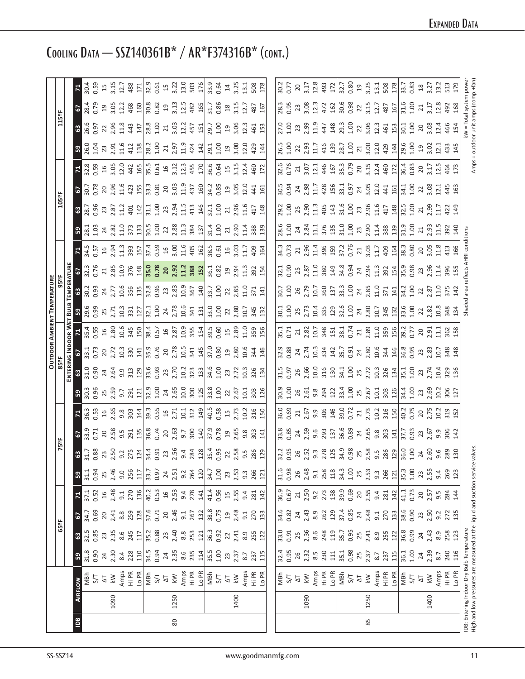|                |      |                                                                                                                    |                               |                                      |                            |                                                                       |                                                                                    |                                                                                                                                                                                                                                                                            |                                                                                  |                                                                                                                                                                                                                                                                                                    |                                                                                                                                                                                                                                                                                                                | <b>OUTDOOR AMBIENT TEMPERATUR</b>                                                                                                                                                                                                                                                                            |                                                                                                                                                                                                                                                                                                             |                                                                                                                                                                                                                                                                                                                                    |                                                                                                                                                                                                                                                                                                                     |                                                                                                                                                                                                                                   |                                                                                                                                                                                                                                                                                            |                                                                                                                                                                                                                                                                                                                                                                                                                                  |                                                                                                                                                                                                                                                                                                                |                                                                                                                                                                                                                                                                                                                     |                                                                                                                                                                                                                                |                                                                                                                                                                                                                                                                                                                                               |
|----------------|------|--------------------------------------------------------------------------------------------------------------------|-------------------------------|--------------------------------------|----------------------------|-----------------------------------------------------------------------|------------------------------------------------------------------------------------|----------------------------------------------------------------------------------------------------------------------------------------------------------------------------------------------------------------------------------------------------------------------------|----------------------------------------------------------------------------------|----------------------------------------------------------------------------------------------------------------------------------------------------------------------------------------------------------------------------------------------------------------------------------------------------|----------------------------------------------------------------------------------------------------------------------------------------------------------------------------------------------------------------------------------------------------------------------------------------------------------------|--------------------------------------------------------------------------------------------------------------------------------------------------------------------------------------------------------------------------------------------------------------------------------------------------------------|-------------------------------------------------------------------------------------------------------------------------------------------------------------------------------------------------------------------------------------------------------------------------------------------------------------|------------------------------------------------------------------------------------------------------------------------------------------------------------------------------------------------------------------------------------------------------------------------------------------------------------------------------------|---------------------------------------------------------------------------------------------------------------------------------------------------------------------------------------------------------------------------------------------------------------------------------------------------------------------|-----------------------------------------------------------------------------------------------------------------------------------------------------------------------------------------------------------------------------------|--------------------------------------------------------------------------------------------------------------------------------------------------------------------------------------------------------------------------------------------------------------------------------------------|----------------------------------------------------------------------------------------------------------------------------------------------------------------------------------------------------------------------------------------------------------------------------------------------------------------------------------------------------------------------------------------------------------------------------------|----------------------------------------------------------------------------------------------------------------------------------------------------------------------------------------------------------------------------------------------------------------------------------------------------------------|---------------------------------------------------------------------------------------------------------------------------------------------------------------------------------------------------------------------------------------------------------------------------------------------------------------------|--------------------------------------------------------------------------------------------------------------------------------------------------------------------------------------------------------------------------------|-----------------------------------------------------------------------------------------------------------------------------------------------------------------------------------------------------------------------------------------------------------------------------------------------------------------------------------------------|
|                |      |                                                                                                                    |                               | 65°F                                 |                            |                                                                       |                                                                                    |                                                                                                                                                                                                                                                                            |                                                                                  |                                                                                                                                                                                                                                                                                                    |                                                                                                                                                                                                                                                                                                                |                                                                                                                                                                                                                                                                                                              |                                                                                                                                                                                                                                                                                                             |                                                                                                                                                                                                                                                                                                                                    |                                                                                                                                                                                                                                                                                                                     |                                                                                                                                                                                                                                   |                                                                                                                                                                                                                                                                                            |                                                                                                                                                                                                                                                                                                                                                                                                                                  | 105°F                                                                                                                                                                                                                                                                                                          |                                                                                                                                                                                                                                                                                                                     |                                                                                                                                                                                                                                |                                                                                                                                                                                                                                                                                                                                               |
|                |      |                                                                                                                    |                               |                                      |                            |                                                                       |                                                                                    |                                                                                                                                                                                                                                                                            |                                                                                  |                                                                                                                                                                                                                                                                                                    |                                                                                                                                                                                                                                                                                                                |                                                                                                                                                                                                                                                                                                              |                                                                                                                                                                                                                                                                                                             |                                                                                                                                                                                                                                                                                                                                    |                                                                                                                                                                                                                                                                                                                     |                                                                                                                                                                                                                                   |                                                                                                                                                                                                                                                                                            |                                                                                                                                                                                                                                                                                                                                                                                                                                  |                                                                                                                                                                                                                                                                                                                |                                                                                                                                                                                                                                                                                                                     |                                                                                                                                                                                                                                |                                                                                                                                                                                                                                                                                                                                               |
| $\overline{a}$ |      | <b>AIRFLOW</b>                                                                                                     | 59                            | $\boldsymbol{\mathsf{s}}$            |                            |                                                                       |                                                                                    |                                                                                                                                                                                                                                                                            |                                                                                  |                                                                                                                                                                                                                                                                                                    |                                                                                                                                                                                                                                                                                                                |                                                                                                                                                                                                                                                                                                              |                                                                                                                                                                                                                                                                                                             |                                                                                                                                                                                                                                                                                                                                    |                                                                                                                                                                                                                                                                                                                     |                                                                                                                                                                                                                                   |                                                                                                                                                                                                                                                                                            |                                                                                                                                                                                                                                                                                                                                                                                                                                  |                                                                                                                                                                                                                                                                                                                |                                                                                                                                                                                                                                                                                                                     |                                                                                                                                                                                                                                |                                                                                                                                                                                                                                                                                                                                               |
|                |      |                                                                                                                    | 31.8                          |                                      | 34.7                       | 37.1                                                                  |                                                                                    |                                                                                                                                                                                                                                                                            |                                                                                  |                                                                                                                                                                                                                                                                                                    |                                                                                                                                                                                                                                                                                                                |                                                                                                                                                                                                                                                                                                              |                                                                                                                                                                                                                                                                                                             |                                                                                                                                                                                                                                                                                                                                    |                                                                                                                                                                                                                                                                                                                     |                                                                                                                                                                                                                                   |                                                                                                                                                                                                                                                                                            |                                                                                                                                                                                                                                                                                                                                                                                                                                  |                                                                                                                                                                                                                                                                                                                |                                                                                                                                                                                                                                                                                                                     |                                                                                                                                                                                                                                |                                                                                                                                                                                                                                                                                                                                               |
|                |      | 5/7                                                                                                                | 3.90                          | <b>0.85</b>                          | 0.69                       | 0.52                                                                  | 0.94                                                                               |                                                                                                                                                                                                                                                                            |                                                                                  |                                                                                                                                                                                                                                                                                                    |                                                                                                                                                                                                                                                                                                                |                                                                                                                                                                                                                                                                                                              |                                                                                                                                                                                                                                                                                                             |                                                                                                                                                                                                                                                                                                                                    |                                                                                                                                                                                                                                                                                                                     |                                                                                                                                                                                                                                   |                                                                                                                                                                                                                                                                                            |                                                                                                                                                                                                                                                                                                                                                                                                                                  |                                                                                                                                                                                                                                                                                                                |                                                                                                                                                                                                                                                                                                                     |                                                                                                                                                                                                                                |                                                                                                                                                                                                                                                                                                                                               |
|                | 1090 | $\leq$<br>$\overline{\mathcal{L}}$                                                                                 | $24$<br>$2.30$                | 23 <sub>0.35</sub>                   | 20 2:43<br>2:43<br>2:59    | $16$<br>$2.48$<br>$5.1$<br>$270$                                      | 25<br>2.46                                                                         | $3\frac{1}{22}$ $3\frac{1}{22}$ $3\frac{1}{22}$ $3\frac{1}{22}$ $3\frac{1}{22}$ $3\frac{1}{22}$ $3\frac{1}{22}$ $3\frac{1}{22}$ $3\frac{1}{22}$ $3\frac{1}{22}$ $3\frac{1}{22}$ $3\frac{1}{22}$ $3\frac{1}{22}$ $3\frac{1}{22}$ $3\frac{1}{22}$ $3\frac{1}{22}$            | $5.375$ $2.885$ $3.5718$ $3.522$ $2.635$ $3.527$ $3.527$ $3.527$ $3.527$ $3.527$ | $7\frac{8}{365}$ $\frac{8}{365}$ $\frac{8}{365}$ $\frac{81}{365}$ $\frac{81}{365}$ $\frac{81}{365}$ $\frac{81}{365}$ $\frac{81}{365}$ $\frac{81}{365}$ $\frac{81}{365}$ $\frac{81}{365}$ $\frac{81}{365}$ $\frac{81}{365}$ $\frac{81}{365}$ $\frac{81}{365}$ $\frac{81}{365}$ $\frac{81}{365}$ $\$ | $3.5$ $\frac{3}{2}$ $\frac{3}{2}$ $\frac{4}{2}$ $\frac{5}{2}$ $\frac{3}{2}$ $\frac{21}{2}$ $\frac{3}{2}$ $\frac{23}{2}$ $\frac{3}{2}$ $\frac{21}{2}$ $\frac{23}{2}$ $\frac{24}{2}$ $\frac{25}{2}$ $\frac{27}{2}$ $\frac{23}{2}$ $\frac{25}{2}$ $\frac{27}{2}$ $\frac{23}{2}$ $\frac{25}{2}$ $\frac{27}{2}$ $\$ | $5\frac{1}{33}$ $\frac{1}{33}$ $\frac{1}{33}$ $\frac{1}{33}$ $\frac{1}{33}$ $\frac{1}{33}$ $\frac{1}{33}$ $\frac{1}{33}$ $\frac{1}{33}$ $\frac{1}{33}$ $\frac{1}{33}$ $\frac{1}{33}$ $\frac{1}{33}$ $\frac{1}{33}$ $\frac{1}{33}$ $\frac{1}{33}$ $\frac{1}{33}$ $\frac{1}{33}$ $\frac{1}{33}$ $\frac{1}{33}$ | $\frac{1}{35}$ $\frac{1}{35}$ $\frac{1}{65}$ $\frac{1}{65}$ $\frac{1}{65}$ $\frac{1}{65}$ $\frac{1}{65}$ $\frac{1}{65}$ $\frac{1}{65}$ $\frac{1}{65}$ $\frac{1}{65}$ $\frac{1}{65}$ $\frac{1}{65}$ $\frac{1}{65}$ $\frac{1}{65}$ $\frac{1}{65}$ $\frac{1}{65}$ $\frac{1}{65}$ $\frac{1}{65}$ $\frac{1}{65}$ | $\mathbf{B}$ $\mathbf{S}$ $\mathbf{S}$ $\mathbf{S}$ $\mathbf{S}$ $\mathbf{S}$ $\mathbf{S}$ $\mathbf{S}$ $\mathbf{S}$ $\mathbf{S}$ $\mathbf{S}$ $\mathbf{S}$ $\mathbf{S}$ $\mathbf{S}$ $\mathbf{S}$ $\mathbf{S}$ $\mathbf{S}$ $\mathbf{S}$ $\mathbf{S}$ $\mathbf{S}$ $\mathbf{S}$ $\mathbf{S}$ $\mathbf{S}$ $\mathbf{S}$ $\mathbf{$ | $\frac{3}{8}$ $\frac{3}{8}$ $\frac{3}{8}$ $\frac{3}{8}$ $\frac{4}{8}$ $\frac{5}{8}$ $\frac{3}{8}$ $\frac{3}{8}$ $\frac{3}{8}$ $\frac{3}{8}$ $\frac{3}{8}$ $\frac{3}{8}$ $\frac{3}{8}$ $\frac{3}{8}$ $\frac{3}{8}$ $\frac{3}{8}$ $\frac{3}{8}$ $\frac{3}{8}$ $\frac{3}{8}$ $\frac{3}{8}$ $\frac{3}{8}$ $\frac{3}{8}$ | $5.235$ $2.3325$ $2.3325$ $2.3325$ $2.3325$ $2.3325$ $2.3325$ $2.3325$ $2.3325$ $2.3325$ $2.3325$ $2.3325$ $2.3325$ $2.3325$ $2.3325$ $2.3325$ $2.3325$ $2.3325$ $2.3325$ $2.3325$ $2.3325$ $2.3325$ $2.3325$ $2.3325$ $2.332$    | $\mathbf{z}$ a state of $\mathbf{z}$ a state of $\mathbf{z}$ and $\mathbf{z}$ a state of $\mathbf{z}$ and $\mathbf{z}$ a state of $\mathbf{z}$ and $\mathbf{z}$ a state of $\mathbf{z}$ and $\mathbf{z}$ and $\mathbf{z}$ and $\mathbf{z}$ and $\mathbf{z}$ and $\mathbf{z}$ and $\mathbf$ | $38\frac{13}{13}\frac{3}{13}\times\frac{13}{13}\times\frac{13}{13}\times\frac{13}{13}\times\frac{13}{13}\times\frac{13}{13}\times\frac{13}{13}\times\frac{13}{13}\times\frac{13}{13}\times\frac{13}{13}\times\frac{13}{13}\times\frac{13}{13}\times\frac{13}{13}\times\frac{13}{13}\times\frac{13}{13}\times\frac{13}{13}\times\frac{13}{13}\times\frac{13}{13}\times\frac{13}{13}\times\frac{13}{13}\times\frac{13}{13}\times\$ | $3.85$ $\frac{3}{2}$ $\frac{3}{2}$ $\frac{3}{2}$ $\frac{3}{2}$ $\frac{11}{2}$ $\frac{11}{2}$ $\frac{11}{2}$ $\frac{11}{2}$ $\frac{11}{2}$ $\frac{11}{2}$ $\frac{11}{2}$ $\frac{11}{2}$ $\frac{11}{2}$ $\frac{11}{2}$ $\frac{11}{2}$ $\frac{11}{2}$ $\frac{11}{2}$ $\frac{11}{2}$ $\frac{11}{2}$ $\frac{11}{2}$ | $\frac{1}{2}$ $\frac{3}{2}$ $\frac{3}{2}$ $\frac{1}{2}$ $\frac{4}{2}$ $\frac{5}{2}$ $\frac{1}{2}$ $\frac{1}{2}$ $\frac{1}{2}$ $\frac{3}{2}$ $\frac{1}{2}$ $\frac{3}{2}$ $\frac{1}{2}$ $\frac{3}{2}$ $\frac{1}{2}$ $\frac{3}{2}$ $\frac{1}{2}$ $\frac{3}{2}$ $\frac{1}{2}$ $\frac{3}{2}$ $\frac{1}{2}$ $\frac{3}{2}$ | $36.695$ $23.393$ $33.493$ $33.59$ $33.15$ $35.59$ $35.59$ $35.59$ $35.59$ $35.59$ $35.59$ $35.59$ $35.59$ $35.59$ $35.59$ $35.59$ $35.59$ $35.59$ $35.59$ $35.59$ $35.59$ $35.59$ $35.59$ $35.59$ $35.59$ $35.59$ $35.59$ $3$ | $\frac{1}{2}$ 3 3 4 5 5 6 7 6 7 7 8 7 7 8 7 7 8 7 7 8 7 7 8 7 7 8 7 7 8 7 7 8 7 8 7 7 8 7 8 7 8 7 8 7 8 7 8 7 8 7 8 7 8 7 8 7 8 7 8 7 8 7 8 7 8 7 8 7 8 7 8 7 8 7 8 7 8 7 8 7 8 7 8 7 8 7 8 7 8 7 8 7 8 7 8 7 8 7 8 7 8 7 8 7 8 7                                                                                                             |
|                |      |                                                                                                                    |                               |                                      |                            |                                                                       | 9.0                                                                                |                                                                                                                                                                                                                                                                            |                                                                                  |                                                                                                                                                                                                                                                                                                    |                                                                                                                                                                                                                                                                                                                |                                                                                                                                                                                                                                                                                                              |                                                                                                                                                                                                                                                                                                             |                                                                                                                                                                                                                                                                                                                                    |                                                                                                                                                                                                                                                                                                                     |                                                                                                                                                                                                                                   |                                                                                                                                                                                                                                                                                            |                                                                                                                                                                                                                                                                                                                                                                                                                                  |                                                                                                                                                                                                                                                                                                                |                                                                                                                                                                                                                                                                                                                     |                                                                                                                                                                                                                                |                                                                                                                                                                                                                                                                                                                                               |
|                |      | Amps<br>Hi PR<br><u>Lo</u> PR                                                                                      | $8.4$<br>228                  | 8.6<br>245                           |                            |                                                                       | 256                                                                                |                                                                                                                                                                                                                                                                            |                                                                                  |                                                                                                                                                                                                                                                                                                    |                                                                                                                                                                                                                                                                                                                |                                                                                                                                                                                                                                                                                                              |                                                                                                                                                                                                                                                                                                             |                                                                                                                                                                                                                                                                                                                                    |                                                                                                                                                                                                                                                                                                                     |                                                                                                                                                                                                                                   |                                                                                                                                                                                                                                                                                            |                                                                                                                                                                                                                                                                                                                                                                                                                                  |                                                                                                                                                                                                                                                                                                                |                                                                                                                                                                                                                                                                                                                     |                                                                                                                                                                                                                                |                                                                                                                                                                                                                                                                                                                                               |
|                |      |                                                                                                                    | 110                           | 117                                  |                            | 136                                                                   | 117                                                                                |                                                                                                                                                                                                                                                                            |                                                                                  |                                                                                                                                                                                                                                                                                                    |                                                                                                                                                                                                                                                                                                                |                                                                                                                                                                                                                                                                                                              |                                                                                                                                                                                                                                                                                                             |                                                                                                                                                                                                                                                                                                                                    |                                                                                                                                                                                                                                                                                                                     |                                                                                                                                                                                                                                   |                                                                                                                                                                                                                                                                                            |                                                                                                                                                                                                                                                                                                                                                                                                                                  |                                                                                                                                                                                                                                                                                                                |                                                                                                                                                                                                                                                                                                                     |                                                                                                                                                                                                                                |                                                                                                                                                                                                                                                                                                                                               |
|                |      | NBh<br>S/T<br>AT                                                                                                   | $34.5$<br>0.94<br>2.35<br>8.6 | $35.2$<br>0.88<br>2.3<br>2.4<br>8.8  | $\frac{128}{37.6}$         |                                                                       | $33.7$<br>0.97                                                                     |                                                                                                                                                                                                                                                                            |                                                                                  |                                                                                                                                                                                                                                                                                                    |                                                                                                                                                                                                                                                                                                                |                                                                                                                                                                                                                                                                                                              |                                                                                                                                                                                                                                                                                                             |                                                                                                                                                                                                                                                                                                                                    |                                                                                                                                                                                                                                                                                                                     |                                                                                                                                                                                                                                   |                                                                                                                                                                                                                                                                                            |                                                                                                                                                                                                                                                                                                                                                                                                                                  |                                                                                                                                                                                                                                                                                                                |                                                                                                                                                                                                                                                                                                                     |                                                                                                                                                                                                                                |                                                                                                                                                                                                                                                                                                                                               |
|                |      |                                                                                                                    |                               |                                      |                            |                                                                       |                                                                                    |                                                                                                                                                                                                                                                                            |                                                                                  |                                                                                                                                                                                                                                                                                                    |                                                                                                                                                                                                                                                                                                                |                                                                                                                                                                                                                                                                                                              |                                                                                                                                                                                                                                                                                                             |                                                                                                                                                                                                                                                                                                                                    |                                                                                                                                                                                                                                                                                                                     |                                                                                                                                                                                                                                   |                                                                                                                                                                                                                                                                                            |                                                                                                                                                                                                                                                                                                                                                                                                                                  |                                                                                                                                                                                                                                                                                                                |                                                                                                                                                                                                                                                                                                                     |                                                                                                                                                                                                                                |                                                                                                                                                                                                                                                                                                                                               |
|                |      |                                                                                                                    |                               |                                      | 20                         |                                                                       | 24                                                                                 |                                                                                                                                                                                                                                                                            |                                                                                  |                                                                                                                                                                                                                                                                                                    |                                                                                                                                                                                                                                                                                                                |                                                                                                                                                                                                                                                                                                              |                                                                                                                                                                                                                                                                                                             |                                                                                                                                                                                                                                                                                                                                    |                                                                                                                                                                                                                                                                                                                     |                                                                                                                                                                                                                                   |                                                                                                                                                                                                                                                                                            |                                                                                                                                                                                                                                                                                                                                                                                                                                  |                                                                                                                                                                                                                                                                                                                |                                                                                                                                                                                                                                                                                                                     |                                                                                                                                                                                                                                |                                                                                                                                                                                                                                                                                                                                               |
| 80             | 1250 | $\overline{\mathsf{k}}$ W                                                                                          |                               |                                      | 2.46                       |                                                                       |                                                                                    |                                                                                                                                                                                                                                                                            |                                                                                  |                                                                                                                                                                                                                                                                                                    |                                                                                                                                                                                                                                                                                                                |                                                                                                                                                                                                                                                                                                              |                                                                                                                                                                                                                                                                                                             |                                                                                                                                                                                                                                                                                                                                    |                                                                                                                                                                                                                                                                                                                     |                                                                                                                                                                                                                                   |                                                                                                                                                                                                                                                                                            |                                                                                                                                                                                                                                                                                                                                                                                                                                  |                                                                                                                                                                                                                                                                                                                |                                                                                                                                                                                                                                                                                                                     |                                                                                                                                                                                                                                |                                                                                                                                                                                                                                                                                                                                               |
|                |      | Amps<br>Hi PR<br>Lo PI<br>S/T                                                                                      |                               |                                      | 9.1                        |                                                                       | $2.51$<br>$9.2$ $84$<br>$29$<br>$7.7$                                              |                                                                                                                                                                                                                                                                            |                                                                                  |                                                                                                                                                                                                                                                                                                    |                                                                                                                                                                                                                                                                                                                |                                                                                                                                                                                                                                                                                                              |                                                                                                                                                                                                                                                                                                             |                                                                                                                                                                                                                                                                                                                                    |                                                                                                                                                                                                                                                                                                                     |                                                                                                                                                                                                                                   |                                                                                                                                                                                                                                                                                            |                                                                                                                                                                                                                                                                                                                                                                                                                                  |                                                                                                                                                                                                                                                                                                                |                                                                                                                                                                                                                                                                                                                     |                                                                                                                                                                                                                                |                                                                                                                                                                                                                                                                                                                                               |
|                |      |                                                                                                                    | 235                           | 253                                  |                            |                                                                       |                                                                                    |                                                                                                                                                                                                                                                                            |                                                                                  |                                                                                                                                                                                                                                                                                                    |                                                                                                                                                                                                                                                                                                                |                                                                                                                                                                                                                                                                                                              |                                                                                                                                                                                                                                                                                                             |                                                                                                                                                                                                                                                                                                                                    |                                                                                                                                                                                                                                                                                                                     |                                                                                                                                                                                                                                   |                                                                                                                                                                                                                                                                                            |                                                                                                                                                                                                                                                                                                                                                                                                                                  |                                                                                                                                                                                                                                                                                                                |                                                                                                                                                                                                                                                                                                                     |                                                                                                                                                                                                                                |                                                                                                                                                                                                                                                                                                                                               |
|                |      |                                                                                                                    |                               |                                      |                            |                                                                       |                                                                                    |                                                                                                                                                                                                                                                                            |                                                                                  |                                                                                                                                                                                                                                                                                                    |                                                                                                                                                                                                                                                                                                                |                                                                                                                                                                                                                                                                                                              |                                                                                                                                                                                                                                                                                                             |                                                                                                                                                                                                                                                                                                                                    |                                                                                                                                                                                                                                                                                                                     |                                                                                                                                                                                                                                   |                                                                                                                                                                                                                                                                                            |                                                                                                                                                                                                                                                                                                                                                                                                                                  |                                                                                                                                                                                                                                                                                                                |                                                                                                                                                                                                                                                                                                                     |                                                                                                                                                                                                                                |                                                                                                                                                                                                                                                                                                                                               |
|                |      |                                                                                                                    | $\frac{114}{35.5}$            | $\frac{121}{36.3}$                   | $\frac{267}{38.8}$<br>0.75 | 41.4<br>0.56                                                          |                                                                                    |                                                                                                                                                                                                                                                                            |                                                                                  |                                                                                                                                                                                                                                                                                                    |                                                                                                                                                                                                                                                                                                                |                                                                                                                                                                                                                                                                                                              |                                                                                                                                                                                                                                                                                                             |                                                                                                                                                                                                                                                                                                                                    |                                                                                                                                                                                                                                                                                                                     |                                                                                                                                                                                                                                   |                                                                                                                                                                                                                                                                                            |                                                                                                                                                                                                                                                                                                                                                                                                                                  |                                                                                                                                                                                                                                                                                                                |                                                                                                                                                                                                                                                                                                                     |                                                                                                                                                                                                                                |                                                                                                                                                                                                                                                                                                                                               |
|                |      |                                                                                                                    |                               |                                      |                            |                                                                       | 1.00                                                                               |                                                                                                                                                                                                                                                                            |                                                                                  |                                                                                                                                                                                                                                                                                                    |                                                                                                                                                                                                                                                                                                                |                                                                                                                                                                                                                                                                                                              |                                                                                                                                                                                                                                                                                                             |                                                                                                                                                                                                                                                                                                                                    |                                                                                                                                                                                                                                                                                                                     |                                                                                                                                                                                                                                   |                                                                                                                                                                                                                                                                                            |                                                                                                                                                                                                                                                                                                                                                                                                                                  |                                                                                                                                                                                                                                                                                                                |                                                                                                                                                                                                                                                                                                                     |                                                                                                                                                                                                                                |                                                                                                                                                                                                                                                                                                                                               |
|                |      | $\overline{\Delta}$                                                                                                | 23                            |                                      |                            |                                                                       | 23                                                                                 |                                                                                                                                                                                                                                                                            |                                                                                  |                                                                                                                                                                                                                                                                                                    |                                                                                                                                                                                                                                                                                                                |                                                                                                                                                                                                                                                                                                              |                                                                                                                                                                                                                                                                                                             |                                                                                                                                                                                                                                                                                                                                    |                                                                                                                                                                                                                                                                                                                     |                                                                                                                                                                                                                                   |                                                                                                                                                                                                                                                                                            |                                                                                                                                                                                                                                                                                                                                                                                                                                  |                                                                                                                                                                                                                                                                                                                |                                                                                                                                                                                                                                                                                                                     |                                                                                                                                                                                                                                |                                                                                                                                                                                                                                                                                                                                               |
|                | 1400 | KW                                                                                                                 | 2.37                          | $22 \over 2.41$                      | $19$<br>$2.48$             | $\begin{array}{c} 15 \\ 2.55 \end{array}$                             | 2.53                                                                               |                                                                                                                                                                                                                                                                            |                                                                                  |                                                                                                                                                                                                                                                                                                    |                                                                                                                                                                                                                                                                                                                |                                                                                                                                                                                                                                                                                                              |                                                                                                                                                                                                                                                                                                             |                                                                                                                                                                                                                                                                                                                                    |                                                                                                                                                                                                                                                                                                                     |                                                                                                                                                                                                                                   |                                                                                                                                                                                                                                                                                            |                                                                                                                                                                                                                                                                                                                                                                                                                                  |                                                                                                                                                                                                                                                                                                                |                                                                                                                                                                                                                                                                                                                     |                                                                                                                                                                                                                                |                                                                                                                                                                                                                                                                                                                                               |
|                |      | Amps                                                                                                               | 8.7                           |                                      | 9.1                        | 9.4                                                                   | 9.3                                                                                |                                                                                                                                                                                                                                                                            |                                                                                  |                                                                                                                                                                                                                                                                                                    |                                                                                                                                                                                                                                                                                                                |                                                                                                                                                                                                                                                                                                              |                                                                                                                                                                                                                                                                                                             |                                                                                                                                                                                                                                                                                                                                    |                                                                                                                                                                                                                                                                                                                     |                                                                                                                                                                                                                                   |                                                                                                                                                                                                                                                                                            |                                                                                                                                                                                                                                                                                                                                                                                                                                  |                                                                                                                                                                                                                                                                                                                |                                                                                                                                                                                                                                                                                                                     |                                                                                                                                                                                                                                |                                                                                                                                                                                                                                                                                                                                               |
|                |      |                                                                                                                    | 237                           | 8.9<br>255<br>21                     | 270                        | 281                                                                   |                                                                                    |                                                                                                                                                                                                                                                                            |                                                                                  |                                                                                                                                                                                                                                                                                                    |                                                                                                                                                                                                                                                                                                                |                                                                                                                                                                                                                                                                                                              |                                                                                                                                                                                                                                                                                                             |                                                                                                                                                                                                                                                                                                                                    |                                                                                                                                                                                                                                                                                                                     |                                                                                                                                                                                                                                   |                                                                                                                                                                                                                                                                                            |                                                                                                                                                                                                                                                                                                                                                                                                                                  |                                                                                                                                                                                                                                                                                                                |                                                                                                                                                                                                                                                                                                                     |                                                                                                                                                                                                                                |                                                                                                                                                                                                                                                                                                                                               |
|                |      | Hi PR<br>Lo PR                                                                                                     | 115                           |                                      | 133                        | $\frac{1}{4}$                                                         | 266<br>121                                                                         |                                                                                                                                                                                                                                                                            |                                                                                  |                                                                                                                                                                                                                                                                                                    |                                                                                                                                                                                                                                                                                                                |                                                                                                                                                                                                                                                                                                              |                                                                                                                                                                                                                                                                                                             |                                                                                                                                                                                                                                                                                                                                    |                                                                                                                                                                                                                                                                                                                     |                                                                                                                                                                                                                                   |                                                                                                                                                                                                                                                                                            |                                                                                                                                                                                                                                                                                                                                                                                                                                  |                                                                                                                                                                                                                                                                                                                |                                                                                                                                                                                                                                                                                                                     |                                                                                                                                                                                                                                |                                                                                                                                                                                                                                                                                                                                               |
|                |      |                                                                                                                    |                               |                                      |                            |                                                                       |                                                                                    |                                                                                                                                                                                                                                                                            |                                                                                  |                                                                                                                                                                                                                                                                                                    |                                                                                                                                                                                                                                                                                                                |                                                                                                                                                                                                                                                                                                              |                                                                                                                                                                                                                                                                                                             |                                                                                                                                                                                                                                                                                                                                    |                                                                                                                                                                                                                                                                                                                     |                                                                                                                                                                                                                                   |                                                                                                                                                                                                                                                                                            |                                                                                                                                                                                                                                                                                                                                                                                                                                  |                                                                                                                                                                                                                                                                                                                |                                                                                                                                                                                                                                                                                                                     |                                                                                                                                                                                                                                |                                                                                                                                                                                                                                                                                                                                               |
|                |      |                                                                                                                    |                               | 33.0                                 |                            |                                                                       | 31.6                                                                               |                                                                                                                                                                                                                                                                            |                                                                                  |                                                                                                                                                                                                                                                                                                    |                                                                                                                                                                                                                                                                                                                |                                                                                                                                                                                                                                                                                                              |                                                                                                                                                                                                                                                                                                             |                                                                                                                                                                                                                                                                                                                                    |                                                                                                                                                                                                                                                                                                                     |                                                                                                                                                                                                                                   |                                                                                                                                                                                                                                                                                            |                                                                                                                                                                                                                                                                                                                                                                                                                                  |                                                                                                                                                                                                                                                                                                                |                                                                                                                                                                                                                                                                                                                     |                                                                                                                                                                                                                                |                                                                                                                                                                                                                                                                                                                                               |
|                |      | ABh<br>S/T                                                                                                         | $32.4$<br>0.95                | 0.91                                 | 34.6<br>0.82               |                                                                       | 0.98                                                                               |                                                                                                                                                                                                                                                                            |                                                                                  |                                                                                                                                                                                                                                                                                                    |                                                                                                                                                                                                                                                                                                                |                                                                                                                                                                                                                                                                                                              |                                                                                                                                                                                                                                                                                                             |                                                                                                                                                                                                                                                                                                                                    |                                                                                                                                                                                                                                                                                                                     |                                                                                                                                                                                                                                   |                                                                                                                                                                                                                                                                                            |                                                                                                                                                                                                                                                                                                                                                                                                                                  |                                                                                                                                                                                                                                                                                                                |                                                                                                                                                                                                                                                                                                                     |                                                                                                                                                                                                                                |                                                                                                                                                                                                                                                                                                                                               |
|                |      | $\overline{\Delta}$                                                                                                | $2.32$<br>$2.32$              | 25                                   |                            |                                                                       | 26<br>2.48                                                                         |                                                                                                                                                                                                                                                                            |                                                                                  |                                                                                                                                                                                                                                                                                                    |                                                                                                                                                                                                                                                                                                                |                                                                                                                                                                                                                                                                                                              |                                                                                                                                                                                                                                                                                                             |                                                                                                                                                                                                                                                                                                                                    |                                                                                                                                                                                                                                                                                                                     |                                                                                                                                                                                                                                   |                                                                                                                                                                                                                                                                                            |                                                                                                                                                                                                                                                                                                                                                                                                                                  |                                                                                                                                                                                                                                                                                                                |                                                                                                                                                                                                                                                                                                                     |                                                                                                                                                                                                                                |                                                                                                                                                                                                                                                                                                                                               |
|                | 1090 | $\overline{k}$                                                                                                     |                               | 2.36                                 |                            |                                                                       |                                                                                    |                                                                                                                                                                                                                                                                            |                                                                                  |                                                                                                                                                                                                                                                                                                    |                                                                                                                                                                                                                                                                                                                |                                                                                                                                                                                                                                                                                                              |                                                                                                                                                                                                                                                                                                             |                                                                                                                                                                                                                                                                                                                                    |                                                                                                                                                                                                                                                                                                                     |                                                                                                                                                                                                                                   |                                                                                                                                                                                                                                                                                            |                                                                                                                                                                                                                                                                                                                                                                                                                                  |                                                                                                                                                                                                                                                                                                                |                                                                                                                                                                                                                                                                                                                     |                                                                                                                                                                                                                                |                                                                                                                                                                                                                                                                                                                                               |
|                |      | Amps<br>Hi PR<br>Lo PR                                                                                             |                               |                                      |                            |                                                                       |                                                                                    |                                                                                                                                                                                                                                                                            |                                                                                  |                                                                                                                                                                                                                                                                                                    |                                                                                                                                                                                                                                                                                                                |                                                                                                                                                                                                                                                                                                              |                                                                                                                                                                                                                                                                                                             |                                                                                                                                                                                                                                                                                                                                    |                                                                                                                                                                                                                                                                                                                     |                                                                                                                                                                                                                                   |                                                                                                                                                                                                                                                                                            |                                                                                                                                                                                                                                                                                                                                                                                                                                  |                                                                                                                                                                                                                                                                                                                |                                                                                                                                                                                                                                                                                                                     |                                                                                                                                                                                                                                |                                                                                                                                                                                                                                                                                                                                               |
|                |      |                                                                                                                    | 230                           |                                      |                            |                                                                       |                                                                                    |                                                                                                                                                                                                                                                                            |                                                                                  |                                                                                                                                                                                                                                                                                                    |                                                                                                                                                                                                                                                                                                                |                                                                                                                                                                                                                                                                                                              |                                                                                                                                                                                                                                                                                                             |                                                                                                                                                                                                                                                                                                                                    |                                                                                                                                                                                                                                                                                                                     |                                                                                                                                                                                                                                   |                                                                                                                                                                                                                                                                                            |                                                                                                                                                                                                                                                                                                                                                                                                                                  |                                                                                                                                                                                                                                                                                                                |                                                                                                                                                                                                                                                                                                                     |                                                                                                                                                                                                                                |                                                                                                                                                                                                                                                                                                                                               |
|                |      |                                                                                                                    |                               |                                      |                            |                                                                       |                                                                                    |                                                                                                                                                                                                                                                                            |                                                                                  |                                                                                                                                                                                                                                                                                                    |                                                                                                                                                                                                                                                                                                                |                                                                                                                                                                                                                                                                                                              |                                                                                                                                                                                                                                                                                                             |                                                                                                                                                                                                                                                                                                                                    |                                                                                                                                                                                                                                                                                                                     |                                                                                                                                                                                                                                   |                                                                                                                                                                                                                                                                                            |                                                                                                                                                                                                                                                                                                                                                                                                                                  |                                                                                                                                                                                                                                                                                                                |                                                                                                                                                                                                                                                                                                                     |                                                                                                                                                                                                                                |                                                                                                                                                                                                                                                                                                                                               |
|                |      | NBh<br>S/T<br>AT                                                                                                   | $\frac{11}{35}$ 38            | $\frac{8.6}{243}$ $\frac{19}{35}$ 35 |                            | $36.9$ $0.67$ $3.50$ $2.50$ $2.73$ $3.88$ $3.89$ $3.93$ $3.93$ $3.93$ | $\frac{3}{2}$ 5.8 $\frac{8}{2}$ $\frac{13}{2}$ 5.8 $\frac{8}{2}$ 5.9 $\frac{8}{2}$ |                                                                                                                                                                                                                                                                            |                                                                                  |                                                                                                                                                                                                                                                                                                    |                                                                                                                                                                                                                                                                                                                |                                                                                                                                                                                                                                                                                                              |                                                                                                                                                                                                                                                                                                             |                                                                                                                                                                                                                                                                                                                                    |                                                                                                                                                                                                                                                                                                                     |                                                                                                                                                                                                                                   |                                                                                                                                                                                                                                                                                            |                                                                                                                                                                                                                                                                                                                                                                                                                                  |                                                                                                                                                                                                                                                                                                                |                                                                                                                                                                                                                                                                                                                     |                                                                                                                                                                                                                                |                                                                                                                                                                                                                                                                                                                                               |
|                |      |                                                                                                                    |                               |                                      |                            |                                                                       |                                                                                    |                                                                                                                                                                                                                                                                            |                                                                                  |                                                                                                                                                                                                                                                                                                    |                                                                                                                                                                                                                                                                                                                |                                                                                                                                                                                                                                                                                                              |                                                                                                                                                                                                                                                                                                             |                                                                                                                                                                                                                                                                                                                                    |                                                                                                                                                                                                                                                                                                                     |                                                                                                                                                                                                                                   |                                                                                                                                                                                                                                                                                            |                                                                                                                                                                                                                                                                                                                                                                                                                                  |                                                                                                                                                                                                                                                                                                                |                                                                                                                                                                                                                                                                                                                     |                                                                                                                                                                                                                                |                                                                                                                                                                                                                                                                                                                                               |
|                |      |                                                                                                                    | 2.37                          | 25                                   |                            |                                                                       |                                                                                    |                                                                                                                                                                                                                                                                            |                                                                                  |                                                                                                                                                                                                                                                                                                    |                                                                                                                                                                                                                                                                                                                |                                                                                                                                                                                                                                                                                                              |                                                                                                                                                                                                                                                                                                             |                                                                                                                                                                                                                                                                                                                                    |                                                                                                                                                                                                                                                                                                                     |                                                                                                                                                                                                                                   |                                                                                                                                                                                                                                                                                            |                                                                                                                                                                                                                                                                                                                                                                                                                                  |                                                                                                                                                                                                                                                                                                                |                                                                                                                                                                                                                                                                                                                     |                                                                                                                                                                                                                                |                                                                                                                                                                                                                                                                                                                                               |
| 85             | 1250 | $\overline{\mathsf{k}}$ W                                                                                          |                               | 2.41<br>8.9<br>255                   |                            | $2.55$<br>$9.4$<br>$2.81$                                             |                                                                                    |                                                                                                                                                                                                                                                                            |                                                                                  |                                                                                                                                                                                                                                                                                                    |                                                                                                                                                                                                                                                                                                                |                                                                                                                                                                                                                                                                                                              |                                                                                                                                                                                                                                                                                                             |                                                                                                                                                                                                                                                                                                                                    |                                                                                                                                                                                                                                                                                                                     |                                                                                                                                                                                                                                   |                                                                                                                                                                                                                                                                                            |                                                                                                                                                                                                                                                                                                                                                                                                                                  |                                                                                                                                                                                                                                                                                                                |                                                                                                                                                                                                                                                                                                                     |                                                                                                                                                                                                                                |                                                                                                                                                                                                                                                                                                                                               |
|                |      |                                                                                                                    | 8.7                           |                                      |                            |                                                                       |                                                                                    |                                                                                                                                                                                                                                                                            |                                                                                  |                                                                                                                                                                                                                                                                                                    |                                                                                                                                                                                                                                                                                                                |                                                                                                                                                                                                                                                                                                              |                                                                                                                                                                                                                                                                                                             |                                                                                                                                                                                                                                                                                                                                    |                                                                                                                                                                                                                                                                                                                     |                                                                                                                                                                                                                                   |                                                                                                                                                                                                                                                                                            |                                                                                                                                                                                                                                                                                                                                                                                                                                  |                                                                                                                                                                                                                                                                                                                |                                                                                                                                                                                                                                                                                                                     |                                                                                                                                                                                                                                |                                                                                                                                                                                                                                                                                                                                               |
|                |      | Amps<br>Hi PR<br>Lo PR                                                                                             | 237                           |                                      |                            |                                                                       | $2.53$ $3.3$ $8.5$ $1$                                                             |                                                                                                                                                                                                                                                                            |                                                                                  |                                                                                                                                                                                                                                                                                                    |                                                                                                                                                                                                                                                                                                                |                                                                                                                                                                                                                                                                                                              |                                                                                                                                                                                                                                                                                                             |                                                                                                                                                                                                                                                                                                                                    |                                                                                                                                                                                                                                                                                                                     |                                                                                                                                                                                                                                   |                                                                                                                                                                                                                                                                                            |                                                                                                                                                                                                                                                                                                                                                                                                                                  |                                                                                                                                                                                                                                                                                                                |                                                                                                                                                                                                                                                                                                                     |                                                                                                                                                                                                                                |                                                                                                                                                                                                                                                                                                                                               |
|                |      |                                                                                                                    | 115                           | 122                                  | 133                        | 142                                                                   |                                                                                    |                                                                                                                                                                                                                                                                            |                                                                                  |                                                                                                                                                                                                                                                                                                    |                                                                                                                                                                                                                                                                                                                |                                                                                                                                                                                                                                                                                                              |                                                                                                                                                                                                                                                                                                             |                                                                                                                                                                                                                                                                                                                                    |                                                                                                                                                                                                                                                                                                                     |                                                                                                                                                                                                                                   |                                                                                                                                                                                                                                                                                            |                                                                                                                                                                                                                                                                                                                                                                                                                                  |                                                                                                                                                                                                                                                                                                                |                                                                                                                                                                                                                                                                                                                     |                                                                                                                                                                                                                                |                                                                                                                                                                                                                                                                                                                                               |
|                |      | NBh<br>S/T                                                                                                         | $36.1$<br>$1.00$              | 36.8<br>0.99                         | 38.6<br>0.90               | 41.1                                                                  | $\frac{35.3}{1.00}$                                                                |                                                                                                                                                                                                                                                                            |                                                                                  |                                                                                                                                                                                                                                                                                                    |                                                                                                                                                                                                                                                                                                                |                                                                                                                                                                                                                                                                                                              |                                                                                                                                                                                                                                                                                                             |                                                                                                                                                                                                                                                                                                                                    |                                                                                                                                                                                                                                                                                                                     |                                                                                                                                                                                                                                   |                                                                                                                                                                                                                                                                                            |                                                                                                                                                                                                                                                                                                                                                                                                                                  |                                                                                                                                                                                                                                                                                                                |                                                                                                                                                                                                                                                                                                                     |                                                                                                                                                                                                                                |                                                                                                                                                                                                                                                                                                                                               |
|                |      |                                                                                                                    |                               |                                      |                            | 0.73                                                                  |                                                                                    |                                                                                                                                                                                                                                                                            |                                                                                  |                                                                                                                                                                                                                                                                                                    |                                                                                                                                                                                                                                                                                                                |                                                                                                                                                                                                                                                                                                              |                                                                                                                                                                                                                                                                                                             |                                                                                                                                                                                                                                                                                                                                    |                                                                                                                                                                                                                                                                                                                     |                                                                                                                                                                                                                                   |                                                                                                                                                                                                                                                                                            |                                                                                                                                                                                                                                                                                                                                                                                                                                  |                                                                                                                                                                                                                                                                                                                |                                                                                                                                                                                                                                                                                                                     |                                                                                                                                                                                                                                |                                                                                                                                                                                                                                                                                                                                               |
|                |      | $\overline{\Delta}$                                                                                                | 24                            | $24 \over 2.43$                      | 23 <sub>2.50</sub>         | 2.57                                                                  | 23.55                                                                              |                                                                                                                                                                                                                                                                            |                                                                                  |                                                                                                                                                                                                                                                                                                    |                                                                                                                                                                                                                                                                                                                |                                                                                                                                                                                                                                                                                                              |                                                                                                                                                                                                                                                                                                             |                                                                                                                                                                                                                                                                                                                                    |                                                                                                                                                                                                                                                                                                                     |                                                                                                                                                                                                                                   |                                                                                                                                                                                                                                                                                            |                                                                                                                                                                                                                                                                                                                                                                                                                                  |                                                                                                                                                                                                                                                                                                                |                                                                                                                                                                                                                                                                                                                     |                                                                                                                                                                                                                                |                                                                                                                                                                                                                                                                                                                                               |
|                | 1400 | $\overline{\mathsf{k}}$ W                                                                                          | 2.39                          |                                      |                            |                                                                       |                                                                                    |                                                                                                                                                                                                                                                                            |                                                                                  |                                                                                                                                                                                                                                                                                                    |                                                                                                                                                                                                                                                                                                                |                                                                                                                                                                                                                                                                                                              |                                                                                                                                                                                                                                                                                                             |                                                                                                                                                                                                                                                                                                                                    |                                                                                                                                                                                                                                                                                                                     |                                                                                                                                                                                                                                   |                                                                                                                                                                                                                                                                                            |                                                                                                                                                                                                                                                                                                                                                                                                                                  |                                                                                                                                                                                                                                                                                                                |                                                                                                                                                                                                                                                                                                                     |                                                                                                                                                                                                                                |                                                                                                                                                                                                                                                                                                                                               |
|                |      | Amps<br>Hi PR                                                                                                      | 8.7                           | 8.9                                  | 9.2                        | 9.5                                                                   | 9.4                                                                                |                                                                                                                                                                                                                                                                            |                                                                                  |                                                                                                                                                                                                                                                                                                    |                                                                                                                                                                                                                                                                                                                |                                                                                                                                                                                                                                                                                                              |                                                                                                                                                                                                                                                                                                             |                                                                                                                                                                                                                                                                                                                                    |                                                                                                                                                                                                                                                                                                                     |                                                                                                                                                                                                                                   |                                                                                                                                                                                                                                                                                            |                                                                                                                                                                                                                                                                                                                                                                                                                                  |                                                                                                                                                                                                                                                                                                                |                                                                                                                                                                                                                                                                                                                     |                                                                                                                                                                                                                                |                                                                                                                                                                                                                                                                                                                                               |
|                |      | L <sub>O</sub> PR                                                                                                  | 240<br>116                    | 258<br>123                           | 272<br>135                 | 284<br>144                                                            | 269<br>123                                                                         | $\begin{array}{c} 23.95 & 25.8 & 25.8 & 25.8 & 25.8 & 25.8 & 25.8 & 25.8 & 25.8 & 25.8 & 25.8 & 25.8 & 25.8 & 25.8 & 25.8 & 25.8 & 25.8 & 25.8 & 25.8 & 25.8 & 25.8 & 25.8 & 25.8 & 25.8 & 25.8 & 25.8 & 25.8 & 25.8 & 25.8 & 25.8 & 25.8 & 25.8 & 25.8 & 25.8 & 25.8 & 2$ |                                                                                  |                                                                                                                                                                                                                                                                                                    |                                                                                                                                                                                                                                                                                                                | $\begin{array}{c} 23.83 & 74.7 & 23.7 & 24.8 & 25.7 & 25.7 & 25.7 & 26.7 & 27.7 & 28.7 & 27.7 & 28.7 & 29.7 & 20.7 & 27.7 & 28.7 & 29.7 & 20.7 & 27.7 & 28.7 & 29.7 & 20.7 & 20.7 & 27.7 & 28.7 & 29.7 & 20.7 & 20.7 & 20.7 & 20.7 & 20.7 & 20.7 & 20.7 & 20.7 & 20.7 & 2$                                   |                                                                                                                                                                                                                                                                                                             | $\begin{array}{c} 3.05 & 0.07 & 0.07 & 0.07 & 0.07 & 0.07 & 0.07 & 0.07 & 0.07 & 0.07 & 0.07 & 0.07 & 0.07 & 0.07 & 0.07 & 0.07 & 0.07 & 0.07 & 0.07 & 0.07 & 0.07 & 0.07 & 0.07 & 0.07 & 0.07 & 0.07 & 0.07 & 0.07 & 0.07 & 0.07 & 0.07 & 0.07 & 0.07 & 0.07 & 0.07 & 0.$                                                         | $\begin{array}{l} 1.65 \\ 1.66 \\ 1.76 \\ 2.87 \\ 3.17 \\ 4.19 \\ 5.10 \\ 5.10 \\ 5.10 \\ 5.10 \\ 5.10 \\ 5.10 \\ 5.10 \\ 5.10 \\ 5.10 \\ 5.10 \\ 5.10 \\ 5.10 \\ 5.10 \\ 5.10 \\ 5.10 \\ 5.10 \\ 5.10 \\ 5.10 \\ 5.10 \\ 5.10 \\ 5.11 \\ 5.11 \\ 5.12 \\ 5.13 \\ 5.14 \\ 5.15 \\ 5.16 \\ 5.17 \\ 5.18 \\ 5.$       | $\frac{1}{22}$ and the state of the state of the state of the state of the state of the state of the state of the state of the state of the state of the state of the state of the state of the state of the state of the state o |                                                                                                                                                                                                                                                                                            |                                                                                                                                                                                                                                                                                                                                                                                                                                  | 2010 2020 2020 2020 2020 2021 2022 2021 2022 2021 2022 2021 2022 2021 2022 2021 2021 2021 2021 2022 2021 2022                                                                                                                                                                                                  | $\frac{16}{32}$ , $\frac{16}{32}$ , $\frac{11}{32}$ , $\frac{16}{32}$ , $\frac{11}{32}$ , $\frac{11}{32}$ , $\frac{11}{32}$ , $\frac{11}{32}$ , $\frac{11}{32}$ , $\frac{11}{32}$ , $\frac{11}{32}$ , $\frac{11}{32}$ , $\frac{11}{32}$ , $\frac{11}{32}$ , $\frac{11}{32}$ , $\frac{11}{32}$ , $\frac{11}{32}$ ,   | 22 22 32 32 32 32 32 32 33 34 35 36 37 38 37 38 37 38 37 38 37 4 58 40 31 32 32 33 40 40 31 32 33 40 54 55 40<br>22 32 33 43 54 55 56 57 57 58 59 50 50 51 52 53 53 54 55 55 56 57 56 57 56 57 57 57 57 57 57 57 57 57 57 57 5 | $\frac{1}{20}$<br>$\frac{1}{20}$<br>$\frac{1}{20}$<br>$\frac{1}{20}$<br>$\frac{1}{20}$<br>$\frac{1}{20}$<br>$\frac{1}{20}$<br>$\frac{1}{20}$<br>$\frac{1}{20}$<br>$\frac{1}{20}$<br>$\frac{1}{20}$<br>$\frac{1}{20}$<br>$\frac{1}{20}$<br>$\frac{1}{20}$<br>$\frac{1}{20}$<br>$\frac{1}{20}$<br>$\frac{1}{20}$<br>$\frac{1}{20}$<br>$\frac{1$ |
|                |      |                                                                                                                    |                               |                                      |                            |                                                                       |                                                                                    |                                                                                                                                                                                                                                                                            |                                                                                  |                                                                                                                                                                                                                                                                                                    |                                                                                                                                                                                                                                                                                                                |                                                                                                                                                                                                                                                                                                              |                                                                                                                                                                                                                                                                                                             |                                                                                                                                                                                                                                                                                                                                    |                                                                                                                                                                                                                                                                                                                     |                                                                                                                                                                                                                                   |                                                                                                                                                                                                                                                                                            |                                                                                                                                                                                                                                                                                                                                                                                                                                  |                                                                                                                                                                                                                                                                                                                |                                                                                                                                                                                                                                                                                                                     |                                                                                                                                                                                                                                |                                                                                                                                                                                                                                                                                                                                               |
|                |      | High and low pressures are measured at the liquid and suction service<br>IDB: Entering Indoor Dry Bulb Temperature |                               |                                      |                            |                                                                       |                                                                                    | valves                                                                                                                                                                                                                                                                     |                                                                                  |                                                                                                                                                                                                                                                                                                    |                                                                                                                                                                                                                                                                                                                |                                                                                                                                                                                                                                                                                                              |                                                                                                                                                                                                                                                                                                             |                                                                                                                                                                                                                                                                                                                                    |                                                                                                                                                                                                                                                                                                                     |                                                                                                                                                                                                                                   |                                                                                                                                                                                                                                                                                            |                                                                                                                                                                                                                                                                                                                                                                                                                                  |                                                                                                                                                                                                                                                                                                                |                                                                                                                                                                                                                                                                                                                     |                                                                                                                                                                                                                                |                                                                                                                                                                                                                                                                                                                                               |

**Cooling Data — SSZ140361B\* / AR\*F374316B\* (cont.)**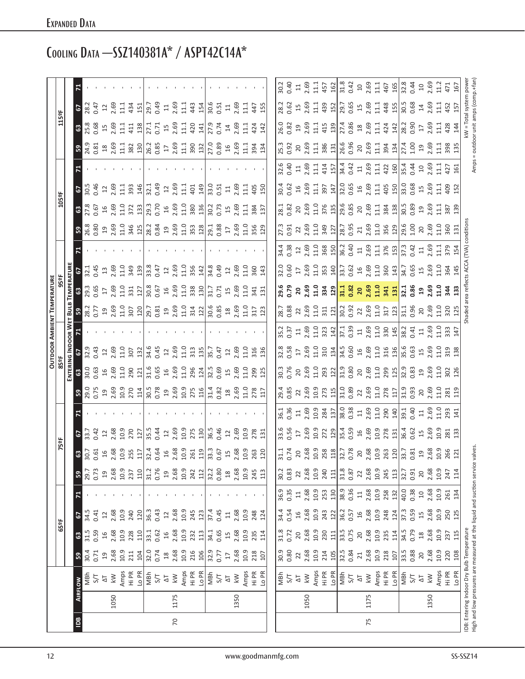|                 |      |                                                                              |                              |                | 65°F            |                |                |                                                                                                                                                                                                                                                                                                                                                                                               |                                                                                                                                                                                                                                                                                                             |  |                                                                                                                                                                                                                                                                                                                                           |                                                                                                                                                                                                                                      |                                                                                                                                                                                                                                                                                                                        |                                                                                                                                                                                                                                                                                                                                                                                |                                                                                                                                                                                                                                                                                                                     |                                                                                         |                                                                                                                                         |                                                                                                                                                                                                                                                                                                                     |      |                                                                                                                                                                                                                                                                                                                                                           |                                                                                                                                                                                                                                                                                  |  |
|-----------------|------|------------------------------------------------------------------------------|------------------------------|----------------|-----------------|----------------|----------------|-----------------------------------------------------------------------------------------------------------------------------------------------------------------------------------------------------------------------------------------------------------------------------------------------------------------------------------------------------------------------------------------------|-------------------------------------------------------------------------------------------------------------------------------------------------------------------------------------------------------------------------------------------------------------------------------------------------------------|--|-------------------------------------------------------------------------------------------------------------------------------------------------------------------------------------------------------------------------------------------------------------------------------------------------------------------------------------------|--------------------------------------------------------------------------------------------------------------------------------------------------------------------------------------------------------------------------------------|------------------------------------------------------------------------------------------------------------------------------------------------------------------------------------------------------------------------------------------------------------------------------------------------------------------------|--------------------------------------------------------------------------------------------------------------------------------------------------------------------------------------------------------------------------------------------------------------------------------------------------------------------------------------------------------------------------------|---------------------------------------------------------------------------------------------------------------------------------------------------------------------------------------------------------------------------------------------------------------------------------------------------------------------|-----------------------------------------------------------------------------------------|-----------------------------------------------------------------------------------------------------------------------------------------|---------------------------------------------------------------------------------------------------------------------------------------------------------------------------------------------------------------------------------------------------------------------------------------------------------------------|------|-----------------------------------------------------------------------------------------------------------------------------------------------------------------------------------------------------------------------------------------------------------------------------------------------------------------------------------------------------------|----------------------------------------------------------------------------------------------------------------------------------------------------------------------------------------------------------------------------------------------------------------------------------|--|
|                 |      |                                                                              |                              |                |                 |                |                |                                                                                                                                                                                                                                                                                                                                                                                               |                                                                                                                                                                                                                                                                                                             |  |                                                                                                                                                                                                                                                                                                                                           |                                                                                                                                                                                                                                      |                                                                                                                                                                                                                                                                                                                        |                                                                                                                                                                                                                                                                                                                                                                                |                                                                                                                                                                                                                                                                                                                     |                                                                                         |                                                                                                                                         |                                                                                                                                                                                                                                                                                                                     |      |                                                                                                                                                                                                                                                                                                                                                           |                                                                                                                                                                                                                                                                                  |  |
| 1DB             |      | AIRFLOW                                                                      | ္တ                           | ය              | 6               |                |                |                                                                                                                                                                                                                                                                                                                                                                                               |                                                                                                                                                                                                                                                                                                             |  |                                                                                                                                                                                                                                                                                                                                           |                                                                                                                                                                                                                                      |                                                                                                                                                                                                                                                                                                                        |                                                                                                                                                                                                                                                                                                                                                                                |                                                                                                                                                                                                                                                                                                                     |                                                                                         |                                                                                                                                         |                                                                                                                                                                                                                                                                                                                     |      |                                                                                                                                                                                                                                                                                                                                                           |                                                                                                                                                                                                                                                                                  |  |
|                 |      | MBh                                                                          | 30.4                         | 31.5           | 34.5            |                | 29.7           |                                                                                                                                                                                                                                                                                                                                                                                               |                                                                                                                                                                                                                                                                                                             |  |                                                                                                                                                                                                                                                                                                                                           |                                                                                                                                                                                                                                      |                                                                                                                                                                                                                                                                                                                        |                                                                                                                                                                                                                                                                                                                                                                                |                                                                                                                                                                                                                                                                                                                     |                                                                                         |                                                                                                                                         |                                                                                                                                                                                                                                                                                                                     |      |                                                                                                                                                                                                                                                                                                                                                           |                                                                                                                                                                                                                                                                                  |  |
|                 |      | 5/7                                                                          | 0.71                         | 0.59           | 0.41            |                | 0.73           |                                                                                                                                                                                                                                                                                                                                                                                               |                                                                                                                                                                                                                                                                                                             |  |                                                                                                                                                                                                                                                                                                                                           |                                                                                                                                                                                                                                      |                                                                                                                                                                                                                                                                                                                        |                                                                                                                                                                                                                                                                                                                                                                                |                                                                                                                                                                                                                                                                                                                     |                                                                                         |                                                                                                                                         |                                                                                                                                                                                                                                                                                                                     |      |                                                                                                                                                                                                                                                                                                                                                           |                                                                                                                                                                                                                                                                                  |  |
|                 |      | $\overline{\Delta}$                                                          | $\overline{c}$               | $\frac{9}{2}$  | $\overline{12}$ |                | 19             |                                                                                                                                                                                                                                                                                                                                                                                               |                                                                                                                                                                                                                                                                                                             |  |                                                                                                                                                                                                                                                                                                                                           |                                                                                                                                                                                                                                      |                                                                                                                                                                                                                                                                                                                        |                                                                                                                                                                                                                                                                                                                                                                                |                                                                                                                                                                                                                                                                                                                     |                                                                                         |                                                                                                                                         |                                                                                                                                                                                                                                                                                                                     |      |                                                                                                                                                                                                                                                                                                                                                           |                                                                                                                                                                                                                                                                                  |  |
|                 | 1050 | $\geq$                                                                       | 2.68                         | 2.68           | 2.68            |                | 2.68           |                                                                                                                                                                                                                                                                                                                                                                                               |                                                                                                                                                                                                                                                                                                             |  |                                                                                                                                                                                                                                                                                                                                           |                                                                                                                                                                                                                                      |                                                                                                                                                                                                                                                                                                                        |                                                                                                                                                                                                                                                                                                                                                                                |                                                                                                                                                                                                                                                                                                                     |                                                                                         |                                                                                                                                         |                                                                                                                                                                                                                                                                                                                     |      |                                                                                                                                                                                                                                                                                                                                                           |                                                                                                                                                                                                                                                                                  |  |
|                 |      |                                                                              | 10.9                         | 10.9           | 10.9            |                | 10.9           |                                                                                                                                                                                                                                                                                                                                                                                               |                                                                                                                                                                                                                                                                                                             |  |                                                                                                                                                                                                                                                                                                                                           |                                                                                                                                                                                                                                      |                                                                                                                                                                                                                                                                                                                        |                                                                                                                                                                                                                                                                                                                                                                                |                                                                                                                                                                                                                                                                                                                     |                                                                                         |                                                                                                                                         |                                                                                                                                                                                                                                                                                                                     |      |                                                                                                                                                                                                                                                                                                                                                           |                                                                                                                                                                                                                                                                                  |  |
|                 |      | Amps<br>Hi PR                                                                | 211                          | 228            | 240             |                | 237            |                                                                                                                                                                                                                                                                                                                                                                                               |                                                                                                                                                                                                                                                                                                             |  |                                                                                                                                                                                                                                                                                                                                           |                                                                                                                                                                                                                                      |                                                                                                                                                                                                                                                                                                                        |                                                                                                                                                                                                                                                                                                                                                                                |                                                                                                                                                                                                                                                                                                                     |                                                                                         |                                                                                                                                         |                                                                                                                                                                                                                                                                                                                     |      |                                                                                                                                                                                                                                                                                                                                                           |                                                                                                                                                                                                                                                                                  |  |
|                 |      | Lo PR                                                                        | 104                          | 110            | 120             |                | 110            | $3.565$ $3.3333$ $3.51$ $3.365$ $3.3333$ $3.333$ $3.333$ $3.333$                                                                                                                                                                                                                                                                                                                              | $5\frac{1}{3}$ $3\frac{2}{3}$ $2\frac{2}{3}$ $3\frac{2}{3}$ $2\frac{1}{3}$ $3\frac{1}{3}$ $3\frac{3}{4}$ $2\frac{2}{3}$ $3\frac{2}{3}$ $2\frac{1}{3}$ $3\frac{1}{3}$ $3\frac{1}{3}$ $3\frac{1}{3}$ $3\frac{1}{3}$ $3\frac{1}{3}$ $3\frac{1}{3}$ $3\frac{1}{3}$ $3\frac{1}{3}$ $3\frac{1}{3}$ $3\frac{1}{3}$ |  | $3\frac{3}{8}$ $3\frac{3}{8}$ $4\frac{3}{8}$ $3\frac{1}{1}$ $3\frac{3}{8}$ $4\frac{3}{8}$ $4\frac{3}{8}$ $4\frac{3}{8}$ $4\frac{3}{8}$ $4\frac{3}{8}$ $4\frac{3}{8}$ $4\frac{3}{8}$ $4\frac{3}{8}$ $4\frac{3}{8}$ $4\frac{3}{8}$ $4\frac{3}{8}$ $4\frac{3}{8}$ $4\frac{3}{8}$ $4\frac{3}{8}$ $4\frac{3}{8}$ $4\frac{3}{8}$ $4\frac{3}{8}$ | $5.333$ $3.49$ $3.53$ $3.49$ $3.53$ $3.49$ $3.53$ $3.49$ $3.53$ $3.43$ $3.43$ $3.43$ $3.43$ $3.43$ $3.43$ $3.43$                                                                                                                     | $\frac{8}{8}$ $\frac{3}{8}$ $\frac{5}{2}$ $\frac{6}{2}$ $\frac{1}{2}$ $\frac{5}{8}$ $\frac{21}{2}$ $\frac{5}{8}$ $\frac{3}{8}$ $\frac{21}{2}$ $\frac{3}{8}$ $\frac{3}{8}$ $\frac{21}{2}$ $\frac{3}{8}$ $\frac{3}{8}$ $\frac{21}{2}$ $\frac{3}{8}$ $\frac{3}{8}$ $\frac{21}{2}$ $\frac{3}{8}$ $\frac{3}{4}$ $\frac{3}{$ | $30.55$ $\overline{5}$ $\overline{2}$ $\overline{3}$ $\overline{2}$ $\overline{3}$ $\overline{2}$ $\overline{3}$ $\overline{2}$ $\overline{3}$ $\overline{2}$ $\overline{3}$ $\overline{2}$ $\overline{3}$ $\overline{2}$ $\overline{3}$ $\overline{2}$ $\overline{3}$ $\overline{2}$ $\overline{3}$ $\overline{2}$ $\overline{3}$ $\overline{2}$ $\overline{3}$ $\overline{2$ | $\frac{1}{2}$ $\frac{1}{2}$ $\frac{1}{3}$ $\frac{1}{3}$ $\frac{1}{3}$ $\frac{1}{3}$ $\frac{1}{3}$ $\frac{1}{3}$ $\frac{1}{3}$ $\frac{1}{3}$ $\frac{1}{3}$ $\frac{1}{3}$ $\frac{1}{3}$ $\frac{1}{3}$ $\frac{1}{3}$ $\frac{1}{3}$ $\frac{1}{3}$ $\frac{1}{3}$ $\frac{1}{3}$ $\frac{1}{3}$ $\frac{1}{3}$ $\frac{1}{3}$ | $36.88$ $32.32$ $33.43$ $33.82$ $33.43$ $33.43$ $33.43$ $33.43$ $33.43$ $33.43$ $33.43$ | $3.785$ $2.993$ $3.733$ $3.893$ $3.733$ $3.733$ $3.733$ $3.733$ $3.733$ $3.733$ $3.733$ $3.733$ $3.733$ $3.733$ $3.733$ $3.733$ $3.733$ | $\frac{1}{2}$ $\frac{1}{2}$ $\frac{1}{2}$ $\frac{1}{2}$ $\frac{1}{2}$ $\frac{1}{2}$ $\frac{1}{2}$ $\frac{1}{2}$ $\frac{1}{2}$ $\frac{1}{2}$ $\frac{1}{2}$ $\frac{1}{2}$ $\frac{1}{2}$ $\frac{1}{2}$ $\frac{1}{2}$ $\frac{1}{2}$ $\frac{1}{2}$ $\frac{1}{2}$ $\frac{1}{2}$ $\frac{1}{2}$ $\frac{1}{2}$ $\frac{1}{2}$ |      | $3\frac{3}{2}$ $\frac{3}{2}$ $\frac{3}{2}$ $\frac{3}{2}$ $\frac{3}{2}$ $\frac{3}{2}$ $\frac{3}{2}$ $\frac{3}{2}$ $\frac{3}{2}$ $\frac{3}{2}$ $\frac{3}{2}$ $\frac{3}{2}$ $\frac{3}{2}$ $\frac{3}{2}$ $\frac{3}{2}$ $\frac{3}{2}$ $\frac{3}{2}$ $\frac{3}{2}$ $\frac{3}{2}$ $\frac{3}{2}$ $\frac{3}{2}$ $\frac{3}{2}$ $\frac{3}{2}$ $\frac{3}{2}$ $\frac{$ | <b>은</b> 영금 여 비용 등 등 등 등 등 등 등 등 등 등 등 등 등 등 등<br>$3.88$ $3.89$ $1.72$ $1.72$ $1.89$ $1.72$ $1.89$ $1.72$ $1.72$ $1.72$ $1.72$ $1.72$ $1.72$ $1.72$ $1.72$ $1.72$ $1.72$ $1.72$ $1.72$ $1.72$ $1.72$ $1.72$ $1.72$ $1.72$ $1.72$ $1.72$ $1.72$ $1.72$ $1.72$ $1.72$ $1.72$ $1.7$ |  |
|                 |      | MBh                                                                          | 32.0                         | 33.1           | 36.3            |                | 31.2           |                                                                                                                                                                                                                                                                                                                                                                                               |                                                                                                                                                                                                                                                                                                             |  |                                                                                                                                                                                                                                                                                                                                           |                                                                                                                                                                                                                                      |                                                                                                                                                                                                                                                                                                                        |                                                                                                                                                                                                                                                                                                                                                                                |                                                                                                                                                                                                                                                                                                                     |                                                                                         |                                                                                                                                         |                                                                                                                                                                                                                                                                                                                     |      |                                                                                                                                                                                                                                                                                                                                                           |                                                                                                                                                                                                                                                                                  |  |
|                 |      | 5/7                                                                          | 0.74                         | 0.62           | 0.43            |                | 0.76           |                                                                                                                                                                                                                                                                                                                                                                                               |                                                                                                                                                                                                                                                                                                             |  |                                                                                                                                                                                                                                                                                                                                           |                                                                                                                                                                                                                                      |                                                                                                                                                                                                                                                                                                                        |                                                                                                                                                                                                                                                                                                                                                                                |                                                                                                                                                                                                                                                                                                                     |                                                                                         |                                                                                                                                         |                                                                                                                                                                                                                                                                                                                     |      |                                                                                                                                                                                                                                                                                                                                                           |                                                                                                                                                                                                                                                                                  |  |
|                 |      | $\overline{\Delta}$                                                          | $\mathop{20}\limits^{\circ}$ | $26$           | $22$            |                | $\overline{c}$ |                                                                                                                                                                                                                                                                                                                                                                                               |                                                                                                                                                                                                                                                                                                             |  |                                                                                                                                                                                                                                                                                                                                           |                                                                                                                                                                                                                                      |                                                                                                                                                                                                                                                                                                                        |                                                                                                                                                                                                                                                                                                                                                                                |                                                                                                                                                                                                                                                                                                                     |                                                                                         |                                                                                                                                         |                                                                                                                                                                                                                                                                                                                     |      |                                                                                                                                                                                                                                                                                                                                                           |                                                                                                                                                                                                                                                                                  |  |
| $\overline{70}$ | 1175 | $\overline{\mathsf{k}}$                                                      | 2.68                         | 2.68           | 2.68            |                | 2.68           |                                                                                                                                                                                                                                                                                                                                                                                               |                                                                                                                                                                                                                                                                                                             |  |                                                                                                                                                                                                                                                                                                                                           |                                                                                                                                                                                                                                      |                                                                                                                                                                                                                                                                                                                        |                                                                                                                                                                                                                                                                                                                                                                                |                                                                                                                                                                                                                                                                                                                     |                                                                                         |                                                                                                                                         |                                                                                                                                                                                                                                                                                                                     |      |                                                                                                                                                                                                                                                                                                                                                           |                                                                                                                                                                                                                                                                                  |  |
|                 |      |                                                                              | 10.9                         | 10.9           | 10.9            |                | 10.9           |                                                                                                                                                                                                                                                                                                                                                                                               |                                                                                                                                                                                                                                                                                                             |  |                                                                                                                                                                                                                                                                                                                                           |                                                                                                                                                                                                                                      |                                                                                                                                                                                                                                                                                                                        |                                                                                                                                                                                                                                                                                                                                                                                |                                                                                                                                                                                                                                                                                                                     |                                                                                         |                                                                                                                                         |                                                                                                                                                                                                                                                                                                                     |      |                                                                                                                                                                                                                                                                                                                                                           |                                                                                                                                                                                                                                                                                  |  |
|                 |      | Amps<br>Hi PR                                                                | 216                          | 232            | 245             |                | 242            |                                                                                                                                                                                                                                                                                                                                                                                               |                                                                                                                                                                                                                                                                                                             |  |                                                                                                                                                                                                                                                                                                                                           |                                                                                                                                                                                                                                      |                                                                                                                                                                                                                                                                                                                        |                                                                                                                                                                                                                                                                                                                                                                                |                                                                                                                                                                                                                                                                                                                     |                                                                                         |                                                                                                                                         |                                                                                                                                                                                                                                                                                                                     |      |                                                                                                                                                                                                                                                                                                                                                           |                                                                                                                                                                                                                                                                                  |  |
|                 |      | Lo PR                                                                        | 106                          | 113            | 123             |                | 112            |                                                                                                                                                                                                                                                                                                                                                                                               |                                                                                                                                                                                                                                                                                                             |  |                                                                                                                                                                                                                                                                                                                                           |                                                                                                                                                                                                                                      |                                                                                                                                                                                                                                                                                                                        |                                                                                                                                                                                                                                                                                                                                                                                |                                                                                                                                                                                                                                                                                                                     |                                                                                         |                                                                                                                                         |                                                                                                                                                                                                                                                                                                                     |      |                                                                                                                                                                                                                                                                                                                                                           |                                                                                                                                                                                                                                                                                  |  |
|                 |      | MBh                                                                          | 32.9                         | 34.1           | 37.4            |                | 32.2           |                                                                                                                                                                                                                                                                                                                                                                                               |                                                                                                                                                                                                                                                                                                             |  |                                                                                                                                                                                                                                                                                                                                           |                                                                                                                                                                                                                                      |                                                                                                                                                                                                                                                                                                                        |                                                                                                                                                                                                                                                                                                                                                                                |                                                                                                                                                                                                                                                                                                                     |                                                                                         |                                                                                                                                         |                                                                                                                                                                                                                                                                                                                     |      |                                                                                                                                                                                                                                                                                                                                                           |                                                                                                                                                                                                                                                                                  |  |
|                 |      | 5/7                                                                          | 0.77                         | 0.65           | 0.45            |                | 0.80           |                                                                                                                                                                                                                                                                                                                                                                                               |                                                                                                                                                                                                                                                                                                             |  |                                                                                                                                                                                                                                                                                                                                           |                                                                                                                                                                                                                                      |                                                                                                                                                                                                                                                                                                                        |                                                                                                                                                                                                                                                                                                                                                                                |                                                                                                                                                                                                                                                                                                                     |                                                                                         |                                                                                                                                         |                                                                                                                                                                                                                                                                                                                     |      |                                                                                                                                                                                                                                                                                                                                                           |                                                                                                                                                                                                                                                                                  |  |
|                 |      | $\overline{\Delta}$                                                          | $\overline{\mathbb{L}}$      | $15$           | $\Xi$           |                | 18             |                                                                                                                                                                                                                                                                                                                                                                                               |                                                                                                                                                                                                                                                                                                             |  |                                                                                                                                                                                                                                                                                                                                           |                                                                                                                                                                                                                                      |                                                                                                                                                                                                                                                                                                                        |                                                                                                                                                                                                                                                                                                                                                                                |                                                                                                                                                                                                                                                                                                                     |                                                                                         |                                                                                                                                         |                                                                                                                                                                                                                                                                                                                     |      |                                                                                                                                                                                                                                                                                                                                                           |                                                                                                                                                                                                                                                                                  |  |
|                 | 1350 | KW                                                                           | 2.68                         | 2.68           | 2.68            |                | 2.68           |                                                                                                                                                                                                                                                                                                                                                                                               |                                                                                                                                                                                                                                                                                                             |  |                                                                                                                                                                                                                                                                                                                                           |                                                                                                                                                                                                                                      |                                                                                                                                                                                                                                                                                                                        |                                                                                                                                                                                                                                                                                                                                                                                |                                                                                                                                                                                                                                                                                                                     |                                                                                         |                                                                                                                                         |                                                                                                                                                                                                                                                                                                                     |      |                                                                                                                                                                                                                                                                                                                                                           |                                                                                                                                                                                                                                                                                  |  |
|                 |      | Amps                                                                         | 10.9                         | 10.9           | 10.9            |                | 10.9           |                                                                                                                                                                                                                                                                                                                                                                                               |                                                                                                                                                                                                                                                                                                             |  |                                                                                                                                                                                                                                                                                                                                           |                                                                                                                                                                                                                                      |                                                                                                                                                                                                                                                                                                                        |                                                                                                                                                                                                                                                                                                                                                                                |                                                                                                                                                                                                                                                                                                                     |                                                                                         |                                                                                                                                         |                                                                                                                                                                                                                                                                                                                     |      |                                                                                                                                                                                                                                                                                                                                                           |                                                                                                                                                                                                                                                                                  |  |
|                 |      | Hi PR                                                                        | 218                          | 235            | 248             |                | 245            |                                                                                                                                                                                                                                                                                                                                                                                               |                                                                                                                                                                                                                                                                                                             |  |                                                                                                                                                                                                                                                                                                                                           |                                                                                                                                                                                                                                      |                                                                                                                                                                                                                                                                                                                        |                                                                                                                                                                                                                                                                                                                                                                                |                                                                                                                                                                                                                                                                                                                     |                                                                                         |                                                                                                                                         |                                                                                                                                                                                                                                                                                                                     |      |                                                                                                                                                                                                                                                                                                                                                           |                                                                                                                                                                                                                                                                                  |  |
|                 |      | Lo PR                                                                        | 107                          | 114            | 124             |                | 113            |                                                                                                                                                                                                                                                                                                                                                                                               |                                                                                                                                                                                                                                                                                                             |  |                                                                                                                                                                                                                                                                                                                                           |                                                                                                                                                                                                                                      |                                                                                                                                                                                                                                                                                                                        |                                                                                                                                                                                                                                                                                                                                                                                |                                                                                                                                                                                                                                                                                                                     |                                                                                         |                                                                                                                                         |                                                                                                                                                                                                                                                                                                                     |      |                                                                                                                                                                                                                                                                                                                                                           |                                                                                                                                                                                                                                                                                  |  |
|                 |      |                                                                              |                              |                |                 |                |                |                                                                                                                                                                                                                                                                                                                                                                                               |                                                                                                                                                                                                                                                                                                             |  |                                                                                                                                                                                                                                                                                                                                           |                                                                                                                                                                                                                                      |                                                                                                                                                                                                                                                                                                                        |                                                                                                                                                                                                                                                                                                                                                                                |                                                                                                                                                                                                                                                                                                                     |                                                                                         |                                                                                                                                         |                                                                                                                                                                                                                                                                                                                     |      |                                                                                                                                                                                                                                                                                                                                                           |                                                                                                                                                                                                                                                                                  |  |
|                 |      | MBh                                                                          | 30.9                         | 31.8           | 34.4            | 36.9           | 30.2           |                                                                                                                                                                                                                                                                                                                                                                                               |                                                                                                                                                                                                                                                                                                             |  |                                                                                                                                                                                                                                                                                                                                           |                                                                                                                                                                                                                                      |                                                                                                                                                                                                                                                                                                                        |                                                                                                                                                                                                                                                                                                                                                                                |                                                                                                                                                                                                                                                                                                                     |                                                                                         |                                                                                                                                         |                                                                                                                                                                                                                                                                                                                     |      |                                                                                                                                                                                                                                                                                                                                                           |                                                                                                                                                                                                                                                                                  |  |
|                 |      | 5/7                                                                          | 0.80                         | 0.72           | 0.54            | 0.35           | 0.83           |                                                                                                                                                                                                                                                                                                                                                                                               |                                                                                                                                                                                                                                                                                                             |  |                                                                                                                                                                                                                                                                                                                                           |                                                                                                                                                                                                                                      |                                                                                                                                                                                                                                                                                                                        |                                                                                                                                                                                                                                                                                                                                                                                |                                                                                                                                                                                                                                                                                                                     |                                                                                         |                                                                                                                                         |                                                                                                                                                                                                                                                                                                                     |      |                                                                                                                                                                                                                                                                                                                                                           |                                                                                                                                                                                                                                                                                  |  |
|                 |      | $\overline{\Delta}$                                                          | 22                           | $\overline{c}$ | $\frac{9}{2}$   | $\Xi$          | 22             |                                                                                                                                                                                                                                                                                                                                                                                               |                                                                                                                                                                                                                                                                                                             |  |                                                                                                                                                                                                                                                                                                                                           |                                                                                                                                                                                                                                      |                                                                                                                                                                                                                                                                                                                        |                                                                                                                                                                                                                                                                                                                                                                                |                                                                                                                                                                                                                                                                                                                     |                                                                                         |                                                                                                                                         |                                                                                                                                                                                                                                                                                                                     |      |                                                                                                                                                                                                                                                                                                                                                           |                                                                                                                                                                                                                                                                                  |  |
|                 | 1050 | $\overline{\mathsf{k}}$                                                      | 2.68                         | 2.68           | 2.68            | 2.68           | 2.68           |                                                                                                                                                                                                                                                                                                                                                                                               |                                                                                                                                                                                                                                                                                                             |  |                                                                                                                                                                                                                                                                                                                                           |                                                                                                                                                                                                                                      |                                                                                                                                                                                                                                                                                                                        |                                                                                                                                                                                                                                                                                                                                                                                |                                                                                                                                                                                                                                                                                                                     |                                                                                         |                                                                                                                                         |                                                                                                                                                                                                                                                                                                                     |      |                                                                                                                                                                                                                                                                                                                                                           |                                                                                                                                                                                                                                                                                  |  |
|                 |      | Amps<br>Hi PR                                                                | 10.9                         | 10.9           | 10.9            | 10.9           | 10.9           |                                                                                                                                                                                                                                                                                                                                                                                               |                                                                                                                                                                                                                                                                                                             |  |                                                                                                                                                                                                                                                                                                                                           |                                                                                                                                                                                                                                      |                                                                                                                                                                                                                                                                                                                        |                                                                                                                                                                                                                                                                                                                                                                                |                                                                                                                                                                                                                                                                                                                     |                                                                                         |                                                                                                                                         |                                                                                                                                                                                                                                                                                                                     |      |                                                                                                                                                                                                                                                                                                                                                           |                                                                                                                                                                                                                                                                                  |  |
|                 |      |                                                                              | 214                          | 230            | 243             | 253            | 240            |                                                                                                                                                                                                                                                                                                                                                                                               |                                                                                                                                                                                                                                                                                                             |  |                                                                                                                                                                                                                                                                                                                                           |                                                                                                                                                                                                                                      |                                                                                                                                                                                                                                                                                                                        |                                                                                                                                                                                                                                                                                                                                                                                |                                                                                                                                                                                                                                                                                                                     |                                                                                         |                                                                                                                                         |                                                                                                                                                                                                                                                                                                                     |      |                                                                                                                                                                                                                                                                                                                                                           |                                                                                                                                                                                                                                                                                  |  |
|                 |      | Lo PR                                                                        | 105                          | 111            | 122             | 130            | 111            |                                                                                                                                                                                                                                                                                                                                                                                               |                                                                                                                                                                                                                                                                                                             |  |                                                                                                                                                                                                                                                                                                                                           |                                                                                                                                                                                                                                      |                                                                                                                                                                                                                                                                                                                        |                                                                                                                                                                                                                                                                                                                                                                                |                                                                                                                                                                                                                                                                                                                     |                                                                                         |                                                                                                                                         |                                                                                                                                                                                                                                                                                                                     |      |                                                                                                                                                                                                                                                                                                                                                           |                                                                                                                                                                                                                                                                                  |  |
|                 |      | MBh                                                                          | 32.5                         | 33.5           | 36.2            | 38.9           | 31.8           |                                                                                                                                                                                                                                                                                                                                                                                               |                                                                                                                                                                                                                                                                                                             |  |                                                                                                                                                                                                                                                                                                                                           |                                                                                                                                                                                                                                      |                                                                                                                                                                                                                                                                                                                        |                                                                                                                                                                                                                                                                                                                                                                                |                                                                                                                                                                                                                                                                                                                     |                                                                                         |                                                                                                                                         |                                                                                                                                                                                                                                                                                                                     |      |                                                                                                                                                                                                                                                                                                                                                           |                                                                                                                                                                                                                                                                                  |  |
|                 |      | 5/7                                                                          | 0.84                         | 0.75           | 0.57            | 0.36           | 0.87           |                                                                                                                                                                                                                                                                                                                                                                                               |                                                                                                                                                                                                                                                                                                             |  |                                                                                                                                                                                                                                                                                                                                           |                                                                                                                                                                                                                                      |                                                                                                                                                                                                                                                                                                                        |                                                                                                                                                                                                                                                                                                                                                                                |                                                                                                                                                                                                                                                                                                                     |                                                                                         |                                                                                                                                         |                                                                                                                                                                                                                                                                                                                     |      |                                                                                                                                                                                                                                                                                                                                                           |                                                                                                                                                                                                                                                                                  |  |
|                 |      | $\overline{\Delta}$                                                          | 21                           | $20$           | $\frac{1}{2}$   | $\Xi$          | 22             |                                                                                                                                                                                                                                                                                                                                                                                               |                                                                                                                                                                                                                                                                                                             |  |                                                                                                                                                                                                                                                                                                                                           |                                                                                                                                                                                                                                      |                                                                                                                                                                                                                                                                                                                        |                                                                                                                                                                                                                                                                                                                                                                                |                                                                                                                                                                                                                                                                                                                     |                                                                                         |                                                                                                                                         |                                                                                                                                                                                                                                                                                                                     |      |                                                                                                                                                                                                                                                                                                                                                           |                                                                                                                                                                                                                                                                                  |  |
| 75              | 1175 | $\geq$                                                                       | 2.68                         | 2.68           | 2.68            | 2.68           | 2.68           |                                                                                                                                                                                                                                                                                                                                                                                               |                                                                                                                                                                                                                                                                                                             |  |                                                                                                                                                                                                                                                                                                                                           |                                                                                                                                                                                                                                      |                                                                                                                                                                                                                                                                                                                        |                                                                                                                                                                                                                                                                                                                                                                                |                                                                                                                                                                                                                                                                                                                     |                                                                                         |                                                                                                                                         |                                                                                                                                                                                                                                                                                                                     |      |                                                                                                                                                                                                                                                                                                                                                           |                                                                                                                                                                                                                                                                                  |  |
|                 |      | Amps<br>Hi PR                                                                | 10.9                         | 10.9           | 10.9            | 10.9           | 10.9           |                                                                                                                                                                                                                                                                                                                                                                                               |                                                                                                                                                                                                                                                                                                             |  |                                                                                                                                                                                                                                                                                                                                           |                                                                                                                                                                                                                                      |                                                                                                                                                                                                                                                                                                                        |                                                                                                                                                                                                                                                                                                                                                                                |                                                                                                                                                                                                                                                                                                                     |                                                                                         |                                                                                                                                         |                                                                                                                                                                                                                                                                                                                     |      |                                                                                                                                                                                                                                                                                                                                                           |                                                                                                                                                                                                                                                                                  |  |
|                 |      |                                                                              | 218                          | 235            | 248             | 258            | 245            |                                                                                                                                                                                                                                                                                                                                                                                               |                                                                                                                                                                                                                                                                                                             |  |                                                                                                                                                                                                                                                                                                                                           |                                                                                                                                                                                                                                      |                                                                                                                                                                                                                                                                                                                        |                                                                                                                                                                                                                                                                                                                                                                                |                                                                                                                                                                                                                                                                                                                     |                                                                                         |                                                                                                                                         |                                                                                                                                                                                                                                                                                                                     |      |                                                                                                                                                                                                                                                                                                                                                           |                                                                                                                                                                                                                                                                                  |  |
|                 |      | Lo PR<br>MBh                                                                 | 33.5<br>107                  | 34.5<br>114    | 37.3<br>124     | 40.0<br>132    | 113<br>32.7    | $\begin{bmatrix} \vec{a} & \vec{c} & \vec{c} & \vec{c} \\ \vec{a} & \vec{c} & \vec{c} & \vec{c} & \vec{c} \\ \vec{a} & \vec{c} & \vec{c} & \vec{c} & \vec{c} \\ \vec{c} & \vec{c} & \vec{c} & \vec{c} & \vec{c} \\ \vec{c} & \vec{c} & \vec{c} & \vec{c} & \vec{c} \\ \vec{c} & \vec{c} & \vec{c} & \vec{c} & \vec{c} \\ \vec{c} & \vec{c} & \vec{c} & \vec{c} & \vec{c} \\ \vec{c} & \vec{c$ | ម៉ូ មិន ដូច មិន មិន មិន ដូច មិន ដូច មិន ដូច មិន ដូច មិន ដូច<br>  ម៉ូ មិន ដូច មិន ដូច មិន ដូច មិន ដូច មិន ដូច មិន ដូច អូ                                                                                                                                                                                     |  |                                                                                                                                                                                                                                                                                                                                           | 18<br>1885 - 1895 - 1896 - 1896 - 1896 - 1896 - 1897 - 1898 - 1898 - 1898 - 1899 - 1899 - 1899 - 1899 - 1899 - 1899<br>1890 - 1890 - 1890 - 1890 - 1890 - 1890 - 1890 - 1890 - 1890 - 1890 - 1890 - 1890 - 1890 - 1890 - 1890 - 1890 |                                                                                                                                                                                                                                                                                                                        |                                                                                                                                                                                                                                                                                                                                                                                |                                                                                                                                                                                                                                                                                                                     |                                                                                         |                                                                                                                                         | $3.685$ $3.685$ $3.75$ $3.75$ $3.75$ $3.75$ $3.75$ $3.75$ $3.75$ $3.75$ $3.75$ $3.75$ $3.75$ $3.75$ $3.75$ $3.75$ $3.75$ $3.75$ $3.75$ $3.75$ $3.75$ $3.75$ $3.75$ $3.75$ $3.75$ $3.75$ $3.75$ $3.75$ $3.75$ $3.75$ $3.75$ $3$                                                                                      |      | $15.3$ $2.6$ $3.1$ $3.8$ $2.1$ $3.6$ $3.6$ $3.1$ $3.6$ $3.1$ $3.6$ $3.1$ $3.6$ $3.1$ $3.6$ $3.1$ $3.6$ $3.1$ $3.1$ $3.1$ $3.1$ $3.1$ $3.1$ $3.1$ $3.1$ $3.1$ $3.1$ $3.1$ $3.1$ $3.1$ $3.1$ $3.1$ $3.1$ $3.1$ $3.1$ $3.1$ $3.1$                                                                                                                            |                                                                                                                                                                                                                                                                                  |  |
|                 |      | 5/7                                                                          | 0.88                         | 0.79           | 0.59            | 0.38           | 0.91           |                                                                                                                                                                                                                                                                                                                                                                                               |                                                                                                                                                                                                                                                                                                             |  |                                                                                                                                                                                                                                                                                                                                           |                                                                                                                                                                                                                                      |                                                                                                                                                                                                                                                                                                                        |                                                                                                                                                                                                                                                                                                                                                                                |                                                                                                                                                                                                                                                                                                                     |                                                                                         |                                                                                                                                         |                                                                                                                                                                                                                                                                                                                     |      |                                                                                                                                                                                                                                                                                                                                                           |                                                                                                                                                                                                                                                                                  |  |
|                 |      | $\overline{\mathbb{Q}}$                                                      | 20                           | $^{28}$        | 15              | $\overline{a}$ | $\overline{c}$ |                                                                                                                                                                                                                                                                                                                                                                                               |                                                                                                                                                                                                                                                                                                             |  |                                                                                                                                                                                                                                                                                                                                           |                                                                                                                                                                                                                                      |                                                                                                                                                                                                                                                                                                                        |                                                                                                                                                                                                                                                                                                                                                                                |                                                                                                                                                                                                                                                                                                                     |                                                                                         |                                                                                                                                         |                                                                                                                                                                                                                                                                                                                     |      |                                                                                                                                                                                                                                                                                                                                                           |                                                                                                                                                                                                                                                                                  |  |
|                 | 1350 | $\lesssim$                                                                   | 2.68                         | 2.68           | 2.68            | 2.68           | 2.68           |                                                                                                                                                                                                                                                                                                                                                                                               |                                                                                                                                                                                                                                                                                                             |  |                                                                                                                                                                                                                                                                                                                                           |                                                                                                                                                                                                                                      |                                                                                                                                                                                                                                                                                                                        |                                                                                                                                                                                                                                                                                                                                                                                |                                                                                                                                                                                                                                                                                                                     |                                                                                         |                                                                                                                                         |                                                                                                                                                                                                                                                                                                                     |      |                                                                                                                                                                                                                                                                                                                                                           |                                                                                                                                                                                                                                                                                  |  |
|                 |      | Amps                                                                         | 10.9                         | 10.9           | 10.9            | 10.9           | 10.9           |                                                                                                                                                                                                                                                                                                                                                                                               |                                                                                                                                                                                                                                                                                                             |  |                                                                                                                                                                                                                                                                                                                                           |                                                                                                                                                                                                                                      |                                                                                                                                                                                                                                                                                                                        |                                                                                                                                                                                                                                                                                                                                                                                |                                                                                                                                                                                                                                                                                                                     |                                                                                         |                                                                                                                                         |                                                                                                                                                                                                                                                                                                                     |      |                                                                                                                                                                                                                                                                                                                                                           |                                                                                                                                                                                                                                                                                  |  |
|                 |      | Hi PR                                                                        | 220                          | 237            | 250             | 261            | 247            |                                                                                                                                                                                                                                                                                                                                                                                               |                                                                                                                                                                                                                                                                                                             |  |                                                                                                                                                                                                                                                                                                                                           |                                                                                                                                                                                                                                      |                                                                                                                                                                                                                                                                                                                        |                                                                                                                                                                                                                                                                                                                                                                                |                                                                                                                                                                                                                                                                                                                     |                                                                                         |                                                                                                                                         |                                                                                                                                                                                                                                                                                                                     |      |                                                                                                                                                                                                                                                                                                                                                           |                                                                                                                                                                                                                                                                                  |  |
|                 |      | Lo PR                                                                        | 108                          | 115            | 125             | 134            | 114            |                                                                                                                                                                                                                                                                                                                                                                                               |                                                                                                                                                                                                                                                                                                             |  |                                                                                                                                                                                                                                                                                                                                           |                                                                                                                                                                                                                                      |                                                                                                                                                                                                                                                                                                                        |                                                                                                                                                                                                                                                                                                                                                                                |                                                                                                                                                                                                                                                                                                                     |                                                                                         |                                                                                                                                         |                                                                                                                                                                                                                                                                                                                     |      |                                                                                                                                                                                                                                                                                                                                                           |                                                                                                                                                                                                                                                                                  |  |
|                 |      | IDB: Entering Indoor Dry Bulb Temperature                                    |                              |                |                 |                |                |                                                                                                                                                                                                                                                                                                                                                                                               |                                                                                                                                                                                                                                                                                                             |  |                                                                                                                                                                                                                                                                                                                                           |                                                                                                                                                                                                                                      |                                                                                                                                                                                                                                                                                                                        |                                                                                                                                                                                                                                                                                                                                                                                |                                                                                                                                                                                                                                                                                                                     |                                                                                         |                                                                                                                                         |                                                                                                                                                                                                                                                                                                                     |      |                                                                                                                                                                                                                                                                                                                                                           |                                                                                                                                                                                                                                                                                  |  |
|                 |      | High and low pressures are measured at the liquid and suction service valves |                              |                |                 |                |                |                                                                                                                                                                                                                                                                                                                                                                                               |                                                                                                                                                                                                                                                                                                             |  |                                                                                                                                                                                                                                                                                                                                           |                                                                                                                                                                                                                                      |                                                                                                                                                                                                                                                                                                                        |                                                                                                                                                                                                                                                                                                                                                                                |                                                                                                                                                                                                                                                                                                                     |                                                                                         |                                                                                                                                         |                                                                                                                                                                                                                                                                                                                     | Amps |                                                                                                                                                                                                                                                                                                                                                           | kW = Total system powe<br>- outdoor unit amps (comp.+fan                                                                                                                                                                                                                         |  |

# **Cooling Data —SSZ140381A\* / ASPT42C14A\***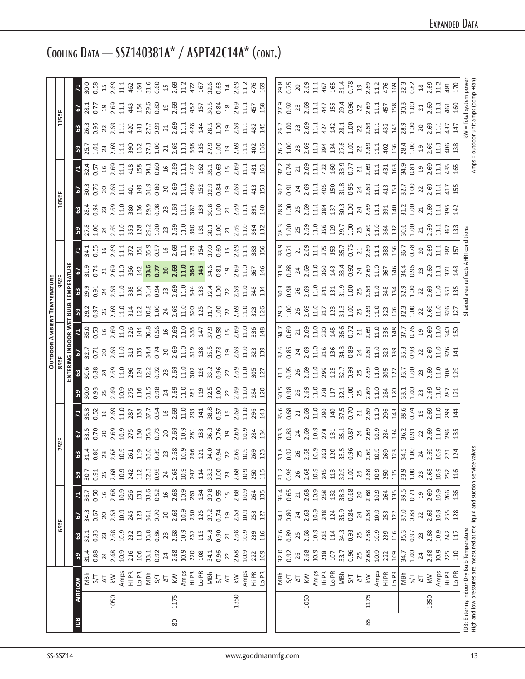|                |      |                                                                              |                | 65°F            |                |                |                  |                                                                                                                                                                                                                                                                                                                     |                                                                                                                                                                                                                                                                                                                |                                                                                                                                                                                                                                                                                                                       |                                                                                                                                                                                                                                                                  |                                                                                                                                                                                                                                |                                                                                                                                                                                                                                                                                                                     |                                                                                                                                                                                                                                                                                                                        |                                                                                                                                                                                                                                                                                                                       |                                                                                                                                                                                                                               |                                                                                                                                                                                                                                                                                                                                    | 105°F                                                                                                                                                                                                                                                                                            |  |                                                                                                                                                                                                                                                                                                                       |                                                                                                                                                                                                                                 |                                                                                                                                                                                                                                                                                                                      |                                                                                                                                                                                                                                                                                                                                                           |
|----------------|------|------------------------------------------------------------------------------|----------------|-----------------|----------------|----------------|------------------|---------------------------------------------------------------------------------------------------------------------------------------------------------------------------------------------------------------------------------------------------------------------------------------------------------------------|----------------------------------------------------------------------------------------------------------------------------------------------------------------------------------------------------------------------------------------------------------------------------------------------------------------|-----------------------------------------------------------------------------------------------------------------------------------------------------------------------------------------------------------------------------------------------------------------------------------------------------------------------|------------------------------------------------------------------------------------------------------------------------------------------------------------------------------------------------------------------------------------------------------------------|--------------------------------------------------------------------------------------------------------------------------------------------------------------------------------------------------------------------------------|---------------------------------------------------------------------------------------------------------------------------------------------------------------------------------------------------------------------------------------------------------------------------------------------------------------------|------------------------------------------------------------------------------------------------------------------------------------------------------------------------------------------------------------------------------------------------------------------------------------------------------------------------|-----------------------------------------------------------------------------------------------------------------------------------------------------------------------------------------------------------------------------------------------------------------------------------------------------------------------|-------------------------------------------------------------------------------------------------------------------------------------------------------------------------------------------------------------------------------|------------------------------------------------------------------------------------------------------------------------------------------------------------------------------------------------------------------------------------------------------------------------------------------------------------------------------------|--------------------------------------------------------------------------------------------------------------------------------------------------------------------------------------------------------------------------------------------------------------------------------------------------|--|-----------------------------------------------------------------------------------------------------------------------------------------------------------------------------------------------------------------------------------------------------------------------------------------------------------------------|---------------------------------------------------------------------------------------------------------------------------------------------------------------------------------------------------------------------------------|----------------------------------------------------------------------------------------------------------------------------------------------------------------------------------------------------------------------------------------------------------------------------------------------------------------------|-----------------------------------------------------------------------------------------------------------------------------------------------------------------------------------------------------------------------------------------------------------------------------------------------------------------------------------------------------------|
|                |      |                                                                              |                |                 |                |                |                  |                                                                                                                                                                                                                                                                                                                     |                                                                                                                                                                                                                                                                                                                |                                                                                                                                                                                                                                                                                                                       |                                                                                                                                                                                                                                                                  |                                                                                                                                                                                                                                |                                                                                                                                                                                                                                                                                                                     |                                                                                                                                                                                                                                                                                                                        |                                                                                                                                                                                                                                                                                                                       |                                                                                                                                                                                                                               |                                                                                                                                                                                                                                                                                                                                    |                                                                                                                                                                                                                                                                                                  |  |                                                                                                                                                                                                                                                                                                                       |                                                                                                                                                                                                                                 |                                                                                                                                                                                                                                                                                                                      |                                                                                                                                                                                                                                                                                                                                                           |
| $\overline{a}$ |      | AIRFLOW                                                                      | S <sub>9</sub> | $\mathbbmss{3}$ | e.             | $\mathbf{z}$   |                  |                                                                                                                                                                                                                                                                                                                     |                                                                                                                                                                                                                                                                                                                |                                                                                                                                                                                                                                                                                                                       |                                                                                                                                                                                                                                                                  |                                                                                                                                                                                                                                |                                                                                                                                                                                                                                                                                                                     |                                                                                                                                                                                                                                                                                                                        |                                                                                                                                                                                                                                                                                                                       |                                                                                                                                                                                                                               |                                                                                                                                                                                                                                                                                                                                    |                                                                                                                                                                                                                                                                                                  |  |                                                                                                                                                                                                                                                                                                                       |                                                                                                                                                                                                                                 |                                                                                                                                                                                                                                                                                                                      |                                                                                                                                                                                                                                                                                                                                                           |
|                |      | MBh                                                                          | 31.4           | 32.1            | 34.3           | 36.7           | 30.7             |                                                                                                                                                                                                                                                                                                                     |                                                                                                                                                                                                                                                                                                                |                                                                                                                                                                                                                                                                                                                       |                                                                                                                                                                                                                                                                  |                                                                                                                                                                                                                                |                                                                                                                                                                                                                                                                                                                     |                                                                                                                                                                                                                                                                                                                        |                                                                                                                                                                                                                                                                                                                       |                                                                                                                                                                                                                               |                                                                                                                                                                                                                                                                                                                                    |                                                                                                                                                                                                                                                                                                  |  |                                                                                                                                                                                                                                                                                                                       |                                                                                                                                                                                                                                 |                                                                                                                                                                                                                                                                                                                      |                                                                                                                                                                                                                                                                                                                                                           |
|                |      | 5/7                                                                          | 0.88           | 0.83            | 0.67           | 0.50           | 0.91             |                                                                                                                                                                                                                                                                                                                     |                                                                                                                                                                                                                                                                                                                |                                                                                                                                                                                                                                                                                                                       |                                                                                                                                                                                                                                                                  |                                                                                                                                                                                                                                |                                                                                                                                                                                                                                                                                                                     |                                                                                                                                                                                                                                                                                                                        |                                                                                                                                                                                                                                                                                                                       |                                                                                                                                                                                                                               |                                                                                                                                                                                                                                                                                                                                    |                                                                                                                                                                                                                                                                                                  |  |                                                                                                                                                                                                                                                                                                                       |                                                                                                                                                                                                                                 |                                                                                                                                                                                                                                                                                                                      |                                                                                                                                                                                                                                                                                                                                                           |
|                |      | $\Delta\top$                                                                 | 24             | 23              | 20             | $\frac{1}{6}$  | 25               |                                                                                                                                                                                                                                                                                                                     |                                                                                                                                                                                                                                                                                                                |                                                                                                                                                                                                                                                                                                                       |                                                                                                                                                                                                                                                                  |                                                                                                                                                                                                                                |                                                                                                                                                                                                                                                                                                                     |                                                                                                                                                                                                                                                                                                                        |                                                                                                                                                                                                                                                                                                                       |                                                                                                                                                                                                                               |                                                                                                                                                                                                                                                                                                                                    |                                                                                                                                                                                                                                                                                                  |  |                                                                                                                                                                                                                                                                                                                       |                                                                                                                                                                                                                                 |                                                                                                                                                                                                                                                                                                                      |                                                                                                                                                                                                                                                                                                                                                           |
|                | 1050 | $\leq$                                                                       | 2.68           | 2.68            | 2.68           | 2.68           | 2.68             |                                                                                                                                                                                                                                                                                                                     |                                                                                                                                                                                                                                                                                                                |                                                                                                                                                                                                                                                                                                                       |                                                                                                                                                                                                                                                                  |                                                                                                                                                                                                                                |                                                                                                                                                                                                                                                                                                                     |                                                                                                                                                                                                                                                                                                                        |                                                                                                                                                                                                                                                                                                                       |                                                                                                                                                                                                                               |                                                                                                                                                                                                                                                                                                                                    |                                                                                                                                                                                                                                                                                                  |  |                                                                                                                                                                                                                                                                                                                       |                                                                                                                                                                                                                                 |                                                                                                                                                                                                                                                                                                                      |                                                                                                                                                                                                                                                                                                                                                           |
|                |      | Hi PR<br>Amps                                                                | 10.9<br>216    | 10.9<br>232     | 10.9<br>245    | 10.9<br>256    | 10.9<br>242      |                                                                                                                                                                                                                                                                                                                     |                                                                                                                                                                                                                                                                                                                |                                                                                                                                                                                                                                                                                                                       |                                                                                                                                                                                                                                                                  |                                                                                                                                                                                                                                |                                                                                                                                                                                                                                                                                                                     |                                                                                                                                                                                                                                                                                                                        |                                                                                                                                                                                                                                                                                                                       |                                                                                                                                                                                                                               |                                                                                                                                                                                                                                                                                                                                    |                                                                                                                                                                                                                                                                                                  |  |                                                                                                                                                                                                                                                                                                                       |                                                                                                                                                                                                                                 |                                                                                                                                                                                                                                                                                                                      |                                                                                                                                                                                                                                                                                                                                                           |
|                |      | LO PR                                                                        | 106            | 113             | 123            | 131            | 112              | $\frac{1}{3}$ $\frac{1}{3}$ $\frac{1}{3}$ $\frac{1}{3}$ $\frac{1}{3}$ $\frac{1}{3}$ $\frac{1}{3}$ $\frac{1}{3}$ $\frac{1}{3}$ $\frac{1}{3}$ $\frac{1}{3}$ $\frac{1}{3}$ $\frac{1}{3}$ $\frac{1}{3}$ $\frac{1}{3}$ $\frac{1}{3}$ $\frac{1}{3}$ $\frac{1}{3}$ $\frac{1}{3}$ $\frac{1}{3}$ $\frac{1}{3}$ $\frac{1}{3}$ | $7.8$ $\frac{8}{32}$ $\frac{2}{32}$ $\frac{2}{32}$ $\frac{2}{32}$ $\frac{2}{32}$ $\frac{2}{32}$ $\frac{2}{32}$ $\frac{2}{32}$ $\frac{2}{32}$ $\frac{2}{32}$ $\frac{2}{32}$ $\frac{2}{32}$ $\frac{2}{32}$ $\frac{2}{32}$ $\frac{2}{32}$ $\frac{2}{32}$ $\frac{2}{32}$ $\frac{2}{32}$ $\frac{2}{32}$ $\frac{2}{$ | $\frac{8}{8}$ $\frac{6}{8}$ $\frac{6}{8}$ $\frac{6}{8}$ $\frac{3}{8}$ $\frac{11}{8}$ $\frac{6}{8}$ $\frac{4}{8}$ $\frac{6}{8}$ $\frac{1}{2}$ $\frac{11}{8}$ $\frac{6}{8}$ $\frac{11}{8}$ $\frac{6}{8}$ $\frac{11}{8}$ $\frac{6}{8}$ $\frac{11}{8}$ $\frac{11}{8}$ $\frac{6}{8}$ $\frac{11}{8}$ $\frac{11}{8}$ $\frac$ | $3\frac{6}{3}$ $3\frac{8}{3}$ $3\frac{4}{3}$ $3\frac{6}{3}$ $3\frac{11}{3}$ $3\frac{3}{3}$ $3\frac{3}{3}$ $3\frac{6}{3}$ $3\frac{11}{3}$ $3\frac{3}{3}$ $3\frac{3}{3}$ $3\frac{3}{3}$ $3\frac{3}{3}$ $3\frac{3}{3}$ $3\frac{3}{3}$ $3\frac{3}{3}$ $3\frac{3}{3}$ | $5.7.7$ $5.8.9$ $6.21$ $3.31$ $3.47$ $3.5$ $3.6$ $3.21$ $3.41$ $3.5$ $3.6$ $3.6$ $3.6$ $3.6$ $3.6$ $3.6$ $3.6$ $3.6$ $3.6$ $3.6$ $3.6$ $3.6$ $3.6$ $3.6$ $3.6$ $3.6$ $3.6$ $3.6$ $3.6$ $3.6$ $3.6$ $3.6$ $3.6$ $3.6$ $3.6$ $3$ | $\frac{1}{2}$ $\frac{5}{2}$ $\frac{3}{2}$ $\frac{3}{2}$ $\frac{4}{2}$ $\frac{3}{2}$ $\frac{5}{2}$ $\frac{6}{2}$ $\frac{3}{2}$ $\frac{2}{2}$ $\frac{3}{2}$ $\frac{3}{2}$ $\frac{4}{2}$ $\frac{3}{2}$ $\frac{5}{2}$ $\frac{6}{2}$ $\frac{2}{2}$ $\frac{2}{3}$ $\frac{3}{2}$ $\frac{4}{3}$ $\frac{3}{2}$ $\frac{5}{2}$ | $\frac{1}{2}$<br>$\frac{1}{2}$ $\frac{1}{2}$ $\frac{1}{2}$ $\frac{1}{2}$ $\frac{1}{2}$ $\frac{1}{2}$ $\frac{1}{2}$ $\frac{1}{2}$ $\frac{1}{2}$ $\frac{1}{2}$ $\frac{1}{2}$ $\frac{1}{2}$ $\frac{1}{2}$ $\frac{1}{2}$ $\frac{1}{2}$ $\frac{1}{2}$ $\frac{1}{2}$ $\frac{1}{2}$ $\frac{1}{2}$ $\frac{1}{2}$ $\frac{1}{2}$ | $39.55$ $\frac{3}{2}$ $\frac{3}{2}$ $\frac{3}{2}$ $\frac{3}{2}$ $\frac{3}{2}$ $\frac{3}{2}$ $\frac{3}{2}$ $\frac{3}{2}$ $\frac{3}{2}$ $\frac{3}{2}$ $\frac{3}{2}$ $\frac{3}{2}$ $\frac{3}{2}$ $\frac{3}{2}$ $\frac{3}{2}$ $\frac{3}{2}$ $\frac{3}{2}$ $\frac{3}{2}$ $\frac{3}{2}$ $\frac{3}{2}$ $\frac{3}{2}$ $\frac$ | $5.237$ $2.3323$ $3.43$ $3.5$ $2.8$ $3.4$ $3.5$ $3.4$ $3.5$ $3.5$ $3.4$ $3.5$ $3.5$ $3.4$ $3.5$ $3.5$ $3.5$ $3.5$ $3.5$ $3.5$ $3.5$ $3.5$ $3.5$ $3.5$ $3.5$ $3.5$ $3.5$ $3.5$ $3.5$ $3.5$ $3.5$ $3.5$ $3.5$ $3.5$ $3.5$ $3.5$ | $\mathbf{Z}$ $\mathbf{X}$ $\mathbf{X}$ $\mathbf{Y}$ $\mathbf{X}$ $\mathbf{Y}$ $\mathbf{Y}$ $\mathbf{Y}$ $\mathbf{Y}$ $\mathbf{Y}$ $\mathbf{Y}$ $\mathbf{Y}$ $\mathbf{Y}$ $\mathbf{Y}$ $\mathbf{Y}$ $\mathbf{Y}$ $\mathbf{Y}$ $\mathbf{Y}$ $\mathbf{Y}$ $\mathbf{Y}$ $\mathbf{Y}$ $\mathbf{Y}$ $\mathbf{Y}$ $\mathbf{Y}$ $\mathbf{$ | $38\frac{3}{25}$ $35\frac{3}{25}$ $35\frac{3}{25}$ $35\frac{3}{25}$ $35\frac{3}{25}$ $35\frac{3}{25}$ $35\frac{3}{25}$ $35\frac{3}{25}$ $35\frac{3}{25}$ $35\frac{3}{25}$ $35\frac{3}{25}$ $35\frac{3}{25}$ $35\frac{3}{25}$ $35\frac{3}{25}$ $35\frac{3}{25}$ $35\frac{3}{25}$ $35\frac{3}{25}$ |  | $3.5.2$ $\frac{3}{2}$ $\frac{3}{2}$ $\frac{3}{2}$ $\frac{3}{2}$ $\frac{3}{2}$ $\frac{3}{2}$ $\frac{3}{2}$ $\frac{3}{2}$ $\frac{3}{2}$ $\frac{3}{2}$ $\frac{3}{2}$ $\frac{3}{2}$ $\frac{3}{2}$ $\frac{3}{2}$ $\frac{3}{2}$ $\frac{3}{2}$ $\frac{3}{2}$ $\frac{3}{2}$ $\frac{3}{2}$ $\frac{3}{2}$ $\frac{3}{2}$ $\frac$ | $36.35$ $87.321$ $12.35$ $12.35$ $12.35$ $12.35$ $12.35$ $12.35$ $12.35$ $12.35$ $12.35$ $12.35$ $12.35$ $12.35$ $12.35$ $12.35$ $12.35$ $12.35$ $12.35$ $12.35$ $12.35$ $12.35$ $12.35$ $12.35$ $12.35$ $12.35$ $12.35$ $12.3$ | $5\frac{2}{3}$ $\frac{2}{3}$ $\frac{1}{2}$ $\frac{3}{4}$ $\frac{3}{4}$ $\frac{3}{4}$ $\frac{3}{8}$ $\frac{3}{8}$ $\frac{3}{4}$ $\frac{3}{4}$ $\frac{3}{8}$ $\frac{3}{8}$ $\frac{3}{4}$ $\frac{3}{4}$ $\frac{3}{8}$ $\frac{3}{4}$ $\frac{3}{8}$ $\frac{3}{4}$ $\frac{3}{4}$ $\frac{3}{8}$ $\frac{3}{4}$ $\frac{3}{4}$ | $7\frac{8}{3}$ $\frac{8}{3}$ $\frac{8}{3}$ $\frac{4}{3}$ $\frac{2}{3}$ $\frac{4}{3}$ $\frac{4}{3}$ $\frac{6}{3}$ $\frac{6}{3}$ $\frac{1}{2}$ $\frac{8}{3}$ $\frac{2}{3}$ $\frac{1}{2}$ $\frac{1}{4}$ $\frac{6}{3}$ $\frac{1}{6}$ $\frac{1}{3}$ $\frac{1}{6}$ $\frac{1}{6}$ $\frac{6}{3}$ $\frac{3}{4}$ $\frac{1}{6}$ $\frac{1}{6}$ $\frac{1}{6}$ $\frac{$ |
|                |      | MBh                                                                          | 33.1           | 33.8            | 36.1           | 38.6           | 32.3             |                                                                                                                                                                                                                                                                                                                     |                                                                                                                                                                                                                                                                                                                |                                                                                                                                                                                                                                                                                                                       |                                                                                                                                                                                                                                                                  |                                                                                                                                                                                                                                |                                                                                                                                                                                                                                                                                                                     |                                                                                                                                                                                                                                                                                                                        |                                                                                                                                                                                                                                                                                                                       |                                                                                                                                                                                                                               |                                                                                                                                                                                                                                                                                                                                    |                                                                                                                                                                                                                                                                                                  |  |                                                                                                                                                                                                                                                                                                                       |                                                                                                                                                                                                                                 |                                                                                                                                                                                                                                                                                                                      |                                                                                                                                                                                                                                                                                                                                                           |
|                |      | 5/7                                                                          | 0.92           | 0.86            | 0.70           | 0.52           | 0.95             |                                                                                                                                                                                                                                                                                                                     |                                                                                                                                                                                                                                                                                                                |                                                                                                                                                                                                                                                                                                                       |                                                                                                                                                                                                                                                                  |                                                                                                                                                                                                                                |                                                                                                                                                                                                                                                                                                                     |                                                                                                                                                                                                                                                                                                                        |                                                                                                                                                                                                                                                                                                                       |                                                                                                                                                                                                                               |                                                                                                                                                                                                                                                                                                                                    |                                                                                                                                                                                                                                                                                                  |  |                                                                                                                                                                                                                                                                                                                       |                                                                                                                                                                                                                                 |                                                                                                                                                                                                                                                                                                                      |                                                                                                                                                                                                                                                                                                                                                           |
|                |      |                                                                              | 24             | 23              | $20$           | $\mathfrak{g}$ | 24               |                                                                                                                                                                                                                                                                                                                     |                                                                                                                                                                                                                                                                                                                |                                                                                                                                                                                                                                                                                                                       |                                                                                                                                                                                                                                                                  |                                                                                                                                                                                                                                |                                                                                                                                                                                                                                                                                                                     |                                                                                                                                                                                                                                                                                                                        |                                                                                                                                                                                                                                                                                                                       |                                                                                                                                                                                                                               |                                                                                                                                                                                                                                                                                                                                    |                                                                                                                                                                                                                                                                                                  |  |                                                                                                                                                                                                                                                                                                                       |                                                                                                                                                                                                                                 |                                                                                                                                                                                                                                                                                                                      |                                                                                                                                                                                                                                                                                                                                                           |
| 80             | 1175 | $\leq$                                                                       | 2.68           | 2.68            | 2.68           | 2.68           | 2.68             |                                                                                                                                                                                                                                                                                                                     |                                                                                                                                                                                                                                                                                                                |                                                                                                                                                                                                                                                                                                                       |                                                                                                                                                                                                                                                                  |                                                                                                                                                                                                                                |                                                                                                                                                                                                                                                                                                                     |                                                                                                                                                                                                                                                                                                                        |                                                                                                                                                                                                                                                                                                                       |                                                                                                                                                                                                                               |                                                                                                                                                                                                                                                                                                                                    |                                                                                                                                                                                                                                                                                                  |  |                                                                                                                                                                                                                                                                                                                       |                                                                                                                                                                                                                                 |                                                                                                                                                                                                                                                                                                                      |                                                                                                                                                                                                                                                                                                                                                           |
|                |      | Amps                                                                         | 10.9           | 10.9            | 10.9           | 10.9           | 10.9             |                                                                                                                                                                                                                                                                                                                     |                                                                                                                                                                                                                                                                                                                |                                                                                                                                                                                                                                                                                                                       |                                                                                                                                                                                                                                                                  |                                                                                                                                                                                                                                |                                                                                                                                                                                                                                                                                                                     |                                                                                                                                                                                                                                                                                                                        |                                                                                                                                                                                                                                                                                                                       |                                                                                                                                                                                                                               |                                                                                                                                                                                                                                                                                                                                    |                                                                                                                                                                                                                                                                                                  |  |                                                                                                                                                                                                                                                                                                                       |                                                                                                                                                                                                                                 |                                                                                                                                                                                                                                                                                                                      |                                                                                                                                                                                                                                                                                                                                                           |
|                |      | Hi PR                                                                        | 220            | 237             | 250            | 261            | 247              |                                                                                                                                                                                                                                                                                                                     |                                                                                                                                                                                                                                                                                                                |                                                                                                                                                                                                                                                                                                                       |                                                                                                                                                                                                                                                                  |                                                                                                                                                                                                                                |                                                                                                                                                                                                                                                                                                                     |                                                                                                                                                                                                                                                                                                                        |                                                                                                                                                                                                                                                                                                                       |                                                                                                                                                                                                                               |                                                                                                                                                                                                                                                                                                                                    |                                                                                                                                                                                                                                                                                                  |  |                                                                                                                                                                                                                                                                                                                       |                                                                                                                                                                                                                                 |                                                                                                                                                                                                                                                                                                                      |                                                                                                                                                                                                                                                                                                                                                           |
|                |      | Lo PR                                                                        | 108            | 115             | 125            | 134            | 114              |                                                                                                                                                                                                                                                                                                                     |                                                                                                                                                                                                                                                                                                                |                                                                                                                                                                                                                                                                                                                       |                                                                                                                                                                                                                                                                  |                                                                                                                                                                                                                                |                                                                                                                                                                                                                                                                                                                     |                                                                                                                                                                                                                                                                                                                        |                                                                                                                                                                                                                                                                                                                       |                                                                                                                                                                                                                               |                                                                                                                                                                                                                                                                                                                                    |                                                                                                                                                                                                                                                                                                  |  |                                                                                                                                                                                                                                                                                                                       |                                                                                                                                                                                                                                 |                                                                                                                                                                                                                                                                                                                      |                                                                                                                                                                                                                                                                                                                                                           |
|                |      | MBh                                                                          | 34.1           | 34.8            | 37.2           | 39.8           | 33.3             |                                                                                                                                                                                                                                                                                                                     |                                                                                                                                                                                                                                                                                                                |                                                                                                                                                                                                                                                                                                                       |                                                                                                                                                                                                                                                                  |                                                                                                                                                                                                                                |                                                                                                                                                                                                                                                                                                                     |                                                                                                                                                                                                                                                                                                                        |                                                                                                                                                                                                                                                                                                                       |                                                                                                                                                                                                                               |                                                                                                                                                                                                                                                                                                                                    |                                                                                                                                                                                                                                                                                                  |  |                                                                                                                                                                                                                                                                                                                       |                                                                                                                                                                                                                                 |                                                                                                                                                                                                                                                                                                                      |                                                                                                                                                                                                                                                                                                                                                           |
|                |      | 5/7                                                                          | 0.96           | 0.90            | 0.74           | 0.55           | 1.00             |                                                                                                                                                                                                                                                                                                                     |                                                                                                                                                                                                                                                                                                                |                                                                                                                                                                                                                                                                                                                       |                                                                                                                                                                                                                                                                  |                                                                                                                                                                                                                                |                                                                                                                                                                                                                                                                                                                     |                                                                                                                                                                                                                                                                                                                        |                                                                                                                                                                                                                                                                                                                       |                                                                                                                                                                                                                               |                                                                                                                                                                                                                                                                                                                                    |                                                                                                                                                                                                                                                                                                  |  |                                                                                                                                                                                                                                                                                                                       |                                                                                                                                                                                                                                 |                                                                                                                                                                                                                                                                                                                      |                                                                                                                                                                                                                                                                                                                                                           |
|                |      | $\overline{\Delta}$                                                          | $\overline{2}$ | 21              | $\overline{c}$ | $\Xi$          | 23               |                                                                                                                                                                                                                                                                                                                     |                                                                                                                                                                                                                                                                                                                |                                                                                                                                                                                                                                                                                                                       |                                                                                                                                                                                                                                                                  |                                                                                                                                                                                                                                |                                                                                                                                                                                                                                                                                                                     |                                                                                                                                                                                                                                                                                                                        |                                                                                                                                                                                                                                                                                                                       |                                                                                                                                                                                                                               |                                                                                                                                                                                                                                                                                                                                    |                                                                                                                                                                                                                                                                                                  |  |                                                                                                                                                                                                                                                                                                                       |                                                                                                                                                                                                                                 |                                                                                                                                                                                                                                                                                                                      |                                                                                                                                                                                                                                                                                                                                                           |
|                | 1350 | $\leq$                                                                       | 2.68           | 2.68            | 2.68           | 2.68           | 2.68             |                                                                                                                                                                                                                                                                                                                     |                                                                                                                                                                                                                                                                                                                |                                                                                                                                                                                                                                                                                                                       |                                                                                                                                                                                                                                                                  |                                                                                                                                                                                                                                |                                                                                                                                                                                                                                                                                                                     |                                                                                                                                                                                                                                                                                                                        |                                                                                                                                                                                                                                                                                                                       |                                                                                                                                                                                                                               |                                                                                                                                                                                                                                                                                                                                    |                                                                                                                                                                                                                                                                                                  |  |                                                                                                                                                                                                                                                                                                                       |                                                                                                                                                                                                                                 |                                                                                                                                                                                                                                                                                                                      |                                                                                                                                                                                                                                                                                                                                                           |
|                |      | Amps                                                                         | 10.9           | 10.9            | 10.9           | 10.9           | 10.9             |                                                                                                                                                                                                                                                                                                                     |                                                                                                                                                                                                                                                                                                                |                                                                                                                                                                                                                                                                                                                       |                                                                                                                                                                                                                                                                  |                                                                                                                                                                                                                                |                                                                                                                                                                                                                                                                                                                     |                                                                                                                                                                                                                                                                                                                        |                                                                                                                                                                                                                                                                                                                       |                                                                                                                                                                                                                               |                                                                                                                                                                                                                                                                                                                                    |                                                                                                                                                                                                                                                                                                  |  |                                                                                                                                                                                                                                                                                                                       |                                                                                                                                                                                                                                 |                                                                                                                                                                                                                                                                                                                      |                                                                                                                                                                                                                                                                                                                                                           |
|                |      | Hi PR                                                                        | 222            | 239             | 253            | 264            | 250              |                                                                                                                                                                                                                                                                                                                     |                                                                                                                                                                                                                                                                                                                |                                                                                                                                                                                                                                                                                                                       |                                                                                                                                                                                                                                                                  |                                                                                                                                                                                                                                |                                                                                                                                                                                                                                                                                                                     |                                                                                                                                                                                                                                                                                                                        |                                                                                                                                                                                                                                                                                                                       |                                                                                                                                                                                                                               |                                                                                                                                                                                                                                                                                                                                    |                                                                                                                                                                                                                                                                                                  |  |                                                                                                                                                                                                                                                                                                                       |                                                                                                                                                                                                                                 |                                                                                                                                                                                                                                                                                                                      |                                                                                                                                                                                                                                                                                                                                                           |
|                |      | Lo PR                                                                        | 109            | 116             | 127            | 135            | 115              |                                                                                                                                                                                                                                                                                                                     |                                                                                                                                                                                                                                                                                                                |                                                                                                                                                                                                                                                                                                                       |                                                                                                                                                                                                                                                                  |                                                                                                                                                                                                                                |                                                                                                                                                                                                                                                                                                                     |                                                                                                                                                                                                                                                                                                                        |                                                                                                                                                                                                                                                                                                                       |                                                                                                                                                                                                                               |                                                                                                                                                                                                                                                                                                                                    |                                                                                                                                                                                                                                                                                                  |  |                                                                                                                                                                                                                                                                                                                       |                                                                                                                                                                                                                                 |                                                                                                                                                                                                                                                                                                                      |                                                                                                                                                                                                                                                                                                                                                           |
|                |      |                                                                              |                |                 |                |                |                  |                                                                                                                                                                                                                                                                                                                     |                                                                                                                                                                                                                                                                                                                |                                                                                                                                                                                                                                                                                                                       |                                                                                                                                                                                                                                                                  |                                                                                                                                                                                                                                |                                                                                                                                                                                                                                                                                                                     |                                                                                                                                                                                                                                                                                                                        |                                                                                                                                                                                                                                                                                                                       |                                                                                                                                                                                                                               |                                                                                                                                                                                                                                                                                                                                    |                                                                                                                                                                                                                                                                                                  |  |                                                                                                                                                                                                                                                                                                                       |                                                                                                                                                                                                                                 |                                                                                                                                                                                                                                                                                                                      |                                                                                                                                                                                                                                                                                                                                                           |
|                |      | MBh                                                                          | 32.0           | 32.6            | 34.1           | 36.4           | 31.2             |                                                                                                                                                                                                                                                                                                                     |                                                                                                                                                                                                                                                                                                                |                                                                                                                                                                                                                                                                                                                       |                                                                                                                                                                                                                                                                  |                                                                                                                                                                                                                                |                                                                                                                                                                                                                                                                                                                     |                                                                                                                                                                                                                                                                                                                        |                                                                                                                                                                                                                                                                                                                       |                                                                                                                                                                                                                               |                                                                                                                                                                                                                                                                                                                                    |                                                                                                                                                                                                                                                                                                  |  |                                                                                                                                                                                                                                                                                                                       |                                                                                                                                                                                                                                 |                                                                                                                                                                                                                                                                                                                      |                                                                                                                                                                                                                                                                                                                                                           |
|                |      | 5/7                                                                          | 0.92           | 0.89            | 0.80           | 0.65           | 0.96             |                                                                                                                                                                                                                                                                                                                     |                                                                                                                                                                                                                                                                                                                |                                                                                                                                                                                                                                                                                                                       |                                                                                                                                                                                                                                                                  |                                                                                                                                                                                                                                |                                                                                                                                                                                                                                                                                                                     |                                                                                                                                                                                                                                                                                                                        |                                                                                                                                                                                                                                                                                                                       |                                                                                                                                                                                                                               |                                                                                                                                                                                                                                                                                                                                    |                                                                                                                                                                                                                                                                                                  |  |                                                                                                                                                                                                                                                                                                                       |                                                                                                                                                                                                                                 |                                                                                                                                                                                                                                                                                                                      |                                                                                                                                                                                                                                                                                                                                                           |
|                |      | $\overline{\Delta}$                                                          | 26             | 25              | 24             | 21             | 26               |                                                                                                                                                                                                                                                                                                                     |                                                                                                                                                                                                                                                                                                                |                                                                                                                                                                                                                                                                                                                       |                                                                                                                                                                                                                                                                  |                                                                                                                                                                                                                                |                                                                                                                                                                                                                                                                                                                     |                                                                                                                                                                                                                                                                                                                        |                                                                                                                                                                                                                                                                                                                       |                                                                                                                                                                                                                               |                                                                                                                                                                                                                                                                                                                                    |                                                                                                                                                                                                                                                                                                  |  |                                                                                                                                                                                                                                                                                                                       |                                                                                                                                                                                                                                 |                                                                                                                                                                                                                                                                                                                      |                                                                                                                                                                                                                                                                                                                                                           |
|                | 1050 | $\leq$                                                                       | 2.68           | 2.68            | 2.68           | 2.68           | 2.68             |                                                                                                                                                                                                                                                                                                                     |                                                                                                                                                                                                                                                                                                                |                                                                                                                                                                                                                                                                                                                       |                                                                                                                                                                                                                                                                  |                                                                                                                                                                                                                                |                                                                                                                                                                                                                                                                                                                     |                                                                                                                                                                                                                                                                                                                        |                                                                                                                                                                                                                                                                                                                       |                                                                                                                                                                                                                               |                                                                                                                                                                                                                                                                                                                                    |                                                                                                                                                                                                                                                                                                  |  |                                                                                                                                                                                                                                                                                                                       |                                                                                                                                                                                                                                 |                                                                                                                                                                                                                                                                                                                      |                                                                                                                                                                                                                                                                                                                                                           |
|                |      | Amps                                                                         | 10.9           | 10.9            | 10.9           | 10.9           | 10.9             |                                                                                                                                                                                                                                                                                                                     |                                                                                                                                                                                                                                                                                                                |                                                                                                                                                                                                                                                                                                                       |                                                                                                                                                                                                                                                                  |                                                                                                                                                                                                                                |                                                                                                                                                                                                                                                                                                                     |                                                                                                                                                                                                                                                                                                                        |                                                                                                                                                                                                                                                                                                                       |                                                                                                                                                                                                                               |                                                                                                                                                                                                                                                                                                                                    |                                                                                                                                                                                                                                                                                                  |  |                                                                                                                                                                                                                                                                                                                       |                                                                                                                                                                                                                                 |                                                                                                                                                                                                                                                                                                                      |                                                                                                                                                                                                                                                                                                                                                           |
|                |      | Hi PR                                                                        | 218            | 235             | 248            | 258            | 245              |                                                                                                                                                                                                                                                                                                                     |                                                                                                                                                                                                                                                                                                                |                                                                                                                                                                                                                                                                                                                       |                                                                                                                                                                                                                                                                  |                                                                                                                                                                                                                                |                                                                                                                                                                                                                                                                                                                     |                                                                                                                                                                                                                                                                                                                        |                                                                                                                                                                                                                                                                                                                       |                                                                                                                                                                                                                               |                                                                                                                                                                                                                                                                                                                                    |                                                                                                                                                                                                                                                                                                  |  |                                                                                                                                                                                                                                                                                                                       |                                                                                                                                                                                                                                 |                                                                                                                                                                                                                                                                                                                      |                                                                                                                                                                                                                                                                                                                                                           |
|                |      | Lo PR                                                                        | 107            | 114             | 124            | 132            | 113              |                                                                                                                                                                                                                                                                                                                     |                                                                                                                                                                                                                                                                                                                |                                                                                                                                                                                                                                                                                                                       |                                                                                                                                                                                                                                                                  |                                                                                                                                                                                                                                |                                                                                                                                                                                                                                                                                                                     |                                                                                                                                                                                                                                                                                                                        |                                                                                                                                                                                                                                                                                                                       |                                                                                                                                                                                                                               |                                                                                                                                                                                                                                                                                                                                    |                                                                                                                                                                                                                                                                                                  |  |                                                                                                                                                                                                                                                                                                                       |                                                                                                                                                                                                                                 |                                                                                                                                                                                                                                                                                                                      |                                                                                                                                                                                                                                                                                                                                                           |
|                |      | MBh                                                                          | 33.7           | 34.3            | 35.9           | 38.3           | 32.9             |                                                                                                                                                                                                                                                                                                                     |                                                                                                                                                                                                                                                                                                                |                                                                                                                                                                                                                                                                                                                       |                                                                                                                                                                                                                                                                  |                                                                                                                                                                                                                                |                                                                                                                                                                                                                                                                                                                     |                                                                                                                                                                                                                                                                                                                        |                                                                                                                                                                                                                                                                                                                       |                                                                                                                                                                                                                               |                                                                                                                                                                                                                                                                                                                                    |                                                                                                                                                                                                                                                                                                  |  |                                                                                                                                                                                                                                                                                                                       |                                                                                                                                                                                                                                 |                                                                                                                                                                                                                                                                                                                      |                                                                                                                                                                                                                                                                                                                                                           |
|                |      | 5/7                                                                          | 0.96           | 0.93            | 0.84           | 0.68           | 1.00             |                                                                                                                                                                                                                                                                                                                     |                                                                                                                                                                                                                                                                                                                |                                                                                                                                                                                                                                                                                                                       |                                                                                                                                                                                                                                                                  |                                                                                                                                                                                                                                |                                                                                                                                                                                                                                                                                                                     |                                                                                                                                                                                                                                                                                                                        |                                                                                                                                                                                                                                                                                                                       |                                                                                                                                                                                                                               |                                                                                                                                                                                                                                                                                                                                    |                                                                                                                                                                                                                                                                                                  |  |                                                                                                                                                                                                                                                                                                                       |                                                                                                                                                                                                                                 |                                                                                                                                                                                                                                                                                                                      |                                                                                                                                                                                                                                                                                                                                                           |
|                |      | $\overline{\Delta}$                                                          | 25             | 25              | 24             | 20<br>2.68     | 26               |                                                                                                                                                                                                                                                                                                                     |                                                                                                                                                                                                                                                                                                                |                                                                                                                                                                                                                                                                                                                       |                                                                                                                                                                                                                                                                  |                                                                                                                                                                                                                                |                                                                                                                                                                                                                                                                                                                     |                                                                                                                                                                                                                                                                                                                        |                                                                                                                                                                                                                                                                                                                       |                                                                                                                                                                                                                               |                                                                                                                                                                                                                                                                                                                                    |                                                                                                                                                                                                                                                                                                  |  |                                                                                                                                                                                                                                                                                                                       |                                                                                                                                                                                                                                 |                                                                                                                                                                                                                                                                                                                      |                                                                                                                                                                                                                                                                                                                                                           |
| 85             | 1175 | $\leq$                                                                       | 2.68           | 2.68            | 2.68           |                | 2.68             |                                                                                                                                                                                                                                                                                                                     |                                                                                                                                                                                                                                                                                                                |                                                                                                                                                                                                                                                                                                                       |                                                                                                                                                                                                                                                                  |                                                                                                                                                                                                                                |                                                                                                                                                                                                                                                                                                                     |                                                                                                                                                                                                                                                                                                                        |                                                                                                                                                                                                                                                                                                                       |                                                                                                                                                                                                                               |                                                                                                                                                                                                                                                                                                                                    |                                                                                                                                                                                                                                                                                                  |  |                                                                                                                                                                                                                                                                                                                       |                                                                                                                                                                                                                                 |                                                                                                                                                                                                                                                                                                                      |                                                                                                                                                                                                                                                                                                                                                           |
|                |      | Amps                                                                         | 10.9           | 10.9            | 10.9           | 10.9           | 10.9             |                                                                                                                                                                                                                                                                                                                     |                                                                                                                                                                                                                                                                                                                |                                                                                                                                                                                                                                                                                                                       |                                                                                                                                                                                                                                                                  |                                                                                                                                                                                                                                |                                                                                                                                                                                                                                                                                                                     |                                                                                                                                                                                                                                                                                                                        |                                                                                                                                                                                                                                                                                                                       |                                                                                                                                                                                                                               |                                                                                                                                                                                                                                                                                                                                    |                                                                                                                                                                                                                                                                                                  |  |                                                                                                                                                                                                                                                                                                                       |                                                                                                                                                                                                                                 |                                                                                                                                                                                                                                                                                                                      |                                                                                                                                                                                                                                                                                                                                                           |
|                |      | Hi PR                                                                        | 222            | 239             | 253            | 264            | 250              |                                                                                                                                                                                                                                                                                                                     |                                                                                                                                                                                                                                                                                                                |                                                                                                                                                                                                                                                                                                                       |                                                                                                                                                                                                                                                                  |                                                                                                                                                                                                                                |                                                                                                                                                                                                                                                                                                                     |                                                                                                                                                                                                                                                                                                                        |                                                                                                                                                                                                                                                                                                                       |                                                                                                                                                                                                                               |                                                                                                                                                                                                                                                                                                                                    |                                                                                                                                                                                                                                                                                                  |  |                                                                                                                                                                                                                                                                                                                       |                                                                                                                                                                                                                                 |                                                                                                                                                                                                                                                                                                                      |                                                                                                                                                                                                                                                                                                                                                           |
|                |      | Lo PR                                                                        | 109            | 116             | 127            | 135            | 115              |                                                                                                                                                                                                                                                                                                                     |                                                                                                                                                                                                                                                                                                                |                                                                                                                                                                                                                                                                                                                       |                                                                                                                                                                                                                                                                  |                                                                                                                                                                                                                                |                                                                                                                                                                                                                                                                                                                     |                                                                                                                                                                                                                                                                                                                        |                                                                                                                                                                                                                                                                                                                       |                                                                                                                                                                                                                               |                                                                                                                                                                                                                                                                                                                                    |                                                                                                                                                                                                                                                                                                  |  |                                                                                                                                                                                                                                                                                                                       |                                                                                                                                                                                                                                 |                                                                                                                                                                                                                                                                                                                      |                                                                                                                                                                                                                                                                                                                                                           |
|                |      | MBh                                                                          | 34.7           | 35.3            | 37.0           | 39.5           | $\frac{33.9}{ }$ |                                                                                                                                                                                                                                                                                                                     |                                                                                                                                                                                                                                                                                                                |                                                                                                                                                                                                                                                                                                                       |                                                                                                                                                                                                                                                                  |                                                                                                                                                                                                                                |                                                                                                                                                                                                                                                                                                                     |                                                                                                                                                                                                                                                                                                                        |                                                                                                                                                                                                                                                                                                                       |                                                                                                                                                                                                                               |                                                                                                                                                                                                                                                                                                                                    |                                                                                                                                                                                                                                                                                                  |  |                                                                                                                                                                                                                                                                                                                       |                                                                                                                                                                                                                                 |                                                                                                                                                                                                                                                                                                                      |                                                                                                                                                                                                                                                                                                                                                           |
|                |      | 5/7                                                                          | 1.00           | 0.97            | 0.88           | 0.71           | 1.00             |                                                                                                                                                                                                                                                                                                                     |                                                                                                                                                                                                                                                                                                                |                                                                                                                                                                                                                                                                                                                       |                                                                                                                                                                                                                                                                  |                                                                                                                                                                                                                                |                                                                                                                                                                                                                                                                                                                     |                                                                                                                                                                                                                                                                                                                        |                                                                                                                                                                                                                                                                                                                       |                                                                                                                                                                                                                               |                                                                                                                                                                                                                                                                                                                                    |                                                                                                                                                                                                                                                                                                  |  |                                                                                                                                                                                                                                                                                                                       |                                                                                                                                                                                                                                 |                                                                                                                                                                                                                                                                                                                      |                                                                                                                                                                                                                                                                                                                                                           |
|                |      | $\overline{\Delta}$                                                          | 24             | 23              | 22             | $\overline{c}$ | 23               |                                                                                                                                                                                                                                                                                                                     |                                                                                                                                                                                                                                                                                                                |                                                                                                                                                                                                                                                                                                                       |                                                                                                                                                                                                                                                                  |                                                                                                                                                                                                                                |                                                                                                                                                                                                                                                                                                                     |                                                                                                                                                                                                                                                                                                                        |                                                                                                                                                                                                                                                                                                                       |                                                                                                                                                                                                                               |                                                                                                                                                                                                                                                                                                                                    |                                                                                                                                                                                                                                                                                                  |  |                                                                                                                                                                                                                                                                                                                       |                                                                                                                                                                                                                                 |                                                                                                                                                                                                                                                                                                                      |                                                                                                                                                                                                                                                                                                                                                           |
|                | 1350 | $\geq$                                                                       | 2.68           | 2.68            | 2.68           | 2.69           | 2.68             |                                                                                                                                                                                                                                                                                                                     |                                                                                                                                                                                                                                                                                                                |                                                                                                                                                                                                                                                                                                                       |                                                                                                                                                                                                                                                                  |                                                                                                                                                                                                                                |                                                                                                                                                                                                                                                                                                                     |                                                                                                                                                                                                                                                                                                                        |                                                                                                                                                                                                                                                                                                                       |                                                                                                                                                                                                                               |                                                                                                                                                                                                                                                                                                                                    |                                                                                                                                                                                                                                                                                                  |  |                                                                                                                                                                                                                                                                                                                       |                                                                                                                                                                                                                                 |                                                                                                                                                                                                                                                                                                                      |                                                                                                                                                                                                                                                                                                                                                           |
|                |      | Amps                                                                         | 10.9           | 10.9            | 20.9           | 10.9           | 10.9             |                                                                                                                                                                                                                                                                                                                     |                                                                                                                                                                                                                                                                                                                |                                                                                                                                                                                                                                                                                                                       |                                                                                                                                                                                                                                                                  |                                                                                                                                                                                                                                |                                                                                                                                                                                                                                                                                                                     |                                                                                                                                                                                                                                                                                                                        |                                                                                                                                                                                                                                                                                                                       |                                                                                                                                                                                                                               |                                                                                                                                                                                                                                                                                                                                    |                                                                                                                                                                                                                                                                                                  |  |                                                                                                                                                                                                                                                                                                                       |                                                                                                                                                                                                                                 |                                                                                                                                                                                                                                                                                                                      |                                                                                                                                                                                                                                                                                                                                                           |
|                |      | Hi PR                                                                        | 225            | 242             | 255            | 266            | 252              |                                                                                                                                                                                                                                                                                                                     | se se de de de la conserva de la conserva de la conserva de la conserva de la conserva de la conserva de la co<br>1990 de la conserva de la conserva de la conserva de la conserva de la conserva de la conserva de la conserva<br>1                                                                           |                                                                                                                                                                                                                                                                                                                       |                                                                                                                                                                                                                                                                  |                                                                                                                                                                                                                                |                                                                                                                                                                                                                                                                                                                     |                                                                                                                                                                                                                                                                                                                        |                                                                                                                                                                                                                                                                                                                       |                                                                                                                                                                                                                               | 3<br>2 5 7 7 9 5 5 7 8 9 7 7 9 7 9 7 9 9 9 9 7 9 9 7 9 9 7 9 9 9 7 9 9 7 9 9 9 9 9 9 7 9 9 9 9 9 9 9 9 9 9 9 9 9 9                                                                                                                                                                                                                 |                                                                                                                                                                                                                                                                                                  |  | $26.2$ $36.3$ $\frac{1}{12}$ $35.3$ $\frac{1}{21}$ $36.3$ $\frac{1}{21}$ $32.3$ $\frac{1}{21}$ $33.3$ $\frac{1}{21}$ $35.3$ $\frac{1}{21}$ $36.3$ $\frac{1}{21}$ $37.3$ $\frac{1}{21}$ $38.3$ $\frac{1}{21}$ $39.3$ $\frac{1}{21}$ $39.3$ $\frac{1}{21}$ $39.3$ $\frac{1}{21}$                                        |                                                                                                                                                                                                                                 |                                                                                                                                                                                                                                                                                                                      |                                                                                                                                                                                                                                                                                                                                                           |
|                |      | L <sub>O</sub> PR                                                            | 110            | 117             | 128            | 136            | 116              |                                                                                                                                                                                                                                                                                                                     |                                                                                                                                                                                                                                                                                                                |                                                                                                                                                                                                                                                                                                                       |                                                                                                                                                                                                                                                                  |                                                                                                                                                                                                                                |                                                                                                                                                                                                                                                                                                                     |                                                                                                                                                                                                                                                                                                                        |                                                                                                                                                                                                                                                                                                                       |                                                                                                                                                                                                                               |                                                                                                                                                                                                                                                                                                                                    |                                                                                                                                                                                                                                                                                                  |  |                                                                                                                                                                                                                                                                                                                       |                                                                                                                                                                                                                                 |                                                                                                                                                                                                                                                                                                                      |                                                                                                                                                                                                                                                                                                                                                           |
|                |      | IDB: Entering Indoor Dry Bulb Temperature                                    |                |                 |                |                |                  |                                                                                                                                                                                                                                                                                                                     |                                                                                                                                                                                                                                                                                                                |                                                                                                                                                                                                                                                                                                                       |                                                                                                                                                                                                                                                                  |                                                                                                                                                                                                                                |                                                                                                                                                                                                                                                                                                                     |                                                                                                                                                                                                                                                                                                                        |                                                                                                                                                                                                                                                                                                                       |                                                                                                                                                                                                                               |                                                                                                                                                                                                                                                                                                                                    |                                                                                                                                                                                                                                                                                                  |  |                                                                                                                                                                                                                                                                                                                       |                                                                                                                                                                                                                                 |                                                                                                                                                                                                                                                                                                                      |                                                                                                                                                                                                                                                                                                                                                           |
|                |      | High and low pressures are measured at the liquid and suction service valves |                |                 |                |                |                  |                                                                                                                                                                                                                                                                                                                     |                                                                                                                                                                                                                                                                                                                |                                                                                                                                                                                                                                                                                                                       |                                                                                                                                                                                                                                                                  |                                                                                                                                                                                                                                |                                                                                                                                                                                                                                                                                                                     |                                                                                                                                                                                                                                                                                                                        |                                                                                                                                                                                                                                                                                                                       |                                                                                                                                                                                                                               |                                                                                                                                                                                                                                                                                                                                    |                                                                                                                                                                                                                                                                                                  |  |                                                                                                                                                                                                                                                                                                                       | outdoor unit amps (comp.+fan                                                                                                                                                                                                    |                                                                                                                                                                                                                                                                                                                      |                                                                                                                                                                                                                                                                                                                                                           |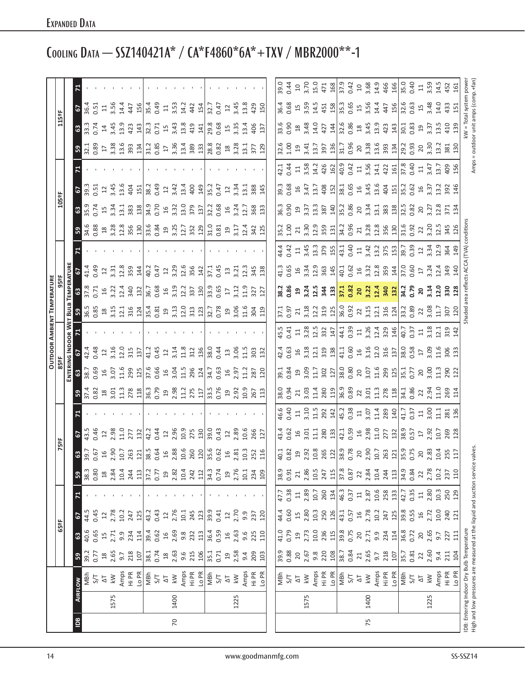|                 |                |                                                                              |                |                           |                 |                   |                |                                                                                                                                                                                                                                |                                                                                                   |                                                                                                                                                                                                                                                                                                           |                                         |                                                                                                                                              |                                                                                                                                                                                                                                |                                                                                                                                                                                                                                                                                 | <b>OUTDOOR AMBIENT TEMPERATURE</b>                                                                                                                                                                                                                                                       |                                     |                                                                                                                                                                                                                                                                                                                        |                     |                                                                                                                                                                                                                                                                                                                       |                                                          |                                                                                                                                                                                                                                                                                                                                                           |                                   |                                                                                                                                                                                                                                                                             |                                   |                                                    |                                            |
|-----------------|----------------|------------------------------------------------------------------------------|----------------|---------------------------|-----------------|-------------------|----------------|--------------------------------------------------------------------------------------------------------------------------------------------------------------------------------------------------------------------------------|---------------------------------------------------------------------------------------------------|-----------------------------------------------------------------------------------------------------------------------------------------------------------------------------------------------------------------------------------------------------------------------------------------------------------|-----------------------------------------|----------------------------------------------------------------------------------------------------------------------------------------------|--------------------------------------------------------------------------------------------------------------------------------------------------------------------------------------------------------------------------------|---------------------------------------------------------------------------------------------------------------------------------------------------------------------------------------------------------------------------------------------------------------------------------|------------------------------------------------------------------------------------------------------------------------------------------------------------------------------------------------------------------------------------------------------------------------------------------|-------------------------------------|------------------------------------------------------------------------------------------------------------------------------------------------------------------------------------------------------------------------------------------------------------------------------------------------------------------------|---------------------|-----------------------------------------------------------------------------------------------------------------------------------------------------------------------------------------------------------------------------------------------------------------------------------------------------------------------|----------------------------------------------------------|-----------------------------------------------------------------------------------------------------------------------------------------------------------------------------------------------------------------------------------------------------------------------------------------------------------------------------------------------------------|-----------------------------------|-----------------------------------------------------------------------------------------------------------------------------------------------------------------------------------------------------------------------------------------------------------------------------|-----------------------------------|----------------------------------------------------|--------------------------------------------|
|                 |                |                                                                              |                |                           | 65°F            |                   |                |                                                                                                                                                                                                                                | 75°F                                                                                              |                                                                                                                                                                                                                                                                                                           |                                         |                                                                                                                                              |                                                                                                                                                                                                                                |                                                                                                                                                                                                                                                                                 |                                                                                                                                                                                                                                                                                          |                                     |                                                                                                                                                                                                                                                                                                                        |                     |                                                                                                                                                                                                                                                                                                                       | 105°F                                                    |                                                                                                                                                                                                                                                                                                                                                           |                                   |                                                                                                                                                                                                                                                                             | 115°F                             |                                                    |                                            |
|                 |                |                                                                              |                |                           |                 |                   |                |                                                                                                                                                                                                                                |                                                                                                   |                                                                                                                                                                                                                                                                                                           |                                         |                                                                                                                                              |                                                                                                                                                                                                                                |                                                                                                                                                                                                                                                                                 | <b>ENTERING INDOOR WET BULB</b>                                                                                                                                                                                                                                                          |                                     | TEMPERATURE                                                                                                                                                                                                                                                                                                            |                     |                                                                                                                                                                                                                                                                                                                       |                                                          |                                                                                                                                                                                                                                                                                                                                                           |                                   |                                                                                                                                                                                                                                                                             |                                   |                                                    |                                            |
| $\overline{a}$  | <b>AIRFLOW</b> |                                                                              | 59             | $\boldsymbol{\mathsf{s}}$ | 5               |                   | 59             |                                                                                                                                                                                                                                | 2                                                                                                 |                                                                                                                                                                                                                                                                                                           | 59                                      | ${\tt G}$                                                                                                                                    |                                                                                                                                                                                                                                |                                                                                                                                                                                                                                                                                 |                                                                                                                                                                                                                                                                                          |                                     |                                                                                                                                                                                                                                                                                                                        |                     | ၛၟ                                                                                                                                                                                                                                                                                                                    | $\frac{3}{2}$                                            | 5                                                                                                                                                                                                                                                                                                                                                         |                                   | 59                                                                                                                                                                                                                                                                          | $\boldsymbol{\mathsf{s}}$         | $\frac{2}{5}$                                      |                                            |
|                 |                | MBh                                                                          | 39.2           | 40.6                      | 44.5            |                   | 38.3           |                                                                                                                                                                                                                                | 43.5                                                                                              |                                                                                                                                                                                                                                                                                                           | 37.4<br>0.82                            | 38.7                                                                                                                                         |                                                                                                                                                                                                                                |                                                                                                                                                                                                                                                                                 | 36.5                                                                                                                                                                                                                                                                                     | 37.8                                | 41.4                                                                                                                                                                                                                                                                                                                   |                     | 34.6<br>0.88                                                                                                                                                                                                                                                                                                          | 35.9                                                     | 39.3                                                                                                                                                                                                                                                                                                                                                      |                                   |                                                                                                                                                                                                                                                                             | 33.3                              | 36.4                                               |                                            |
|                 |                | 5/7                                                                          | 0.77           | 0.65                      | 0.45            |                   | 0.80           |                                                                                                                                                                                                                                | 0.46                                                                                              |                                                                                                                                                                                                                                                                                                           |                                         | 0.69                                                                                                                                         | 0.48                                                                                                                                                                                                                           |                                                                                                                                                                                                                                                                                 | 0.85                                                                                                                                                                                                                                                                                     | 0.71                                | 0.49                                                                                                                                                                                                                                                                                                                   |                     |                                                                                                                                                                                                                                                                                                                       | 0.74                                                     | 0.51                                                                                                                                                                                                                                                                                                                                                      |                                   | 0.89                                                                                                                                                                                                                                                                        | 0.74                              | 0.51                                               |                                            |
|                 |                | $\overline{\mathcal{L}}$                                                     | $^{28}$        | $15$<br>$2.71$            | $\overline{12}$ |                   | $^{28}$        |                                                                                                                                                                                                                                | $2.\overline{3}$                                                                                  |                                                                                                                                                                                                                                                                                                           |                                         | 16                                                                                                                                           | $\overline{12}$                                                                                                                                                                                                                |                                                                                                                                                                                                                                                                                 |                                                                                                                                                                                                                                                                                          | $\mathfrak{g}_1$                    | $\overline{12}$                                                                                                                                                                                                                                                                                                        |                     |                                                                                                                                                                                                                                                                                                                       | 15                                                       | $22$                                                                                                                                                                                                                                                                                                                                                      |                                   | L)                                                                                                                                                                                                                                                                          | $14\,$                            | $\Xi$                                              |                                            |
|                 | 1575           | $\leq$                                                                       | 2.65           |                           | 2.78            |                   | 2.84           |                                                                                                                                                                                                                                |                                                                                                   |                                                                                                                                                                                                                                                                                                           |                                         | 3.07                                                                                                                                         | 3.16                                                                                                                                                                                                                           |                                                                                                                                                                                                                                                                                 |                                                                                                                                                                                                                                                                                          | 3.22                                | 3.31                                                                                                                                                                                                                                                                                                                   |                     |                                                                                                                                                                                                                                                                                                                       | 3.34                                                     | 3.45                                                                                                                                                                                                                                                                                                                                                      |                                   |                                                                                                                                                                                                                                                                             |                                   |                                                    |                                            |
|                 |                | Amps                                                                         | 5.7            | 9.9                       | 10.2            |                   | 10.4           |                                                                                                                                                                                                                                | 11.0                                                                                              |                                                                                                                                                                                                                                                                                                           |                                         | 11.6                                                                                                                                         | 12.0                                                                                                                                                                                                                           |                                                                                                                                                                                                                                                                                 | $\frac{18}{3.11}$ $\frac{11}{3.14}$                                                                                                                                                                                                                                                      | 12.4                                | 12.8                                                                                                                                                                                                                                                                                                                   |                     | $\begin{array}{c} 18 \\ 3.28 \\ 12.8 \\ 356 \\ \end{array}$                                                                                                                                                                                                                                                           | 13.1                                                     | 13.6                                                                                                                                                                                                                                                                                                                                                      |                                   | $3.38$<br>$13.6$<br>$393$<br>$134$                                                                                                                                                                                                                                          | $3.45$<br>$13.9$                  | $3.56$<br>14.4                                     |                                            |
|                 |                | Hi PR                                                                        | 218            | 234                       | 247             |                   | 244            |                                                                                                                                                                                                                                | 277                                                                                               |                                                                                                                                                                                                                                                                                                           |                                         | 299                                                                                                                                          | 315                                                                                                                                                                                                                            |                                                                                                                                                                                                                                                                                 |                                                                                                                                                                                                                                                                                          | 340                                 | 359                                                                                                                                                                                                                                                                                                                    |                     |                                                                                                                                                                                                                                                                                                                       | 383<br>138                                               | 404                                                                                                                                                                                                                                                                                                                                                       |                                   |                                                                                                                                                                                                                                                                             | 423                               | 447                                                |                                            |
|                 |                | LO PR                                                                        | 107            | 114                       | 125             |                   | 113            |                                                                                                                                                                                                                                | 132                                                                                               |                                                                                                                                                                                                                                                                                                           |                                         | 125                                                                                                                                          | 137                                                                                                                                                                                                                            |                                                                                                                                                                                                                                                                                 |                                                                                                                                                                                                                                                                                          | 132                                 | 144                                                                                                                                                                                                                                                                                                                    |                     |                                                                                                                                                                                                                                                                                                                       |                                                          | 151                                                                                                                                                                                                                                                                                                                                                       |                                   |                                                                                                                                                                                                                                                                             | 143                               | 156                                                |                                            |
|                 |                | MBh                                                                          | 38.1           | 39.4                      | 43.2            |                   | 37.2<br>0.77   |                                                                                                                                                                                                                                | 42.2                                                                                              |                                                                                                                                                                                                                                                                                                           |                                         | $37.6$<br>0.66<br>$1.5$<br>3.0<br>$1.5$<br>2.0<br><br>2.0<br><br>2.0<br><br>2.0                                                              | 41.2                                                                                                                                                                                                                           |                                                                                                                                                                                                                                                                                 |                                                                                                                                                                                                                                                                                          | 36.7<br>0.68<br>16                  | 40.2                                                                                                                                                                                                                                                                                                                   |                     |                                                                                                                                                                                                                                                                                                                       | 34.9<br>0.70                                             | 38.2                                                                                                                                                                                                                                                                                                                                                      |                                   |                                                                                                                                                                                                                                                                             | $\frac{32.3}{0.71}$               | 35.4<br>0.49                                       |                                            |
|                 |                | 5/7                                                                          | 0.74           | 0.62                      | 0.43            |                   |                |                                                                                                                                                                                                                                | 0.44                                                                                              |                                                                                                                                                                                                                                                                                                           |                                         |                                                                                                                                              | 0.45                                                                                                                                                                                                                           |                                                                                                                                                                                                                                                                                 |                                                                                                                                                                                                                                                                                          |                                     | 0.47                                                                                                                                                                                                                                                                                                                   |                     |                                                                                                                                                                                                                                                                                                                       |                                                          | 0.49                                                                                                                                                                                                                                                                                                                                                      |                                   |                                                                                                                                                                                                                                                                             |                                   |                                                    |                                            |
|                 |                | $\overline{\Delta}$                                                          | $\frac{8}{2}$  |                           | $12$            |                   | $\overline{c}$ |                                                                                                                                                                                                                                | $12$                                                                                              |                                                                                                                                                                                                                                                                                                           |                                         |                                                                                                                                              | $12$                                                                                                                                                                                                                           |                                                                                                                                                                                                                                                                                 |                                                                                                                                                                                                                                                                                          |                                     | 12                                                                                                                                                                                                                                                                                                                     |                     |                                                                                                                                                                                                                                                                                                                       | $\frac{16}{2}$                                           | $\overline{\omega}$                                                                                                                                                                                                                                                                                                                                       |                                   |                                                                                                                                                                                                                                                                             | 15                                | $\Xi$                                              |                                            |
| $\overline{70}$ | 1400           | $\leq$                                                                       | 2.63           | $16$<br>$2.69$            | 2.76            |                   | 2.82           |                                                                                                                                                                                                                                | 2.96                                                                                              |                                                                                                                                                                                                                                                                                                           |                                         |                                                                                                                                              | 3.14                                                                                                                                                                                                                           |                                                                                                                                                                                                                                                                                 |                                                                                                                                                                                                                                                                                          |                                     | 3.29                                                                                                                                                                                                                                                                                                                   |                     |                                                                                                                                                                                                                                                                                                                       |                                                          |                                                                                                                                                                                                                                                                                                                                                           |                                   |                                                                                                                                                                                                                                                                             |                                   |                                                    |                                            |
|                 |                | Amps                                                                         | 9.6            | 9.8                       | 10.1            |                   | 10.4           |                                                                                                                                                                                                                                | 10.9                                                                                              |                                                                                                                                                                                                                                                                                                           |                                         |                                                                                                                                              | 11.8                                                                                                                                                                                                                           |                                                                                                                                                                                                                                                                                 |                                                                                                                                                                                                                                                                                          | $3.19$<br>$12.2$                    | 12.6                                                                                                                                                                                                                                                                                                                   |                     |                                                                                                                                                                                                                                                                                                                       | $3.30$<br>$3.59$<br>$3.51$                               | $3.42$<br>13.4                                                                                                                                                                                                                                                                                                                                            |                                   |                                                                                                                                                                                                                                                                             | $3.43$<br>$13.8$                  | 3.53<br>14.2                                       |                                            |
|                 |                |                                                                              | 215            | 232                       | 245             |                   | 242            |                                                                                                                                                                                                                                |                                                                                                   |                                                                                                                                                                                                                                                                                                           |                                         |                                                                                                                                              |                                                                                                                                                                                                                                |                                                                                                                                                                                                                                                                                 |                                                                                                                                                                                                                                                                                          |                                     |                                                                                                                                                                                                                                                                                                                        |                     |                                                                                                                                                                                                                                                                                                                       |                                                          |                                                                                                                                                                                                                                                                                                                                                           |                                   |                                                                                                                                                                                                                                                                             | 419                               |                                                    |                                            |
|                 |                | Hi PR<br>Lo PR                                                               | 106            | 113                       | 123             |                   | 112            |                                                                                                                                                                                                                                | 275                                                                                               |                                                                                                                                                                                                                                                                                                           |                                         |                                                                                                                                              | 312<br>136                                                                                                                                                                                                                     |                                                                                                                                                                                                                                                                                 |                                                                                                                                                                                                                                                                                          | $\frac{33}{130}$                    | $356$<br>$142$                                                                                                                                                                                                                                                                                                         |                     |                                                                                                                                                                                                                                                                                                                       |                                                          | $400$<br>$149$                                                                                                                                                                                                                                                                                                                                            |                                   |                                                                                                                                                                                                                                                                             |                                   | 442                                                |                                            |
|                 |                | NBh<br>S/T                                                                   | 35.1           | 36.4                      | 39.9            |                   | 34.3<br>0.74   | $3.55$ $5.5$ $2.3$ $2.3$ $2.4$ $2.5$ $2.5$ $2.5$ $2.5$ $2.5$ $2.5$ $2.5$ $2.5$ $2.5$ $2.5$ $2.5$ $2.5$ $2.5$ $2.5$ $2.5$ $2.5$ $2.5$ $2.5$ $2.5$ $2.5$ $2.5$ $2.5$ $2.5$ $2.5$ $2.5$ $2.5$ $2.5$ $2.5$ $2.5$ $2.5$ $2.5$ $2.5$ | 39.0                                                                                              |                                                                                                                                                                                                                                                                                                           |                                         | $\frac{34.7}{0.63}$                                                                                                                          | $\frac{38.0}{5}$                                                                                                                                                                                                               |                                                                                                                                                                                                                                                                                 | $\begin{array}{c} \n 12.7888887 \\ \n 13.78888887 \\ \n 14.78888888 \\ \n 15.7888888 \\ \n 15.788888 \\ \n 15.78888 \\ \n 15.78888 \\ \n 15.78888 \\ \n 15.78888 \\ \n 15.78888 \\ \n 15.78888 \\ \n 15.78888 \\ \n 15.78888 \\ \n 15.78888 \\ \n 15.78888 \\ \n 15.78888 \\ \n 15.7888$ | $\frac{33.9}{0.65}$                 | 37.1                                                                                                                                                                                                                                                                                                                   |                     |                                                                                                                                                                                                                                                                                                                       | $\frac{32.2}{0.68}$                                      | 35.2<br>0.47                                                                                                                                                                                                                                                                                                                                              |                                   | $\begin{array}{c c} \n11.2 & 12.5 & 15.5 & 15.5 & 15.5 & 15.5 & 15.5 & 15.5 & 15.5 & 15.5 & 15.5 & 15.5 & 15.5 & 15.5 & 15.5 & 15.5 & 15.5 & 15.5 & 15.5 & 15.5 & 15.5 & 15.5 & 15.5 & 15.5 & 15.5 & 15.5 & 15.5 & 15.5 & 15.5 & 15.5 & 15.5 & 15.5 & 15.5 & 15.5 & 15.5 &$ | $\frac{141}{29.8}$                | 32.7                                               |                                            |
|                 |                |                                                                              | 0.71           | 0.59                      | 0.41            |                   |                |                                                                                                                                                                                                                                | 0.43                                                                                              |                                                                                                                                                                                                                                                                                                           |                                         |                                                                                                                                              | 0.44                                                                                                                                                                                                                           |                                                                                                                                                                                                                                                                                 |                                                                                                                                                                                                                                                                                          |                                     | 0.45                                                                                                                                                                                                                                                                                                                   |                     |                                                                                                                                                                                                                                                                                                                       |                                                          |                                                                                                                                                                                                                                                                                                                                                           |                                   |                                                                                                                                                                                                                                                                             |                                   | 0.47                                               |                                            |
|                 |                | $\overline{\Delta}$                                                          | $\overline{c}$ | $\frac{1}{6}$             | $\Xi$           |                   | $\overline{c}$ |                                                                                                                                                                                                                                | $2 \overline{2}$                                                                                  |                                                                                                                                                                                                                                                                                                           |                                         | 16                                                                                                                                           | $13$                                                                                                                                                                                                                           |                                                                                                                                                                                                                                                                                 |                                                                                                                                                                                                                                                                                          | $\overline{\mathbb{L}}$             | $\Xi$                                                                                                                                                                                                                                                                                                                  |                     |                                                                                                                                                                                                                                                                                                                       | $\frac{1}{2}$                                            | $22$                                                                                                                                                                                                                                                                                                                                                      |                                   |                                                                                                                                                                                                                                                                             | $15$                              | $22$                                               |                                            |
|                 | 1225           | $\overline{\mathsf{k}}$ W                                                    | 2.58           | 2.63                      | 2.70            |                   | 2.76           |                                                                                                                                                                                                                                | 2.89                                                                                              |                                                                                                                                                                                                                                                                                                           |                                         | 2.97                                                                                                                                         | 3.06                                                                                                                                                                                                                           |                                                                                                                                                                                                                                                                                 |                                                                                                                                                                                                                                                                                          | 3.12                                | 3.21                                                                                                                                                                                                                                                                                                                   |                     |                                                                                                                                                                                                                                                                                                                       | 3.24                                                     |                                                                                                                                                                                                                                                                                                                                                           |                                   |                                                                                                                                                                                                                                                                             |                                   |                                                    |                                            |
|                 |                | Amps                                                                         | 9.4            | 9.6                       | 9.9             |                   | 10.1           | 10.3                                                                                                                                                                                                                           | 10.6                                                                                              |                                                                                                                                                                                                                                                                                                           |                                         | $\frac{12}{11}$                                                                                                                              | 11.5                                                                                                                                                                                                                           |                                                                                                                                                                                                                                                                                 |                                                                                                                                                                                                                                                                                          | 11.9                                | 12.3                                                                                                                                                                                                                                                                                                                   |                     |                                                                                                                                                                                                                                                                                                                       | 12.7                                                     | $3.34$<br>13.1                                                                                                                                                                                                                                                                                                                                            |                                   | $\begin{array}{c} 18 \\ 21 \\ 31 \\ 131 \\ 312 \\ 129 \\ \end{array}$                                                                                                                                                                                                       | $3.35$<br>$406$                   | $3.45$<br>$13.8$                                   |                                            |
|                 |                | Hi PR                                                                        | 209            | 225                       | 237             |                   | 234            |                                                                                                                                                                                                                                | 266                                                                                               |                                                                                                                                                                                                                                                                                                           |                                         |                                                                                                                                              | 303                                                                                                                                                                                                                            |                                                                                                                                                                                                                                                                                 |                                                                                                                                                                                                                                                                                          | 327                                 | 345                                                                                                                                                                                                                                                                                                                    |                     |                                                                                                                                                                                                                                                                                                                       | 368<br>133                                               | 388                                                                                                                                                                                                                                                                                                                                                       |                                   |                                                                                                                                                                                                                                                                             |                                   | 429                                                |                                            |
|                 |                | Lo PR                                                                        | 103            | 110                       | 120             |                   | 109            | 252<br>116                                                                                                                                                                                                                     | 127                                                                                               |                                                                                                                                                                                                                                                                                                           |                                         | 287<br>120                                                                                                                                   | 132                                                                                                                                                                                                                            |                                                                                                                                                                                                                                                                                 | 119                                                                                                                                                                                                                                                                                      | 127                                 | 138                                                                                                                                                                                                                                                                                                                    |                     |                                                                                                                                                                                                                                                                                                                       |                                                          | 145                                                                                                                                                                                                                                                                                                                                                       |                                   |                                                                                                                                                                                                                                                                             | 137                               | 150                                                |                                            |
|                 |                |                                                                              |                |                           |                 |                   |                |                                                                                                                                                                                                                                |                                                                                                   |                                                                                                                                                                                                                                                                                                           |                                         |                                                                                                                                              |                                                                                                                                                                                                                                |                                                                                                                                                                                                                                                                                 |                                                                                                                                                                                                                                                                                          |                                     |                                                                                                                                                                                                                                                                                                                        |                     |                                                                                                                                                                                                                                                                                                                       |                                                          |                                                                                                                                                                                                                                                                                                                                                           |                                   |                                                                                                                                                                                                                                                                             |                                   |                                                    |                                            |
|                 |                | 지<br>S/T                                                                     | 39.9           | 41.0                      | 44.4            |                   | 38.9           |                                                                                                                                                                                                                                |                                                                                                   |                                                                                                                                                                                                                                                                                                           |                                         |                                                                                                                                              |                                                                                                                                                                                                                                |                                                                                                                                                                                                                                                                                 |                                                                                                                                                                                                                                                                                          |                                     | 41.3                                                                                                                                                                                                                                                                                                                   |                     |                                                                                                                                                                                                                                                                                                                       |                                                          | 39.3                                                                                                                                                                                                                                                                                                                                                      | 42.1                              |                                                                                                                                                                                                                                                                             |                                   | 36.4                                               | 39.0                                       |
|                 |                |                                                                              | 0.88           | 0.79                      | 0.60            | 47.7<br>0.38      | 0.91           |                                                                                                                                                                                                                                | 43.4<br>0.62                                                                                      | 46.6<br>0.40                                                                                                                                                                                                                                                                                              | 38.0<br>0.94                            |                                                                                                                                              |                                                                                                                                                                                                                                | $45.5$<br>0.41                                                                                                                                                                                                                                                                  | $\frac{1}{2}$<br>$\frac{1}{2}$                                                                                                                                                                                                                                                           | 38.2<br>0.86                        | 0.65                                                                                                                                                                                                                                                                                                                   | 44.4<br>0.42<br>4.2 | 35.2<br>1.00<br>21                                                                                                                                                                                                                                                                                                    | 36.3                                                     | 0.68                                                                                                                                                                                                                                                                                                                                                      | 0.44                              | $32.6$<br>$1.00$<br>$19$                                                                                                                                                                                                                                                    | $33.6$<br>$0.90$                  |                                                    | 0.44                                       |
|                 |                | $\overline{\Delta}$                                                          | 20             | $\Xi$                     | 15              | $\Xi$             | 21             |                                                                                                                                                                                                                                | 16                                                                                                | $\Xi$                                                                                                                                                                                                                                                                                                     |                                         |                                                                                                                                              |                                                                                                                                                                                                                                |                                                                                                                                                                                                                                                                                 |                                                                                                                                                                                                                                                                                          |                                     |                                                                                                                                                                                                                                                                                                                        |                     |                                                                                                                                                                                                                                                                                                                       | $\Xi$                                                    | $\frac{1}{6}$                                                                                                                                                                                                                                                                                                                                             | $\Xi$                             |                                                                                                                                                                                                                                                                             |                                   |                                                    | $\overline{10}$                            |
|                 | 1575           | kW                                                                           | 2.67           | 2.73                      | 2.80            | 2.89              | 2.86           |                                                                                                                                                                                                                                |                                                                                                   |                                                                                                                                                                                                                                                                                                           |                                         |                                                                                                                                              |                                                                                                                                                                                                                                |                                                                                                                                                                                                                                                                                 |                                                                                                                                                                                                                                                                                          |                                     |                                                                                                                                                                                                                                                                                                                        |                     |                                                                                                                                                                                                                                                                                                                       |                                                          |                                                                                                                                                                                                                                                                                                                                                           |                                   |                                                                                                                                                                                                                                                                             | $18$<br>3.48<br>$14.0$            |                                                    |                                            |
|                 |                | Amps<br>Hi PR                                                                | 9.8            | 10.0                      | 10.3            | 10.7              | 10.5           |                                                                                                                                                                                                                                | $\frac{1}{3}$ $\frac{1}{2}$ $\frac{1}{8}$ $\frac{1}{2}$ $\frac{1}{4}$ $\frac{1}{2}$ $\frac{1}{9}$ | $\frac{15}{25}$ $\frac{15}{25}$ $\frac{17}{25}$ $\frac{18}{25}$ $\frac{17}{25}$ $\frac{17}{25}$ $\frac{17}{25}$ $\frac{17}{25}$ $\frac{17}{25}$ $\frac{17}{25}$ $\frac{17}{25}$ $\frac{17}{25}$ $\frac{17}{25}$ $\frac{17}{25}$ $\frac{17}{25}$ $\frac{17}{25}$ $\frac{17}{25}$ $\frac{17}{25}$ $\frac{1$ |                                         |                                                                                                                                              | $42.4$ $6.6$ $9.4$ $8.7$ $1.3$ $8.4$ $1.4$ $1.6$ $9.4$ $1.6$ $1.3$ $1.3$ $1.4$ $1.5$ $1.6$ $1.6$ $1.6$ $1.6$ $1.6$ $1.6$ $1.6$ $1.6$ $1.6$ $1.6$ $1.6$ $1.6$ $1.6$ $1.6$ $1.6$ $1.6$ $1.6$ $1.6$ $1.6$ $1.6$ $1.6$ $1.6$ $1.6$ |                                                                                                                                                                                                                                                                                 |                                                                                                                                                                                                                                                                                          |                                     |                                                                                                                                                                                                                                                                                                                        |                     | $3.39$ $\frac{1}{3}$ $\frac{1}{3}$ $\frac{1}{3}$ $\frac{1}{3}$ $\frac{1}{3}$ $\frac{1}{6}$ $\frac{1}{6}$ $\frac{1}{6}$ $\frac{1}{6}$ $\frac{1}{6}$ $\frac{1}{6}$ $\frac{1}{6}$ $\frac{1}{6}$ $\frac{1}{6}$ $\frac{1}{6}$ $\frac{1}{6}$ $\frac{1}{6}$ $\frac{1}{6}$ $\frac{1}{6}$ $\frac{1}{6}$ $\frac{1}{6}$ $\frac{$ | $3.37$<br>$3.38$<br>$5.38$<br>$5.38$<br>$5.38$<br>$5.38$ |                                                                                                                                                                                                                                                                                                                                                           |                                   | $\frac{41}{13.7}$ $\frac{39}{15}$                                                                                                                                                                                                                                           |                                   | 0.68<br>15<br>3.59<br>14.5                         | $3.70$<br>$474$<br>$48$<br>$5.3$<br>$5.42$ |
|                 |                |                                                                              | 220            | 236                       | 250             | 260               | 247            |                                                                                                                                                                                                                                |                                                                                                   |                                                                                                                                                                                                                                                                                                           |                                         |                                                                                                                                              |                                                                                                                                                                                                                                |                                                                                                                                                                                                                                                                                 |                                                                                                                                                                                                                                                                                          |                                     |                                                                                                                                                                                                                                                                                                                        |                     |                                                                                                                                                                                                                                                                                                                       |                                                          |                                                                                                                                                                                                                                                                                                                                                           |                                   |                                                                                                                                                                                                                                                                             | 427                               |                                                    |                                            |
|                 |                | S/T<br>S/T                                                                   | 108            | 115                       | 126             | $\frac{134}{2}$   | 115            |                                                                                                                                                                                                                                |                                                                                                   |                                                                                                                                                                                                                                                                                                           |                                         |                                                                                                                                              |                                                                                                                                                                                                                                |                                                                                                                                                                                                                                                                                 |                                                                                                                                                                                                                                                                                          |                                     |                                                                                                                                                                                                                                                                                                                        |                     |                                                                                                                                                                                                                                                                                                                       |                                                          |                                                                                                                                                                                                                                                                                                                                                           |                                   |                                                                                                                                                                                                                                                                             | $\frac{144}{5}$                   | $451$ $\frac{8}{35}$ $\frac{3}{35}$ $\frac{3}{55}$ |                                            |
|                 |                |                                                                              | 38.7           | 39.8<br>0.75              | 43.1            | 46.3              | 37.8<br>0.87   |                                                                                                                                                                                                                                |                                                                                                   |                                                                                                                                                                                                                                                                                                           |                                         |                                                                                                                                              |                                                                                                                                                                                                                                |                                                                                                                                                                                                                                                                                 |                                                                                                                                                                                                                                                                                          |                                     |                                                                                                                                                                                                                                                                                                                        |                     |                                                                                                                                                                                                                                                                                                                       |                                                          |                                                                                                                                                                                                                                                                                                                                                           |                                   | 31.7<br>0.96                                                                                                                                                                                                                                                                | 32.6<br>0.86                      |                                                    |                                            |
|                 |                |                                                                              |                |                           | 0.57            | 0.37              |                |                                                                                                                                                                                                                                |                                                                                                   |                                                                                                                                                                                                                                                                                                           |                                         |                                                                                                                                              |                                                                                                                                                                                                                                |                                                                                                                                                                                                                                                                                 |                                                                                                                                                                                                                                                                                          |                                     |                                                                                                                                                                                                                                                                                                                        |                     |                                                                                                                                                                                                                                                                                                                       |                                                          |                                                                                                                                                                                                                                                                                                                                                           |                                   |                                                                                                                                                                                                                                                                             |                                   |                                                    |                                            |
|                 |                | $\overline{\Delta}$                                                          | 21             | 20                        | $\frac{1}{6}$   | $\Xi$             | 22             |                                                                                                                                                                                                                                | $\frac{1}{6}$                                                                                     |                                                                                                                                                                                                                                                                                                           |                                         |                                                                                                                                              |                                                                                                                                                                                                                                |                                                                                                                                                                                                                                                                                 |                                                                                                                                                                                                                                                                                          |                                     |                                                                                                                                                                                                                                                                                                                        |                     |                                                                                                                                                                                                                                                                                                                       | 20                                                       |                                                                                                                                                                                                                                                                                                                                                           |                                   |                                                                                                                                                                                                                                                                             |                                   |                                                    | $\Xi$                                      |
| 75              | 1400           | $\leq$                                                                       | 2.65           | 2.71                      | 2.78            | 2.87              | 2.84           |                                                                                                                                                                                                                                | 2.98                                                                                              |                                                                                                                                                                                                                                                                                                           |                                         |                                                                                                                                              |                                                                                                                                                                                                                                |                                                                                                                                                                                                                                                                                 |                                                                                                                                                                                                                                                                                          |                                     |                                                                                                                                                                                                                                                                                                                        |                     | $\frac{21}{3.28}$ $\frac{28}{3.58}$ $\frac{6}{12}$                                                                                                                                                                                                                                                                    |                                                          |                                                                                                                                                                                                                                                                                                                                                           |                                   |                                                                                                                                                                                                                                                                             | $18$<br>$3.45$<br>$13.3$<br>$423$ | $15$<br>3.56<br>$14.4$<br>447                      | 3.68<br>14.9<br>166                        |
|                 |                | Amps<br>Hi PR                                                                | 9.7            | 9.9                       | 10.2            | 10.6              | 10.4           |                                                                                                                                                                                                                                | $11.0$<br>$277$                                                                                   |                                                                                                                                                                                                                                                                                                           |                                         |                                                                                                                                              |                                                                                                                                                                                                                                |                                                                                                                                                                                                                                                                                 |                                                                                                                                                                                                                                                                                          |                                     |                                                                                                                                                                                                                                                                                                                        |                     |                                                                                                                                                                                                                                                                                                                       |                                                          |                                                                                                                                                                                                                                                                                                                                                           |                                   |                                                                                                                                                                                                                                                                             |                                   |                                                    |                                            |
|                 |                |                                                                              | 218            | 234                       | 247             | <b>258</b><br>133 | 244            |                                                                                                                                                                                                                                |                                                                                                   |                                                                                                                                                                                                                                                                                                           |                                         |                                                                                                                                              |                                                                                                                                                                                                                                |                                                                                                                                                                                                                                                                                 |                                                                                                                                                                                                                                                                                          |                                     |                                                                                                                                                                                                                                                                                                                        |                     |                                                                                                                                                                                                                                                                                                                       |                                                          |                                                                                                                                                                                                                                                                                                                                                           |                                   |                                                                                                                                                                                                                                                                             |                                   |                                                    |                                            |
|                 |                | Lo PR                                                                        | 107            | 114                       | 125             |                   | 113            |                                                                                                                                                                                                                                | 132                                                                                               |                                                                                                                                                                                                                                                                                                           |                                         | $\begin{array}{cccc}\n3.3 & 3 & 5 & 5 & 5 & 5 \\ 3.4 & 3 & 3 & 5 & 5 & 5 \\ 4.5 & 3 & 3 & 5 & 5 & 5 \\ 5.6 & 3 & 3 & 5 & 5 & 5\n\end{array}$ |                                                                                                                                                                                                                                |                                                                                                                                                                                                                                                                                 |                                                                                                                                                                                                                                                                                          | <u>33 3 3 3 3 3 3 3 3 3 4 5 6 7</u> | $16$ $\frac{3}{2}$ $\frac{3}{2}$ $\frac{3}{2}$ $\frac{3}{2}$ $\frac{3}{2}$ $\frac{3}{2}$ $\frac{3}{2}$ $\frac{3}{2}$ $\frac{3}{2}$ $\frac{3}{2}$ $\frac{3}{2}$ $\frac{3}{2}$ $\frac{3}{2}$ $\frac{3}{2}$ $\frac{3}{2}$ $\frac{3}{2}$ $\frac{3}{2}$ $\frac{3}{2}$ $\frac{3}{2}$ $\frac{3}{2}$ $\frac{3}{2}$ $\frac{3}{$ |                     |                                                                                                                                                                                                                                                                                                                       | $\begin{array}{c}\n 3.1888 \\  3.2888\n \end{array}$     | $\frac{1}{3}$ $\frac{1}{3}$ $\frac{1}{3}$ $\frac{1}{3}$ $\frac{1}{3}$ $\frac{1}{3}$ $\frac{1}{3}$ $\frac{1}{3}$ $\frac{1}{3}$ $\frac{1}{3}$ $\frac{1}{3}$ $\frac{1}{3}$ $\frac{1}{3}$ $\frac{1}{3}$ $\frac{1}{3}$ $\frac{1}{3}$ $\frac{1}{3}$ $\frac{1}{3}$ $\frac{1}{3}$ $\frac{1}{3}$ $\frac{1}{3}$ $\frac{1}{3}$ $\frac{1}{3}$ $\frac{1}{3}$ $\frac{1$ |                                   |                                                                                                                                                                                                                                                                             | 143                               | 156                                                |                                            |
|                 |                | MBh                                                                          | 35.7           | 36.8                      | 39.8            | 42.7              | 34.9<br>0.84   |                                                                                                                                                                                                                                | 38.9<br>0.57                                                                                      |                                                                                                                                                                                                                                                                                                           |                                         |                                                                                                                                              | 38.0<br>0.58                                                                                                                                                                                                                   |                                                                                                                                                                                                                                                                                 |                                                                                                                                                                                                                                                                                          |                                     |                                                                                                                                                                                                                                                                                                                        |                     | $31.6$<br>0.92                                                                                                                                                                                                                                                                                                        |                                                          |                                                                                                                                                                                                                                                                                                                                                           |                                   |                                                                                                                                                                                                                                                                             | 30.1                              | $32.6$<br>0.63                                     | 35.0<br>0.40                               |
|                 |                | 5/7                                                                          | 0.81           | 0.72                      | 0.55            | 0.35              |                |                                                                                                                                                                                                                                |                                                                                                   |                                                                                                                                                                                                                                                                                                           |                                         |                                                                                                                                              |                                                                                                                                                                                                                                |                                                                                                                                                                                                                                                                                 |                                                                                                                                                                                                                                                                                          |                                     |                                                                                                                                                                                                                                                                                                                        |                     |                                                                                                                                                                                                                                                                                                                       |                                                          |                                                                                                                                                                                                                                                                                                                                                           |                                   |                                                                                                                                                                                                                                                                             | 0.83                              |                                                    |                                            |
|                 |                | $\overline{\Delta}$                                                          | 22             | 20                        | $\frac{16}{1}$  | $\Xi$             | $\overline{2}$ |                                                                                                                                                                                                                                | $17$<br>$2.92$                                                                                    |                                                                                                                                                                                                                                                                                                           |                                         |                                                                                                                                              |                                                                                                                                                                                                                                |                                                                                                                                                                                                                                                                                 |                                                                                                                                                                                                                                                                                          | $20$<br>$3.14$                      | $17$<br>$3.24$                                                                                                                                                                                                                                                                                                         | $\frac{12}{3.34}$   |                                                                                                                                                                                                                                                                                                                       | 20                                                       | $16$<br>$3.37$                                                                                                                                                                                                                                                                                                                                            |                                   | $\frac{20}{3.30}$                                                                                                                                                                                                                                                           | $^{29}$                           | $15$<br>3.48                                       | $\Xi$                                      |
|                 | 1225           | kW                                                                           | 2.60           | 2.65                      | 2.72            | 2.80              | 2.78           |                                                                                                                                                                                                                                |                                                                                                   |                                                                                                                                                                                                                                                                                                           |                                         |                                                                                                                                              |                                                                                                                                                                                                                                |                                                                                                                                                                                                                                                                                 |                                                                                                                                                                                                                                                                                          |                                     |                                                                                                                                                                                                                                                                                                                        |                     |                                                                                                                                                                                                                                                                                                                       | 3.27                                                     |                                                                                                                                                                                                                                                                                                                                                           |                                   |                                                                                                                                                                                                                                                                             | 3.37                              |                                                    | 3.59<br>14.5                               |
|                 |                | Amps<br>Hi PR                                                                | 9.4            | 9.7                       | 10.0            | 10.3              | 10.2           |                                                                                                                                                                                                                                |                                                                                                   |                                                                                                                                                                                                                                                                                                           |                                         |                                                                                                                                              |                                                                                                                                                                                                                                |                                                                                                                                                                                                                                                                                 |                                                                                                                                                                                                                                                                                          | $\frac{12.0}{330}$                  | $12.4$<br>349                                                                                                                                                                                                                                                                                                          | $12.9$<br>364       |                                                                                                                                                                                                                                                                                                                       |                                                          | 13.2                                                                                                                                                                                                                                                                                                                                                      | $11$<br>$3.47$<br>$13.7$<br>$409$ | 13.2                                                                                                                                                                                                                                                                        |                                   | 14.0                                               |                                            |
|                 |                | Lo PR                                                                        | 211<br>104     | 227<br>11                 | 240<br>121      | 250<br>129        | 237            |                                                                                                                                                                                                                                | 10.7<br>269<br>128                                                                                |                                                                                                                                                                                                                                                                                                           | $23.50$<br>$23.00$<br>$25.00$<br>$11.0$ | $20,000$<br>$3,000$<br>$1,000$<br>$2,000$                                                                                                    | $1700$<br>$3.09$<br>$1.6$<br>$1.3$<br>$1.3$                                                                                                                                                                                    | $\begin{array}{c} 3.615 & 2.615 & 2.615 \\ 3.715 & 2.615 & 2.615 \\ 3.715 & 2.615 & 2.615 \\ 3.715 & 2.615 & 2.615 \\ 3.715 & 2.615 & 2.615 \\ 3.715 & 2.615 & 2.615 \\ 3.715 & 2.615 & 2.615 \\ 3.715 & 2.615 & 2.615 \\ 3.715 & 2.615 & 2.615 \\ 3.715 & 2.615 & 2.615 \\ 3.$ |                                                                                                                                                                                                                                                                                          |                                     | $\overline{5}$                                                                                                                                                                                                                                                                                                         |                     |                                                                                                                                                                                                                                                                                                                       | $2,31$<br>$2,73$<br>$2,34$                               | 392                                                                                                                                                                                                                                                                                                                                                       | 156                               | $\begin{array}{c}\n 38 \\  130\n \end{array}$                                                                                                                                                                                                                               | $13.5$<br>$41.3$<br>$139$         | 33<br>151                                          | 452                                        |
|                 |                |                                                                              |                |                           |                 |                   | 110            |                                                                                                                                                                                                                                |                                                                                                   |                                                                                                                                                                                                                                                                                                           |                                         |                                                                                                                                              |                                                                                                                                                                                                                                |                                                                                                                                                                                                                                                                                 |                                                                                                                                                                                                                                                                                          |                                     |                                                                                                                                                                                                                                                                                                                        |                     |                                                                                                                                                                                                                                                                                                                       |                                                          | 146                                                                                                                                                                                                                                                                                                                                                       |                                   |                                                                                                                                                                                                                                                                             |                                   |                                                    | 161                                        |
|                 |                | DB: Entering Indoor Dry Bulb Temperature                                     |                |                           |                 |                   |                |                                                                                                                                                                                                                                |                                                                                                   |                                                                                                                                                                                                                                                                                                           |                                         |                                                                                                                                              |                                                                                                                                                                                                                                |                                                                                                                                                                                                                                                                                 | Shaded                                                                                                                                                                                                                                                                                   |                                     | area reflects ACCA                                                                                                                                                                                                                                                                                                     |                     | (TVA) condition                                                                                                                                                                                                                                                                                                       |                                                          |                                                                                                                                                                                                                                                                                                                                                           |                                   |                                                                                                                                                                                                                                                                             | kW = Total system powe            |                                                    |                                            |
|                 |                | High and low pressures are measured at the liquid and suction service valves |                |                           |                 |                   |                |                                                                                                                                                                                                                                |                                                                                                   |                                                                                                                                                                                                                                                                                                           |                                         |                                                                                                                                              |                                                                                                                                                                                                                                |                                                                                                                                                                                                                                                                                 |                                                                                                                                                                                                                                                                                          |                                     |                                                                                                                                                                                                                                                                                                                        |                     |                                                                                                                                                                                                                                                                                                                       |                                                          |                                                                                                                                                                                                                                                                                                                                                           | Amps                              | = outdoor unit amps (comp.+fan)                                                                                                                                                                                                                                             |                                   |                                                    |                                            |

**Cooling Data — SSZ140421A\* / CA\*F4860\*6A\*+TXV / MBR2000\*\*-1**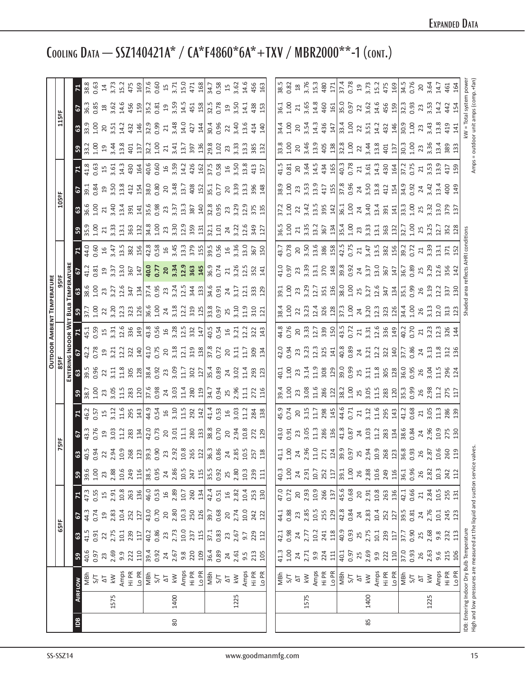| COOLING DATA - SSZ140421A* / CA*F4860*6A*+TXV / MBR2000**-1 (CONT.) |  |  |
|---------------------------------------------------------------------|--|--|
|---------------------------------------------------------------------|--|--|

|    |      |                                                                              |                 |                 |                |               |                 |                                                                                                                                                                                                                                                                                                                                                 |                                                                                                                                                                                                                                                                                                                      |                                                                                                                                                                                                                                |                                                                                                                                                                                                                                                                                                                                           |                                                                                                                                                                                                                                                                                                      | <b>OUTDOOR AMBIENT TEMPERATURE</b>                                                                                                                                                                                                                                                                                  |                                                                                                                                                                                                                               |  |                                                                            |                                                                                                                                                                                                                                  |                                                                                                               |                                                                                                                                                                                                                                                                                                                      |                                                                                                                                                                                                                                   |                                                                                                      |                                                                                                                                                                                                                                                                                                                                                             |  |
|----|------|------------------------------------------------------------------------------|-----------------|-----------------|----------------|---------------|-----------------|-------------------------------------------------------------------------------------------------------------------------------------------------------------------------------------------------------------------------------------------------------------------------------------------------------------------------------------------------|----------------------------------------------------------------------------------------------------------------------------------------------------------------------------------------------------------------------------------------------------------------------------------------------------------------------|--------------------------------------------------------------------------------------------------------------------------------------------------------------------------------------------------------------------------------|-------------------------------------------------------------------------------------------------------------------------------------------------------------------------------------------------------------------------------------------------------------------------------------------------------------------------------------------|------------------------------------------------------------------------------------------------------------------------------------------------------------------------------------------------------------------------------------------------------------------------------------------------------|---------------------------------------------------------------------------------------------------------------------------------------------------------------------------------------------------------------------------------------------------------------------------------------------------------------------|-------------------------------------------------------------------------------------------------------------------------------------------------------------------------------------------------------------------------------|--|----------------------------------------------------------------------------|----------------------------------------------------------------------------------------------------------------------------------------------------------------------------------------------------------------------------------|---------------------------------------------------------------------------------------------------------------|----------------------------------------------------------------------------------------------------------------------------------------------------------------------------------------------------------------------------------------------------------------------------------------------------------------------|-----------------------------------------------------------------------------------------------------------------------------------------------------------------------------------------------------------------------------------|------------------------------------------------------------------------------------------------------|-------------------------------------------------------------------------------------------------------------------------------------------------------------------------------------------------------------------------------------------------------------------------------------------------------------------------------------------------------------|--|
|    |      |                                                                              |                 | 65 <sup>2</sup> |                |               |                 | 75°F                                                                                                                                                                                                                                                                                                                                            |                                                                                                                                                                                                                                                                                                                      |                                                                                                                                                                                                                                |                                                                                                                                                                                                                                                                                                                                           |                                                                                                                                                                                                                                                                                                      |                                                                                                                                                                                                                                                                                                                     |                                                                                                                                                                                                                               |  |                                                                            |                                                                                                                                                                                                                                  | 105°F                                                                                                         |                                                                                                                                                                                                                                                                                                                      |                                                                                                                                                                                                                                   | 115ºF                                                                                                |                                                                                                                                                                                                                                                                                                                                                             |  |
|    |      |                                                                              |                 |                 |                |               |                 |                                                                                                                                                                                                                                                                                                                                                 |                                                                                                                                                                                                                                                                                                                      |                                                                                                                                                                                                                                |                                                                                                                                                                                                                                                                                                                                           |                                                                                                                                                                                                                                                                                                      |                                                                                                                                                                                                                                                                                                                     |                                                                                                                                                                                                                               |  |                                                                            |                                                                                                                                                                                                                                  |                                                                                                               |                                                                                                                                                                                                                                                                                                                      |                                                                                                                                                                                                                                   |                                                                                                      |                                                                                                                                                                                                                                                                                                                                                             |  |
| ÎΟ |      | <b>AIRFLOW</b>                                                               | 59              | 41.5<br>63      | 6              | π             | 39.6<br>S9      |                                                                                                                                                                                                                                                                                                                                                 |                                                                                                                                                                                                                                                                                                                      |                                                                                                                                                                                                                                |                                                                                                                                                                                                                                                                                                                                           |                                                                                                                                                                                                                                                                                                      |                                                                                                                                                                                                                                                                                                                     |                                                                                                                                                                                                                               |  |                                                                            |                                                                                                                                                                                                                                  |                                                                                                               |                                                                                                                                                                                                                                                                                                                      |                                                                                                                                                                                                                                   |                                                                                                      |                                                                                                                                                                                                                                                                                                                                                             |  |
|    |      | MBh<br>5/7                                                                   | 40.6<br>0.97    | 0.91            | 44.3<br>0.74   | 0.55<br>47.3  | 1.00            |                                                                                                                                                                                                                                                                                                                                                 |                                                                                                                                                                                                                                                                                                                      |                                                                                                                                                                                                                                |                                                                                                                                                                                                                                                                                                                                           |                                                                                                                                                                                                                                                                                                      |                                                                                                                                                                                                                                                                                                                     |                                                                                                                                                                                                                               |  |                                                                            |                                                                                                                                                                                                                                  |                                                                                                               |                                                                                                                                                                                                                                                                                                                      |                                                                                                                                                                                                                                   |                                                                                                      |                                                                                                                                                                                                                                                                                                                                                             |  |
|    |      | $\overline{\mathcal{L}}$                                                     | 23              | 22              | $\overline{c}$ | 15            |                 |                                                                                                                                                                                                                                                                                                                                                 |                                                                                                                                                                                                                                                                                                                      |                                                                                                                                                                                                                                |                                                                                                                                                                                                                                                                                                                                           |                                                                                                                                                                                                                                                                                                      |                                                                                                                                                                                                                                                                                                                     |                                                                                                                                                                                                                               |  |                                                                            |                                                                                                                                                                                                                                  |                                                                                                               |                                                                                                                                                                                                                                                                                                                      |                                                                                                                                                                                                                                   |                                                                                                      |                                                                                                                                                                                                                                                                                                                                                             |  |
|    | 575  | $\overline{\mathsf{k}}$                                                      | 2.69            | 2.75            | 2.83           | 2.91          | 2.88            |                                                                                                                                                                                                                                                                                                                                                 |                                                                                                                                                                                                                                                                                                                      |                                                                                                                                                                                                                                |                                                                                                                                                                                                                                                                                                                                           |                                                                                                                                                                                                                                                                                                      |                                                                                                                                                                                                                                                                                                                     |                                                                                                                                                                                                                               |  |                                                                            |                                                                                                                                                                                                                                  |                                                                                                               |                                                                                                                                                                                                                                                                                                                      |                                                                                                                                                                                                                                   |                                                                                                      |                                                                                                                                                                                                                                                                                                                                                             |  |
|    |      | Amps<br>Hi PR                                                                | 9.9             | 10.1            | 10.4           | 10.8          | 10.6            |                                                                                                                                                                                                                                                                                                                                                 |                                                                                                                                                                                                                                                                                                                      |                                                                                                                                                                                                                                |                                                                                                                                                                                                                                                                                                                                           |                                                                                                                                                                                                                                                                                                      |                                                                                                                                                                                                                                                                                                                     |                                                                                                                                                                                                                               |  |                                                                            |                                                                                                                                                                                                                                  |                                                                                                               |                                                                                                                                                                                                                                                                                                                      |                                                                                                                                                                                                                                   |                                                                                                      |                                                                                                                                                                                                                                                                                                                                                             |  |
|    |      | Lo PR                                                                        | 222<br>110      | 239<br>117      | 252<br>127     | 136<br>263    | 249<br>116      | $3\frac{1}{3}$ $3\frac{3}{2}$ $3\frac{3}{2}$ $3\frac{3}{2}$ $3\frac{3}{2}$ $3\frac{3}{2}$ $3\frac{3}{2}$ $3\frac{3}{2}$ $3\frac{3}{2}$ $3\frac{3}{2}$ $3\frac{3}{2}$ $3\frac{3}{2}$ $3\frac{3}{2}$ $3\frac{3}{2}$ $3\frac{3}{2}$ $3\frac{3}{2}$ $3\frac{3}{2}$ $3\frac{3}{2}$ $3\frac{3}{2}$                                                    | $5\frac{1}{3}$ $\frac{3}{5}$ $\frac{6}{5}$ $\frac{3}{5}$ $\frac{3}{5}$ $\frac{1}{5}$ $\frac{3}{5}$ $\frac{3}{5}$ $\frac{1}{5}$ $\frac{3}{5}$ $\frac{3}{5}$ $\frac{1}{5}$ $\frac{3}{5}$ $\frac{3}{5}$ $\frac{1}{5}$ $\frac{3}{5}$ $\frac{3}{5}$ $\frac{3}{5}$ $\frac{3}{5}$ $\frac{3}{5}$ $\frac{3}{5}$ $\frac{3}{5}$ | $79.25$ $-23.25$ $-3.25$ $-3.25$ $-3.25$ $-3.25$ $-3.25$ $-3.25$ $-3.25$ $-3.25$ $-3.25$ $-3.25$ $-3.25$ $-3.25$ $-3.25$ $-3.25$ $-3.25$ $-3.25$ $-3.25$ $-3.25$ $-3.25$ $-3.25$ $-3.25$ $-3.25$ $-3.25$ $-3.25$ $-3.25$ $-3.$ | $3\frac{1}{8}$ $3\frac{1}{8}$ $3\frac{1}{8}$ $3\frac{1}{8}$ $3\frac{1}{8}$ $3\frac{1}{8}$ $3\frac{1}{8}$ $3\frac{1}{8}$ $3\frac{1}{8}$ $3\frac{1}{8}$ $3\frac{1}{8}$ $3\frac{1}{8}$ $3\frac{1}{8}$ $3\frac{1}{8}$ $3\frac{1}{8}$ $3\frac{1}{8}$ $3\frac{1}{8}$ $3\frac{1}{8}$ $3\frac{1}{8}$ $3\frac{1}{8}$ $3\frac{1}{8}$ $3\frac{1}{8}$ | <b>8</b> $\frac{6}{3}$ $\frac{6}{3}$ $\frac{6}{3}$ $\frac{11}{3}$ $\frac{3}{5}$ $\frac{6}{3}$ $\frac{11}{3}$ $\frac{3}{3}$ $\frac{3}{2}$ $\frac{11}{3}$ $\frac{3}{2}$ $\frac{3}{2}$ $\frac{11}{3}$ $\frac{3}{4}$ $\frac{3}{5}$ $\frac{3}{4}$ $\frac{3}{5}$ $\frac{3}{1}$ $\frac{3}{2}$ $\frac{3}{1}$ | $\frac{1}{6}$ $\frac{1}{6}$ $\frac{3}{6}$ $\frac{3}{6}$ $\frac{1}{2}$ $\frac{1}{6}$ $\frac{1}{6}$ $\frac{1}{6}$ $\frac{1}{6}$ $\frac{1}{6}$ $\frac{3}{6}$ $\frac{3}{6}$ $\frac{3}{6}$ $\frac{1}{6}$ $\frac{1}{6}$ $\frac{3}{6}$ $\frac{3}{6}$ $\frac{3}{6}$ $\frac{1}{6}$ $\frac{1}{6}$ $\frac{3}{6}$ $\frac{3}{6}$ |                                                                                                                                                                                                                               |  | <b>-</b><br><b>-</b> ៨ ១ ៩ ៩ ដឹង នាង ក្នុង និង ដឹង ដឹង ដឹង ដឹង ដឹង ដឹង ដឹង | <mark>ខ</mark> ្លួន មី មី ដូច មី ដូច មី ដូច មី ដូច មី ដូច មី ដូច មី ដូច មី ដូច មី ដូច មី ដូច មី ដូច មី ដូច អ្នក<br>ស្រុក មី ដូច មី ដូច មី ដូច មី ដូច មី ដូច មី ដូច មី ដូច មី ដូច មី ដូច អ្នក ដូច អ្នក ដូច អ្នក ដូច អ្នក ដូច អ្នក |                                                                                                               | $5\frac{1}{2}$ $\frac{3}{2}$ $\frac{3}{2}$ $\frac{3}{2}$ $\frac{3}{2}$ $\frac{3}{2}$ $\frac{3}{2}$ $\frac{3}{2}$ $\frac{3}{2}$ $\frac{3}{2}$ $\frac{3}{2}$ $\frac{3}{2}$ $\frac{3}{2}$ $\frac{3}{2}$ $\frac{3}{2}$ $\frac{3}{2}$ $\frac{3}{2}$ $\frac{3}{2}$ $\frac{3}{2}$ $\frac{3}{2}$ $\frac{3}{2}$ $\frac{3}{2}$ | $\mathbf{z}$ a set of the set of the set of the set of the set of the set of the set of the set of the set of the set of the set of the set of the set of the set of the set of the set of the set of the set of the set of the s | $3.8328$ $3.43340$<br>$3.8440$<br>$3.852741$<br>$3.852741$<br>$3.852741$<br>$3.852741$<br>$3.852741$ | $7 \frac{8}{36} \frac{6}{36} \frac{4}{36} \frac{7}{16} \frac{7}{16} \frac{11}{16} \frac{11}{16} \frac{11}{16} \frac{11}{16} \frac{11}{16} \frac{11}{16} \frac{11}{16} \frac{11}{16} \frac{11}{16} \frac{11}{16} \frac{11}{16} \frac{11}{16} \frac{11}{16} \frac{11}{16} \frac{11}{16} \frac{11}{16} \frac{11}{16} \frac{11}{16} \frac{11}{16} \frac{11}{16$ |  |
|    |      | MBh                                                                          | 39.4            | 40.2            | 43.0           | 46.0          | 38.5            |                                                                                                                                                                                                                                                                                                                                                 |                                                                                                                                                                                                                                                                                                                      |                                                                                                                                                                                                                                |                                                                                                                                                                                                                                                                                                                                           |                                                                                                                                                                                                                                                                                                      |                                                                                                                                                                                                                                                                                                                     |                                                                                                                                                                                                                               |  |                                                                            |                                                                                                                                                                                                                                  |                                                                                                               |                                                                                                                                                                                                                                                                                                                      |                                                                                                                                                                                                                                   |                                                                                                      |                                                                                                                                                                                                                                                                                                                                                             |  |
|    |      |                                                                              | 0.92            | 0.86            | 0.70           | 0.53          | 0.95            |                                                                                                                                                                                                                                                                                                                                                 |                                                                                                                                                                                                                                                                                                                      |                                                                                                                                                                                                                                |                                                                                                                                                                                                                                                                                                                                           |                                                                                                                                                                                                                                                                                                      |                                                                                                                                                                                                                                                                                                                     |                                                                                                                                                                                                                               |  |                                                                            |                                                                                                                                                                                                                                  |                                                                                                               |                                                                                                                                                                                                                                                                                                                      |                                                                                                                                                                                                                                   |                                                                                                      |                                                                                                                                                                                                                                                                                                                                                             |  |
|    |      | $5/7$ $\Delta$                                                               | $\overline{24}$ | 23              | 20             | $16$          | 24              |                                                                                                                                                                                                                                                                                                                                                 |                                                                                                                                                                                                                                                                                                                      |                                                                                                                                                                                                                                |                                                                                                                                                                                                                                                                                                                                           |                                                                                                                                                                                                                                                                                                      |                                                                                                                                                                                                                                                                                                                     |                                                                                                                                                                                                                               |  |                                                                            |                                                                                                                                                                                                                                  |                                                                                                               |                                                                                                                                                                                                                                                                                                                      |                                                                                                                                                                                                                                   |                                                                                                      |                                                                                                                                                                                                                                                                                                                                                             |  |
| 80 | 1400 | $\leq$                                                                       | 2.67            | 2.73            | 2.80           | 2.89          | 2.86            |                                                                                                                                                                                                                                                                                                                                                 |                                                                                                                                                                                                                                                                                                                      |                                                                                                                                                                                                                                |                                                                                                                                                                                                                                                                                                                                           |                                                                                                                                                                                                                                                                                                      |                                                                                                                                                                                                                                                                                                                     |                                                                                                                                                                                                                               |  |                                                                            |                                                                                                                                                                                                                                  |                                                                                                               |                                                                                                                                                                                                                                                                                                                      |                                                                                                                                                                                                                                   |                                                                                                      |                                                                                                                                                                                                                                                                                                                                                             |  |
|    |      |                                                                              |                 | 10.0            | 10.3           | 10.7          | 10.5            |                                                                                                                                                                                                                                                                                                                                                 |                                                                                                                                                                                                                                                                                                                      |                                                                                                                                                                                                                                |                                                                                                                                                                                                                                                                                                                                           |                                                                                                                                                                                                                                                                                                      |                                                                                                                                                                                                                                                                                                                     |                                                                                                                                                                                                                               |  |                                                                            |                                                                                                                                                                                                                                  |                                                                                                               |                                                                                                                                                                                                                                                                                                                      |                                                                                                                                                                                                                                   |                                                                                                      |                                                                                                                                                                                                                                                                                                                                                             |  |
|    |      | Amps<br>Hi PR                                                                | 220             | 237             | 250            | 260           | 247             |                                                                                                                                                                                                                                                                                                                                                 |                                                                                                                                                                                                                                                                                                                      |                                                                                                                                                                                                                                |                                                                                                                                                                                                                                                                                                                                           |                                                                                                                                                                                                                                                                                                      |                                                                                                                                                                                                                                                                                                                     |                                                                                                                                                                                                                               |  |                                                                            |                                                                                                                                                                                                                                  |                                                                                                               |                                                                                                                                                                                                                                                                                                                      |                                                                                                                                                                                                                                   |                                                                                                      |                                                                                                                                                                                                                                                                                                                                                             |  |
|    |      | Lo PR                                                                        | 109             | 115             | 126            | 134           | 115             |                                                                                                                                                                                                                                                                                                                                                 |                                                                                                                                                                                                                                                                                                                      |                                                                                                                                                                                                                                |                                                                                                                                                                                                                                                                                                                                           |                                                                                                                                                                                                                                                                                                      |                                                                                                                                                                                                                                                                                                                     |                                                                                                                                                                                                                               |  |                                                                            |                                                                                                                                                                                                                                  |                                                                                                               |                                                                                                                                                                                                                                                                                                                      |                                                                                                                                                                                                                                   |                                                                                                      |                                                                                                                                                                                                                                                                                                                                                             |  |
|    |      | $\frac{2}{3}$                                                                | 36.4<br>0.89    | 37.1            | 39.7           | 42.4<br>0.51  | 35.5            |                                                                                                                                                                                                                                                                                                                                                 |                                                                                                                                                                                                                                                                                                                      |                                                                                                                                                                                                                                |                                                                                                                                                                                                                                                                                                                                           |                                                                                                                                                                                                                                                                                                      |                                                                                                                                                                                                                                                                                                                     |                                                                                                                                                                                                                               |  |                                                                            |                                                                                                                                                                                                                                  |                                                                                                               |                                                                                                                                                                                                                                                                                                                      |                                                                                                                                                                                                                                   |                                                                                                      |                                                                                                                                                                                                                                                                                                                                                             |  |
|    |      |                                                                              |                 | 0.83            | 0.68           |               | 0.92            |                                                                                                                                                                                                                                                                                                                                                 |                                                                                                                                                                                                                                                                                                                      |                                                                                                                                                                                                                                |                                                                                                                                                                                                                                                                                                                                           |                                                                                                                                                                                                                                                                                                      |                                                                                                                                                                                                                                                                                                                     |                                                                                                                                                                                                                               |  |                                                                            |                                                                                                                                                                                                                                  |                                                                                                               |                                                                                                                                                                                                                                                                                                                      |                                                                                                                                                                                                                                   |                                                                                                      |                                                                                                                                                                                                                                                                                                                                                             |  |
|    |      | $\overline{\Delta}$                                                          | 24              | 23              | 20             | $\frac{1}{2}$ | 25              |                                                                                                                                                                                                                                                                                                                                                 |                                                                                                                                                                                                                                                                                                                      |                                                                                                                                                                                                                                |                                                                                                                                                                                                                                                                                                                                           |                                                                                                                                                                                                                                                                                                      |                                                                                                                                                                                                                                                                                                                     |                                                                                                                                                                                                                               |  |                                                                            |                                                                                                                                                                                                                                  |                                                                                                               |                                                                                                                                                                                                                                                                                                                      |                                                                                                                                                                                                                                   |                                                                                                      |                                                                                                                                                                                                                                                                                                                                                             |  |
|    | 1225 | KW                                                                           | 2.61            | 2.67            | 2.74           | 2.82          | 2.80            |                                                                                                                                                                                                                                                                                                                                                 |                                                                                                                                                                                                                                                                                                                      |                                                                                                                                                                                                                                |                                                                                                                                                                                                                                                                                                                                           |                                                                                                                                                                                                                                                                                                      |                                                                                                                                                                                                                                                                                                                     |                                                                                                                                                                                                                               |  |                                                                            |                                                                                                                                                                                                                                  |                                                                                                               |                                                                                                                                                                                                                                                                                                                      |                                                                                                                                                                                                                                   |                                                                                                      |                                                                                                                                                                                                                                                                                                                                                             |  |
|    |      | Amps                                                                         | 9.5             | 5.7             | 10.0           | 10.4          | 10.3            |                                                                                                                                                                                                                                                                                                                                                 |                                                                                                                                                                                                                                                                                                                      |                                                                                                                                                                                                                                |                                                                                                                                                                                                                                                                                                                                           |                                                                                                                                                                                                                                                                                                      |                                                                                                                                                                                                                                                                                                                     |                                                                                                                                                                                                                               |  |                                                                            |                                                                                                                                                                                                                                  |                                                                                                               |                                                                                                                                                                                                                                                                                                                      |                                                                                                                                                                                                                                   |                                                                                                      |                                                                                                                                                                                                                                                                                                                                                             |  |
|    |      | Hi PR                                                                        | 213             | 229             | 242            | 253           | 239             |                                                                                                                                                                                                                                                                                                                                                 |                                                                                                                                                                                                                                                                                                                      |                                                                                                                                                                                                                                |                                                                                                                                                                                                                                                                                                                                           |                                                                                                                                                                                                                                                                                                      |                                                                                                                                                                                                                                                                                                                     |                                                                                                                                                                                                                               |  |                                                                            |                                                                                                                                                                                                                                  |                                                                                                               |                                                                                                                                                                                                                                                                                                                      |                                                                                                                                                                                                                                   |                                                                                                      |                                                                                                                                                                                                                                                                                                                                                             |  |
|    |      | PR<br>PR                                                                     | 105             | 12              | 122            | 130           | $\overline{11}$ |                                                                                                                                                                                                                                                                                                                                                 |                                                                                                                                                                                                                                                                                                                      |                                                                                                                                                                                                                                |                                                                                                                                                                                                                                                                                                                                           |                                                                                                                                                                                                                                                                                                      |                                                                                                                                                                                                                                                                                                                     |                                                                                                                                                                                                                               |  |                                                                            |                                                                                                                                                                                                                                  |                                                                                                               |                                                                                                                                                                                                                                                                                                                      |                                                                                                                                                                                                                                   |                                                                                                      |                                                                                                                                                                                                                                                                                                                                                             |  |
|    |      |                                                                              |                 |                 |                |               |                 |                                                                                                                                                                                                                                                                                                                                                 |                                                                                                                                                                                                                                                                                                                      |                                                                                                                                                                                                                                |                                                                                                                                                                                                                                                                                                                                           |                                                                                                                                                                                                                                                                                                      |                                                                                                                                                                                                                                                                                                                     |                                                                                                                                                                                                                               |  |                                                                            |                                                                                                                                                                                                                                  |                                                                                                               |                                                                                                                                                                                                                                                                                                                      |                                                                                                                                                                                                                                   |                                                                                                      |                                                                                                                                                                                                                                                                                                                                                             |  |
|    |      | NBh                                                                          | 41.3            | 42.1            | 44.1           | 47.0<br>0.72  | 40.3            |                                                                                                                                                                                                                                                                                                                                                 |                                                                                                                                                                                                                                                                                                                      |                                                                                                                                                                                                                                |                                                                                                                                                                                                                                                                                                                                           |                                                                                                                                                                                                                                                                                                      |                                                                                                                                                                                                                                                                                                                     |                                                                                                                                                                                                                               |  |                                                                            |                                                                                                                                                                                                                                  |                                                                                                               |                                                                                                                                                                                                                                                                                                                      |                                                                                                                                                                                                                                   |                                                                                                      |                                                                                                                                                                                                                                                                                                                                                             |  |
|    |      | 5/7                                                                          | 1.00            | 0.98            | 0.88           |               | 001             |                                                                                                                                                                                                                                                                                                                                                 |                                                                                                                                                                                                                                                                                                                      |                                                                                                                                                                                                                                |                                                                                                                                                                                                                                                                                                                                           |                                                                                                                                                                                                                                                                                                      |                                                                                                                                                                                                                                                                                                                     |                                                                                                                                                                                                                               |  |                                                                            |                                                                                                                                                                                                                                  |                                                                                                               |                                                                                                                                                                                                                                                                                                                      |                                                                                                                                                                                                                                   |                                                                                                      |                                                                                                                                                                                                                                                                                                                                                             |  |
|    |      | $\overline{\Delta}$                                                          | 24              | 24              | 23             | $20$          | 24              |                                                                                                                                                                                                                                                                                                                                                 |                                                                                                                                                                                                                                                                                                                      |                                                                                                                                                                                                                                |                                                                                                                                                                                                                                                                                                                                           |                                                                                                                                                                                                                                                                                                      |                                                                                                                                                                                                                                                                                                                     |                                                                                                                                                                                                                               |  |                                                                            |                                                                                                                                                                                                                                  |                                                                                                               |                                                                                                                                                                                                                                                                                                                      |                                                                                                                                                                                                                                   |                                                                                                      |                                                                                                                                                                                                                                                                                                                                                             |  |
|    | 1575 | $\leq$                                                                       | 2.71            | 2.77            | 2.85           | 2.93          | 2.91            |                                                                                                                                                                                                                                                                                                                                                 |                                                                                                                                                                                                                                                                                                                      |                                                                                                                                                                                                                                |                                                                                                                                                                                                                                                                                                                                           |                                                                                                                                                                                                                                                                                                      |                                                                                                                                                                                                                                                                                                                     |                                                                                                                                                                                                                               |  |                                                                            |                                                                                                                                                                                                                                  |                                                                                                               |                                                                                                                                                                                                                                                                                                                      |                                                                                                                                                                                                                                   |                                                                                                      |                                                                                                                                                                                                                                                                                                                                                             |  |
|    |      | Amps<br>Hi PR                                                                | 9.9             | 10.2            | 10.5           | 10.9          | 10.7            |                                                                                                                                                                                                                                                                                                                                                 |                                                                                                                                                                                                                                                                                                                      |                                                                                                                                                                                                                                |                                                                                                                                                                                                                                                                                                                                           |                                                                                                                                                                                                                                                                                                      |                                                                                                                                                                                                                                                                                                                     |                                                                                                                                                                                                                               |  |                                                                            |                                                                                                                                                                                                                                  |                                                                                                               |                                                                                                                                                                                                                                                                                                                      |                                                                                                                                                                                                                                   |                                                                                                      |                                                                                                                                                                                                                                                                                                                                                             |  |
|    |      |                                                                              | 224             | 241             | 255            | 266           | 252             |                                                                                                                                                                                                                                                                                                                                                 |                                                                                                                                                                                                                                                                                                                      |                                                                                                                                                                                                                                |                                                                                                                                                                                                                                                                                                                                           |                                                                                                                                                                                                                                                                                                      |                                                                                                                                                                                                                                                                                                                     |                                                                                                                                                                                                                               |  |                                                                            |                                                                                                                                                                                                                                  |                                                                                                               |                                                                                                                                                                                                                                                                                                                      |                                                                                                                                                                                                                                   |                                                                                                      |                                                                                                                                                                                                                                                                                                                                                             |  |
|    |      | LO <sub>PR</sub>                                                             | 111             | 118             | 129            | 137           | 117             |                                                                                                                                                                                                                                                                                                                                                 |                                                                                                                                                                                                                                                                                                                      |                                                                                                                                                                                                                                |                                                                                                                                                                                                                                                                                                                                           |                                                                                                                                                                                                                                                                                                      |                                                                                                                                                                                                                                                                                                                     |                                                                                                                                                                                                                               |  |                                                                            |                                                                                                                                                                                                                                  |                                                                                                               |                                                                                                                                                                                                                                                                                                                      |                                                                                                                                                                                                                                   |                                                                                                      |                                                                                                                                                                                                                                                                                                                                                             |  |
|    |      | $M_{\text{BB}}$                                                              | 40.1            | 40.9            | 42.8           | 45.6          | 39.1            |                                                                                                                                                                                                                                                                                                                                                 |                                                                                                                                                                                                                                                                                                                      |                                                                                                                                                                                                                                |                                                                                                                                                                                                                                                                                                                                           |                                                                                                                                                                                                                                                                                                      |                                                                                                                                                                                                                                                                                                                     |                                                                                                                                                                                                                               |  |                                                                            |                                                                                                                                                                                                                                  |                                                                                                               |                                                                                                                                                                                                                                                                                                                      |                                                                                                                                                                                                                                   |                                                                                                      |                                                                                                                                                                                                                                                                                                                                                             |  |
|    |      |                                                                              | 0.97            | 0.93            | 0.84           | 0.68          | 1.00            |                                                                                                                                                                                                                                                                                                                                                 |                                                                                                                                                                                                                                                                                                                      |                                                                                                                                                                                                                                |                                                                                                                                                                                                                                                                                                                                           |                                                                                                                                                                                                                                                                                                      |                                                                                                                                                                                                                                                                                                                     |                                                                                                                                                                                                                               |  |                                                                            |                                                                                                                                                                                                                                  |                                                                                                               |                                                                                                                                                                                                                                                                                                                      |                                                                                                                                                                                                                                   |                                                                                                      |                                                                                                                                                                                                                                                                                                                                                             |  |
|    |      | $\overline{\Delta}$                                                          | 25              | 25              | 24             | $20$          | 26              |                                                                                                                                                                                                                                                                                                                                                 |                                                                                                                                                                                                                                                                                                                      |                                                                                                                                                                                                                                |                                                                                                                                                                                                                                                                                                                                           |                                                                                                                                                                                                                                                                                                      |                                                                                                                                                                                                                                                                                                                     |                                                                                                                                                                                                                               |  |                                                                            |                                                                                                                                                                                                                                  |                                                                                                               |                                                                                                                                                                                                                                                                                                                      |                                                                                                                                                                                                                                   |                                                                                                      |                                                                                                                                                                                                                                                                                                                                                             |  |
| 85 | 1400 | $\overline{\mathsf{k}}$ W                                                    | 2.69            | 2.75            | 2.83           | 2.91          | 2.88            |                                                                                                                                                                                                                                                                                                                                                 |                                                                                                                                                                                                                                                                                                                      |                                                                                                                                                                                                                                |                                                                                                                                                                                                                                                                                                                                           |                                                                                                                                                                                                                                                                                                      |                                                                                                                                                                                                                                                                                                                     |                                                                                                                                                                                                                               |  |                                                                            |                                                                                                                                                                                                                                  |                                                                                                               |                                                                                                                                                                                                                                                                                                                      |                                                                                                                                                                                                                                   |                                                                                                      |                                                                                                                                                                                                                                                                                                                                                             |  |
|    |      | Amps                                                                         | 9.9             | 10.1            | 10.4           | 10.8          | 10.6            |                                                                                                                                                                                                                                                                                                                                                 |                                                                                                                                                                                                                                                                                                                      |                                                                                                                                                                                                                                |                                                                                                                                                                                                                                                                                                                                           |                                                                                                                                                                                                                                                                                                      |                                                                                                                                                                                                                                                                                                                     |                                                                                                                                                                                                                               |  |                                                                            |                                                                                                                                                                                                                                  |                                                                                                               |                                                                                                                                                                                                                                                                                                                      |                                                                                                                                                                                                                                   |                                                                                                      |                                                                                                                                                                                                                                                                                                                                                             |  |
|    |      | Hi PR                                                                        | 222             | 239             | 252            | 263           | 249             |                                                                                                                                                                                                                                                                                                                                                 |                                                                                                                                                                                                                                                                                                                      |                                                                                                                                                                                                                                |                                                                                                                                                                                                                                                                                                                                           |                                                                                                                                                                                                                                                                                                      |                                                                                                                                                                                                                                                                                                                     |                                                                                                                                                                                                                               |  |                                                                            |                                                                                                                                                                                                                                  |                                                                                                               |                                                                                                                                                                                                                                                                                                                      |                                                                                                                                                                                                                                   |                                                                                                      |                                                                                                                                                                                                                                                                                                                                                             |  |
|    |      | Lo PR                                                                        | 110             | 117             | 127            | 136           | 116             |                                                                                                                                                                                                                                                                                                                                                 |                                                                                                                                                                                                                                                                                                                      |                                                                                                                                                                                                                                |                                                                                                                                                                                                                                                                                                                                           |                                                                                                                                                                                                                                                                                                      |                                                                                                                                                                                                                                                                                                                     |                                                                                                                                                                                                                               |  |                                                                            |                                                                                                                                                                                                                                  |                                                                                                               |                                                                                                                                                                                                                                                                                                                      |                                                                                                                                                                                                                                   |                                                                                                      |                                                                                                                                                                                                                                                                                                                                                             |  |
|    |      | MBh                                                                          | 37.0            | 37.7            | 39.5           | 42.1          | 36.1            |                                                                                                                                                                                                                                                                                                                                                 |                                                                                                                                                                                                                                                                                                                      |                                                                                                                                                                                                                                |                                                                                                                                                                                                                                                                                                                                           |                                                                                                                                                                                                                                                                                                      |                                                                                                                                                                                                                                                                                                                     |                                                                                                                                                                                                                               |  |                                                                            |                                                                                                                                                                                                                                  |                                                                                                               |                                                                                                                                                                                                                                                                                                                      |                                                                                                                                                                                                                                   |                                                                                                      |                                                                                                                                                                                                                                                                                                                                                             |  |
|    |      | 5/7                                                                          | 0.93            | 0.90            | 0.81           | 0.66          | 0.96            |                                                                                                                                                                                                                                                                                                                                                 |                                                                                                                                                                                                                                                                                                                      |                                                                                                                                                                                                                                |                                                                                                                                                                                                                                                                                                                                           |                                                                                                                                                                                                                                                                                                      |                                                                                                                                                                                                                                                                                                                     |                                                                                                                                                                                                                               |  |                                                                            |                                                                                                                                                                                                                                  |                                                                                                               |                                                                                                                                                                                                                                                                                                                      |                                                                                                                                                                                                                                   |                                                                                                      |                                                                                                                                                                                                                                                                                                                                                             |  |
|    |      | $\overline{\Delta}$                                                          | 26              | 25              | 24             | 21            | 26              |                                                                                                                                                                                                                                                                                                                                                 |                                                                                                                                                                                                                                                                                                                      |                                                                                                                                                                                                                                |                                                                                                                                                                                                                                                                                                                                           |                                                                                                                                                                                                                                                                                                      |                                                                                                                                                                                                                                                                                                                     |                                                                                                                                                                                                                               |  |                                                                            |                                                                                                                                                                                                                                  |                                                                                                               |                                                                                                                                                                                                                                                                                                                      |                                                                                                                                                                                                                                   |                                                                                                      |                                                                                                                                                                                                                                                                                                                                                             |  |
|    | 1225 | $\leq$                                                                       | 2.63            | 2.68            | 2.76           | 2.84          | 2.82            |                                                                                                                                                                                                                                                                                                                                                 |                                                                                                                                                                                                                                                                                                                      |                                                                                                                                                                                                                                |                                                                                                                                                                                                                                                                                                                                           |                                                                                                                                                                                                                                                                                                      |                                                                                                                                                                                                                                                                                                                     |                                                                                                                                                                                                                               |  |                                                                            |                                                                                                                                                                                                                                  |                                                                                                               |                                                                                                                                                                                                                                                                                                                      |                                                                                                                                                                                                                                   |                                                                                                      |                                                                                                                                                                                                                                                                                                                                                             |  |
|    |      | Amps<br>Hi PR                                                                | 9.6             | 9.8             | 10.1           | 10.5          | 10.3            |                                                                                                                                                                                                                                                                                                                                                 |                                                                                                                                                                                                                                                                                                                      |                                                                                                                                                                                                                                |                                                                                                                                                                                                                                                                                                                                           |                                                                                                                                                                                                                                                                                                      |                                                                                                                                                                                                                                                                                                                     |                                                                                                                                                                                                                               |  |                                                                            |                                                                                                                                                                                                                                  |                                                                                                               |                                                                                                                                                                                                                                                                                                                      |                                                                                                                                                                                                                                   |                                                                                                      |                                                                                                                                                                                                                                                                                                                                                             |  |
|    |      |                                                                              | 215             | 232<br>113      | 245<br>123     | 255<br>131    | 242<br>112      | $\frac{11}{41}$ $\frac{5}{5}$ $\frac{4}{5}$ $\frac{8}{5}$ $\frac{11}{5}$ $\frac{11}{5}$ $\frac{11}{5}$ $\frac{11}{5}$ $\frac{11}{5}$ $\frac{11}{5}$ $\frac{11}{5}$ $\frac{11}{5}$ $\frac{11}{5}$ $\frac{11}{5}$ $\frac{11}{5}$ $\frac{11}{5}$ $\frac{11}{5}$ $\frac{11}{5}$ $\frac{11}{5}$ $\frac{11}{5}$ $\frac{11}{5}$ $\frac{11}{5}$ $\frac$ | $\frac{3}{4}$ $\frac{3}{5}$ $\frac{1}{3}$ $\frac{1}{3}$ $\frac{1}{3}$ $\frac{1}{3}$ $\frac{1}{3}$ $\frac{1}{2}$ $\frac{1}{3}$ $\frac{1}{2}$ $\frac{1}{3}$ $\frac{1}{2}$ $\frac{1}{3}$ $\frac{1}{2}$ $\frac{1}{3}$ $\frac{1}{3}$ $\frac{1}{3}$ $\frac{1}{3}$ $\frac{1}{3}$ $\frac{1}{3}$ $\frac{1}{3}$ $\frac{1}{3}$  |                                                                                                                                                                                                                                |                                                                                                                                                                                                                                                                                                                                           |                                                                                                                                                                                                                                                                                                      | $23.8$ $35.3$ $32.8$ $34.8$ $35.2$ $32.2$ $33.2$ $35.2$ $36.8$ $37.2$ $38.2$ $39.2$ $39.2$ $39.2$ $39.2$ $39.2$ $39.2$ $39.2$ $39.2$ $39.2$ $39.2$ $39.2$ $39.2$ $39.2$ $39.2$ $39.2$ $39.2$ $39.2$ $39.2$ $39.2$ $39.2$ $39.$                                                                                      | $3.5$ $8.3$ $3.2$ $3.3$ $3.4$ $3.5$ $3.5$ $3.5$ $3.5$ $3.5$ $3.5$ $3.5$ $3.5$ $3.5$ $3.5$ $3.5$ $3.5$ $3.5$ $3.5$ $3.5$ $3.5$ $3.5$ $3.5$ $3.5$ $3.5$ $3.5$ $3.5$ $3.5$ $3.5$ $3.5$ $3.5$ $3.5$ $3.5$ $3.5$ $3.5$ $3.5$ $3.5$ |  |                                                                            |                                                                                                                                                                                                                                  | 22 22 32 32 32 32 32 33 4 53 54 55 65 75 76 76 77 78 79 70 71 72 72 73 74 75 76 77 77 77 77 77 77 77 77 77 77 |                                                                                                                                                                                                                                                                                                                      | ដូន ៦ ធំ ដូ ង ៩ ទ្រី ដូ ដូ ដូ ដូ ង ៩ គ្រី ដូ ដូ ដូ ង ស្ពី ដូ ង ដូ<br>ដូ នា ៦ ធំ ដូ ង ៩ ទ្រី ដូ ដូ ដូ ដូ ង ៩ គ្រី ដូ ដូ ង ដូ ដូ ង ដូ ដូ ដូ                                                                                         |                                                                                                      |                                                                                                                                                                                                                                                                                                                                                             |  |
|    |      | Lo PR                                                                        | 106             |                 |                |               |                 |                                                                                                                                                                                                                                                                                                                                                 |                                                                                                                                                                                                                                                                                                                      |                                                                                                                                                                                                                                |                                                                                                                                                                                                                                                                                                                                           |                                                                                                                                                                                                                                                                                                      |                                                                                                                                                                                                                                                                                                                     |                                                                                                                                                                                                                               |  |                                                                            |                                                                                                                                                                                                                                  |                                                                                                               |                                                                                                                                                                                                                                                                                                                      |                                                                                                                                                                                                                                   |                                                                                                      |                                                                                                                                                                                                                                                                                                                                                             |  |
|    |      | IDB: Entering Indoor Dry Bulb Temperature                                    |                 |                 |                |               |                 |                                                                                                                                                                                                                                                                                                                                                 |                                                                                                                                                                                                                                                                                                                      |                                                                                                                                                                                                                                |                                                                                                                                                                                                                                                                                                                                           |                                                                                                                                                                                                                                                                                                      |                                                                                                                                                                                                                                                                                                                     |                                                                                                                                                                                                                               |  |                                                                            |                                                                                                                                                                                                                                  |                                                                                                               |                                                                                                                                                                                                                                                                                                                      |                                                                                                                                                                                                                                   | kW = Total system power<br>= outdoor unit amps (comp.+fan                                            |                                                                                                                                                                                                                                                                                                                                                             |  |
|    |      | High and low pressures are measured at the liquid and suction service valves |                 |                 |                |               |                 |                                                                                                                                                                                                                                                                                                                                                 |                                                                                                                                                                                                                                                                                                                      |                                                                                                                                                                                                                                |                                                                                                                                                                                                                                                                                                                                           |                                                                                                                                                                                                                                                                                                      |                                                                                                                                                                                                                                                                                                                     |                                                                                                                                                                                                                               |  |                                                                            |                                                                                                                                                                                                                                  |                                                                                                               |                                                                                                                                                                                                                                                                                                                      |                                                                                                                                                                                                                                   |                                                                                                      |                                                                                                                                                                                                                                                                                                                                                             |  |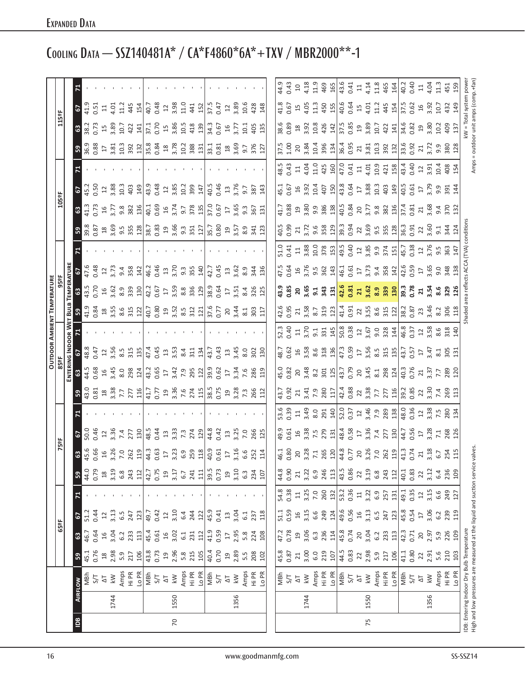|                 |      |                                                                              |                |                 |                 |              |                  |                                                                                                                                                                                                                                                                       |                                                                                                                                                                                                                                                                                                               |  |                                                                                                                                                                                                                                                                                                                                        |                                                                                     |          | <b>OUTDOOR AMBIENT TEMPERATURE</b>                                                                                                                                                                                             |                                                                                                                                                                                                                                                                                                                        |                                                                                                                                                                                                                                |       |                                                                                                             |                                                                                                                                                                                                                                                                                                           |                                               |       |                                                                                                                                                                                                                                                                                                            |                                                                                                                                                                                                                                                                                                                     |                                                                                                                                                                                                                                                                                                                     |                                                                                                                                                                                                                                                                                                                     |
|-----------------|------|------------------------------------------------------------------------------|----------------|-----------------|-----------------|--------------|------------------|-----------------------------------------------------------------------------------------------------------------------------------------------------------------------------------------------------------------------------------------------------------------------|---------------------------------------------------------------------------------------------------------------------------------------------------------------------------------------------------------------------------------------------------------------------------------------------------------------|--|----------------------------------------------------------------------------------------------------------------------------------------------------------------------------------------------------------------------------------------------------------------------------------------------------------------------------------------|-------------------------------------------------------------------------------------|----------|--------------------------------------------------------------------------------------------------------------------------------------------------------------------------------------------------------------------------------|------------------------------------------------------------------------------------------------------------------------------------------------------------------------------------------------------------------------------------------------------------------------------------------------------------------------|--------------------------------------------------------------------------------------------------------------------------------------------------------------------------------------------------------------------------------|-------|-------------------------------------------------------------------------------------------------------------|-----------------------------------------------------------------------------------------------------------------------------------------------------------------------------------------------------------------------------------------------------------------------------------------------------------|-----------------------------------------------|-------|------------------------------------------------------------------------------------------------------------------------------------------------------------------------------------------------------------------------------------------------------------------------------------------------------------|---------------------------------------------------------------------------------------------------------------------------------------------------------------------------------------------------------------------------------------------------------------------------------------------------------------------|---------------------------------------------------------------------------------------------------------------------------------------------------------------------------------------------------------------------------------------------------------------------------------------------------------------------|---------------------------------------------------------------------------------------------------------------------------------------------------------------------------------------------------------------------------------------------------------------------------------------------------------------------|
|                 |      |                                                                              |                |                 | 65°F            |              |                  |                                                                                                                                                                                                                                                                       | 75ºF                                                                                                                                                                                                                                                                                                          |  |                                                                                                                                                                                                                                                                                                                                        |                                                                                     |          |                                                                                                                                                                                                                                |                                                                                                                                                                                                                                                                                                                        |                                                                                                                                                                                                                                |       |                                                                                                             | 105°F                                                                                                                                                                                                                                                                                                     |                                               |       |                                                                                                                                                                                                                                                                                                            | 115°F                                                                                                                                                                                                                                                                                                               |                                                                                                                                                                                                                                                                                                                     |                                                                                                                                                                                                                                                                                                                     |
|                 |      |                                                                              |                |                 |                 |              |                  |                                                                                                                                                                                                                                                                       |                                                                                                                                                                                                                                                                                                               |  | ENTERING                                                                                                                                                                                                                                                                                                                               |                                                                                     | INDOOR W |                                                                                                                                                                                                                                | TEMPERATUR                                                                                                                                                                                                                                                                                                             |                                                                                                                                                                                                                                |       |                                                                                                             |                                                                                                                                                                                                                                                                                                           |                                               |       |                                                                                                                                                                                                                                                                                                            |                                                                                                                                                                                                                                                                                                                     |                                                                                                                                                                                                                                                                                                                     |                                                                                                                                                                                                                                                                                                                     |
| 1DB             |      | <b>AIRFLOW</b>                                                               | ္မာ            | $\mathbb{S}^3$  | 6               |              |                  |                                                                                                                                                                                                                                                                       |                                                                                                                                                                                                                                                                                                               |  |                                                                                                                                                                                                                                                                                                                                        |                                                                                     |          |                                                                                                                                                                                                                                |                                                                                                                                                                                                                                                                                                                        |                                                                                                                                                                                                                                |       |                                                                                                             | ස                                                                                                                                                                                                                                                                                                         |                                               |       |                                                                                                                                                                                                                                                                                                            | $\mathbf{3}$                                                                                                                                                                                                                                                                                                        | $\frac{5}{2}$                                                                                                                                                                                                                                                                                                       |                                                                                                                                                                                                                                                                                                                     |
|                 |      | MBh                                                                          | 45.1           | 46.7            | 51.2            |              | 44.0             |                                                                                                                                                                                                                                                                       | $rac{6}{20}$                                                                                                                                                                                                                                                                                                  |  | 44.5                                                                                                                                                                                                                                                                                                                                   | 48.8                                                                                |          | 41.9<br>0.84                                                                                                                                                                                                                   | 43.5                                                                                                                                                                                                                                                                                                                   | 47.6                                                                                                                                                                                                                           |       | 39.8<br>0.87                                                                                                | 41.3<br>0.73                                                                                                                                                                                                                                                                                              | $rac{67}{45.3}$                               |       |                                                                                                                                                                                                                                                                                                            | 38.2                                                                                                                                                                                                                                                                                                                | 41.9<br>0.51                                                                                                                                                                                                                                                                                                        |                                                                                                                                                                                                                                                                                                                     |
|                 |      | 5/7                                                                          | 0.76           | 0.64            | 0.44            |              | 0.79             |                                                                                                                                                                                                                                                                       |                                                                                                                                                                                                                                                                                                               |  | 0.68                                                                                                                                                                                                                                                                                                                                   | 0.47                                                                                |          |                                                                                                                                                                                                                                |                                                                                                                                                                                                                                                                                                                        | 0.48                                                                                                                                                                                                                           |       |                                                                                                             |                                                                                                                                                                                                                                                                                                           |                                               |       |                                                                                                                                                                                                                                                                                                            | .73                                                                                                                                                                                                                                                                                                                 |                                                                                                                                                                                                                                                                                                                     |                                                                                                                                                                                                                                                                                                                     |
|                 |      | $\overline{\Delta}$                                                          | $^{28}$        | 16              | $\overline{12}$ |              | $^{28}$          |                                                                                                                                                                                                                                                                       |                                                                                                                                                                                                                                                                                                               |  |                                                                                                                                                                                                                                                                                                                                        | $\overline{\mathfrak{c}}$                                                           |          |                                                                                                                                                                                                                                | $\frac{16}{2}$                                                                                                                                                                                                                                                                                                         | $2\overline{1}$                                                                                                                                                                                                                |       |                                                                                                             | $\frac{16}{2}$                                                                                                                                                                                                                                                                                            | $22$                                          |       |                                                                                                                                                                                                                                                                                                            |                                                                                                                                                                                                                                                                                                                     | $\Xi$                                                                                                                                                                                                                                                                                                               |                                                                                                                                                                                                                                                                                                                     |
|                 | 1744 | $\overline{\mathsf{k}}\mathsf{W}$                                            | 2.98           | 3.04            | 3.13            |              | 3.19             |                                                                                                                                                                                                                                                                       |                                                                                                                                                                                                                                                                                                               |  |                                                                                                                                                                                                                                                                                                                                        | 3.56                                                                                |          |                                                                                                                                                                                                                                |                                                                                                                                                                                                                                                                                                                        | 3.73                                                                                                                                                                                                                           |       |                                                                                                             | 3.77                                                                                                                                                                                                                                                                                                      |                                               |       |                                                                                                                                                                                                                                                                                                            |                                                                                                                                                                                                                                                                                                                     |                                                                                                                                                                                                                                                                                                                     |                                                                                                                                                                                                                                                                                                                     |
|                 |      | Amps                                                                         | 5.9<br>217     | 6.2             | 6.5             |              | $6.\overline{8}$ |                                                                                                                                                                                                                                                                       | $2,36$<br>$7,4$<br>$7,7$                                                                                                                                                                                                                                                                                      |  | $16$<br>$3.45$<br>$8.0$<br>$298$                                                                                                                                                                                                                                                                                                       | $8.5$<br>315                                                                        |          |                                                                                                                                                                                                                                |                                                                                                                                                                                                                                                                                                                        |                                                                                                                                                                                                                                |       |                                                                                                             |                                                                                                                                                                                                                                                                                                           |                                               |       |                                                                                                                                                                                                                                                                                                            | $158007$<br>$10.72$                                                                                                                                                                                                                                                                                                 | $4.01$<br>$11.2$                                                                                                                                                                                                                                                                                                    |                                                                                                                                                                                                                                                                                                                     |
|                 |      | Hi PR                                                                        |                | 233             | 247             |              | 243              |                                                                                                                                                                                                                                                                       |                                                                                                                                                                                                                                                                                                               |  |                                                                                                                                                                                                                                                                                                                                        |                                                                                     |          |                                                                                                                                                                                                                                |                                                                                                                                                                                                                                                                                                                        | $9.4$ $3.58$ $14$                                                                                                                                                                                                              |       |                                                                                                             |                                                                                                                                                                                                                                                                                                           | 3.88<br>10.3<br>403                           |       |                                                                                                                                                                                                                                                                                                            |                                                                                                                                                                                                                                                                                                                     | 445                                                                                                                                                                                                                                                                                                                 |                                                                                                                                                                                                                                                                                                                     |
|                 |      | Lo PR                                                                        | 106            | 113             | 123             |              | 112              |                                                                                                                                                                                                                                                                       | 130                                                                                                                                                                                                                                                                                                           |  |                                                                                                                                                                                                                                                                                                                                        | 135                                                                                 |          |                                                                                                                                                                                                                                |                                                                                                                                                                                                                                                                                                                        |                                                                                                                                                                                                                                |       |                                                                                                             |                                                                                                                                                                                                                                                                                                           |                                               |       |                                                                                                                                                                                                                                                                                                            |                                                                                                                                                                                                                                                                                                                     | 154                                                                                                                                                                                                                                                                                                                 |                                                                                                                                                                                                                                                                                                                     |
|                 |      | 다 기<br>지도                                                                    | 43.8           | 45.4            | 49.7            |              | 42.7             | $\frac{1}{3}$                                                                                                                                                                                                                                                         |                                                                                                                                                                                                                                                                                                               |  | $\frac{12}{3} \begin{vmatrix} 1 & 1 & 1 \\ 1 & 1 & 1 \\ 1 & 1 & 1 \\ 1 & 1 & 1 \\ 1 & 1 & 1 \\ 1 & 1 & 1 \\ 1 & 1 & 1 \\ 1 & 1 & 1 \\ 1 & 1 & 1 \\ 1 & 1 & 1 \\ 1 & 1 & 1 \\ 1 & 1 & 1 \\ 1 & 1 & 1 \\ 1 & 1 & 1 \\ 1 & 1 & 1 \\ 1 & 1 & 1 \\ 1 & 1 & 1 \\ 1 & 1 & 1 \\ 1 & 1 & 1 \\ 1 & 1 & 1 \\ 1 & 1 & 1 \\ 1 & 1 & 1 \\ 1 & 1 & 1$ | 47.4                                                                                |          |                                                                                                                                                                                                                                | $\frac{3}{8}$ $\frac{3}{8}$ $\frac{3}{8}$ $\frac{3}{8}$ $\frac{1}{12}$ $\frac{1}{5}$ $\frac{5}{12}$ $\frac{5}{8}$ $\frac{3}{8}$ $\frac{3}{8}$ $\frac{3}{8}$ $\frac{3}{8}$ $\frac{3}{12}$ $\frac{3}{8}$ $\frac{3}{8}$ $\frac{3}{8}$ $\frac{3}{12}$ $\frac{3}{8}$ $\frac{3}{8}$ $\frac{3}{12}$ $\frac{3}{8}$ $\frac{3}{$ | $\frac{46.2}{6.46}$                                                                                                                                                                                                            |       |                                                                                                             |                                                                                                                                                                                                                                                                                                           | $\frac{9}{43.3}$                              |       |                                                                                                                                                                                                                                                                                                            | $\frac{1}{2}$ $\frac{1}{2}$ $\frac{1}{2}$ $\frac{1}{2}$ $\frac{1}{2}$ $\frac{1}{2}$ $\frac{1}{2}$ $\frac{1}{2}$ $\frac{1}{2}$ $\frac{1}{2}$ $\frac{1}{2}$ $\frac{1}{2}$ $\frac{1}{2}$ $\frac{1}{2}$ $\frac{1}{2}$ $\frac{1}{2}$ $\frac{1}{2}$ $\frac{1}{2}$ $\frac{1}{2}$ $\frac{1}{2}$ $\frac{1}{2}$ $\frac{1}{2}$ | $\frac{10.7}{0.48}$<br>3.98<br>3.98                                                                                                                                                                                                                                                                                 |                                                                                                                                                                                                                                                                                                                     |
|                 |      |                                                                              | 0.73           | 0.61            | 0.42            |              |                  |                                                                                                                                                                                                                                                                       |                                                                                                                                                                                                                                                                                                               |  |                                                                                                                                                                                                                                                                                                                                        |                                                                                     |          |                                                                                                                                                                                                                                |                                                                                                                                                                                                                                                                                                                        |                                                                                                                                                                                                                                |       |                                                                                                             |                                                                                                                                                                                                                                                                                                           |                                               |       |                                                                                                                                                                                                                                                                                                            |                                                                                                                                                                                                                                                                                                                     |                                                                                                                                                                                                                                                                                                                     |                                                                                                                                                                                                                                                                                                                     |
|                 |      |                                                                              | $_{19}$        | $\mathfrak{a}$  | $\overline{12}$ |              | $\overline{c}$   |                                                                                                                                                                                                                                                                       |                                                                                                                                                                                                                                                                                                               |  |                                                                                                                                                                                                                                                                                                                                        |                                                                                     |          |                                                                                                                                                                                                                                |                                                                                                                                                                                                                                                                                                                        |                                                                                                                                                                                                                                |       |                                                                                                             |                                                                                                                                                                                                                                                                                                           | $22$                                          |       |                                                                                                                                                                                                                                                                                                            |                                                                                                                                                                                                                                                                                                                     |                                                                                                                                                                                                                                                                                                                     |                                                                                                                                                                                                                                                                                                                     |
| $\overline{70}$ | 1550 | $\lesssim$                                                                   | 2.96           | 3.02            | 3.10            |              | 3.17             |                                                                                                                                                                                                                                                                       |                                                                                                                                                                                                                                                                                                               |  |                                                                                                                                                                                                                                                                                                                                        |                                                                                     |          |                                                                                                                                                                                                                                |                                                                                                                                                                                                                                                                                                                        |                                                                                                                                                                                                                                |       |                                                                                                             |                                                                                                                                                                                                                                                                                                           |                                               |       |                                                                                                                                                                                                                                                                                                            |                                                                                                                                                                                                                                                                                                                     |                                                                                                                                                                                                                                                                                                                     |                                                                                                                                                                                                                                                                                                                     |
|                 |      | Amps                                                                         | 5.8            | 6.1             | 6.4             |              | 6.7              |                                                                                                                                                                                                                                                                       |                                                                                                                                                                                                                                                                                                               |  |                                                                                                                                                                                                                                                                                                                                        | $\frac{1}{2}$ $\frac{3}{2}$ $\frac{3}{2}$ $\frac{4}{2}$ $\frac{1}{2}$ $\frac{3}{2}$ |          |                                                                                                                                                                                                                                |                                                                                                                                                                                                                                                                                                                        | $\frac{25}{3}$ $\frac{25}{3}$ $\frac{21}{3}$                                                                                                                                                                                   |       |                                                                                                             |                                                                                                                                                                                                                                                                                                           | $3.85$ $10.3$ $9.4$ $10.5$ $10.4$ $6.4$ $6.4$ |       |                                                                                                                                                                                                                                                                                                            |                                                                                                                                                                                                                                                                                                                     |                                                                                                                                                                                                                                                                                                                     |                                                                                                                                                                                                                                                                                                                     |
|                 |      | Hi PR                                                                        | 215            | 231             | 244             |              | 241              |                                                                                                                                                                                                                                                                       |                                                                                                                                                                                                                                                                                                               |  |                                                                                                                                                                                                                                                                                                                                        |                                                                                     |          |                                                                                                                                                                                                                                |                                                                                                                                                                                                                                                                                                                        |                                                                                                                                                                                                                                |       |                                                                                                             |                                                                                                                                                                                                                                                                                                           |                                               |       |                                                                                                                                                                                                                                                                                                            |                                                                                                                                                                                                                                                                                                                     |                                                                                                                                                                                                                                                                                                                     |                                                                                                                                                                                                                                                                                                                     |
|                 |      | Lo PR                                                                        | 105            | 112             | 122             |              | 111              |                                                                                                                                                                                                                                                                       |                                                                                                                                                                                                                                                                                                               |  |                                                                                                                                                                                                                                                                                                                                        |                                                                                     |          |                                                                                                                                                                                                                                |                                                                                                                                                                                                                                                                                                                        |                                                                                                                                                                                                                                |       |                                                                                                             |                                                                                                                                                                                                                                                                                                           |                                               |       |                                                                                                                                                                                                                                                                                                            |                                                                                                                                                                                                                                                                                                                     |                                                                                                                                                                                                                                                                                                                     |                                                                                                                                                                                                                                                                                                                     |
|                 |      | MBh                                                                          |                | 41.9            | 45.9            |              |                  |                                                                                                                                                                                                                                                                       | $\frac{274}{129}$<br>$\frac{29}{43}$                                                                                                                                                                                                                                                                          |  |                                                                                                                                                                                                                                                                                                                                        | 43.7                                                                                |          |                                                                                                                                                                                                                                |                                                                                                                                                                                                                                                                                                                        | 42.7                                                                                                                                                                                                                           |       |                                                                                                             |                                                                                                                                                                                                                                                                                                           |                                               |       |                                                                                                                                                                                                                                                                                                            |                                                                                                                                                                                                                                                                                                                     | $rac{11}{37}$<br>$rac{11}{37}$<br>$rac{1}{37}$                                                                                                                                                                                                                                                                      |                                                                                                                                                                                                                                                                                                                     |
|                 |      | 5/7                                                                          | 40.4<br>0.70   | 0.59            | 0.41            |              | 39.5<br>0.73     |                                                                                                                                                                                                                                                                       |                                                                                                                                                                                                                                                                                                               |  |                                                                                                                                                                                                                                                                                                                                        | 0.43                                                                                |          |                                                                                                                                                                                                                                |                                                                                                                                                                                                                                                                                                                        | 0.45                                                                                                                                                                                                                           |       |                                                                                                             |                                                                                                                                                                                                                                                                                                           |                                               |       |                                                                                                                                                                                                                                                                                                            |                                                                                                                                                                                                                                                                                                                     |                                                                                                                                                                                                                                                                                                                     |                                                                                                                                                                                                                                                                                                                     |
|                 |      | $\overline{\omega}$                                                          | $\overline{c}$ | $\overline{17}$ | $\Xi$           |              | $\overline{c}$   |                                                                                                                                                                                                                                                                       |                                                                                                                                                                                                                                                                                                               |  |                                                                                                                                                                                                                                                                                                                                        |                                                                                     |          |                                                                                                                                                                                                                                |                                                                                                                                                                                                                                                                                                                        | $\Xi$                                                                                                                                                                                                                          |       |                                                                                                             |                                                                                                                                                                                                                                                                                                           |                                               |       |                                                                                                                                                                                                                                                                                                            |                                                                                                                                                                                                                                                                                                                     | $22$                                                                                                                                                                                                                                                                                                                |                                                                                                                                                                                                                                                                                                                     |
|                 | 1356 | $\overline{\mathsf{k}}$ W                                                    | 2.89           | 2.95            | 3.04            |              | 3.10             |                                                                                                                                                                                                                                                                       |                                                                                                                                                                                                                                                                                                               |  |                                                                                                                                                                                                                                                                                                                                        | $\frac{13}{3.45}$                                                                   |          |                                                                                                                                                                                                                                | $17^{15}$                                                                                                                                                                                                                                                                                                              |                                                                                                                                                                                                                                |       |                                                                                                             |                                                                                                                                                                                                                                                                                                           | 13.76                                         |       |                                                                                                                                                                                                                                                                                                            |                                                                                                                                                                                                                                                                                                                     |                                                                                                                                                                                                                                                                                                                     |                                                                                                                                                                                                                                                                                                                     |
|                 |      | Amps                                                                         | 5.5            | 5.8             | 6.1             |              | $6.\overline{3}$ |                                                                                                                                                                                                                                                                       |                                                                                                                                                                                                                                                                                                               |  |                                                                                                                                                                                                                                                                                                                                        |                                                                                     |          |                                                                                                                                                                                                                                |                                                                                                                                                                                                                                                                                                                        | $3.62$<br>8.9                                                                                                                                                                                                                  |       |                                                                                                             |                                                                                                                                                                                                                                                                                                           |                                               |       |                                                                                                                                                                                                                                                                                                            |                                                                                                                                                                                                                                                                                                                     |                                                                                                                                                                                                                                                                                                                     |                                                                                                                                                                                                                                                                                                                     |
|                 |      | Hi PR                                                                        | 208            | 224             | 237             |              | 234              |                                                                                                                                                                                                                                                                       |                                                                                                                                                                                                                                                                                                               |  |                                                                                                                                                                                                                                                                                                                                        | 8.0<br>302                                                                          |          |                                                                                                                                                                                                                                | s.4<br>325                                                                                                                                                                                                                                                                                                             |                                                                                                                                                                                                                                |       |                                                                                                             | $17.65$<br>$3.67$<br>$3.67$<br>$3.51$                                                                                                                                                                                                                                                                     | $-387$                                        |       |                                                                                                                                                                                                                                                                                                            | $195$<br>$495$                                                                                                                                                                                                                                                                                                      | 3.89<br>10.6<br>428                                                                                                                                                                                                                                                                                                 |                                                                                                                                                                                                                                                                                                                     |
|                 |      | Lo PR                                                                        | 102            | 108             |                 |              | 107              |                                                                                                                                                                                                                                                                       |                                                                                                                                                                                                                                                                                                               |  |                                                                                                                                                                                                                                                                                                                                        | 130                                                                                 |          |                                                                                                                                                                                                                                |                                                                                                                                                                                                                                                                                                                        | $344$<br>136                                                                                                                                                                                                                   |       |                                                                                                             |                                                                                                                                                                                                                                                                                                           | 143                                           |       |                                                                                                                                                                                                                                                                                                            |                                                                                                                                                                                                                                                                                                                     | 148                                                                                                                                                                                                                                                                                                                 |                                                                                                                                                                                                                                                                                                                     |
|                 |      |                                                                              |                |                 | 118             |              |                  |                                                                                                                                                                                                                                                                       |                                                                                                                                                                                                                                                                                                               |  |                                                                                                                                                                                                                                                                                                                                        |                                                                                     |          |                                                                                                                                                                                                                                |                                                                                                                                                                                                                                                                                                                        |                                                                                                                                                                                                                                |       |                                                                                                             |                                                                                                                                                                                                                                                                                                           |                                               |       |                                                                                                                                                                                                                                                                                                            |                                                                                                                                                                                                                                                                                                                     |                                                                                                                                                                                                                                                                                                                     |                                                                                                                                                                                                                                                                                                                     |
|                 |      |                                                                              |                |                 |                 |              |                  |                                                                                                                                                                                                                                                                       |                                                                                                                                                                                                                                                                                                               |  |                                                                                                                                                                                                                                                                                                                                        |                                                                                     |          |                                                                                                                                                                                                                                |                                                                                                                                                                                                                                                                                                                        |                                                                                                                                                                                                                                |       |                                                                                                             |                                                                                                                                                                                                                                                                                                           |                                               |       |                                                                                                                                                                                                                                                                                                            |                                                                                                                                                                                                                                                                                                                     |                                                                                                                                                                                                                                                                                                                     |                                                                                                                                                                                                                                                                                                                     |
|                 |      | NBh<br>S/T                                                                   | 45.8           | 47.2            | 51.1            | 54.8<br>0.38 | 44.8<br>0.90     |                                                                                                                                                                                                                                                                       |                                                                                                                                                                                                                                                                                                               |  |                                                                                                                                                                                                                                                                                                                                        |                                                                                     |          |                                                                                                                                                                                                                                |                                                                                                                                                                                                                                                                                                                        |                                                                                                                                                                                                                                |       |                                                                                                             |                                                                                                                                                                                                                                                                                                           |                                               |       |                                                                                                                                                                                                                                                                                                            |                                                                                                                                                                                                                                                                                                                     |                                                                                                                                                                                                                                                                                                                     | $14.9$<br>0.43                                                                                                                                                                                                                                                                                                      |
|                 |      |                                                                              | 0.87           | 0.78            | 0.59            |              |                  |                                                                                                                                                                                                                                                                       |                                                                                                                                                                                                                                                                                                               |  |                                                                                                                                                                                                                                                                                                                                        |                                                                                     |          |                                                                                                                                                                                                                                |                                                                                                                                                                                                                                                                                                                        |                                                                                                                                                                                                                                |       |                                                                                                             |                                                                                                                                                                                                                                                                                                           |                                               |       |                                                                                                                                                                                                                                                                                                            |                                                                                                                                                                                                                                                                                                                     |                                                                                                                                                                                                                                                                                                                     |                                                                                                                                                                                                                                                                                                                     |
|                 |      | $\Xi$                                                                        | 21             | $\overline{1}9$ | 16              | $\Xi$        | 21               |                                                                                                                                                                                                                                                                       |                                                                                                                                                                                                                                                                                                               |  |                                                                                                                                                                                                                                                                                                                                        |                                                                                     |          |                                                                                                                                                                                                                                |                                                                                                                                                                                                                                                                                                                        |                                                                                                                                                                                                                                |       |                                                                                                             |                                                                                                                                                                                                                                                                                                           |                                               |       |                                                                                                                                                                                                                                                                                                            |                                                                                                                                                                                                                                                                                                                     |                                                                                                                                                                                                                                                                                                                     |                                                                                                                                                                                                                                                                                                                     |
|                 | 1744 | $\overline{\mathsf{k}}$                                                      | 3.00           | 3.06            | 3.15            | 3.25         | 3.22             |                                                                                                                                                                                                                                                                       |                                                                                                                                                                                                                                                                                                               |  |                                                                                                                                                                                                                                                                                                                                        |                                                                                     |          |                                                                                                                                                                                                                                |                                                                                                                                                                                                                                                                                                                        |                                                                                                                                                                                                                                |       |                                                                                                             |                                                                                                                                                                                                                                                                                                           |                                               |       |                                                                                                                                                                                                                                                                                                            |                                                                                                                                                                                                                                                                                                                     |                                                                                                                                                                                                                                                                                                                     |                                                                                                                                                                                                                                                                                                                     |
|                 |      | Amps<br>Hi PR                                                                | 6.0            | 6.3             | 6.6             | 7.0          | 6.9              |                                                                                                                                                                                                                                                                       |                                                                                                                                                                                                                                                                                                               |  |                                                                                                                                                                                                                                                                                                                                        |                                                                                     |          |                                                                                                                                                                                                                                |                                                                                                                                                                                                                                                                                                                        |                                                                                                                                                                                                                                |       |                                                                                                             |                                                                                                                                                                                                                                                                                                           |                                               |       |                                                                                                                                                                                                                                                                                                            |                                                                                                                                                                                                                                                                                                                     |                                                                                                                                                                                                                                                                                                                     |                                                                                                                                                                                                                                                                                                                     |
|                 |      |                                                                              | 219            | 236             | 249             | 260          | 246              |                                                                                                                                                                                                                                                                       |                                                                                                                                                                                                                                                                                                               |  |                                                                                                                                                                                                                                                                                                                                        |                                                                                     |          |                                                                                                                                                                                                                                |                                                                                                                                                                                                                                                                                                                        |                                                                                                                                                                                                                                |       |                                                                                                             |                                                                                                                                                                                                                                                                                                           |                                               |       |                                                                                                                                                                                                                                                                                                            |                                                                                                                                                                                                                                                                                                                     |                                                                                                                                                                                                                                                                                                                     |                                                                                                                                                                                                                                                                                                                     |
|                 |      | Lo PR                                                                        | 107            | 114             | 124             | 132          | 113              |                                                                                                                                                                                                                                                                       |                                                                                                                                                                                                                                                                                                               |  |                                                                                                                                                                                                                                                                                                                                        |                                                                                     |          |                                                                                                                                                                                                                                |                                                                                                                                                                                                                                                                                                                        |                                                                                                                                                                                                                                |       |                                                                                                             |                                                                                                                                                                                                                                                                                                           |                                               |       |                                                                                                                                                                                                                                                                                                            | $\frac{86}{83}$ $\frac{83}{83}$ $\frac{83}{83}$ $\frac{83}{84}$ $\frac{81}{81}$ $\frac{83}{83}$ $\frac{83}{83}$ $\frac{81}{81}$ $\frac{81}{81}$                                                                                                                                                                     |                                                                                                                                                                                                                                                                                                                     | $\frac{1}{2}$ $\frac{1}{2}$ $\frac{1}{2}$ $\frac{1}{2}$ $\frac{1}{2}$ $\frac{1}{2}$ $\frac{1}{2}$ $\frac{1}{2}$ $\frac{1}{2}$ $\frac{1}{2}$ $\frac{1}{2}$ $\frac{1}{2}$ $\frac{1}{2}$ $\frac{1}{2}$ $\frac{1}{2}$ $\frac{1}{2}$ $\frac{1}{2}$ $\frac{1}{2}$ $\frac{1}{2}$ $\frac{1}{2}$ $\frac{1}{2}$ $\frac{1}{2}$ |
|                 |      | MBh                                                                          | 44.5<br>0.83   | 45.8<br>0.74    | 49.6            | 53.2<br>0.36 | 43.5             |                                                                                                                                                                                                                                                                       |                                                                                                                                                                                                                                                                                                               |  |                                                                                                                                                                                                                                                                                                                                        |                                                                                     |          |                                                                                                                                                                                                                                |                                                                                                                                                                                                                                                                                                                        |                                                                                                                                                                                                                                |       |                                                                                                             |                                                                                                                                                                                                                                                                                                           |                                               |       |                                                                                                                                                                                                                                                                                                            |                                                                                                                                                                                                                                                                                                                     |                                                                                                                                                                                                                                                                                                                     |                                                                                                                                                                                                                                                                                                                     |
|                 |      | 5/7                                                                          |                |                 | 0.56            |              | 0.86             |                                                                                                                                                                                                                                                                       |                                                                                                                                                                                                                                                                                                               |  |                                                                                                                                                                                                                                                                                                                                        |                                                                                     |          |                                                                                                                                                                                                                                |                                                                                                                                                                                                                                                                                                                        |                                                                                                                                                                                                                                |       |                                                                                                             |                                                                                                                                                                                                                                                                                                           |                                               |       |                                                                                                                                                                                                                                                                                                            |                                                                                                                                                                                                                                                                                                                     |                                                                                                                                                                                                                                                                                                                     |                                                                                                                                                                                                                                                                                                                     |
|                 |      | $\overline{\Delta}$                                                          | 2.98           | 20              | $\frac{1}{6}$   | $\Xi$        | $\overline{2}$   |                                                                                                                                                                                                                                                                       |                                                                                                                                                                                                                                                                                                               |  |                                                                                                                                                                                                                                                                                                                                        |                                                                                     |          |                                                                                                                                                                                                                                |                                                                                                                                                                                                                                                                                                                        |                                                                                                                                                                                                                                |       |                                                                                                             |                                                                                                                                                                                                                                                                                                           |                                               |       |                                                                                                                                                                                                                                                                                                            |                                                                                                                                                                                                                                                                                                                     |                                                                                                                                                                                                                                                                                                                     |                                                                                                                                                                                                                                                                                                                     |
| 75              | 1550 | $\lesssim$                                                                   |                | 3.04            | 3.13            | 3.22         | 3.19             |                                                                                                                                                                                                                                                                       |                                                                                                                                                                                                                                                                                                               |  |                                                                                                                                                                                                                                                                                                                                        |                                                                                     |          |                                                                                                                                                                                                                                |                                                                                                                                                                                                                                                                                                                        |                                                                                                                                                                                                                                |       |                                                                                                             |                                                                                                                                                                                                                                                                                                           |                                               |       |                                                                                                                                                                                                                                                                                                            |                                                                                                                                                                                                                                                                                                                     |                                                                                                                                                                                                                                                                                                                     |                                                                                                                                                                                                                                                                                                                     |
|                 |      | Amps<br>Hi PR                                                                | 5.9            | 6.2             | 6.5             | 6.9          | $6.\overline{8}$ |                                                                                                                                                                                                                                                                       |                                                                                                                                                                                                                                                                                                               |  |                                                                                                                                                                                                                                                                                                                                        |                                                                                     |          |                                                                                                                                                                                                                                |                                                                                                                                                                                                                                                                                                                        |                                                                                                                                                                                                                                |       |                                                                                                             |                                                                                                                                                                                                                                                                                                           |                                               |       |                                                                                                                                                                                                                                                                                                            |                                                                                                                                                                                                                                                                                                                     |                                                                                                                                                                                                                                                                                                                     |                                                                                                                                                                                                                                                                                                                     |
|                 |      |                                                                              | 217            | 233             | 247             | 257<br>131   | 243              |                                                                                                                                                                                                                                                                       |                                                                                                                                                                                                                                                                                                               |  |                                                                                                                                                                                                                                                                                                                                        |                                                                                     |          |                                                                                                                                                                                                                                |                                                                                                                                                                                                                                                                                                                        |                                                                                                                                                                                                                                |       |                                                                                                             |                                                                                                                                                                                                                                                                                                           |                                               |       |                                                                                                                                                                                                                                                                                                            |                                                                                                                                                                                                                                                                                                                     |                                                                                                                                                                                                                                                                                                                     |                                                                                                                                                                                                                                                                                                                     |
|                 |      | Lo PR                                                                        | 106            | 113             | 123             |              | 112              |                                                                                                                                                                                                                                                                       |                                                                                                                                                                                                                                                                                                               |  |                                                                                                                                                                                                                                                                                                                                        |                                                                                     |          |                                                                                                                                                                                                                                | ឆ្នំ ខី ខ ឌូ ឌូ ឌូ ឌូ ដូ <mark>ខ្ញុំ ខ្ញុំ ឌូ ឌូ ឌូ ឌូ ម</mark> ី ខ្ញុំ ខ្ញុំ ខ្ញុំ ខ្ញុំ ខ្ញុំ ខ្ញុំ ខ្ញុំ ខ្ញុំ ខ្ញុំ ខ្ញុ                                                                                                                                                                                           |                                                                                                                                                                                                                                |       | $45.9$<br>$35.7$ $25.8$ $35.2$<br>$35.2$ $35.2$<br>$35.2$<br>$35.2$<br>$35.2$<br>$35.2$<br>$35.2$<br>$35.2$ | $\frac{17}{41}$ $\frac{80}{81}$ $\frac{60}{81}$ $\frac{60}{81}$ $\frac{80}{81}$ $\frac{60}{81}$ $\frac{80}{81}$ $\frac{60}{81}$ $\frac{80}{81}$ $\frac{60}{81}$ $\frac{80}{81}$ $\frac{60}{81}$ $\frac{80}{81}$ $\frac{80}{81}$ $\frac{80}{81}$ $\frac{80}{81}$ $\frac{80}{81}$ $\frac{80}{81}$ $\frac{8$ |                                               |       | $\frac{15}{25}$ $\frac{5}{25}$ $\frac{5}{25}$ $\frac{35}{25}$ $\frac{35}{25}$ $\frac{35}{25}$ $\frac{35}{25}$ $\frac{35}{25}$ $\frac{35}{25}$ $\frac{35}{25}$ $\frac{35}{25}$ $\frac{35}{25}$ $\frac{35}{25}$ $\frac{35}{25}$ $\frac{35}{25}$ $\frac{35}{25}$ $\frac{35}{25}$ $\frac{35}{25}$ $\frac{35}{$ |                                                                                                                                                                                                                                                                                                                     | $\frac{3}{4}$ $\frac{5}{5}$ $\frac{1}{4}$ $\frac{2}{5}$ $\frac{3}{4}$ $\frac{3}{4}$ $\frac{3}{4}$ $\frac{3}{4}$ $\frac{3}{4}$ $\frac{3}{4}$ $\frac{3}{4}$ $\frac{3}{4}$ $\frac{3}{4}$ $\frac{3}{4}$ $\frac{3}{4}$ $\frac{3}{4}$ $\frac{3}{4}$ $\frac{3}{4}$ $\frac{3}{4}$ $\frac{3}{4}$ $\frac{3}{4}$ $\frac{3}{4}$ |                                                                                                                                                                                                                                                                                                                     |
|                 |      | MBh                                                                          | 41.1           | 42.3            | 45.8            | 49.1         | 40.1             |                                                                                                                                                                                                                                                                       |                                                                                                                                                                                                                                                                                                               |  |                                                                                                                                                                                                                                                                                                                                        |                                                                                     |          |                                                                                                                                                                                                                                |                                                                                                                                                                                                                                                                                                                        |                                                                                                                                                                                                                                |       |                                                                                                             |                                                                                                                                                                                                                                                                                                           |                                               |       |                                                                                                                                                                                                                                                                                                            | 34.6<br>0.82                                                                                                                                                                                                                                                                                                        |                                                                                                                                                                                                                                                                                                                     | $\frac{1}{40.40}$                                                                                                                                                                                                                                                                                                   |
|                 |      | 5/7                                                                          | 0.80           | 0.71            | 0.54            | 0.35         | 0.83             |                                                                                                                                                                                                                                                                       |                                                                                                                                                                                                                                                                                                               |  |                                                                                                                                                                                                                                                                                                                                        |                                                                                     |          |                                                                                                                                                                                                                                |                                                                                                                                                                                                                                                                                                                        |                                                                                                                                                                                                                                |       |                                                                                                             |                                                                                                                                                                                                                                                                                                           |                                               |       |                                                                                                                                                                                                                                                                                                            |                                                                                                                                                                                                                                                                                                                     |                                                                                                                                                                                                                                                                                                                     |                                                                                                                                                                                                                                                                                                                     |
|                 |      | $\overline{\Delta}$                                                          | 22             | 20              | $17\,$          | $22$         | 22               |                                                                                                                                                                                                                                                                       |                                                                                                                                                                                                                                                                                                               |  |                                                                                                                                                                                                                                                                                                                                        |                                                                                     |          |                                                                                                                                                                                                                                |                                                                                                                                                                                                                                                                                                                        |                                                                                                                                                                                                                                |       |                                                                                                             |                                                                                                                                                                                                                                                                                                           |                                               |       |                                                                                                                                                                                                                                                                                                            |                                                                                                                                                                                                                                                                                                                     |                                                                                                                                                                                                                                                                                                                     | 114                                                                                                                                                                                                                                                                                                                 |
|                 | 1356 | $\leq$                                                                       | 2.91           | 2.97            | 3.06            | 3.15         | 3.12             |                                                                                                                                                                                                                                                                       |                                                                                                                                                                                                                                                                                                               |  |                                                                                                                                                                                                                                                                                                                                        |                                                                                     |          |                                                                                                                                                                                                                                |                                                                                                                                                                                                                                                                                                                        |                                                                                                                                                                                                                                |       |                                                                                                             |                                                                                                                                                                                                                                                                                                           |                                               |       |                                                                                                                                                                                                                                                                                                            |                                                                                                                                                                                                                                                                                                                     |                                                                                                                                                                                                                                                                                                                     |                                                                                                                                                                                                                                                                                                                     |
|                 |      | Amps                                                                         | 5.6            | 5.9             | 6.2             | 6.6          | 6.4              |                                                                                                                                                                                                                                                                       |                                                                                                                                                                                                                                                                                                               |  |                                                                                                                                                                                                                                                                                                                                        |                                                                                     |          |                                                                                                                                                                                                                                |                                                                                                                                                                                                                                                                                                                        |                                                                                                                                                                                                                                |       |                                                                                                             |                                                                                                                                                                                                                                                                                                           |                                               |       |                                                                                                                                                                                                                                                                                                            |                                                                                                                                                                                                                                                                                                                     |                                                                                                                                                                                                                                                                                                                     | $\frac{3}{11}$                                                                                                                                                                                                                                                                                                      |
|                 |      | Hi PR                                                                        | 210            | 226             | 239<br>119      | 249          | 236              | $\begin{array}{l} 45.80 \ 63.81 \ 75.81 \ 75.81 \ 75.81 \ 75.81 \ 75.81 \ 75.81 \ 75.81 \ 75.81 \ 75.81 \ 75.81 \ 75.81 \ 75.81 \ 75.81 \ 75.81 \ 75.81 \ 75.81 \ 75.81 \ 75.81 \ 75.81 \ 75.81 \ 75.81 \ 75.81 \ 75.81 \ 75.81 \ 75.81 \ 75.81 \ 75.81 \ 75.82 \ 75$ | $\begin{array}{l} 9956 \\ 9956 \\ 1096 \\ 1096 \\ 1096 \\ 1096 \\ 1096 \\ 1096 \\ 1096 \\ 1096 \\ 1096 \\ 1096 \\ 1096 \\ 1096 \\ 1096 \\ 1096 \\ 1096 \\ 1096 \\ 1096 \\ 1096 \\ 1096 \\ 1096 \\ 1096 \\ 1096 \\ 1096 \\ 1096 \\ 1096 \\ 1096 \\ 1096 \\ 1096 \\ 1096 \\ 1096 \\ 1096 \\ 1096 \\ 1096 \\ 10$ |  |                                                                                                                                                                                                                                                                                                                                        |                                                                                     |          | $45.9$ $5.7$ $3.8$ $3.2$ $1.4$ $3.5$ $3.4$ $3.6$ $3.4$ $3.4$ $3.4$ $3.5$ $3.4$ $3.5$ $3.5$ $3.4$ $3.5$ $3.5$ $3.4$ $3.5$ $3.5$ $3.5$ $3.5$ $3.5$ $3.5$ $3.5$ $3.5$ $3.5$ $3.5$ $3.5$ $3.5$ $3.5$ $3.5$ $3.5$ $3.5$ $3.5$ $3.5$ |                                                                                                                                                                                                                                                                                                                        | $47.5$ $65.5$ $65.5$ $65.5$ $65.5$ $65.5$ $65.5$ $65.5$ $65.5$ $65.5$ $65.5$ $65.5$ $65.5$ $65.5$ $65.5$ $65.5$ $65.5$ $65.5$ $65.5$ $65.5$ $65.5$ $65.5$ $65.5$ $65.5$ $65.5$ $65.5$ $65.5$ $65.5$ $65.5$ $65.5$ $65.5$ $65.$ |       | $2\frac{6}{3}$ $\frac{1}{3}$ $\frac{4}{3}$ $\frac{5}{4}$                                                    | 21 368<br>268<br>268<br>262<br>262                                                                                                                                                                                                                                                                        |                                               |       | 9.3<br>380<br>128                                                                                                                                                                                                                                                                                          | $19.80$<br>$0.2$<br>$0.3$<br>$0.3$<br>$0.3$                                                                                                                                                                                                                                                                         | $49.7249$<br>$49.749$                                                                                                                                                                                                                                                                                               | 451<br>159                                                                                                                                                                                                                                                                                                          |
|                 |      | Lo <sub>PR</sub>                                                             | 103            | 109             |                 | 127          | 109              |                                                                                                                                                                                                                                                                       |                                                                                                                                                                                                                                                                                                               |  |                                                                                                                                                                                                                                                                                                                                        |                                                                                     |          |                                                                                                                                                                                                                                | <b>26</b>                                                                                                                                                                                                                                                                                                              |                                                                                                                                                                                                                                |       |                                                                                                             |                                                                                                                                                                                                                                                                                                           |                                               |       |                                                                                                                                                                                                                                                                                                            |                                                                                                                                                                                                                                                                                                                     |                                                                                                                                                                                                                                                                                                                     |                                                                                                                                                                                                                                                                                                                     |
|                 |      | IDB: Entering Indoor Dry Bulb Temperature                                    |                |                 |                 |              |                  |                                                                                                                                                                                                                                                                       |                                                                                                                                                                                                                                                                                                               |  |                                                                                                                                                                                                                                                                                                                                        |                                                                                     |          | haded                                                                                                                                                                                                                          |                                                                                                                                                                                                                                                                                                                        | ea reflects ACCA                                                                                                                                                                                                               | (TVA) | condition                                                                                                   |                                                                                                                                                                                                                                                                                                           |                                               |       |                                                                                                                                                                                                                                                                                                            | <w =="" system<="" td="" total=""><td></td><td>power</td></w>                                                                                                                                                                                                                                                       |                                                                                                                                                                                                                                                                                                                     | power                                                                                                                                                                                                                                                                                                               |
|                 |      | High and low pressures are measured at the liquid and suction service valves |                |                 |                 |              |                  |                                                                                                                                                                                                                                                                       |                                                                                                                                                                                                                                                                                                               |  |                                                                                                                                                                                                                                                                                                                                        |                                                                                     |          |                                                                                                                                                                                                                                |                                                                                                                                                                                                                                                                                                                        |                                                                                                                                                                                                                                |       |                                                                                                             |                                                                                                                                                                                                                                                                                                           |                                               | Amps: | = outdoor unit amps (comp.+fan)                                                                                                                                                                                                                                                                            |                                                                                                                                                                                                                                                                                                                     |                                                                                                                                                                                                                                                                                                                     |                                                                                                                                                                                                                                                                                                                     |

# **Cooling Data — SSZ140481A\* / CA\*F4860\*6A\*+TXV / MBR2000\*\*-1**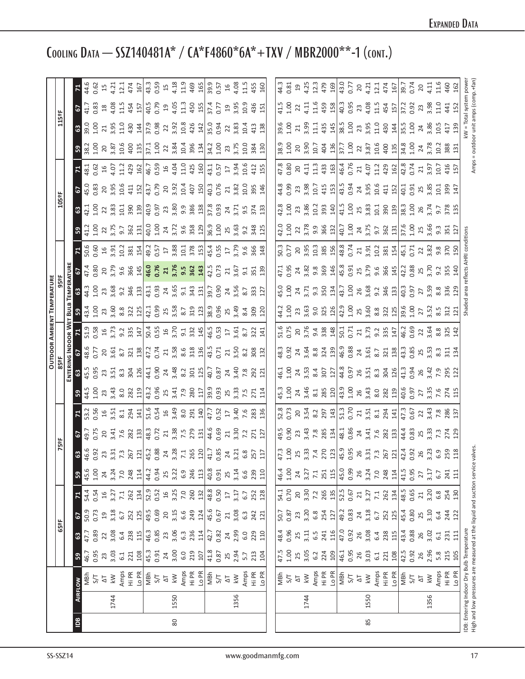**Cooling Data — SSZ140481A\* / CA\*F4860\*6A\*+TXV / MBR2000\*\*-1 (cont.)**

| z de se ta de la se ta de la segla de la segla de la segla de la segla de la segla de la segla de la segla de l<br>$G \rightarrow 1$ $G \rightarrow 0$ $G \rightarrow 0$ $G \rightarrow 0$ $G \rightarrow 0$ $G \rightarrow 0$ $G \rightarrow 0$ $G \rightarrow 0$ $G \rightarrow 0$ $G \rightarrow 0$ $G \rightarrow 0$ $G \rightarrow 0$ $G \rightarrow 0$ $G \rightarrow 0$ $G \rightarrow 0$ $G \rightarrow 0$ $G \rightarrow 0$ $G \rightarrow 0$ $G \rightarrow 0$ $G \rightarrow 0$ $G \rightarrow 0$ $G \rightarrow 0$ $G \rightarrow 0$ $G \rightarrow 0$ $G \rightarrow 0$ $G \rightarrow 0$ $G \rightarrow 0$ $G \rightarrow $<br>$3.532$ $3.5332$ $3.5332$ $3.532$ $3.532$ $3.532$ $3.532$ $3.532$ $3.532$ $3.532$ $3.532$ $3.532$ $3.532$ $3.532$ $3.532$ $3.532$ $3.532$ $3.532$ $3.532$ $3.532$ $3.532$ $3.532$ $3.532$ $3.532$ $3.532$ $3.532$ $3.532$ $3.$<br>$\frac{8}{3}$ $\frac{8}{3}$ $\frac{1}{3}$ $\frac{5}{3}$ $\frac{6}{3}$ $\frac{1}{3}$ $\frac{1}{2}$ $\frac{1}{3}$ $\frac{3}{3}$ $\frac{4}{3}$ $\frac{4}{3}$ $\frac{5}{3}$ $\frac{3}{3}$ $\frac{4}{3}$ $\frac{1}{3}$ $\frac{5}{3}$ $\frac{3}{3}$ $\frac{3}{3}$ $\frac{3}{3}$ $\frac{3}{3}$ $\frac{3}{3}$ $\frac{3}{3}$<br>$7\frac{2}{3}$ $\frac{3}{5}$ $\frac{6}{5}$ $\frac{1}{1}$ $\frac{3}{4}$ $\frac{2}{3}$ $\frac{1}{6}$ $\frac{5}{5}$ $\frac{3}{5}$ $\frac{4}{5}$ $\frac{1}{1}$ $\frac{3}{4}$ $\frac{1}{2}$ $\frac{5}{3}$ $\frac{1}{2}$ $\frac{3}{4}$ $\frac{1}{1}$ $\frac{3}{4}$ $\frac{1}{1}$ $\frac{3}{4}$ $\frac{1}{1}$ $\frac{3}{4}$<br>$\frac{6}{15}$ $\frac{6}{35}$ $\frac{63}{35}$ $\frac{63}{35}$ $\frac{64}{35}$ $\frac{64}{35}$ $\frac{64}{35}$ $\frac{64}{35}$ $\frac{64}{35}$ $\frac{64}{35}$ $\frac{64}{35}$ $\frac{64}{35}$ $\frac{64}{35}$ $\frac{64}{35}$ $\frac{64}{35}$ $\frac{64}{35}$ $\frac{64}{35}$ $\frac{64}{35}$ $\frac{64}{$<br>105°F<br><b><math>3\frac{1}{4}</math></b> $\frac{1}{5}$ $\frac{1}{6}$ $\frac{1}{2}$ $\frac{2}{3}$ $\frac{2}{3}$ $\frac{2}{3}$ $\frac{2}{3}$ $\frac{1}{2}$ $\frac{2}{3}$ $\frac{2}{3}$ $\frac{2}{3}$ $\frac{2}{3}$ $\frac{2}{3}$ $\frac{2}{3}$ $\frac{2}{3}$ $\frac{2}{3}$ $\frac{2}{3}$ $\frac{2}{3}$ $\frac{2}{3}$ $\frac{2}{3}$ $\frac{2}{3}$<br>$B$ $\frac{1}{4}$ $\frac{1}{2}$ $\frac{1}{6}$ $\frac{1}{6}$ $\frac{1}{6}$ $\frac{1}{6}$ $\frac{1}{6}$ $\frac{1}{6}$ $\frac{1}{6}$ $\frac{1}{6}$ $\frac{1}{6}$ $\frac{1}{6}$ $\frac{1}{6}$ $\frac{1}{6}$ $\frac{1}{6}$ $\frac{1}{6}$ $\frac{1}{6}$ $\frac{1}{6}$ $\frac{1}{6}$ $\frac{1}{6}$ $\frac{1}{6}$ $\frac{1}{6$<br>$\mathbf{z}$ $\mathbf{g}$ $\mathbf{g}$ $\mathbf{g}$ $\mathbf{g}$ $\mathbf{g}$ $\mathbf{g}$ $\mathbf{g}$ $\mathbf{g}$ $\mathbf{g}$ $\mathbf{g}$ $\mathbf{g}$ $\mathbf{g}$ $\mathbf{g}$ $\mathbf{g}$ $\mathbf{g}$ $\mathbf{g}$ $\mathbf{g}$ $\mathbf{g}$ $\mathbf{g}$ $\mathbf{g}$ $\mathbf{g}$ $\mathbf{g}$ $\mathbf{g}$ $\mathbf{$<br>$47.5$ $35.4$ $36.8$ $36.8$ $41.6$ $35.4$ $36.5$ $37.5$ $36.8$ $37.5$ $37.5$ $38.5$ $39.5$ $31.5$ $32.5$ $33.5$ $34.5$ $35.5$ $36.5$ $37.5$ $38.5$ $39.5$ $39.5$ $39.5$ $39.5$ $39.5$ $39.5$ $39.5$ $39.5$ $39.5$ $39.5$ $39.$<br>$\frac{3}{3}$ $\frac{4}{3}$ $\frac{5}{3}$ $\frac{8}{3}$ $\frac{3}{3}$ $\frac{4}{3}$ $\frac{3}{3}$ $\frac{3}{3}$ $\frac{4}{3}$ $\frac{5}{3}$ $\frac{3}{3}$ $\frac{3}{3}$ $\frac{3}{3}$ $\frac{3}{3}$ $\frac{3}{3}$ $\frac{3}{3}$ $\frac{3}{3}$ $\frac{3}{3}$ $\frac{3}{3}$ $\frac{3}{3}$ $\frac{3}{3}$ $\frac{3}{3}$<br>32 32 33 33 34 35 36 36 36 36 36 36 36 36 37 37 38 36 37 37 38 37 38 37 38 37 38 37 38 37 37 38 37 37 37 38 37<br>$5.6637$ $6.723$ $6.733$ $6.733$ $6.75$ $6.733$ $6.75$ $6.733$ $6.75$ $6.733$ $6.75$ $6.733$ $6.75$ $6.733$ $6.75$ $6.733$ $6.75$ $6.75$ $6.75$ $6.75$ $6.75$ $6.75$ $6.75$ $6.75$ $6.75$ $6.75$ $6.75$ $6.75$ $6.75$ $6.75$<br>$3\frac{15}{45}$ $3\frac{15}{8}$ $3\frac{17}{8}$ $3\frac{17}{8}$ $3\frac{17}{8}$ $3\frac{17}{8}$ $3\frac{17}{8}$ $3\frac{17}{8}$ $3\frac{17}{8}$ $3\frac{17}{8}$ $3\frac{17}{8}$ $3\frac{17}{8}$ $3\frac{17}{8}$ $3\frac{17}{8}$ $3\frac{17}{8}$ $3\frac{17}{8}$ $3\frac{17}{8}$ $3\frac{17}{8}$ $3\frac$<br>$7\frac{1}{3}$ $\frac{1}{3}$ $\frac{1}{5}$ $\frac{2}{5}$ $\frac{1}{3}$ $\frac{1}{3}$ $\frac{1}{3}$ $\frac{1}{5}$ $\frac{1}{5}$ $\frac{1}{5}$ $\frac{1}{2}$ $\frac{1}{3}$ $\frac{1}{2}$ $\frac{1}{3}$ $\frac{1}{2}$ $\frac{1}{3}$ $\frac{1}{2}$ $\frac{1}{3}$ $\frac{1}{2}$ $\frac{1}{3}$ $\frac{1}{2}$ $\frac{1}{3}$ $\frac{1}{2}$ $\frac{1}{3}$ $\frac{$<br><u>ន្លំ ដូន ដូច អូឡេដ្ឋ ដូច អូឡេដ្ឋ ដូច អូឡេង ដូច</u><br>នេះ ដូច អូឡេដ្ឋ ដូច អូឡេដ្ឋ ដូច អូឡេង ដូច អូ<br>$\frac{1}{6}$ $\frac{5}{9}$ $\frac{1}{6}$ $\frac{1}{6}$ $\frac{3}{6}$ $\frac{4}{3}$ $\frac{1}{6}$ $\frac{3}{6}$ $\frac{1}{6}$ $\frac{1}{6}$ $\frac{1}{6}$ $\frac{1}{6}$ $\frac{1}{6}$ $\frac{1}{6}$ $\frac{1}{6}$ $\frac{1}{6}$ $\frac{1}{6}$ $\frac{1}{6}$ $\frac{1}{6}$ $\frac{1}{6}$ $\frac{1}{6}$ $\frac{1}{6}$<br>75°F<br><b>8</b> $\frac{6}{3}$ $\frac{6}{3}$ $\frac{8}{3}$ $\frac{1}{3}$ $\frac{1}{3}$ $\frac{1}{3}$ $\frac{1}{3}$ $\frac{8}{3}$ $\frac{8}{3}$ $\frac{1}{3}$ $\frac{1}{3}$ $\frac{1}{3}$ $\frac{1}{3}$ $\frac{1}{3}$ $\frac{1}{3}$ $\frac{1}{3}$ $\frac{1}{3}$ $\frac{1}{3}$ $\frac{1}{3}$ $\frac{1}{3}$ $\frac{1}{3}$ $\frac{1}{3$<br>45.6<br>1.00<br>40.8<br>3.14<br>46.4<br>1.00<br>$\frac{115}{45.0}$<br>0.99<br>3.24<br>3.24<br>0.94<br>3.22<br>$rac{46}{11}$<br>3.27<br>248<br>114<br>44.2<br>6.9<br>0.91<br>239<br>251<br>41.5<br>0.95<br>3.17<br>7.0<br>110<br>7.1<br>26<br>7.0<br>248<br>114<br>25<br>25<br>6.6<br>24<br>241<br>24<br>6.7<br>$\Xi$<br>27<br>${\tt S}$<br>$52.9$<br>$0.52$<br>$16$<br>$3.25$<br>$7.0$<br>$\frac{260}{48.50}$<br>$3.30$<br>$7.2$<br>$265$ $\frac{13}{5}$ $\frac{15}{5}$ $\frac{5}{5}$<br>3.20<br>54.1<br>0.70<br>$\frac{48.5}{0.65}$<br>54.4<br>3.17<br>$\frac{21}{3.27}$<br>0.54<br>3.27<br>262<br>134<br>6.8<br>262<br>134<br>20<br>254<br>130<br>16<br>7.1<br>6.7<br>252<br>128<br>21<br>$\overline{\mathbb{E}}$<br>$3.15$<br>6.6<br>45.6<br>$24$<br>3.18<br>6.7<br>50.9<br>49.5<br>0.69<br>249<br>3.08<br>$3.20$<br>$6.8$<br>49.2<br>0.83<br>45.4<br>3.10<br>3.18<br>0.80<br>0.73<br>125<br>124<br>0.67<br>50.7<br>254<br>127<br>252<br>125<br>252<br>0.87<br>6.4<br>244<br>$\overline{20}$<br>242<br>25<br>122<br>6.7<br>21<br>6.3<br>23<br>$\overline{1}9$<br>$\overline{21}$<br>G<br>65°F<br>47.0<br>23<br>3.06<br>6.3<br>48.4<br>0.92<br>26<br>3.08<br>6.4<br>23<br>115<br>43.4<br>46.3<br>0.85<br>236<br>114<br>0.88<br>3.02<br>0.89<br>3.08<br>238<br>115<br>42.7<br>0.82<br>2.99<br>3.11<br>116<br>229<br><sub>0.96</sub><br>6.5<br>241<br>47.7<br>110<br>26<br>6.1<br>231<br>6.4<br>24<br>6.0<br>111<br>25<br>22<br>63<br>2.96<br>$24$<br>$3.00$<br>$6.0$<br>41.8<br>47.5<br>46.1<br>0.95<br>26<br>3.03<br>42.5<br>0.92<br>45.3<br>0.91<br>219<br>107<br>2.94<br>3.05<br>224<br>3.03<br>001<br>109<br>108<br>$5.8$<br>215<br>46.7<br>0.95<br>108<br>0.87<br>213<br>221<br>105<br>221<br>6.1<br>26<br>25<br>$\overline{5}$<br>25<br>6.1<br>5.7<br>S <sub>9</sub><br>Amps<br>Hi PR<br>Lo PIE<br>S/T<br>Amps<br>Hi PR<br><u>Lo</u> PR<br>Amps<br>Hi PR<br><u>S</u><br>S 도<br>Amps<br>Hi PR<br>Lo PR<br>Amps<br>Hi PR<br>Lo PR<br>NBh<br>S/T<br>AT<br>Amps<br>Hi PR<br>Lo PR<br>$\overline{\mathsf{k}}$ W<br>MBh<br>S/T<br>다 기<br>55<br>$\lesssim$<br>MBh<br>$\leq$<br>$\overline{\mathsf{k}}$ W<br>KW<br>$\overline{\mathsf{k}}$<br>5/7<br>$\overline{\mathbb{Q}}$<br>$\overline{\Delta}$<br>$\overline{\Delta}$<br><b>AIRFLOW</b><br>1550<br>1356<br>1550<br>1356<br>1744<br>1744 | n power<br>np.+fan)<br>High and low pressures are measured at the liquid and suction service<br>IDB: Entering Indoor Dry Bulb Temperature |  |  |  |  |  |  | <b>OUTDOOR AMBIENT TEMPERATURI</b> |  |  |  |  |       |  |
|------------------------------------------------------------------------------------------------------------------------------------------------------------------------------------------------------------------------------------------------------------------------------------------------------------------------------------------------------------------------------------------------------------------------------------------------------------------------------------------------------------------------------------------------------------------------------------------------------------------------------------------------------------------------------------------------------------------------------------------------------------------------------------------------------------------------------------------------------------------------------------------------------------------------------------------------------------------------------------------------------------------------------------------------------------------------------------------------------------------------------------------------------------------------------------------------------------------------------------------------------------------------------------------------------------------------------------------------------------------------------------------------------------------------------------------------------------------------------------------------------------------------------------------------------------------------------------------------------------------------------------------------------------------------------------------------------------------------------------------------------------------------------------------------------------------------------------------------------------------------------------------------------------------------------------------------------------------------------------------------------------------------------------------------------------------------------------------------------------------------------------------------------------------------------------------------------------------------------------------------------------------------------------------------------------------------------------------------------------------------------------------------------------------------------------------------------------------------------------------------------------------------------------------------------------------------------------------------------------------------------------------------------------------------------------------------------------------------------------------------------------------------------------------------------------------------------------------------------------------------------------------------------------------------------------------------------------------------------------------------------------------------------------------------------------------------------------------------------------------------------------------------------------------------------------------------------------------------------------------------------------------------------------------------------------------------------------------------------------------------------------------------------------------------------------------------------------------------------------------------------------------------------------------------------------------------------------------------------------------------------------------------------------------------------------------------------------------------------------------------------------------------------------------------------------------------------------------------------------------------------------------------------------------------------------------------------------------------------------------------------------------------------------------------------------------------------------------------------------------------------------------------------------------------------------------------------------------------------------------------------------------------------------------------------------------------------------------------------------------------------------------------------------------------------------------------------------------------------------------------------------------------------------------------------------------------------------------------------------------------------------------------------------------------------------------------------------------------------------------------------------------------------------------------------------------------------------------------------------------------------------------------------------------------------------------------------------------------------------------------------------------------------------------------------------------------------------------------------------------------------------------------------------------------------------------------------------------------------------------------------------------------------------------------------------------------------------------------------------------------------------------------------------------------------------------------------------------------------------------------------------------------------------------------------------------------------------------------------------------------------------------------------------------------------------------------------------------------------------------------------------------------------------------------------------------------------------------------------------------------------------------------------------------------------------------------------------------------------------------------------------------------------------------------------------------------------------------------------------------------------------------------------------------------------------------------------------------------------------------------------------------------------------------------------------------------------------------------------------------------------------------------------------------------------------------------------------------------------------------------------------------------------------------------------------------------------------------------------------------------------------------------------------------------------------------------------------------------------------------------------------------------------------------------------------------------------------------------------------------------------------------------------------------------------------------------------------------------------------------------------------------------------------------------------------------------------------------------------------------------------------------------------------------------------------------------------------------------------------------------------------------------------------------------------------------------------------------------------------------------------------------------------------------------------------------------------------------------------------------------------------------------|-------------------------------------------------------------------------------------------------------------------------------------------|--|--|--|--|--|--|------------------------------------|--|--|--|--|-------|--|
|                                                                                                                                                                                                                                                                                                                                                                                                                                                                                                                                                                                                                                                                                                                                                                                                                                                                                                                                                                                                                                                                                                                                                                                                                                                                                                                                                                                                                                                                                                                                                                                                                                                                                                                                                                                                                                                                                                                                                                                                                                                                                                                                                                                                                                                                                                                                                                                                                                                                                                                                                                                                                                                                                                                                                                                                                                                                                                                                                                                                                                                                                                                                                                                                                                                                                                                                                                                                                                                                                                                                                                                                                                                                                                                                                                                                                                                                                                                                                                                                                                                                                                                                                                                                                                                                                                                                                                                                                                                                                                                                                                                                                                                                                                                                                                                                                                                                                                                                                                                                                                                                                                                                                                                                                                                                                                                                                                                                                                                                                                                                                                                                                                                                                                                                                                                                                                                                                                                                                                                                                                                                                                                                                                                                                                                                                                                                                                                                                                                                                                                                                                                                                                                                                                                                                                                                                                                                                                                                                                                                                                                                                                                                                                                                                                                                                                                                                                                                                                                                                                                        |                                                                                                                                           |  |  |  |  |  |  |                                    |  |  |  |  | 115°F |  |
|                                                                                                                                                                                                                                                                                                                                                                                                                                                                                                                                                                                                                                                                                                                                                                                                                                                                                                                                                                                                                                                                                                                                                                                                                                                                                                                                                                                                                                                                                                                                                                                                                                                                                                                                                                                                                                                                                                                                                                                                                                                                                                                                                                                                                                                                                                                                                                                                                                                                                                                                                                                                                                                                                                                                                                                                                                                                                                                                                                                                                                                                                                                                                                                                                                                                                                                                                                                                                                                                                                                                                                                                                                                                                                                                                                                                                                                                                                                                                                                                                                                                                                                                                                                                                                                                                                                                                                                                                                                                                                                                                                                                                                                                                                                                                                                                                                                                                                                                                                                                                                                                                                                                                                                                                                                                                                                                                                                                                                                                                                                                                                                                                                                                                                                                                                                                                                                                                                                                                                                                                                                                                                                                                                                                                                                                                                                                                                                                                                                                                                                                                                                                                                                                                                                                                                                                                                                                                                                                                                                                                                                                                                                                                                                                                                                                                                                                                                                                                                                                                                                        |                                                                                                                                           |  |  |  |  |  |  |                                    |  |  |  |  |       |  |
|                                                                                                                                                                                                                                                                                                                                                                                                                                                                                                                                                                                                                                                                                                                                                                                                                                                                                                                                                                                                                                                                                                                                                                                                                                                                                                                                                                                                                                                                                                                                                                                                                                                                                                                                                                                                                                                                                                                                                                                                                                                                                                                                                                                                                                                                                                                                                                                                                                                                                                                                                                                                                                                                                                                                                                                                                                                                                                                                                                                                                                                                                                                                                                                                                                                                                                                                                                                                                                                                                                                                                                                                                                                                                                                                                                                                                                                                                                                                                                                                                                                                                                                                                                                                                                                                                                                                                                                                                                                                                                                                                                                                                                                                                                                                                                                                                                                                                                                                                                                                                                                                                                                                                                                                                                                                                                                                                                                                                                                                                                                                                                                                                                                                                                                                                                                                                                                                                                                                                                                                                                                                                                                                                                                                                                                                                                                                                                                                                                                                                                                                                                                                                                                                                                                                                                                                                                                                                                                                                                                                                                                                                                                                                                                                                                                                                                                                                                                                                                                                                                                        |                                                                                                                                           |  |  |  |  |  |  |                                    |  |  |  |  |       |  |
|                                                                                                                                                                                                                                                                                                                                                                                                                                                                                                                                                                                                                                                                                                                                                                                                                                                                                                                                                                                                                                                                                                                                                                                                                                                                                                                                                                                                                                                                                                                                                                                                                                                                                                                                                                                                                                                                                                                                                                                                                                                                                                                                                                                                                                                                                                                                                                                                                                                                                                                                                                                                                                                                                                                                                                                                                                                                                                                                                                                                                                                                                                                                                                                                                                                                                                                                                                                                                                                                                                                                                                                                                                                                                                                                                                                                                                                                                                                                                                                                                                                                                                                                                                                                                                                                                                                                                                                                                                                                                                                                                                                                                                                                                                                                                                                                                                                                                                                                                                                                                                                                                                                                                                                                                                                                                                                                                                                                                                                                                                                                                                                                                                                                                                                                                                                                                                                                                                                                                                                                                                                                                                                                                                                                                                                                                                                                                                                                                                                                                                                                                                                                                                                                                                                                                                                                                                                                                                                                                                                                                                                                                                                                                                                                                                                                                                                                                                                                                                                                                                                        |                                                                                                                                           |  |  |  |  |  |  |                                    |  |  |  |  |       |  |
|                                                                                                                                                                                                                                                                                                                                                                                                                                                                                                                                                                                                                                                                                                                                                                                                                                                                                                                                                                                                                                                                                                                                                                                                                                                                                                                                                                                                                                                                                                                                                                                                                                                                                                                                                                                                                                                                                                                                                                                                                                                                                                                                                                                                                                                                                                                                                                                                                                                                                                                                                                                                                                                                                                                                                                                                                                                                                                                                                                                                                                                                                                                                                                                                                                                                                                                                                                                                                                                                                                                                                                                                                                                                                                                                                                                                                                                                                                                                                                                                                                                                                                                                                                                                                                                                                                                                                                                                                                                                                                                                                                                                                                                                                                                                                                                                                                                                                                                                                                                                                                                                                                                                                                                                                                                                                                                                                                                                                                                                                                                                                                                                                                                                                                                                                                                                                                                                                                                                                                                                                                                                                                                                                                                                                                                                                                                                                                                                                                                                                                                                                                                                                                                                                                                                                                                                                                                                                                                                                                                                                                                                                                                                                                                                                                                                                                                                                                                                                                                                                                                        |                                                                                                                                           |  |  |  |  |  |  |                                    |  |  |  |  |       |  |
|                                                                                                                                                                                                                                                                                                                                                                                                                                                                                                                                                                                                                                                                                                                                                                                                                                                                                                                                                                                                                                                                                                                                                                                                                                                                                                                                                                                                                                                                                                                                                                                                                                                                                                                                                                                                                                                                                                                                                                                                                                                                                                                                                                                                                                                                                                                                                                                                                                                                                                                                                                                                                                                                                                                                                                                                                                                                                                                                                                                                                                                                                                                                                                                                                                                                                                                                                                                                                                                                                                                                                                                                                                                                                                                                                                                                                                                                                                                                                                                                                                                                                                                                                                                                                                                                                                                                                                                                                                                                                                                                                                                                                                                                                                                                                                                                                                                                                                                                                                                                                                                                                                                                                                                                                                                                                                                                                                                                                                                                                                                                                                                                                                                                                                                                                                                                                                                                                                                                                                                                                                                                                                                                                                                                                                                                                                                                                                                                                                                                                                                                                                                                                                                                                                                                                                                                                                                                                                                                                                                                                                                                                                                                                                                                                                                                                                                                                                                                                                                                                                                        |                                                                                                                                           |  |  |  |  |  |  |                                    |  |  |  |  |       |  |
|                                                                                                                                                                                                                                                                                                                                                                                                                                                                                                                                                                                                                                                                                                                                                                                                                                                                                                                                                                                                                                                                                                                                                                                                                                                                                                                                                                                                                                                                                                                                                                                                                                                                                                                                                                                                                                                                                                                                                                                                                                                                                                                                                                                                                                                                                                                                                                                                                                                                                                                                                                                                                                                                                                                                                                                                                                                                                                                                                                                                                                                                                                                                                                                                                                                                                                                                                                                                                                                                                                                                                                                                                                                                                                                                                                                                                                                                                                                                                                                                                                                                                                                                                                                                                                                                                                                                                                                                                                                                                                                                                                                                                                                                                                                                                                                                                                                                                                                                                                                                                                                                                                                                                                                                                                                                                                                                                                                                                                                                                                                                                                                                                                                                                                                                                                                                                                                                                                                                                                                                                                                                                                                                                                                                                                                                                                                                                                                                                                                                                                                                                                                                                                                                                                                                                                                                                                                                                                                                                                                                                                                                                                                                                                                                                                                                                                                                                                                                                                                                                                                        |                                                                                                                                           |  |  |  |  |  |  |                                    |  |  |  |  |       |  |
|                                                                                                                                                                                                                                                                                                                                                                                                                                                                                                                                                                                                                                                                                                                                                                                                                                                                                                                                                                                                                                                                                                                                                                                                                                                                                                                                                                                                                                                                                                                                                                                                                                                                                                                                                                                                                                                                                                                                                                                                                                                                                                                                                                                                                                                                                                                                                                                                                                                                                                                                                                                                                                                                                                                                                                                                                                                                                                                                                                                                                                                                                                                                                                                                                                                                                                                                                                                                                                                                                                                                                                                                                                                                                                                                                                                                                                                                                                                                                                                                                                                                                                                                                                                                                                                                                                                                                                                                                                                                                                                                                                                                                                                                                                                                                                                                                                                                                                                                                                                                                                                                                                                                                                                                                                                                                                                                                                                                                                                                                                                                                                                                                                                                                                                                                                                                                                                                                                                                                                                                                                                                                                                                                                                                                                                                                                                                                                                                                                                                                                                                                                                                                                                                                                                                                                                                                                                                                                                                                                                                                                                                                                                                                                                                                                                                                                                                                                                                                                                                                                                        |                                                                                                                                           |  |  |  |  |  |  |                                    |  |  |  |  |       |  |
|                                                                                                                                                                                                                                                                                                                                                                                                                                                                                                                                                                                                                                                                                                                                                                                                                                                                                                                                                                                                                                                                                                                                                                                                                                                                                                                                                                                                                                                                                                                                                                                                                                                                                                                                                                                                                                                                                                                                                                                                                                                                                                                                                                                                                                                                                                                                                                                                                                                                                                                                                                                                                                                                                                                                                                                                                                                                                                                                                                                                                                                                                                                                                                                                                                                                                                                                                                                                                                                                                                                                                                                                                                                                                                                                                                                                                                                                                                                                                                                                                                                                                                                                                                                                                                                                                                                                                                                                                                                                                                                                                                                                                                                                                                                                                                                                                                                                                                                                                                                                                                                                                                                                                                                                                                                                                                                                                                                                                                                                                                                                                                                                                                                                                                                                                                                                                                                                                                                                                                                                                                                                                                                                                                                                                                                                                                                                                                                                                                                                                                                                                                                                                                                                                                                                                                                                                                                                                                                                                                                                                                                                                                                                                                                                                                                                                                                                                                                                                                                                                                                        |                                                                                                                                           |  |  |  |  |  |  |                                    |  |  |  |  |       |  |
|                                                                                                                                                                                                                                                                                                                                                                                                                                                                                                                                                                                                                                                                                                                                                                                                                                                                                                                                                                                                                                                                                                                                                                                                                                                                                                                                                                                                                                                                                                                                                                                                                                                                                                                                                                                                                                                                                                                                                                                                                                                                                                                                                                                                                                                                                                                                                                                                                                                                                                                                                                                                                                                                                                                                                                                                                                                                                                                                                                                                                                                                                                                                                                                                                                                                                                                                                                                                                                                                                                                                                                                                                                                                                                                                                                                                                                                                                                                                                                                                                                                                                                                                                                                                                                                                                                                                                                                                                                                                                                                                                                                                                                                                                                                                                                                                                                                                                                                                                                                                                                                                                                                                                                                                                                                                                                                                                                                                                                                                                                                                                                                                                                                                                                                                                                                                                                                                                                                                                                                                                                                                                                                                                                                                                                                                                                                                                                                                                                                                                                                                                                                                                                                                                                                                                                                                                                                                                                                                                                                                                                                                                                                                                                                                                                                                                                                                                                                                                                                                                                                        |                                                                                                                                           |  |  |  |  |  |  |                                    |  |  |  |  |       |  |
|                                                                                                                                                                                                                                                                                                                                                                                                                                                                                                                                                                                                                                                                                                                                                                                                                                                                                                                                                                                                                                                                                                                                                                                                                                                                                                                                                                                                                                                                                                                                                                                                                                                                                                                                                                                                                                                                                                                                                                                                                                                                                                                                                                                                                                                                                                                                                                                                                                                                                                                                                                                                                                                                                                                                                                                                                                                                                                                                                                                                                                                                                                                                                                                                                                                                                                                                                                                                                                                                                                                                                                                                                                                                                                                                                                                                                                                                                                                                                                                                                                                                                                                                                                                                                                                                                                                                                                                                                                                                                                                                                                                                                                                                                                                                                                                                                                                                                                                                                                                                                                                                                                                                                                                                                                                                                                                                                                                                                                                                                                                                                                                                                                                                                                                                                                                                                                                                                                                                                                                                                                                                                                                                                                                                                                                                                                                                                                                                                                                                                                                                                                                                                                                                                                                                                                                                                                                                                                                                                                                                                                                                                                                                                                                                                                                                                                                                                                                                                                                                                                                        |                                                                                                                                           |  |  |  |  |  |  |                                    |  |  |  |  |       |  |
|                                                                                                                                                                                                                                                                                                                                                                                                                                                                                                                                                                                                                                                                                                                                                                                                                                                                                                                                                                                                                                                                                                                                                                                                                                                                                                                                                                                                                                                                                                                                                                                                                                                                                                                                                                                                                                                                                                                                                                                                                                                                                                                                                                                                                                                                                                                                                                                                                                                                                                                                                                                                                                                                                                                                                                                                                                                                                                                                                                                                                                                                                                                                                                                                                                                                                                                                                                                                                                                                                                                                                                                                                                                                                                                                                                                                                                                                                                                                                                                                                                                                                                                                                                                                                                                                                                                                                                                                                                                                                                                                                                                                                                                                                                                                                                                                                                                                                                                                                                                                                                                                                                                                                                                                                                                                                                                                                                                                                                                                                                                                                                                                                                                                                                                                                                                                                                                                                                                                                                                                                                                                                                                                                                                                                                                                                                                                                                                                                                                                                                                                                                                                                                                                                                                                                                                                                                                                                                                                                                                                                                                                                                                                                                                                                                                                                                                                                                                                                                                                                                                        |                                                                                                                                           |  |  |  |  |  |  |                                    |  |  |  |  |       |  |
|                                                                                                                                                                                                                                                                                                                                                                                                                                                                                                                                                                                                                                                                                                                                                                                                                                                                                                                                                                                                                                                                                                                                                                                                                                                                                                                                                                                                                                                                                                                                                                                                                                                                                                                                                                                                                                                                                                                                                                                                                                                                                                                                                                                                                                                                                                                                                                                                                                                                                                                                                                                                                                                                                                                                                                                                                                                                                                                                                                                                                                                                                                                                                                                                                                                                                                                                                                                                                                                                                                                                                                                                                                                                                                                                                                                                                                                                                                                                                                                                                                                                                                                                                                                                                                                                                                                                                                                                                                                                                                                                                                                                                                                                                                                                                                                                                                                                                                                                                                                                                                                                                                                                                                                                                                                                                                                                                                                                                                                                                                                                                                                                                                                                                                                                                                                                                                                                                                                                                                                                                                                                                                                                                                                                                                                                                                                                                                                                                                                                                                                                                                                                                                                                                                                                                                                                                                                                                                                                                                                                                                                                                                                                                                                                                                                                                                                                                                                                                                                                                                                        |                                                                                                                                           |  |  |  |  |  |  |                                    |  |  |  |  |       |  |
|                                                                                                                                                                                                                                                                                                                                                                                                                                                                                                                                                                                                                                                                                                                                                                                                                                                                                                                                                                                                                                                                                                                                                                                                                                                                                                                                                                                                                                                                                                                                                                                                                                                                                                                                                                                                                                                                                                                                                                                                                                                                                                                                                                                                                                                                                                                                                                                                                                                                                                                                                                                                                                                                                                                                                                                                                                                                                                                                                                                                                                                                                                                                                                                                                                                                                                                                                                                                                                                                                                                                                                                                                                                                                                                                                                                                                                                                                                                                                                                                                                                                                                                                                                                                                                                                                                                                                                                                                                                                                                                                                                                                                                                                                                                                                                                                                                                                                                                                                                                                                                                                                                                                                                                                                                                                                                                                                                                                                                                                                                                                                                                                                                                                                                                                                                                                                                                                                                                                                                                                                                                                                                                                                                                                                                                                                                                                                                                                                                                                                                                                                                                                                                                                                                                                                                                                                                                                                                                                                                                                                                                                                                                                                                                                                                                                                                                                                                                                                                                                                                                        |                                                                                                                                           |  |  |  |  |  |  |                                    |  |  |  |  |       |  |
|                                                                                                                                                                                                                                                                                                                                                                                                                                                                                                                                                                                                                                                                                                                                                                                                                                                                                                                                                                                                                                                                                                                                                                                                                                                                                                                                                                                                                                                                                                                                                                                                                                                                                                                                                                                                                                                                                                                                                                                                                                                                                                                                                                                                                                                                                                                                                                                                                                                                                                                                                                                                                                                                                                                                                                                                                                                                                                                                                                                                                                                                                                                                                                                                                                                                                                                                                                                                                                                                                                                                                                                                                                                                                                                                                                                                                                                                                                                                                                                                                                                                                                                                                                                                                                                                                                                                                                                                                                                                                                                                                                                                                                                                                                                                                                                                                                                                                                                                                                                                                                                                                                                                                                                                                                                                                                                                                                                                                                                                                                                                                                                                                                                                                                                                                                                                                                                                                                                                                                                                                                                                                                                                                                                                                                                                                                                                                                                                                                                                                                                                                                                                                                                                                                                                                                                                                                                                                                                                                                                                                                                                                                                                                                                                                                                                                                                                                                                                                                                                                                                        |                                                                                                                                           |  |  |  |  |  |  |                                    |  |  |  |  |       |  |
|                                                                                                                                                                                                                                                                                                                                                                                                                                                                                                                                                                                                                                                                                                                                                                                                                                                                                                                                                                                                                                                                                                                                                                                                                                                                                                                                                                                                                                                                                                                                                                                                                                                                                                                                                                                                                                                                                                                                                                                                                                                                                                                                                                                                                                                                                                                                                                                                                                                                                                                                                                                                                                                                                                                                                                                                                                                                                                                                                                                                                                                                                                                                                                                                                                                                                                                                                                                                                                                                                                                                                                                                                                                                                                                                                                                                                                                                                                                                                                                                                                                                                                                                                                                                                                                                                                                                                                                                                                                                                                                                                                                                                                                                                                                                                                                                                                                                                                                                                                                                                                                                                                                                                                                                                                                                                                                                                                                                                                                                                                                                                                                                                                                                                                                                                                                                                                                                                                                                                                                                                                                                                                                                                                                                                                                                                                                                                                                                                                                                                                                                                                                                                                                                                                                                                                                                                                                                                                                                                                                                                                                                                                                                                                                                                                                                                                                                                                                                                                                                                                                        |                                                                                                                                           |  |  |  |  |  |  |                                    |  |  |  |  |       |  |
|                                                                                                                                                                                                                                                                                                                                                                                                                                                                                                                                                                                                                                                                                                                                                                                                                                                                                                                                                                                                                                                                                                                                                                                                                                                                                                                                                                                                                                                                                                                                                                                                                                                                                                                                                                                                                                                                                                                                                                                                                                                                                                                                                                                                                                                                                                                                                                                                                                                                                                                                                                                                                                                                                                                                                                                                                                                                                                                                                                                                                                                                                                                                                                                                                                                                                                                                                                                                                                                                                                                                                                                                                                                                                                                                                                                                                                                                                                                                                                                                                                                                                                                                                                                                                                                                                                                                                                                                                                                                                                                                                                                                                                                                                                                                                                                                                                                                                                                                                                                                                                                                                                                                                                                                                                                                                                                                                                                                                                                                                                                                                                                                                                                                                                                                                                                                                                                                                                                                                                                                                                                                                                                                                                                                                                                                                                                                                                                                                                                                                                                                                                                                                                                                                                                                                                                                                                                                                                                                                                                                                                                                                                                                                                                                                                                                                                                                                                                                                                                                                                                        |                                                                                                                                           |  |  |  |  |  |  |                                    |  |  |  |  |       |  |
|                                                                                                                                                                                                                                                                                                                                                                                                                                                                                                                                                                                                                                                                                                                                                                                                                                                                                                                                                                                                                                                                                                                                                                                                                                                                                                                                                                                                                                                                                                                                                                                                                                                                                                                                                                                                                                                                                                                                                                                                                                                                                                                                                                                                                                                                                                                                                                                                                                                                                                                                                                                                                                                                                                                                                                                                                                                                                                                                                                                                                                                                                                                                                                                                                                                                                                                                                                                                                                                                                                                                                                                                                                                                                                                                                                                                                                                                                                                                                                                                                                                                                                                                                                                                                                                                                                                                                                                                                                                                                                                                                                                                                                                                                                                                                                                                                                                                                                                                                                                                                                                                                                                                                                                                                                                                                                                                                                                                                                                                                                                                                                                                                                                                                                                                                                                                                                                                                                                                                                                                                                                                                                                                                                                                                                                                                                                                                                                                                                                                                                                                                                                                                                                                                                                                                                                                                                                                                                                                                                                                                                                                                                                                                                                                                                                                                                                                                                                                                                                                                                                        |                                                                                                                                           |  |  |  |  |  |  |                                    |  |  |  |  |       |  |
|                                                                                                                                                                                                                                                                                                                                                                                                                                                                                                                                                                                                                                                                                                                                                                                                                                                                                                                                                                                                                                                                                                                                                                                                                                                                                                                                                                                                                                                                                                                                                                                                                                                                                                                                                                                                                                                                                                                                                                                                                                                                                                                                                                                                                                                                                                                                                                                                                                                                                                                                                                                                                                                                                                                                                                                                                                                                                                                                                                                                                                                                                                                                                                                                                                                                                                                                                                                                                                                                                                                                                                                                                                                                                                                                                                                                                                                                                                                                                                                                                                                                                                                                                                                                                                                                                                                                                                                                                                                                                                                                                                                                                                                                                                                                                                                                                                                                                                                                                                                                                                                                                                                                                                                                                                                                                                                                                                                                                                                                                                                                                                                                                                                                                                                                                                                                                                                                                                                                                                                                                                                                                                                                                                                                                                                                                                                                                                                                                                                                                                                                                                                                                                                                                                                                                                                                                                                                                                                                                                                                                                                                                                                                                                                                                                                                                                                                                                                                                                                                                                                        |                                                                                                                                           |  |  |  |  |  |  |                                    |  |  |  |  |       |  |
|                                                                                                                                                                                                                                                                                                                                                                                                                                                                                                                                                                                                                                                                                                                                                                                                                                                                                                                                                                                                                                                                                                                                                                                                                                                                                                                                                                                                                                                                                                                                                                                                                                                                                                                                                                                                                                                                                                                                                                                                                                                                                                                                                                                                                                                                                                                                                                                                                                                                                                                                                                                                                                                                                                                                                                                                                                                                                                                                                                                                                                                                                                                                                                                                                                                                                                                                                                                                                                                                                                                                                                                                                                                                                                                                                                                                                                                                                                                                                                                                                                                                                                                                                                                                                                                                                                                                                                                                                                                                                                                                                                                                                                                                                                                                                                                                                                                                                                                                                                                                                                                                                                                                                                                                                                                                                                                                                                                                                                                                                                                                                                                                                                                                                                                                                                                                                                                                                                                                                                                                                                                                                                                                                                                                                                                                                                                                                                                                                                                                                                                                                                                                                                                                                                                                                                                                                                                                                                                                                                                                                                                                                                                                                                                                                                                                                                                                                                                                                                                                                                                        |                                                                                                                                           |  |  |  |  |  |  |                                    |  |  |  |  |       |  |
|                                                                                                                                                                                                                                                                                                                                                                                                                                                                                                                                                                                                                                                                                                                                                                                                                                                                                                                                                                                                                                                                                                                                                                                                                                                                                                                                                                                                                                                                                                                                                                                                                                                                                                                                                                                                                                                                                                                                                                                                                                                                                                                                                                                                                                                                                                                                                                                                                                                                                                                                                                                                                                                                                                                                                                                                                                                                                                                                                                                                                                                                                                                                                                                                                                                                                                                                                                                                                                                                                                                                                                                                                                                                                                                                                                                                                                                                                                                                                                                                                                                                                                                                                                                                                                                                                                                                                                                                                                                                                                                                                                                                                                                                                                                                                                                                                                                                                                                                                                                                                                                                                                                                                                                                                                                                                                                                                                                                                                                                                                                                                                                                                                                                                                                                                                                                                                                                                                                                                                                                                                                                                                                                                                                                                                                                                                                                                                                                                                                                                                                                                                                                                                                                                                                                                                                                                                                                                                                                                                                                                                                                                                                                                                                                                                                                                                                                                                                                                                                                                                                        |                                                                                                                                           |  |  |  |  |  |  |                                    |  |  |  |  |       |  |
|                                                                                                                                                                                                                                                                                                                                                                                                                                                                                                                                                                                                                                                                                                                                                                                                                                                                                                                                                                                                                                                                                                                                                                                                                                                                                                                                                                                                                                                                                                                                                                                                                                                                                                                                                                                                                                                                                                                                                                                                                                                                                                                                                                                                                                                                                                                                                                                                                                                                                                                                                                                                                                                                                                                                                                                                                                                                                                                                                                                                                                                                                                                                                                                                                                                                                                                                                                                                                                                                                                                                                                                                                                                                                                                                                                                                                                                                                                                                                                                                                                                                                                                                                                                                                                                                                                                                                                                                                                                                                                                                                                                                                                                                                                                                                                                                                                                                                                                                                                                                                                                                                                                                                                                                                                                                                                                                                                                                                                                                                                                                                                                                                                                                                                                                                                                                                                                                                                                                                                                                                                                                                                                                                                                                                                                                                                                                                                                                                                                                                                                                                                                                                                                                                                                                                                                                                                                                                                                                                                                                                                                                                                                                                                                                                                                                                                                                                                                                                                                                                                                        |                                                                                                                                           |  |  |  |  |  |  |                                    |  |  |  |  |       |  |
|                                                                                                                                                                                                                                                                                                                                                                                                                                                                                                                                                                                                                                                                                                                                                                                                                                                                                                                                                                                                                                                                                                                                                                                                                                                                                                                                                                                                                                                                                                                                                                                                                                                                                                                                                                                                                                                                                                                                                                                                                                                                                                                                                                                                                                                                                                                                                                                                                                                                                                                                                                                                                                                                                                                                                                                                                                                                                                                                                                                                                                                                                                                                                                                                                                                                                                                                                                                                                                                                                                                                                                                                                                                                                                                                                                                                                                                                                                                                                                                                                                                                                                                                                                                                                                                                                                                                                                                                                                                                                                                                                                                                                                                                                                                                                                                                                                                                                                                                                                                                                                                                                                                                                                                                                                                                                                                                                                                                                                                                                                                                                                                                                                                                                                                                                                                                                                                                                                                                                                                                                                                                                                                                                                                                                                                                                                                                                                                                                                                                                                                                                                                                                                                                                                                                                                                                                                                                                                                                                                                                                                                                                                                                                                                                                                                                                                                                                                                                                                                                                                                        |                                                                                                                                           |  |  |  |  |  |  |                                    |  |  |  |  |       |  |
|                                                                                                                                                                                                                                                                                                                                                                                                                                                                                                                                                                                                                                                                                                                                                                                                                                                                                                                                                                                                                                                                                                                                                                                                                                                                                                                                                                                                                                                                                                                                                                                                                                                                                                                                                                                                                                                                                                                                                                                                                                                                                                                                                                                                                                                                                                                                                                                                                                                                                                                                                                                                                                                                                                                                                                                                                                                                                                                                                                                                                                                                                                                                                                                                                                                                                                                                                                                                                                                                                                                                                                                                                                                                                                                                                                                                                                                                                                                                                                                                                                                                                                                                                                                                                                                                                                                                                                                                                                                                                                                                                                                                                                                                                                                                                                                                                                                                                                                                                                                                                                                                                                                                                                                                                                                                                                                                                                                                                                                                                                                                                                                                                                                                                                                                                                                                                                                                                                                                                                                                                                                                                                                                                                                                                                                                                                                                                                                                                                                                                                                                                                                                                                                                                                                                                                                                                                                                                                                                                                                                                                                                                                                                                                                                                                                                                                                                                                                                                                                                                                                        |                                                                                                                                           |  |  |  |  |  |  |                                    |  |  |  |  |       |  |
|                                                                                                                                                                                                                                                                                                                                                                                                                                                                                                                                                                                                                                                                                                                                                                                                                                                                                                                                                                                                                                                                                                                                                                                                                                                                                                                                                                                                                                                                                                                                                                                                                                                                                                                                                                                                                                                                                                                                                                                                                                                                                                                                                                                                                                                                                                                                                                                                                                                                                                                                                                                                                                                                                                                                                                                                                                                                                                                                                                                                                                                                                                                                                                                                                                                                                                                                                                                                                                                                                                                                                                                                                                                                                                                                                                                                                                                                                                                                                                                                                                                                                                                                                                                                                                                                                                                                                                                                                                                                                                                                                                                                                                                                                                                                                                                                                                                                                                                                                                                                                                                                                                                                                                                                                                                                                                                                                                                                                                                                                                                                                                                                                                                                                                                                                                                                                                                                                                                                                                                                                                                                                                                                                                                                                                                                                                                                                                                                                                                                                                                                                                                                                                                                                                                                                                                                                                                                                                                                                                                                                                                                                                                                                                                                                                                                                                                                                                                                                                                                                                                        |                                                                                                                                           |  |  |  |  |  |  |                                    |  |  |  |  |       |  |
|                                                                                                                                                                                                                                                                                                                                                                                                                                                                                                                                                                                                                                                                                                                                                                                                                                                                                                                                                                                                                                                                                                                                                                                                                                                                                                                                                                                                                                                                                                                                                                                                                                                                                                                                                                                                                                                                                                                                                                                                                                                                                                                                                                                                                                                                                                                                                                                                                                                                                                                                                                                                                                                                                                                                                                                                                                                                                                                                                                                                                                                                                                                                                                                                                                                                                                                                                                                                                                                                                                                                                                                                                                                                                                                                                                                                                                                                                                                                                                                                                                                                                                                                                                                                                                                                                                                                                                                                                                                                                                                                                                                                                                                                                                                                                                                                                                                                                                                                                                                                                                                                                                                                                                                                                                                                                                                                                                                                                                                                                                                                                                                                                                                                                                                                                                                                                                                                                                                                                                                                                                                                                                                                                                                                                                                                                                                                                                                                                                                                                                                                                                                                                                                                                                                                                                                                                                                                                                                                                                                                                                                                                                                                                                                                                                                                                                                                                                                                                                                                                                                        |                                                                                                                                           |  |  |  |  |  |  |                                    |  |  |  |  |       |  |
|                                                                                                                                                                                                                                                                                                                                                                                                                                                                                                                                                                                                                                                                                                                                                                                                                                                                                                                                                                                                                                                                                                                                                                                                                                                                                                                                                                                                                                                                                                                                                                                                                                                                                                                                                                                                                                                                                                                                                                                                                                                                                                                                                                                                                                                                                                                                                                                                                                                                                                                                                                                                                                                                                                                                                                                                                                                                                                                                                                                                                                                                                                                                                                                                                                                                                                                                                                                                                                                                                                                                                                                                                                                                                                                                                                                                                                                                                                                                                                                                                                                                                                                                                                                                                                                                                                                                                                                                                                                                                                                                                                                                                                                                                                                                                                                                                                                                                                                                                                                                                                                                                                                                                                                                                                                                                                                                                                                                                                                                                                                                                                                                                                                                                                                                                                                                                                                                                                                                                                                                                                                                                                                                                                                                                                                                                                                                                                                                                                                                                                                                                                                                                                                                                                                                                                                                                                                                                                                                                                                                                                                                                                                                                                                                                                                                                                                                                                                                                                                                                                                        |                                                                                                                                           |  |  |  |  |  |  |                                    |  |  |  |  |       |  |
|                                                                                                                                                                                                                                                                                                                                                                                                                                                                                                                                                                                                                                                                                                                                                                                                                                                                                                                                                                                                                                                                                                                                                                                                                                                                                                                                                                                                                                                                                                                                                                                                                                                                                                                                                                                                                                                                                                                                                                                                                                                                                                                                                                                                                                                                                                                                                                                                                                                                                                                                                                                                                                                                                                                                                                                                                                                                                                                                                                                                                                                                                                                                                                                                                                                                                                                                                                                                                                                                                                                                                                                                                                                                                                                                                                                                                                                                                                                                                                                                                                                                                                                                                                                                                                                                                                                                                                                                                                                                                                                                                                                                                                                                                                                                                                                                                                                                                                                                                                                                                                                                                                                                                                                                                                                                                                                                                                                                                                                                                                                                                                                                                                                                                                                                                                                                                                                                                                                                                                                                                                                                                                                                                                                                                                                                                                                                                                                                                                                                                                                                                                                                                                                                                                                                                                                                                                                                                                                                                                                                                                                                                                                                                                                                                                                                                                                                                                                                                                                                                                                        |                                                                                                                                           |  |  |  |  |  |  |                                    |  |  |  |  |       |  |
|                                                                                                                                                                                                                                                                                                                                                                                                                                                                                                                                                                                                                                                                                                                                                                                                                                                                                                                                                                                                                                                                                                                                                                                                                                                                                                                                                                                                                                                                                                                                                                                                                                                                                                                                                                                                                                                                                                                                                                                                                                                                                                                                                                                                                                                                                                                                                                                                                                                                                                                                                                                                                                                                                                                                                                                                                                                                                                                                                                                                                                                                                                                                                                                                                                                                                                                                                                                                                                                                                                                                                                                                                                                                                                                                                                                                                                                                                                                                                                                                                                                                                                                                                                                                                                                                                                                                                                                                                                                                                                                                                                                                                                                                                                                                                                                                                                                                                                                                                                                                                                                                                                                                                                                                                                                                                                                                                                                                                                                                                                                                                                                                                                                                                                                                                                                                                                                                                                                                                                                                                                                                                                                                                                                                                                                                                                                                                                                                                                                                                                                                                                                                                                                                                                                                                                                                                                                                                                                                                                                                                                                                                                                                                                                                                                                                                                                                                                                                                                                                                                                        |                                                                                                                                           |  |  |  |  |  |  |                                    |  |  |  |  |       |  |
|                                                                                                                                                                                                                                                                                                                                                                                                                                                                                                                                                                                                                                                                                                                                                                                                                                                                                                                                                                                                                                                                                                                                                                                                                                                                                                                                                                                                                                                                                                                                                                                                                                                                                                                                                                                                                                                                                                                                                                                                                                                                                                                                                                                                                                                                                                                                                                                                                                                                                                                                                                                                                                                                                                                                                                                                                                                                                                                                                                                                                                                                                                                                                                                                                                                                                                                                                                                                                                                                                                                                                                                                                                                                                                                                                                                                                                                                                                                                                                                                                                                                                                                                                                                                                                                                                                                                                                                                                                                                                                                                                                                                                                                                                                                                                                                                                                                                                                                                                                                                                                                                                                                                                                                                                                                                                                                                                                                                                                                                                                                                                                                                                                                                                                                                                                                                                                                                                                                                                                                                                                                                                                                                                                                                                                                                                                                                                                                                                                                                                                                                                                                                                                                                                                                                                                                                                                                                                                                                                                                                                                                                                                                                                                                                                                                                                                                                                                                                                                                                                                                        |                                                                                                                                           |  |  |  |  |  |  |                                    |  |  |  |  |       |  |
|                                                                                                                                                                                                                                                                                                                                                                                                                                                                                                                                                                                                                                                                                                                                                                                                                                                                                                                                                                                                                                                                                                                                                                                                                                                                                                                                                                                                                                                                                                                                                                                                                                                                                                                                                                                                                                                                                                                                                                                                                                                                                                                                                                                                                                                                                                                                                                                                                                                                                                                                                                                                                                                                                                                                                                                                                                                                                                                                                                                                                                                                                                                                                                                                                                                                                                                                                                                                                                                                                                                                                                                                                                                                                                                                                                                                                                                                                                                                                                                                                                                                                                                                                                                                                                                                                                                                                                                                                                                                                                                                                                                                                                                                                                                                                                                                                                                                                                                                                                                                                                                                                                                                                                                                                                                                                                                                                                                                                                                                                                                                                                                                                                                                                                                                                                                                                                                                                                                                                                                                                                                                                                                                                                                                                                                                                                                                                                                                                                                                                                                                                                                                                                                                                                                                                                                                                                                                                                                                                                                                                                                                                                                                                                                                                                                                                                                                                                                                                                                                                                                        |                                                                                                                                           |  |  |  |  |  |  |                                    |  |  |  |  |       |  |
|                                                                                                                                                                                                                                                                                                                                                                                                                                                                                                                                                                                                                                                                                                                                                                                                                                                                                                                                                                                                                                                                                                                                                                                                                                                                                                                                                                                                                                                                                                                                                                                                                                                                                                                                                                                                                                                                                                                                                                                                                                                                                                                                                                                                                                                                                                                                                                                                                                                                                                                                                                                                                                                                                                                                                                                                                                                                                                                                                                                                                                                                                                                                                                                                                                                                                                                                                                                                                                                                                                                                                                                                                                                                                                                                                                                                                                                                                                                                                                                                                                                                                                                                                                                                                                                                                                                                                                                                                                                                                                                                                                                                                                                                                                                                                                                                                                                                                                                                                                                                                                                                                                                                                                                                                                                                                                                                                                                                                                                                                                                                                                                                                                                                                                                                                                                                                                                                                                                                                                                                                                                                                                                                                                                                                                                                                                                                                                                                                                                                                                                                                                                                                                                                                                                                                                                                                                                                                                                                                                                                                                                                                                                                                                                                                                                                                                                                                                                                                                                                                                                        |                                                                                                                                           |  |  |  |  |  |  |                                    |  |  |  |  |       |  |
|                                                                                                                                                                                                                                                                                                                                                                                                                                                                                                                                                                                                                                                                                                                                                                                                                                                                                                                                                                                                                                                                                                                                                                                                                                                                                                                                                                                                                                                                                                                                                                                                                                                                                                                                                                                                                                                                                                                                                                                                                                                                                                                                                                                                                                                                                                                                                                                                                                                                                                                                                                                                                                                                                                                                                                                                                                                                                                                                                                                                                                                                                                                                                                                                                                                                                                                                                                                                                                                                                                                                                                                                                                                                                                                                                                                                                                                                                                                                                                                                                                                                                                                                                                                                                                                                                                                                                                                                                                                                                                                                                                                                                                                                                                                                                                                                                                                                                                                                                                                                                                                                                                                                                                                                                                                                                                                                                                                                                                                                                                                                                                                                                                                                                                                                                                                                                                                                                                                                                                                                                                                                                                                                                                                                                                                                                                                                                                                                                                                                                                                                                                                                                                                                                                                                                                                                                                                                                                                                                                                                                                                                                                                                                                                                                                                                                                                                                                                                                                                                                                                        |                                                                                                                                           |  |  |  |  |  |  |                                    |  |  |  |  |       |  |
|                                                                                                                                                                                                                                                                                                                                                                                                                                                                                                                                                                                                                                                                                                                                                                                                                                                                                                                                                                                                                                                                                                                                                                                                                                                                                                                                                                                                                                                                                                                                                                                                                                                                                                                                                                                                                                                                                                                                                                                                                                                                                                                                                                                                                                                                                                                                                                                                                                                                                                                                                                                                                                                                                                                                                                                                                                                                                                                                                                                                                                                                                                                                                                                                                                                                                                                                                                                                                                                                                                                                                                                                                                                                                                                                                                                                                                                                                                                                                                                                                                                                                                                                                                                                                                                                                                                                                                                                                                                                                                                                                                                                                                                                                                                                                                                                                                                                                                                                                                                                                                                                                                                                                                                                                                                                                                                                                                                                                                                                                                                                                                                                                                                                                                                                                                                                                                                                                                                                                                                                                                                                                                                                                                                                                                                                                                                                                                                                                                                                                                                                                                                                                                                                                                                                                                                                                                                                                                                                                                                                                                                                                                                                                                                                                                                                                                                                                                                                                                                                                                                        |                                                                                                                                           |  |  |  |  |  |  |                                    |  |  |  |  |       |  |
|                                                                                                                                                                                                                                                                                                                                                                                                                                                                                                                                                                                                                                                                                                                                                                                                                                                                                                                                                                                                                                                                                                                                                                                                                                                                                                                                                                                                                                                                                                                                                                                                                                                                                                                                                                                                                                                                                                                                                                                                                                                                                                                                                                                                                                                                                                                                                                                                                                                                                                                                                                                                                                                                                                                                                                                                                                                                                                                                                                                                                                                                                                                                                                                                                                                                                                                                                                                                                                                                                                                                                                                                                                                                                                                                                                                                                                                                                                                                                                                                                                                                                                                                                                                                                                                                                                                                                                                                                                                                                                                                                                                                                                                                                                                                                                                                                                                                                                                                                                                                                                                                                                                                                                                                                                                                                                                                                                                                                                                                                                                                                                                                                                                                                                                                                                                                                                                                                                                                                                                                                                                                                                                                                                                                                                                                                                                                                                                                                                                                                                                                                                                                                                                                                                                                                                                                                                                                                                                                                                                                                                                                                                                                                                                                                                                                                                                                                                                                                                                                                                                        |                                                                                                                                           |  |  |  |  |  |  |                                    |  |  |  |  |       |  |
|                                                                                                                                                                                                                                                                                                                                                                                                                                                                                                                                                                                                                                                                                                                                                                                                                                                                                                                                                                                                                                                                                                                                                                                                                                                                                                                                                                                                                                                                                                                                                                                                                                                                                                                                                                                                                                                                                                                                                                                                                                                                                                                                                                                                                                                                                                                                                                                                                                                                                                                                                                                                                                                                                                                                                                                                                                                                                                                                                                                                                                                                                                                                                                                                                                                                                                                                                                                                                                                                                                                                                                                                                                                                                                                                                                                                                                                                                                                                                                                                                                                                                                                                                                                                                                                                                                                                                                                                                                                                                                                                                                                                                                                                                                                                                                                                                                                                                                                                                                                                                                                                                                                                                                                                                                                                                                                                                                                                                                                                                                                                                                                                                                                                                                                                                                                                                                                                                                                                                                                                                                                                                                                                                                                                                                                                                                                                                                                                                                                                                                                                                                                                                                                                                                                                                                                                                                                                                                                                                                                                                                                                                                                                                                                                                                                                                                                                                                                                                                                                                                                        |                                                                                                                                           |  |  |  |  |  |  |                                    |  |  |  |  |       |  |
|                                                                                                                                                                                                                                                                                                                                                                                                                                                                                                                                                                                                                                                                                                                                                                                                                                                                                                                                                                                                                                                                                                                                                                                                                                                                                                                                                                                                                                                                                                                                                                                                                                                                                                                                                                                                                                                                                                                                                                                                                                                                                                                                                                                                                                                                                                                                                                                                                                                                                                                                                                                                                                                                                                                                                                                                                                                                                                                                                                                                                                                                                                                                                                                                                                                                                                                                                                                                                                                                                                                                                                                                                                                                                                                                                                                                                                                                                                                                                                                                                                                                                                                                                                                                                                                                                                                                                                                                                                                                                                                                                                                                                                                                                                                                                                                                                                                                                                                                                                                                                                                                                                                                                                                                                                                                                                                                                                                                                                                                                                                                                                                                                                                                                                                                                                                                                                                                                                                                                                                                                                                                                                                                                                                                                                                                                                                                                                                                                                                                                                                                                                                                                                                                                                                                                                                                                                                                                                                                                                                                                                                                                                                                                                                                                                                                                                                                                                                                                                                                                                                        |                                                                                                                                           |  |  |  |  |  |  |                                    |  |  |  |  |       |  |
|                                                                                                                                                                                                                                                                                                                                                                                                                                                                                                                                                                                                                                                                                                                                                                                                                                                                                                                                                                                                                                                                                                                                                                                                                                                                                                                                                                                                                                                                                                                                                                                                                                                                                                                                                                                                                                                                                                                                                                                                                                                                                                                                                                                                                                                                                                                                                                                                                                                                                                                                                                                                                                                                                                                                                                                                                                                                                                                                                                                                                                                                                                                                                                                                                                                                                                                                                                                                                                                                                                                                                                                                                                                                                                                                                                                                                                                                                                                                                                                                                                                                                                                                                                                                                                                                                                                                                                                                                                                                                                                                                                                                                                                                                                                                                                                                                                                                                                                                                                                                                                                                                                                                                                                                                                                                                                                                                                                                                                                                                                                                                                                                                                                                                                                                                                                                                                                                                                                                                                                                                                                                                                                                                                                                                                                                                                                                                                                                                                                                                                                                                                                                                                                                                                                                                                                                                                                                                                                                                                                                                                                                                                                                                                                                                                                                                                                                                                                                                                                                                                                        |                                                                                                                                           |  |  |  |  |  |  |                                    |  |  |  |  |       |  |
|                                                                                                                                                                                                                                                                                                                                                                                                                                                                                                                                                                                                                                                                                                                                                                                                                                                                                                                                                                                                                                                                                                                                                                                                                                                                                                                                                                                                                                                                                                                                                                                                                                                                                                                                                                                                                                                                                                                                                                                                                                                                                                                                                                                                                                                                                                                                                                                                                                                                                                                                                                                                                                                                                                                                                                                                                                                                                                                                                                                                                                                                                                                                                                                                                                                                                                                                                                                                                                                                                                                                                                                                                                                                                                                                                                                                                                                                                                                                                                                                                                                                                                                                                                                                                                                                                                                                                                                                                                                                                                                                                                                                                                                                                                                                                                                                                                                                                                                                                                                                                                                                                                                                                                                                                                                                                                                                                                                                                                                                                                                                                                                                                                                                                                                                                                                                                                                                                                                                                                                                                                                                                                                                                                                                                                                                                                                                                                                                                                                                                                                                                                                                                                                                                                                                                                                                                                                                                                                                                                                                                                                                                                                                                                                                                                                                                                                                                                                                                                                                                                                        |                                                                                                                                           |  |  |  |  |  |  |                                    |  |  |  |  |       |  |
|                                                                                                                                                                                                                                                                                                                                                                                                                                                                                                                                                                                                                                                                                                                                                                                                                                                                                                                                                                                                                                                                                                                                                                                                                                                                                                                                                                                                                                                                                                                                                                                                                                                                                                                                                                                                                                                                                                                                                                                                                                                                                                                                                                                                                                                                                                                                                                                                                                                                                                                                                                                                                                                                                                                                                                                                                                                                                                                                                                                                                                                                                                                                                                                                                                                                                                                                                                                                                                                                                                                                                                                                                                                                                                                                                                                                                                                                                                                                                                                                                                                                                                                                                                                                                                                                                                                                                                                                                                                                                                                                                                                                                                                                                                                                                                                                                                                                                                                                                                                                                                                                                                                                                                                                                                                                                                                                                                                                                                                                                                                                                                                                                                                                                                                                                                                                                                                                                                                                                                                                                                                                                                                                                                                                                                                                                                                                                                                                                                                                                                                                                                                                                                                                                                                                                                                                                                                                                                                                                                                                                                                                                                                                                                                                                                                                                                                                                                                                                                                                                                                        |                                                                                                                                           |  |  |  |  |  |  |                                    |  |  |  |  |       |  |
|                                                                                                                                                                                                                                                                                                                                                                                                                                                                                                                                                                                                                                                                                                                                                                                                                                                                                                                                                                                                                                                                                                                                                                                                                                                                                                                                                                                                                                                                                                                                                                                                                                                                                                                                                                                                                                                                                                                                                                                                                                                                                                                                                                                                                                                                                                                                                                                                                                                                                                                                                                                                                                                                                                                                                                                                                                                                                                                                                                                                                                                                                                                                                                                                                                                                                                                                                                                                                                                                                                                                                                                                                                                                                                                                                                                                                                                                                                                                                                                                                                                                                                                                                                                                                                                                                                                                                                                                                                                                                                                                                                                                                                                                                                                                                                                                                                                                                                                                                                                                                                                                                                                                                                                                                                                                                                                                                                                                                                                                                                                                                                                                                                                                                                                                                                                                                                                                                                                                                                                                                                                                                                                                                                                                                                                                                                                                                                                                                                                                                                                                                                                                                                                                                                                                                                                                                                                                                                                                                                                                                                                                                                                                                                                                                                                                                                                                                                                                                                                                                                                        |                                                                                                                                           |  |  |  |  |  |  |                                    |  |  |  |  |       |  |
|                                                                                                                                                                                                                                                                                                                                                                                                                                                                                                                                                                                                                                                                                                                                                                                                                                                                                                                                                                                                                                                                                                                                                                                                                                                                                                                                                                                                                                                                                                                                                                                                                                                                                                                                                                                                                                                                                                                                                                                                                                                                                                                                                                                                                                                                                                                                                                                                                                                                                                                                                                                                                                                                                                                                                                                                                                                                                                                                                                                                                                                                                                                                                                                                                                                                                                                                                                                                                                                                                                                                                                                                                                                                                                                                                                                                                                                                                                                                                                                                                                                                                                                                                                                                                                                                                                                                                                                                                                                                                                                                                                                                                                                                                                                                                                                                                                                                                                                                                                                                                                                                                                                                                                                                                                                                                                                                                                                                                                                                                                                                                                                                                                                                                                                                                                                                                                                                                                                                                                                                                                                                                                                                                                                                                                                                                                                                                                                                                                                                                                                                                                                                                                                                                                                                                                                                                                                                                                                                                                                                                                                                                                                                                                                                                                                                                                                                                                                                                                                                                                                        |                                                                                                                                           |  |  |  |  |  |  |                                    |  |  |  |  |       |  |
|                                                                                                                                                                                                                                                                                                                                                                                                                                                                                                                                                                                                                                                                                                                                                                                                                                                                                                                                                                                                                                                                                                                                                                                                                                                                                                                                                                                                                                                                                                                                                                                                                                                                                                                                                                                                                                                                                                                                                                                                                                                                                                                                                                                                                                                                                                                                                                                                                                                                                                                                                                                                                                                                                                                                                                                                                                                                                                                                                                                                                                                                                                                                                                                                                                                                                                                                                                                                                                                                                                                                                                                                                                                                                                                                                                                                                                                                                                                                                                                                                                                                                                                                                                                                                                                                                                                                                                                                                                                                                                                                                                                                                                                                                                                                                                                                                                                                                                                                                                                                                                                                                                                                                                                                                                                                                                                                                                                                                                                                                                                                                                                                                                                                                                                                                                                                                                                                                                                                                                                                                                                                                                                                                                                                                                                                                                                                                                                                                                                                                                                                                                                                                                                                                                                                                                                                                                                                                                                                                                                                                                                                                                                                                                                                                                                                                                                                                                                                                                                                                                                        |                                                                                                                                           |  |  |  |  |  |  |                                    |  |  |  |  |       |  |
|                                                                                                                                                                                                                                                                                                                                                                                                                                                                                                                                                                                                                                                                                                                                                                                                                                                                                                                                                                                                                                                                                                                                                                                                                                                                                                                                                                                                                                                                                                                                                                                                                                                                                                                                                                                                                                                                                                                                                                                                                                                                                                                                                                                                                                                                                                                                                                                                                                                                                                                                                                                                                                                                                                                                                                                                                                                                                                                                                                                                                                                                                                                                                                                                                                                                                                                                                                                                                                                                                                                                                                                                                                                                                                                                                                                                                                                                                                                                                                                                                                                                                                                                                                                                                                                                                                                                                                                                                                                                                                                                                                                                                                                                                                                                                                                                                                                                                                                                                                                                                                                                                                                                                                                                                                                                                                                                                                                                                                                                                                                                                                                                                                                                                                                                                                                                                                                                                                                                                                                                                                                                                                                                                                                                                                                                                                                                                                                                                                                                                                                                                                                                                                                                                                                                                                                                                                                                                                                                                                                                                                                                                                                                                                                                                                                                                                                                                                                                                                                                                                                        |                                                                                                                                           |  |  |  |  |  |  |                                    |  |  |  |  |       |  |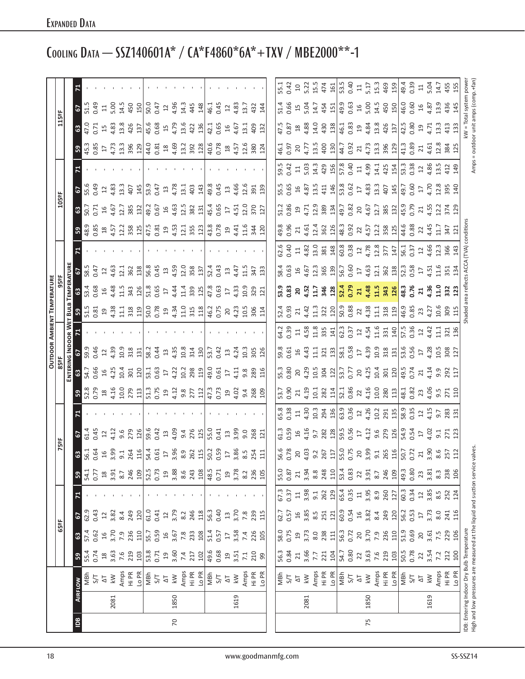|                 |      |                                                                                                                           |                 |                 |                 |                 |                  |                                                                                                                                                                                                                                                                                                               |                                                                                                                                                                                                                                                                                                                       |                                                                                                                                                                                                                                                                                                                     |                                                                                                                                                                                                                                   |                                   |                                                                                                              |                                                                                                                                                                                                                                                                                                                       | <b>OUTDOOR AMBIENT TEMPERATURE</b>                                                                                                                                                                                             |                                                    |                      |                  |                                                                                                                                                                                                                                                                                                                       |                                                     |                                                                                  |                          |                                     |                                                   |                                   |                                  |
|-----------------|------|---------------------------------------------------------------------------------------------------------------------------|-----------------|-----------------|-----------------|-----------------|------------------|---------------------------------------------------------------------------------------------------------------------------------------------------------------------------------------------------------------------------------------------------------------------------------------------------------------|-----------------------------------------------------------------------------------------------------------------------------------------------------------------------------------------------------------------------------------------------------------------------------------------------------------------------|---------------------------------------------------------------------------------------------------------------------------------------------------------------------------------------------------------------------------------------------------------------------------------------------------------------------|-----------------------------------------------------------------------------------------------------------------------------------------------------------------------------------------------------------------------------------|-----------------------------------|--------------------------------------------------------------------------------------------------------------|-----------------------------------------------------------------------------------------------------------------------------------------------------------------------------------------------------------------------------------------------------------------------------------------------------------------------|--------------------------------------------------------------------------------------------------------------------------------------------------------------------------------------------------------------------------------|----------------------------------------------------|----------------------|------------------|-----------------------------------------------------------------------------------------------------------------------------------------------------------------------------------------------------------------------------------------------------------------------------------------------------------------------|-----------------------------------------------------|----------------------------------------------------------------------------------|--------------------------|-------------------------------------|---------------------------------------------------|-----------------------------------|----------------------------------|
|                 |      |                                                                                                                           |                 | 65°F            |                 |                 |                  |                                                                                                                                                                                                                                                                                                               | 75°F                                                                                                                                                                                                                                                                                                                  |                                                                                                                                                                                                                                                                                                                     |                                                                                                                                                                                                                                   | 85 <sup>e</sup> F                 |                                                                                                              |                                                                                                                                                                                                                                                                                                                       |                                                                                                                                                                                                                                | 95°F                                               |                      |                  |                                                                                                                                                                                                                                                                                                                       | 105°F                                               |                                                                                  |                          |                                     | 115°F                                             |                                   |                                  |
|                 |      |                                                                                                                           |                 |                 |                 |                 |                  |                                                                                                                                                                                                                                                                                                               |                                                                                                                                                                                                                                                                                                                       |                                                                                                                                                                                                                                                                                                                     |                                                                                                                                                                                                                                   |                                   | ENTERING INDOOR W                                                                                            |                                                                                                                                                                                                                                                                                                                       | ET BULB                                                                                                                                                                                                                        | TEMPERATURE                                        |                      |                  |                                                                                                                                                                                                                                                                                                                       |                                                     |                                                                                  |                          |                                     |                                                   |                                   |                                  |
| $\overline{a}$  |      | <b>AIRFLOW</b>                                                                                                            | ္မွာ            | $\mathbb{S}^3$  | c,              |                 |                  | $\mathbf{G}$                                                                                                                                                                                                                                                                                                  | 57                                                                                                                                                                                                                                                                                                                    |                                                                                                                                                                                                                                                                                                                     |                                                                                                                                                                                                                                   | $\mathbbmss{3}$                   |                                                                                                              |                                                                                                                                                                                                                                                                                                                       | 59                                                                                                                                                                                                                             |                                                    |                      |                  |                                                                                                                                                                                                                                                                                                                       | $\mathbbmss{3}$                                     | $rac{67}{55.6}$                                                                  |                          | 59                                  | ස                                                 | $\frac{5}{2}$                     |                                  |
|                 |      | MBh                                                                                                                       | 55.4            |                 | 62.9            |                 | 54.1<br>0.77     |                                                                                                                                                                                                                                                                                                               | 61.4                                                                                                                                                                                                                                                                                                                  |                                                                                                                                                                                                                                                                                                                     | 52.8<br>0.79                                                                                                                                                                                                                      | 54.7                              | 59.9                                                                                                         |                                                                                                                                                                                                                                                                                                                       | $\overline{51}$                                                                                                                                                                                                                | 53.4                                               | 58.5                 |                  | 48.9                                                                                                                                                                                                                                                                                                                  | 50.7                                                |                                                                                  |                          | 45.3                                | 47.0                                              | 51.5<br>0.49                      |                                  |
|                 |      | 5/7                                                                                                                       | 0.74            | 0.62            | 0.43            |                 |                  |                                                                                                                                                                                                                                                                                                               | 0.45                                                                                                                                                                                                                                                                                                                  |                                                                                                                                                                                                                                                                                                                     |                                                                                                                                                                                                                                   | 0.66                              | 0.46                                                                                                         |                                                                                                                                                                                                                                                                                                                       | 0.81                                                                                                                                                                                                                           | 0.68                                               | 0.47                 |                  | 0.85                                                                                                                                                                                                                                                                                                                  | 0.71                                                | 0.49                                                                             |                          | 0.85                                | 0.71                                              |                                   |                                  |
|                 |      | $\overline{\Delta}$                                                                                                       | $\frac{8}{16}$  | $\frac{16}{2}$  | $22$            |                 |                  |                                                                                                                                                                                                                                                                                                               | $2 \,$                                                                                                                                                                                                                                                                                                                |                                                                                                                                                                                                                                                                                                                     | 4.16                                                                                                                                                                                                                              | $\frac{1}{6}$                     | $\overline{12}$                                                                                              |                                                                                                                                                                                                                                                                                                                       |                                                                                                                                                                                                                                | $\frac{16}{1}$                                     | $22$                 |                  |                                                                                                                                                                                                                                                                                                                       | $\frac{16}{1}$                                      | $22$                                                                             |                          |                                     | $\begin{array}{c} 15 \\ 4.83 \\ 13.8 \end{array}$ | $\Xi$                             |                                  |
|                 | 2081 | $\lesssim$                                                                                                                | 3.63            | 3.70            | 3.82            |                 | 3.91             |                                                                                                                                                                                                                                                                                                               | 4.12                                                                                                                                                                                                                                                                                                                  |                                                                                                                                                                                                                                                                                                                     |                                                                                                                                                                                                                                   | 4.25                              | 4.39                                                                                                         |                                                                                                                                                                                                                                                                                                                       |                                                                                                                                                                                                                                | 4.48                                               | 4.63                 |                  |                                                                                                                                                                                                                                                                                                                       | 4.67                                                | 4.83                                                                             |                          |                                     |                                                   |                                   |                                  |
|                 |      | Amps                                                                                                                      | 7.6<br>219      | 7.9<br>236      | 8.4             |                 | $8.7\,$          |                                                                                                                                                                                                                                                                                                               | 9.6<br>279                                                                                                                                                                                                                                                                                                            |                                                                                                                                                                                                                                                                                                                     |                                                                                                                                                                                                                                   | 10.4                              | 10.9                                                                                                         |                                                                                                                                                                                                                                                                                                                       |                                                                                                                                                                                                                                | $\frac{11}{11}$                                    | 12.1                 |                  |                                                                                                                                                                                                                                                                                                                       | 12.7                                                | 13.3                                                                             |                          |                                     |                                                   | $5.00$<br>14.5                    |                                  |
|                 |      | Hi PR                                                                                                                     |                 |                 | 249             |                 | 246              |                                                                                                                                                                                                                                                                                                               |                                                                                                                                                                                                                                                                                                                       |                                                                                                                                                                                                                                                                                                                     | 10.0<br>279                                                                                                                                                                                                                       | 301                               | 318                                                                                                          |                                                                                                                                                                                                                                                                                                                       |                                                                                                                                                                                                                                | 343                                                | 362                  |                  |                                                                                                                                                                                                                                                                                                                       | 385<br>132                                          | 407                                                                              |                          |                                     | 426                                               | 450                               |                                  |
|                 |      | LO <sub>PR</sub>                                                                                                          | 103             | 110             | 120             |                 | 109              |                                                                                                                                                                                                                                                                                                               | 126                                                                                                                                                                                                                                                                                                                   |                                                                                                                                                                                                                                                                                                                     |                                                                                                                                                                                                                                   | 120                               | 131                                                                                                          |                                                                                                                                                                                                                                                                                                                       |                                                                                                                                                                                                                                | 126                                                | 138                  |                  |                                                                                                                                                                                                                                                                                                                       |                                                     | 145                                                                              |                          |                                     | 137                                               | 150                               |                                  |
|                 |      | ns<br>S/T<br>S/T                                                                                                          | 53.8<br>0.71    | 55.7            | 61.0            |                 | 52.5             |                                                                                                                                                                                                                                                                                                               | 59.6                                                                                                                                                                                                                                                                                                                  |                                                                                                                                                                                                                                                                                                                     |                                                                                                                                                                                                                                   | 53.1                              | 58.2                                                                                                         |                                                                                                                                                                                                                                                                                                                       |                                                                                                                                                                                                                                | 51.8                                               | 56.8                 |                  | 3.573817539                                                                                                                                                                                                                                                                                                           | 49.2<br>0.67                                        | $\frac{53.9}{0.47}$                                                              |                          |                                     | $45.6$<br>0.68<br>$4.79$<br>4.79                  | 10<br>0.47<br>12                  |                                  |
|                 |      |                                                                                                                           |                 | 0.59            | 0.41            |                 |                  |                                                                                                                                                                                                                                                                                                               | 0.42                                                                                                                                                                                                                                                                                                                  |                                                                                                                                                                                                                                                                                                                     |                                                                                                                                                                                                                                   | 0.63                              | 0.44                                                                                                         |                                                                                                                                                                                                                                                                                                                       |                                                                                                                                                                                                                                | 0.65                                               | 0.45                 |                  |                                                                                                                                                                                                                                                                                                                       |                                                     |                                                                                  |                          |                                     |                                                   |                                   |                                  |
|                 |      |                                                                                                                           | $\overline{1}9$ | $\frac{1}{2}$   | $\overline{12}$ |                 | $\overline{c}$   |                                                                                                                                                                                                                                                                                                               | $13$                                                                                                                                                                                                                                                                                                                  |                                                                                                                                                                                                                                                                                                                     |                                                                                                                                                                                                                                   |                                   | $13$                                                                                                         |                                                                                                                                                                                                                                                                                                                       |                                                                                                                                                                                                                                |                                                    | $13$                 |                  |                                                                                                                                                                                                                                                                                                                       | $\frac{1}{6}$                                       | $13$                                                                             |                          |                                     |                                                   |                                   |                                  |
| $\overline{70}$ | 1850 | $\leq$                                                                                                                    | 3.60            | 3.67            | 3.79            |                 | 3.88             |                                                                                                                                                                                                                                                                                                               | 4.09                                                                                                                                                                                                                                                                                                                  |                                                                                                                                                                                                                                                                                                                     |                                                                                                                                                                                                                                   | 4.22                              |                                                                                                              |                                                                                                                                                                                                                                                                                                                       |                                                                                                                                                                                                                                | 4.44                                               | 4.59                 |                  |                                                                                                                                                                                                                                                                                                                       |                                                     |                                                                                  |                          |                                     |                                                   |                                   |                                  |
|                 |      | Amps                                                                                                                      | 7.4             | 7.8             | 8.2             |                 | 8.6              |                                                                                                                                                                                                                                                                                                               | 9.4                                                                                                                                                                                                                                                                                                                   |                                                                                                                                                                                                                                                                                                                     |                                                                                                                                                                                                                                   | 10.2                              | 4.35<br>10.8                                                                                                 |                                                                                                                                                                                                                                                                                                                       |                                                                                                                                                                                                                                | 11.4                                               | 12.0                 |                  | $4.53$ $\frac{1}{2}$ $\frac{1}{3}$ $\frac{1}{3}$ $\frac{2}{3}$ $\frac{2}{3}$ $\frac{2}{3}$ $\frac{2}{3}$ $\frac{2}{3}$ $\frac{2}{3}$ $\frac{2}{3}$ $\frac{2}{3}$ $\frac{2}{3}$ $\frac{2}{3}$ $\frac{2}{3}$ $\frac{2}{3}$ $\frac{2}{3}$ $\frac{2}{3}$ $\frac{2}{3}$ $\frac{2}{3}$ $\frac{2}{3}$ $\frac{2}{3}$ $\frac{$ | $4.63$<br>$12.5$                                    | 4.78<br>13.1                                                                     |                          |                                     |                                                   | 4.96<br>14.3                      |                                  |
|                 |      | Hi PR                                                                                                                     | 217             | 233             | 246             |                 | 243              |                                                                                                                                                                                                                                                                                                               | 276                                                                                                                                                                                                                                                                                                                   |                                                                                                                                                                                                                                                                                                                     |                                                                                                                                                                                                                                   | $298$<br>$\frac{9}{19}$           | 314                                                                                                          |                                                                                                                                                                                                                                                                                                                       |                                                                                                                                                                                                                                | $\begin{bmatrix} 33 \\ 21 \end{bmatrix}$           | 358<br>137           |                  |                                                                                                                                                                                                                                                                                                                       | $\frac{28}{21}$                                     | 403                                                                              |                          |                                     | 422                                               | 445                               |                                  |
|                 |      | Lo PR                                                                                                                     | 102             | 108             | 118             |                 | 108              |                                                                                                                                                                                                                                                                                                               | 125                                                                                                                                                                                                                                                                                                                   |                                                                                                                                                                                                                                                                                                                     |                                                                                                                                                                                                                                   |                                   | 130                                                                                                          |                                                                                                                                                                                                                                                                                                                       |                                                                                                                                                                                                                                |                                                    |                      |                  |                                                                                                                                                                                                                                                                                                                       |                                                     | 143                                                                              |                          |                                     | $\frac{136}{5}$                                   | 148                               |                                  |
|                 |      | MBh                                                                                                                       | 49.6<br>0.68    | 51.4            | 56.3            |                 |                  |                                                                                                                                                                                                                                                                                                               | $\overline{55.0}$                                                                                                                                                                                                                                                                                                     |                                                                                                                                                                                                                                                                                                                     |                                                                                                                                                                                                                                   |                                   | 53.7                                                                                                         |                                                                                                                                                                                                                                                                                                                       |                                                                                                                                                                                                                                | $\frac{8}{47.8}$                                   | 52.4                 |                  |                                                                                                                                                                                                                                                                                                                       | $\frac{45.4}{0.65}$                                 |                                                                                  |                          |                                     | $\frac{1}{42.1}$                                  | 46.1                              |                                  |
|                 |      | 5/7                                                                                                                       |                 | 0.57            | 0.40            |                 | 48.5<br>0.71     |                                                                                                                                                                                                                                                                                                               | 0.41                                                                                                                                                                                                                                                                                                                  |                                                                                                                                                                                                                                                                                                                     |                                                                                                                                                                                                                                   | 0.61                              | 0.42                                                                                                         |                                                                                                                                                                                                                                                                                                                       |                                                                                                                                                                                                                                | 0.63                                               | 0.43                 |                  |                                                                                                                                                                                                                                                                                                                       |                                                     | 49.8<br>0.45                                                                     |                          |                                     | 0.65                                              | 0.45                              |                                  |
|                 |      | $\overline{\Delta}$                                                                                                       |                 | $\overline{17}$ | $13$            |                 | $\overline{c}$   |                                                                                                                                                                                                                                                                                                               |                                                                                                                                                                                                                                                                                                                       |                                                                                                                                                                                                                                                                                                                     |                                                                                                                                                                                                                                   | $\overline{17}$                   | $\Xi$                                                                                                        |                                                                                                                                                                                                                                                                                                                       |                                                                                                                                                                                                                                | $\overline{\mathbb{L}}$                            | $13$                 |                  | $\overline{1}9$                                                                                                                                                                                                                                                                                                       | $\overline{17}$                                     | $13$                                                                             |                          |                                     |                                                   | $22$                              |                                  |
|                 | 1619 | $\leq$                                                                                                                    | $19$<br>$3.51$  | 3.58            | 3.70            |                 | 3.78             |                                                                                                                                                                                                                                                                                                               | 13.99                                                                                                                                                                                                                                                                                                                 |                                                                                                                                                                                                                                                                                                                     |                                                                                                                                                                                                                                   | 4.11                              | 4.24                                                                                                         |                                                                                                                                                                                                                                                                                                                       |                                                                                                                                                                                                                                | 4.33                                               | 4.47                 |                  |                                                                                                                                                                                                                                                                                                                       |                                                     |                                                                                  |                          | $4.57$<br>$4.57$<br>$12.6$<br>$380$ | 4.67                                              |                                   |                                  |
|                 |      | Amps                                                                                                                      | 7.1             | 7.4             | 7.8             |                 | 8.2              |                                                                                                                                                                                                                                                                                                               |                                                                                                                                                                                                                                                                                                                       |                                                                                                                                                                                                                                                                                                                     |                                                                                                                                                                                                                                   |                                   | $\frac{3}{2}$                                                                                                |                                                                                                                                                                                                                                                                                                                       |                                                                                                                                                                                                                                | 10.9                                               | 11.5                 |                  |                                                                                                                                                                                                                                                                                                                       | $4.51$<br>$12.0$                                    | 4.66<br>12.6                                                                     |                          |                                     | 13.1                                              | 4.83<br>13.7                      |                                  |
|                 |      |                                                                                                                           | 210             | 226             | 239             |                 | 236              |                                                                                                                                                                                                                                                                                                               | $9.0$<br>$268$                                                                                                                                                                                                                                                                                                        |                                                                                                                                                                                                                                                                                                                     | 9.4<br>268<br>109                                                                                                                                                                                                                 | 9.8<br>289<br>116                 | 305                                                                                                          |                                                                                                                                                                                                                                                                                                                       |                                                                                                                                                                                                                                | 329                                                | 347                  |                  | 4.41<br>11.6<br>344                                                                                                                                                                                                                                                                                                   | 370                                                 | 391                                                                              |                          |                                     | 409                                               | 432                               |                                  |
|                 |      | Hi PR<br>Lo PR                                                                                                            | 99              | 105             | 115             |                 | 105              | $\Xi$                                                                                                                                                                                                                                                                                                         | 121                                                                                                                                                                                                                                                                                                                   |                                                                                                                                                                                                                                                                                                                     |                                                                                                                                                                                                                                   |                                   | 126                                                                                                          |                                                                                                                                                                                                                                                                                                                       | 114                                                                                                                                                                                                                            | 121                                                | 133                  |                  | 120                                                                                                                                                                                                                                                                                                                   | 127                                                 | 139                                                                              |                          | 124                                 | 132                                               | $\overline{4}$                    |                                  |
|                 |      |                                                                                                                           |                 |                 |                 |                 |                  |                                                                                                                                                                                                                                                                                                               |                                                                                                                                                                                                                                                                                                                       |                                                                                                                                                                                                                                                                                                                     |                                                                                                                                                                                                                                   |                                   |                                                                                                              |                                                                                                                                                                                                                                                                                                                       |                                                                                                                                                                                                                                |                                                    |                      |                  |                                                                                                                                                                                                                                                                                                                       |                                                     |                                                                                  |                          |                                     |                                                   |                                   |                                  |
|                 |      | ng<br>S/T                                                                                                                 | 56.3            | 58.0            | 62.7            |                 | 55.0<br>0.87     |                                                                                                                                                                                                                                                                                                               | 61.3                                                                                                                                                                                                                                                                                                                  | 65.8                                                                                                                                                                                                                                                                                                                | 53.7                                                                                                                                                                                                                              | 55.3                              | 59.8                                                                                                         | 54.2                                                                                                                                                                                                                                                                                                                  |                                                                                                                                                                                                                                |                                                    | 58.4                 | 62.6             | 49.8<br>0.96                                                                                                                                                                                                                                                                                                          | 51.2                                                | 55.5                                                                             |                          |                                     | 47.5<br>0.87                                      | 51.4                              | 5.1                              |
|                 |      |                                                                                                                           | $0.84$<br>21    | 0.75            | 0.57            | 67.3<br>0.37    |                  |                                                                                                                                                                                                                                                                                                               | 0.59                                                                                                                                                                                                                                                                                                                  | 0.38                                                                                                                                                                                                                                                                                                                | 0.90                                                                                                                                                                                                                              | 0.80                              | 0.61                                                                                                         | $0.39$<br>11                                                                                                                                                                                                                                                                                                          | $\frac{52.4}{0.93}$                                                                                                                                                                                                            | 53.9<br>0.83                                       |                      | 0.40             |                                                                                                                                                                                                                                                                                                                       | 0.86                                                | 0.65                                                                             |                          | 46.1<br>0.97                        |                                                   |                                   | 0.42                             |
|                 |      | $\overline{\Delta}$                                                                                                       |                 | $_{19}$         | 16              | $\Xi$           | 21               |                                                                                                                                                                                                                                                                                                               | $\frac{1}{2}$                                                                                                                                                                                                                                                                                                         | 11                                                                                                                                                                                                                                                                                                                  | 21                                                                                                                                                                                                                                | 20                                | $\frac{1}{6}$                                                                                                |                                                                                                                                                                                                                                                                                                                       |                                                                                                                                                                                                                                |                                                    | 0.63<br>4.67<br>4.67 | $\Xi$            | $\overline{21}$                                                                                                                                                                                                                                                                                                       | $\overline{a}$                                      | $\frac{1}{6}$                                                                    |                          |                                     | $4.80$<br>$4.30$                                  | 0.66<br>15.04<br>14.7             | $\overline{10}$                  |
|                 | 2081 | $\overline{\mathsf{k}}$ W                                                                                                 | 3.66            | 3.73            | 3.85            | $3.98$<br>9.1   | 3.94             |                                                                                                                                                                                                                                                                                                               |                                                                                                                                                                                                                                                                                                                       |                                                                                                                                                                                                                                                                                                                     |                                                                                                                                                                                                                                   |                                   | 4.43                                                                                                         |                                                                                                                                                                                                                                                                                                                       |                                                                                                                                                                                                                                |                                                    |                      |                  |                                                                                                                                                                                                                                                                                                                       |                                                     |                                                                                  |                          |                                     |                                                   |                                   |                                  |
|                 |      |                                                                                                                           | 7.7             | 8.0             | 8.5             |                 | $8.8$            |                                                                                                                                                                                                                                                                                                               | $4.16$ $\frac{1}{2}$ $\frac{1}{2}$ $\frac{1}{2}$ $\frac{1}{2}$ $\frac{1}{2}$ $\frac{1}{2}$ $\frac{1}{2}$ $\frac{1}{2}$ $\frac{1}{2}$ $\frac{1}{2}$ $\frac{1}{2}$ $\frac{1}{2}$ $\frac{1}{2}$ $\frac{1}{2}$ $\frac{1}{2}$ $\frac{1}{2}$ $\frac{1}{2}$ $\frac{1}{2}$ $\frac{1}{2}$ $\frac{1}{2}$ $\frac{1}{2}$ $\frac{$ |                                                                                                                                                                                                                                                                                                                     |                                                                                                                                                                                                                                   | $4.29$<br>$10.5$<br>$304$<br>$21$ | $\Xi$                                                                                                        | $4.38$ $\frac{3}{2}$ $\frac{1}{2}$ $\frac{1}{2}$ $\frac{1}{2}$ $\frac{1}{2}$ $\frac{1}{2}$ $\frac{1}{2}$ $\frac{1}{2}$ $\frac{1}{2}$ $\frac{1}{2}$ $\frac{1}{2}$ $\frac{1}{2}$ $\frac{1}{2}$ $\frac{1}{2}$ $\frac{1}{2}$ $\frac{1}{2}$ $\frac{1}{2}$ $\frac{1}{2}$ $\frac{1}{2}$ $\frac{1}{2}$ $\frac{1}{2}$ $\frac{$ |                                                                                                                                                                                                                                | $20$<br>4.52<br>11.7<br>346<br>120<br>12.4<br>0.79 |                      |                  | $4.54$ $\frac{3}{8}$ $\frac{2}{8}$ $\frac{1}{8}$ $\frac{3}{8}$ $\frac{3}{8}$ $\frac{3}{8}$ $\frac{3}{8}$ $\frac{3}{8}$ $\frac{3}{8}$ $\frac{3}{8}$ $\frac{3}{8}$ $\frac{3}{8}$ $\frac{3}{8}$ $\frac{3}{8}$ $\frac{3}{8}$ $\frac{3}{8}$ $\frac{3}{8}$ $\frac{3}{8}$ $\frac{3}{8}$ $\frac{3}{8}$ $\frac{3}{8}$ $\frac{$ | $4.71$<br>$12.8$<br>$98$<br>$94$<br>$96$<br>$12.82$ | $4.37 \frac{11}{4} \frac{4}{3} \frac{11}{3} \frac{8}{3} \frac{8}{3} \frac{2}{3}$ |                          |                                     |                                                   |                                   | 5.22<br>15.5<br>474              |
|                 |      |                                                                                                                           | 221             | 238             | 251             | 262             | 248              |                                                                                                                                                                                                                                                                                                               |                                                                                                                                                                                                                                                                                                                       |                                                                                                                                                                                                                                                                                                                     |                                                                                                                                                                                                                                   |                                   |                                                                                                              |                                                                                                                                                                                                                                                                                                                       |                                                                                                                                                                                                                                |                                                    |                      |                  |                                                                                                                                                                                                                                                                                                                       |                                                     |                                                                                  |                          |                                     |                                                   |                                   |                                  |
|                 |      | Amps<br>Hi PR<br><u>니 이</u><br>S/T                                                                                        | 104             | 11              | 121             | $\frac{129}{2}$ | 110              |                                                                                                                                                                                                                                                                                                               |                                                                                                                                                                                                                                                                                                                       |                                                                                                                                                                                                                                                                                                                     |                                                                                                                                                                                                                                   |                                   |                                                                                                              |                                                                                                                                                                                                                                                                                                                       |                                                                                                                                                                                                                                |                                                    | $\frac{365}{1560}$   |                  |                                                                                                                                                                                                                                                                                                                       |                                                     |                                                                                  |                          |                                     | $\frac{38}{43}$ $\frac{13}{46}$ $\frac{33}{83}$   | $454$<br>$19.63$<br>$0.63$        | $\frac{161}{53.5}$               |
|                 |      |                                                                                                                           | 54.7<br>0.80    | 56.3<br>0.72    | 60.9            | 65.4<br>0.35    | 53.4<br>0.83     |                                                                                                                                                                                                                                                                                                               |                                                                                                                                                                                                                                                                                                                       |                                                                                                                                                                                                                                                                                                                     |                                                                                                                                                                                                                                   | 53.7<br>0.77                      |                                                                                                              |                                                                                                                                                                                                                                                                                                                       |                                                                                                                                                                                                                                |                                                    |                      |                  |                                                                                                                                                                                                                                                                                                                       |                                                     |                                                                                  |                          | 44.7<br>0.92                        |                                                   |                                   |                                  |
|                 |      |                                                                                                                           |                 |                 | 0.54            |                 |                  |                                                                                                                                                                                                                                                                                                               |                                                                                                                                                                                                                                                                                                                       |                                                                                                                                                                                                                                                                                                                     |                                                                                                                                                                                                                                   |                                   |                                                                                                              |                                                                                                                                                                                                                                                                                                                       |                                                                                                                                                                                                                                |                                                    |                      |                  |                                                                                                                                                                                                                                                                                                                       |                                                     |                                                                                  |                          |                                     |                                                   |                                   |                                  |
|                 |      | $\overline{\Delta}$                                                                                                       | $\overline{2}$  | $20\,$          | $\frac{16}{1}$  | $\Xi$           | 22               |                                                                                                                                                                                                                                                                                                               | $\overline{\mathbb{L}}$                                                                                                                                                                                                                                                                                               |                                                                                                                                                                                                                                                                                                                     |                                                                                                                                                                                                                                   | 20                                | $\begin{array}{c}\n 3.3 \\  2.3 \\  3.3 \\  5.3 \\  6.5 \\  7.3 \\  8.3 \\  9.3 \\  1.3 \\  0\n \end{array}$ |                                                                                                                                                                                                                                                                                                                       |                                                                                                                                                                                                                                | $21$<br>4.48                                       | $17$<br>4.63         |                  |                                                                                                                                                                                                                                                                                                                       | 20                                                  |                                                                                  |                          | $21$<br>4.73                        | $\Xi$                                             |                                   |                                  |
| 75              | 1850 | $\kappa$ $\!$                                                                                                             | 3.63            | 3.70            | 3.82            | $3.95$<br>8.9   | 3.91             |                                                                                                                                                                                                                                                                                                               | 4.12                                                                                                                                                                                                                                                                                                                  |                                                                                                                                                                                                                                                                                                                     |                                                                                                                                                                                                                                   |                                   |                                                                                                              |                                                                                                                                                                                                                                                                                                                       |                                                                                                                                                                                                                                |                                                    |                      |                  |                                                                                                                                                                                                                                                                                                                       |                                                     |                                                                                  |                          |                                     | 4.84<br>13.8<br>426                               | $16$<br>$5.00$<br>$14.5$<br>$450$ |                                  |
|                 |      |                                                                                                                           | 219<br>7.6      | 236<br>7.9      | 8.4<br>249      |                 | 8.7              |                                                                                                                                                                                                                                                                                                               |                                                                                                                                                                                                                                                                                                                       |                                                                                                                                                                                                                                                                                                                     |                                                                                                                                                                                                                                   |                                   |                                                                                                              |                                                                                                                                                                                                                                                                                                                       |                                                                                                                                                                                                                                |                                                    | 12.1                 |                  |                                                                                                                                                                                                                                                                                                                       |                                                     |                                                                                  |                          |                                     |                                                   |                                   |                                  |
|                 |      | Amps<br>Hi PR<br>Lo PR                                                                                                    | 103             | 110             | 120             | 260<br>127      | 246<br>109       |                                                                                                                                                                                                                                                                                                               | 9.6<br>279<br>126                                                                                                                                                                                                                                                                                                     |                                                                                                                                                                                                                                                                                                                     | $4.38$ $\frac{1}{10}$ $\frac{1}{10}$ $\frac{1}{8}$ $\frac{1}{8}$ $\frac{1}{8}$ $\frac{1}{10}$ $\frac{1}{8}$ $\frac{1}{8}$ $\frac{1}{10}$ $\frac{1}{10}$ $\frac{1}{8}$ $\frac{1}{10}$ $\frac{1}{10}$ $\frac{1}{10}$ $\frac{1}{10}$ | 4.25<br>10.4<br>301<br>120        | 10.9<br>318<br>131                                                                                           |                                                                                                                                                                                                                                                                                                                       | $4.3$ $2$ $2$ $0.8$ $0.8$ $0.8$ $0.8$ $0.3$ $0.3$ $0.4$ $0.5$ $0.3$ $0.4$ $0.5$ $0.5$ $0.4$ $0.5$ $0.5$ $0.5$ $0.5$ $0.5$ $0.5$ $0.5$ $0.5$ $0.5$ $0.5$ $0.5$ $0.5$ $0.5$ $0.5$ $0.5$ $0.5$ $0.5$ $0.5$ $0.5$ $0.5$ $0.5$ $0.$ | 11.5<br>343<br>126                                 | 362<br>138           |                  | $\begin{array}{c} 22 \\ 4.57 \\ 12.3 \\ 358 \\ \hline \end{array}$                                                                                                                                                                                                                                                    | 4.67<br>12.7<br>385<br>132                          | $\begin{array}{c} 17 \\ 4.83 \\ 13.3 \\ 407 \\ \end{array}$                      |                          | $13.3$<br>$396$<br>$129$            | 137                                               | 150                               | $11, 17, 15, 3$<br>469<br>15, 19 |
|                 |      | MBh                                                                                                                       |                 | 51.9            |                 | 60.3            |                  |                                                                                                                                                                                                                                                                                                               |                                                                                                                                                                                                                                                                                                                       |                                                                                                                                                                                                                                                                                                                     | $\frac{1}{3}$ $\frac{2}{3}$ $\frac{2}{3}$ $\frac{3}{4}$ $\frac{3}{5}$                                                                                                                                                             |                                   | $\frac{53.6}{0.56}$                                                                                          | $\frac{11.6}{33.40}$                                                                                                                                                                                                                                                                                                  | $\frac{46.9}{0.85}$                                                                                                                                                                                                            |                                                    |                      |                  |                                                                                                                                                                                                                                                                                                                       |                                                     | 49.7                                                                             |                          |                                     |                                                   |                                   |                                  |
|                 |      | 5/1                                                                                                                       | 50.5<br>0.78    | 0.69            | 56.2<br>0.53    | 0.34            | 49.3<br>0.80     |                                                                                                                                                                                                                                                                                                               |                                                                                                                                                                                                                                                                                                                       |                                                                                                                                                                                                                                                                                                                     |                                                                                                                                                                                                                                   | 49.5<br>0.74                      |                                                                                                              |                                                                                                                                                                                                                                                                                                                       |                                                                                                                                                                                                                                | 48.3<br>0.76                                       | 52.3<br>0.58         | $56.1$<br>0.37   | 44.6<br>0.88                                                                                                                                                                                                                                                                                                          | 45.9<br>0.79                                        | 0.60                                                                             |                          | 41.3<br>0.89                        | 42.5<br>0.80                                      | 46.0<br>0.60                      | 49.4<br>0.39                     |
|                 |      | $\overline{\Delta}$                                                                                                       | 22              | 20              | $17\,$          | $22$            | 23               |                                                                                                                                                                                                                                                                                                               | 54.9<br>0.54<br>17<br>4.02                                                                                                                                                                                                                                                                                            |                                                                                                                                                                                                                                                                                                                     |                                                                                                                                                                                                                                   | $21$<br>4.14                      | $17^{4.28}$                                                                                                  | $12 \frac{1}{4}$                                                                                                                                                                                                                                                                                                      | $23$<br>4.27                                                                                                                                                                                                                   | 21                                                 | $\Gamma$             | $12^{4.66}$      | $22$<br>4.45                                                                                                                                                                                                                                                                                                          | 21.55                                               | $17$<br>4.70                                                                     | $12$<br>$4.86$<br>$13.5$ | $21_{4.61}$                         | 194.71                                            | $\frac{1}{6}$                     | $\Xi$                            |
|                 | 1619 | $\overline{\mathsf{k}}$ W                                                                                                 | 3.54            | 3.61            | 3.73            | 3.85            | 3.81             |                                                                                                                                                                                                                                                                                                               |                                                                                                                                                                                                                                                                                                                       |                                                                                                                                                                                                                                                                                                                     |                                                                                                                                                                                                                                   |                                   |                                                                                                              |                                                                                                                                                                                                                                                                                                                       |                                                                                                                                                                                                                                | 4.36                                               | 4.51                 |                  |                                                                                                                                                                                                                                                                                                                       |                                                     |                                                                                  |                          |                                     |                                                   | 4.87                              | $5.04$<br>14.7                   |
|                 |      | Amps<br>Hi PR                                                                                                             | 7.2             | 7.5             | 8.0             | 8.5             | $8.\overline{3}$ |                                                                                                                                                                                                                                                                                                               |                                                                                                                                                                                                                                                                                                                       |                                                                                                                                                                                                                                                                                                                     |                                                                                                                                                                                                                                   |                                   |                                                                                                              |                                                                                                                                                                                                                                                                                                                       | $\frac{10.6}{309}$                                                                                                                                                                                                             | $\frac{5}{11}$                                     | 11.6                 | $12.3$<br>$366$  | 11.7                                                                                                                                                                                                                                                                                                                  |                                                     |                                                                                  |                          | 12.8                                | 13.3                                              | 13.9<br>436                       |                                  |
|                 |      |                                                                                                                           | 212             | 229<br>106      | 241             | 252<br>124      | 238<br>106       | $\begin{array}{l} 56.6 \\ 0.78 \\ 0.38 \\ 0.39 \\ 0.51 \\ 0.52 \\ 0.53 \\ 0.54 \\ 0.55 \\ 0.57 \\ 0.59 \\ 0.59 \\ 0.53 \\ 0.53 \\ 0.54 \\ 0.55 \\ 0.57 \\ 0.57 \\ 0.59 \\ 0.57 \\ 0.59 \\ 0.57 \\ 0.59 \\ 0.59 \\ 0.51 \\ 0.53 \\ 0.57 \\ 0.59 \\ 0.59 \\ 0.59 \\ 0.59 \\ 0.59 \\ 0.59 \\ 0.59 \\ 0.59 \\ 0.$ | <b>3.71</b><br>271                                                                                                                                                                                                                                                                                                    | $\frac{3}{4}$ $\frac{3}{4}$ $\frac{3}{4}$ $\frac{3}{4}$ $\frac{3}{4}$ $\frac{3}{4}$ $\frac{3}{4}$ $\frac{3}{4}$ $\frac{3}{4}$ $\frac{3}{4}$ $\frac{3}{4}$ $\frac{3}{4}$ $\frac{3}{4}$ $\frac{3}{4}$ $\frac{3}{4}$ $\frac{3}{4}$ $\frac{3}{4}$ $\frac{3}{4}$ $\frac{3}{4}$ $\frac{3}{4}$ $\frac{3}{4}$ $\frac{3}{4}$ | 9.5<br>271<br>110                                                                                                                                                                                                                 | 9.9<br>292<br>117                 | 10.5<br>308<br>127                                                                                           | $\frac{11}{2}$ $\frac{13}{2}$ $\frac{8}{2}$                                                                                                                                                                                                                                                                           |                                                                                                                                                                                                                                | 332<br>$\overline{2}$                              | 35 A                 |                  | 347                                                                                                                                                                                                                                                                                                                   | 12.74<br>374<br>129                                 | $12.8$<br>395<br>140                                                             | 412<br>149               | 384<br>125                          | 413                                               | 145                               | 45<br>155                        |
|                 |      | Lo PR                                                                                                                     | 100             |                 | 116             |                 |                  |                                                                                                                                                                                                                                                                                                               |                                                                                                                                                                                                                                                                                                                       |                                                                                                                                                                                                                                                                                                                     |                                                                                                                                                                                                                                   |                                   |                                                                                                              |                                                                                                                                                                                                                                                                                                                       | $\Xi$                                                                                                                                                                                                                          |                                                    |                      |                  |                                                                                                                                                                                                                                                                                                                       |                                                     |                                                                                  |                          |                                     |                                                   |                                   |                                  |
|                 |      | High and low pressures are measured at the liquid and suction service valves<br>IDB: Entering Indoor Dry Bulb Temperature |                 |                 |                 |                 |                  |                                                                                                                                                                                                                                                                                                               |                                                                                                                                                                                                                                                                                                                       |                                                                                                                                                                                                                                                                                                                     |                                                                                                                                                                                                                                   |                                   |                                                                                                              |                                                                                                                                                                                                                                                                                                                       | shaded area reflects ACCA                                                                                                                                                                                                      |                                                    |                      | (TVA) conditions |                                                                                                                                                                                                                                                                                                                       |                                                     |                                                                                  | Amps:                    | = outdoor unit amps (comp.+fan)     | kW = Total system power                           |                                   |                                  |
|                 |      |                                                                                                                           |                 |                 |                 |                 |                  |                                                                                                                                                                                                                                                                                                               |                                                                                                                                                                                                                                                                                                                       |                                                                                                                                                                                                                                                                                                                     |                                                                                                                                                                                                                                   |                                   |                                                                                                              |                                                                                                                                                                                                                                                                                                                       |                                                                                                                                                                                                                                |                                                    |                      |                  |                                                                                                                                                                                                                                                                                                                       |                                                     |                                                                                  |                          |                                     |                                                   |                                   |                                  |

# **Cooling Data — SSZ140601A\* / CA\*F4860\*6A\*+TXV / MBE2000\*\*-1**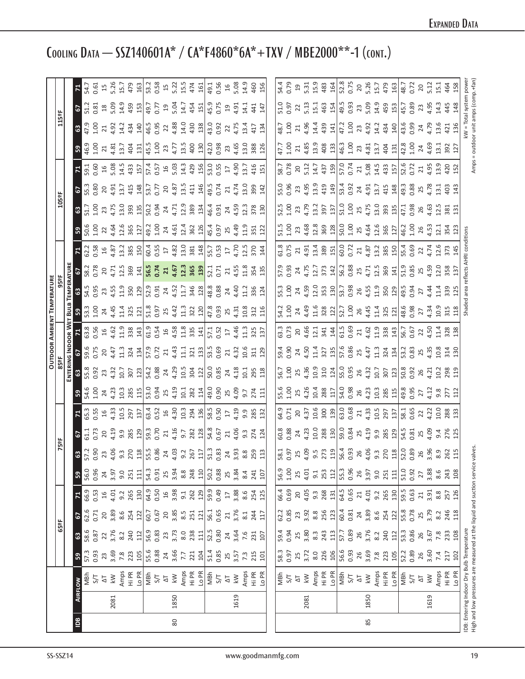**Cooling Data — SSZ140601A\* / CA\*F4860\*6A\*+TXV / MBE2000\*\*-1 (cont.)**

|             |         |                                                                       |                             |                      |                                     |                                                                                                                                                                                                                                                                                                                                 |                                           |                                                                                                                                                                                                                                                                                                                      |                                                                                                                                                                                                                                                                                                           |                         |                                                                                                                                                                                                                                                                                                                                                   |                                                                                                                                                                                                                                |                                         |                                                                                                                                                                                                                                                                                                                                                                                                                                                     | <b>OUTDOOR AMBIENT TEMPERATURE</b>                                                                                                                                                                                                                                                          |                                                                                                                                                                                                                                 |                                                                                                                                                                                                                                                                       |                    |                                                                                                                 |                                                                                                                                                                                                                                                                                                                                                   |                                                                                                                                                                                                                                                                                                                       |                    |                                                                                                                                                                                                                                                                                                                                                      |                                                                              |                                                                                                      |                                                                                                                                                                                            |
|-------------|---------|-----------------------------------------------------------------------|-----------------------------|----------------------|-------------------------------------|---------------------------------------------------------------------------------------------------------------------------------------------------------------------------------------------------------------------------------------------------------------------------------------------------------------------------------|-------------------------------------------|----------------------------------------------------------------------------------------------------------------------------------------------------------------------------------------------------------------------------------------------------------------------------------------------------------------------|-----------------------------------------------------------------------------------------------------------------------------------------------------------------------------------------------------------------------------------------------------------------------------------------------------------|-------------------------|---------------------------------------------------------------------------------------------------------------------------------------------------------------------------------------------------------------------------------------------------------------------------------------------------------------------------------------------------|--------------------------------------------------------------------------------------------------------------------------------------------------------------------------------------------------------------------------------|-----------------------------------------|-----------------------------------------------------------------------------------------------------------------------------------------------------------------------------------------------------------------------------------------------------------------------------------------------------------------------------------------------------------------------------------------------------------------------------------------------------|---------------------------------------------------------------------------------------------------------------------------------------------------------------------------------------------------------------------------------------------------------------------------------------------|---------------------------------------------------------------------------------------------------------------------------------------------------------------------------------------------------------------------------------|-----------------------------------------------------------------------------------------------------------------------------------------------------------------------------------------------------------------------------------------------------------------------|--------------------|-----------------------------------------------------------------------------------------------------------------|---------------------------------------------------------------------------------------------------------------------------------------------------------------------------------------------------------------------------------------------------------------------------------------------------------------------------------------------------|-----------------------------------------------------------------------------------------------------------------------------------------------------------------------------------------------------------------------------------------------------------------------------------------------------------------------|--------------------|------------------------------------------------------------------------------------------------------------------------------------------------------------------------------------------------------------------------------------------------------------------------------------------------------------------------------------------------------|------------------------------------------------------------------------------|------------------------------------------------------------------------------------------------------|--------------------------------------------------------------------------------------------------------------------------------------------------------------------------------------------|
|             |         |                                                                       |                             | 65°F                 |                                     |                                                                                                                                                                                                                                                                                                                                 |                                           | 75°F                                                                                                                                                                                                                                                                                                                 |                                                                                                                                                                                                                                                                                                           |                         |                                                                                                                                                                                                                                                                                                                                                   |                                                                                                                                                                                                                                |                                         |                                                                                                                                                                                                                                                                                                                                                                                                                                                     |                                                                                                                                                                                                                                                                                             |                                                                                                                                                                                                                                 |                                                                                                                                                                                                                                                                       |                    |                                                                                                                 | 105°F                                                                                                                                                                                                                                                                                                                                             |                                                                                                                                                                                                                                                                                                                       |                    |                                                                                                                                                                                                                                                                                                                                                      | 115°F                                                                        |                                                                                                      |                                                                                                                                                                                            |
|             |         |                                                                       |                             |                      |                                     |                                                                                                                                                                                                                                                                                                                                 |                                           |                                                                                                                                                                                                                                                                                                                      |                                                                                                                                                                                                                                                                                                           |                         |                                                                                                                                                                                                                                                                                                                                                   | ENTERING                                                                                                                                                                                                                       | <b>INDOOR</b>                           | ≷                                                                                                                                                                                                                                                                                                                                                                                                                                                   | 믋                                                                                                                                                                                                                                                                                           | <b>EMPERATUR</b>                                                                                                                                                                                                                |                                                                                                                                                                                                                                                                       |                    |                                                                                                                 |                                                                                                                                                                                                                                                                                                                                                   |                                                                                                                                                                                                                                                                                                                       |                    |                                                                                                                                                                                                                                                                                                                                                      |                                                                              |                                                                                                      |                                                                                                                                                                                            |
| <b>Ball</b> | AIRFLOW |                                                                       | 59                          | $\mathbbmss{3}$      | G                                   |                                                                                                                                                                                                                                                                                                                                 |                                           | $3\frac{1}{2}$ $\frac{1}{2}$ $\frac{3}{2}$ $\frac{3}{2}$ $\frac{3}{2}$ $\frac{3}{2}$ $\frac{3}{2}$ $\frac{3}{2}$ $\frac{3}{2}$ $\frac{3}{2}$ $\frac{3}{2}$ $\frac{3}{2}$ $\frac{3}{2}$ $\frac{3}{2}$ $\frac{3}{2}$ $\frac{3}{2}$ $\frac{3}{2}$ $\frac{3}{2}$ $\frac{3}{2}$ $\frac{3}{2}$ $\frac{3}{2}$ $\frac{3}{2}$ | $\frac{1}{1}$<br>$\frac{6}{2}$                                                                                                                                                                                                                                                                            | $\frac{1}{2}$           |                                                                                                                                                                                                                                                                                                                                                   |                                                                                                                                                                                                                                |                                         |                                                                                                                                                                                                                                                                                                                                                                                                                                                     |                                                                                                                                                                                                                                                                                             | 54.5                                                                                                                                                                                                                            | 58.2                                                                                                                                                                                                                                                                  |                    | $B_{\rm S}$ $\frac{6}{5}$ $\frac{3}{5}$                                                                         | $\frac{3}{5}$                                                                                                                                                                                                                                                                                                                                     | $\frac{67}{55}$                                                                                                                                                                                                                                                                                                       |                    | ္ဗ                                                                                                                                                                                                                                                                                                                                                   | ස                                                                            | 51.2<br>c,                                                                                           |                                                                                                                                                                                            |
|             |         | MBh<br>5/7                                                            | 57.3<br>0.93                | 58.6<br>0.87         | 62.6<br>0.71                        | 66.9<br>0.53                                                                                                                                                                                                                                                                                                                    | 56.0<br>0.96                              |                                                                                                                                                                                                                                                                                                                      | 0.73                                                                                                                                                                                                                                                                                                      |                         | 54.6<br>1.00                                                                                                                                                                                                                                                                                                                                      | 55.8<br>0.92                                                                                                                                                                                                                   | 59.6<br>0.75                            | 63.8<br>0.56                                                                                                                                                                                                                                                                                                                                                                                                                                        | 001<br>53.3                                                                                                                                                                                                                                                                                 | 0.95                                                                                                                                                                                                                            | 0.78                                                                                                                                                                                                                                                                  | $\frac{1}{62.3}$   |                                                                                                                 | $\overline{5}$                                                                                                                                                                                                                                                                                                                                    | 0.80                                                                                                                                                                                                                                                                                                                  | 0.60<br>59.1       | 46.9<br>$\overline{5}$                                                                                                                                                                                                                                                                                                                               | 1.00<br>47.9                                                                 | 0.81                                                                                                 | 54.7<br>0.61                                                                                                                                                                               |
|             |         | $\overline{\Delta}$                                                   | 23                          | 22                   | 20                                  | 16                                                                                                                                                                                                                                                                                                                              | 24                                        |                                                                                                                                                                                                                                                                                                                      | 20                                                                                                                                                                                                                                                                                                        |                         |                                                                                                                                                                                                                                                                                                                                                   | 23                                                                                                                                                                                                                             |                                         |                                                                                                                                                                                                                                                                                                                                                                                                                                                     |                                                                                                                                                                                                                                                                                             |                                                                                                                                                                                                                                 |                                                                                                                                                                                                                                                                       |                    |                                                                                                                 |                                                                                                                                                                                                                                                                                                                                                   | 20                                                                                                                                                                                                                                                                                                                    | $\mathfrak{g}_1$   | 21                                                                                                                                                                                                                                                                                                                                                   | $\overline{21}$                                                              | $^{28}$                                                                                              | 15                                                                                                                                                                                         |
|             | 2081    | $\lesssim$                                                            |                             | 3.76                 | 3.89                                | 4.01                                                                                                                                                                                                                                                                                                                            | 3.97                                      |                                                                                                                                                                                                                                                                                                                      |                                                                                                                                                                                                                                                                                                           |                         |                                                                                                                                                                                                                                                                                                                                                   |                                                                                                                                                                                                                                |                                         |                                                                                                                                                                                                                                                                                                                                                                                                                                                     |                                                                                                                                                                                                                                                                                             |                                                                                                                                                                                                                                 |                                                                                                                                                                                                                                                                       |                    |                                                                                                                 | $23^{4.75}$                                                                                                                                                                                                                                                                                                                                       |                                                                                                                                                                                                                                                                                                                       |                    | 4.81                                                                                                                                                                                                                                                                                                                                                 | 1.92                                                                         |                                                                                                      |                                                                                                                                                                                            |
|             |         |                                                                       | 3.69                        | 8.2                  | 8.6                                 | 9.2<br>265                                                                                                                                                                                                                                                                                                                      | 9.0                                       |                                                                                                                                                                                                                                                                                                                      | $4.99$ $85$ $12$                                                                                                                                                                                                                                                                                          |                         | $\begin{array}{c}\n 3.63 \\  7.63 \\  8.73 \\  1.63 \\  1.63 \\  1.63 \\  1.63 \\  1.63 \\  1.63 \\  1.63 \\  1.63 \\  1.63 \\  1.63 \\  1.64 \\  1.65 \\  1.67 \\  1.68 \\  1.69 \\  1.61 \\  1.62 \\  1.63 \\  1.64 \\  1.65 \\  1.67 \\  1.68 \\  1.69 \\  1.61 \\  1.62 \\  1.63 \\  1.64 \\  1.65 \\  1.67 \\  1.68 \\  1.69 \\  1.61 \\  1$ | $4.325$ $2.5$ $2.5$ $2.5$ $2.5$ $2.5$ $2.5$ $2.5$ $2.5$ $2.5$ $2.5$ $2.5$ $2.5$ $2.5$ $2.5$ $2.5$ $2.5$ $2.5$ $2.5$ $2.5$ $2.5$ $2.5$ $2.5$ $2.5$ $2.5$ $2.5$ $2.5$ $2.5$ $2.5$ $2.5$ $2.5$ $2.5$ $2.5$ $2.5$ $2.5$ $2.5$ $2.$ | $29.47$<br>$4.38$<br>$4.38$<br>$4.34$   | $\frac{16}{36}$ $\frac{16}{36}$ $\frac{16}{36}$ $\frac{16}{36}$ $\frac{16}{36}$ $\frac{16}{36}$ $\frac{16}{36}$ $\frac{16}{36}$ $\frac{16}{36}$ $\frac{16}{36}$ $\frac{16}{36}$ $\frac{16}{36}$ $\frac{16}{36}$ $\frac{16}{36}$ $\frac{16}{36}$ $\frac{16}{36}$ $\frac{16}{36}$ $\frac{16}{36}$ $\frac{1$                                                                                                                                           | $34.45$ $35.21$                                                                                                                                                                                                                                                                             |                                                                                                                                                                                                                                 |                                                                                                                                                                                                                                                                       |                    | $\begin{array}{c}\n2.4 \\ 3.6 \\ 4.7 \\ 5.8 \\ 5.9 \\ 6.9 \\ 7.4 \\ 8.0 \\ 7.0 \\ 8.0 \\ 9.0 \\ 1\n\end{array}$ | $\begin{array}{c} 3.98 \\ 2.93 \end{array}$                                                                                                                                                                                                                                                                                                       | $4.91$<br>$13.7$<br>$41.8$<br>$14.8$                                                                                                                                                                                                                                                                                  |                    | $\frac{13}{4}$ $\frac{1}{2}$                                                                                                                                                                                                                                                                                                                         | 14.2<br>434                                                                  | $0.99$<br>$459$<br>$452$                                                                             | 5.26<br>15.7<br>163                                                                                                                                                                        |
|             |         | Amps<br>Hi PR<br><u>Lo</u> PR                                         | 223                         | 240                  | 254                                 |                                                                                                                                                                                                                                                                                                                                 | 251                                       |                                                                                                                                                                                                                                                                                                                      |                                                                                                                                                                                                                                                                                                           |                         |                                                                                                                                                                                                                                                                                                                                                   |                                                                                                                                                                                                                                |                                         |                                                                                                                                                                                                                                                                                                                                                                                                                                                     |                                                                                                                                                                                                                                                                                             |                                                                                                                                                                                                                                 |                                                                                                                                                                                                                                                                       |                    |                                                                                                                 |                                                                                                                                                                                                                                                                                                                                                   |                                                                                                                                                                                                                                                                                                                       |                    |                                                                                                                                                                                                                                                                                                                                                      |                                                                              |                                                                                                      |                                                                                                                                                                                            |
|             |         |                                                                       | 105                         | 112                  | 122                                 | 130                                                                                                                                                                                                                                                                                                                             | 111                                       |                                                                                                                                                                                                                                                                                                                      |                                                                                                                                                                                                                                                                                                           |                         |                                                                                                                                                                                                                                                                                                                                                   |                                                                                                                                                                                                                                |                                         |                                                                                                                                                                                                                                                                                                                                                                                                                                                     |                                                                                                                                                                                                                                                                                             |                                                                                                                                                                                                                                 |                                                                                                                                                                                                                                                                       |                    |                                                                                                                 |                                                                                                                                                                                                                                                                                                                                                   |                                                                                                                                                                                                                                                                                                                       |                    |                                                                                                                                                                                                                                                                                                                                                      | 140                                                                          |                                                                                                      |                                                                                                                                                                                            |
|             |         | NBh<br>S/T<br>AT                                                      | 55.6<br>0.88<br>3.66<br>7.7 | 56.9<br>0.83<br>3.73 | $60.7$<br>0.67<br>20<br>3.85<br>3.5 | $\begin{bmatrix} 3 & 0 & 0 & 0 \\ 0 & 0 & 0 & 0 \\ 0 & 0 & 0 & 0 \\ 0 & 0 & 0 & 0 \\ 0 & 0 & 0 & 0 \\ 0 & 0 & 0 & 0 \\ 0 & 0 & 0 & 0 \\ 0 & 0 & 0 & 0 \\ 0 & 0 & 0 & 0 \\ 0 & 0 & 0 & 0 \\ 0 & 0 & 0 & 0 \\ 0 & 0 & 0 & 0 \\ 0 & 0 & 0 & 0 \\ 0 & 0 & 0 & 0 \\ 0 & 0 & 0 & 0 & 0 \\ 0 & 0 & 0 & 0 & 0 \\ 0 & 0 & 0 & 0 & 0 \\ $ | 54.3<br>0.91                              |                                                                                                                                                                                                                                                                                                                      | 59.7<br>0.7<br>4.1 6 2 3 2 3 4 5 6 5                                                                                                                                                                                                                                                                      |                         |                                                                                                                                                                                                                                                                                                                                                   |                                                                                                                                                                                                                                | 0.21<br>221 321 323 324 325 326 327 328 |                                                                                                                                                                                                                                                                                                                                                                                                                                                     | $\begin{array}{c} 1.363 \\ 1.3704 \\ 1.3804 \\ 1.3704 \\ 1.3704 \\ 1.3804 \\ 1.3904 \\ 1.3904 \\ 1.3904 \\ 1.3904 \\ 1.3904 \\ 1.3904 \\ 1.3904 \\ 1.3904 \\ 1.3904 \\ 1.3904 \\ 1.3904 \\ 1.3904 \\ 1.3904 \\ 1.3904 \\ 1.3904 \\ 1.3904 \\ 1.3904 \\ 1.3904 \\ 1.3904 \\ 1.3904 \\ 1.390$ |                                                                                                                                                                                                                                 |                                                                                                                                                                                                                                                                       |                    |                                                                                                                 | $\begin{array}{c}\n 1.73 \\  1.73 \\  1.73 \\  1.73 \\  1.73 \\  1.73 \\  1.73 \\  1.73 \\  1.73 \\  1.73 \\  1.73 \\  1.73 \\  1.73 \\  1.73 \\  1.73 \\  1.73 \\  1.73 \\  1.73 \\  1.73 \\  1.73 \\  1.73 \\  1.73 \\  1.73 \\  1.73 \\  1.73 \\  1.73 \\  1.73 \\  1.73 \\  1.73 \\  1.73 \\  1.73 \\  1.73 \\  1.73 \\  1.73 \\  1.73 \\  1$ | 1275<br>1275<br>1275<br>1275<br>1275<br>1275<br>1275<br>1275<br>1275<br>1275<br>1275<br>1275<br>1275<br>1275<br>1275<br>1275<br>1275<br>1275<br>1275<br>1275<br>1275<br>1275<br>1275<br>1275<br>1275<br>1275<br>1275<br>1275<br>1275<br>1275<br>1275<br>1275<br>1275<br>1275<br>1275<br>1275<br>1275<br>              |                    | $\begin{array}{ccc} \frac{17}{45.0} & \frac{17}{45.0} & \frac{17}{45.0} & \frac{17}{45.0} & \frac{17}{45.0} & \frac{17}{45.0} & \frac{17}{45.0} & \frac{17}{45.0} & \frac{17}{45.0} & \frac{17}{45.0} & \frac{17}{45.0} & \frac{17}{45.0} & \frac{17}{45.0} & \frac{17}{45.0} & \frac{17}{45.0} & \frac{17}{45.0} & \frac{17}{45.0} & \frac{17}{45.$ | 46.5<br>0.95                                                                 | 49.7<br>0.77                                                                                         | $\frac{22}{33}$<br>$\frac{22}{33}$<br>$\frac{22}{33}$<br>$\frac{22}{33}$<br>$\frac{22}{33}$<br>$\frac{22}{33}$<br>$\frac{22}{33}$<br>$\frac{22}{33}$<br>$\frac{22}{33}$<br>$\frac{22}{33}$ |
|             |         |                                                                       |                             |                      |                                     |                                                                                                                                                                                                                                                                                                                                 |                                           |                                                                                                                                                                                                                                                                                                                      |                                                                                                                                                                                                                                                                                                           |                         |                                                                                                                                                                                                                                                                                                                                                   |                                                                                                                                                                                                                                |                                         |                                                                                                                                                                                                                                                                                                                                                                                                                                                     |                                                                                                                                                                                                                                                                                             |                                                                                                                                                                                                                                 |                                                                                                                                                                                                                                                                       |                    |                                                                                                                 |                                                                                                                                                                                                                                                                                                                                                   |                                                                                                                                                                                                                                                                                                                       |                    |                                                                                                                                                                                                                                                                                                                                                      |                                                                              |                                                                                                      |                                                                                                                                                                                            |
|             |         |                                                                       |                             |                      |                                     |                                                                                                                                                                                                                                                                                                                                 | 25                                        |                                                                                                                                                                                                                                                                                                                      |                                                                                                                                                                                                                                                                                                           |                         |                                                                                                                                                                                                                                                                                                                                                   |                                                                                                                                                                                                                                |                                         |                                                                                                                                                                                                                                                                                                                                                                                                                                                     |                                                                                                                                                                                                                                                                                             |                                                                                                                                                                                                                                 |                                                                                                                                                                                                                                                                       |                    |                                                                                                                 |                                                                                                                                                                                                                                                                                                                                                   |                                                                                                                                                                                                                                                                                                                       |                    |                                                                                                                                                                                                                                                                                                                                                      |                                                                              | $\overline{1}9$                                                                                      |                                                                                                                                                                                            |
| $80\,$      | 1850    | $\lesssim$                                                            |                             |                      |                                     |                                                                                                                                                                                                                                                                                                                                 | 3.94                                      |                                                                                                                                                                                                                                                                                                                      |                                                                                                                                                                                                                                                                                                           |                         |                                                                                                                                                                                                                                                                                                                                                   |                                                                                                                                                                                                                                |                                         |                                                                                                                                                                                                                                                                                                                                                                                                                                                     |                                                                                                                                                                                                                                                                                             |                                                                                                                                                                                                                                 |                                                                                                                                                                                                                                                                       |                    |                                                                                                                 |                                                                                                                                                                                                                                                                                                                                                   |                                                                                                                                                                                                                                                                                                                       |                    |                                                                                                                                                                                                                                                                                                                                                      |                                                                              |                                                                                                      |                                                                                                                                                                                            |
|             |         |                                                                       |                             | 8.0                  |                                     |                                                                                                                                                                                                                                                                                                                                 | 8.8<br>248<br>110                         |                                                                                                                                                                                                                                                                                                                      |                                                                                                                                                                                                                                                                                                           |                         |                                                                                                                                                                                                                                                                                                                                                   |                                                                                                                                                                                                                                |                                         |                                                                                                                                                                                                                                                                                                                                                                                                                                                     |                                                                                                                                                                                                                                                                                             |                                                                                                                                                                                                                                 |                                                                                                                                                                                                                                                                       |                    |                                                                                                                 |                                                                                                                                                                                                                                                                                                                                                   |                                                                                                                                                                                                                                                                                                                       |                    |                                                                                                                                                                                                                                                                                                                                                      |                                                                              |                                                                                                      |                                                                                                                                                                                            |
|             |         |                                                                       | 221                         | 238                  | 251                                 |                                                                                                                                                                                                                                                                                                                                 |                                           |                                                                                                                                                                                                                                                                                                                      |                                                                                                                                                                                                                                                                                                           |                         |                                                                                                                                                                                                                                                                                                                                                   |                                                                                                                                                                                                                                |                                         |                                                                                                                                                                                                                                                                                                                                                                                                                                                     |                                                                                                                                                                                                                                                                                             |                                                                                                                                                                                                                                 |                                                                                                                                                                                                                                                                       |                    |                                                                                                                 |                                                                                                                                                                                                                                                                                                                                                   |                                                                                                                                                                                                                                                                                                                       |                    |                                                                                                                                                                                                                                                                                                                                                      |                                                                              |                                                                                                      |                                                                                                                                                                                            |
|             |         |                                                                       | 104                         |                      |                                     |                                                                                                                                                                                                                                                                                                                                 |                                           |                                                                                                                                                                                                                                                                                                                      |                                                                                                                                                                                                                                                                                                           |                         |                                                                                                                                                                                                                                                                                                                                                   |                                                                                                                                                                                                                                |                                         |                                                                                                                                                                                                                                                                                                                                                                                                                                                     |                                                                                                                                                                                                                                                                                             |                                                                                                                                                                                                                                 |                                                                                                                                                                                                                                                                       |                    |                                                                                                                 |                                                                                                                                                                                                                                                                                                                                                   |                                                                                                                                                                                                                                                                                                                       |                    |                                                                                                                                                                                                                                                                                                                                                      |                                                                              |                                                                                                      |                                                                                                                                                                                            |
|             |         | Amps<br>Hi PR<br>Lo PI<br>S/T<br>S/T                                  | $51.4$<br>$0.85$            | $\frac{111}{52.5}$   | $\frac{121}{56.1}$                  |                                                                                                                                                                                                                                                                                                                                 | 50.2<br>0.88                              |                                                                                                                                                                                                                                                                                                                      |                                                                                                                                                                                                                                                                                                           |                         |                                                                                                                                                                                                                                                                                                                                                   |                                                                                                                                                                                                                                |                                         |                                                                                                                                                                                                                                                                                                                                                                                                                                                     |                                                                                                                                                                                                                                                                                             |                                                                                                                                                                                                                                 |                                                                                                                                                                                                                                                                       |                    |                                                                                                                 |                                                                                                                                                                                                                                                                                                                                                   |                                                                                                                                                                                                                                                                                                                       |                    |                                                                                                                                                                                                                                                                                                                                                      | $\begin{array}{c}\n 22 \\  488 \\  439 \\  430 \\  450 \\  69\n \end{array}$ | $\frac{5.04}{14.7}$ $\frac{451}{14.9}$ $\frac{1}{14.5}$ $\frac{5}{14.5}$                             |                                                                                                                                                                                            |
|             |         |                                                                       |                             |                      |                                     |                                                                                                                                                                                                                                                                                                                                 |                                           |                                                                                                                                                                                                                                                                                                                      |                                                                                                                                                                                                                                                                                                           |                         |                                                                                                                                                                                                                                                                                                                                                   |                                                                                                                                                                                                                                |                                         |                                                                                                                                                                                                                                                                                                                                                                                                                                                     |                                                                                                                                                                                                                                                                                             |                                                                                                                                                                                                                                 |                                                                                                                                                                                                                                                                       |                    |                                                                                                                 |                                                                                                                                                                                                                                                                                                                                                   |                                                                                                                                                                                                                                                                                                                       |                    |                                                                                                                                                                                                                                                                                                                                                      |                                                                              |                                                                                                      |                                                                                                                                                                                            |
|             |         | $\overline{\Delta}$                                                   | 25                          | 24                   | 21                                  | $\overline{\mathbb{L}}$                                                                                                                                                                                                                                                                                                         | 25                                        |                                                                                                                                                                                                                                                                                                                      |                                                                                                                                                                                                                                                                                                           |                         |                                                                                                                                                                                                                                                                                                                                                   |                                                                                                                                                                                                                                |                                         |                                                                                                                                                                                                                                                                                                                                                                                                                                                     |                                                                                                                                                                                                                                                                                             |                                                                                                                                                                                                                                 |                                                                                                                                                                                                                                                                       |                    |                                                                                                                 |                                                                                                                                                                                                                                                                                                                                                   | $\mathbf{21}$                                                                                                                                                                                                                                                                                                         |                    |                                                                                                                                                                                                                                                                                                                                                      |                                                                              |                                                                                                      |                                                                                                                                                                                            |
|             | 1619    | $\overline{\mathsf{k}}$                                               | 3.57                        | 3.64                 | 3.76                                | 3.88                                                                                                                                                                                                                                                                                                                            | 3.84                                      |                                                                                                                                                                                                                                                                                                                      | $7106$<br>$9.3$<br>$74$                                                                                                                                                                                                                                                                                   |                         |                                                                                                                                                                                                                                                                                                                                                   | $74.29$<br>$4.19$<br>$79$<br>$79$<br>$71$<br>$79$                                                                                                                                                                              |                                         |                                                                                                                                                                                                                                                                                                                                                                                                                                                     |                                                                                                                                                                                                                                                                                             | 4.40<br>11.2<br>336                                                                                                                                                                                                             | 21,55                                                                                                                                                                                                                                                                 |                    |                                                                                                                 | 24.59                                                                                                                                                                                                                                                                                                                                             | 4.74                                                                                                                                                                                                                                                                                                                  |                    | $23^{4.65}$                                                                                                                                                                                                                                                                                                                                          | 22<br>4.75                                                                   | 19, 51                                                                                               | $16$<br>5.08<br>$14.9$                                                                                                                                                                     |
|             |         |                                                                       | $7.\overline{3}$            | 7.6                  | 8.1                                 | 8.6                                                                                                                                                                                                                                                                                                                             | 8.4                                       |                                                                                                                                                                                                                                                                                                                      |                                                                                                                                                                                                                                                                                                           |                         | $9.7$<br>$274$                                                                                                                                                                                                                                                                                                                                    |                                                                                                                                                                                                                                |                                         |                                                                                                                                                                                                                                                                                                                                                                                                                                                     |                                                                                                                                                                                                                                                                                             |                                                                                                                                                                                                                                 | 11.8                                                                                                                                                                                                                                                                  | $\frac{12.5}{370}$ | $11.9$<br>351                                                                                                   | 12.3                                                                                                                                                                                                                                                                                                                                              | $13.0$<br>$399$                                                                                                                                                                                                                                                                                                       | $13.7$<br>$416$    | 13.0<br>388<br>126                                                                                                                                                                                                                                                                                                                                   | 13.4                                                                         | 14.1                                                                                                 |                                                                                                                                                                                            |
|             |         | Amps<br>Hi PR                                                         | 215                         | 231                  | 244                                 | 254<br>125                                                                                                                                                                                                                                                                                                                      | 241                                       |                                                                                                                                                                                                                                                                                                                      |                                                                                                                                                                                                                                                                                                           |                         |                                                                                                                                                                                                                                                                                                                                                   |                                                                                                                                                                                                                                |                                         |                                                                                                                                                                                                                                                                                                                                                                                                                                                     |                                                                                                                                                                                                                                                                                             |                                                                                                                                                                                                                                 |                                                                                                                                                                                                                                                                       |                    |                                                                                                                 | 378                                                                                                                                                                                                                                                                                                                                               |                                                                                                                                                                                                                                                                                                                       |                    |                                                                                                                                                                                                                                                                                                                                                      | 417                                                                          | 441                                                                                                  | 460                                                                                                                                                                                        |
|             |         | Lo PR                                                                 | 101                         | 107                  | 11                                  |                                                                                                                                                                                                                                                                                                                                 | 107                                       |                                                                                                                                                                                                                                                                                                                      | 124                                                                                                                                                                                                                                                                                                       |                         | $\overline{11}$                                                                                                                                                                                                                                                                                                                                   |                                                                                                                                                                                                                                |                                         | 137                                                                                                                                                                                                                                                                                                                                                                                                                                                 | 116                                                                                                                                                                                                                                                                                         | 124                                                                                                                                                                                                                             | 135                                                                                                                                                                                                                                                                   | 144                | 122                                                                                                             | 130                                                                                                                                                                                                                                                                                                                                               | 142                                                                                                                                                                                                                                                                                                                   | 151                |                                                                                                                                                                                                                                                                                                                                                      | 134                                                                          | 147                                                                                                  | 156                                                                                                                                                                                        |
|             |         |                                                                       |                             |                      |                                     |                                                                                                                                                                                                                                                                                                                                 |                                           |                                                                                                                                                                                                                                                                                                                      |                                                                                                                                                                                                                                                                                                           |                         |                                                                                                                                                                                                                                                                                                                                                   |                                                                                                                                                                                                                                |                                         |                                                                                                                                                                                                                                                                                                                                                                                                                                                     |                                                                                                                                                                                                                                                                                             |                                                                                                                                                                                                                                 |                                                                                                                                                                                                                                                                       |                    |                                                                                                                 |                                                                                                                                                                                                                                                                                                                                                   |                                                                                                                                                                                                                                                                                                                       |                    |                                                                                                                                                                                                                                                                                                                                                      |                                                                              |                                                                                                      |                                                                                                                                                                                            |
|             |         |                                                                       |                             | 59.4                 |                                     |                                                                                                                                                                                                                                                                                                                                 | 56.9<br>1.00                              |                                                                                                                                                                                                                                                                                                                      |                                                                                                                                                                                                                                                                                                           |                         |                                                                                                                                                                                                                                                                                                                                                   |                                                                                                                                                                                                                                |                                         |                                                                                                                                                                                                                                                                                                                                                                                                                                                     |                                                                                                                                                                                                                                                                                             |                                                                                                                                                                                                                                 |                                                                                                                                                                                                                                                                       |                    |                                                                                                                 |                                                                                                                                                                                                                                                                                                                                                   |                                                                                                                                                                                                                                                                                                                       |                    |                                                                                                                                                                                                                                                                                                                                                      |                                                                              |                                                                                                      |                                                                                                                                                                                            |
|             |         | MBh<br>S/T                                                            | $\frac{58.3}{25}$ 3.72      | 0.94                 | 62.2<br>0.85<br>23                  |                                                                                                                                                                                                                                                                                                                                 |                                           |                                                                                                                                                                                                                                                                                                                      | 60.8<br>0.88                                                                                                                                                                                                                                                                                              |                         | 55.6<br>1.00<br>25                                                                                                                                                                                                                                                                                                                                |                                                                                                                                                                                                                                |                                         |                                                                                                                                                                                                                                                                                                                                                                                                                                                     |                                                                                                                                                                                                                                                                                             |                                                                                                                                                                                                                                 |                                                                                                                                                                                                                                                                       |                    |                                                                                                                 | $\frac{52.5}{1.00}$                                                                                                                                                                                                                                                                                                                               | 55.0<br>0.96<br>23                                                                                                                                                                                                                                                                                                    | 58.7<br>0.78<br>20 | 47.7<br>1.00                                                                                                                                                                                                                                                                                                                                         | 48.7<br>1.00<br>21                                                           | 51.0<br>0.97                                                                                         | 54.4<br>0.79                                                                                                                                                                               |
|             |         | $\overline{\Delta}$                                                   |                             | 25                   |                                     |                                                                                                                                                                                                                                                                                                                                 | 25                                        |                                                                                                                                                                                                                                                                                                                      |                                                                                                                                                                                                                                                                                                           |                         |                                                                                                                                                                                                                                                                                                                                                   |                                                                                                                                                                                                                                |                                         |                                                                                                                                                                                                                                                                                                                                                                                                                                                     |                                                                                                                                                                                                                                                                                             |                                                                                                                                                                                                                                 |                                                                                                                                                                                                                                                                       |                    |                                                                                                                 |                                                                                                                                                                                                                                                                                                                                                   |                                                                                                                                                                                                                                                                                                                       |                    | $\overline{21}$                                                                                                                                                                                                                                                                                                                                      |                                                                              | 22                                                                                                   | $\overline{1}9$                                                                                                                                                                            |
|             | 2081    | $\lesssim$                                                            |                             | 3.80                 | 3.92                                |                                                                                                                                                                                                                                                                                                                                 | 4.01                                      |                                                                                                                                                                                                                                                                                                                      |                                                                                                                                                                                                                                                                                                           |                         |                                                                                                                                                                                                                                                                                                                                                   |                                                                                                                                                                                                                                |                                         |                                                                                                                                                                                                                                                                                                                                                                                                                                                     |                                                                                                                                                                                                                                                                                             |                                                                                                                                                                                                                                 | 57.9<br>0.93<br>4.75                                                                                                                                                                                                                                                  |                    |                                                                                                                 | 4.79                                                                                                                                                                                                                                                                                                                                              |                                                                                                                                                                                                                                                                                                                       |                    |                                                                                                                                                                                                                                                                                                                                                      |                                                                              | 5.13                                                                                                 |                                                                                                                                                                                            |
|             |         |                                                                       | 8.0                         | $8.\overline{3}$     | 8.8                                 |                                                                                                                                                                                                                                                                                                                                 | 9.1                                       |                                                                                                                                                                                                                                                                                                                      |                                                                                                                                                                                                                                                                                                           |                         |                                                                                                                                                                                                                                                                                                                                                   |                                                                                                                                                                                                                                |                                         |                                                                                                                                                                                                                                                                                                                                                                                                                                                     |                                                                                                                                                                                                                                                                                             |                                                                                                                                                                                                                                 |                                                                                                                                                                                                                                                                       |                    |                                                                                                                 |                                                                                                                                                                                                                                                                                                                                                   |                                                                                                                                                                                                                                                                                                                       |                    |                                                                                                                                                                                                                                                                                                                                                      |                                                                              |                                                                                                      |                                                                                                                                                                                            |
|             |         |                                                                       | 226                         |                      |                                     |                                                                                                                                                                                                                                                                                                                                 | 253                                       |                                                                                                                                                                                                                                                                                                                      |                                                                                                                                                                                                                                                                                                           |                         |                                                                                                                                                                                                                                                                                                                                                   |                                                                                                                                                                                                                                |                                         |                                                                                                                                                                                                                                                                                                                                                                                                                                                     |                                                                                                                                                                                                                                                                                             |                                                                                                                                                                                                                                 |                                                                                                                                                                                                                                                                       |                    |                                                                                                                 |                                                                                                                                                                                                                                                                                                                                                   |                                                                                                                                                                                                                                                                                                                       |                    |                                                                                                                                                                                                                                                                                                                                                      |                                                                              |                                                                                                      |                                                                                                                                                                                            |
|             |         | Amps<br>Hi PR<br>Lo PR<br>S/T<br>S/T                                  | $rac{6}{106}$               | 243                  | 256<br>123                          | $66.3$ $83.3$ $83.3$ $81.5$ $60.65$                                                                                                                                                                                                                                                                                             | $\frac{12}{2}$                            |                                                                                                                                                                                                                                                                                                                      | $24$<br>$4.23$<br>$4.23$<br>$88$<br>$19$<br>$9$<br>$9$<br>$34$<br>$0.84$                                                                                                                                                                                                                                  |                         | $4.26$<br>$4.28$<br>$4.38$<br>$4.42$<br>$4.28$<br>$4.32$<br>$4.42$<br>$4.49$<br>$4.49$<br>$4.49$<br>$4.49$                                                                                                                                                                                                                                        | 56.71<br>2009 2010 2010 2010 2010 2010 2011<br>56.71 2010 2010 2011 2010 2011 2010 2011 2011 2011 2011 2011 2011 2011 2011                                                                                                     |                                         |                                                                                                                                                                                                                                                                                                                                                                                                                                                     | $3.33$<br>$3.43$ $4.45$ $8.21$<br>$8.21$<br>$8.23$<br>$8.21$<br>$8.23$<br>$8.23$<br>$8.24$<br>$8.24$<br>$8.25$<br>$8.25$<br>$8.25$                                                                                                                                                          | 15.00 x 30.00 m 30.00 x 4 50.00 m 30.00 m 30.00 m 30.00 m 30.00 m 30.00 m 30.00 m 30.00 m 30.00 m 30.00 m 30.0<br>15.00 m 30.00 m 30.00 m 30.00 m 30.00 m 30.00 m 30.00 m 30.00 m 30.00 m 30.00 m 30.00 m 30.00 m 30.00 m 30.00 | $\begin{array}{c} 12.03 & 12.03 & 12.03 & 12.03 & 12.03 & 12.03 & 12.03 & 12.03 & 12.03 & 12.03 & 12.03 & 12.03 & 12.03 & 12.03 & 12.03 & 12.03 & 12.03 & 12.03 & 12.03 & 12.03 & 12.03 & 12.03 & 12.03 & 12.03 & 12.03 & 12.03 & 12.03 & 12.03 & 12.03 & 12.03 & 12$ |                    |                                                                                                                 |                                                                                                                                                                                                                                                                                                                                                   | $4.99$ $\frac{3}{12}$ $\frac{3}{4}$ $\frac{3}{4}$ $\frac{3}{4}$ $\frac{3}{4}$ $\frac{3}{4}$ $\frac{3}{4}$ $\frac{3}{4}$ $\frac{3}{4}$ $\frac{3}{4}$ $\frac{3}{4}$ $\frac{3}{4}$ $\frac{3}{4}$ $\frac{3}{4}$ $\frac{3}{4}$ $\frac{3}{4}$ $\frac{3}{4}$ $\frac{3}{4}$ $\frac{3}{4}$ $\frac{3}{4}$ $\frac{3}{4}$ $\frac$ | 22222232322223232  | $4.39$ $89$ $1.39$ $1.39$ $1.39$ $1.39$ $1.39$ $1.39$ $1.39$ $1.39$ $1.39$ $1.39$ $1.39$ $1.39$ $1.39$ $1.39$ $1.39$ $1.39$ $1.39$ $1.39$ $1.39$ $1.39$ $1.39$ $1.39$ $1.39$ $1.39$ $1.39$ $1.39$ $1.39$ $1.39$ $1.39$ $1.39$                                                                                                                        | $4.96$<br>$4.39$<br>$4.39$<br>$11$                                           | $463$<br>$154$<br>$93$<br>$0.93$                                                                     | $5.31$<br>$483$<br>$483$<br>$5.28$<br>$5.75$                                                                                                                                               |
|             |         |                                                                       | 56.6<br>0.93                | 57.7<br>0.89         | 60.4                                |                                                                                                                                                                                                                                                                                                                                 | 55.3<br>0.96                              |                                                                                                                                                                                                                                                                                                                      |                                                                                                                                                                                                                                                                                                           |                         |                                                                                                                                                                                                                                                                                                                                                   |                                                                                                                                                                                                                                |                                         |                                                                                                                                                                                                                                                                                                                                                                                                                                                     |                                                                                                                                                                                                                                                                                             |                                                                                                                                                                                                                                 |                                                                                                                                                                                                                                                                       |                    |                                                                                                                 |                                                                                                                                                                                                                                                                                                                                                   |                                                                                                                                                                                                                                                                                                                       |                    |                                                                                                                                                                                                                                                                                                                                                      | $\frac{1}{47.2}$                                                             |                                                                                                      |                                                                                                                                                                                            |
|             |         |                                                                       |                             |                      | 0.81                                |                                                                                                                                                                                                                                                                                                                                 |                                           |                                                                                                                                                                                                                                                                                                                      |                                                                                                                                                                                                                                                                                                           |                         |                                                                                                                                                                                                                                                                                                                                                   |                                                                                                                                                                                                                                |                                         |                                                                                                                                                                                                                                                                                                                                                                                                                                                     |                                                                                                                                                                                                                                                                                             |                                                                                                                                                                                                                                 |                                                                                                                                                                                                                                                                       |                    |                                                                                                                 |                                                                                                                                                                                                                                                                                                                                                   |                                                                                                                                                                                                                                                                                                                       |                    |                                                                                                                                                                                                                                                                                                                                                      |                                                                              |                                                                                                      |                                                                                                                                                                                            |
|             |         |                                                                       | 26<br>3.69                  | 26<br>3.76           | 24                                  | 21                                                                                                                                                                                                                                                                                                                              | 26                                        |                                                                                                                                                                                                                                                                                                                      |                                                                                                                                                                                                                                                                                                           |                         |                                                                                                                                                                                                                                                                                                                                                   |                                                                                                                                                                                                                                |                                         |                                                                                                                                                                                                                                                                                                                                                                                                                                                     |                                                                                                                                                                                                                                                                                             |                                                                                                                                                                                                                                 |                                                                                                                                                                                                                                                                       |                    |                                                                                                                 |                                                                                                                                                                                                                                                                                                                                                   |                                                                                                                                                                                                                                                                                                                       |                    |                                                                                                                                                                                                                                                                                                                                                      | 23                                                                           |                                                                                                      |                                                                                                                                                                                            |
| 85          | 1850    | $\kappa$                                                              |                             |                      | 3.89                                | $4.01$<br>$9.2$<br>$265$<br>$130$                                                                                                                                                                                                                                                                                               | 3.97                                      |                                                                                                                                                                                                                                                                                                                      |                                                                                                                                                                                                                                                                                                           |                         |                                                                                                                                                                                                                                                                                                                                                   |                                                                                                                                                                                                                                |                                         |                                                                                                                                                                                                                                                                                                                                                                                                                                                     |                                                                                                                                                                                                                                                                                             |                                                                                                                                                                                                                                 |                                                                                                                                                                                                                                                                       |                    |                                                                                                                 |                                                                                                                                                                                                                                                                                                                                                   |                                                                                                                                                                                                                                                                                                                       |                    | $33.57$ $4.5$ $4.5$                                                                                                                                                                                                                                                                                                                                  | $4.32$<br>$4.34$<br>$4.34$                                                   |                                                                                                      |                                                                                                                                                                                            |
|             |         |                                                                       | 7.8                         | 8.2                  |                                     |                                                                                                                                                                                                                                                                                                                                 | 9.0                                       |                                                                                                                                                                                                                                                                                                                      |                                                                                                                                                                                                                                                                                                           |                         |                                                                                                                                                                                                                                                                                                                                                   |                                                                                                                                                                                                                                |                                         |                                                                                                                                                                                                                                                                                                                                                                                                                                                     |                                                                                                                                                                                                                                                                                             |                                                                                                                                                                                                                                 |                                                                                                                                                                                                                                                                       |                    |                                                                                                                 |                                                                                                                                                                                                                                                                                                                                                   |                                                                                                                                                                                                                                                                                                                       |                    |                                                                                                                                                                                                                                                                                                                                                      |                                                                              |                                                                                                      |                                                                                                                                                                                            |
|             |         | Amps<br>Hi PR<br>Lo PR                                                |                             | 240                  | 8.6<br>254<br>122                   |                                                                                                                                                                                                                                                                                                                                 | $\begin{array}{c} 251 \\ 111 \end{array}$ |                                                                                                                                                                                                                                                                                                                      |                                                                                                                                                                                                                                                                                                           |                         |                                                                                                                                                                                                                                                                                                                                                   |                                                                                                                                                                                                                                |                                         |                                                                                                                                                                                                                                                                                                                                                                                                                                                     |                                                                                                                                                                                                                                                                                             |                                                                                                                                                                                                                                 |                                                                                                                                                                                                                                                                       |                    |                                                                                                                 |                                                                                                                                                                                                                                                                                                                                                   |                                                                                                                                                                                                                                                                                                                       |                    |                                                                                                                                                                                                                                                                                                                                                      |                                                                              |                                                                                                      |                                                                                                                                                                                            |
|             |         |                                                                       | 105                         | 112                  |                                     |                                                                                                                                                                                                                                                                                                                                 |                                           |                                                                                                                                                                                                                                                                                                                      |                                                                                                                                                                                                                                                                                                           |                         |                                                                                                                                                                                                                                                                                                                                                   |                                                                                                                                                                                                                                |                                         |                                                                                                                                                                                                                                                                                                                                                                                                                                                     |                                                                                                                                                                                                                                                                                             |                                                                                                                                                                                                                                 |                                                                                                                                                                                                                                                                       |                    |                                                                                                                 |                                                                                                                                                                                                                                                                                                                                                   |                                                                                                                                                                                                                                                                                                                       |                    |                                                                                                                                                                                                                                                                                                                                                      |                                                                              |                                                                                                      |                                                                                                                                                                                            |
|             |         | MBh<br>S/T                                                            | 52.2                        | 53.3                 | 55.8                                | 59.5<br>0.63                                                                                                                                                                                                                                                                                                                    | 51.0<br>0.92                              |                                                                                                                                                                                                                                                                                                                      | $25$ $\frac{9}{4}$ $\frac{9}{5}$ $\frac{85}{28}$ $\frac{20}{28}$ $\frac{17}{25}$ $\frac{5}{25}$ $\frac{25}{25}$ $\frac{27}{25}$ $\frac{17}{25}$ $\frac{27}{25}$ $\frac{27}{25}$ $\frac{27}{25}$ $\frac{27}{25}$ $\frac{27}{25}$ $\frac{27}{25}$ $\frac{27}{25}$ $\frac{27}{25}$ $\frac{27}{25}$ $\frac{2$ |                         |                                                                                                                                                                                                                                                                                                                                                   |                                                                                                                                                                                                                                |                                         |                                                                                                                                                                                                                                                                                                                                                                                                                                                     |                                                                                                                                                                                                                                                                                             |                                                                                                                                                                                                                                 |                                                                                                                                                                                                                                                                       |                    |                                                                                                                 |                                                                                                                                                                                                                                                                                                                                                   |                                                                                                                                                                                                                                                                                                                       |                    | 42.8<br>1.00                                                                                                                                                                                                                                                                                                                                         | $43.6$<br>0.99                                                               | $\begin{array}{c}\n 23 \\  5.09 \\  5.45 \\  \hline\n 45.7 \\  6.89 \\  \hline\n 0.89\n \end{array}$ | $\begin{array}{c}\n 20 \\  25.7 \\  5.26 \\  47.9 \\  63.7 \\  63.72 \\  0.\n\end{array}$                                                                                                  |
|             |         |                                                                       |                             | 0.86                 |                                     |                                                                                                                                                                                                                                                                                                                                 |                                           |                                                                                                                                                                                                                                                                                                                      |                                                                                                                                                                                                                                                                                                           |                         |                                                                                                                                                                                                                                                                                                                                                   |                                                                                                                                                                                                                                |                                         |                                                                                                                                                                                                                                                                                                                                                                                                                                                     |                                                                                                                                                                                                                                                                                             |                                                                                                                                                                                                                                 |                                                                                                                                                                                                                                                                       |                    |                                                                                                                 |                                                                                                                                                                                                                                                                                                                                                   |                                                                                                                                                                                                                                                                                                                       |                    |                                                                                                                                                                                                                                                                                                                                                      |                                                                              |                                                                                                      |                                                                                                                                                                                            |
|             |         | $\overline{\Delta}$                                                   | 26                          | 26                   | 25<br>3.79                          | $21$                                                                                                                                                                                                                                                                                                                            | 27                                        |                                                                                                                                                                                                                                                                                                                      | 25<br>4.09                                                                                                                                                                                                                                                                                                |                         | $27$<br>4.12                                                                                                                                                                                                                                                                                                                                      |                                                                                                                                                                                                                                |                                         |                                                                                                                                                                                                                                                                                                                                                                                                                                                     |                                                                                                                                                                                                                                                                                             | $27$<br>4.44                                                                                                                                                                                                                    |                                                                                                                                                                                                                                                                       |                    |                                                                                                                 | $26$<br>4.63                                                                                                                                                                                                                                                                                                                                      |                                                                                                                                                                                                                                                                                                                       | 21,95              | 24.69                                                                                                                                                                                                                                                                                                                                                | 24<br>4.79                                                                   | $23^{4.95}$                                                                                          | $20^{2}$                                                                                                                                                                                   |
|             | 1619    | $\leq$                                                                | 3.60                        | 3.67                 |                                     | 3.91                                                                                                                                                                                                                                                                                                                            | 3.88                                      |                                                                                                                                                                                                                                                                                                                      |                                                                                                                                                                                                                                                                                                           |                         |                                                                                                                                                                                                                                                                                                                                                   |                                                                                                                                                                                                                                |                                         |                                                                                                                                                                                                                                                                                                                                                                                                                                                     |                                                                                                                                                                                                                                                                                             |                                                                                                                                                                                                                                 |                                                                                                                                                                                                                                                                       |                    |                                                                                                                 |                                                                                                                                                                                                                                                                                                                                                   |                                                                                                                                                                                                                                                                                                                       |                    |                                                                                                                                                                                                                                                                                                                                                      |                                                                              |                                                                                                      |                                                                                                                                                                                            |
|             |         | Amps<br>Hi PR                                                         | 7.4                         | 7.8                  | 8.2                                 | $8.8$                                                                                                                                                                                                                                                                                                                           | 8.6                                       |                                                                                                                                                                                                                                                                                                                      |                                                                                                                                                                                                                                                                                                           |                         | $\frac{8}{27}$                                                                                                                                                                                                                                                                                                                                    |                                                                                                                                                                                                                                |                                         |                                                                                                                                                                                                                                                                                                                                                                                                                                                     | $10.9$<br>315                                                                                                                                                                                                                                                                               | $\tilde{H}$                                                                                                                                                                                                                     | $\frac{0}{2}$ 58                                                                                                                                                                                                                                                      | $12.6$<br>373      | $12.1$<br>$354$                                                                                                 |                                                                                                                                                                                                                                                                                                                                                   | 13.1                                                                                                                                                                                                                                                                                                                  |                    | $\overline{13.1}$                                                                                                                                                                                                                                                                                                                                    | 13.6                                                                         | 14.3<br>445                                                                                          | 15.1                                                                                                                                                                                       |
|             |         |                                                                       | 217                         | 233                  | 246<br>118                          | 257<br>126                                                                                                                                                                                                                                                                                                                      | 243<br>108                                |                                                                                                                                                                                                                                                                                                                      | 9.4<br>275<br>125                                                                                                                                                                                                                                                                                         | $10.0$<br>288<br>$13.3$ |                                                                                                                                                                                                                                                                                                                                                   | $10.28$<br>$298$<br>$119$                                                                                                                                                                                                      | 10.8<br>314<br>130                      | $\begin{array}{l} 63.73 \text{ } \text{ } 2 \text{ } \text{ } 6 \text{ } \text{ } 6 \text{ } \text{ } 2 \text{ } \text{ } 4 \text{ } 4 \text{ } 11 \text{ } 3 \text{ } \text{ } 6 \text{ } \text{ } 2 \text{ } \text{ } 6 \text{ } \text{ } 2 \text{ } \text{ } 6 \text{ } \text{ } 2 \text{ } \text{ } 1 \text{ } 2 \text{ } \text{ } 2 \text{ } \text{ } 2 \text{ } \text{ } 2 \text{ } \text{ } 2 \text{ } \text{ } 2 \text{ } \text{ } 2 \text$ |                                                                                                                                                                                                                                                                                             | 339                                                                                                                                                                                                                             |                                                                                                                                                                                                                                                                       |                    |                                                                                                                 | $\frac{13}{2}$ $\frac{13}{2}$ $\frac{11}{2}$                                                                                                                                                                                                                                                                                                      | 403<br>143                                                                                                                                                                                                                                                                                                            | 13.9<br>420<br>152 | 392<br>127                                                                                                                                                                                                                                                                                                                                           | 421<br>136                                                                   |                                                                                                      | 464                                                                                                                                                                                        |
|             |         | Lo PR                                                                 | 102                         | 108                  |                                     |                                                                                                                                                                                                                                                                                                                                 |                                           |                                                                                                                                                                                                                                                                                                                      |                                                                                                                                                                                                                                                                                                           |                         | $\overline{11}$                                                                                                                                                                                                                                                                                                                                   |                                                                                                                                                                                                                                |                                         |                                                                                                                                                                                                                                                                                                                                                                                                                                                     | 118                                                                                                                                                                                                                                                                                         |                                                                                                                                                                                                                                 |                                                                                                                                                                                                                                                                       |                    |                                                                                                                 |                                                                                                                                                                                                                                                                                                                                                   |                                                                                                                                                                                                                                                                                                                       |                    |                                                                                                                                                                                                                                                                                                                                                      |                                                                              | 148                                                                                                  | 158                                                                                                                                                                                        |
|             |         | DB: Entering Indoor Dry Bulb Temperature                              |                             |                      |                                     |                                                                                                                                                                                                                                                                                                                                 |                                           |                                                                                                                                                                                                                                                                                                                      |                                                                                                                                                                                                                                                                                                           |                         |                                                                                                                                                                                                                                                                                                                                                   |                                                                                                                                                                                                                                |                                         |                                                                                                                                                                                                                                                                                                                                                                                                                                                     | Shaded                                                                                                                                                                                                                                                                                      |                                                                                                                                                                                                                                 | eflects                                                                                                                                                                                                                                                               | AHRI conditions    |                                                                                                                 |                                                                                                                                                                                                                                                                                                                                                   |                                                                                                                                                                                                                                                                                                                       |                    |                                                                                                                                                                                                                                                                                                                                                      |                                                                              | Total system                                                                                         | powe                                                                                                                                                                                       |
|             |         | High and low pressures are measured at the liquid and suction service |                             |                      |                                     |                                                                                                                                                                                                                                                                                                                                 |                                           | valves                                                                                                                                                                                                                                                                                                               |                                                                                                                                                                                                                                                                                                           |                         |                                                                                                                                                                                                                                                                                                                                                   |                                                                                                                                                                                                                                |                                         |                                                                                                                                                                                                                                                                                                                                                                                                                                                     |                                                                                                                                                                                                                                                                                             |                                                                                                                                                                                                                                 |                                                                                                                                                                                                                                                                       |                    |                                                                                                                 |                                                                                                                                                                                                                                                                                                                                                   |                                                                                                                                                                                                                                                                                                                       | Amps               |                                                                                                                                                                                                                                                                                                                                                      | = outdoor unit amps (comp.+fan                                               |                                                                                                      |                                                                                                                                                                                            |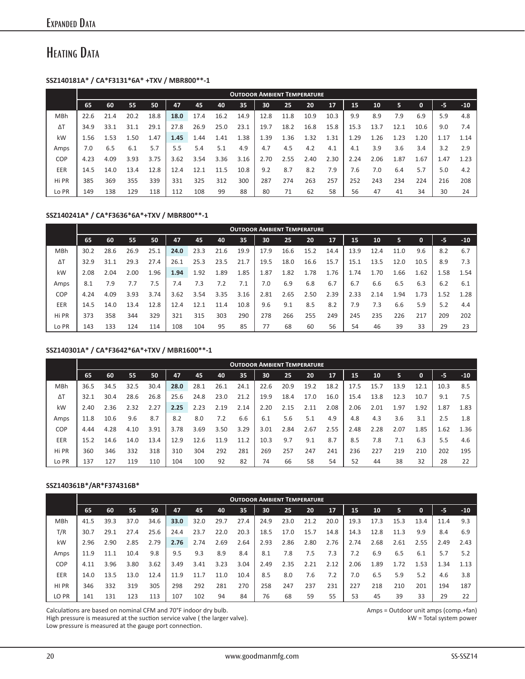## **HEATING DATA**

#### **SSZ140181A\* / CA\*F3131\*6A\* +TXV / MBR800\*\*-1**

|            |      |      |      |      |      |      |      | <b>OUTDOOR AMBIENT TEMPERATURE</b> |      |      |      |      |      |      |      |      |      |       |
|------------|------|------|------|------|------|------|------|------------------------------------|------|------|------|------|------|------|------|------|------|-------|
|            | 65   | 60   | 55   | 50   | 47   | 45   | 40   | 35                                 | 30   | 25   | 20   | 17   | 15   | 10   | 5    | O    | $-5$ | $-10$ |
| <b>MBh</b> | 22.6 | 21.4 | 20.2 | 18.8 | 18.0 | 17.4 | 16.2 | 14.9                               | 12.8 | 11.8 | 10.9 | 10.3 | 9.9  | 8.9  | 7.9  | 6.9  | 5.9  | 4.8   |
| $\Delta T$ | 34.9 | 33.1 | 31.1 | 29.1 | 27.8 | 26.9 | 25.0 | 23.1                               | 19.7 | 18.2 | 16.8 | 15.8 | 15.3 | 13.7 | 12.1 | 10.6 | 9.0  | 7.4   |
| kW         | 1.56 | 1.53 | 1.50 | 1.47 | 1.45 | 1.44 | 1.41 | 1.38                               | 1.39 | 1.36 | 1.32 | 1.31 | 1.29 | 1.26 | 1.23 | 1.20 | 1.17 | 1.14  |
| Amps       | 7.0  | 6.5  | 6.1  | 5.7  | 5.5  | 5.4  | 5.1  | 4.9                                | 4.7  | 4.5  | 4.2  | 4.1  | 4.1  | 3.9  | 3.6  | 3.4  | 3.2  | 2.9   |
| COP        | 4.23 | 4.09 | 3.93 | 3.75 | 3.62 | 3.54 | 3.36 | 3.16                               | 2.70 | 2.55 | 2.40 | 2.30 | 2.24 | 2.06 | 1.87 | 1.67 | 1.47 | 1.23  |
| EER        | 14.5 | 14.0 | 13.4 | 12.8 | 12.4 | 12.1 | 11.5 | 10.8                               | 9.2  | 8.7  | 8.2  | 7.9  | 7.6  | 7.0  | 6.4  | 5.7  | 5.0  | 4.2   |
| Hi PR      | 385  | 369  | 355  | 339  | 331  | 325  | 312  | 300                                | 287  | 274  | 263  | 257  | 252  | 243  | 234  | 224  | 216  | 208   |
| Lo PR      | 149  | 138  | 129  | 118  | 112  | 108  | 99   | 88                                 | 80   | 71   | 62   | 58   | 56   | 47   | 41   | 34   | 30   | 24    |

#### **SSZ140241A\* / CA\*F3636\*6A\*+TXV / MBR800\*\*-1**

|            |      |      |      |      |      |      |      | <b>OUTDOOR AMBIENT TEMPERATURE</b> |      |      |      |      |      |      |      |      |      |       |
|------------|------|------|------|------|------|------|------|------------------------------------|------|------|------|------|------|------|------|------|------|-------|
|            | 65   | 60   | 55   | 50   | 47   | 45   | 40   | 35                                 | 30   | 25   | 20   | 17   | 15   | 10   | 5    | Ω    | -5   | $-10$ |
| <b>MBh</b> | 30.2 | 28.6 | 26.9 | 25.1 | 24.0 | 23.3 | 21.6 | 19.9                               | 17.9 | 16.6 | 15.2 | 14.4 | 13.9 | 12.4 | 11.0 | 9.6  | 8.2  | 6.7   |
| $\Delta T$ | 32.9 | 31.1 | 29.3 | 27.4 | 26.1 | 25.3 | 23.5 | 21.7                               | 19.5 | 18.0 | 16.6 | 15.7 | 15.1 | 13.5 | 12.0 | 10.5 | 8.9  | 7.3   |
| kW         | 2.08 | 2.04 | 2.00 | 1.96 | 1.94 | 1.92 | 1.89 | 1.85                               | 1.87 | 1.82 | 1.78 | 1.76 | 1.74 | 1.70 | 1.66 | 1.62 | 1.58 | 1.54  |
| Amps       | 8.1  | 7.9  | 7.7  | 7.5  | 7.4  | 7.3  | 7.2  | 7.1                                | 7.0  | 6.9  | 6.8  | 6.7  | 6.7  | 6.6  | 6.5  | 6.3  | 6.2  | 6.1   |
| COP        | 4.24 | 4.09 | 3.93 | 3.74 | 3.62 | 3.54 | 3.35 | 3.16                               | 2.81 | 2.65 | 2.50 | 2.39 | 2.33 | 2.14 | 1.94 | 1.73 | 1.52 | 1.28  |
| EER        | 14.5 | 14.0 | 13.4 | 12.8 | 12.4 | 12.1 | 11.4 | 10.8                               | 9.6  | 9.1  | 8.5  | 8.2  | 7.9  | 7.3  | 6.6  | 5.9  | 5.2  | 4.4   |
| Hi PR      | 373  | 358  | 344  | 329  | 321  | 315  | 303  | 290                                | 278  | 266  | 255  | 249  | 245  | 235  | 226  | 217  | 209  | 202   |
| Lo PR      | 143  | 133  | 124  | 114  | 108  | 104  | 95   | 85                                 | 77   | 68   | 60   | 56   | 54   | 46   | 39   | 33   | 29   | 23    |

#### **SSZ140301A\* / CA\*F3642\*6A\*+TXV / MBR1600\*\*-1**

|            |      |      |      |      |      |      |      | <b>OUTDOOR AMBIENT TEMPERATURE</b> |      |      |      |      |      |      |      |      |      |       |
|------------|------|------|------|------|------|------|------|------------------------------------|------|------|------|------|------|------|------|------|------|-------|
|            | 65   | 60   | 55   | 50   | 47   | 45   | 40   | 35                                 | 30   | 25   | 20   | 17   | 15   | 10   | 5    | 0    | -5.  | $-10$ |
| <b>MBh</b> | 36.5 | 34.5 | 32.5 | 30.4 | 28.0 | 28.1 | 26.1 | 24.1                               | 22.6 | 20.9 | 19.2 | 18.2 | 17.5 | 15.7 | 13.9 | 12.1 | 10.3 | 8.5   |
| $\Delta T$ | 32.1 | 30.4 | 28.6 | 26.8 | 25.6 | 24.8 | 23.0 | 21.2                               | 19.9 | 18.4 | 17.0 | 16.0 | 15.4 | 13.8 | 12.3 | 10.7 | 9.1  | 7.5   |
| kW         | 2.40 | 2.36 | 2.32 | 2.27 | 2.25 | 2.23 | 2.19 | 2.14                               | 2.20 | 2.15 | 2.11 | 2.08 | 2.06 | 2.01 | 1.97 | 1.92 | 1.87 | 1.83  |
| Amps       | 11.8 | 10.6 | 9.6  | 8.7  | 8.2  | 8.0  | 7.2  | 6.6                                | 6.1  | 5.6  | 5.1  | 4.9  | 4.8  | 4.3  | 3.6  | 3.1  | 2.5  | 1.8   |
| COP        | 4.44 | 4.28 | 4.10 | 3.91 | 3.78 | 3.69 | 3.50 | 3.29                               | 3.01 | 2.84 | 2.67 | 2.55 | 2.48 | 2.28 | 2.07 | 1.85 | 1.62 | 1.36  |
| EER        | 15.2 | 14.6 | 14.0 | 13.4 | 12.9 | 12.6 | 11.9 | 11.2                               | 10.3 | 9.7  | 9.1  | 8.7  | 8.5  | 7.8  | 7.1  | 6.3  | 5.5  | 4.6   |
| Hi PR      | 360  | 346  | 332  | 318  | 310  | 304  | 292  | 281                                | 269  | 257  | 247  | 241  | 236  | 227  | 219  | 210  | 202  | 195   |
| Lo PR      | 137  | 127  | 119  | 110  | 104  | 100  | 92   | 82                                 | 74   | 66   | 58   | 54   | 52   | 44   | 38   | 32   | 28   | 22    |

#### **SSZ140361B\*/AR\*F374316B\***

|       |      |      |      |      |      |      |      | <b>OUTDOOR AMBIENT TEMPERATURE</b> |      |      |      |      |      |      |      |      |      |       |
|-------|------|------|------|------|------|------|------|------------------------------------|------|------|------|------|------|------|------|------|------|-------|
|       | 65   | 60   | 55   | 50   | 47   | 45   | 40   | 35                                 | 30   | 25   | 20   | 17   | 15   | 10   | 5    | 0    | -5   | $-10$ |
| MBh   | 41.5 | 39.3 | 37.0 | 34.6 | 33.0 | 32.0 | 29.7 | 27.4                               | 24.9 | 23.0 | 21.2 | 20.0 | 19.3 | 17.3 | 15.3 | 13.4 | 11.4 | 9.3   |
| T/R   | 30.7 | 29.1 | 27.4 | 25.6 | 24.4 | 23.7 | 22.0 | 20.3                               | 18.5 | 17.0 | 15.7 | 14.8 | 14.3 | 12.8 | 11.3 | 9.9  | 8.4  | 6.9   |
| kW    | 2.96 | 2.90 | 2.85 | 2.79 | 2.76 | 2.74 | 2.69 | 2.64                               | 2.93 | 2.86 | 2.80 | 2.76 | 2.74 | 2.68 | 2.61 | 2.55 | 2.49 | 2.43  |
| Amps  | 11.9 | 11.1 | 10.4 | 9.8  | 9.5  | 9.3  | 8.9  | 8.4                                | 8.1  | 7.8  | 7.5  | 7.3  | 7.2  | 6.9  | 6.5  | 6.1  | 5.7  | 5.2   |
| COP   | 4.11 | 3.96 | 3.80 | 3.62 | 3.49 | 3.41 | 3.23 | 3.04                               | 2.49 | 2.35 | 2.21 | 2.12 | 2.06 | 1.89 | 1.72 | 1.53 | 1.34 | 1.13  |
| EER   | 14.0 | 13.5 | 13.0 | 12.4 | 11.9 | 11.7 | 11.0 | 10.4                               | 8.5  | 8.0  | 7.6  | 7.2  | 7.0  | 6.5  | 5.9  | 5.2  | 4.6  | 3.8   |
| HI PR | 346  | 332  | 319  | 305  | 298  | 292  | 281  | 270                                | 258  | 247  | 237  | 231  | 227  | 218  | 210  | 201  | 194  | 187   |
| LO PR | 141  | 131  | 123  | 113  | 107  | 102  | 94   | 84                                 | 76   | 68   | 59   | 55   | 53   | 45   | 39   | 33   | 29   | 22    |

Calculations are based on nominal CFM and 70°F indoor dry bulb.<br>
High pressure is measured at the suction service valve (the larger valve).<br>
Amps = Outdoor unit amps (comp.+fan)<br>
kW = Total system power High pressure is measured at the suction service valve ( the larger valve).

Low pressure is measured at the gauge port connection.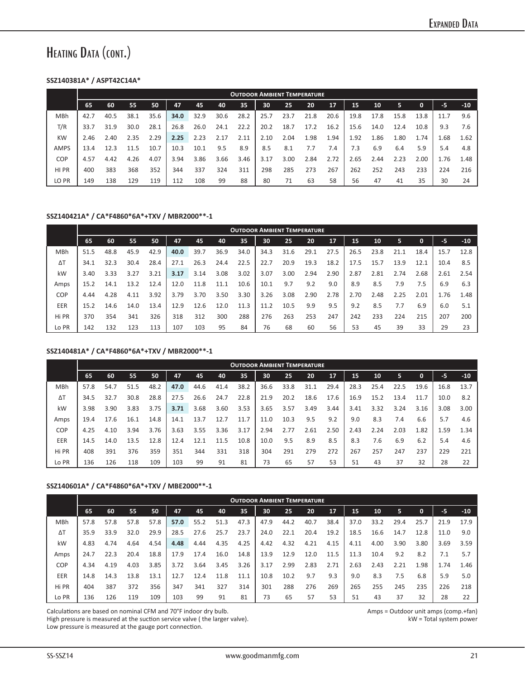# **Heating Data (cont.)**

#### **SSZ140381A\* / ASPT42C14A\***

|             |      |      |      |      |      |      |      | <b>OUTDOOR AMBIENT TEMPERATURE</b> |      |      |      |      |      |      |      |      |      |       |
|-------------|------|------|------|------|------|------|------|------------------------------------|------|------|------|------|------|------|------|------|------|-------|
|             | 65   | 60   | 55   | 50   | 47   | 45   | 40   | 35                                 | 30   | 25   | 20   | 17   | 15   | 10   | п    | O    | -5   | $-10$ |
| MBh         | 42.7 | 40.5 | 38.1 | 35.6 | 34.0 | 32.9 | 30.6 | 28.2                               | 25.7 | 23.7 | 21.8 | 20.6 | 19.8 | 17.8 | 15.8 | 13.8 | 11.7 | 9.6   |
| T/R         | 33.7 | 31.9 | 30.0 | 28.1 | 26.8 | 26.0 | 24.1 | 22.2                               | 20.2 | 18.7 | 17.2 | 16.2 | 15.6 | 14.0 | 12.4 | 10.8 | 9.3  | 7.6   |
| <b>KW</b>   | 2.46 | 2.40 | 2.35 | 2.29 | 2.25 | 2.23 | 2.17 | 2.11                               | 2.10 | 2.04 | 1.98 | 1.94 | 1.92 | 1.86 | .80  | 1.74 | 1.68 | 1.62  |
| <b>AMPS</b> | 13.4 | 12.3 | 11.5 | 10.7 | 10.3 | 10.1 | 9.5  | 8.9                                | 8.5  | 8.1  | 7.7  | 7.4  | 7.3  | 6.9  | 6.4  | 5.9  | 5.4  | 4.8   |
| COP         | 4.57 | 4.42 | 4.26 | 4.07 | 3.94 | 3.86 | 3.66 | 3.46                               | 3.17 | 3.00 | 2.84 | 2.72 | 2.65 | 2.44 | 2.23 | 2.00 | 1.76 | 1.48  |
| HI PR       | 400  | 383  | 368  | 352  | 344  | 337  | 324  | 311                                | 298  | 285  | 273  | 267  | 262  | 252  | 243  | 233  | 224  | 216   |
| LO PR       | 149  | 138  | 129  | 119  | 112  | 108  | 99   | 88                                 | 80   | 71   | 63   | 58   | 56   | 47   | 41   | 35   | 30   | 24    |

#### **SSZ140421A\* / CA\*F4860\*6A\*+TXV / MBR2000\*\*-1**

|            |      |      |      |      |      |      |      | <b>OUTDOOR AMBIENT TEMPERATURE</b> |      |      |      |      |      |      |      |      |      |       |
|------------|------|------|------|------|------|------|------|------------------------------------|------|------|------|------|------|------|------|------|------|-------|
|            | 65   | 60   | 55   | 50   | 47   | 45   | 40   | 35                                 | 30   | 25   | 20   | 17   | 15   | 10   | 5    | O    | -5   | $-10$ |
| MBh        | 51.5 | 48.8 | 45.9 | 42.9 | 40.0 | 39.7 | 36.9 | 34.0                               | 34.3 | 31.6 | 29.1 | 27.5 | 26.5 | 23.8 | 21.1 | 18.4 | 15.7 | 12.8  |
| $\Delta T$ | 34.1 | 32.3 | 30.4 | 28.4 | 27.1 | 26.3 | 24.4 | 22.5                               | 22.7 | 20.9 | 19.3 | 18.2 | 17.5 | 15.7 | 13.9 | 12.1 | 10.4 | 8.5   |
| kW         | 3.40 | 3.33 | 3.27 | 3.21 | 3.17 | 3.14 | 3.08 | 3.02                               | 3.07 | 3.00 | 2.94 | 2.90 | 2.87 | 2.81 | 2.74 | 2.68 | 2.61 | 2.54  |
| Amps       | 15.2 | 14.1 | 13.2 | 12.4 | 12.0 | 11.8 | 11.1 | 10.6                               | 10.1 | 9.7  | 9.2  | 9.0  | 8.9  | 8.5  | 7.9  | 7.5  | 6.9  | 6.3   |
| COP        | 4.44 | 4.28 | 4.11 | 3.92 | 3.79 | 3.70 | 3.50 | 3.30                               | 3.26 | 3.08 | 2.90 | 2.78 | 2.70 | 2.48 | 2.25 | 2.01 | 1.76 | 1.48  |
| EER        | 15.2 | 14.6 | 14.0 | 13.4 | 12.9 | 12.6 | 12.0 | 11.3                               | 11.2 | 10.5 | 9.9  | 9.5  | 9.2  | 8.5  | 7.7  | 6.9  | 6.0  | 5.1   |
| Hi PR      | 370  | 354  | 341  | 326  | 318  | 312  | 300  | 288                                | 276  | 263  | 253  | 247  | 242  | 233  | 224  | 215  | 207  | 200   |
| Lo PR      | 142  | 132  | 123  | 113  | 107  | 103  | 95   | 84                                 | 76   | 68   | 60   | 56   | 53   | 45   | 39   | 33   | 29   | 23    |

#### **SSZ140481A\* / CA\*F4860\*6A\*+TXV / MBR2000\*\*-1**

|            |      |      |      |      |      |      |      | <b>OUTDOOR AMBIENT TEMPERATURE</b> |      |      |      |      |      |      |      |      |      |       |
|------------|------|------|------|------|------|------|------|------------------------------------|------|------|------|------|------|------|------|------|------|-------|
|            | 65   | 60   | 55   | 50   | 47   | 45   | 40   | 35                                 | 30   | 25   | 20   | 17   | 15   | 10   | 5    | 0    | -5   | $-10$ |
| MBh        | 57.8 | 54.7 | 51.5 | 48.2 | 47.0 | 44.6 | 41.4 | 38.2                               | 36.6 | 33.8 | 31.1 | 29.4 | 28.3 | 25.4 | 22.5 | 19.6 | 16.8 | 13.7  |
| $\Delta T$ | 34.5 | 32.7 | 30.8 | 28.8 | 27.5 | 26.6 | 24.7 | 22.8                               | 21.9 | 20.2 | 18.6 | 17.6 | 16.9 | 15.2 | 13.4 | 11.7 | 10.0 | 8.2   |
| kW         | 3.98 | 3.90 | 3.83 | 3.75 | 3.71 | 3.68 | 3.60 | 3.53                               | 3.65 | 3.57 | 3.49 | 3.44 | 3.41 | 3.32 | 3.24 | 3.16 | 3.08 | 3.00  |
| Amps       | 19.4 | 17.6 | 16.1 | 14.8 | 14.1 | 13.7 | 12.7 | 11.7                               | 11.0 | 10.3 | 9.5  | 9.2  | 9.0  | 8.3  | 7.4  | 6.6  | 5.7  | 4.6   |
| COP        | 4.25 | 4.10 | 3.94 | 3.76 | 3.63 | 3.55 | 3.36 | 3.17                               | 2.94 | 2.77 | 2.61 | 2.50 | 2.43 | 2.24 | 2.03 | 1.82 | 1.59 | 1.34  |
| EER        | 14.5 | 14.0 | 13.5 | 12.8 | 12.4 | 12.1 | 11.5 | 10.8                               | 10.0 | 9.5  | 8.9  | 8.5  | 8.3  | 7.6  | 6.9  | 6.2  | 5.4  | 4.6   |
| Hi PR      | 408  | 391  | 376  | 359  | 351  | 344  | 331  | 318                                | 304  | 291  | 279  | 272  | 267  | 257  | 247  | 237  | 229  | 221   |
| Lo PR      | 136  | 126  | 118  | 109  | 103  | 99   | 91   | 81                                 | 73   | 65   | 57   | 53   | 51   | 43   | 37   | 32   | 28   | 22    |

#### **SSZ140601A\* / CA\*F4860\*6A\*+TXV / MBE2000\*\*-1**

|            |      |      |      |      |      |      |      | <b>OUTDOOR AMBIENT TEMPERATURE</b> |      |      |      |      |      |      |      |          |      |       |
|------------|------|------|------|------|------|------|------|------------------------------------|------|------|------|------|------|------|------|----------|------|-------|
|            | 65   | 60   | 55   | 50   | 47   | 45   | 40   | 35                                 | 30   | 25   | 20   | 17   | 15   | 10   | 5    | $\Omega$ | -5   | $-10$ |
| MBh        | 57.8 | 57.8 | 57.8 | 57.8 | 57.0 | 55.2 | 51.3 | 47.3                               | 47.9 | 44.2 | 40.7 | 38.4 | 37.0 | 33.2 | 29.4 | 25.7     | 21.9 | 17.9  |
| $\Delta T$ | 35.9 | 33.9 | 32.0 | 29.9 | 28.5 | 27.6 | 25.7 | 23.7                               | 24.0 | 22.1 | 20.4 | 19.2 | 18.5 | 16.6 | 14.7 | 12.8     | 11.0 | 9.0   |
| kW         | 4.83 | 4.74 | 4.64 | 4.54 | 4.48 | 4.44 | 4.35 | 4.25                               | 4.42 | 4.32 | 4.21 | 4.15 | 4.11 | 4.00 | 3.90 | 3.80     | 3.69 | 3.59  |
| Amps       | 24.7 | 22.3 | 20.4 | 18.8 | 17.9 | 17.4 | 16.0 | 14.8                               | 13.9 | 12.9 | 12.0 | 11.5 | 11.3 | 10.4 | 9.2  | 8.2      |      | 5.7   |
| COP        | 4.34 | 4.19 | 4.03 | 3.85 | 3.72 | 3.64 | 3.45 | 3.26                               | 3.17 | 2.99 | 2.83 | 2.71 | 2.63 | 2.43 | 2.21 | 1.98     | 1.74 | 1.46  |
| EER        | 14.8 | 14.3 | 13.8 | 13.1 | 12.7 | 12.4 | 11.8 | 11.1                               | 10.8 | 10.2 | 9.7  | 9.3  | 9.0  | 8.3  | 7.5  | 6.8      | 5.9  | 5.0   |
| Hi PR      | 404  | 387  | 372  | 356  | 347  | 341  | 327  | 314                                | 301  | 288  | 276  | 269  | 265  | 255  | 245  | 235      | 226  | 218   |
| Lo PR      | 136  | 126  | 119  | 109  | 103  | 99   | 91   | 81                                 | 73   | 65   | 57   | 53   | 51   | 43   | 37   | 32       | 28   | 22    |

Calculations are based on nominal CFM and 70°F indoor dry bulb.<br>
High pressure is measured at the suction service valve (the larger valve).<br>
High pressure is measured at the suction service valve (the larger valve).<br>
Amps High pressure is measured at the suction service valve ( the larger valve).

Low pressure is measured at the gauge port connection.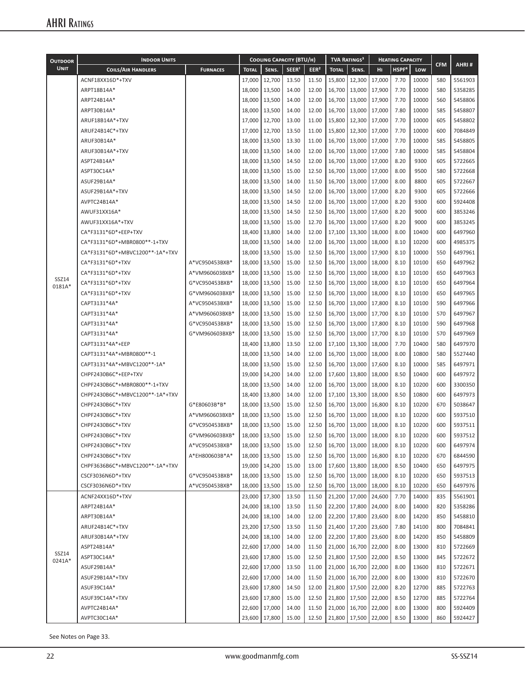| <b>OUTDOOR</b> | <b>INDOOR UNITS</b>             |                 |              | <b>COOLING CAPACITY (BTU/H)</b> |                   |                  |              | <b>TVA RATINGS<sup>3</sup></b> |        | <b>HEATING CAPACITY</b> |       |            |         |
|----------------|---------------------------------|-----------------|--------------|---------------------------------|-------------------|------------------|--------------|--------------------------------|--------|-------------------------|-------|------------|---------|
| <b>UNIT</b>    | <b>COILS/AIR HANDLERS</b>       | <b>FURNACES</b> | <b>TOTAL</b> | SENS.                           | SEER <sup>1</sup> | EER <sup>2</sup> | <b>TOTAL</b> | SENS.                          | HI     | HSPF <sup>4</sup>       | Low   | <b>CFM</b> | AHRI#   |
|                | ACNF18XX16D*+TXV                |                 | 17,000       | 12,700                          | 13.50             | 11.50            | 15,800       | 12,300                         | 17,000 | 7.70                    | 10000 | 580        | 5561903 |
|                | ARPT18B14A*                     |                 | 18,000       | 13,500                          | 14.00             | 12.00            | 16,700       | 13,000                         | 17,900 | 7.70                    | 10000 | 580        | 5358285 |
|                | ARPT24B14A*                     |                 | 18,000       | 13,500                          | 14.00             | 12.00            | 16,700       | 13,000                         | 17,900 | 7.70                    | 10000 | 560        | 5458806 |
|                | ARPT30B14A*                     |                 | 18,000       | 13,500                          | 14.00             | 12.00            | 16,700       | 13,000                         | 17,000 | 7.80                    | 10000 | 585        | 5458807 |
|                | ARUF18B14A*+TXV                 |                 | 17,000       | 12,700                          | 13.00             | 11.00            | 15,800       | 12,300                         | 17,000 | 7.70                    | 10000 | 605        | 5458802 |
|                | ARUF24B14C*+TXV                 |                 | 17,000       | 12,700                          | 13.50             | 11.00            | 15,800       | 12,300                         | 17,000 | 7.70                    | 10000 | 600        | 7084849 |
|                | ARUF30B14A*                     |                 | 18,000       | 13,500                          | 13.30             | 11.00            | 16,700       | 13,000                         | 17,000 | 7.70                    | 10000 | 585        | 5458805 |
|                | ARUF30B14A*+TXV                 |                 | 18,000       | 13,500                          | 14.00             | 12.00            | 16,700       | 13,000                         | 17,000 | 7.80                    | 10000 | 585        | 5458804 |
|                | ASPT24B14A*                     |                 | 18,000       | 13,500                          | 14.50             | 12.00            | 16,700       | 13,000                         | 17,000 | 8.20                    | 9300  | 605        | 5722665 |
|                | ASPT30C14A*                     |                 | 18,000       | 13,500                          | 15.00             | 12.50            | 16,700       | 13,000                         | 17,000 | 8.00                    | 9500  | 580        | 5722668 |
|                | ASUF29B14A*                     |                 | 18,000       | 13,500                          | 14.00             | 11.50            | 16,700       | 13,000                         | 17,000 | 8.00                    | 8800  | 605        | 5722667 |
|                | ASUF29B14A*+TXV                 |                 | 18,000       | 13,500                          | 14.50             | 12.00            | 16,700       | 13,000                         | 17,000 | 8.20                    | 9300  | 605        | 5722666 |
|                | AVPTC24B14A*                    |                 | 18,000       | 13,500                          | 14.50             | 12.00            | 16,700       | 13,000                         | 17,000 | 8.20                    | 9300  | 600        | 5924408 |
|                | AWUF31XX16A*                    |                 | 18,000       | 13,500                          | 14.50             | 12.50            | 16,700       | 13,000                         | 17,600 | 8.20                    | 9000  | 600        | 3853246 |
|                | AWUF31XX16A*+TXV                |                 | 18,000       | 13,500                          | 15.00             | 12.70            | 16,700       | 13,000                         | 17,600 | 8.20                    | 9000  | 600        | 3853245 |
|                | CA*F3131*6D*+EEP+TXV            |                 | 18,400       | 13,800                          | 14.00             | 12.00            | 17,100       | 13,300                         | 18,000 | 8.00                    | 10400 | 600        | 6497960 |
|                | CA*F3131*6D*+MBR0800**-1+TXV    |                 | 18,000       | 13,500                          | 14.00             | 12.00            | 16,700       | 13,000                         | 18,000 | 8.10                    | 10200 | 600        | 4985375 |
|                | CA*F3131*6D*+MBVC1200**-1A*+TXV |                 | 18,000       | 13,500                          | 15.00             | 12.50            | 16,700       | 13,000                         | 17,900 | 8.10                    | 10000 | 550        | 6497961 |
|                | CA*F3131*6D*+TXV                | A*VC950453BXB*  | 18,000       | 13,500                          | 15.00             | 12.50            | 16,700       | 13,000                         | 18,000 | 8.10                    | 10100 | 650        | 6497962 |
|                | CA*F3131*6D*+TXV                | A*VM960603BXB*  | 18,000       | 13,500                          | 15.00             | 12.50            | 16,700       | 13,000                         | 18,000 | 8.10                    | 10100 | 650        | 6497963 |
| <b>SSZ14</b>   | CA*F3131*6D*+TXV                | G*VC950453BXB*  | 18,000       | 13,500                          | 15.00             | 12.50            | 16,700       | 13,000                         | 18,000 | 8.10                    | 10100 | 650        | 6497964 |
| 0181A*         | CA*F3131*6D*+TXV                | G*VM960603BXB*  | 18,000       | 13,500                          | 15.00             | 12.50            | 16,700       | 13,000                         | 18,000 | 8.10                    | 10100 | 650        | 6497965 |
|                | CAPT3131*4A*                    | A*VC950453BXB*  | 18,000       | 13,500                          | 15.00             | 12.50            | 16,700       | 13,000                         | 17,800 | 8.10                    | 10100 | 590        | 6497966 |
|                | CAPT3131*4A*                    | A*VM960603BXB*  | 18,000       | 13,500                          | 15.00             | 12.50            | 16,700       | 13,000                         | 17,700 | 8.10                    | 10100 | 570        | 6497967 |
|                | CAPT3131*4A*                    | G*VC950453BXB*  | 18,000       | 13,500                          | 15.00             | 12.50            | 16,700       | 13,000                         | 17,800 | 8.10                    | 10100 | 590        | 6497968 |
|                | CAPT3131*4A*                    | G*VM960603BXB*  | 18,000       | 13,500                          | 15.00             | 12.50            | 16,700       | 13,000                         | 17,700 | 8.10                    | 10100 | 570        | 6497969 |
|                | CAPT3131*4A*+EEP                |                 | 18,400       | 13,800                          | 13.50             | 12.00            | 17,100       | 13,300                         | 18,000 | 7.70                    | 10400 | 580        | 6497970 |
|                | CAPT3131*4A*+MBR0800**-1        |                 | 18,000       | 13,500                          | 14.00             | 12.00            | 16,700       | 13,000                         | 18,000 | 8.00                    | 10800 | 580        | 5527440 |
|                | CAPT3131*4A*+MBVC1200**-1A*     |                 | 18,000       | 13,500                          | 15.00             | 12.50            | 16,700       | 13,000                         | 17,600 | 8.10                    | 10000 | 585        | 6497971 |
|                | CHPF2430B6C*+EEP+TXV            |                 | 19,000       | 14,200                          | 14.00             | 12.00            | 17,600       | 13,800                         | 18,000 | 8.50                    | 10400 | 600        | 6497972 |
|                | CHPF2430B6C*+MBR0800**-1+TXV    |                 | 18,000       | 13,500                          | 14.00             | 12.00            | 16,700       | 13,000                         | 18,000 | 8.10                    | 10200 | 600        | 3300350 |
|                | CHPF2430B6C*+MBVC1200**-1A*+TXV |                 | 18,400       | 13,800                          | 14.00             | 12.00            |              | 17,100 13,300                  | 18,000 | 8.50                    | 10800 | 600        | 6497973 |
|                | CHPF2430B6C*+TXV                | G*E80603B*B*    | 18,000       | 13,500                          | 15.00             | 12.50            | 16,700       | 13,000                         | 16,800 | 8.10                    | 10200 | 670        | 5038647 |
|                | CHPF2430B6C*+TXV                | A*VM960603BXB*  | 18,000       | 13,500                          | 15.00             | 12.50            | 16,700       | 13,000                         | 18,000 | 8.10                    | 10200 | 600        | 5937510 |
|                | CHPF2430B6C*+TXV                | G*VC950453BXB*  | 18,000       | 13,500                          | 15.00             | 12.50            |              | 16,700   13,000                | 18,000 | 8.10                    | 10200 | 600        | 5937511 |
|                | CHPF2430B6C*+TXV                | G*VM960603BXB*  |              | 18,000   13,500                 | 15.00             | 12.50            |              | 16,700   13,000   18,000       |        | 8.10                    | 10200 | 600        | 5937512 |
|                | CHPF2430B6C*+TXV                | A*VC950453BXB*  |              | 18,000   13,500                 | 15.00             | 12.50            |              | 16,700   13,000   18,000       |        | 8.10                    | 10200 | 600        | 6497974 |
|                | CHPF2430B6C*+TXV                | A*EH800603B*A*  |              | 18,000   13,500                 | 15.00             | 12.50            |              | 16,700   13,000   16,800       |        | 8.10                    | 10200 | 670        | 6844590 |
|                | CHPF3636B6C*+MBVC1200**-1A*+TXV |                 |              | 19,000   14,200                 | 15.00             | 13.00            |              | 17,600   13,800   18,000       |        | 8.50                    | 10400 | 650        | 6497975 |
|                | CSCF3036N6D*+TXV                | G*VC950453BXB*  |              | 18,000   13,500                 | 15.00             | 12.50            |              | 16,700   13,000   18,000       |        | 8.10                    | 10200 | 650        | 5937513 |
|                | CSCF3036N6D*+TXV                | A*VC950453BXB*  | 18,000       | 13,500                          | 15.00             | 12.50            |              | 16,700   13,000   18,000       |        | 8.10                    | 10200 | 650        | 6497976 |
|                | ACNF24XX16D*+TXV                |                 |              | 23,000   17,300                 | 13.50             | 11.50            |              | 21,200   17,000   24,600       |        | 7.70                    | 14000 | 835        | 5561901 |
|                | ARPT24B14A*                     |                 | 24,000       | 18,100                          | 13.50             | 11.50            |              | 22,200   17,800   24,000       |        | 8.00                    | 14000 | 820        | 5358286 |
|                | ARPT30B14A*                     |                 |              | 24,000   18,100                 | 14.00             | 12.00            |              | 22,200   17,800   23,600       |        | 8.00                    | 14200 | 850        | 5458810 |
|                | ARUF24B14C*+TXV                 |                 |              | 23,200   17,500                 | 13.50             | 11.50            |              | 21,400   17,200   23,600       |        | 7.80                    | 14100 | 800        | 7084841 |
|                | ARUF30B14A*+TXV                 |                 |              | 24,000 18,100                   | 14.00             | 12.00            |              | 22,200   17,800   23,600       |        | 8.00                    | 14200 | 850        | 5458809 |
|                | ASPT24B14A*                     |                 |              | 22,600   17,000                 | 14.00             | 11.50            |              | 21,000   16,700   22,000       |        | 8.00                    | 13000 | 810        | 5722669 |
| <b>SSZ14</b>   | ASPT30C14A*                     |                 |              | 23,600   17,800                 | 15.00             | 12.50            |              | 21,800   17,500   22,000       |        | 8.50                    | 13000 | 845        | 5722672 |
| 0241A*         | ASUF29B14A*                     |                 |              | 22,600   17,000                 | 13.50             | 11.00            |              | 21,000   16,700   22,000       |        | 8.00                    | 13600 | 810        | 5722671 |
|                | ASUF29B14A*+TXV                 |                 |              | 22,600   17,000                 | 14.00             | 11.50            |              | 21,000   16,700   22,000       |        | 8.00                    | 13000 | 810        | 5722670 |
|                | ASUF39C14A*                     |                 |              | 23,600   17,800                 | 14.50             | 12.00            |              | 21,800   17,500   22,000       |        | 8.20                    | 12700 | 885        | 5722763 |
|                | ASUF39C14A*+TXV                 |                 |              | 23,600   17,800                 | 15.00             | 12.50            |              | 21,800   17,500   22,000       |        | 8.50                    | 12700 | 885        | 5722764 |
|                | AVPTC24B14A*                    |                 | 22,600       | 17,000                          | 14.00             | 11.50            | 21,000       | 16,700                         | 22,000 | 8.00                    | 13000 | 800        | 5924409 |
|                | AVPTC30C14A*                    |                 | 23,600       | 17,800                          | 15.00             | 12.50            |              | 21,800   17,500   22,000       |        | 8.50                    | 13000 | 860        | 5924427 |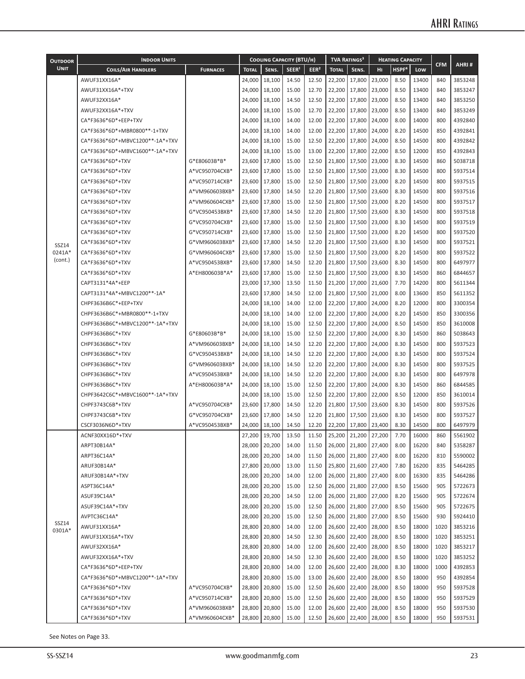| <b>OUTDOOR</b> | <b>INDOOR UNITS</b>             |                 |              | <b>COOLING CAPACITY (BTU/H)</b> |                   |                  |              | <b>TVA RATINGS<sup>3</sup></b> |                 | <b>HEATING CAPACITY</b> |       | <b>CFM</b> | AHRI#   |
|----------------|---------------------------------|-----------------|--------------|---------------------------------|-------------------|------------------|--------------|--------------------------------|-----------------|-------------------------|-------|------------|---------|
| <b>UNIT</b>    | <b>COILS/AIR HANDLERS</b>       | <b>FURNACES</b> | <b>TOTAL</b> | SENS.                           | SEER <sup>1</sup> | EER <sup>2</sup> | <b>TOTAL</b> | SENS.                          | Hı              | HSPF <sup>4</sup>       | Low   |            |         |
|                | AWUF31XX16A*                    |                 | 24,000       | 18,100                          | 14.50             | 12.50            | 22,200       | 17,800                         | 23,000          | 8.50                    | 13400 | 840        | 3853248 |
|                | AWUF31XX16A*+TXV                |                 | 24,000       | 18,100                          | 15.00             | 12.70            | 22,200       | 17,800                         | 23,000          | 8.50                    | 13400 | 840        | 3853247 |
|                | AWUF32XX16A*                    |                 | 24,000       | 18,100                          | 14.50             | 12.50            | 22,200       | 17,800                         | 23,000          | 8.50                    | 13400 | 840        | 3853250 |
|                | AWUF32XX16A*+TXV                |                 | 24,000       | 18,100                          | 15.00             | 12.70            | 22,200       | 17,800                         | 23,000          | 8.50                    | 13400 | 840        | 3853249 |
|                | CA*F3636*6D*+EEP+TXV            |                 | 24,000       | 18,100                          | 14.00             | 12.00            | 22,200       | 17,800                         | 24,000          | 8.00                    | 14000 | 800        | 4392840 |
|                | CA*F3636*6D*+MBR0800**-1+TXV    |                 | 24,000       | 18,100                          | 14.00             | 12.00            | 22,200       | 17,800                         | 24,000          | 8.20                    | 14500 | 850        | 4392841 |
|                | CA*F3636*6D*+MBVC1200**-1A*+TXV |                 | 24,000       | 18,100                          | 15.00             | 12.50            | 22,200       | 17,800                         | 24,000          | 8.50                    | 14500 | 800        | 4392842 |
|                | CA*F3636*6D*+MBVC1600**-1A*+TXV |                 | 24,000       | 18,100                          | 15.00             | 13.00            | 22,200       | 17,800                         | 22,000          | 8.50                    | 12000 | 850        | 4392843 |
|                | CA*F3636*6D*+TXV                | G*E80603B*B*    | 23,600       | 17,800                          | 15.00             | 12.50            | 21,800       | 17,500                         | 23,000          | 8.30                    | 14500 | 860        | 5038718 |
|                | CA*F3636*6D*+TXV                | A*VC950704CXB*  | 23,600       | 17,800                          | 15.00             | 12.50            | 21,800       | 17,500                         | 23,000          | 8.30                    | 14500 | 800        | 5937514 |
|                | CA*F3636*6D*+TXV                | A*VC950714CXB*  | 23,600       | 17,800                          | 15.00             | 12.50            | 21,800       | 17,500                         | 23,000          | 8.20                    | 14500 | 800        | 5937515 |
|                | CA*F3636*6D*+TXV                | A*VM960603BXB*  | 23,600       | 17,800                          | 14.50             | 12.20            | 21,800       | 17,500                         | 23,600          | 8.30                    | 14500 | 800        | 5937516 |
|                | CA*F3636*6D*+TXV                | A*VM960604CXB*  | 23,600       | 17,800                          | 15.00             | 12.50            | 21,800       | 17,500                         | 23,000          | 8.20                    | 14500 | 800        | 5937517 |
|                | CA*F3636*6D*+TXV                | G*VC950453BXB*  | 23,600       | 17,800                          | 14.50             | 12.20            | 21,800       | 17,500                         | 23,600          | 8.30                    | 14500 | 800        | 5937518 |
|                | CA*F3636*6D*+TXV                | G*VC950704CXB*  | 23.600       | 17,800                          | 15.00             | 12.50            | 21,800       | 17,500                         | 23,000          | 8.30                    | 14500 | 800        | 5937519 |
|                | CA*F3636*6D*+TXV                | G*VC950714CXB*  | 23.600       | 17,800                          | 15.00             | 12.50            | 21,800       | 17,500                         | 23,000          | 8.20                    | 14500 | 800        | 5937520 |
| SSZ14          | CA*F3636*6D*+TXV                | G*VM960603BXB*  | 23,600       | 17,800                          | 14.50             | 12.20            | 21,800       | 17,500                         | 23,600          | 8.30                    | 14500 | 800        | 5937521 |
| 0241A*         | CA*F3636*6D*+TXV                | G*VM960604CXB*  | 23,600       | 17,800                          | 15.00             | 12.50            | 21,800       | 17,500                         | 23,000          | 8.20                    | 14500 | 800        | 5937522 |
| (cont.)        | CA*F3636*6D*+TXV                | A*VC950453BXB*  | 23,600       | 17,800                          | 14.50             | 12.20            | 21,800       | 17,500                         | 23,600          | 8.30                    | 14500 | 800        | 6497977 |
|                | CA*F3636*6D*+TXV                | A*EH800603B*A*  | 23,600       | 17,800                          | 15.00             | 12.50            | 21,800       | 17,500                         | 23,000          | 8.30                    | 14500 | 860        | 6844657 |
|                | CAPT3131*4A*+EEP                |                 | 23,000       | 17,300                          | 13.50             | 11.50            | 21,200       | 17,000                         | 21,600          | 7.70                    | 14200 | 800        | 5611344 |
|                | CAPT3131*4A*+MBVC1200**-1A*     |                 | 23,600       | 17,800                          | 14.50             | 12.00            | 21,800       | 17,500                         | 21,000          | 8.00                    | 13600 | 850        | 5611352 |
|                | CHPF3636B6C*+EEP+TXV            |                 | 24,000       | 18,100                          | 14.00             | 12.00            | 22,200       | 17,800                         | 24,000          | 8.20                    | 12000 | 800        | 3300354 |
|                | CHPF3636B6C*+MBR0800**-1+TXV    |                 | 24,000       | 18,100                          | 14.00             | 12.00            | 22,200       | 17,800                         | 24,000          | 8.20                    | 14500 | 850        | 3300356 |
|                | CHPF3636B6C*+MBVC1200**-1A*+TXV |                 | 24,000       | 18,100                          | 15.00             | 12.50            | 22,200       | 17,800                         | 24,000          | 8.50                    | 14500 | 850        | 3610008 |
|                | CHPF3636B6C*+TXV                | G*E80603B*B*    | 24,000       | 18,100                          | 15.00             | 12.50            | 22,200       | 17,800                         | 24,000          | 8.30                    | 14500 | 860        | 5038643 |
|                | CHPF3636B6C*+TXV                | A*VM960603BXB*  | 24,000       | 18,100                          | 14.50             | 12.20            | 22,200       | 17,800                         | 24,000          | 8.30                    | 14500 | 800        | 5937523 |
|                | CHPF3636B6C*+TXV                | G*VC950453BXB*  | 24,000       | 18,100                          | 14.50             | 12.20            | 22,200       | 17,800                         | 24,000          | 8.30                    | 14500 | 800        | 5937524 |
|                | CHPF3636B6C*+TXV                | G*VM960603BXB*  | 24,000       | 18,100                          | 14.50             | 12.20            | 22,200       | 17,800                         | 24,000          | 8.30                    | 14500 | 800        | 5937525 |
|                | CHPF3636B6C*+TXV                | A*VC950453BXB*  | 24,000       | 18,100                          | 14.50             | 12.20            | 22,200       | 17,800                         | 24,000          | 8.30                    | 14500 | 800        | 6497978 |
|                | CHPF3636B6C*+TXV                | A*EH800603B*A*  | 24,000       | 18,100                          | 15.00             | 12.50            | 22,200       | 17,800                         | 24,000          | 8.30                    | 14500 | 860        | 6844585 |
|                | CHPF3642C6C*+MBVC1600**-1A*+TXV |                 | 24,000       | 18,100                          | 15.00             | 12.50            | 22,200       | 17,800                         | 22,000          | 8.50                    | 12000 | 850        | 3610014 |
|                | CHPF3743C6B*+TXV                | A*VC950704CXB*  | 23,600       | 17,800                          | 14.50             | 12.20            | 21,800       | 17,500                         | 23,600          | 8.30                    | 14500 | 800        | 5937526 |
|                | CHPF3743C6B*+TXV                | G*VC950704CXB*  | 23,600       | 17,800                          | 14.50             | 12.20            | 21,800       | 17,500                         | 23,600          | 8.30                    | 14500 | 800        | 5937527 |
|                | CSCF3036N6D*+TXV                | A*VC950453BXB*  | 24,000       | 18,100                          | 14.50             | 12.20            | 22,200       | 17,800                         | 23,400          | 8.30                    | 14500 | 800        | 6497979 |
|                | ACNF30XX16D*+TXV                |                 | 27,200       | 19,700                          | 13.50             | 11.50            | 25,200       | 21,200                         | 27,200          | 7.70                    | 16000 | 860        | 5561902 |
|                | ARPT30B14A*                     |                 | 28,000       | 20,200                          | 14.00             | 11.50            | 26,000       | 21,800                         | 27,400          | 8.00                    | 16200 | 840        | 5358287 |
|                | ARPT36C14A*                     |                 | 28,000       | 20,200                          | 14.00             | 11.50            | 26,000       | 21,800   27,400                |                 | 8.00                    | 16200 | 810        | 5590002 |
|                | ARUF30B14A*                     |                 | 27,800       | 20,000                          | 13.00             | 11.50            | 25,800       |                                | 21,600   27,400 | 7.80                    | 16200 | 835        | 5464285 |
|                | ARUF30B14A*+TXV                 |                 | 28,000       | 20,200                          | 14.00             | 12.00            | 26,000       |                                | 21,800   27,400 | 8.00                    | 16300 | 835        | 5464286 |
|                | ASPT36C14A*                     |                 | 28,000       | 20,200                          | 15.00             | 12.50            | 26,000       |                                | 21,800 27,000   | 8.50                    | 15600 | 905        | 5722673 |
|                | ASUF39C14A*                     |                 | 28,000       | 20,200                          | 14.50             | 12.00            | 26,000       |                                | 21,800   27,000 | 8.20                    | 15600 | 905        | 5722674 |
|                | ASUF39C14A*+TXV                 |                 | 28,000       | 20,200                          | 15.00             | 12.50            | 26,000       |                                | 21,800   27,000 | 8.50                    | 15600 | 905        | 5722675 |
|                | AVPTC36C14A*                    |                 | 28,000       | 20,200                          | 15.00             | 12.50            | 26,000       | 21,800                         | 27,000          | 8.50                    | 15600 | 930        | 5924410 |
| SSZ14          | AWUF31XX16A*                    |                 | 28,800       | 20,800                          | 14.00             | 12.00            | 26,600       | 22,400                         | 28,000          | 8.50                    | 18000 | 1020       | 3853216 |
| 0301A*         | AWUF31XX16A*+TXV                |                 | 28,800       | 20,800                          | 14.50             | 12.30            | 26,600       | 22,400                         | 28,000          | 8.50                    | 18000 | 1020       | 3853251 |
|                | AWUF32XX16A*                    |                 | 28,800       | 20,800                          | 14.00             | 12.00            | 26,600       | 22,400                         | 28,000          | 8.50                    | 18000 | 1020       | 3853217 |
|                | AWUF32XX16A*+TXV                |                 | 28,800       | 20,800                          | 14.50             | 12.30            | 26,600       | 22,400                         | 28,000          | 8.50                    | 18000 | 1020       | 3853252 |
|                | CA*F3636*6D*+EEP+TXV            |                 | 28,800       | 20,800                          | 14.00             | 12.00            | 26,600       | 22,400                         | 28,000          | 8.30                    | 18000 | 1000       | 4392853 |
|                | CA*F3636*6D*+MBVC1200**-1A*+TXV |                 | 28,800       | 20,800                          | 15.00             | 13.00            | 26,600       | 22,400                         | 28,000          | 8.50                    | 18000 | 950        | 4392854 |
|                | CA*F3636*6D*+TXV                | A*VC950704CXB*  | 28,800       | 20,800                          | 15.00             | 12.50            | 26,600       | 22,400                         | 28,000          | 8.50                    | 18000 | 950        | 5937528 |
|                | CA*F3636*6D*+TXV                | A*VC950714CXB*  | 28,800       | 20,800                          | 15.00             | 12.50            | 26,600       | 22,400                         | 28,000          | 8.50                    | 18000 | 950        | 5937529 |
|                | CA*F3636*6D*+TXV                | A*VM960603BXB*  | 28,800       | 20,800                          | 15.00             | 12.00            | 26,600       | 22,400                         | 28,000          | 8.50                    | 18000 | 950        | 5937530 |
|                | CA*F3636*6D*+TXV                | A*VM960604CXB*  | 28,800       | 20,800                          | 15.00             | 12.50            | 26,600       | 22,400                         | 28,000          | 8.50                    | 18000 | 950        | 5937531 |
|                |                                 |                 |              |                                 |                   |                  |              |                                |                 |                         |       |            |         |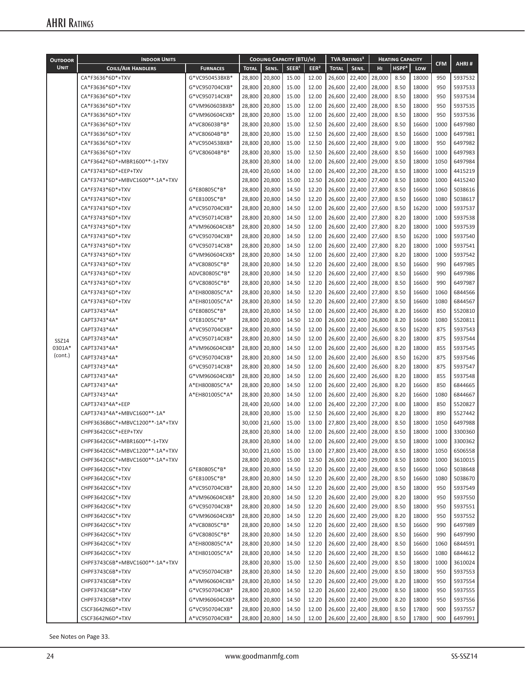| <b>OUTDOOR</b>    | <b>INDOOR UNITS</b>             |                                  |                  | <b>COOLING CAPACITY (BTU/H)</b> |                   |                  |                  | <b>TVA RATINGS<sup>3</sup></b> |                  | <b>HEATING CAPACITY</b> |                |            |                    |
|-------------------|---------------------------------|----------------------------------|------------------|---------------------------------|-------------------|------------------|------------------|--------------------------------|------------------|-------------------------|----------------|------------|--------------------|
| <b>UNIT</b>       | <b>COILS/AIR HANDLERS</b>       | <b>FURNACES</b>                  | <b>TOTAL</b>     | SENS.                           | SEER <sup>1</sup> | EER <sup>2</sup> | <b>TOTAL</b>     | SENS.                          | Hı               | HSPF <sup>4</sup>       | Low            | <b>CFM</b> | AHRI#              |
|                   | CA*F3636*6D*+TXV                | G*VC950453BXB*                   | 28,800           | 20,800                          | 15.00             | 12.00            | 26,600           | 22,400                         | 28,000           | 8.50                    | 18000          | 950        | 5937532            |
|                   | CA*F3636*6D*+TXV                | G*VC950704CXB*                   | 28,800           | 20,800                          | 15.00             | 12.00            | 26,600           | 22,400                         | 28,000           | 8.50                    | 18000          | 950        | 5937533            |
|                   | CA*F3636*6D*+TXV                | G*VC950714CXB*                   | 28,800           | 20,800                          | 15.00             | 12.00            | 26,600           | 22,400                         | 28,000           | 8.50                    | 18000          | 950        | 5937534            |
|                   | CA*F3636*6D*+TXV                | G*VM960603BXB*                   | 28,800           | 20,800                          | 15.00             | 12.00            | 26,600           | 22,400                         | 28,000           | 8.50                    | 18000          | 950        | 5937535            |
|                   | CA*F3636*6D*+TXV                | G*VM960604CXB*                   | 28,800           | 20,800                          | 15.00             | 12.00            | 26,600           | 22,400                         | 28,000           | 8.50                    | 18000          | 950        | 5937536            |
|                   | CA*F3636*6D*+TXV                | A*VC80603B*B*                    | 28,800           | 20,800                          | 15.00             | 12.50            | 26,600           | 22,400                         | 28,600           | 8.50                    | 16600          | 1000       | 6497980            |
|                   | CA*F3636*6D*+TXV                | A*VC80604B*B*                    | 28,800           | 20,800                          | 15.00             | 12.50            | 26,600           | 22,400                         | 28,600           | 8.50                    | 16600          | 1000       | 6497981            |
|                   | CA*F3636*6D*+TXV                | A*VC950453BXB*                   | 28,800           | 20,800                          | 15.00             | 12.50            | 26,600           | 22,400                         | 28,800           | 9.00                    | 18000          | 950        | 6497982            |
|                   | CA*F3636*6D*+TXV                | G*VC80604B*B*                    | 28,800           | 20,800                          | 15.00             | 12.50            | 26,600           | 22,400                         | 28,600           | 8.50                    | 16600          | 1000       | 6497983            |
|                   | CA*F3642*6D*+MBR1600**-1+TXV    |                                  | 28,800           | 20,800                          | 14.00             | 12.00            | 26,600           | 22,400                         | 29,000           | 8.50                    | 18000          | 1050       | 6497984            |
|                   | CA*F3743*6D*+EEP+TXV            |                                  | 28,400           | 20,600                          | 14.00             | 12.00            | 26,400           | 22,200                         | 28,200           | 8.50                    | 18000          | 1000       | 4415219            |
|                   | CA*F3743*6D*+MBVC1600**-1A*+TXV |                                  | 28,800           | 20,800                          | 15.00             | 12.50            | 26,600           | 22,400                         | 27,400           | 8.50                    | 18000          | 1000       | 4415240            |
|                   | CA*F3743*6D*+TXV                | G*E80805C*B*                     | 28,800           | 20,800                          | 14.50             | 12.20            | 26,600           | 22,400                         | 27,800           | 8.50                    | 16600          | 1060       | 5038616            |
|                   | CA*F3743*6D*+TXV                | G*E81005C*B*                     | 28,800           | 20,800                          | 14.50             | 12.20            | 26,600           | 22,400                         | 27,800           | 8.50                    | 16600          | 1080       | 5038617            |
|                   | CA*F3743*6D*+TXV                | A*VC950704CXB*                   | 28,800           | 20,800                          | 14.50             | 12.00            | 26,600           | 22,400                         | 27,600           | 8.50                    | 16200          | 1000       | 5937537            |
|                   | CA*F3743*6D*+TXV                | A*VC950714CXB*                   | 28,800           | 20,800                          | 14.50             | 12.00            | 26,600           | 22,400                         | 27,800           | 8.20                    | 18000          | 1000       | 5937538            |
|                   | CA*F3743*6D*+TXV                | A*VM960604CXB*                   | 28,800           | 20,800                          | 14.50             | 12.00            | 26,600           | 22,400                         | 27,800           | 8.20                    | 18000          | 1000       | 5937539            |
|                   | CA*F3743*6D*+TXV                | G*VC950704CXB*                   | 28,800           | 20,800                          | 14.50             | 12.00            | 26,600           | 22,400                         | 27,600           | 8.50                    | 16200          | 1000       | 5937540            |
|                   | CA*F3743*6D*+TXV                | G*VC950714CXB*                   | 28,800           | 20,800                          | 14.50             | 12.00            | 26,600           | 22,400                         | 27,800           | 8.20                    | 18000          | 1000       | 5937541            |
|                   | CA*F3743*6D*+TXV                | G*VM960604CXB*                   | 28,800           | 20,800                          | 14.50             | 12.00            | 26,600           | 22,400                         | 27,800           | 8.20                    | 18000          | 1000       | 5937542            |
|                   | CA*F3743*6D*+TXV                | A*VC80805C*B*                    | 28,800           | 20,800                          | 14.50             | 12.20            | 26,600           | 22,400                         | 28,000           | 8.50                    | 16600          | 990        | 6497985            |
|                   | CA*F3743*6D*+TXV                | ADVC80805C*B*                    | 28,800           | 20,800                          | 14.50             | 12.20            | 26,600           | 22,400                         | 27,400           | 8.50                    | 16600          | 990        | 6497986            |
|                   | CA*F3743*6D*+TXV                | G*VC80805C*B*                    | 28,800           | 20,800                          | 14.50             | 12.20            | 26,600           | 22,400                         | 28,000           | 8.50                    | 16600          | 990        | 6497987            |
|                   | CA*F3743*6D*+TXV                | A*EH800805C*A*                   | 28,800           | 20,800                          | 14.50             | 12.20            | 26,600           | 22,400                         | 27,800           | 8.50                    | 16600          | 1060       | 6844566            |
|                   | CA*F3743*6D*+TXV                | A*EH801005C*A*                   | 28,800           | 20,800                          | 14.50             | 12.20            | 26,600           | 22,400                         | 27,800           | 8.50                    | 16600          | 1080       | 6844567            |
|                   | CAPT3743*4A*                    | G*E80805C*B*                     | 28,800           | 20,800                          | 14.50             | 12.00            | 26,600           | 22,400                         | 26,800           | 8.20                    | 16600          | 850        | 5520810            |
|                   | CAPT3743*4A*                    | G*E81005C*B*                     | 28,800           | 20,800                          | 14.50             | 12.00            | 26,600           | 22,400                         | 26,800           | 8.20                    | 16600          | 1080       | 5520811            |
|                   | CAPT3743*4A*                    | A*VC950704CXB*                   | 28,800           | 20,800                          | 14.50             | 12.00            | 26,600           | 22,400                         | 26,600           | 8.50                    | 16200          | 875        | 5937543            |
| <b>SSZ14</b>      | CAPT3743*4A*                    | A*VC950714CXB*                   | 28,800           | 20,800                          | 14.50             | 12.00            | 26,600           | 22,400                         | 26,600           | 8.20                    | 18000          | 875        | 5937544            |
| 0301A*<br>(cont.) | CAPT3743*4A*                    | A*VM960604CXB*                   | 28,800           | 20,800                          | 14.50             | 12.00            | 26,600           | 22,400                         | 26,600           | 8.20                    | 18000          | 855        | 5937545            |
|                   | CAPT3743*4A*<br>CAPT3743*4A*    | G*VC950704CXB*<br>G*VC950714CXB* | 28,800           | 20,800                          | 14.50             | 12.00            | 26,600           | 22,400                         | 26,600           | 8.50                    | 16200<br>18000 | 875<br>875 | 5937546            |
|                   | CAPT3743*4A*                    | G*VM960604CXB*                   | 28,800<br>28,800 | 20,800<br>20,800                | 14.50<br>14.50    | 12.00<br>12.00   | 26,600<br>26,600 | 22,400<br>22,400               | 26,600<br>26,600 | 8.20<br>8.20            | 18000          | 855        | 5937547<br>5937548 |
|                   | CAPT3743*4A*                    | A*EH800805C*A*                   | 28,800           | 20,800                          | 14.50             | 12.00            | 26,600           | 22,400                         | 26,800           | 8.20                    | 16600          | 850        | 6844665            |
|                   | CAPT3743*4A*                    | A*EH801005C*A*                   | 28,800           | 20,800                          | 14.50             | 12.00            | 26,600           | 22,400                         | 26,800           | 8.20                    | 16600          | 1080       | 6844667            |
|                   | CAPT3743*4A*+EEP                |                                  | 28,400           | 20,600                          | 14.00             | 12.00            | 26,400           | 22,200                         | 27,200           | 8.00                    | 18000          | 850        | 5520827            |
|                   | CAPT3743*4A*+MBVC1600**-1A*     |                                  | 28,800           | 20,800                          | 15.00             | 12.50            | 26,600           | 22,400                         | 26,800           | 8.20                    | 18000          | 890        | 5527442            |
|                   | CHPF3636B6C*+MBVC1200**-1A*+TXV |                                  | 30,000           | 21,600                          | 15.00             | 13.00            | 27,800           | 23,400                         | 28,000           | 8.50                    | 18000          | 1050       | 6497988            |
|                   | CHPF3642C6C*+EEP+TXV            |                                  | 28,800           | 20,800                          | 14.00             | 12.00            | 26,600           | 22,400                         | 28,000           | 8.50                    | 18000          | 1000       | 3300360            |
|                   | CHPF3642C6C*+MBR1600**-1+TXV    |                                  |                  | 28,800   20,800                 | 14.00             | 12.00            |                  | 26,600   22,400   29,000       |                  | 8.50                    | 18000          | 1000       | 3300362            |
|                   | CHPF3642C6C*+MBVC1200**-1A*+TXV |                                  | 30,000           | 21,600                          | 15.00             | 13.00            | 27,800           |                                | 23,400 28,000    | 8.50                    | 18000          | 1050       | 6506558            |
|                   | CHPF3642C6C*+MBVC1600**-1A*+TXV |                                  | 28,800           | 20,800                          | 15.00             | 12.50            | 26,600           | 22,400 29,000                  |                  | 8.50                    | 18000          | 1000       | 3610015            |
|                   | CHPF3642C6C*+TXV                | G*E80805C*B*                     | 28,800           | 20,800                          | 14.50             | 12.20            | 26,600           | 22,400   28,400                |                  | 8.50                    | 16600          | 1060       | 5038648            |
|                   | CHPF3642C6C*+TXV                | $G*E81005C*B*$                   | 28,800           | 20,800                          | 14.50             | 12.20            | 26,600           |                                | 22,400 28,200    | 8.50                    | 16600          | 1080       | 5038670            |
|                   | CHPF3642C6C*+TXV                | A*VC950704CXB*                   | 28,800           | 20,800                          | 14.50             | 12.20            | 26,600           | 22,400                         | 29,000           | 8.50                    | 18000          | 950        | 5937549            |
|                   | CHPF3642C6C*+TXV                | A*VM960604CXB*                   | 28,800           | 20,800                          | 14.50             | 12.20            | 26,600           | 22,400                         | 29,000           | 8.20                    | 18000          | 950        | 5937550            |
|                   | CHPF3642C6C*+TXV                | G*VC950704CXB*                   | 28,800           | 20,800                          | 14.50             | 12.20            | 26,600           | 22,400                         | 29,000           | 8.50                    | 18000          | 950        | 5937551            |
|                   | CHPF3642C6C*+TXV                | G*VM960604CXB*                   | 28,800           | 20,800                          | 14.50             | 12.20            | 26,600           | 22,400                         | 29,000           | 8.20                    | 18000          | 950        | 5937552            |
|                   | CHPF3642C6C*+TXV                | A*VC80805C*B*                    | 28,800           | 20,800                          | 14.50             | 12.20            | 26,600           | 22,400                         | 28,600           | 8.50                    | 16600          | 990        | 6497989            |
|                   | CHPF3642C6C*+TXV                | G*VC80805C*B*                    | 28,800           | 20,800                          | 14.50             | 12.20            | 26,600           |                                | 22,400   28,600  | 8.50                    | 16600          | 990        | 6497990            |
|                   | CHPF3642C6C*+TXV                | A*EH800805C*A*                   | 28,800           | 20,800                          | 14.50             | 12.20            | 26,600           | 22,400                         | 28,400           | 8.50                    | 16600          | 1060       | 6844591            |
|                   | CHPF3642C6C*+TXV                | A*EH801005C*A*                   | 28,800           | 20,800                          | 14.50             | 12.20            | 26,600           | 22,400                         | 28,200           | 8.50                    | 16600          | 1080       | 6844612            |
|                   | CHPF3743C6B*+MBVC1600**-1A*+TXV |                                  | 28,800           | 20,800                          | 15.00             | 12.50            | 26,600           | 22,400                         | 29,000           | 8.50                    | 18000          | 1000       | 3610024            |
|                   | CHPF3743C6B*+TXV                | A*VC950704CXB*                   | 28,800           | 20,800                          | 14.50             | 12.20            | 26,600           | 22,400                         | 29,000           | 8.50                    | 18000          | 950        | 5937553            |
|                   | CHPF3743C6B*+TXV                | A*VM960604CXB*                   | 28,800           | 20,800                          | 14.50             | 12.20            | 26,600           | 22,400                         | 29,000           | 8.20                    | 18000          | 950        | 5937554            |
|                   | CHPF3743C6B*+TXV                | G*VC950704CXB*                   | 28,800           | 20,800                          | 14.50             | 12.20            | 26,600           | 22,400                         | 29,000           | 8.50                    | 18000          | 950        | 5937555            |
|                   | CHPF3743C6B*+TXV                | G*VM960604CXB*                   | 28,800           | 20,800                          | 14.50             | 12.20            | 26,600           | 22,400                         | 29,000           | 8.20                    | 18000          | 950        | 5937556            |
|                   | CSCF3642N6D*+TXV                | G*VC950704CXB*                   | 28,800           | 20,800                          | 14.50             | 12.00            | 26,600           | 22,400                         | 28,800           | 8.50                    | 17800          | 900        | 5937557            |
|                   | CSCF3642N6D*+TXV                | A*VC950704CXB*                   | 28,800           | 20,800                          | 14.50             | 12.00            | 26,600           | 22,400                         | 28,800           | 8.50                    | 17800          | 900        | 6497991            |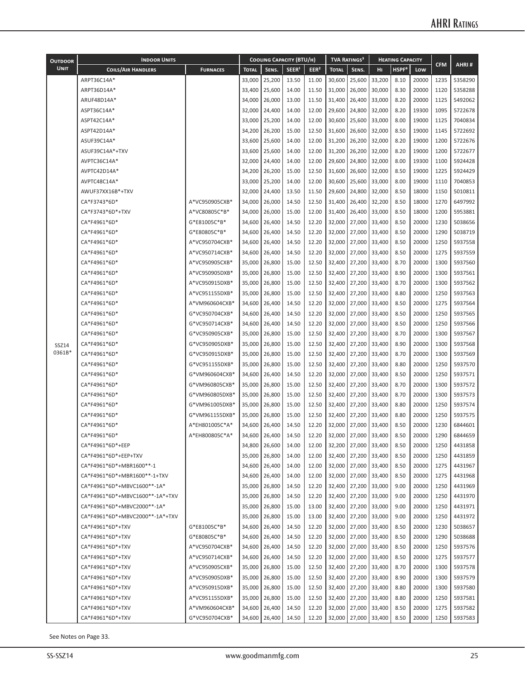| <b>OUTDOOR</b> | <b>INDOOR UNITS</b>             |                 |              | COOLING CAPACITY (BTU/H) |                   |                  |              | <b>TVA RATINGS<sup>3</sup></b> |               | <b>HEATING CAPACITY</b> |       |            | AHRI#   |
|----------------|---------------------------------|-----------------|--------------|--------------------------|-------------------|------------------|--------------|--------------------------------|---------------|-------------------------|-------|------------|---------|
| <b>UNIT</b>    | <b>COILS/AIR HANDLERS</b>       | <b>FURNACES</b> | <b>TOTAL</b> | SENS.                    | SEER <sup>1</sup> | EER <sup>2</sup> | <b>TOTAL</b> | SENS.                          | Hı            | HSPF <sup>4</sup>       | Low   | <b>CFM</b> |         |
|                | ARPT36C14A*                     |                 | 33,000       | 25,200                   | 13.50             | 11.00            | 30,600       | 25,600                         | 33,200        | 8.10                    | 20000 | 1235       | 5358290 |
|                | ARPT36D14A*                     |                 | 33,400       | 25,600                   | 14.00             | 11.50            | 31,000       | 26,000                         | 30,000        | 8.30                    | 20000 | 1120       | 5358288 |
|                | ARUF48D14A*                     |                 | 34,000       | 26,000                   | 13.00             | 11.50            | 31,400       | 26,400                         | 33,000        | 8.20                    | 20000 | 1125       | 5492062 |
|                | ASPT36C14A*                     |                 | 32,000       | 24,400                   | 14.00             | 12.00            | 29,600       | 24,800                         | 32,000        | 8.20                    | 19300 | 1095       | 5722678 |
|                | ASPT42C14A*                     |                 | 33,000       | 25,200                   | 14.00             | 12.00            | 30,600       | 25,600                         | 33,000        | 8.00                    | 19000 | 1125       | 7040834 |
|                | ASPT42D14A*                     |                 | 34,200       | 26,200                   | 15.00             | 12.50            | 31,600       | 26,600                         | 32,000        | 8.50                    | 19000 | 1145       | 5722692 |
|                | ASUF39C14A*                     |                 | 33,600       | 25,600                   | 14.00             | 12.00            | 31,200       | 26,200                         | 32,000        | 8.20                    | 19000 | 1200       | 5722676 |
|                | ASUF39C14A*+TXV                 |                 | 33,600       | 25,600                   | 14.00             | 12.00            | 31,200       | 26,200                         | 32,000        | 8.20                    | 19000 | 1200       | 5722677 |
|                | AVPTC36C14A*                    |                 | 32,000       | 24,400                   | 14.00             | 12.00            | 29,600       | 24,800                         | 32,000        | 8.00                    | 19300 | 1100       | 5924428 |
|                | AVPTC42D14A*                    |                 | 34,200       | 26,200                   | 15.00             | 12.50            | 31,600       | 26,600                         | 32,000        | 8.50                    | 19000 | 1225       | 5924429 |
|                | AVPTC48C14A*                    |                 | 33,000       | 25,200                   | 14.00             | 12.00            | 30,600       | 25,600                         | 33,000        | 8.00                    | 19000 | 1110       | 7040853 |
|                | AWUF37XX16B*+TXV                |                 | 32,000       | 24,400                   | 13.50             | 11.50            | 29,600       | 24,800                         | 32,000        | 8.50                    | 18000 | 1150       | 5010811 |
|                | CA*F3743*6D*                    | A*VC950905CXB*  | 34,000       | 26,000                   | 14.50             | 12.50            | 31,400       | 26,400                         | 32,200        | 8.50                    | 18000 | 1270       | 6497992 |
|                | CA*F3743*6D*+TXV                | A*VC80805C*B*   | 34,000       | 26,000                   | 15.00             | 12.00            | 31,400       | 26,400                         | 33,000        | 8.50                    | 18000 | 1200       | 5953881 |
|                | $CA*F4961*6D*$                  | G*E81005C*B*    | 34,600       | 26,400                   | 14.50             | 12.20            | 32,000       | 27,000                         | 33,400        | 8.50                    | 20000 | 1230       | 5038656 |
|                | CA*F4961*6D*                    | G*E80805C*B*    | 34,600       | 26,400                   | 14.50             | 12.20            | 32,000       | 27,000                         | 33,400        | 8.50                    | 20000 | 1290       | 5038719 |
|                | CA*F4961*6D*                    | A*VC950704CXB*  | 34,600       | 26,400                   | 14.50             | 12.20            | 32,000       | 27,000                         | 33,400        | 8.50                    | 20000 | 1250       | 5937558 |
|                | CA*F4961*6D*                    | A*VC950714CXB*  | 34,600       | 26,400                   | 14.50             | 12.20            | 32,000       | 27,000                         | 33,400        | 8.50                    | 20000 | 1275       | 5937559 |
|                | CA*F4961*6D*                    | A*VC950905CXB*  | 35,000       | 26,800                   | 15.00             | 12.50            | 32,400       | 27,200                         | 33,400        | 8.70                    | 20000 | 1300       | 5937560 |
|                | CA*F4961*6D*                    | A*VC950905DXB*  | 35,000       | 26,800                   | 15.00             | 12.50            | 32,400       | 27,200                         | 33,400        | 8.90                    | 20000 | 1300       | 5937561 |
|                | CA*F4961*6D*                    | A*VC950915DXB*  | 35,000       | 26,800                   | 15.00             | 12.50            | 32,400       | 27,200                         | 33,400        | 8.70                    | 20000 | 1300       | 5937562 |
|                | CA*F4961*6D*                    | A*VC951155DXB*  | 35,000       | 26,800                   | 15.00             | 12.50            | 32,400       | 27,200                         | 33,400        | 8.80                    | 20000 | 1250       | 5937563 |
|                | CA*F4961*6D*                    | A*VM960604CXB*  | 34,600       | 26,400                   | 14.50             | 12.20            | 32,000       | 27,000                         | 33,400        | 8.50                    | 20000 | 1275       | 5937564 |
|                | CA*F4961*6D*                    | G*VC950704CXB*  | 34,600       | 26,400                   | 14.50             | 12.20            | 32,000       | 27,000                         | 33,400        | 8.50                    | 20000 | 1250       | 5937565 |
|                | $CA*F4961*6D*$                  | G*VC950714CXB*  | 34,600       | 26,400                   | 14.50             | 12.20            | 32,000       | 27,000                         | 33,400        | 8.50                    | 20000 | 1250       | 5937566 |
|                | CA*F4961*6D*                    | G*VC950905CXB*  | 35,000       | 26,800                   | 15.00             | 12.50            | 32,400       | 27,200                         | 33,400        | 8.70                    | 20000 | 1300       | 5937567 |
| SSZ14          | CA*F4961*6D*                    | G*VC950905DXB*  | 35,000       | 26,800                   | 15.00             | 12.50            | 32,400       | 27,200                         | 33,400        | 8.90                    | 20000 | 1300       | 5937568 |
| 0361B*         | CA*F4961*6D*                    | G*VC950915DXB*  | 35,000       | 26,800                   | 15.00             | 12.50            | 32,400       | 27,200                         | 33,400        | 8.70                    | 20000 | 1300       | 5937569 |
|                | CA*F4961*6D*                    | G*VC951155DXB*  | 35,000       | 26,800                   | 15.00             | 12.50            | 32,400       | 27,200                         | 33,400        | 8.80                    | 20000 | 1250       | 5937570 |
|                | CA*F4961*6D*                    | G*VM960604CXB*  | 34,600       | 26,400                   | 14.50             | 12.20            | 32,000       | 27,000                         | 33,400        | 8.50                    | 20000 | 1250       | 5937571 |
|                | CA*F4961*6D*                    | G*VM960805CXB*  | 35,000       | 26,800                   | 15.00             | 12.50            | 32,400       | 27,200                         | 33,400        | 8.70                    | 20000 | 1300       | 5937572 |
|                | CA*F4961*6D*                    | G*VM960805DXB*  | 35,000       | 26,800                   | 15.00             | 12.50            | 32,400       | 27,200                         | 33,400        | 8.70                    | 20000 | 1300       | 5937573 |
|                | CA*F4961*6D*                    | G*VM961005DXB*  | 35,000       | 26,800                   | 15.00             | 12.50            | 32,400       | 27,200                         | 33,400        | 8.80                    | 20000 | 1250       | 5937574 |
|                | CA*F4961*6D*                    | G*VM961155DXB*  | 35,000       | 26,800                   | 15.00             | 12.50            | 32,400       | 27,200                         | 33,400        | 8.80                    | 20000 | 1250       | 5937575 |
|                | $CA*F4961*6D*$                  | A*EH801005C*A*  | 34,600       | 26,400                   | 14.50             | 12.20            | 32,000       | 27,000                         | 33,400        | 8.50                    | 20000 | 1230       | 6844601 |
|                | CA*F4961*6D*                    | A*EH800805C*A*  | 34,600       | 26,400                   | 14.50             | 12.20            |              | 32,000   27,000   33,400       |               | 8.50                    | 20000 | 1290       | 6844659 |
|                | CA*F4961*6D*+EEP                |                 |              | 34,800   26,600          | 14.00             | 12.00            | 32,200       |                                | 27,000 33,400 | 8.50                    | 20000 | 1250       | 4431858 |
|                | CA*F4961*6D*+EEP+TXV            |                 |              | 35,000 26,800            | 14.00             | 12.00            |              | 32,400   27,200   33,400       |               | 8.50                    | 20000 | 1250       | 4431859 |
|                | CA*F4961*6D*+MBR1600**-1        |                 | 34,600       | 26,400                   | 14.00             | 12.00            |              | 32,000   27,000   33,400       |               | 8.50                    | 20000 | 1275       | 4431967 |
|                | CA*F4961*6D*+MBR1600**-1+TXV    |                 |              | 34,600   26,400          | 14.00             | 12.00            |              | 32,000   27,000   33,400       |               | 8.50                    | 20000 | 1275       | 4431968 |
|                | CA*F4961*6D*+MBVC1600**-1A*     |                 | 35,000       | 26,800                   | 14.50             | 12.20            | 32,400       |                                | 27,200 33,000 | 9.00                    | 20000 | 1250       | 4431969 |
|                | CA*F4961*6D*+MBVC1600**-1A*+TXV |                 | 35,000       | 26,800                   | 14.50             | 12.20            | 32,400       |                                | 27,200 33,000 | 9.00                    | 20000 | 1250       | 4431970 |
|                | CA*F4961*6D*+MBVC2000**-1A*     |                 |              | 35,000   26,800          | 15.00             | 13.00            | 32,400       |                                | 27,200 33,000 | 9.00                    | 20000 | 1250       | 4431971 |
|                | CA*F4961*6D*+MBVC2000**-1A*+TXV |                 | 35,000       | 26,800                   | 15.00             | 13.00            | 32,400       | 27,200                         | 33,000        | 9.00                    | 20000 | 1250       | 4431972 |
|                | CA*F4961*6D*+TXV                | G*E81005C*B*    | 34,600       | 26,400                   | 14.50             | 12.20            | 32,000       |                                | 27,000 33,400 | 8.50                    | 20000 | 1230       | 5038657 |
|                | CA*F4961*6D*+TXV                | G*E80805C*B*    | 34,600       | 26,400                   | 14.50             | 12.20            | 32,000       |                                | 27,000 33,400 | 8.50                    | 20000 | 1290       | 5038688 |
|                | CA*F4961*6D*+TXV                | A*VC950704CXB*  | 34,600       | 26,400                   | 14.50             | 12.20            | 32,000       |                                | 27,000 33,400 | 8.50                    | 20000 | 1250       | 5937576 |
|                | CA*F4961*6D*+TXV                | A*VC950714CXB*  | 34,600       | 26,400                   | 14.50             | 12.20            | 32,000       | 27,000                         | 33,400        | 8.50                    | 20000 | 1275       | 5937577 |
|                | CA*F4961*6D*+TXV                | A*VC950905CXB*  | 35,000       | 26,800                   | 15.00             | 12.50            | 32,400       | 27,200                         | 33,400        | 8.70                    | 20000 | 1300       | 5937578 |
|                | CA*F4961*6D*+TXV                | A*VC950905DXB*  | 35,000       | 26,800                   | 15.00             | 12.50            | 32,400       | 27,200                         | 33,400        | 8.90                    | 20000 | 1300       | 5937579 |
|                | CA*F4961*6D*+TXV                | A*VC950915DXB*  | 35,000       | 26,800                   | 15.00             | 12.50            | 32,400       | 27,200                         | 33,400        | 8.80                    | 20000 | 1300       | 5937580 |
|                | CA*F4961*6D*+TXV                | A*VC951155DXB*  | 35,000       | 26,800                   | 15.00             | 12.50            | 32,400       | 27,200                         | 33,400        | 8.80                    | 20000 | 1250       | 5937581 |
|                | CA*F4961*6D*+TXV                | A*VM960604CXB*  | 34,600       | 26,400                   | 14.50             | 12.20            | 32,000       | 27,000                         | 33,400        | 8.50                    | 20000 | 1275       | 5937582 |
|                | CA*F4961*6D*+TXV                | G*VC950704CXB*  | 34,600       | 26,400                   | 14.50             | 12.20            | 32,000       | 27,000                         | 33,400        | 8.50                    | 20000 | 1250       | 5937583 |
|                |                                 |                 |              |                          |                   |                  |              |                                |               |                         |       |            |         |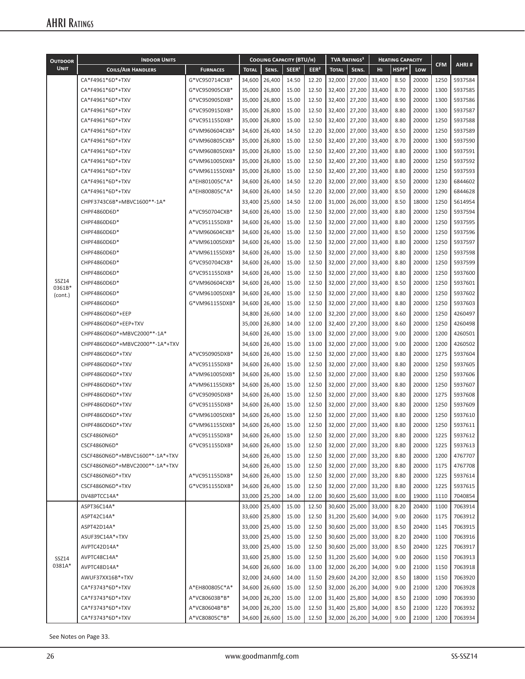| <b>OUTDOOR</b>  | <b>INDOOR UNITS</b>                  |                                |                  | <b>COOLING CAPACITY (BTU/H)</b> |                   |                  |                  | <b>TVA RATINGS3</b> |                                | <b>HEATING CAPACITY</b> |       |              |                    |
|-----------------|--------------------------------------|--------------------------------|------------------|---------------------------------|-------------------|------------------|------------------|---------------------|--------------------------------|-------------------------|-------|--------------|--------------------|
| <b>UNIT</b>     | <b>COILS/AIR HANDLERS</b>            | <b>FURNACES</b>                | <b>TOTAL</b>     | SENS.                           | SEER <sup>1</sup> | EER <sup>2</sup> | <b>TOTAL</b>     | SENS.               | HI                             | HSPF <sup>4</sup>       | Low   | <b>CFM</b>   | AHRI#              |
|                 | CA*F4961*6D*+TXV                     | G*VC950714CXB*                 | 34,600           | 26,400                          | 14.50             | 12.20            | 32,000           | 27,000              | 33.400                         | 8.50                    | 20000 | 1250         | 5937584            |
|                 | CA*F4961*6D*+TXV                     | G*VC950905CXB*                 | 35,000           | 26,800                          | 15.00             | 12.50            | 32,400           | 27,200              | 33,400                         | 8.70                    | 20000 | 1300         | 5937585            |
|                 | CA*F4961*6D*+TXV                     | G*VC950905DXB*                 | 35,000           | 26,800                          | 15.00             | 12.50            | 32,400           | 27,200              | 33,400                         | 8.90                    | 20000 | 1300         | 5937586            |
|                 | CA*F4961*6D*+TXV                     | G*VC950915DXB*                 | 35,000           | 26,800                          | 15.00             | 12.50            | 32,400           | 27,200              | 33,400                         | 8.80                    | 20000 | 1300         | 5937587            |
|                 | CA*F4961*6D*+TXV                     | G*VC951155DXB*                 | 35,000           | 26,800                          | 15.00             | 12.50            | 32,400           | 27,200              | 33,400                         | 8.80                    | 20000 | 1250         | 5937588            |
|                 | CA*F4961*6D*+TXV                     | G*VM960604CXB*                 | 34,600           | 26,400                          | 14.50             | 12.20            | 32,000           | 27,000              | 33,400                         | 8.50                    | 20000 | 1250         | 5937589            |
|                 | CA*F4961*6D*+TXV                     | G*VM960805CXB*                 | 35,000           | 26,800                          | 15.00             | 12.50            | 32,400           | 27,200              | 33,400                         | 8.70                    | 20000 | 1300         | 5937590            |
|                 | CA*F4961*6D*+TXV                     | G*VM960805DXB*                 | 35,000           | 26,800                          | 15.00             | 12.50            | 32,400           | 27,200              | 33,400                         | 8.80                    | 20000 | 1300         | 5937591            |
|                 | CA*F4961*6D*+TXV                     | G*VM961005DXB*                 | 35,000           | 26,800                          | 15.00             | 12.50            | 32,400           | 27,200              | 33,400                         | 8.80                    | 20000 | 1250         | 5937592            |
|                 | CA*F4961*6D*+TXV                     | G*VM961155DXB*                 | 35,000           | 26,800                          | 15.00             | 12.50            | 32,400           | 27,200              | 33,400                         | 8.80                    | 20000 | 1250         | 5937593            |
|                 | CA*F4961*6D*+TXV                     | A*EH801005C*A*                 | 34,600           | 26,400                          | 14.50             | 12.20            | 32,000           | 27,000              | 33,400                         | 8.50                    | 20000 | 1230         | 6844602            |
|                 | CA*F4961*6D*+TXV                     | A*EH800805C*A*                 | 34,600           | 26,400                          | 14.50             | 12.20            | 32,000           | 27,000              | 33,400                         | 8.50                    | 20000 | 1290         | 6844628            |
|                 | CHPF3743C6B*+MBVC1600**-1A*          |                                | 33,400           | 25,600                          | 14.50             | 12.00            | 31,000           | 26,000              | 33,000                         | 8.50                    | 18000 | 1250         | 5614954            |
|                 | CHPF4860D6D*                         | A*VC950704CXB*                 | 34,600           | 26,400                          | 15.00             | 12.50            | 32,000           | 27,000              | 33,400                         | 8.80                    | 20000 | 1250         | 5937594            |
|                 | CHPF4860D6D*                         | A*VC951155DXB*                 | 34,600           | 26,400                          | 15.00             | 12.50            | 32,000           | 27,000              | 33,400                         | 8.80                    | 20000 | 1250         | 5937595            |
|                 | CHPF4860D6D*                         | A*VM960604CXB*                 | 34,600           | 26,400                          | 15.00             | 12.50            | 32,000           | 27,000              | 33,400                         | 8.50                    | 20000 | 1250         | 5937596            |
|                 | CHPF4860D6D*                         | A*VM961005DXB*                 | 34,600           | 26,400                          | 15.00             | 12.50            | 32,000           | 27,000              | 33,400                         | 8.80                    | 20000 | 1250         | 5937597            |
|                 | CHPF4860D6D*                         | A*VM961155DXB*                 | 34,600           | 26,400                          | 15.00             | 12.50            | 32,000           | 27,000              | 33,400                         | 8.80                    | 20000 | 1250         | 5937598            |
|                 | CHPF4860D6D*                         | G*VC950704CXB*                 | 34,600           | 26,400                          | 15.00             | 12.50            | 32,000           | 27,000              | 33,400                         | 8.80                    | 20000 | 1250         | 5937599            |
|                 | CHPF4860D6D*                         | G*VC951155DXB*                 | 34,600           | 26,400                          | 15.00             | 12.50            | 32,000           | 27,000              | 33,400                         | 8.80                    | 20000 | 1250         | 5937600            |
| <b>SSZ14</b>    | CHPF4860D6D*                         | G*VM960604CXB*                 | 34,600           | 26,400                          | 15.00             | 12.50            | 32,000           | 27,000              | 33,400                         | 8.50                    | 20000 | 1250         | 5937601            |
| 0361B*          | CHPF4860D6D*                         | G*VM961005DXB*                 | 34,600           | 26,400                          | 15.00             | 12.50            | 32,000           | 27,000              | 33,400                         | 8.80                    | 20000 | 1250         | 5937602            |
| (cont.)         | CHPF4860D6D*                         | G*VM961155DXB*                 | 34,600           | 26,400                          | 15.00             | 12.50            | 32,000           | 27,000              | 33,400                         | 8.80                    | 20000 | 1250         | 5937603            |
|                 | CHPF4860D6D*+EEP                     |                                | 34,800           | 26,600                          | 14.00             | 12.00            | 32,200           | 27,000              | 33,000                         | 8.60                    | 20000 | 1250         | 4260497            |
|                 | CHPF4860D6D*+EEP+TXV                 |                                | 35,000           | 26,800                          | 14.00             | 12.00            | 32,400           | 27,200              | 33,000                         | 8.60                    | 20000 | 1250         | 4260498            |
|                 | CHPF4860D6D*+MBVC2000**-1A*          |                                | 34,600           | 26,400                          | 15.00             | 13.00            | 32,000           | 27,000              | 33,000                         | 9.00                    | 20000 | 1200         | 4260501            |
|                 | CHPF4860D6D*+MBVC2000**-1A*+TXV      |                                | 34,600           | 26,400                          | 15.00             | 13.00            | 32,000           | 27,000              | 33,000                         | 9.00                    | 20000 | 1200         | 4260502            |
|                 | CHPF4860D6D*+TXV                     | A*VC950905DXB*                 | 34,600           | 26,400                          | 15.00             | 12.50            | 32,000           | 27,000              | 33,400                         | 8.80                    | 20000 | 1275         | 5937604            |
|                 | CHPF4860D6D*+TXV                     | A*VC951155DXB*                 | 34,600           | 26,400                          | 15.00             | 12.50            | 32,000           | 27,000              | 33,400                         | 8.80                    | 20000 | 1250         | 5937605            |
|                 | CHPF4860D6D*+TXV                     | A*VM961005DXB*                 | 34,600           | 26,400                          | 15.00             | 12.50            | 32,000           | 27,000              | 33,400                         | 8.80                    | 20000 | 1250         | 5937606            |
|                 | CHPF4860D6D*+TXV                     | A*VM961155DXB*                 | 34,600           | 26,400                          | 15.00             | 12.50            | 32,000           | 27,000              | 33,400                         | 8.80                    | 20000 | 1250         | 5937607            |
|                 | CHPF4860D6D*+TXV                     | G*VC950905DXB*                 | 34,600           | 26,400                          | 15.00             | 12.50            | 32,000           | 27,000              | 33,400                         | 8.80                    | 20000 | 1275         | 5937608            |
|                 | CHPF4860D6D*+TXV                     | G*VC951155DXB*                 | 34,600           | 26,400                          | 15.00             | 12.50            | 32,000           | 27,000              | 33,400                         | 8.80                    | 20000 | 1250         | 5937609            |
|                 | CHPF4860D6D*+TXV                     | G*VM961005DXB*                 | 34,600           | 26,400                          | 15.00             | 12.50            | 32,000           | 27,000              | 33,400                         | 8.80                    | 20000 | 1250         | 5937610            |
|                 | CHPF4860D6D*+TXV                     | G*VM961155DXB*                 | 34,600           | 26,400                          | 15.00             | 12.50            | 32,000           | 27,000              | 33,400                         | 8.80                    | 20000 | 1250         | 5937611            |
|                 | CSCF4860N6D*                         | A*VC951155DXB*                 | 34,600           | 26,400                          | 15.00             | 12.50            | 32,000           | 27,000 33,200       |                                | 8.80                    | 20000 | 1225         | 5937612            |
|                 | CSCF4860N6D*                         | G*VC951155DXB*                 | 34,600           | 26,400                          | 15.00             | 12.50            | 32,000           |                     | 27,000 33,200                  | 8.80                    | 20000 | 1225         | 5937613            |
|                 | CSCF4860N6D*+MBVC1600**-1A*+TXV      |                                | 34,600           | 26,400                          | 15.00             | 12.50            | 32,000           | 27,000 33,200       |                                | 8.80                    | 20000 | 1200         | 4767707            |
|                 | CSCF4860N6D*+MBVC2000**-1A*+TXV      |                                | 34,600           | 26,400                          | 15.00             | 12.50            | 32,000           | 27,000 33,200       |                                | 8.80                    | 20000 | 1175         | 4767708            |
|                 | CSCF4860N6D*+TXV                     | A*VC951155DXB*                 | 34,600           | 26,400                          | 15.00             | 12.50            | 32,000           | 27,000              | 33,200                         | 8.80                    | 20000 | 1225         | 5937614            |
|                 | CSCF4860N6D*+TXV                     | G*VC951155DXB*                 | 34,600           | 26,400                          | 15.00             | 12.50            | 32,000           | 27,000 33,200       |                                | 8.80                    | 20000 | 1225         | 5937615            |
|                 | DV48PTCC14A*                         |                                | 33,000           | 25,200                          | 14.00             | 12.00            | 30,600           |                     | 25,600 33,000                  | 8.00                    | 19000 | 1110         | 7040854            |
|                 | ASPT36C14A*                          |                                | 33,000           | 25,400                          | 15.00             | 12.50            | 30,600           | 25,000              | 33,000                         | 8.20                    | 20400 | 1100         | 7063914            |
|                 | ASPT42C14A*                          |                                | 33,600           | 25,800                          | 15.00             | 12.50            | 31,200           |                     | 25,600 34,000                  | 9.00                    | 20600 | 1175         | 7063912            |
|                 | ASPT42D14A*                          |                                | 33,000           | 25,400                          | 15.00             | 12.50            | 30,600           |                     | 25,000 33,000                  | 8.50                    | 20400 | 1145         | 7063915            |
|                 | ASUF39C14A*+TXV                      |                                | 33,000           | 25,400                          | 15.00             | 12.50            | 30,600           |                     | 25,000 33,000                  | 8.20                    | 20400 | 1100         | 7063916            |
|                 | AVPTC42D14A*                         |                                | 33,000           | 25,400                          | 15.00             | 12.50            | 30,600           | 25,000 33,000       |                                | 8.50                    | 20400 | 1225         | 7063917            |
|                 | AVPTC48C14A*                         |                                | 33,600           | 25,800                          | 15.00             | 12.50            | 31,200           | 25,600              | 34,000                         | 9.00                    | 20600 | 1150         | 7063913            |
| SSZ14<br>0381A* | AVPTC48D14A*                         |                                | 34,600           | 26,600                          | 16.00             | 13.00            | 32,000           | 26,200              | 34,000                         | 9.00                    | 21000 | 1150         | 7063918            |
|                 |                                      |                                |                  |                                 | 14.00             |                  |                  |                     |                                |                         | 18000 |              | 7063920            |
|                 | AWUF37XX16B*+TXV<br>CA*F3743*6D*+TXV | A*EH800805C*A*                 | 32,000<br>34,600 | 24,600                          | 15.00             | 11.50<br>12.50   | 29,600<br>32,000 |                     | 24,200 32,000<br>26,200 34,000 | 8.50<br>9.00            | 21000 | 1150<br>1200 | 7063928            |
|                 | CA*F3743*6D*+TXV                     |                                |                  | 26,600                          |                   |                  |                  |                     |                                |                         |       |              |                    |
|                 | CA*F3743*6D*+TXV                     | A*VC80603B*B*<br>A*VC80604B*B* | 34,000           | 26,200                          | 15.00             | 12.00            | 31,400           |                     | 25,800 34,000                  | 8.50                    | 21000 | 1090<br>1220 | 7063930<br>7063932 |
|                 | CA*F3743*6D*+TXV                     |                                | 34,000           | 26,200                          | 15.00             | 12.50            | 31,400           |                     | 25,800 34,000                  | 8.50                    | 21000 |              |                    |
|                 |                                      | A*VC80805C*B*                  | 34,600           | 26,600                          | 15.00             | 12.50            | 32,000           |                     | 26,200 34,000                  | 9.00                    | 21000 | 1200         | 7063934            |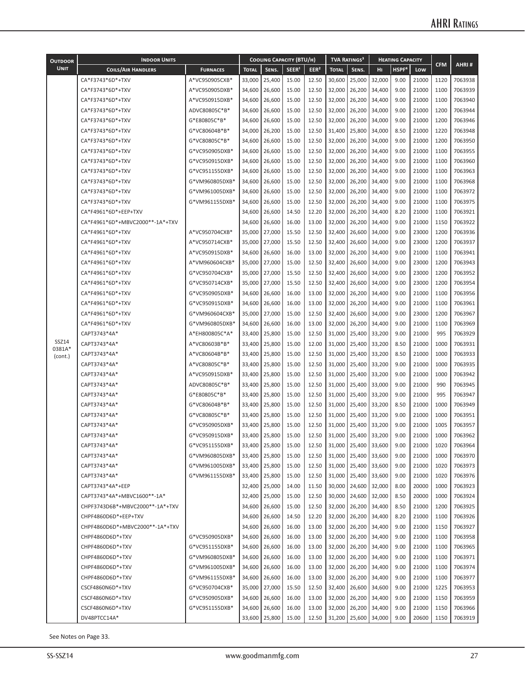| <b>OUTDOOR</b> | <b>INDOOR UNITS</b>             |                                |                  | <b>COOLING CAPACITY (BTU/H)</b> |                   |                  |                  | <b>TVA RATINGS<sup>3</sup></b>     |                  | <b>HEATING CAPACITY</b> |                |            |                    |
|----------------|---------------------------------|--------------------------------|------------------|---------------------------------|-------------------|------------------|------------------|------------------------------------|------------------|-------------------------|----------------|------------|--------------------|
| <b>UNIT</b>    | <b>COILS/AIR HANDLERS</b>       | <b>FURNACES</b>                | <b>TOTAL</b>     | SENS.                           | SEER <sup>1</sup> | EER <sup>2</sup> | <b>TOTAL</b>     | SENS.                              | HI               | HSPF <sup>4</sup>       | Low            | <b>CFM</b> | AHRI#              |
|                | CA*F3743*6D*+TXV                | A*VC950905CXB*                 | 33,000           | 25.400                          | 15.00             | 12.50            | 30,600           | 25.000                             | 32.000           | 9.00                    | 21000          | 1120       | 7063938            |
|                | CA*F3743*6D*+TXV                | A*VC950905DXB*                 | 34,600           | 26,600                          | 15.00             | 12.50            | 32,000           | 26,200                             | 34,400           | 9.00                    | 21000          | 1100       | 7063939            |
|                | CA*F3743*6D*+TXV                | A*VC950915DXB*                 | 34,600           | 26,600                          | 15.00             | 12.50            | 32,000           | 26,200                             | 34,400           | 9.00                    | 21000          | 1100       | 7063940            |
|                | CA*F3743*6D*+TXV                | ADVC80805C*B*                  | 34,600           | 26,600                          | 15.00             | 12.50            | 32,000           | 26,200                             | 34,000           | 9.00                    | 21000          | 1200       | 7063944            |
|                | CA*F3743*6D*+TXV                | G*E80805C*B*                   | 34,600           | 26,600                          | 15.00             | 12.50            | 32,000           | 26,200                             | 34,000           | 9.00                    | 21000          | 1200       | 7063946            |
|                | CA*F3743*6D*+TXV                | G*VC80604B*B*                  | 34,000           | 26,200                          | 15.00             | 12.50            | 31,400           | 25,800                             | 34,000           | 8.50                    | 21000          | 1220       | 7063948            |
|                | CA*F3743*6D*+TXV                | G*VC80805C*B*                  | 34,600           | 26,600                          | 15.00             | 12.50            | 32,000           | 26,200                             | 34,000           | 9.00                    | 21000          | 1200       | 7063950            |
|                | CA*F3743*6D*+TXV                | G*VC950905DXB*                 | 34,600           | 26,600                          | 15.00             | 12.50            | 32,000           | 26,200                             | 34,400           | 9.00                    | 21000          | 1100       | 7063955            |
|                | CA*F3743*6D*+TXV                | G*VC950915DXB*                 | 34,600           | 26,600                          | 15.00             | 12.50            | 32,000           | 26,200                             | 34,400           | 9.00                    | 21000          | 1100       | 7063960            |
|                | CA*F3743*6D*+TXV                | G*VC951155DXB*                 | 34,600           | 26,600                          | 15.00             | 12.50            | 32,000           | 26,200                             | 34,400           | 9.00                    | 21000          | 1100       | 7063963            |
|                | CA*F3743*6D*+TXV                | G*VM960805DXB*                 | 34,600           | 26,600                          | 15.00             | 12.50            | 32,000           | 26,200                             | 34,400           | 9.00                    | 21000          | 1100       | 7063968            |
|                | CA*F3743*6D*+TXV                | G*VM961005DXB*                 | 34,600           | 26,600                          | 15.00             | 12.50            | 32,000           | 26,200                             | 34,400           | 9.00                    | 21000          | 1100       | 7063972            |
|                | CA*F3743*6D*+TXV                | G*VM961155DXB*                 | 34,600           | 26,600                          | 15.00             | 12.50            | 32,000           | 26,200                             | 34,400           | 9.00                    | 21000          | 1100       | 7063975            |
|                | CA*F4961*6D*+EEP+TXV            |                                | 34,600           | 26,600                          | 14.50             | 12.20            | 32,000           | 26,200                             | 34,400           | 8.20                    | 21000          | 1100       | 7063921            |
|                | CA*F4961*6D*+MBVC2000**-1A*+TXV |                                | 34,600           | 26,600                          | 16.00             | 13.00            | 32,000           | 26,200                             | 34,400           | 9.00                    | 21000          | 1150       | 7063922            |
|                | CA*F4961*6D*+TXV                | A*VC950704CXB*                 | 35,000           | 27,000                          | 15.50             | 12.50            | 32,400           | 26,600                             | 34,000           | 9.00                    | 23000          | 1200       | 7063936            |
|                | CA*F4961*6D*+TXV                | A*VC950714CXB*                 | 35,000           | 27,000                          | 15.50             | 12.50            | 32,400           | 26,600                             | 34,000           | 9.00                    | 23000          | 1200       | 7063937            |
|                | CA*F4961*6D*+TXV                | A*VC950915DXB*                 | 34,600           | 26,600                          | 16.00             | 13.00            | 32,000           | 26,200                             | 34,400           | 9.00                    | 21000          | 1100       | 7063941            |
|                | CA*F4961*6D*+TXV                | A*VM960604CXB*                 | 35,000           | 27,000                          | 15.00             | 12.50            | 32,400           | 26,600                             | 34,000           | 9.00                    | 23000          | 1200       | 7063943            |
|                | CA*F4961*6D*+TXV                | G*VC950704CXB*                 | 35,000           | 27,000                          | 15.50             | 12.50            | 32,400           | 26,600                             | 34.000           | 9.00                    | 23000          | 1200       | 7063952            |
|                | CA*F4961*6D*+TXV                | G*VC950714CXB*                 | 35,000           | 27,000                          | 15.50             | 12.50            | 32,400           | 26,600                             | 34.000           | 9.00                    | 23000          | 1200       | 7063954            |
|                | CA*F4961*6D*+TXV                | G*VC950905DXB*                 | 34,600           | 26,600                          | 16.00             | 13.00            | 32,000           | 26,200                             | 34,400           | 9.00                    | 21000          | 1100       | 7063956            |
|                | CA*F4961*6D*+TXV                | G*VC950915DXB*                 |                  | 26,600                          | 16.00             | 13.00            | 32,000           | 26,200                             |                  | 9.00                    | 21000          | 1100       | 7063961            |
|                | CA*F4961*6D*+TXV                | G*VM960604CXB*                 | 34,600<br>35,000 | 27,000                          | 15.00             | 12.50            | 32,400           | 26,600                             | 34,400<br>34,000 | 9.00                    | 23000          | 1200       | 7063967            |
|                | CA*F4961*6D*+TXV                | G*VM960805DXB*                 |                  | 26,600                          | 16.00             | 13.00            | 32,000           | 26,200                             |                  | 9.00                    | 21000          | 1100       | 7063969            |
|                | CAPT3743*4A*                    | A*EH800805C*A*                 | 34,600           |                                 | 15.00             | 12.50            |                  |                                    | 34,400           | 9.00                    | 21000          | 995        | 7063929            |
| <b>SSZ14</b>   | CAPT3743*4A*                    |                                | 33,400           | 25,800                          |                   |                  | 31,000           | 25,400                             | 33,200           |                         |                | 1000       | 7063931            |
| 0381A*         |                                 | A*VC80603B*B*                  | 33,400           | 25,800                          | 15.00             | 12.00            | 31,000           | 25,400                             | 33,200           | 8.50                    | 21000          | 1000       |                    |
| (cont.)        | CAPT3743*4A*<br>CAPT3743*4A*    | A*VC80604B*B*<br>A*VC80805C*B* | 33,400<br>33,400 | 25,800<br>25,800                | 15.00<br>15.00    | 12.50<br>12.50   | 31,000<br>31,000 | 25,400<br>25,400                   | 33,200<br>33,200 | 8.50<br>9.00            | 21000<br>21000 | 1000       | 7063933<br>7063935 |
|                | CAPT3743*4A*                    | A*VC950915DXB*                 | 33,400           | 25,800                          | 15.00             | 12.50            | 31,000           | 25,400                             | 33,200           | 9.00                    | 21000          | 1000       | 7063942            |
|                | CAPT3743*4A*                    | ADVC80805C*B*                  | 33,400           | 25,800                          | 15.00             | 12.50            | 31,000           | 25,400                             | 33,000           | 9.00                    | 21000          | 990        | 7063945            |
|                | CAPT3743*4A*                    | G*E80805C*B*                   | 33,400           | 25,800                          | 15.00             | 12.50            | 31,000           | 25,400                             | 33,200           | 9.00                    | 21000          | 995        | 7063947            |
|                | CAPT3743*4A*                    | G*VC80604B*B*                  | 33,400           | 25,800                          | 15.00             | 12.50            | 31,000           | 25,400                             | 33,200           | 8.50                    | 21000          | 1000       | 7063949            |
|                | CAPT3743*4A*                    | G*VC80805C*B*                  | 33,400           | 25,800                          | 15.00             | 12.50            | 31,000           | 25,400                             | 33,200           | 9.00                    | 21000          | 1000       | 7063951            |
|                | CAPT3743*4A*                    | G*VC950905DXB*                 |                  |                                 | 15.00             | 12.50            |                  |                                    |                  | 9.00                    | 21000          | 1005       | 7063957            |
|                | CAPT3743*4A*                    | G*VC950915DXB*                 | 33,400           | 25,800<br>33,400   25,800       | 15.00             | 12.50            | 31,000           | 25,400<br>31,000   25,400   33,200 | 33,200           | 9.00                    | 21000          | 1000       | 7063962            |
|                |                                 |                                |                  |                                 |                   |                  |                  |                                    |                  |                         |                |            |                    |
|                | CAPT3743*4A*                    | G*VC951155DXB*                 |                  | 33,400   25,800                 | 15.00             | 12.50            |                  | 31,000   25,400   33,600           |                  | 9.00                    | 21000          | 1020       | 7063964            |
|                | CAPT3743*4A*                    | G*VM960805DXB*                 |                  | 33,400   25,800                 | 15.00             | 12.50            |                  | 31,000   25,400   33,600           |                  | 9.00                    | 21000          | 1000       | 7063970            |
|                | CAPT3743*4A*                    | G*VM961005DXB*                 | 33,400           | 25,800                          | 15.00             | 12.50            |                  | 31,000   25,400   33,600           |                  | 9.00                    | 21000          | 1020       | 7063973            |
|                | CAPT3743*4A*                    | G*VM961155DXB*                 |                  | 33,400   25,800                 | 15.00             | 12.50            |                  | 31,000   25,400   33,600           |                  | 9.00                    | 21000          | 1020       | 7063976            |
|                | CAPT3743*4A*+EEP                |                                | 32,400           | 25,000                          | 14.00             | 11.50            |                  | 30,000   24,600   32,000           |                  | 8.00                    | 20000          | 1000       | 7063923            |
|                | CAPT3743*4A*+MBVC1600**-1A*     |                                | 32,400           | 25,000                          | 15.00             | 12.50            |                  | 30,000   24,600   32,000           |                  | 8.50                    | 20000          | 1000       | 7063924            |
|                | CHPF3743D6B*+MBVC2000**-1A*+TXV |                                | 34,600           | 26,600                          | 15.00             | 12.50            | 32,000           |                                    | 26,200 34,400    | 8.50                    | 21000          | 1200       | 7063925            |
|                | CHPF4860D6D*+EEP+TXV            |                                | 34,600           | 26,600                          | 14.50             | 12.20            | 32,000           |                                    | 26,200 34,400    | 8.20                    | 21000          | 1100       | 7063926            |
|                | CHPF4860D6D*+MBVC2000**-1A*+TXV |                                | 34,600           | 26,600                          | 16.00             | 13.00            | 32,000           |                                    | 26,200 34,400    | 9.00                    | 21000          | 1150       | 7063927            |
|                | CHPF4860D6D*+TXV                | G*VC950905DXB*                 | 34,600           | 26,600                          | 16.00             | 13.00            | 32,000           |                                    | 26,200 34,400    | 9.00                    | 21000          | 1100       | 7063958            |
|                | CHPF4860D6D*+TXV                | G*VC951155DXB*                 | 34,600           | 26,600                          | 16.00             | 13.00            | 32,000           |                                    | 26,200 34,400    | 9.00                    | 21000          | 1100       | 7063965            |
|                | CHPF4860D6D*+TXV                | G*VM960805DXB*                 | 34,600           | 26,600                          | 16.00             | 13.00            | 32,000           |                                    | 26,200 34,400    | 9.00                    | 21000          | 1100       | 7063971            |
|                | CHPF4860D6D*+TXV                | G*VM961005DXB*                 | 34,600           | 26,600                          | 16.00             | 13.00            | 32,000           |                                    | 26,200 34,400    | 9.00                    | 21000          | 1100       | 7063974            |
|                | CHPF4860D6D*+TXV                | G*VM961155DXB*                 | 34,600           | 26,600                          | 16.00             | 13.00            | 32,000           |                                    | 26,200 34,400    | 9.00                    | 21000          | 1100       | 7063977            |
|                | CSCF4860N6D*+TXV                | G*VC950704CXB*                 | 35,000           | 27,000                          | 15.50             | 12.50            | 32,400           | 26,600                             | 34,600           | 9.00                    | 21000          | 1225       | 7063953            |
|                | CSCF4860N6D*+TXV                | G*VC950905DXB*                 | 34,600           | 26,600                          | 16.00             | 13.00            | 32,000           |                                    | 26,200 34,400    | 9.00                    | 21000          | 1150       | 7063959            |
|                | CSCF4860N6D*+TXV                | G*VC951155DXB*                 | 34,600           | 26,600                          | 16.00             | 13.00            | 32,000           | 26,200                             | 34,400           | 9.00                    | 21000          | 1150       | 7063966            |
|                | DV48PTCC14A*                    |                                |                  | 33,600   25,800                 | 15.00             | 12.50            | 31,200           | 25,600                             | 34,000           | 9.00                    | 20600          | 1150       | 7063919            |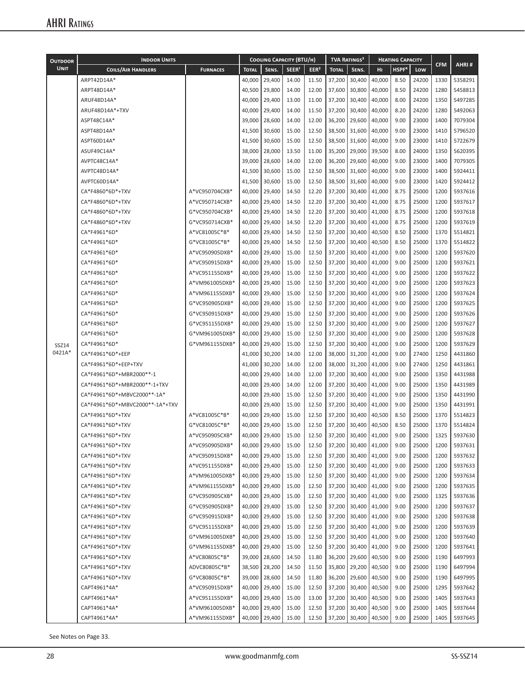| <b>UNIT</b><br>EER <sup>2</sup><br>HSPF <sup>4</sup><br><b>COILS/AIR HANDLERS</b><br>SENS.<br>SEER <sup>1</sup><br>SENS.<br>HI<br><b>FURNACES</b><br><b>TOTAL</b><br><b>TOTAL</b><br>Low<br>ARPT42D14A*<br>40,000<br>29,400<br>14.00<br>11.50<br>37,200<br>30,400<br>40,000<br>5358291<br>8.50<br>24200<br>1330<br>40,500<br>29,800<br>37,600<br>30,800<br>40,000<br>8.50<br>24200<br>1280<br>5458813<br>ARPT48D14A*<br>14.00<br>12.00<br>40,000<br>29,400<br>13.00<br>11.00<br>37,200<br>30,400<br>40,000<br>8.00<br>24200<br>1350<br>5497285<br>ARUF48D14A*<br>ARUF48D14A*+TXV<br>40,000<br>29,400<br>14.00<br>11.50<br>37,200<br>30,400<br>40,000<br>8.20<br>24200<br>1280<br>5492063<br>ASPT48C14A*<br>39,000<br>14.00<br>12.00<br>36,200<br>29,600<br>40,000<br>9.00<br>23000<br>1400<br>7079304<br>28,600<br>30,600<br>15.00<br>12.50<br>38,500<br>23000<br>5796520<br>ASPT48D14A*<br>41,500<br>31,600<br>40,000<br>9.00<br>1410<br>30,600<br>23000<br>ASPT60D14A*<br>41,500<br>15.00<br>12.50<br>38,500<br>31,600<br>40,000<br>9.00<br>1410<br>5722679<br>5620395<br>ASUF49C14A*<br>38,000<br>28,000<br>13.50<br>11.00<br>35,200<br>29,000<br>39,500<br>8.00<br>24000<br>1350<br>23000<br>7079305<br>AVPTC48C14A*<br>39,000<br>28,600<br>14.00<br>12.00<br>36,200<br>29,600<br>40,000<br>9.00<br>1400<br>30,600<br>15.00<br>12.50<br>38,500<br>9.00<br>23000<br>1400<br>5924411<br>AVPTC48D14A*<br>41,500<br>31,600<br>40,000<br>30,600<br>15.00<br>12.50<br>38,500<br>9.00<br>23000<br>1420<br>5924412<br>AVPTC60D14A*<br>41,500<br>31,600<br>40,000<br>A*VC950704CXB*<br>40,000<br>29,400<br>14.50<br>12.20<br>8.75<br>25000<br>1200<br>5937616<br>CA*F4860*6D*+TXV<br>37,200<br>30,400<br>41,000<br>CA*F4860*6D*+TXV<br>A*VC950714CXB*<br>40,000<br>29,400<br>14.50<br>12.20<br>37,200<br>30,400<br>8.75<br>25000<br>1200<br>5937617<br>41,000<br>CA*F4860*6D*+TXV<br>G*VC950704CXB*<br>29,400<br>14.50<br>12.20<br>37,200<br>30,400<br>8.75<br>25000<br>1200<br>5937618<br>40,000<br>41,000<br>CA*F4860*6D*+TXV<br>G*VC950714CXB*<br>40,000<br>14.50<br>12.20<br>8.75<br>25000<br>1200<br>5937619<br>29,400<br>37,200<br>30,400<br>41,000<br>CA*F4961*6D*<br>A*VC81005C*B*<br>40,000<br>29,400<br>14.50<br>12.50<br>37,200<br>30,400<br>8.50<br>25000<br>1370<br>5514821<br>40,500<br>CA*F4961*6D*<br>$G*VC81005C*B*$<br>40,000<br>29,400<br>14.50<br>12.50<br>37,200<br>30,400<br>40,500<br>8.50<br>25000<br>1370<br>5514822<br>15.00<br>25000<br>1200<br>5937620<br>CA*F4961*6D*<br>A*VC950905DXB*<br>40,000<br>29,400<br>12.50<br>37,200<br>30,400<br>41,000<br>9.00<br>29,400<br>15.00<br>25000<br>1200<br>5937621<br>CA*F4961*6D*<br>A*VC950915DXB*<br>40,000<br>12.50<br>37,200<br>30,400<br>41,000<br>9.00<br>CA*F4961*6D*<br>40,000<br>29,400<br>15.00<br>25000<br>1200<br>5937622<br>A*VC951155DXB*<br>12.50<br>37,200<br>30,400<br>41,000<br>9.00<br>CA*F4961*6D*<br>A*VM961005DXB*<br>40,000<br>29,400<br>15.00<br>9.00<br>25000<br>1200<br>5937623<br>12.50<br>37,200<br>30,400<br>41,000<br>CA*F4961*6D*<br>40,000<br>29,400<br>15.00<br>25000<br>1200<br>5937624<br>A*VM961155DXB*<br>12.50<br>37,200<br>30,400<br>41,000<br>9.00<br>CA*F4961*6D*<br>G*VC950905DXB*<br>40,000<br>29,400<br>15.00<br>12.50<br>37,200<br>30,400<br>9.00<br>25000<br>1200<br>5937625<br>41,000<br>CA*F4961*6D*<br>G*VC950915DXB*<br>29,400<br>15.00<br>12.50<br>25000<br>1200<br>5937626<br>40,000<br>37,200<br>30,400<br>41,000<br>9.00<br>CA*F4961*6D*<br>29,400<br>15.00<br>25000<br>1200<br>5937627<br>G*VC951155DXB*<br>40,000<br>12.50<br>37,200<br>30,400<br>41,000<br>9.00<br>CA*F4961*6D*<br>G*VM961005DXB*<br>40,000<br>29,400<br>15.00<br>12.50<br>37,200<br>9.00<br>25000<br>1200<br>5937628<br>30,400<br>41,000<br>1200<br>5937629<br>CA*F4961*6D*<br>G*VM961155DXB*<br>40,000<br>29,400<br>15.00<br>12.50<br>37,200<br>30,400<br>41,000<br>9.00<br>25000<br><b>SSZ14</b><br>0421A*<br>1250<br>CA*F4961*6D*+EEP<br>41,000<br>30,200<br>14.00<br>12.00<br>38,000<br>31,200<br>41,000<br>9.00<br>27400<br>4431860<br>CA*F4961*6D*+EEP+TXV<br>30,200<br>12.00<br>38,000<br>27400<br>1250<br>4431861<br>41,000<br>14.00<br>31,200<br>41,000<br>9.00<br>CA*F4961*6D*+MBR2000**-1<br>40,000<br>29,400<br>9.00<br>25000<br>1350<br>4431988<br>14.00<br>12.00<br>37,200<br>30,400<br>41,000<br>CA*F4961*6D*+MBR2000**-1+TXV<br>29,400<br>9.00<br>25000<br>1350<br>4431989<br>40,000<br>14.00<br>12.00<br>37,200<br>30,400<br>41,000<br>CA*F4961*6D*+MBVC2000**-1A*<br>29,400<br>15.00<br>12.50<br>30,400 41,000<br>9.00<br>25000<br>1350<br>4431990<br>40,000<br>37,200<br>CA*F4961*6D*+MBVC2000**-1A*+TXV<br>29,400<br>15.00<br>12.50<br>9.00<br>25000<br>1350<br>4431991<br>40,000<br>37,200<br>30,400<br>41,000<br>A*VC81005C*B*<br>1370<br>CA*F4961*6D*+TXV<br>40,000<br>29,400<br>15.00<br>12.50<br>37,200<br>30,400<br>40,500<br>8.50<br>25000<br>5514823<br>CA*F4961*6D*+TXV<br>15.00<br>12.50<br>40,500<br>8.50<br>25000<br>1370<br>G*VC81005C*B*<br>40,000<br>29,400<br>37,200<br>30,400<br>5514824<br>CA*F4961*6D*+TXV<br>A*VC950905CXB*<br>40,000 29,400<br>15.00<br>37,200<br>30,400 41,000<br>9.00<br>25000<br>1325<br>5937630<br>12.50<br>25000<br>5937631<br>CA*F4961*6D*+TXV<br>A*VC950905DXB*<br>40,000   29,400<br>15.00<br>12.50<br>37,200<br>30,400   41,000<br>9.00<br>1200<br>40,000   29,400<br>15.00<br>37,200<br>30,400 41,000<br>25000<br>1200<br>CA*F4961*6D*+TXV<br>A*VC950915DXB*<br>12.50<br>9.00<br>5937632<br>40,000<br>15.00<br>12.50<br>37,200<br>25000<br>1200<br>5937633<br>CA*F4961*6D*+TXV<br>A*VC951155DXB*<br>29,400<br>30,400   41,000<br>9.00<br>CA*F4961*6D*+TXV<br>40,000<br>29,400<br>15.00<br>12.50<br>37,200<br>30,400 41,000<br>25000<br>1200<br>5937634<br>A*VM961005DXB*<br>9.00<br>40,000<br>29,400<br>15.00<br>12.50<br>37,200<br>30,400 41,000<br>25000<br>1200<br>5937635<br>CA*F4961*6D*+TXV<br>A*VM961155DXB*<br>9.00<br>CA*F4961*6D*+TXV<br>G*VC950905CXB*<br>40,000<br>29,400<br>15.00<br>12.50<br>37,200<br>30,400 41,000<br>9.00<br>25000<br>1325<br>5937636<br>CA*F4961*6D*+TXV<br>G*VC950905DXB*<br>40,000<br>29,400<br>15.00<br>12.50<br>37,200<br>30,400 41,000<br>25000<br>1200<br>5937637<br>9.00<br>CA*F4961*6D*+TXV<br>G*VC950915DXB*<br>40,000<br>29,400<br>15.00<br>12.50<br>37,200<br>30,400 41,000<br>25000<br>1200<br>5937638<br>9.00<br>CA*F4961*6D*+TXV<br>G*VC951155DXB*<br>40,000<br>29,400<br>15.00<br>12.50<br>37,200<br>30,400 41,000<br>9.00<br>25000<br>1200<br>5937639<br>40,000<br>29,400<br>15.00<br>12.50<br>37,200<br>25000<br>1200<br>5937640<br>CA*F4961*6D*+TXV<br>G*VM961005DXB*<br>30,400   41,000<br>9.00<br>29,400<br>15.00<br>12.50<br>30,400   41,000<br>25000<br>1200<br>5937641<br>CA*F4961*6D*+TXV<br>G*VM961155DXB*<br>40,000<br>37,200<br>9.00<br>28,600<br>11.80<br>25000<br>1190<br>6497993<br>CA*F4961*6D*+TXV<br>A*VC80805C*B*<br>39,000<br>14.50<br>36,200<br>29,600   40,500<br>9.00<br>11.50<br>25000<br>1190<br>6497994<br>CA*F4961*6D*+TXV<br>ADVC80805C*B*<br>38,500<br>28,200<br>14.50<br>35,800<br>29,200   40,500<br>9.00<br>CA*F4961*6D*+TXV<br>G*VC80805C*B*<br>39,000<br>28,600<br>11.80<br>36,200<br>29,600 40,500<br>9.00<br>25000<br>1190<br>6497995<br>14.50<br>CAPT4961*4A*<br>40,000<br>29,400<br>15.00<br>12.50<br>37,200<br>30,400 40,500<br>9.00<br>25000<br>1295<br>5937642<br>A*VC950915DXB*<br>CAPT4961*4A*<br>40,000<br>29,400<br>15.00<br>13.00<br>37,200<br>30,400 40,500<br>9.00<br>25000<br>1405<br>5937643<br>A*VC951155DXB* | <b>OUTDOOR</b> | <b>INDOOR UNITS</b> |                |        | <b>COOLING CAPACITY (BTU/H)</b> |       |       |        | <b>TVA RATINGS<sup>3</sup></b> |        | <b>HEATING CAPACITY</b> |       |            |         |
|--------------------------------------------------------------------------------------------------------------------------------------------------------------------------------------------------------------------------------------------------------------------------------------------------------------------------------------------------------------------------------------------------------------------------------------------------------------------------------------------------------------------------------------------------------------------------------------------------------------------------------------------------------------------------------------------------------------------------------------------------------------------------------------------------------------------------------------------------------------------------------------------------------------------------------------------------------------------------------------------------------------------------------------------------------------------------------------------------------------------------------------------------------------------------------------------------------------------------------------------------------------------------------------------------------------------------------------------------------------------------------------------------------------------------------------------------------------------------------------------------------------------------------------------------------------------------------------------------------------------------------------------------------------------------------------------------------------------------------------------------------------------------------------------------------------------------------------------------------------------------------------------------------------------------------------------------------------------------------------------------------------------------------------------------------------------------------------------------------------------------------------------------------------------------------------------------------------------------------------------------------------------------------------------------------------------------------------------------------------------------------------------------------------------------------------------------------------------------------------------------------------------------------------------------------------------------------------------------------------------------------------------------------------------------------------------------------------------------------------------------------------------------------------------------------------------------------------------------------------------------------------------------------------------------------------------------------------------------------------------------------------------------------------------------------------------------------------------------------------------------------------------------------------------------------------------------------------------------------------------------------------------------------------------------------------------------------------------------------------------------------------------------------------------------------------------------------------------------------------------------------------------------------------------------------------------------------------------------------------------------------------------------------------------------------------------------------------------------------------------------------------------------------------------------------------------------------------------------------------------------------------------------------------------------------------------------------------------------------------------------------------------------------------------------------------------------------------------------------------------------------------------------------------------------------------------------------------------------------------------------------------------------------------------------------------------------------------------------------------------------------------------------------------------------------------------------------------------------------------------------------------------------------------------------------------------------------------------------------------------------------------------------------------------------------------------------------------------------------------------------------------------------------------------------------------------------------------------------------------------------------------------------------------------------------------------------------------------------------------------------------------------------------------------------------------------------------------------------------------------------------------------------------------------------------------------------------------------------------------------------------------------------------------------------------------------------------------------------------------------------------------------------------------------------------------------------------------------------------------------------------------------------------------------------------------------------------------------------------------------------------------------------------------------------------------------------------------------------------------------------------------------------------------------------------------------------------------------------------------------------------------------------------------------------------------------------------------------------------------------------------------------------------------------------------------------------------------------------------------------------------------------------------------------------------------------------------------------------------------------------------------------------------------------------------------------------------------------------------------------------------------------------------------------------------------------------------------------------------------------------------------------------------------------------------------------------------------------------------------------------------------------------------------------------------------------------------------------------------------------------------------------------------------------------------------------------------------------------------------------------------------------------------------------------------------------------------------------------------------------------------------------------------------------------------------------------------------------------------------------------------------------------------------------------------------------------------------------------------------------------------------------------------------------------------------------------------------------------------------------------------------------------------------------------------------------------------------------------------|----------------|---------------------|----------------|--------|---------------------------------|-------|-------|--------|--------------------------------|--------|-------------------------|-------|------------|---------|
|                                                                                                                                                                                                                                                                                                                                                                                                                                                                                                                                                                                                                                                                                                                                                                                                                                                                                                                                                                                                                                                                                                                                                                                                                                                                                                                                                                                                                                                                                                                                                                                                                                                                                                                                                                                                                                                                                                                                                                                                                                                                                                                                                                                                                                                                                                                                                                                                                                                                                                                                                                                                                                                                                                                                                                                                                                                                                                                                                                                                                                                                                                                                                                                                                                                                                                                                                                                                                                                                                                                                                                                                                                                                                                                                                                                                                                                                                                                                                                                                                                                                                                                                                                                                                                                                                                                                                                                                                                                                                                                                                                                                                                                                                                                                                                                                                                                                                                                                                                                                                                                                                                                                                                                                                                                                                                                                                                                                                                                                                                                                                                                                                                                                                                                                                                                                                                                                                                                                                                                                                                                                                                                                                                                                                                                                                                                                                                                                                                                                                                                                                                                                                                                                                                                                                                                                                                                                                                                                                                                                                                                                                                                                                                                                                                                                                                                                                                                                                                                                                |                |                     |                |        |                                 |       |       |        |                                |        |                         |       | <b>CFM</b> | AHRI#   |
|                                                                                                                                                                                                                                                                                                                                                                                                                                                                                                                                                                                                                                                                                                                                                                                                                                                                                                                                                                                                                                                                                                                                                                                                                                                                                                                                                                                                                                                                                                                                                                                                                                                                                                                                                                                                                                                                                                                                                                                                                                                                                                                                                                                                                                                                                                                                                                                                                                                                                                                                                                                                                                                                                                                                                                                                                                                                                                                                                                                                                                                                                                                                                                                                                                                                                                                                                                                                                                                                                                                                                                                                                                                                                                                                                                                                                                                                                                                                                                                                                                                                                                                                                                                                                                                                                                                                                                                                                                                                                                                                                                                                                                                                                                                                                                                                                                                                                                                                                                                                                                                                                                                                                                                                                                                                                                                                                                                                                                                                                                                                                                                                                                                                                                                                                                                                                                                                                                                                                                                                                                                                                                                                                                                                                                                                                                                                                                                                                                                                                                                                                                                                                                                                                                                                                                                                                                                                                                                                                                                                                                                                                                                                                                                                                                                                                                                                                                                                                                                                                |                |                     |                |        |                                 |       |       |        |                                |        |                         |       |            |         |
|                                                                                                                                                                                                                                                                                                                                                                                                                                                                                                                                                                                                                                                                                                                                                                                                                                                                                                                                                                                                                                                                                                                                                                                                                                                                                                                                                                                                                                                                                                                                                                                                                                                                                                                                                                                                                                                                                                                                                                                                                                                                                                                                                                                                                                                                                                                                                                                                                                                                                                                                                                                                                                                                                                                                                                                                                                                                                                                                                                                                                                                                                                                                                                                                                                                                                                                                                                                                                                                                                                                                                                                                                                                                                                                                                                                                                                                                                                                                                                                                                                                                                                                                                                                                                                                                                                                                                                                                                                                                                                                                                                                                                                                                                                                                                                                                                                                                                                                                                                                                                                                                                                                                                                                                                                                                                                                                                                                                                                                                                                                                                                                                                                                                                                                                                                                                                                                                                                                                                                                                                                                                                                                                                                                                                                                                                                                                                                                                                                                                                                                                                                                                                                                                                                                                                                                                                                                                                                                                                                                                                                                                                                                                                                                                                                                                                                                                                                                                                                                                                |                |                     |                |        |                                 |       |       |        |                                |        |                         |       |            |         |
|                                                                                                                                                                                                                                                                                                                                                                                                                                                                                                                                                                                                                                                                                                                                                                                                                                                                                                                                                                                                                                                                                                                                                                                                                                                                                                                                                                                                                                                                                                                                                                                                                                                                                                                                                                                                                                                                                                                                                                                                                                                                                                                                                                                                                                                                                                                                                                                                                                                                                                                                                                                                                                                                                                                                                                                                                                                                                                                                                                                                                                                                                                                                                                                                                                                                                                                                                                                                                                                                                                                                                                                                                                                                                                                                                                                                                                                                                                                                                                                                                                                                                                                                                                                                                                                                                                                                                                                                                                                                                                                                                                                                                                                                                                                                                                                                                                                                                                                                                                                                                                                                                                                                                                                                                                                                                                                                                                                                                                                                                                                                                                                                                                                                                                                                                                                                                                                                                                                                                                                                                                                                                                                                                                                                                                                                                                                                                                                                                                                                                                                                                                                                                                                                                                                                                                                                                                                                                                                                                                                                                                                                                                                                                                                                                                                                                                                                                                                                                                                                                |                |                     |                |        |                                 |       |       |        |                                |        |                         |       |            |         |
|                                                                                                                                                                                                                                                                                                                                                                                                                                                                                                                                                                                                                                                                                                                                                                                                                                                                                                                                                                                                                                                                                                                                                                                                                                                                                                                                                                                                                                                                                                                                                                                                                                                                                                                                                                                                                                                                                                                                                                                                                                                                                                                                                                                                                                                                                                                                                                                                                                                                                                                                                                                                                                                                                                                                                                                                                                                                                                                                                                                                                                                                                                                                                                                                                                                                                                                                                                                                                                                                                                                                                                                                                                                                                                                                                                                                                                                                                                                                                                                                                                                                                                                                                                                                                                                                                                                                                                                                                                                                                                                                                                                                                                                                                                                                                                                                                                                                                                                                                                                                                                                                                                                                                                                                                                                                                                                                                                                                                                                                                                                                                                                                                                                                                                                                                                                                                                                                                                                                                                                                                                                                                                                                                                                                                                                                                                                                                                                                                                                                                                                                                                                                                                                                                                                                                                                                                                                                                                                                                                                                                                                                                                                                                                                                                                                                                                                                                                                                                                                                                |                |                     |                |        |                                 |       |       |        |                                |        |                         |       |            |         |
|                                                                                                                                                                                                                                                                                                                                                                                                                                                                                                                                                                                                                                                                                                                                                                                                                                                                                                                                                                                                                                                                                                                                                                                                                                                                                                                                                                                                                                                                                                                                                                                                                                                                                                                                                                                                                                                                                                                                                                                                                                                                                                                                                                                                                                                                                                                                                                                                                                                                                                                                                                                                                                                                                                                                                                                                                                                                                                                                                                                                                                                                                                                                                                                                                                                                                                                                                                                                                                                                                                                                                                                                                                                                                                                                                                                                                                                                                                                                                                                                                                                                                                                                                                                                                                                                                                                                                                                                                                                                                                                                                                                                                                                                                                                                                                                                                                                                                                                                                                                                                                                                                                                                                                                                                                                                                                                                                                                                                                                                                                                                                                                                                                                                                                                                                                                                                                                                                                                                                                                                                                                                                                                                                                                                                                                                                                                                                                                                                                                                                                                                                                                                                                                                                                                                                                                                                                                                                                                                                                                                                                                                                                                                                                                                                                                                                                                                                                                                                                                                                |                |                     |                |        |                                 |       |       |        |                                |        |                         |       |            |         |
|                                                                                                                                                                                                                                                                                                                                                                                                                                                                                                                                                                                                                                                                                                                                                                                                                                                                                                                                                                                                                                                                                                                                                                                                                                                                                                                                                                                                                                                                                                                                                                                                                                                                                                                                                                                                                                                                                                                                                                                                                                                                                                                                                                                                                                                                                                                                                                                                                                                                                                                                                                                                                                                                                                                                                                                                                                                                                                                                                                                                                                                                                                                                                                                                                                                                                                                                                                                                                                                                                                                                                                                                                                                                                                                                                                                                                                                                                                                                                                                                                                                                                                                                                                                                                                                                                                                                                                                                                                                                                                                                                                                                                                                                                                                                                                                                                                                                                                                                                                                                                                                                                                                                                                                                                                                                                                                                                                                                                                                                                                                                                                                                                                                                                                                                                                                                                                                                                                                                                                                                                                                                                                                                                                                                                                                                                                                                                                                                                                                                                                                                                                                                                                                                                                                                                                                                                                                                                                                                                                                                                                                                                                                                                                                                                                                                                                                                                                                                                                                                                |                |                     |                |        |                                 |       |       |        |                                |        |                         |       |            |         |
|                                                                                                                                                                                                                                                                                                                                                                                                                                                                                                                                                                                                                                                                                                                                                                                                                                                                                                                                                                                                                                                                                                                                                                                                                                                                                                                                                                                                                                                                                                                                                                                                                                                                                                                                                                                                                                                                                                                                                                                                                                                                                                                                                                                                                                                                                                                                                                                                                                                                                                                                                                                                                                                                                                                                                                                                                                                                                                                                                                                                                                                                                                                                                                                                                                                                                                                                                                                                                                                                                                                                                                                                                                                                                                                                                                                                                                                                                                                                                                                                                                                                                                                                                                                                                                                                                                                                                                                                                                                                                                                                                                                                                                                                                                                                                                                                                                                                                                                                                                                                                                                                                                                                                                                                                                                                                                                                                                                                                                                                                                                                                                                                                                                                                                                                                                                                                                                                                                                                                                                                                                                                                                                                                                                                                                                                                                                                                                                                                                                                                                                                                                                                                                                                                                                                                                                                                                                                                                                                                                                                                                                                                                                                                                                                                                                                                                                                                                                                                                                                                |                |                     |                |        |                                 |       |       |        |                                |        |                         |       |            |         |
|                                                                                                                                                                                                                                                                                                                                                                                                                                                                                                                                                                                                                                                                                                                                                                                                                                                                                                                                                                                                                                                                                                                                                                                                                                                                                                                                                                                                                                                                                                                                                                                                                                                                                                                                                                                                                                                                                                                                                                                                                                                                                                                                                                                                                                                                                                                                                                                                                                                                                                                                                                                                                                                                                                                                                                                                                                                                                                                                                                                                                                                                                                                                                                                                                                                                                                                                                                                                                                                                                                                                                                                                                                                                                                                                                                                                                                                                                                                                                                                                                                                                                                                                                                                                                                                                                                                                                                                                                                                                                                                                                                                                                                                                                                                                                                                                                                                                                                                                                                                                                                                                                                                                                                                                                                                                                                                                                                                                                                                                                                                                                                                                                                                                                                                                                                                                                                                                                                                                                                                                                                                                                                                                                                                                                                                                                                                                                                                                                                                                                                                                                                                                                                                                                                                                                                                                                                                                                                                                                                                                                                                                                                                                                                                                                                                                                                                                                                                                                                                                                |                |                     |                |        |                                 |       |       |        |                                |        |                         |       |            |         |
|                                                                                                                                                                                                                                                                                                                                                                                                                                                                                                                                                                                                                                                                                                                                                                                                                                                                                                                                                                                                                                                                                                                                                                                                                                                                                                                                                                                                                                                                                                                                                                                                                                                                                                                                                                                                                                                                                                                                                                                                                                                                                                                                                                                                                                                                                                                                                                                                                                                                                                                                                                                                                                                                                                                                                                                                                                                                                                                                                                                                                                                                                                                                                                                                                                                                                                                                                                                                                                                                                                                                                                                                                                                                                                                                                                                                                                                                                                                                                                                                                                                                                                                                                                                                                                                                                                                                                                                                                                                                                                                                                                                                                                                                                                                                                                                                                                                                                                                                                                                                                                                                                                                                                                                                                                                                                                                                                                                                                                                                                                                                                                                                                                                                                                                                                                                                                                                                                                                                                                                                                                                                                                                                                                                                                                                                                                                                                                                                                                                                                                                                                                                                                                                                                                                                                                                                                                                                                                                                                                                                                                                                                                                                                                                                                                                                                                                                                                                                                                                                                |                |                     |                |        |                                 |       |       |        |                                |        |                         |       |            |         |
|                                                                                                                                                                                                                                                                                                                                                                                                                                                                                                                                                                                                                                                                                                                                                                                                                                                                                                                                                                                                                                                                                                                                                                                                                                                                                                                                                                                                                                                                                                                                                                                                                                                                                                                                                                                                                                                                                                                                                                                                                                                                                                                                                                                                                                                                                                                                                                                                                                                                                                                                                                                                                                                                                                                                                                                                                                                                                                                                                                                                                                                                                                                                                                                                                                                                                                                                                                                                                                                                                                                                                                                                                                                                                                                                                                                                                                                                                                                                                                                                                                                                                                                                                                                                                                                                                                                                                                                                                                                                                                                                                                                                                                                                                                                                                                                                                                                                                                                                                                                                                                                                                                                                                                                                                                                                                                                                                                                                                                                                                                                                                                                                                                                                                                                                                                                                                                                                                                                                                                                                                                                                                                                                                                                                                                                                                                                                                                                                                                                                                                                                                                                                                                                                                                                                                                                                                                                                                                                                                                                                                                                                                                                                                                                                                                                                                                                                                                                                                                                                                |                |                     |                |        |                                 |       |       |        |                                |        |                         |       |            |         |
|                                                                                                                                                                                                                                                                                                                                                                                                                                                                                                                                                                                                                                                                                                                                                                                                                                                                                                                                                                                                                                                                                                                                                                                                                                                                                                                                                                                                                                                                                                                                                                                                                                                                                                                                                                                                                                                                                                                                                                                                                                                                                                                                                                                                                                                                                                                                                                                                                                                                                                                                                                                                                                                                                                                                                                                                                                                                                                                                                                                                                                                                                                                                                                                                                                                                                                                                                                                                                                                                                                                                                                                                                                                                                                                                                                                                                                                                                                                                                                                                                                                                                                                                                                                                                                                                                                                                                                                                                                                                                                                                                                                                                                                                                                                                                                                                                                                                                                                                                                                                                                                                                                                                                                                                                                                                                                                                                                                                                                                                                                                                                                                                                                                                                                                                                                                                                                                                                                                                                                                                                                                                                                                                                                                                                                                                                                                                                                                                                                                                                                                                                                                                                                                                                                                                                                                                                                                                                                                                                                                                                                                                                                                                                                                                                                                                                                                                                                                                                                                                                |                |                     |                |        |                                 |       |       |        |                                |        |                         |       |            |         |
|                                                                                                                                                                                                                                                                                                                                                                                                                                                                                                                                                                                                                                                                                                                                                                                                                                                                                                                                                                                                                                                                                                                                                                                                                                                                                                                                                                                                                                                                                                                                                                                                                                                                                                                                                                                                                                                                                                                                                                                                                                                                                                                                                                                                                                                                                                                                                                                                                                                                                                                                                                                                                                                                                                                                                                                                                                                                                                                                                                                                                                                                                                                                                                                                                                                                                                                                                                                                                                                                                                                                                                                                                                                                                                                                                                                                                                                                                                                                                                                                                                                                                                                                                                                                                                                                                                                                                                                                                                                                                                                                                                                                                                                                                                                                                                                                                                                                                                                                                                                                                                                                                                                                                                                                                                                                                                                                                                                                                                                                                                                                                                                                                                                                                                                                                                                                                                                                                                                                                                                                                                                                                                                                                                                                                                                                                                                                                                                                                                                                                                                                                                                                                                                                                                                                                                                                                                                                                                                                                                                                                                                                                                                                                                                                                                                                                                                                                                                                                                                                                |                |                     |                |        |                                 |       |       |        |                                |        |                         |       |            |         |
|                                                                                                                                                                                                                                                                                                                                                                                                                                                                                                                                                                                                                                                                                                                                                                                                                                                                                                                                                                                                                                                                                                                                                                                                                                                                                                                                                                                                                                                                                                                                                                                                                                                                                                                                                                                                                                                                                                                                                                                                                                                                                                                                                                                                                                                                                                                                                                                                                                                                                                                                                                                                                                                                                                                                                                                                                                                                                                                                                                                                                                                                                                                                                                                                                                                                                                                                                                                                                                                                                                                                                                                                                                                                                                                                                                                                                                                                                                                                                                                                                                                                                                                                                                                                                                                                                                                                                                                                                                                                                                                                                                                                                                                                                                                                                                                                                                                                                                                                                                                                                                                                                                                                                                                                                                                                                                                                                                                                                                                                                                                                                                                                                                                                                                                                                                                                                                                                                                                                                                                                                                                                                                                                                                                                                                                                                                                                                                                                                                                                                                                                                                                                                                                                                                                                                                                                                                                                                                                                                                                                                                                                                                                                                                                                                                                                                                                                                                                                                                                                                |                |                     |                |        |                                 |       |       |        |                                |        |                         |       |            |         |
|                                                                                                                                                                                                                                                                                                                                                                                                                                                                                                                                                                                                                                                                                                                                                                                                                                                                                                                                                                                                                                                                                                                                                                                                                                                                                                                                                                                                                                                                                                                                                                                                                                                                                                                                                                                                                                                                                                                                                                                                                                                                                                                                                                                                                                                                                                                                                                                                                                                                                                                                                                                                                                                                                                                                                                                                                                                                                                                                                                                                                                                                                                                                                                                                                                                                                                                                                                                                                                                                                                                                                                                                                                                                                                                                                                                                                                                                                                                                                                                                                                                                                                                                                                                                                                                                                                                                                                                                                                                                                                                                                                                                                                                                                                                                                                                                                                                                                                                                                                                                                                                                                                                                                                                                                                                                                                                                                                                                                                                                                                                                                                                                                                                                                                                                                                                                                                                                                                                                                                                                                                                                                                                                                                                                                                                                                                                                                                                                                                                                                                                                                                                                                                                                                                                                                                                                                                                                                                                                                                                                                                                                                                                                                                                                                                                                                                                                                                                                                                                                                |                |                     |                |        |                                 |       |       |        |                                |        |                         |       |            |         |
|                                                                                                                                                                                                                                                                                                                                                                                                                                                                                                                                                                                                                                                                                                                                                                                                                                                                                                                                                                                                                                                                                                                                                                                                                                                                                                                                                                                                                                                                                                                                                                                                                                                                                                                                                                                                                                                                                                                                                                                                                                                                                                                                                                                                                                                                                                                                                                                                                                                                                                                                                                                                                                                                                                                                                                                                                                                                                                                                                                                                                                                                                                                                                                                                                                                                                                                                                                                                                                                                                                                                                                                                                                                                                                                                                                                                                                                                                                                                                                                                                                                                                                                                                                                                                                                                                                                                                                                                                                                                                                                                                                                                                                                                                                                                                                                                                                                                                                                                                                                                                                                                                                                                                                                                                                                                                                                                                                                                                                                                                                                                                                                                                                                                                                                                                                                                                                                                                                                                                                                                                                                                                                                                                                                                                                                                                                                                                                                                                                                                                                                                                                                                                                                                                                                                                                                                                                                                                                                                                                                                                                                                                                                                                                                                                                                                                                                                                                                                                                                                                |                |                     |                |        |                                 |       |       |        |                                |        |                         |       |            |         |
|                                                                                                                                                                                                                                                                                                                                                                                                                                                                                                                                                                                                                                                                                                                                                                                                                                                                                                                                                                                                                                                                                                                                                                                                                                                                                                                                                                                                                                                                                                                                                                                                                                                                                                                                                                                                                                                                                                                                                                                                                                                                                                                                                                                                                                                                                                                                                                                                                                                                                                                                                                                                                                                                                                                                                                                                                                                                                                                                                                                                                                                                                                                                                                                                                                                                                                                                                                                                                                                                                                                                                                                                                                                                                                                                                                                                                                                                                                                                                                                                                                                                                                                                                                                                                                                                                                                                                                                                                                                                                                                                                                                                                                                                                                                                                                                                                                                                                                                                                                                                                                                                                                                                                                                                                                                                                                                                                                                                                                                                                                                                                                                                                                                                                                                                                                                                                                                                                                                                                                                                                                                                                                                                                                                                                                                                                                                                                                                                                                                                                                                                                                                                                                                                                                                                                                                                                                                                                                                                                                                                                                                                                                                                                                                                                                                                                                                                                                                                                                                                                |                |                     |                |        |                                 |       |       |        |                                |        |                         |       |            |         |
|                                                                                                                                                                                                                                                                                                                                                                                                                                                                                                                                                                                                                                                                                                                                                                                                                                                                                                                                                                                                                                                                                                                                                                                                                                                                                                                                                                                                                                                                                                                                                                                                                                                                                                                                                                                                                                                                                                                                                                                                                                                                                                                                                                                                                                                                                                                                                                                                                                                                                                                                                                                                                                                                                                                                                                                                                                                                                                                                                                                                                                                                                                                                                                                                                                                                                                                                                                                                                                                                                                                                                                                                                                                                                                                                                                                                                                                                                                                                                                                                                                                                                                                                                                                                                                                                                                                                                                                                                                                                                                                                                                                                                                                                                                                                                                                                                                                                                                                                                                                                                                                                                                                                                                                                                                                                                                                                                                                                                                                                                                                                                                                                                                                                                                                                                                                                                                                                                                                                                                                                                                                                                                                                                                                                                                                                                                                                                                                                                                                                                                                                                                                                                                                                                                                                                                                                                                                                                                                                                                                                                                                                                                                                                                                                                                                                                                                                                                                                                                                                                |                |                     |                |        |                                 |       |       |        |                                |        |                         |       |            |         |
|                                                                                                                                                                                                                                                                                                                                                                                                                                                                                                                                                                                                                                                                                                                                                                                                                                                                                                                                                                                                                                                                                                                                                                                                                                                                                                                                                                                                                                                                                                                                                                                                                                                                                                                                                                                                                                                                                                                                                                                                                                                                                                                                                                                                                                                                                                                                                                                                                                                                                                                                                                                                                                                                                                                                                                                                                                                                                                                                                                                                                                                                                                                                                                                                                                                                                                                                                                                                                                                                                                                                                                                                                                                                                                                                                                                                                                                                                                                                                                                                                                                                                                                                                                                                                                                                                                                                                                                                                                                                                                                                                                                                                                                                                                                                                                                                                                                                                                                                                                                                                                                                                                                                                                                                                                                                                                                                                                                                                                                                                                                                                                                                                                                                                                                                                                                                                                                                                                                                                                                                                                                                                                                                                                                                                                                                                                                                                                                                                                                                                                                                                                                                                                                                                                                                                                                                                                                                                                                                                                                                                                                                                                                                                                                                                                                                                                                                                                                                                                                                                |                |                     |                |        |                                 |       |       |        |                                |        |                         |       |            |         |
|                                                                                                                                                                                                                                                                                                                                                                                                                                                                                                                                                                                                                                                                                                                                                                                                                                                                                                                                                                                                                                                                                                                                                                                                                                                                                                                                                                                                                                                                                                                                                                                                                                                                                                                                                                                                                                                                                                                                                                                                                                                                                                                                                                                                                                                                                                                                                                                                                                                                                                                                                                                                                                                                                                                                                                                                                                                                                                                                                                                                                                                                                                                                                                                                                                                                                                                                                                                                                                                                                                                                                                                                                                                                                                                                                                                                                                                                                                                                                                                                                                                                                                                                                                                                                                                                                                                                                                                                                                                                                                                                                                                                                                                                                                                                                                                                                                                                                                                                                                                                                                                                                                                                                                                                                                                                                                                                                                                                                                                                                                                                                                                                                                                                                                                                                                                                                                                                                                                                                                                                                                                                                                                                                                                                                                                                                                                                                                                                                                                                                                                                                                                                                                                                                                                                                                                                                                                                                                                                                                                                                                                                                                                                                                                                                                                                                                                                                                                                                                                                                |                |                     |                |        |                                 |       |       |        |                                |        |                         |       |            |         |
|                                                                                                                                                                                                                                                                                                                                                                                                                                                                                                                                                                                                                                                                                                                                                                                                                                                                                                                                                                                                                                                                                                                                                                                                                                                                                                                                                                                                                                                                                                                                                                                                                                                                                                                                                                                                                                                                                                                                                                                                                                                                                                                                                                                                                                                                                                                                                                                                                                                                                                                                                                                                                                                                                                                                                                                                                                                                                                                                                                                                                                                                                                                                                                                                                                                                                                                                                                                                                                                                                                                                                                                                                                                                                                                                                                                                                                                                                                                                                                                                                                                                                                                                                                                                                                                                                                                                                                                                                                                                                                                                                                                                                                                                                                                                                                                                                                                                                                                                                                                                                                                                                                                                                                                                                                                                                                                                                                                                                                                                                                                                                                                                                                                                                                                                                                                                                                                                                                                                                                                                                                                                                                                                                                                                                                                                                                                                                                                                                                                                                                                                                                                                                                                                                                                                                                                                                                                                                                                                                                                                                                                                                                                                                                                                                                                                                                                                                                                                                                                                                |                |                     |                |        |                                 |       |       |        |                                |        |                         |       |            |         |
|                                                                                                                                                                                                                                                                                                                                                                                                                                                                                                                                                                                                                                                                                                                                                                                                                                                                                                                                                                                                                                                                                                                                                                                                                                                                                                                                                                                                                                                                                                                                                                                                                                                                                                                                                                                                                                                                                                                                                                                                                                                                                                                                                                                                                                                                                                                                                                                                                                                                                                                                                                                                                                                                                                                                                                                                                                                                                                                                                                                                                                                                                                                                                                                                                                                                                                                                                                                                                                                                                                                                                                                                                                                                                                                                                                                                                                                                                                                                                                                                                                                                                                                                                                                                                                                                                                                                                                                                                                                                                                                                                                                                                                                                                                                                                                                                                                                                                                                                                                                                                                                                                                                                                                                                                                                                                                                                                                                                                                                                                                                                                                                                                                                                                                                                                                                                                                                                                                                                                                                                                                                                                                                                                                                                                                                                                                                                                                                                                                                                                                                                                                                                                                                                                                                                                                                                                                                                                                                                                                                                                                                                                                                                                                                                                                                                                                                                                                                                                                                                                |                |                     |                |        |                                 |       |       |        |                                |        |                         |       |            |         |
|                                                                                                                                                                                                                                                                                                                                                                                                                                                                                                                                                                                                                                                                                                                                                                                                                                                                                                                                                                                                                                                                                                                                                                                                                                                                                                                                                                                                                                                                                                                                                                                                                                                                                                                                                                                                                                                                                                                                                                                                                                                                                                                                                                                                                                                                                                                                                                                                                                                                                                                                                                                                                                                                                                                                                                                                                                                                                                                                                                                                                                                                                                                                                                                                                                                                                                                                                                                                                                                                                                                                                                                                                                                                                                                                                                                                                                                                                                                                                                                                                                                                                                                                                                                                                                                                                                                                                                                                                                                                                                                                                                                                                                                                                                                                                                                                                                                                                                                                                                                                                                                                                                                                                                                                                                                                                                                                                                                                                                                                                                                                                                                                                                                                                                                                                                                                                                                                                                                                                                                                                                                                                                                                                                                                                                                                                                                                                                                                                                                                                                                                                                                                                                                                                                                                                                                                                                                                                                                                                                                                                                                                                                                                                                                                                                                                                                                                                                                                                                                                                |                |                     |                |        |                                 |       |       |        |                                |        |                         |       |            |         |
|                                                                                                                                                                                                                                                                                                                                                                                                                                                                                                                                                                                                                                                                                                                                                                                                                                                                                                                                                                                                                                                                                                                                                                                                                                                                                                                                                                                                                                                                                                                                                                                                                                                                                                                                                                                                                                                                                                                                                                                                                                                                                                                                                                                                                                                                                                                                                                                                                                                                                                                                                                                                                                                                                                                                                                                                                                                                                                                                                                                                                                                                                                                                                                                                                                                                                                                                                                                                                                                                                                                                                                                                                                                                                                                                                                                                                                                                                                                                                                                                                                                                                                                                                                                                                                                                                                                                                                                                                                                                                                                                                                                                                                                                                                                                                                                                                                                                                                                                                                                                                                                                                                                                                                                                                                                                                                                                                                                                                                                                                                                                                                                                                                                                                                                                                                                                                                                                                                                                                                                                                                                                                                                                                                                                                                                                                                                                                                                                                                                                                                                                                                                                                                                                                                                                                                                                                                                                                                                                                                                                                                                                                                                                                                                                                                                                                                                                                                                                                                                                                |                |                     |                |        |                                 |       |       |        |                                |        |                         |       |            |         |
|                                                                                                                                                                                                                                                                                                                                                                                                                                                                                                                                                                                                                                                                                                                                                                                                                                                                                                                                                                                                                                                                                                                                                                                                                                                                                                                                                                                                                                                                                                                                                                                                                                                                                                                                                                                                                                                                                                                                                                                                                                                                                                                                                                                                                                                                                                                                                                                                                                                                                                                                                                                                                                                                                                                                                                                                                                                                                                                                                                                                                                                                                                                                                                                                                                                                                                                                                                                                                                                                                                                                                                                                                                                                                                                                                                                                                                                                                                                                                                                                                                                                                                                                                                                                                                                                                                                                                                                                                                                                                                                                                                                                                                                                                                                                                                                                                                                                                                                                                                                                                                                                                                                                                                                                                                                                                                                                                                                                                                                                                                                                                                                                                                                                                                                                                                                                                                                                                                                                                                                                                                                                                                                                                                                                                                                                                                                                                                                                                                                                                                                                                                                                                                                                                                                                                                                                                                                                                                                                                                                                                                                                                                                                                                                                                                                                                                                                                                                                                                                                                |                |                     |                |        |                                 |       |       |        |                                |        |                         |       |            |         |
|                                                                                                                                                                                                                                                                                                                                                                                                                                                                                                                                                                                                                                                                                                                                                                                                                                                                                                                                                                                                                                                                                                                                                                                                                                                                                                                                                                                                                                                                                                                                                                                                                                                                                                                                                                                                                                                                                                                                                                                                                                                                                                                                                                                                                                                                                                                                                                                                                                                                                                                                                                                                                                                                                                                                                                                                                                                                                                                                                                                                                                                                                                                                                                                                                                                                                                                                                                                                                                                                                                                                                                                                                                                                                                                                                                                                                                                                                                                                                                                                                                                                                                                                                                                                                                                                                                                                                                                                                                                                                                                                                                                                                                                                                                                                                                                                                                                                                                                                                                                                                                                                                                                                                                                                                                                                                                                                                                                                                                                                                                                                                                                                                                                                                                                                                                                                                                                                                                                                                                                                                                                                                                                                                                                                                                                                                                                                                                                                                                                                                                                                                                                                                                                                                                                                                                                                                                                                                                                                                                                                                                                                                                                                                                                                                                                                                                                                                                                                                                                                                |                |                     |                |        |                                 |       |       |        |                                |        |                         |       |            |         |
|                                                                                                                                                                                                                                                                                                                                                                                                                                                                                                                                                                                                                                                                                                                                                                                                                                                                                                                                                                                                                                                                                                                                                                                                                                                                                                                                                                                                                                                                                                                                                                                                                                                                                                                                                                                                                                                                                                                                                                                                                                                                                                                                                                                                                                                                                                                                                                                                                                                                                                                                                                                                                                                                                                                                                                                                                                                                                                                                                                                                                                                                                                                                                                                                                                                                                                                                                                                                                                                                                                                                                                                                                                                                                                                                                                                                                                                                                                                                                                                                                                                                                                                                                                                                                                                                                                                                                                                                                                                                                                                                                                                                                                                                                                                                                                                                                                                                                                                                                                                                                                                                                                                                                                                                                                                                                                                                                                                                                                                                                                                                                                                                                                                                                                                                                                                                                                                                                                                                                                                                                                                                                                                                                                                                                                                                                                                                                                                                                                                                                                                                                                                                                                                                                                                                                                                                                                                                                                                                                                                                                                                                                                                                                                                                                                                                                                                                                                                                                                                                                |                |                     |                |        |                                 |       |       |        |                                |        |                         |       |            |         |
|                                                                                                                                                                                                                                                                                                                                                                                                                                                                                                                                                                                                                                                                                                                                                                                                                                                                                                                                                                                                                                                                                                                                                                                                                                                                                                                                                                                                                                                                                                                                                                                                                                                                                                                                                                                                                                                                                                                                                                                                                                                                                                                                                                                                                                                                                                                                                                                                                                                                                                                                                                                                                                                                                                                                                                                                                                                                                                                                                                                                                                                                                                                                                                                                                                                                                                                                                                                                                                                                                                                                                                                                                                                                                                                                                                                                                                                                                                                                                                                                                                                                                                                                                                                                                                                                                                                                                                                                                                                                                                                                                                                                                                                                                                                                                                                                                                                                                                                                                                                                                                                                                                                                                                                                                                                                                                                                                                                                                                                                                                                                                                                                                                                                                                                                                                                                                                                                                                                                                                                                                                                                                                                                                                                                                                                                                                                                                                                                                                                                                                                                                                                                                                                                                                                                                                                                                                                                                                                                                                                                                                                                                                                                                                                                                                                                                                                                                                                                                                                                                |                |                     |                |        |                                 |       |       |        |                                |        |                         |       |            |         |
|                                                                                                                                                                                                                                                                                                                                                                                                                                                                                                                                                                                                                                                                                                                                                                                                                                                                                                                                                                                                                                                                                                                                                                                                                                                                                                                                                                                                                                                                                                                                                                                                                                                                                                                                                                                                                                                                                                                                                                                                                                                                                                                                                                                                                                                                                                                                                                                                                                                                                                                                                                                                                                                                                                                                                                                                                                                                                                                                                                                                                                                                                                                                                                                                                                                                                                                                                                                                                                                                                                                                                                                                                                                                                                                                                                                                                                                                                                                                                                                                                                                                                                                                                                                                                                                                                                                                                                                                                                                                                                                                                                                                                                                                                                                                                                                                                                                                                                                                                                                                                                                                                                                                                                                                                                                                                                                                                                                                                                                                                                                                                                                                                                                                                                                                                                                                                                                                                                                                                                                                                                                                                                                                                                                                                                                                                                                                                                                                                                                                                                                                                                                                                                                                                                                                                                                                                                                                                                                                                                                                                                                                                                                                                                                                                                                                                                                                                                                                                                                                                |                |                     |                |        |                                 |       |       |        |                                |        |                         |       |            |         |
|                                                                                                                                                                                                                                                                                                                                                                                                                                                                                                                                                                                                                                                                                                                                                                                                                                                                                                                                                                                                                                                                                                                                                                                                                                                                                                                                                                                                                                                                                                                                                                                                                                                                                                                                                                                                                                                                                                                                                                                                                                                                                                                                                                                                                                                                                                                                                                                                                                                                                                                                                                                                                                                                                                                                                                                                                                                                                                                                                                                                                                                                                                                                                                                                                                                                                                                                                                                                                                                                                                                                                                                                                                                                                                                                                                                                                                                                                                                                                                                                                                                                                                                                                                                                                                                                                                                                                                                                                                                                                                                                                                                                                                                                                                                                                                                                                                                                                                                                                                                                                                                                                                                                                                                                                                                                                                                                                                                                                                                                                                                                                                                                                                                                                                                                                                                                                                                                                                                                                                                                                                                                                                                                                                                                                                                                                                                                                                                                                                                                                                                                                                                                                                                                                                                                                                                                                                                                                                                                                                                                                                                                                                                                                                                                                                                                                                                                                                                                                                                                                |                |                     |                |        |                                 |       |       |        |                                |        |                         |       |            |         |
|                                                                                                                                                                                                                                                                                                                                                                                                                                                                                                                                                                                                                                                                                                                                                                                                                                                                                                                                                                                                                                                                                                                                                                                                                                                                                                                                                                                                                                                                                                                                                                                                                                                                                                                                                                                                                                                                                                                                                                                                                                                                                                                                                                                                                                                                                                                                                                                                                                                                                                                                                                                                                                                                                                                                                                                                                                                                                                                                                                                                                                                                                                                                                                                                                                                                                                                                                                                                                                                                                                                                                                                                                                                                                                                                                                                                                                                                                                                                                                                                                                                                                                                                                                                                                                                                                                                                                                                                                                                                                                                                                                                                                                                                                                                                                                                                                                                                                                                                                                                                                                                                                                                                                                                                                                                                                                                                                                                                                                                                                                                                                                                                                                                                                                                                                                                                                                                                                                                                                                                                                                                                                                                                                                                                                                                                                                                                                                                                                                                                                                                                                                                                                                                                                                                                                                                                                                                                                                                                                                                                                                                                                                                                                                                                                                                                                                                                                                                                                                                                                |                |                     |                |        |                                 |       |       |        |                                |        |                         |       |            |         |
|                                                                                                                                                                                                                                                                                                                                                                                                                                                                                                                                                                                                                                                                                                                                                                                                                                                                                                                                                                                                                                                                                                                                                                                                                                                                                                                                                                                                                                                                                                                                                                                                                                                                                                                                                                                                                                                                                                                                                                                                                                                                                                                                                                                                                                                                                                                                                                                                                                                                                                                                                                                                                                                                                                                                                                                                                                                                                                                                                                                                                                                                                                                                                                                                                                                                                                                                                                                                                                                                                                                                                                                                                                                                                                                                                                                                                                                                                                                                                                                                                                                                                                                                                                                                                                                                                                                                                                                                                                                                                                                                                                                                                                                                                                                                                                                                                                                                                                                                                                                                                                                                                                                                                                                                                                                                                                                                                                                                                                                                                                                                                                                                                                                                                                                                                                                                                                                                                                                                                                                                                                                                                                                                                                                                                                                                                                                                                                                                                                                                                                                                                                                                                                                                                                                                                                                                                                                                                                                                                                                                                                                                                                                                                                                                                                                                                                                                                                                                                                                                                |                |                     |                |        |                                 |       |       |        |                                |        |                         |       |            |         |
|                                                                                                                                                                                                                                                                                                                                                                                                                                                                                                                                                                                                                                                                                                                                                                                                                                                                                                                                                                                                                                                                                                                                                                                                                                                                                                                                                                                                                                                                                                                                                                                                                                                                                                                                                                                                                                                                                                                                                                                                                                                                                                                                                                                                                                                                                                                                                                                                                                                                                                                                                                                                                                                                                                                                                                                                                                                                                                                                                                                                                                                                                                                                                                                                                                                                                                                                                                                                                                                                                                                                                                                                                                                                                                                                                                                                                                                                                                                                                                                                                                                                                                                                                                                                                                                                                                                                                                                                                                                                                                                                                                                                                                                                                                                                                                                                                                                                                                                                                                                                                                                                                                                                                                                                                                                                                                                                                                                                                                                                                                                                                                                                                                                                                                                                                                                                                                                                                                                                                                                                                                                                                                                                                                                                                                                                                                                                                                                                                                                                                                                                                                                                                                                                                                                                                                                                                                                                                                                                                                                                                                                                                                                                                                                                                                                                                                                                                                                                                                                                                |                |                     |                |        |                                 |       |       |        |                                |        |                         |       |            |         |
|                                                                                                                                                                                                                                                                                                                                                                                                                                                                                                                                                                                                                                                                                                                                                                                                                                                                                                                                                                                                                                                                                                                                                                                                                                                                                                                                                                                                                                                                                                                                                                                                                                                                                                                                                                                                                                                                                                                                                                                                                                                                                                                                                                                                                                                                                                                                                                                                                                                                                                                                                                                                                                                                                                                                                                                                                                                                                                                                                                                                                                                                                                                                                                                                                                                                                                                                                                                                                                                                                                                                                                                                                                                                                                                                                                                                                                                                                                                                                                                                                                                                                                                                                                                                                                                                                                                                                                                                                                                                                                                                                                                                                                                                                                                                                                                                                                                                                                                                                                                                                                                                                                                                                                                                                                                                                                                                                                                                                                                                                                                                                                                                                                                                                                                                                                                                                                                                                                                                                                                                                                                                                                                                                                                                                                                                                                                                                                                                                                                                                                                                                                                                                                                                                                                                                                                                                                                                                                                                                                                                                                                                                                                                                                                                                                                                                                                                                                                                                                                                                |                |                     |                |        |                                 |       |       |        |                                |        |                         |       |            |         |
|                                                                                                                                                                                                                                                                                                                                                                                                                                                                                                                                                                                                                                                                                                                                                                                                                                                                                                                                                                                                                                                                                                                                                                                                                                                                                                                                                                                                                                                                                                                                                                                                                                                                                                                                                                                                                                                                                                                                                                                                                                                                                                                                                                                                                                                                                                                                                                                                                                                                                                                                                                                                                                                                                                                                                                                                                                                                                                                                                                                                                                                                                                                                                                                                                                                                                                                                                                                                                                                                                                                                                                                                                                                                                                                                                                                                                                                                                                                                                                                                                                                                                                                                                                                                                                                                                                                                                                                                                                                                                                                                                                                                                                                                                                                                                                                                                                                                                                                                                                                                                                                                                                                                                                                                                                                                                                                                                                                                                                                                                                                                                                                                                                                                                                                                                                                                                                                                                                                                                                                                                                                                                                                                                                                                                                                                                                                                                                                                                                                                                                                                                                                                                                                                                                                                                                                                                                                                                                                                                                                                                                                                                                                                                                                                                                                                                                                                                                                                                                                                                |                |                     |                |        |                                 |       |       |        |                                |        |                         |       |            |         |
|                                                                                                                                                                                                                                                                                                                                                                                                                                                                                                                                                                                                                                                                                                                                                                                                                                                                                                                                                                                                                                                                                                                                                                                                                                                                                                                                                                                                                                                                                                                                                                                                                                                                                                                                                                                                                                                                                                                                                                                                                                                                                                                                                                                                                                                                                                                                                                                                                                                                                                                                                                                                                                                                                                                                                                                                                                                                                                                                                                                                                                                                                                                                                                                                                                                                                                                                                                                                                                                                                                                                                                                                                                                                                                                                                                                                                                                                                                                                                                                                                                                                                                                                                                                                                                                                                                                                                                                                                                                                                                                                                                                                                                                                                                                                                                                                                                                                                                                                                                                                                                                                                                                                                                                                                                                                                                                                                                                                                                                                                                                                                                                                                                                                                                                                                                                                                                                                                                                                                                                                                                                                                                                                                                                                                                                                                                                                                                                                                                                                                                                                                                                                                                                                                                                                                                                                                                                                                                                                                                                                                                                                                                                                                                                                                                                                                                                                                                                                                                                                                |                |                     |                |        |                                 |       |       |        |                                |        |                         |       |            |         |
|                                                                                                                                                                                                                                                                                                                                                                                                                                                                                                                                                                                                                                                                                                                                                                                                                                                                                                                                                                                                                                                                                                                                                                                                                                                                                                                                                                                                                                                                                                                                                                                                                                                                                                                                                                                                                                                                                                                                                                                                                                                                                                                                                                                                                                                                                                                                                                                                                                                                                                                                                                                                                                                                                                                                                                                                                                                                                                                                                                                                                                                                                                                                                                                                                                                                                                                                                                                                                                                                                                                                                                                                                                                                                                                                                                                                                                                                                                                                                                                                                                                                                                                                                                                                                                                                                                                                                                                                                                                                                                                                                                                                                                                                                                                                                                                                                                                                                                                                                                                                                                                                                                                                                                                                                                                                                                                                                                                                                                                                                                                                                                                                                                                                                                                                                                                                                                                                                                                                                                                                                                                                                                                                                                                                                                                                                                                                                                                                                                                                                                                                                                                                                                                                                                                                                                                                                                                                                                                                                                                                                                                                                                                                                                                                                                                                                                                                                                                                                                                                                |                |                     |                |        |                                 |       |       |        |                                |        |                         |       |            |         |
|                                                                                                                                                                                                                                                                                                                                                                                                                                                                                                                                                                                                                                                                                                                                                                                                                                                                                                                                                                                                                                                                                                                                                                                                                                                                                                                                                                                                                                                                                                                                                                                                                                                                                                                                                                                                                                                                                                                                                                                                                                                                                                                                                                                                                                                                                                                                                                                                                                                                                                                                                                                                                                                                                                                                                                                                                                                                                                                                                                                                                                                                                                                                                                                                                                                                                                                                                                                                                                                                                                                                                                                                                                                                                                                                                                                                                                                                                                                                                                                                                                                                                                                                                                                                                                                                                                                                                                                                                                                                                                                                                                                                                                                                                                                                                                                                                                                                                                                                                                                                                                                                                                                                                                                                                                                                                                                                                                                                                                                                                                                                                                                                                                                                                                                                                                                                                                                                                                                                                                                                                                                                                                                                                                                                                                                                                                                                                                                                                                                                                                                                                                                                                                                                                                                                                                                                                                                                                                                                                                                                                                                                                                                                                                                                                                                                                                                                                                                                                                                                                |                |                     |                |        |                                 |       |       |        |                                |        |                         |       |            |         |
|                                                                                                                                                                                                                                                                                                                                                                                                                                                                                                                                                                                                                                                                                                                                                                                                                                                                                                                                                                                                                                                                                                                                                                                                                                                                                                                                                                                                                                                                                                                                                                                                                                                                                                                                                                                                                                                                                                                                                                                                                                                                                                                                                                                                                                                                                                                                                                                                                                                                                                                                                                                                                                                                                                                                                                                                                                                                                                                                                                                                                                                                                                                                                                                                                                                                                                                                                                                                                                                                                                                                                                                                                                                                                                                                                                                                                                                                                                                                                                                                                                                                                                                                                                                                                                                                                                                                                                                                                                                                                                                                                                                                                                                                                                                                                                                                                                                                                                                                                                                                                                                                                                                                                                                                                                                                                                                                                                                                                                                                                                                                                                                                                                                                                                                                                                                                                                                                                                                                                                                                                                                                                                                                                                                                                                                                                                                                                                                                                                                                                                                                                                                                                                                                                                                                                                                                                                                                                                                                                                                                                                                                                                                                                                                                                                                                                                                                                                                                                                                                                |                |                     |                |        |                                 |       |       |        |                                |        |                         |       |            |         |
|                                                                                                                                                                                                                                                                                                                                                                                                                                                                                                                                                                                                                                                                                                                                                                                                                                                                                                                                                                                                                                                                                                                                                                                                                                                                                                                                                                                                                                                                                                                                                                                                                                                                                                                                                                                                                                                                                                                                                                                                                                                                                                                                                                                                                                                                                                                                                                                                                                                                                                                                                                                                                                                                                                                                                                                                                                                                                                                                                                                                                                                                                                                                                                                                                                                                                                                                                                                                                                                                                                                                                                                                                                                                                                                                                                                                                                                                                                                                                                                                                                                                                                                                                                                                                                                                                                                                                                                                                                                                                                                                                                                                                                                                                                                                                                                                                                                                                                                                                                                                                                                                                                                                                                                                                                                                                                                                                                                                                                                                                                                                                                                                                                                                                                                                                                                                                                                                                                                                                                                                                                                                                                                                                                                                                                                                                                                                                                                                                                                                                                                                                                                                                                                                                                                                                                                                                                                                                                                                                                                                                                                                                                                                                                                                                                                                                                                                                                                                                                                                                |                |                     |                |        |                                 |       |       |        |                                |        |                         |       |            |         |
|                                                                                                                                                                                                                                                                                                                                                                                                                                                                                                                                                                                                                                                                                                                                                                                                                                                                                                                                                                                                                                                                                                                                                                                                                                                                                                                                                                                                                                                                                                                                                                                                                                                                                                                                                                                                                                                                                                                                                                                                                                                                                                                                                                                                                                                                                                                                                                                                                                                                                                                                                                                                                                                                                                                                                                                                                                                                                                                                                                                                                                                                                                                                                                                                                                                                                                                                                                                                                                                                                                                                                                                                                                                                                                                                                                                                                                                                                                                                                                                                                                                                                                                                                                                                                                                                                                                                                                                                                                                                                                                                                                                                                                                                                                                                                                                                                                                                                                                                                                                                                                                                                                                                                                                                                                                                                                                                                                                                                                                                                                                                                                                                                                                                                                                                                                                                                                                                                                                                                                                                                                                                                                                                                                                                                                                                                                                                                                                                                                                                                                                                                                                                                                                                                                                                                                                                                                                                                                                                                                                                                                                                                                                                                                                                                                                                                                                                                                                                                                                                                |                |                     |                |        |                                 |       |       |        |                                |        |                         |       |            |         |
|                                                                                                                                                                                                                                                                                                                                                                                                                                                                                                                                                                                                                                                                                                                                                                                                                                                                                                                                                                                                                                                                                                                                                                                                                                                                                                                                                                                                                                                                                                                                                                                                                                                                                                                                                                                                                                                                                                                                                                                                                                                                                                                                                                                                                                                                                                                                                                                                                                                                                                                                                                                                                                                                                                                                                                                                                                                                                                                                                                                                                                                                                                                                                                                                                                                                                                                                                                                                                                                                                                                                                                                                                                                                                                                                                                                                                                                                                                                                                                                                                                                                                                                                                                                                                                                                                                                                                                                                                                                                                                                                                                                                                                                                                                                                                                                                                                                                                                                                                                                                                                                                                                                                                                                                                                                                                                                                                                                                                                                                                                                                                                                                                                                                                                                                                                                                                                                                                                                                                                                                                                                                                                                                                                                                                                                                                                                                                                                                                                                                                                                                                                                                                                                                                                                                                                                                                                                                                                                                                                                                                                                                                                                                                                                                                                                                                                                                                                                                                                                                                |                |                     |                |        |                                 |       |       |        |                                |        |                         |       |            |         |
|                                                                                                                                                                                                                                                                                                                                                                                                                                                                                                                                                                                                                                                                                                                                                                                                                                                                                                                                                                                                                                                                                                                                                                                                                                                                                                                                                                                                                                                                                                                                                                                                                                                                                                                                                                                                                                                                                                                                                                                                                                                                                                                                                                                                                                                                                                                                                                                                                                                                                                                                                                                                                                                                                                                                                                                                                                                                                                                                                                                                                                                                                                                                                                                                                                                                                                                                                                                                                                                                                                                                                                                                                                                                                                                                                                                                                                                                                                                                                                                                                                                                                                                                                                                                                                                                                                                                                                                                                                                                                                                                                                                                                                                                                                                                                                                                                                                                                                                                                                                                                                                                                                                                                                                                                                                                                                                                                                                                                                                                                                                                                                                                                                                                                                                                                                                                                                                                                                                                                                                                                                                                                                                                                                                                                                                                                                                                                                                                                                                                                                                                                                                                                                                                                                                                                                                                                                                                                                                                                                                                                                                                                                                                                                                                                                                                                                                                                                                                                                                                                |                |                     |                |        |                                 |       |       |        |                                |        |                         |       |            |         |
|                                                                                                                                                                                                                                                                                                                                                                                                                                                                                                                                                                                                                                                                                                                                                                                                                                                                                                                                                                                                                                                                                                                                                                                                                                                                                                                                                                                                                                                                                                                                                                                                                                                                                                                                                                                                                                                                                                                                                                                                                                                                                                                                                                                                                                                                                                                                                                                                                                                                                                                                                                                                                                                                                                                                                                                                                                                                                                                                                                                                                                                                                                                                                                                                                                                                                                                                                                                                                                                                                                                                                                                                                                                                                                                                                                                                                                                                                                                                                                                                                                                                                                                                                                                                                                                                                                                                                                                                                                                                                                                                                                                                                                                                                                                                                                                                                                                                                                                                                                                                                                                                                                                                                                                                                                                                                                                                                                                                                                                                                                                                                                                                                                                                                                                                                                                                                                                                                                                                                                                                                                                                                                                                                                                                                                                                                                                                                                                                                                                                                                                                                                                                                                                                                                                                                                                                                                                                                                                                                                                                                                                                                                                                                                                                                                                                                                                                                                                                                                                                                |                |                     |                |        |                                 |       |       |        |                                |        |                         |       |            |         |
|                                                                                                                                                                                                                                                                                                                                                                                                                                                                                                                                                                                                                                                                                                                                                                                                                                                                                                                                                                                                                                                                                                                                                                                                                                                                                                                                                                                                                                                                                                                                                                                                                                                                                                                                                                                                                                                                                                                                                                                                                                                                                                                                                                                                                                                                                                                                                                                                                                                                                                                                                                                                                                                                                                                                                                                                                                                                                                                                                                                                                                                                                                                                                                                                                                                                                                                                                                                                                                                                                                                                                                                                                                                                                                                                                                                                                                                                                                                                                                                                                                                                                                                                                                                                                                                                                                                                                                                                                                                                                                                                                                                                                                                                                                                                                                                                                                                                                                                                                                                                                                                                                                                                                                                                                                                                                                                                                                                                                                                                                                                                                                                                                                                                                                                                                                                                                                                                                                                                                                                                                                                                                                                                                                                                                                                                                                                                                                                                                                                                                                                                                                                                                                                                                                                                                                                                                                                                                                                                                                                                                                                                                                                                                                                                                                                                                                                                                                                                                                                                                |                |                     |                |        |                                 |       |       |        |                                |        |                         |       |            |         |
|                                                                                                                                                                                                                                                                                                                                                                                                                                                                                                                                                                                                                                                                                                                                                                                                                                                                                                                                                                                                                                                                                                                                                                                                                                                                                                                                                                                                                                                                                                                                                                                                                                                                                                                                                                                                                                                                                                                                                                                                                                                                                                                                                                                                                                                                                                                                                                                                                                                                                                                                                                                                                                                                                                                                                                                                                                                                                                                                                                                                                                                                                                                                                                                                                                                                                                                                                                                                                                                                                                                                                                                                                                                                                                                                                                                                                                                                                                                                                                                                                                                                                                                                                                                                                                                                                                                                                                                                                                                                                                                                                                                                                                                                                                                                                                                                                                                                                                                                                                                                                                                                                                                                                                                                                                                                                                                                                                                                                                                                                                                                                                                                                                                                                                                                                                                                                                                                                                                                                                                                                                                                                                                                                                                                                                                                                                                                                                                                                                                                                                                                                                                                                                                                                                                                                                                                                                                                                                                                                                                                                                                                                                                                                                                                                                                                                                                                                                                                                                                                                |                |                     |                |        |                                 |       |       |        |                                |        |                         |       |            |         |
|                                                                                                                                                                                                                                                                                                                                                                                                                                                                                                                                                                                                                                                                                                                                                                                                                                                                                                                                                                                                                                                                                                                                                                                                                                                                                                                                                                                                                                                                                                                                                                                                                                                                                                                                                                                                                                                                                                                                                                                                                                                                                                                                                                                                                                                                                                                                                                                                                                                                                                                                                                                                                                                                                                                                                                                                                                                                                                                                                                                                                                                                                                                                                                                                                                                                                                                                                                                                                                                                                                                                                                                                                                                                                                                                                                                                                                                                                                                                                                                                                                                                                                                                                                                                                                                                                                                                                                                                                                                                                                                                                                                                                                                                                                                                                                                                                                                                                                                                                                                                                                                                                                                                                                                                                                                                                                                                                                                                                                                                                                                                                                                                                                                                                                                                                                                                                                                                                                                                                                                                                                                                                                                                                                                                                                                                                                                                                                                                                                                                                                                                                                                                                                                                                                                                                                                                                                                                                                                                                                                                                                                                                                                                                                                                                                                                                                                                                                                                                                                                                |                |                     |                |        |                                 |       |       |        |                                |        |                         |       |            |         |
|                                                                                                                                                                                                                                                                                                                                                                                                                                                                                                                                                                                                                                                                                                                                                                                                                                                                                                                                                                                                                                                                                                                                                                                                                                                                                                                                                                                                                                                                                                                                                                                                                                                                                                                                                                                                                                                                                                                                                                                                                                                                                                                                                                                                                                                                                                                                                                                                                                                                                                                                                                                                                                                                                                                                                                                                                                                                                                                                                                                                                                                                                                                                                                                                                                                                                                                                                                                                                                                                                                                                                                                                                                                                                                                                                                                                                                                                                                                                                                                                                                                                                                                                                                                                                                                                                                                                                                                                                                                                                                                                                                                                                                                                                                                                                                                                                                                                                                                                                                                                                                                                                                                                                                                                                                                                                                                                                                                                                                                                                                                                                                                                                                                                                                                                                                                                                                                                                                                                                                                                                                                                                                                                                                                                                                                                                                                                                                                                                                                                                                                                                                                                                                                                                                                                                                                                                                                                                                                                                                                                                                                                                                                                                                                                                                                                                                                                                                                                                                                                                |                |                     |                |        |                                 |       |       |        |                                |        |                         |       |            |         |
|                                                                                                                                                                                                                                                                                                                                                                                                                                                                                                                                                                                                                                                                                                                                                                                                                                                                                                                                                                                                                                                                                                                                                                                                                                                                                                                                                                                                                                                                                                                                                                                                                                                                                                                                                                                                                                                                                                                                                                                                                                                                                                                                                                                                                                                                                                                                                                                                                                                                                                                                                                                                                                                                                                                                                                                                                                                                                                                                                                                                                                                                                                                                                                                                                                                                                                                                                                                                                                                                                                                                                                                                                                                                                                                                                                                                                                                                                                                                                                                                                                                                                                                                                                                                                                                                                                                                                                                                                                                                                                                                                                                                                                                                                                                                                                                                                                                                                                                                                                                                                                                                                                                                                                                                                                                                                                                                                                                                                                                                                                                                                                                                                                                                                                                                                                                                                                                                                                                                                                                                                                                                                                                                                                                                                                                                                                                                                                                                                                                                                                                                                                                                                                                                                                                                                                                                                                                                                                                                                                                                                                                                                                                                                                                                                                                                                                                                                                                                                                                                                |                |                     |                |        |                                 |       |       |        |                                |        |                         |       |            |         |
|                                                                                                                                                                                                                                                                                                                                                                                                                                                                                                                                                                                                                                                                                                                                                                                                                                                                                                                                                                                                                                                                                                                                                                                                                                                                                                                                                                                                                                                                                                                                                                                                                                                                                                                                                                                                                                                                                                                                                                                                                                                                                                                                                                                                                                                                                                                                                                                                                                                                                                                                                                                                                                                                                                                                                                                                                                                                                                                                                                                                                                                                                                                                                                                                                                                                                                                                                                                                                                                                                                                                                                                                                                                                                                                                                                                                                                                                                                                                                                                                                                                                                                                                                                                                                                                                                                                                                                                                                                                                                                                                                                                                                                                                                                                                                                                                                                                                                                                                                                                                                                                                                                                                                                                                                                                                                                                                                                                                                                                                                                                                                                                                                                                                                                                                                                                                                                                                                                                                                                                                                                                                                                                                                                                                                                                                                                                                                                                                                                                                                                                                                                                                                                                                                                                                                                                                                                                                                                                                                                                                                                                                                                                                                                                                                                                                                                                                                                                                                                                                                |                |                     |                |        |                                 |       |       |        |                                |        |                         |       |            |         |
|                                                                                                                                                                                                                                                                                                                                                                                                                                                                                                                                                                                                                                                                                                                                                                                                                                                                                                                                                                                                                                                                                                                                                                                                                                                                                                                                                                                                                                                                                                                                                                                                                                                                                                                                                                                                                                                                                                                                                                                                                                                                                                                                                                                                                                                                                                                                                                                                                                                                                                                                                                                                                                                                                                                                                                                                                                                                                                                                                                                                                                                                                                                                                                                                                                                                                                                                                                                                                                                                                                                                                                                                                                                                                                                                                                                                                                                                                                                                                                                                                                                                                                                                                                                                                                                                                                                                                                                                                                                                                                                                                                                                                                                                                                                                                                                                                                                                                                                                                                                                                                                                                                                                                                                                                                                                                                                                                                                                                                                                                                                                                                                                                                                                                                                                                                                                                                                                                                                                                                                                                                                                                                                                                                                                                                                                                                                                                                                                                                                                                                                                                                                                                                                                                                                                                                                                                                                                                                                                                                                                                                                                                                                                                                                                                                                                                                                                                                                                                                                                                |                |                     |                |        |                                 |       |       |        |                                |        |                         |       |            |         |
|                                                                                                                                                                                                                                                                                                                                                                                                                                                                                                                                                                                                                                                                                                                                                                                                                                                                                                                                                                                                                                                                                                                                                                                                                                                                                                                                                                                                                                                                                                                                                                                                                                                                                                                                                                                                                                                                                                                                                                                                                                                                                                                                                                                                                                                                                                                                                                                                                                                                                                                                                                                                                                                                                                                                                                                                                                                                                                                                                                                                                                                                                                                                                                                                                                                                                                                                                                                                                                                                                                                                                                                                                                                                                                                                                                                                                                                                                                                                                                                                                                                                                                                                                                                                                                                                                                                                                                                                                                                                                                                                                                                                                                                                                                                                                                                                                                                                                                                                                                                                                                                                                                                                                                                                                                                                                                                                                                                                                                                                                                                                                                                                                                                                                                                                                                                                                                                                                                                                                                                                                                                                                                                                                                                                                                                                                                                                                                                                                                                                                                                                                                                                                                                                                                                                                                                                                                                                                                                                                                                                                                                                                                                                                                                                                                                                                                                                                                                                                                                                                |                |                     |                |        |                                 |       |       |        |                                |        |                         |       |            |         |
|                                                                                                                                                                                                                                                                                                                                                                                                                                                                                                                                                                                                                                                                                                                                                                                                                                                                                                                                                                                                                                                                                                                                                                                                                                                                                                                                                                                                                                                                                                                                                                                                                                                                                                                                                                                                                                                                                                                                                                                                                                                                                                                                                                                                                                                                                                                                                                                                                                                                                                                                                                                                                                                                                                                                                                                                                                                                                                                                                                                                                                                                                                                                                                                                                                                                                                                                                                                                                                                                                                                                                                                                                                                                                                                                                                                                                                                                                                                                                                                                                                                                                                                                                                                                                                                                                                                                                                                                                                                                                                                                                                                                                                                                                                                                                                                                                                                                                                                                                                                                                                                                                                                                                                                                                                                                                                                                                                                                                                                                                                                                                                                                                                                                                                                                                                                                                                                                                                                                                                                                                                                                                                                                                                                                                                                                                                                                                                                                                                                                                                                                                                                                                                                                                                                                                                                                                                                                                                                                                                                                                                                                                                                                                                                                                                                                                                                                                                                                                                                                                |                |                     |                |        |                                 |       |       |        |                                |        |                         |       |            |         |
|                                                                                                                                                                                                                                                                                                                                                                                                                                                                                                                                                                                                                                                                                                                                                                                                                                                                                                                                                                                                                                                                                                                                                                                                                                                                                                                                                                                                                                                                                                                                                                                                                                                                                                                                                                                                                                                                                                                                                                                                                                                                                                                                                                                                                                                                                                                                                                                                                                                                                                                                                                                                                                                                                                                                                                                                                                                                                                                                                                                                                                                                                                                                                                                                                                                                                                                                                                                                                                                                                                                                                                                                                                                                                                                                                                                                                                                                                                                                                                                                                                                                                                                                                                                                                                                                                                                                                                                                                                                                                                                                                                                                                                                                                                                                                                                                                                                                                                                                                                                                                                                                                                                                                                                                                                                                                                                                                                                                                                                                                                                                                                                                                                                                                                                                                                                                                                                                                                                                                                                                                                                                                                                                                                                                                                                                                                                                                                                                                                                                                                                                                                                                                                                                                                                                                                                                                                                                                                                                                                                                                                                                                                                                                                                                                                                                                                                                                                                                                                                                                |                | CAPT4961*4A*        | A*VM961005DXB* | 40,000 | 29,400                          | 15.00 | 12.50 | 37,200 | 30,400                         | 40,500 | 9.00                    | 25000 | 1405       | 5937644 |
| CAPT4961*4A*<br>1405<br>5937645<br>A*VM961155DXB*<br>40,000<br>29,400<br>15.00<br>12.50<br>37,200<br>30,400   40,500<br>9.00<br>25000                                                                                                                                                                                                                                                                                                                                                                                                                                                                                                                                                                                                                                                                                                                                                                                                                                                                                                                                                                                                                                                                                                                                                                                                                                                                                                                                                                                                                                                                                                                                                                                                                                                                                                                                                                                                                                                                                                                                                                                                                                                                                                                                                                                                                                                                                                                                                                                                                                                                                                                                                                                                                                                                                                                                                                                                                                                                                                                                                                                                                                                                                                                                                                                                                                                                                                                                                                                                                                                                                                                                                                                                                                                                                                                                                                                                                                                                                                                                                                                                                                                                                                                                                                                                                                                                                                                                                                                                                                                                                                                                                                                                                                                                                                                                                                                                                                                                                                                                                                                                                                                                                                                                                                                                                                                                                                                                                                                                                                                                                                                                                                                                                                                                                                                                                                                                                                                                                                                                                                                                                                                                                                                                                                                                                                                                                                                                                                                                                                                                                                                                                                                                                                                                                                                                                                                                                                                                                                                                                                                                                                                                                                                                                                                                                                                                                                                                          |                |                     |                |        |                                 |       |       |        |                                |        |                         |       |            |         |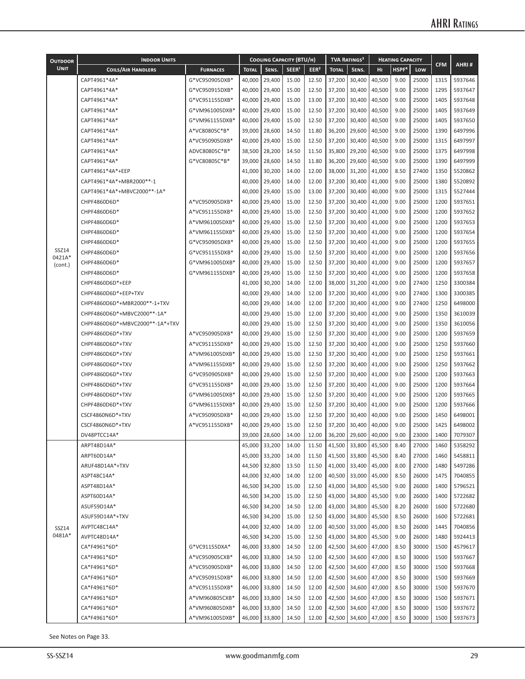| <b>UNIT</b><br>EER <sup>2</sup><br>HSPF <sup>4</sup><br><b>COILS/AIR HANDLERS</b><br>SEER <sup>1</sup><br>Low<br><b>FURNACES</b><br><b>TOTAL</b><br>SENS.<br><b>TOTAL</b><br>SENS.<br>HI<br>CAPT4961*4A*<br>40,000<br>29,400<br>15.00<br>37,200<br>30,400<br>40,500<br>9.00<br>25000<br>1315<br>5937646<br>G*VC950905DXB*<br>12.50<br>CAPT4961*4A*<br>G*VC950915DXB*<br>40,000<br>29,400<br>15.00<br>12.50<br>37,200<br>30,400<br>9.00<br>25000<br>1295<br>5937647<br>40,500<br>25000<br>CAPT4961*4A*<br>G*VC951155DXB*<br>40,000<br>29,400<br>15.00<br>13.00<br>37,200<br>9.00<br>1405<br>5937648<br>30,400<br>40,500<br>25000<br>CAPT4961*4A*<br>G*VM961005DXB*<br>40,000<br>29,400<br>15.00<br>12.50<br>37,200<br>30,400<br>40,500<br>9.00<br>1405<br>5937649<br>CAPT4961*4A*<br>G*VM961155DXB*<br>40,000<br>29,400<br>15.00<br>12.50<br>37,200<br>30,400<br>40,500<br>9.00<br>25000<br>1405<br>5937650<br>CAPT4961*4A*<br>A*VC80805C*B*<br>39,000<br>28,600<br>14.50<br>11.80<br>36,200<br>29,600<br>9.00<br>25000<br>1390<br>6497996<br>40,500<br>CAPT4961*4A*<br>A*VC950905DXB*<br>40,000<br>29,400<br>15.00<br>12.50<br>37,200<br>30,400<br>40,500<br>9.00<br>25000<br>1315<br>6497997<br>CAPT4961*4A*<br>ADVC80805C*B*<br>28,200<br>14.50<br>11.50<br>35,800<br>29,200<br>9.00<br>25000<br>1375<br>6497998<br>38,500<br>40,500<br>CAPT4961*4A*<br>G*VC80805C*B*<br>39,000<br>28,600<br>14.50<br>11.80<br>36,200<br>29,600<br>40,500<br>9.00<br>25000<br>1390<br>6497999<br>30,200<br>12.00<br>38,000<br>31,200<br>8.50<br>27400<br>1350<br>5520862<br>CAPT4961*4A*+EEP<br>41,000<br>14.00<br>41,000<br>CAPT4961*4A*+MBR2000**-1<br>40,000<br>29,400<br>12.00<br>37,200<br>30,400<br>9.00<br>25000<br>1380<br>5520892<br>14.00<br>41,000<br>CAPT4961*4A*+MBVC2000**-1A*<br>40,000<br>29,400<br>15.00<br>13.00<br>30,400<br>9.00<br>25000<br>1315<br>5527444<br>37,200<br>40,000<br>CHPF4860D6D*<br>40,000<br>29,400<br>15.00<br>12.50<br>37,200<br>30,400<br>9.00<br>25000<br>1200<br>5937651<br>A*VC950905DXB*<br>41,000<br>5937652<br>CHPF4860D6D*<br>A*VC951155DXB*<br>40,000<br>29,400<br>15.00<br>12.50<br>37,200<br>30,400<br>9.00<br>25000<br>1200<br>41,000<br>CHPF4860D6D*<br>A*VM961005DXB*<br>40,000<br>29,400<br>15.00<br>12.50<br>37,200<br>30,400<br>41,000<br>9.00<br>25000<br>1200<br>5937653<br>CHPF4860D6D*<br>A*VM961155DXB*<br>40,000<br>29,400<br>15.00<br>12.50<br>37,200<br>30,400<br>41,000<br>9.00<br>25000<br>1200<br>5937654<br>CHPF4860D6D*<br>G*VC950905DXB*<br>40,000<br>29,400<br>15.00<br>12.50<br>37,200<br>30,400<br>9.00<br>25000<br>1200<br>5937655<br>41,000<br><b>SSZ14</b><br>CHPF4860D6D*<br>G*VC951155DXB*<br>40,000<br>29,400<br>15.00<br>12.50<br>37,200<br>30,400<br>9.00<br>25000<br>1200<br>5937656<br>41,000<br>0421A*<br>G*VM961005DXB*<br>40,000<br>15.00<br>12.50<br>37,200<br>9.00<br>25000<br>1200<br>5937657<br>CHPF4860D6D*<br>29,400<br>30,400<br>41,000<br>(cont.)<br>40,000<br>15.00<br>37,200<br>9.00<br>25000<br>1200<br>5937658<br>CHPF4860D6D*<br>G*VM961155DXB*<br>29,400<br>12.50<br>30,400<br>41,000<br>3300384<br>CHPF4860D6D*+EEP<br>30,200<br>38,000<br>31,200<br>9.00<br>27400<br>1250<br>41,000<br>14.00<br>12.00<br>41.000<br>CHPF4860D6D*+EEP+TXV<br>40,000<br>29,400<br>14.00<br>12.00<br>37,200<br>30,400<br>9.00<br>27400<br>1300<br>3300385<br>41,000<br>1250<br>6498000<br>CHPF4860D6D*+MBR2000**-1+TXV<br>40,000<br>29,400<br>14.00<br>12.00<br>37,200<br>30,400<br>9.00<br>27400<br>41,000<br>CHPF4860D6D*+MBVC2000**-1A*<br>40,000<br>29,400<br>15.00<br>12.00<br>37,200<br>30,400<br>41,000<br>9.00<br>25000<br>1350<br>3610039<br>CHPF4860D6D*+MBVC2000**-1A*+TXV<br>40,000<br>29,400<br>15.00<br>12.50<br>37,200<br>30,400<br>41,000<br>9.00<br>25000<br>1350<br>3610056<br>CHPF4860D6D*+TXV<br>A*VC950905DXB*<br>40,000<br>29,400<br>15.00<br>12.50<br>37,200<br>30,400<br>41,000<br>9.00<br>25000<br>1200<br>5937659<br>CHPF4860D6D*+TXV<br>40,000<br>29,400<br>15.00<br>37,200<br>30,400<br>9.00<br>25000<br>1250<br>5937660<br>A*VC951155DXB*<br>12.50<br>41,000<br>CHPF4860D6D*+TXV<br>40,000<br>29,400<br>15.00<br>12.50<br>37,200<br>30,400<br>41,000<br>9.00<br>25000<br>1250<br>5937661<br>A*VM961005DXB*<br>30,400<br>9.00<br>25000<br>1250<br>5937662<br>CHPF4860D6D*+TXV<br>A*VM961155DXB*<br>40,000<br>29,400<br>15.00<br>12.50<br>37,200<br>41,000<br>9.00<br>5937663<br>CHPF4860D6D*+TXV<br>G*VC950905DXB*<br>40,000<br>29,400<br>15.00<br>12.50<br>37,200<br>30,400<br>41,000<br>25000<br>1200<br>40,000<br>29,400<br>15.00<br>12.50<br>37,200<br>30,400<br>9.00<br>25000<br>1200<br>5937664<br>CHPF4860D6D*+TXV<br>G*VC951155DXB*<br>41,000<br>40.000<br>29,400<br>15.00<br>12.50<br>37,200<br>30,400<br>41.000<br>9.00<br>25000<br>1200<br>5937665<br>CHPF4860D6D*+TXV<br>G*VM961005DXB*<br>40,000<br>29,400<br>15.00<br>12.50<br>37,200<br>30,400<br>41,000<br>9.00<br>25000<br>1200<br>5937666<br>CHPF4860D6D*+TXV<br>G*VM961155DXB*<br>CSCF4860N6D*+TXV<br>A*VC950905DXB*<br>40,000<br>29,400<br>15.00<br>12.50<br>37,200<br>30,400<br>9.00<br>25000<br>1450<br>6498001<br>40,000<br>CSCF4860N6D*+TXV<br>A*VC951155DXB*<br>40,000<br>29,400<br>15.00<br>12.50<br>37,200<br>30,400<br>40,000<br>9.00<br>25000<br>1425<br>6498002<br>DV48PTCC14A*<br>39,000<br>28,600<br>14.00<br>12.00<br>36,200<br>29,600 40,000<br>9.00<br>23000<br>1400<br>7079307<br>45,000<br>33,200<br>41,500<br>45,500<br>27000<br>5358292<br>ARPT48D14A*<br>14.00<br>11.50<br>33,800<br>8.40<br>1460<br>45,000<br>33,200<br>14.00<br>11.50<br>41,500<br>33,800   45,500<br>8.40<br>27000<br>1460<br>5458811<br>ARPT60D14A*<br>44,500<br>32,800<br>11.50<br>41,000<br>33,400<br>45,000<br>27000<br>1480<br>5497286<br>ARUF48D14A*+TXV<br>13.50<br>8.00<br>44,000<br>32,400<br>14.00<br>12.00<br>40,500<br>33,000<br>45,000<br>26000<br>7040855<br>ASPT48C14A*<br>8.50<br>1475<br>ASPT48D14A*<br>46,500<br>34,200<br>15.00<br>12.50<br>43,000<br>34,800<br>9.00<br>26000<br>1400<br>5796521<br>45,500<br>ASPT60D14A*<br>46,500<br>34,200<br>15.00<br>12.50<br>43,000<br>34,800<br>45,500<br>9.00<br>26000<br>1400<br>5722682<br>ASUF59D14A*<br>46,500<br>34,200<br>14.50<br>12.00<br>43,000<br>34,800<br>45,500<br>8.20<br>26000<br>1600<br>5722680<br>ASUF59D14A*+TXV<br>46,500<br>34,200<br>15.00<br>12.50<br>43,000<br>34,800<br>8.50<br>26000<br>1600<br>5722681<br>45,500<br>7040856<br>AVPTC48C14A*<br>44,000<br>32,400<br>14.00<br>12.00<br>40,500<br>33,000<br>45,000<br>8.50<br>26000<br>1445<br><b>SSZ14</b><br>0481A*<br>AVPTC48D14A*<br>46,500<br>34,200<br>15.00<br>12.50<br>43,000<br>34,800<br>9.00<br>26000<br>1480<br>5924413<br>45,500<br>CA*F4961*6D*<br>G*VC91155DXA*<br>46,000<br>33,800<br>14.50<br>12.00<br>42,500<br>34,600<br>47,000<br>8.50<br>30000<br>1500<br>4579617<br>46,000<br>33,800<br>12.00<br>42,500<br>34,600<br>30000<br>5937667<br>CA*F4961*6D*<br>A*VC950905CXB*<br>14.50<br>47,000<br>8.50<br>1500<br>CA*F4961*6D*<br>A*VC950905DXB*<br>46,000<br>33,800<br>12.00<br>42,500<br>34,600<br>47,000<br>30000<br>1500<br>5937668<br>14.50<br>8.50<br>CA*F4961*6D*<br>A*VC950915DXB*<br>46,000<br>33,800<br>12.00<br>42,500<br>34,600<br>47,000<br>30000<br>1500<br>5937669<br>14.50<br>8.50<br>CA*F4961*6D*<br>46,000<br>33,800<br>12.00<br>42,500<br>34,600<br>47,000<br>8.50<br>30000<br>1500<br>5937670<br>A*VC951155DXB*<br>14.50<br>CA*F4961*6D*<br>A*VM960805CXB*<br>46,000<br>33,800<br>12.00<br>42,500<br>34,600<br>47,000<br>8.50<br>30000<br>1500<br>5937671<br>14.50<br>CA*F4961*6D*<br>A*VM960805DXB*<br>46,000<br>33,800<br>12.00<br>42,500<br>34,600<br>47,000<br>8.50<br>30000<br>1500<br>5937672<br>14.50 | <b>OUTDOOR</b> | <b>INDOOR UNITS</b> |                |        | <b>COOLING CAPACITY (BTU/H)</b> |       |       | <b>TVA RATINGS<sup>3</sup></b> |  | <b>HEATING CAPACITY</b> |      |       | <b>CFM</b> |         |
|--------------------------------------------------------------------------------------------------------------------------------------------------------------------------------------------------------------------------------------------------------------------------------------------------------------------------------------------------------------------------------------------------------------------------------------------------------------------------------------------------------------------------------------------------------------------------------------------------------------------------------------------------------------------------------------------------------------------------------------------------------------------------------------------------------------------------------------------------------------------------------------------------------------------------------------------------------------------------------------------------------------------------------------------------------------------------------------------------------------------------------------------------------------------------------------------------------------------------------------------------------------------------------------------------------------------------------------------------------------------------------------------------------------------------------------------------------------------------------------------------------------------------------------------------------------------------------------------------------------------------------------------------------------------------------------------------------------------------------------------------------------------------------------------------------------------------------------------------------------------------------------------------------------------------------------------------------------------------------------------------------------------------------------------------------------------------------------------------------------------------------------------------------------------------------------------------------------------------------------------------------------------------------------------------------------------------------------------------------------------------------------------------------------------------------------------------------------------------------------------------------------------------------------------------------------------------------------------------------------------------------------------------------------------------------------------------------------------------------------------------------------------------------------------------------------------------------------------------------------------------------------------------------------------------------------------------------------------------------------------------------------------------------------------------------------------------------------------------------------------------------------------------------------------------------------------------------------------------------------------------------------------------------------------------------------------------------------------------------------------------------------------------------------------------------------------------------------------------------------------------------------------------------------------------------------------------------------------------------------------------------------------------------------------------------------------------------------------------------------------------------------------------------------------------------------------------------------------------------------------------------------------------------------------------------------------------------------------------------------------------------------------------------------------------------------------------------------------------------------------------------------------------------------------------------------------------------------------------------------------------------------------------------------------------------------------------------------------------------------------------------------------------------------------------------------------------------------------------------------------------------------------------------------------------------------------------------------------------------------------------------------------------------------------------------------------------------------------------------------------------------------------------------------------------------------------------------------------------------------------------------------------------------------------------------------------------------------------------------------------------------------------------------------------------------------------------------------------------------------------------------------------------------------------------------------------------------------------------------------------------------------------------------------------------------------------------------------------------------------------------------------------------------------------------------------------------------------------------------------------------------------------------------------------------------------------------------------------------------------------------------------------------------------------------------------------------------------------------------------------------------------------------------------------------------------------------------------------------------------------------------------------------------------------------------------------------------------------------------------------------------------------------------------------------------------------------------------------------------------------------------------------------------------------------------------------------------------------------------------------------------------------------------------------------------------------------------------------------------------------------------------------------------------------------------------------------------------------------------------------------------------------------------------------------------------------------------------------------------------------------------------------------------------------------------------------------------------------------------------------------------------------------------------------------------------------------------------------------------------------------------------------------------------------------------------------------------------------------------------------------------------------------------------------------------------------------------------------------------------------------------------------------------------------------------------------------------------------------------------------------------------------------------------------------------------------------------------------------------------------------------------------------------------------------------------------------------------------------------------------------------------------------------------------------------------------------------------------------------------------------------------------------|----------------|---------------------|----------------|--------|---------------------------------|-------|-------|--------------------------------|--|-------------------------|------|-------|------------|---------|
|                                                                                                                                                                                                                                                                                                                                                                                                                                                                                                                                                                                                                                                                                                                                                                                                                                                                                                                                                                                                                                                                                                                                                                                                                                                                                                                                                                                                                                                                                                                                                                                                                                                                                                                                                                                                                                                                                                                                                                                                                                                                                                                                                                                                                                                                                                                                                                                                                                                                                                                                                                                                                                                                                                                                                                                                                                                                                                                                                                                                                                                                                                                                                                                                                                                                                                                                                                                                                                                                                                                                                                                                                                                                                                                                                                                                                                                                                                                                                                                                                                                                                                                                                                                                                                                                                                                                                                                                                                                                                                                                                                                                                                                                                                                                                                                                                                                                                                                                                                                                                                                                                                                                                                                                                                                                                                                                                                                                                                                                                                                                                                                                                                                                                                                                                                                                                                                                                                                                                                                                                                                                                                                                                                                                                                                                                                                                                                                                                                                                                                                                                                                                                                                                                                                                                                                                                                                                                                                                                                                                                                                                                                                                                                                                                                                                                                                                                                                                                                                                                                                                                                                                                                                  |                |                     |                |        |                                 |       |       |                                |  |                         |      |       |            | AHRI#   |
|                                                                                                                                                                                                                                                                                                                                                                                                                                                                                                                                                                                                                                                                                                                                                                                                                                                                                                                                                                                                                                                                                                                                                                                                                                                                                                                                                                                                                                                                                                                                                                                                                                                                                                                                                                                                                                                                                                                                                                                                                                                                                                                                                                                                                                                                                                                                                                                                                                                                                                                                                                                                                                                                                                                                                                                                                                                                                                                                                                                                                                                                                                                                                                                                                                                                                                                                                                                                                                                                                                                                                                                                                                                                                                                                                                                                                                                                                                                                                                                                                                                                                                                                                                                                                                                                                                                                                                                                                                                                                                                                                                                                                                                                                                                                                                                                                                                                                                                                                                                                                                                                                                                                                                                                                                                                                                                                                                                                                                                                                                                                                                                                                                                                                                                                                                                                                                                                                                                                                                                                                                                                                                                                                                                                                                                                                                                                                                                                                                                                                                                                                                                                                                                                                                                                                                                                                                                                                                                                                                                                                                                                                                                                                                                                                                                                                                                                                                                                                                                                                                                                                                                                                                                  |                |                     |                |        |                                 |       |       |                                |  |                         |      |       |            |         |
|                                                                                                                                                                                                                                                                                                                                                                                                                                                                                                                                                                                                                                                                                                                                                                                                                                                                                                                                                                                                                                                                                                                                                                                                                                                                                                                                                                                                                                                                                                                                                                                                                                                                                                                                                                                                                                                                                                                                                                                                                                                                                                                                                                                                                                                                                                                                                                                                                                                                                                                                                                                                                                                                                                                                                                                                                                                                                                                                                                                                                                                                                                                                                                                                                                                                                                                                                                                                                                                                                                                                                                                                                                                                                                                                                                                                                                                                                                                                                                                                                                                                                                                                                                                                                                                                                                                                                                                                                                                                                                                                                                                                                                                                                                                                                                                                                                                                                                                                                                                                                                                                                                                                                                                                                                                                                                                                                                                                                                                                                                                                                                                                                                                                                                                                                                                                                                                                                                                                                                                                                                                                                                                                                                                                                                                                                                                                                                                                                                                                                                                                                                                                                                                                                                                                                                                                                                                                                                                                                                                                                                                                                                                                                                                                                                                                                                                                                                                                                                                                                                                                                                                                                                                  |                |                     |                |        |                                 |       |       |                                |  |                         |      |       |            |         |
|                                                                                                                                                                                                                                                                                                                                                                                                                                                                                                                                                                                                                                                                                                                                                                                                                                                                                                                                                                                                                                                                                                                                                                                                                                                                                                                                                                                                                                                                                                                                                                                                                                                                                                                                                                                                                                                                                                                                                                                                                                                                                                                                                                                                                                                                                                                                                                                                                                                                                                                                                                                                                                                                                                                                                                                                                                                                                                                                                                                                                                                                                                                                                                                                                                                                                                                                                                                                                                                                                                                                                                                                                                                                                                                                                                                                                                                                                                                                                                                                                                                                                                                                                                                                                                                                                                                                                                                                                                                                                                                                                                                                                                                                                                                                                                                                                                                                                                                                                                                                                                                                                                                                                                                                                                                                                                                                                                                                                                                                                                                                                                                                                                                                                                                                                                                                                                                                                                                                                                                                                                                                                                                                                                                                                                                                                                                                                                                                                                                                                                                                                                                                                                                                                                                                                                                                                                                                                                                                                                                                                                                                                                                                                                                                                                                                                                                                                                                                                                                                                                                                                                                                                                                  |                |                     |                |        |                                 |       |       |                                |  |                         |      |       |            |         |
|                                                                                                                                                                                                                                                                                                                                                                                                                                                                                                                                                                                                                                                                                                                                                                                                                                                                                                                                                                                                                                                                                                                                                                                                                                                                                                                                                                                                                                                                                                                                                                                                                                                                                                                                                                                                                                                                                                                                                                                                                                                                                                                                                                                                                                                                                                                                                                                                                                                                                                                                                                                                                                                                                                                                                                                                                                                                                                                                                                                                                                                                                                                                                                                                                                                                                                                                                                                                                                                                                                                                                                                                                                                                                                                                                                                                                                                                                                                                                                                                                                                                                                                                                                                                                                                                                                                                                                                                                                                                                                                                                                                                                                                                                                                                                                                                                                                                                                                                                                                                                                                                                                                                                                                                                                                                                                                                                                                                                                                                                                                                                                                                                                                                                                                                                                                                                                                                                                                                                                                                                                                                                                                                                                                                                                                                                                                                                                                                                                                                                                                                                                                                                                                                                                                                                                                                                                                                                                                                                                                                                                                                                                                                                                                                                                                                                                                                                                                                                                                                                                                                                                                                                                                  |                |                     |                |        |                                 |       |       |                                |  |                         |      |       |            |         |
|                                                                                                                                                                                                                                                                                                                                                                                                                                                                                                                                                                                                                                                                                                                                                                                                                                                                                                                                                                                                                                                                                                                                                                                                                                                                                                                                                                                                                                                                                                                                                                                                                                                                                                                                                                                                                                                                                                                                                                                                                                                                                                                                                                                                                                                                                                                                                                                                                                                                                                                                                                                                                                                                                                                                                                                                                                                                                                                                                                                                                                                                                                                                                                                                                                                                                                                                                                                                                                                                                                                                                                                                                                                                                                                                                                                                                                                                                                                                                                                                                                                                                                                                                                                                                                                                                                                                                                                                                                                                                                                                                                                                                                                                                                                                                                                                                                                                                                                                                                                                                                                                                                                                                                                                                                                                                                                                                                                                                                                                                                                                                                                                                                                                                                                                                                                                                                                                                                                                                                                                                                                                                                                                                                                                                                                                                                                                                                                                                                                                                                                                                                                                                                                                                                                                                                                                                                                                                                                                                                                                                                                                                                                                                                                                                                                                                                                                                                                                                                                                                                                                                                                                                                                  |                |                     |                |        |                                 |       |       |                                |  |                         |      |       |            |         |
|                                                                                                                                                                                                                                                                                                                                                                                                                                                                                                                                                                                                                                                                                                                                                                                                                                                                                                                                                                                                                                                                                                                                                                                                                                                                                                                                                                                                                                                                                                                                                                                                                                                                                                                                                                                                                                                                                                                                                                                                                                                                                                                                                                                                                                                                                                                                                                                                                                                                                                                                                                                                                                                                                                                                                                                                                                                                                                                                                                                                                                                                                                                                                                                                                                                                                                                                                                                                                                                                                                                                                                                                                                                                                                                                                                                                                                                                                                                                                                                                                                                                                                                                                                                                                                                                                                                                                                                                                                                                                                                                                                                                                                                                                                                                                                                                                                                                                                                                                                                                                                                                                                                                                                                                                                                                                                                                                                                                                                                                                                                                                                                                                                                                                                                                                                                                                                                                                                                                                                                                                                                                                                                                                                                                                                                                                                                                                                                                                                                                                                                                                                                                                                                                                                                                                                                                                                                                                                                                                                                                                                                                                                                                                                                                                                                                                                                                                                                                                                                                                                                                                                                                                                                  |                |                     |                |        |                                 |       |       |                                |  |                         |      |       |            |         |
|                                                                                                                                                                                                                                                                                                                                                                                                                                                                                                                                                                                                                                                                                                                                                                                                                                                                                                                                                                                                                                                                                                                                                                                                                                                                                                                                                                                                                                                                                                                                                                                                                                                                                                                                                                                                                                                                                                                                                                                                                                                                                                                                                                                                                                                                                                                                                                                                                                                                                                                                                                                                                                                                                                                                                                                                                                                                                                                                                                                                                                                                                                                                                                                                                                                                                                                                                                                                                                                                                                                                                                                                                                                                                                                                                                                                                                                                                                                                                                                                                                                                                                                                                                                                                                                                                                                                                                                                                                                                                                                                                                                                                                                                                                                                                                                                                                                                                                                                                                                                                                                                                                                                                                                                                                                                                                                                                                                                                                                                                                                                                                                                                                                                                                                                                                                                                                                                                                                                                                                                                                                                                                                                                                                                                                                                                                                                                                                                                                                                                                                                                                                                                                                                                                                                                                                                                                                                                                                                                                                                                                                                                                                                                                                                                                                                                                                                                                                                                                                                                                                                                                                                                                                  |                |                     |                |        |                                 |       |       |                                |  |                         |      |       |            |         |
|                                                                                                                                                                                                                                                                                                                                                                                                                                                                                                                                                                                                                                                                                                                                                                                                                                                                                                                                                                                                                                                                                                                                                                                                                                                                                                                                                                                                                                                                                                                                                                                                                                                                                                                                                                                                                                                                                                                                                                                                                                                                                                                                                                                                                                                                                                                                                                                                                                                                                                                                                                                                                                                                                                                                                                                                                                                                                                                                                                                                                                                                                                                                                                                                                                                                                                                                                                                                                                                                                                                                                                                                                                                                                                                                                                                                                                                                                                                                                                                                                                                                                                                                                                                                                                                                                                                                                                                                                                                                                                                                                                                                                                                                                                                                                                                                                                                                                                                                                                                                                                                                                                                                                                                                                                                                                                                                                                                                                                                                                                                                                                                                                                                                                                                                                                                                                                                                                                                                                                                                                                                                                                                                                                                                                                                                                                                                                                                                                                                                                                                                                                                                                                                                                                                                                                                                                                                                                                                                                                                                                                                                                                                                                                                                                                                                                                                                                                                                                                                                                                                                                                                                                                                  |                |                     |                |        |                                 |       |       |                                |  |                         |      |       |            |         |
|                                                                                                                                                                                                                                                                                                                                                                                                                                                                                                                                                                                                                                                                                                                                                                                                                                                                                                                                                                                                                                                                                                                                                                                                                                                                                                                                                                                                                                                                                                                                                                                                                                                                                                                                                                                                                                                                                                                                                                                                                                                                                                                                                                                                                                                                                                                                                                                                                                                                                                                                                                                                                                                                                                                                                                                                                                                                                                                                                                                                                                                                                                                                                                                                                                                                                                                                                                                                                                                                                                                                                                                                                                                                                                                                                                                                                                                                                                                                                                                                                                                                                                                                                                                                                                                                                                                                                                                                                                                                                                                                                                                                                                                                                                                                                                                                                                                                                                                                                                                                                                                                                                                                                                                                                                                                                                                                                                                                                                                                                                                                                                                                                                                                                                                                                                                                                                                                                                                                                                                                                                                                                                                                                                                                                                                                                                                                                                                                                                                                                                                                                                                                                                                                                                                                                                                                                                                                                                                                                                                                                                                                                                                                                                                                                                                                                                                                                                                                                                                                                                                                                                                                                                                  |                |                     |                |        |                                 |       |       |                                |  |                         |      |       |            |         |
|                                                                                                                                                                                                                                                                                                                                                                                                                                                                                                                                                                                                                                                                                                                                                                                                                                                                                                                                                                                                                                                                                                                                                                                                                                                                                                                                                                                                                                                                                                                                                                                                                                                                                                                                                                                                                                                                                                                                                                                                                                                                                                                                                                                                                                                                                                                                                                                                                                                                                                                                                                                                                                                                                                                                                                                                                                                                                                                                                                                                                                                                                                                                                                                                                                                                                                                                                                                                                                                                                                                                                                                                                                                                                                                                                                                                                                                                                                                                                                                                                                                                                                                                                                                                                                                                                                                                                                                                                                                                                                                                                                                                                                                                                                                                                                                                                                                                                                                                                                                                                                                                                                                                                                                                                                                                                                                                                                                                                                                                                                                                                                                                                                                                                                                                                                                                                                                                                                                                                                                                                                                                                                                                                                                                                                                                                                                                                                                                                                                                                                                                                                                                                                                                                                                                                                                                                                                                                                                                                                                                                                                                                                                                                                                                                                                                                                                                                                                                                                                                                                                                                                                                                                                  |                |                     |                |        |                                 |       |       |                                |  |                         |      |       |            |         |
|                                                                                                                                                                                                                                                                                                                                                                                                                                                                                                                                                                                                                                                                                                                                                                                                                                                                                                                                                                                                                                                                                                                                                                                                                                                                                                                                                                                                                                                                                                                                                                                                                                                                                                                                                                                                                                                                                                                                                                                                                                                                                                                                                                                                                                                                                                                                                                                                                                                                                                                                                                                                                                                                                                                                                                                                                                                                                                                                                                                                                                                                                                                                                                                                                                                                                                                                                                                                                                                                                                                                                                                                                                                                                                                                                                                                                                                                                                                                                                                                                                                                                                                                                                                                                                                                                                                                                                                                                                                                                                                                                                                                                                                                                                                                                                                                                                                                                                                                                                                                                                                                                                                                                                                                                                                                                                                                                                                                                                                                                                                                                                                                                                                                                                                                                                                                                                                                                                                                                                                                                                                                                                                                                                                                                                                                                                                                                                                                                                                                                                                                                                                                                                                                                                                                                                                                                                                                                                                                                                                                                                                                                                                                                                                                                                                                                                                                                                                                                                                                                                                                                                                                                                                  |                |                     |                |        |                                 |       |       |                                |  |                         |      |       |            |         |
|                                                                                                                                                                                                                                                                                                                                                                                                                                                                                                                                                                                                                                                                                                                                                                                                                                                                                                                                                                                                                                                                                                                                                                                                                                                                                                                                                                                                                                                                                                                                                                                                                                                                                                                                                                                                                                                                                                                                                                                                                                                                                                                                                                                                                                                                                                                                                                                                                                                                                                                                                                                                                                                                                                                                                                                                                                                                                                                                                                                                                                                                                                                                                                                                                                                                                                                                                                                                                                                                                                                                                                                                                                                                                                                                                                                                                                                                                                                                                                                                                                                                                                                                                                                                                                                                                                                                                                                                                                                                                                                                                                                                                                                                                                                                                                                                                                                                                                                                                                                                                                                                                                                                                                                                                                                                                                                                                                                                                                                                                                                                                                                                                                                                                                                                                                                                                                                                                                                                                                                                                                                                                                                                                                                                                                                                                                                                                                                                                                                                                                                                                                                                                                                                                                                                                                                                                                                                                                                                                                                                                                                                                                                                                                                                                                                                                                                                                                                                                                                                                                                                                                                                                                                  |                |                     |                |        |                                 |       |       |                                |  |                         |      |       |            |         |
|                                                                                                                                                                                                                                                                                                                                                                                                                                                                                                                                                                                                                                                                                                                                                                                                                                                                                                                                                                                                                                                                                                                                                                                                                                                                                                                                                                                                                                                                                                                                                                                                                                                                                                                                                                                                                                                                                                                                                                                                                                                                                                                                                                                                                                                                                                                                                                                                                                                                                                                                                                                                                                                                                                                                                                                                                                                                                                                                                                                                                                                                                                                                                                                                                                                                                                                                                                                                                                                                                                                                                                                                                                                                                                                                                                                                                                                                                                                                                                                                                                                                                                                                                                                                                                                                                                                                                                                                                                                                                                                                                                                                                                                                                                                                                                                                                                                                                                                                                                                                                                                                                                                                                                                                                                                                                                                                                                                                                                                                                                                                                                                                                                                                                                                                                                                                                                                                                                                                                                                                                                                                                                                                                                                                                                                                                                                                                                                                                                                                                                                                                                                                                                                                                                                                                                                                                                                                                                                                                                                                                                                                                                                                                                                                                                                                                                                                                                                                                                                                                                                                                                                                                                                  |                |                     |                |        |                                 |       |       |                                |  |                         |      |       |            |         |
|                                                                                                                                                                                                                                                                                                                                                                                                                                                                                                                                                                                                                                                                                                                                                                                                                                                                                                                                                                                                                                                                                                                                                                                                                                                                                                                                                                                                                                                                                                                                                                                                                                                                                                                                                                                                                                                                                                                                                                                                                                                                                                                                                                                                                                                                                                                                                                                                                                                                                                                                                                                                                                                                                                                                                                                                                                                                                                                                                                                                                                                                                                                                                                                                                                                                                                                                                                                                                                                                                                                                                                                                                                                                                                                                                                                                                                                                                                                                                                                                                                                                                                                                                                                                                                                                                                                                                                                                                                                                                                                                                                                                                                                                                                                                                                                                                                                                                                                                                                                                                                                                                                                                                                                                                                                                                                                                                                                                                                                                                                                                                                                                                                                                                                                                                                                                                                                                                                                                                                                                                                                                                                                                                                                                                                                                                                                                                                                                                                                                                                                                                                                                                                                                                                                                                                                                                                                                                                                                                                                                                                                                                                                                                                                                                                                                                                                                                                                                                                                                                                                                                                                                                                                  |                |                     |                |        |                                 |       |       |                                |  |                         |      |       |            |         |
|                                                                                                                                                                                                                                                                                                                                                                                                                                                                                                                                                                                                                                                                                                                                                                                                                                                                                                                                                                                                                                                                                                                                                                                                                                                                                                                                                                                                                                                                                                                                                                                                                                                                                                                                                                                                                                                                                                                                                                                                                                                                                                                                                                                                                                                                                                                                                                                                                                                                                                                                                                                                                                                                                                                                                                                                                                                                                                                                                                                                                                                                                                                                                                                                                                                                                                                                                                                                                                                                                                                                                                                                                                                                                                                                                                                                                                                                                                                                                                                                                                                                                                                                                                                                                                                                                                                                                                                                                                                                                                                                                                                                                                                                                                                                                                                                                                                                                                                                                                                                                                                                                                                                                                                                                                                                                                                                                                                                                                                                                                                                                                                                                                                                                                                                                                                                                                                                                                                                                                                                                                                                                                                                                                                                                                                                                                                                                                                                                                                                                                                                                                                                                                                                                                                                                                                                                                                                                                                                                                                                                                                                                                                                                                                                                                                                                                                                                                                                                                                                                                                                                                                                                                                  |                |                     |                |        |                                 |       |       |                                |  |                         |      |       |            |         |
|                                                                                                                                                                                                                                                                                                                                                                                                                                                                                                                                                                                                                                                                                                                                                                                                                                                                                                                                                                                                                                                                                                                                                                                                                                                                                                                                                                                                                                                                                                                                                                                                                                                                                                                                                                                                                                                                                                                                                                                                                                                                                                                                                                                                                                                                                                                                                                                                                                                                                                                                                                                                                                                                                                                                                                                                                                                                                                                                                                                                                                                                                                                                                                                                                                                                                                                                                                                                                                                                                                                                                                                                                                                                                                                                                                                                                                                                                                                                                                                                                                                                                                                                                                                                                                                                                                                                                                                                                                                                                                                                                                                                                                                                                                                                                                                                                                                                                                                                                                                                                                                                                                                                                                                                                                                                                                                                                                                                                                                                                                                                                                                                                                                                                                                                                                                                                                                                                                                                                                                                                                                                                                                                                                                                                                                                                                                                                                                                                                                                                                                                                                                                                                                                                                                                                                                                                                                                                                                                                                                                                                                                                                                                                                                                                                                                                                                                                                                                                                                                                                                                                                                                                                                  |                |                     |                |        |                                 |       |       |                                |  |                         |      |       |            |         |
|                                                                                                                                                                                                                                                                                                                                                                                                                                                                                                                                                                                                                                                                                                                                                                                                                                                                                                                                                                                                                                                                                                                                                                                                                                                                                                                                                                                                                                                                                                                                                                                                                                                                                                                                                                                                                                                                                                                                                                                                                                                                                                                                                                                                                                                                                                                                                                                                                                                                                                                                                                                                                                                                                                                                                                                                                                                                                                                                                                                                                                                                                                                                                                                                                                                                                                                                                                                                                                                                                                                                                                                                                                                                                                                                                                                                                                                                                                                                                                                                                                                                                                                                                                                                                                                                                                                                                                                                                                                                                                                                                                                                                                                                                                                                                                                                                                                                                                                                                                                                                                                                                                                                                                                                                                                                                                                                                                                                                                                                                                                                                                                                                                                                                                                                                                                                                                                                                                                                                                                                                                                                                                                                                                                                                                                                                                                                                                                                                                                                                                                                                                                                                                                                                                                                                                                                                                                                                                                                                                                                                                                                                                                                                                                                                                                                                                                                                                                                                                                                                                                                                                                                                                                  |                |                     |                |        |                                 |       |       |                                |  |                         |      |       |            |         |
|                                                                                                                                                                                                                                                                                                                                                                                                                                                                                                                                                                                                                                                                                                                                                                                                                                                                                                                                                                                                                                                                                                                                                                                                                                                                                                                                                                                                                                                                                                                                                                                                                                                                                                                                                                                                                                                                                                                                                                                                                                                                                                                                                                                                                                                                                                                                                                                                                                                                                                                                                                                                                                                                                                                                                                                                                                                                                                                                                                                                                                                                                                                                                                                                                                                                                                                                                                                                                                                                                                                                                                                                                                                                                                                                                                                                                                                                                                                                                                                                                                                                                                                                                                                                                                                                                                                                                                                                                                                                                                                                                                                                                                                                                                                                                                                                                                                                                                                                                                                                                                                                                                                                                                                                                                                                                                                                                                                                                                                                                                                                                                                                                                                                                                                                                                                                                                                                                                                                                                                                                                                                                                                                                                                                                                                                                                                                                                                                                                                                                                                                                                                                                                                                                                                                                                                                                                                                                                                                                                                                                                                                                                                                                                                                                                                                                                                                                                                                                                                                                                                                                                                                                                                  |                |                     |                |        |                                 |       |       |                                |  |                         |      |       |            |         |
|                                                                                                                                                                                                                                                                                                                                                                                                                                                                                                                                                                                                                                                                                                                                                                                                                                                                                                                                                                                                                                                                                                                                                                                                                                                                                                                                                                                                                                                                                                                                                                                                                                                                                                                                                                                                                                                                                                                                                                                                                                                                                                                                                                                                                                                                                                                                                                                                                                                                                                                                                                                                                                                                                                                                                                                                                                                                                                                                                                                                                                                                                                                                                                                                                                                                                                                                                                                                                                                                                                                                                                                                                                                                                                                                                                                                                                                                                                                                                                                                                                                                                                                                                                                                                                                                                                                                                                                                                                                                                                                                                                                                                                                                                                                                                                                                                                                                                                                                                                                                                                                                                                                                                                                                                                                                                                                                                                                                                                                                                                                                                                                                                                                                                                                                                                                                                                                                                                                                                                                                                                                                                                                                                                                                                                                                                                                                                                                                                                                                                                                                                                                                                                                                                                                                                                                                                                                                                                                                                                                                                                                                                                                                                                                                                                                                                                                                                                                                                                                                                                                                                                                                                                                  |                |                     |                |        |                                 |       |       |                                |  |                         |      |       |            |         |
|                                                                                                                                                                                                                                                                                                                                                                                                                                                                                                                                                                                                                                                                                                                                                                                                                                                                                                                                                                                                                                                                                                                                                                                                                                                                                                                                                                                                                                                                                                                                                                                                                                                                                                                                                                                                                                                                                                                                                                                                                                                                                                                                                                                                                                                                                                                                                                                                                                                                                                                                                                                                                                                                                                                                                                                                                                                                                                                                                                                                                                                                                                                                                                                                                                                                                                                                                                                                                                                                                                                                                                                                                                                                                                                                                                                                                                                                                                                                                                                                                                                                                                                                                                                                                                                                                                                                                                                                                                                                                                                                                                                                                                                                                                                                                                                                                                                                                                                                                                                                                                                                                                                                                                                                                                                                                                                                                                                                                                                                                                                                                                                                                                                                                                                                                                                                                                                                                                                                                                                                                                                                                                                                                                                                                                                                                                                                                                                                                                                                                                                                                                                                                                                                                                                                                                                                                                                                                                                                                                                                                                                                                                                                                                                                                                                                                                                                                                                                                                                                                                                                                                                                                                                  |                |                     |                |        |                                 |       |       |                                |  |                         |      |       |            |         |
|                                                                                                                                                                                                                                                                                                                                                                                                                                                                                                                                                                                                                                                                                                                                                                                                                                                                                                                                                                                                                                                                                                                                                                                                                                                                                                                                                                                                                                                                                                                                                                                                                                                                                                                                                                                                                                                                                                                                                                                                                                                                                                                                                                                                                                                                                                                                                                                                                                                                                                                                                                                                                                                                                                                                                                                                                                                                                                                                                                                                                                                                                                                                                                                                                                                                                                                                                                                                                                                                                                                                                                                                                                                                                                                                                                                                                                                                                                                                                                                                                                                                                                                                                                                                                                                                                                                                                                                                                                                                                                                                                                                                                                                                                                                                                                                                                                                                                                                                                                                                                                                                                                                                                                                                                                                                                                                                                                                                                                                                                                                                                                                                                                                                                                                                                                                                                                                                                                                                                                                                                                                                                                                                                                                                                                                                                                                                                                                                                                                                                                                                                                                                                                                                                                                                                                                                                                                                                                                                                                                                                                                                                                                                                                                                                                                                                                                                                                                                                                                                                                                                                                                                                                                  |                |                     |                |        |                                 |       |       |                                |  |                         |      |       |            |         |
|                                                                                                                                                                                                                                                                                                                                                                                                                                                                                                                                                                                                                                                                                                                                                                                                                                                                                                                                                                                                                                                                                                                                                                                                                                                                                                                                                                                                                                                                                                                                                                                                                                                                                                                                                                                                                                                                                                                                                                                                                                                                                                                                                                                                                                                                                                                                                                                                                                                                                                                                                                                                                                                                                                                                                                                                                                                                                                                                                                                                                                                                                                                                                                                                                                                                                                                                                                                                                                                                                                                                                                                                                                                                                                                                                                                                                                                                                                                                                                                                                                                                                                                                                                                                                                                                                                                                                                                                                                                                                                                                                                                                                                                                                                                                                                                                                                                                                                                                                                                                                                                                                                                                                                                                                                                                                                                                                                                                                                                                                                                                                                                                                                                                                                                                                                                                                                                                                                                                                                                                                                                                                                                                                                                                                                                                                                                                                                                                                                                                                                                                                                                                                                                                                                                                                                                                                                                                                                                                                                                                                                                                                                                                                                                                                                                                                                                                                                                                                                                                                                                                                                                                                                                  |                |                     |                |        |                                 |       |       |                                |  |                         |      |       |            |         |
|                                                                                                                                                                                                                                                                                                                                                                                                                                                                                                                                                                                                                                                                                                                                                                                                                                                                                                                                                                                                                                                                                                                                                                                                                                                                                                                                                                                                                                                                                                                                                                                                                                                                                                                                                                                                                                                                                                                                                                                                                                                                                                                                                                                                                                                                                                                                                                                                                                                                                                                                                                                                                                                                                                                                                                                                                                                                                                                                                                                                                                                                                                                                                                                                                                                                                                                                                                                                                                                                                                                                                                                                                                                                                                                                                                                                                                                                                                                                                                                                                                                                                                                                                                                                                                                                                                                                                                                                                                                                                                                                                                                                                                                                                                                                                                                                                                                                                                                                                                                                                                                                                                                                                                                                                                                                                                                                                                                                                                                                                                                                                                                                                                                                                                                                                                                                                                                                                                                                                                                                                                                                                                                                                                                                                                                                                                                                                                                                                                                                                                                                                                                                                                                                                                                                                                                                                                                                                                                                                                                                                                                                                                                                                                                                                                                                                                                                                                                                                                                                                                                                                                                                                                                  |                |                     |                |        |                                 |       |       |                                |  |                         |      |       |            |         |
|                                                                                                                                                                                                                                                                                                                                                                                                                                                                                                                                                                                                                                                                                                                                                                                                                                                                                                                                                                                                                                                                                                                                                                                                                                                                                                                                                                                                                                                                                                                                                                                                                                                                                                                                                                                                                                                                                                                                                                                                                                                                                                                                                                                                                                                                                                                                                                                                                                                                                                                                                                                                                                                                                                                                                                                                                                                                                                                                                                                                                                                                                                                                                                                                                                                                                                                                                                                                                                                                                                                                                                                                                                                                                                                                                                                                                                                                                                                                                                                                                                                                                                                                                                                                                                                                                                                                                                                                                                                                                                                                                                                                                                                                                                                                                                                                                                                                                                                                                                                                                                                                                                                                                                                                                                                                                                                                                                                                                                                                                                                                                                                                                                                                                                                                                                                                                                                                                                                                                                                                                                                                                                                                                                                                                                                                                                                                                                                                                                                                                                                                                                                                                                                                                                                                                                                                                                                                                                                                                                                                                                                                                                                                                                                                                                                                                                                                                                                                                                                                                                                                                                                                                                                  |                |                     |                |        |                                 |       |       |                                |  |                         |      |       |            |         |
|                                                                                                                                                                                                                                                                                                                                                                                                                                                                                                                                                                                                                                                                                                                                                                                                                                                                                                                                                                                                                                                                                                                                                                                                                                                                                                                                                                                                                                                                                                                                                                                                                                                                                                                                                                                                                                                                                                                                                                                                                                                                                                                                                                                                                                                                                                                                                                                                                                                                                                                                                                                                                                                                                                                                                                                                                                                                                                                                                                                                                                                                                                                                                                                                                                                                                                                                                                                                                                                                                                                                                                                                                                                                                                                                                                                                                                                                                                                                                                                                                                                                                                                                                                                                                                                                                                                                                                                                                                                                                                                                                                                                                                                                                                                                                                                                                                                                                                                                                                                                                                                                                                                                                                                                                                                                                                                                                                                                                                                                                                                                                                                                                                                                                                                                                                                                                                                                                                                                                                                                                                                                                                                                                                                                                                                                                                                                                                                                                                                                                                                                                                                                                                                                                                                                                                                                                                                                                                                                                                                                                                                                                                                                                                                                                                                                                                                                                                                                                                                                                                                                                                                                                                                  |                |                     |                |        |                                 |       |       |                                |  |                         |      |       |            |         |
|                                                                                                                                                                                                                                                                                                                                                                                                                                                                                                                                                                                                                                                                                                                                                                                                                                                                                                                                                                                                                                                                                                                                                                                                                                                                                                                                                                                                                                                                                                                                                                                                                                                                                                                                                                                                                                                                                                                                                                                                                                                                                                                                                                                                                                                                                                                                                                                                                                                                                                                                                                                                                                                                                                                                                                                                                                                                                                                                                                                                                                                                                                                                                                                                                                                                                                                                                                                                                                                                                                                                                                                                                                                                                                                                                                                                                                                                                                                                                                                                                                                                                                                                                                                                                                                                                                                                                                                                                                                                                                                                                                                                                                                                                                                                                                                                                                                                                                                                                                                                                                                                                                                                                                                                                                                                                                                                                                                                                                                                                                                                                                                                                                                                                                                                                                                                                                                                                                                                                                                                                                                                                                                                                                                                                                                                                                                                                                                                                                                                                                                                                                                                                                                                                                                                                                                                                                                                                                                                                                                                                                                                                                                                                                                                                                                                                                                                                                                                                                                                                                                                                                                                                                                  |                |                     |                |        |                                 |       |       |                                |  |                         |      |       |            |         |
|                                                                                                                                                                                                                                                                                                                                                                                                                                                                                                                                                                                                                                                                                                                                                                                                                                                                                                                                                                                                                                                                                                                                                                                                                                                                                                                                                                                                                                                                                                                                                                                                                                                                                                                                                                                                                                                                                                                                                                                                                                                                                                                                                                                                                                                                                                                                                                                                                                                                                                                                                                                                                                                                                                                                                                                                                                                                                                                                                                                                                                                                                                                                                                                                                                                                                                                                                                                                                                                                                                                                                                                                                                                                                                                                                                                                                                                                                                                                                                                                                                                                                                                                                                                                                                                                                                                                                                                                                                                                                                                                                                                                                                                                                                                                                                                                                                                                                                                                                                                                                                                                                                                                                                                                                                                                                                                                                                                                                                                                                                                                                                                                                                                                                                                                                                                                                                                                                                                                                                                                                                                                                                                                                                                                                                                                                                                                                                                                                                                                                                                                                                                                                                                                                                                                                                                                                                                                                                                                                                                                                                                                                                                                                                                                                                                                                                                                                                                                                                                                                                                                                                                                                                                  |                |                     |                |        |                                 |       |       |                                |  |                         |      |       |            |         |
|                                                                                                                                                                                                                                                                                                                                                                                                                                                                                                                                                                                                                                                                                                                                                                                                                                                                                                                                                                                                                                                                                                                                                                                                                                                                                                                                                                                                                                                                                                                                                                                                                                                                                                                                                                                                                                                                                                                                                                                                                                                                                                                                                                                                                                                                                                                                                                                                                                                                                                                                                                                                                                                                                                                                                                                                                                                                                                                                                                                                                                                                                                                                                                                                                                                                                                                                                                                                                                                                                                                                                                                                                                                                                                                                                                                                                                                                                                                                                                                                                                                                                                                                                                                                                                                                                                                                                                                                                                                                                                                                                                                                                                                                                                                                                                                                                                                                                                                                                                                                                                                                                                                                                                                                                                                                                                                                                                                                                                                                                                                                                                                                                                                                                                                                                                                                                                                                                                                                                                                                                                                                                                                                                                                                                                                                                                                                                                                                                                                                                                                                                                                                                                                                                                                                                                                                                                                                                                                                                                                                                                                                                                                                                                                                                                                                                                                                                                                                                                                                                                                                                                                                                                                  |                |                     |                |        |                                 |       |       |                                |  |                         |      |       |            |         |
|                                                                                                                                                                                                                                                                                                                                                                                                                                                                                                                                                                                                                                                                                                                                                                                                                                                                                                                                                                                                                                                                                                                                                                                                                                                                                                                                                                                                                                                                                                                                                                                                                                                                                                                                                                                                                                                                                                                                                                                                                                                                                                                                                                                                                                                                                                                                                                                                                                                                                                                                                                                                                                                                                                                                                                                                                                                                                                                                                                                                                                                                                                                                                                                                                                                                                                                                                                                                                                                                                                                                                                                                                                                                                                                                                                                                                                                                                                                                                                                                                                                                                                                                                                                                                                                                                                                                                                                                                                                                                                                                                                                                                                                                                                                                                                                                                                                                                                                                                                                                                                                                                                                                                                                                                                                                                                                                                                                                                                                                                                                                                                                                                                                                                                                                                                                                                                                                                                                                                                                                                                                                                                                                                                                                                                                                                                                                                                                                                                                                                                                                                                                                                                                                                                                                                                                                                                                                                                                                                                                                                                                                                                                                                                                                                                                                                                                                                                                                                                                                                                                                                                                                                                                  |                |                     |                |        |                                 |       |       |                                |  |                         |      |       |            |         |
|                                                                                                                                                                                                                                                                                                                                                                                                                                                                                                                                                                                                                                                                                                                                                                                                                                                                                                                                                                                                                                                                                                                                                                                                                                                                                                                                                                                                                                                                                                                                                                                                                                                                                                                                                                                                                                                                                                                                                                                                                                                                                                                                                                                                                                                                                                                                                                                                                                                                                                                                                                                                                                                                                                                                                                                                                                                                                                                                                                                                                                                                                                                                                                                                                                                                                                                                                                                                                                                                                                                                                                                                                                                                                                                                                                                                                                                                                                                                                                                                                                                                                                                                                                                                                                                                                                                                                                                                                                                                                                                                                                                                                                                                                                                                                                                                                                                                                                                                                                                                                                                                                                                                                                                                                                                                                                                                                                                                                                                                                                                                                                                                                                                                                                                                                                                                                                                                                                                                                                                                                                                                                                                                                                                                                                                                                                                                                                                                                                                                                                                                                                                                                                                                                                                                                                                                                                                                                                                                                                                                                                                                                                                                                                                                                                                                                                                                                                                                                                                                                                                                                                                                                                                  |                |                     |                |        |                                 |       |       |                                |  |                         |      |       |            |         |
|                                                                                                                                                                                                                                                                                                                                                                                                                                                                                                                                                                                                                                                                                                                                                                                                                                                                                                                                                                                                                                                                                                                                                                                                                                                                                                                                                                                                                                                                                                                                                                                                                                                                                                                                                                                                                                                                                                                                                                                                                                                                                                                                                                                                                                                                                                                                                                                                                                                                                                                                                                                                                                                                                                                                                                                                                                                                                                                                                                                                                                                                                                                                                                                                                                                                                                                                                                                                                                                                                                                                                                                                                                                                                                                                                                                                                                                                                                                                                                                                                                                                                                                                                                                                                                                                                                                                                                                                                                                                                                                                                                                                                                                                                                                                                                                                                                                                                                                                                                                                                                                                                                                                                                                                                                                                                                                                                                                                                                                                                                                                                                                                                                                                                                                                                                                                                                                                                                                                                                                                                                                                                                                                                                                                                                                                                                                                                                                                                                                                                                                                                                                                                                                                                                                                                                                                                                                                                                                                                                                                                                                                                                                                                                                                                                                                                                                                                                                                                                                                                                                                                                                                                                                  |                |                     |                |        |                                 |       |       |                                |  |                         |      |       |            |         |
|                                                                                                                                                                                                                                                                                                                                                                                                                                                                                                                                                                                                                                                                                                                                                                                                                                                                                                                                                                                                                                                                                                                                                                                                                                                                                                                                                                                                                                                                                                                                                                                                                                                                                                                                                                                                                                                                                                                                                                                                                                                                                                                                                                                                                                                                                                                                                                                                                                                                                                                                                                                                                                                                                                                                                                                                                                                                                                                                                                                                                                                                                                                                                                                                                                                                                                                                                                                                                                                                                                                                                                                                                                                                                                                                                                                                                                                                                                                                                                                                                                                                                                                                                                                                                                                                                                                                                                                                                                                                                                                                                                                                                                                                                                                                                                                                                                                                                                                                                                                                                                                                                                                                                                                                                                                                                                                                                                                                                                                                                                                                                                                                                                                                                                                                                                                                                                                                                                                                                                                                                                                                                                                                                                                                                                                                                                                                                                                                                                                                                                                                                                                                                                                                                                                                                                                                                                                                                                                                                                                                                                                                                                                                                                                                                                                                                                                                                                                                                                                                                                                                                                                                                                                  |                |                     |                |        |                                 |       |       |                                |  |                         |      |       |            |         |
|                                                                                                                                                                                                                                                                                                                                                                                                                                                                                                                                                                                                                                                                                                                                                                                                                                                                                                                                                                                                                                                                                                                                                                                                                                                                                                                                                                                                                                                                                                                                                                                                                                                                                                                                                                                                                                                                                                                                                                                                                                                                                                                                                                                                                                                                                                                                                                                                                                                                                                                                                                                                                                                                                                                                                                                                                                                                                                                                                                                                                                                                                                                                                                                                                                                                                                                                                                                                                                                                                                                                                                                                                                                                                                                                                                                                                                                                                                                                                                                                                                                                                                                                                                                                                                                                                                                                                                                                                                                                                                                                                                                                                                                                                                                                                                                                                                                                                                                                                                                                                                                                                                                                                                                                                                                                                                                                                                                                                                                                                                                                                                                                                                                                                                                                                                                                                                                                                                                                                                                                                                                                                                                                                                                                                                                                                                                                                                                                                                                                                                                                                                                                                                                                                                                                                                                                                                                                                                                                                                                                                                                                                                                                                                                                                                                                                                                                                                                                                                                                                                                                                                                                                                                  |                |                     |                |        |                                 |       |       |                                |  |                         |      |       |            |         |
|                                                                                                                                                                                                                                                                                                                                                                                                                                                                                                                                                                                                                                                                                                                                                                                                                                                                                                                                                                                                                                                                                                                                                                                                                                                                                                                                                                                                                                                                                                                                                                                                                                                                                                                                                                                                                                                                                                                                                                                                                                                                                                                                                                                                                                                                                                                                                                                                                                                                                                                                                                                                                                                                                                                                                                                                                                                                                                                                                                                                                                                                                                                                                                                                                                                                                                                                                                                                                                                                                                                                                                                                                                                                                                                                                                                                                                                                                                                                                                                                                                                                                                                                                                                                                                                                                                                                                                                                                                                                                                                                                                                                                                                                                                                                                                                                                                                                                                                                                                                                                                                                                                                                                                                                                                                                                                                                                                                                                                                                                                                                                                                                                                                                                                                                                                                                                                                                                                                                                                                                                                                                                                                                                                                                                                                                                                                                                                                                                                                                                                                                                                                                                                                                                                                                                                                                                                                                                                                                                                                                                                                                                                                                                                                                                                                                                                                                                                                                                                                                                                                                                                                                                                                  |                |                     |                |        |                                 |       |       |                                |  |                         |      |       |            |         |
|                                                                                                                                                                                                                                                                                                                                                                                                                                                                                                                                                                                                                                                                                                                                                                                                                                                                                                                                                                                                                                                                                                                                                                                                                                                                                                                                                                                                                                                                                                                                                                                                                                                                                                                                                                                                                                                                                                                                                                                                                                                                                                                                                                                                                                                                                                                                                                                                                                                                                                                                                                                                                                                                                                                                                                                                                                                                                                                                                                                                                                                                                                                                                                                                                                                                                                                                                                                                                                                                                                                                                                                                                                                                                                                                                                                                                                                                                                                                                                                                                                                                                                                                                                                                                                                                                                                                                                                                                                                                                                                                                                                                                                                                                                                                                                                                                                                                                                                                                                                                                                                                                                                                                                                                                                                                                                                                                                                                                                                                                                                                                                                                                                                                                                                                                                                                                                                                                                                                                                                                                                                                                                                                                                                                                                                                                                                                                                                                                                                                                                                                                                                                                                                                                                                                                                                                                                                                                                                                                                                                                                                                                                                                                                                                                                                                                                                                                                                                                                                                                                                                                                                                                                                  |                |                     |                |        |                                 |       |       |                                |  |                         |      |       |            |         |
|                                                                                                                                                                                                                                                                                                                                                                                                                                                                                                                                                                                                                                                                                                                                                                                                                                                                                                                                                                                                                                                                                                                                                                                                                                                                                                                                                                                                                                                                                                                                                                                                                                                                                                                                                                                                                                                                                                                                                                                                                                                                                                                                                                                                                                                                                                                                                                                                                                                                                                                                                                                                                                                                                                                                                                                                                                                                                                                                                                                                                                                                                                                                                                                                                                                                                                                                                                                                                                                                                                                                                                                                                                                                                                                                                                                                                                                                                                                                                                                                                                                                                                                                                                                                                                                                                                                                                                                                                                                                                                                                                                                                                                                                                                                                                                                                                                                                                                                                                                                                                                                                                                                                                                                                                                                                                                                                                                                                                                                                                                                                                                                                                                                                                                                                                                                                                                                                                                                                                                                                                                                                                                                                                                                                                                                                                                                                                                                                                                                                                                                                                                                                                                                                                                                                                                                                                                                                                                                                                                                                                                                                                                                                                                                                                                                                                                                                                                                                                                                                                                                                                                                                                                                  |                |                     |                |        |                                 |       |       |                                |  |                         |      |       |            |         |
|                                                                                                                                                                                                                                                                                                                                                                                                                                                                                                                                                                                                                                                                                                                                                                                                                                                                                                                                                                                                                                                                                                                                                                                                                                                                                                                                                                                                                                                                                                                                                                                                                                                                                                                                                                                                                                                                                                                                                                                                                                                                                                                                                                                                                                                                                                                                                                                                                                                                                                                                                                                                                                                                                                                                                                                                                                                                                                                                                                                                                                                                                                                                                                                                                                                                                                                                                                                                                                                                                                                                                                                                                                                                                                                                                                                                                                                                                                                                                                                                                                                                                                                                                                                                                                                                                                                                                                                                                                                                                                                                                                                                                                                                                                                                                                                                                                                                                                                                                                                                                                                                                                                                                                                                                                                                                                                                                                                                                                                                                                                                                                                                                                                                                                                                                                                                                                                                                                                                                                                                                                                                                                                                                                                                                                                                                                                                                                                                                                                                                                                                                                                                                                                                                                                                                                                                                                                                                                                                                                                                                                                                                                                                                                                                                                                                                                                                                                                                                                                                                                                                                                                                                                                  |                |                     |                |        |                                 |       |       |                                |  |                         |      |       |            |         |
|                                                                                                                                                                                                                                                                                                                                                                                                                                                                                                                                                                                                                                                                                                                                                                                                                                                                                                                                                                                                                                                                                                                                                                                                                                                                                                                                                                                                                                                                                                                                                                                                                                                                                                                                                                                                                                                                                                                                                                                                                                                                                                                                                                                                                                                                                                                                                                                                                                                                                                                                                                                                                                                                                                                                                                                                                                                                                                                                                                                                                                                                                                                                                                                                                                                                                                                                                                                                                                                                                                                                                                                                                                                                                                                                                                                                                                                                                                                                                                                                                                                                                                                                                                                                                                                                                                                                                                                                                                                                                                                                                                                                                                                                                                                                                                                                                                                                                                                                                                                                                                                                                                                                                                                                                                                                                                                                                                                                                                                                                                                                                                                                                                                                                                                                                                                                                                                                                                                                                                                                                                                                                                                                                                                                                                                                                                                                                                                                                                                                                                                                                                                                                                                                                                                                                                                                                                                                                                                                                                                                                                                                                                                                                                                                                                                                                                                                                                                                                                                                                                                                                                                                                                                  |                |                     |                |        |                                 |       |       |                                |  |                         |      |       |            |         |
|                                                                                                                                                                                                                                                                                                                                                                                                                                                                                                                                                                                                                                                                                                                                                                                                                                                                                                                                                                                                                                                                                                                                                                                                                                                                                                                                                                                                                                                                                                                                                                                                                                                                                                                                                                                                                                                                                                                                                                                                                                                                                                                                                                                                                                                                                                                                                                                                                                                                                                                                                                                                                                                                                                                                                                                                                                                                                                                                                                                                                                                                                                                                                                                                                                                                                                                                                                                                                                                                                                                                                                                                                                                                                                                                                                                                                                                                                                                                                                                                                                                                                                                                                                                                                                                                                                                                                                                                                                                                                                                                                                                                                                                                                                                                                                                                                                                                                                                                                                                                                                                                                                                                                                                                                                                                                                                                                                                                                                                                                                                                                                                                                                                                                                                                                                                                                                                                                                                                                                                                                                                                                                                                                                                                                                                                                                                                                                                                                                                                                                                                                                                                                                                                                                                                                                                                                                                                                                                                                                                                                                                                                                                                                                                                                                                                                                                                                                                                                                                                                                                                                                                                                                                  |                |                     |                |        |                                 |       |       |                                |  |                         |      |       |            |         |
|                                                                                                                                                                                                                                                                                                                                                                                                                                                                                                                                                                                                                                                                                                                                                                                                                                                                                                                                                                                                                                                                                                                                                                                                                                                                                                                                                                                                                                                                                                                                                                                                                                                                                                                                                                                                                                                                                                                                                                                                                                                                                                                                                                                                                                                                                                                                                                                                                                                                                                                                                                                                                                                                                                                                                                                                                                                                                                                                                                                                                                                                                                                                                                                                                                                                                                                                                                                                                                                                                                                                                                                                                                                                                                                                                                                                                                                                                                                                                                                                                                                                                                                                                                                                                                                                                                                                                                                                                                                                                                                                                                                                                                                                                                                                                                                                                                                                                                                                                                                                                                                                                                                                                                                                                                                                                                                                                                                                                                                                                                                                                                                                                                                                                                                                                                                                                                                                                                                                                                                                                                                                                                                                                                                                                                                                                                                                                                                                                                                                                                                                                                                                                                                                                                                                                                                                                                                                                                                                                                                                                                                                                                                                                                                                                                                                                                                                                                                                                                                                                                                                                                                                                                                  |                |                     |                |        |                                 |       |       |                                |  |                         |      |       |            |         |
|                                                                                                                                                                                                                                                                                                                                                                                                                                                                                                                                                                                                                                                                                                                                                                                                                                                                                                                                                                                                                                                                                                                                                                                                                                                                                                                                                                                                                                                                                                                                                                                                                                                                                                                                                                                                                                                                                                                                                                                                                                                                                                                                                                                                                                                                                                                                                                                                                                                                                                                                                                                                                                                                                                                                                                                                                                                                                                                                                                                                                                                                                                                                                                                                                                                                                                                                                                                                                                                                                                                                                                                                                                                                                                                                                                                                                                                                                                                                                                                                                                                                                                                                                                                                                                                                                                                                                                                                                                                                                                                                                                                                                                                                                                                                                                                                                                                                                                                                                                                                                                                                                                                                                                                                                                                                                                                                                                                                                                                                                                                                                                                                                                                                                                                                                                                                                                                                                                                                                                                                                                                                                                                                                                                                                                                                                                                                                                                                                                                                                                                                                                                                                                                                                                                                                                                                                                                                                                                                                                                                                                                                                                                                                                                                                                                                                                                                                                                                                                                                                                                                                                                                                                                  |                |                     |                |        |                                 |       |       |                                |  |                         |      |       |            |         |
|                                                                                                                                                                                                                                                                                                                                                                                                                                                                                                                                                                                                                                                                                                                                                                                                                                                                                                                                                                                                                                                                                                                                                                                                                                                                                                                                                                                                                                                                                                                                                                                                                                                                                                                                                                                                                                                                                                                                                                                                                                                                                                                                                                                                                                                                                                                                                                                                                                                                                                                                                                                                                                                                                                                                                                                                                                                                                                                                                                                                                                                                                                                                                                                                                                                                                                                                                                                                                                                                                                                                                                                                                                                                                                                                                                                                                                                                                                                                                                                                                                                                                                                                                                                                                                                                                                                                                                                                                                                                                                                                                                                                                                                                                                                                                                                                                                                                                                                                                                                                                                                                                                                                                                                                                                                                                                                                                                                                                                                                                                                                                                                                                                                                                                                                                                                                                                                                                                                                                                                                                                                                                                                                                                                                                                                                                                                                                                                                                                                                                                                                                                                                                                                                                                                                                                                                                                                                                                                                                                                                                                                                                                                                                                                                                                                                                                                                                                                                                                                                                                                                                                                                                                                  |                |                     |                |        |                                 |       |       |                                |  |                         |      |       |            |         |
|                                                                                                                                                                                                                                                                                                                                                                                                                                                                                                                                                                                                                                                                                                                                                                                                                                                                                                                                                                                                                                                                                                                                                                                                                                                                                                                                                                                                                                                                                                                                                                                                                                                                                                                                                                                                                                                                                                                                                                                                                                                                                                                                                                                                                                                                                                                                                                                                                                                                                                                                                                                                                                                                                                                                                                                                                                                                                                                                                                                                                                                                                                                                                                                                                                                                                                                                                                                                                                                                                                                                                                                                                                                                                                                                                                                                                                                                                                                                                                                                                                                                                                                                                                                                                                                                                                                                                                                                                                                                                                                                                                                                                                                                                                                                                                                                                                                                                                                                                                                                                                                                                                                                                                                                                                                                                                                                                                                                                                                                                                                                                                                                                                                                                                                                                                                                                                                                                                                                                                                                                                                                                                                                                                                                                                                                                                                                                                                                                                                                                                                                                                                                                                                                                                                                                                                                                                                                                                                                                                                                                                                                                                                                                                                                                                                                                                                                                                                                                                                                                                                                                                                                                                                  |                |                     |                |        |                                 |       |       |                                |  |                         |      |       |            |         |
|                                                                                                                                                                                                                                                                                                                                                                                                                                                                                                                                                                                                                                                                                                                                                                                                                                                                                                                                                                                                                                                                                                                                                                                                                                                                                                                                                                                                                                                                                                                                                                                                                                                                                                                                                                                                                                                                                                                                                                                                                                                                                                                                                                                                                                                                                                                                                                                                                                                                                                                                                                                                                                                                                                                                                                                                                                                                                                                                                                                                                                                                                                                                                                                                                                                                                                                                                                                                                                                                                                                                                                                                                                                                                                                                                                                                                                                                                                                                                                                                                                                                                                                                                                                                                                                                                                                                                                                                                                                                                                                                                                                                                                                                                                                                                                                                                                                                                                                                                                                                                                                                                                                                                                                                                                                                                                                                                                                                                                                                                                                                                                                                                                                                                                                                                                                                                                                                                                                                                                                                                                                                                                                                                                                                                                                                                                                                                                                                                                                                                                                                                                                                                                                                                                                                                                                                                                                                                                                                                                                                                                                                                                                                                                                                                                                                                                                                                                                                                                                                                                                                                                                                                                                  |                |                     |                |        |                                 |       |       |                                |  |                         |      |       |            |         |
|                                                                                                                                                                                                                                                                                                                                                                                                                                                                                                                                                                                                                                                                                                                                                                                                                                                                                                                                                                                                                                                                                                                                                                                                                                                                                                                                                                                                                                                                                                                                                                                                                                                                                                                                                                                                                                                                                                                                                                                                                                                                                                                                                                                                                                                                                                                                                                                                                                                                                                                                                                                                                                                                                                                                                                                                                                                                                                                                                                                                                                                                                                                                                                                                                                                                                                                                                                                                                                                                                                                                                                                                                                                                                                                                                                                                                                                                                                                                                                                                                                                                                                                                                                                                                                                                                                                                                                                                                                                                                                                                                                                                                                                                                                                                                                                                                                                                                                                                                                                                                                                                                                                                                                                                                                                                                                                                                                                                                                                                                                                                                                                                                                                                                                                                                                                                                                                                                                                                                                                                                                                                                                                                                                                                                                                                                                                                                                                                                                                                                                                                                                                                                                                                                                                                                                                                                                                                                                                                                                                                                                                                                                                                                                                                                                                                                                                                                                                                                                                                                                                                                                                                                                                  |                |                     |                |        |                                 |       |       |                                |  |                         |      |       |            |         |
|                                                                                                                                                                                                                                                                                                                                                                                                                                                                                                                                                                                                                                                                                                                                                                                                                                                                                                                                                                                                                                                                                                                                                                                                                                                                                                                                                                                                                                                                                                                                                                                                                                                                                                                                                                                                                                                                                                                                                                                                                                                                                                                                                                                                                                                                                                                                                                                                                                                                                                                                                                                                                                                                                                                                                                                                                                                                                                                                                                                                                                                                                                                                                                                                                                                                                                                                                                                                                                                                                                                                                                                                                                                                                                                                                                                                                                                                                                                                                                                                                                                                                                                                                                                                                                                                                                                                                                                                                                                                                                                                                                                                                                                                                                                                                                                                                                                                                                                                                                                                                                                                                                                                                                                                                                                                                                                                                                                                                                                                                                                                                                                                                                                                                                                                                                                                                                                                                                                                                                                                                                                                                                                                                                                                                                                                                                                                                                                                                                                                                                                                                                                                                                                                                                                                                                                                                                                                                                                                                                                                                                                                                                                                                                                                                                                                                                                                                                                                                                                                                                                                                                                                                                                  |                |                     |                |        |                                 |       |       |                                |  |                         |      |       |            |         |
|                                                                                                                                                                                                                                                                                                                                                                                                                                                                                                                                                                                                                                                                                                                                                                                                                                                                                                                                                                                                                                                                                                                                                                                                                                                                                                                                                                                                                                                                                                                                                                                                                                                                                                                                                                                                                                                                                                                                                                                                                                                                                                                                                                                                                                                                                                                                                                                                                                                                                                                                                                                                                                                                                                                                                                                                                                                                                                                                                                                                                                                                                                                                                                                                                                                                                                                                                                                                                                                                                                                                                                                                                                                                                                                                                                                                                                                                                                                                                                                                                                                                                                                                                                                                                                                                                                                                                                                                                                                                                                                                                                                                                                                                                                                                                                                                                                                                                                                                                                                                                                                                                                                                                                                                                                                                                                                                                                                                                                                                                                                                                                                                                                                                                                                                                                                                                                                                                                                                                                                                                                                                                                                                                                                                                                                                                                                                                                                                                                                                                                                                                                                                                                                                                                                                                                                                                                                                                                                                                                                                                                                                                                                                                                                                                                                                                                                                                                                                                                                                                                                                                                                                                                                  |                |                     |                |        |                                 |       |       |                                |  |                         |      |       |            |         |
|                                                                                                                                                                                                                                                                                                                                                                                                                                                                                                                                                                                                                                                                                                                                                                                                                                                                                                                                                                                                                                                                                                                                                                                                                                                                                                                                                                                                                                                                                                                                                                                                                                                                                                                                                                                                                                                                                                                                                                                                                                                                                                                                                                                                                                                                                                                                                                                                                                                                                                                                                                                                                                                                                                                                                                                                                                                                                                                                                                                                                                                                                                                                                                                                                                                                                                                                                                                                                                                                                                                                                                                                                                                                                                                                                                                                                                                                                                                                                                                                                                                                                                                                                                                                                                                                                                                                                                                                                                                                                                                                                                                                                                                                                                                                                                                                                                                                                                                                                                                                                                                                                                                                                                                                                                                                                                                                                                                                                                                                                                                                                                                                                                                                                                                                                                                                                                                                                                                                                                                                                                                                                                                                                                                                                                                                                                                                                                                                                                                                                                                                                                                                                                                                                                                                                                                                                                                                                                                                                                                                                                                                                                                                                                                                                                                                                                                                                                                                                                                                                                                                                                                                                                                  |                |                     |                |        |                                 |       |       |                                |  |                         |      |       |            |         |
|                                                                                                                                                                                                                                                                                                                                                                                                                                                                                                                                                                                                                                                                                                                                                                                                                                                                                                                                                                                                                                                                                                                                                                                                                                                                                                                                                                                                                                                                                                                                                                                                                                                                                                                                                                                                                                                                                                                                                                                                                                                                                                                                                                                                                                                                                                                                                                                                                                                                                                                                                                                                                                                                                                                                                                                                                                                                                                                                                                                                                                                                                                                                                                                                                                                                                                                                                                                                                                                                                                                                                                                                                                                                                                                                                                                                                                                                                                                                                                                                                                                                                                                                                                                                                                                                                                                                                                                                                                                                                                                                                                                                                                                                                                                                                                                                                                                                                                                                                                                                                                                                                                                                                                                                                                                                                                                                                                                                                                                                                                                                                                                                                                                                                                                                                                                                                                                                                                                                                                                                                                                                                                                                                                                                                                                                                                                                                                                                                                                                                                                                                                                                                                                                                                                                                                                                                                                                                                                                                                                                                                                                                                                                                                                                                                                                                                                                                                                                                                                                                                                                                                                                                                                  |                |                     |                |        |                                 |       |       |                                |  |                         |      |       |            |         |
|                                                                                                                                                                                                                                                                                                                                                                                                                                                                                                                                                                                                                                                                                                                                                                                                                                                                                                                                                                                                                                                                                                                                                                                                                                                                                                                                                                                                                                                                                                                                                                                                                                                                                                                                                                                                                                                                                                                                                                                                                                                                                                                                                                                                                                                                                                                                                                                                                                                                                                                                                                                                                                                                                                                                                                                                                                                                                                                                                                                                                                                                                                                                                                                                                                                                                                                                                                                                                                                                                                                                                                                                                                                                                                                                                                                                                                                                                                                                                                                                                                                                                                                                                                                                                                                                                                                                                                                                                                                                                                                                                                                                                                                                                                                                                                                                                                                                                                                                                                                                                                                                                                                                                                                                                                                                                                                                                                                                                                                                                                                                                                                                                                                                                                                                                                                                                                                                                                                                                                                                                                                                                                                                                                                                                                                                                                                                                                                                                                                                                                                                                                                                                                                                                                                                                                                                                                                                                                                                                                                                                                                                                                                                                                                                                                                                                                                                                                                                                                                                                                                                                                                                                                                  |                |                     |                |        |                                 |       |       |                                |  |                         |      |       |            |         |
|                                                                                                                                                                                                                                                                                                                                                                                                                                                                                                                                                                                                                                                                                                                                                                                                                                                                                                                                                                                                                                                                                                                                                                                                                                                                                                                                                                                                                                                                                                                                                                                                                                                                                                                                                                                                                                                                                                                                                                                                                                                                                                                                                                                                                                                                                                                                                                                                                                                                                                                                                                                                                                                                                                                                                                                                                                                                                                                                                                                                                                                                                                                                                                                                                                                                                                                                                                                                                                                                                                                                                                                                                                                                                                                                                                                                                                                                                                                                                                                                                                                                                                                                                                                                                                                                                                                                                                                                                                                                                                                                                                                                                                                                                                                                                                                                                                                                                                                                                                                                                                                                                                                                                                                                                                                                                                                                                                                                                                                                                                                                                                                                                                                                                                                                                                                                                                                                                                                                                                                                                                                                                                                                                                                                                                                                                                                                                                                                                                                                                                                                                                                                                                                                                                                                                                                                                                                                                                                                                                                                                                                                                                                                                                                                                                                                                                                                                                                                                                                                                                                                                                                                                                                  |                |                     |                |        |                                 |       |       |                                |  |                         |      |       |            |         |
|                                                                                                                                                                                                                                                                                                                                                                                                                                                                                                                                                                                                                                                                                                                                                                                                                                                                                                                                                                                                                                                                                                                                                                                                                                                                                                                                                                                                                                                                                                                                                                                                                                                                                                                                                                                                                                                                                                                                                                                                                                                                                                                                                                                                                                                                                                                                                                                                                                                                                                                                                                                                                                                                                                                                                                                                                                                                                                                                                                                                                                                                                                                                                                                                                                                                                                                                                                                                                                                                                                                                                                                                                                                                                                                                                                                                                                                                                                                                                                                                                                                                                                                                                                                                                                                                                                                                                                                                                                                                                                                                                                                                                                                                                                                                                                                                                                                                                                                                                                                                                                                                                                                                                                                                                                                                                                                                                                                                                                                                                                                                                                                                                                                                                                                                                                                                                                                                                                                                                                                                                                                                                                                                                                                                                                                                                                                                                                                                                                                                                                                                                                                                                                                                                                                                                                                                                                                                                                                                                                                                                                                                                                                                                                                                                                                                                                                                                                                                                                                                                                                                                                                                                                                  |                |                     |                |        |                                 |       |       |                                |  |                         |      |       |            |         |
|                                                                                                                                                                                                                                                                                                                                                                                                                                                                                                                                                                                                                                                                                                                                                                                                                                                                                                                                                                                                                                                                                                                                                                                                                                                                                                                                                                                                                                                                                                                                                                                                                                                                                                                                                                                                                                                                                                                                                                                                                                                                                                                                                                                                                                                                                                                                                                                                                                                                                                                                                                                                                                                                                                                                                                                                                                                                                                                                                                                                                                                                                                                                                                                                                                                                                                                                                                                                                                                                                                                                                                                                                                                                                                                                                                                                                                                                                                                                                                                                                                                                                                                                                                                                                                                                                                                                                                                                                                                                                                                                                                                                                                                                                                                                                                                                                                                                                                                                                                                                                                                                                                                                                                                                                                                                                                                                                                                                                                                                                                                                                                                                                                                                                                                                                                                                                                                                                                                                                                                                                                                                                                                                                                                                                                                                                                                                                                                                                                                                                                                                                                                                                                                                                                                                                                                                                                                                                                                                                                                                                                                                                                                                                                                                                                                                                                                                                                                                                                                                                                                                                                                                                                                  |                |                     |                |        |                                 |       |       |                                |  |                         |      |       |            |         |
| 34,600   47,000                                                                                                                                                                                                                                                                                                                                                                                                                                                                                                                                                                                                                                                                                                                                                                                                                                                                                                                                                                                                                                                                                                                                                                                                                                                                                                                                                                                                                                                                                                                                                                                                                                                                                                                                                                                                                                                                                                                                                                                                                                                                                                                                                                                                                                                                                                                                                                                                                                                                                                                                                                                                                                                                                                                                                                                                                                                                                                                                                                                                                                                                                                                                                                                                                                                                                                                                                                                                                                                                                                                                                                                                                                                                                                                                                                                                                                                                                                                                                                                                                                                                                                                                                                                                                                                                                                                                                                                                                                                                                                                                                                                                                                                                                                                                                                                                                                                                                                                                                                                                                                                                                                                                                                                                                                                                                                                                                                                                                                                                                                                                                                                                                                                                                                                                                                                                                                                                                                                                                                                                                                                                                                                                                                                                                                                                                                                                                                                                                                                                                                                                                                                                                                                                                                                                                                                                                                                                                                                                                                                                                                                                                                                                                                                                                                                                                                                                                                                                                                                                                                                                                                                                                                  |                | CA*F4961*6D*        | A*VM961005DXB* | 46,000 | 33,800                          | 14.50 | 12.00 | 42,500                         |  |                         | 8.50 | 30000 | 1500       | 5937673 |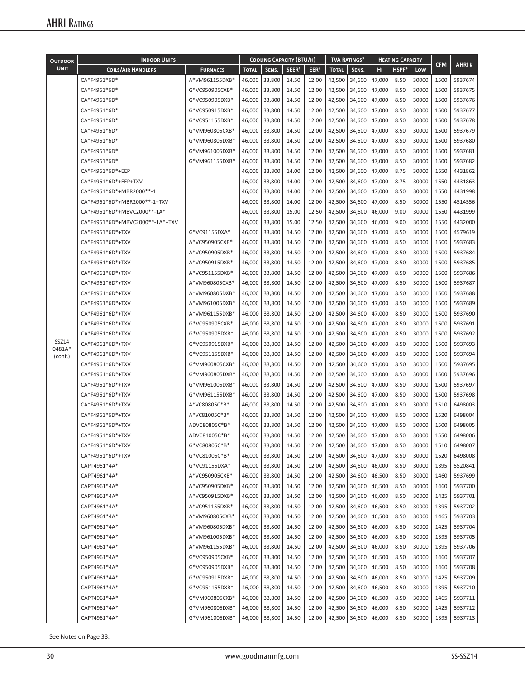| <b>OUTDOOR</b>         | <b>INDOOR UNITS</b>             |                  | <b>COOLING CAPACITY (BTU/H)</b> |                 | <b>TVA RATINGS<sup>3</sup></b> |                  | <b>HEATING CAPACITY</b> |        |                 |                   |       |            |         |
|------------------------|---------------------------------|------------------|---------------------------------|-----------------|--------------------------------|------------------|-------------------------|--------|-----------------|-------------------|-------|------------|---------|
| <b>UNIT</b>            | <b>COILS/AIR HANDLERS</b>       | <b>FURNACES</b>  | <b>TOTAL</b>                    | SENS.           | SEER <sup>1</sup>              | EER <sup>2</sup> | <b>TOTAL</b>            | SENS.  | HI              | HSPF <sup>4</sup> | Low   | <b>CFM</b> | AHRI#   |
|                        | CA*F4961*6D*                    | A*VM961155DXB*   | 46,000                          | 33,800          | 14.50                          | 12.00            | 42,500                  | 34,600 | 47,000          | 8.50              | 30000 | 1500       | 5937674 |
|                        | CA*F4961*6D*                    | G*VC950905CXB*   | 46,000                          | 33,800          | 14.50                          | 12.00            | 42,500                  | 34,600 | 47,000          | 8.50              | 30000 | 1500       | 5937675 |
|                        | CA*F4961*6D*                    | G*VC950905DXB*   | 46,000                          | 33,800          | 14.50                          | 12.00            | 42,500                  | 34,600 | 47,000          | 8.50              | 30000 | 1500       | 5937676 |
|                        | CA*F4961*6D*                    | G*VC950915DXB*   | 46,000                          | 33,800          | 14.50                          | 12.00            | 42,500                  | 34,600 | 47,000          | 8.50              | 30000 | 1500       | 5937677 |
|                        | CA*F4961*6D*                    | G*VC951155DXB*   | 46,000                          | 33,800          | 14.50                          | 12.00            | 42,500                  | 34,600 | 47,000          | 8.50              | 30000 | 1500       | 5937678 |
|                        | CA*F4961*6D*                    | G*VM960805CXB*   | 46,000                          | 33,800          | 14.50                          | 12.00            | 42,500                  | 34,600 | 47,000          | 8.50              | 30000 | 1500       | 5937679 |
|                        | $CA*F4961*6D*$                  | G*VM960805DXB*   | 46,000                          | 33,800          | 14.50                          | 12.00            | 42,500                  | 34,600 | 47,000          | 8.50              | 30000 | 1500       | 5937680 |
|                        | $CA*F4961*6D*$                  | G*VM961005DXB*   | 46,000                          | 33,800          | 14.50                          | 12.00            | 42,500                  | 34,600 | 47,000          | 8.50              | 30000 | 1500       | 5937681 |
|                        | $CA*F4961*6D*$                  | G*VM961155DXB*   | 46,000                          | 33,800          | 14.50                          | 12.00            | 42,500                  | 34,600 | 47,000          | 8.50              | 30000 | 1500       | 5937682 |
|                        | CA*F4961*6D*+EEP                |                  | 46,000                          | 33,800          | 14.00                          | 12.00            | 42,500                  | 34,600 | 47,000          | 8.75              | 30000 | 1550       | 4431862 |
|                        | CA*F4961*6D*+EEP+TXV            |                  | 46,000                          | 33,800          | 14.00                          | 12.00            | 42,500                  | 34,600 | 47,000          | 8.75              | 30000 | 1550       | 4431863 |
|                        | CA*F4961*6D*+MBR2000**-1        |                  | 46,000                          | 33,800          | 14.00                          | 12.00            | 42,500                  | 34,600 | 47,000          | 8.50              | 30000 | 1550       | 4431998 |
|                        | CA*F4961*6D*+MBR2000**-1+TXV    |                  | 46,000                          | 33,800          | 14.00                          | 12.00            | 42,500                  | 34,600 | 47,000          | 8.50              | 30000 | 1550       | 4514556 |
|                        | CA*F4961*6D*+MBVC2000**-1A*     |                  | 46,000                          | 33,800          | 15.00                          | 12.50            | 42,500                  | 34,600 | 46,000          | 9.00              | 30000 | 1550       | 4431999 |
|                        | CA*F4961*6D*+MBVC2000**-1A*+TXV |                  | 46,000                          | 33,800          | 15.00                          | 12.50            | 42,500                  | 34,600 | 46,000          | 9.00              | 30000 | 1550       | 4432000 |
|                        | CA*F4961*6D*+TXV                | G*VC91155DXA*    | 46,000                          | 33,800          | 14.50                          | 12.00            | 42,500                  | 34,600 | 47,000          | 8.50              | 30000 | 1500       | 4579619 |
|                        | CA*F4961*6D*+TXV                | A*VC950905CXB*   | 46,000                          | 33,800          | 14.50                          | 12.00            | 42,500                  | 34,600 | 47,000          | 8.50              | 30000 | 1500       | 5937683 |
|                        | CA*F4961*6D*+TXV                | A*VC950905DXB*   | 46,000                          | 33,800          | 14.50                          | 12.00            | 42,500                  | 34,600 | 47,000          | 8.50              | 30000 | 1500       | 5937684 |
|                        | CA*F4961*6D*+TXV                | A*VC950915DXB*   | 46,000                          | 33,800          | 14.50                          | 12.00            | 42,500                  | 34,600 | 47,000          | 8.50              | 30000 | 1500       | 5937685 |
|                        | CA*F4961*6D*+TXV                | A*VC951155DXB*   | 46,000                          | 33,800          | 14.50                          | 12.00            | 42,500                  | 34,600 | 47,000          | 8.50              | 30000 | 1500       | 5937686 |
|                        | CA*F4961*6D*+TXV                | A*VM960805CXB*   | 46,000                          | 33,800          | 14.50                          | 12.00            | 42,500                  | 34,600 | 47,000          | 8.50              | 30000 | 1500       | 5937687 |
|                        | CA*F4961*6D*+TXV                | A*VM960805DXB*   | 46,000                          | 33,800          | 14.50                          | 12.00            | 42,500                  | 34,600 | 47,000          | 8.50              | 30000 | 1500       | 5937688 |
|                        | CA*F4961*6D*+TXV                | A*VM961005DXB*   | 46,000                          | 33,800          | 14.50                          | 12.00            | 42,500                  | 34,600 | 47,000          | 8.50              | 30000 | 1500       | 5937689 |
|                        | CA*F4961*6D*+TXV                | A*VM961155DXB*   | 46,000                          | 33,800          | 14.50                          | 12.00            | 42,500                  | 34,600 | 47,000          | 8.50              | 30000 | 1500       | 5937690 |
|                        | CA*F4961*6D*+TXV                | G*VC950905CXB*   | 46,000                          | 33,800          | 14.50                          | 12.00            | 42,500                  | 34,600 | 47,000          | 8.50              | 30000 | 1500       | 5937691 |
|                        | CA*F4961*6D*+TXV                | G*VC950905DXB*   | 46,000                          | 33,800          | 14.50                          | 12.00            | 42,500                  | 34,600 | 47,000          | 8.50              | 30000 | 1500       | 5937692 |
| <b>SSZ14</b><br>0481A* | CA*F4961*6D*+TXV                | G*VC950915DXB*   | 46,000                          | 33,800          | 14.50                          | 12.00            | 42,500                  | 34,600 | 47,000          | 8.50              | 30000 | 1500       | 5937693 |
| (cont.)                | CA*F4961*6D*+TXV                | $G*VC951155DXB*$ | 46,000                          | 33,800          | 14.50                          | 12.00            | 42,500                  | 34,600 | 47,000          | 8.50              | 30000 | 1500       | 5937694 |
|                        | CA*F4961*6D*+TXV                | G*VM960805CXB*   | 46,000                          | 33,800          | 14.50                          | 12.00            | 42,500                  | 34,600 | 47,000          | 8.50              | 30000 | 1500       | 5937695 |
|                        | CA*F4961*6D*+TXV                | G*VM960805DXB*   | 46,000                          | 33,800          | 14.50                          | 12.00            | 42,500                  | 34,600 | 47,000          | 8.50              | 30000 | 1500       | 5937696 |
|                        | CA*F4961*6D*+TXV                | G*VM961005DXB*   | 46,000                          | 33,800          | 14.50                          | 12.00            | 42,500                  | 34,600 | 47,000          | 8.50              | 30000 | 1500       | 5937697 |
|                        | CA*F4961*6D*+TXV                | G*VM961155DXB*   | 46,000                          | 33,800          | 14.50                          | 12.00            | 42,500                  | 34,600 | 47,000          | 8.50              | 30000 | 1500       | 5937698 |
|                        | CA*F4961*6D*+TXV                | A*VC80805C*B*    | 46,000                          | 33,800          | 14.50                          | 12.00            | 42,500                  | 34,600 | 47,000          | 8.50              | 30000 | 1510       | 6498003 |
|                        | CA*F4961*6D*+TXV                | A*VC81005C*B*    | 46,000                          | 33,800          | 14.50                          | 12.00            | 42,500                  | 34,600 | 47,000          | 8.50              | 30000 | 1520       | 6498004 |
|                        | CA*F4961*6D*+TXV                | ADVC80805C*B*    | 46,000                          | 33,800          | 14.50                          | 12.00            | 42,500                  | 34,600 | 47,000          | 8.50              | 30000 | 1500       | 6498005 |
|                        | CA*F4961*6D*+TXV                | ADVC81005C*B*    | 46,000                          | 33,800          | 14.50                          | 12.00            | 42,500                  |        | 34,600 47,000   | 8.50              | 30000 | 1550       | 6498006 |
|                        | CA*F4961*6D*+TXV                | G*VC80805C*B*    |                                 | 46,000 33,800   | 14.50                          | 12.00            | 42,500                  |        | 34,600   47,000 | 8.50              | 30000 | 1510       | 6498007 |
|                        | CA*F4961*6D*+TXV                | G*VC81005C*B*    | 46,000                          | 33,800          | 14.50                          | 12.00            | 42,500                  |        | 34,600   47,000 | 8.50              | 30000 | 1520       | 6498008 |
|                        | CAPT4961*4A*                    | G*VC91155DXA*    | 46,000                          | 33,800          | 14.50                          | 12.00            | 42,500                  | 34,600 | 46,000          | 8.50              | 30000 | 1395       | 5520841 |
|                        | CAPT4961*4A*                    | A*VC950905CXB*   | 46,000                          | 33,800          | 14.50                          | 12.00            | 42,500                  | 34,600 | 46,500          | 8.50              | 30000 | 1460       | 5937699 |
|                        | CAPT4961*4A*                    | A*VC950905DXB*   | 46,000                          | 33,800          | 14.50                          | 12.00            | 42,500                  | 34,600 | 46,500          | 8.50              | 30000 | 1460       | 5937700 |
|                        | CAPT4961*4A*                    | A*VC950915DXB*   | 46,000                          | 33,800          | 14.50                          | 12.00            | 42,500                  |        | 34,600   46,000 | 8.50              | 30000 | 1425       | 5937701 |
|                        | CAPT4961*4A*                    | A*VC951155DXB*   | 46,000                          | 33,800          | 14.50                          | 12.00            | 42,500                  | 34,600 | 46,500          | 8.50              | 30000 | 1395       | 5937702 |
|                        | CAPT4961*4A*                    | A*VM960805CXB*   | 46,000                          | 33,800          | 14.50                          | 12.00            | 42,500                  | 34,600 | 46,500          | 8.50              | 30000 | 1465       | 5937703 |
|                        | CAPT4961*4A*                    | A*VM960805DXB*   | 46,000                          | 33,800          | 14.50                          | 12.00            | 42,500                  | 34,600 | 46,000          | 8.50              | 30000 | 1425       | 5937704 |
|                        | CAPT4961*4A*                    | A*VM961005DXB*   | 46,000                          | 33,800          | 14.50                          | 12.00            | 42,500                  | 34,600 | 46,000          | 8.50              | 30000 | 1395       | 5937705 |
|                        | CAPT4961*4A*                    | A*VM961155DXB*   | 46,000                          | 33,800          | 14.50                          | 12.00            | 42,500                  | 34,600 | 46,000          | 8.50              | 30000 | 1395       | 5937706 |
|                        | CAPT4961*4A*                    | G*VC950905CXB*   | 46,000                          | 33,800          | 14.50                          | 12.00            | 42,500                  | 34,600 | 46,500          | 8.50              | 30000 | 1460       | 5937707 |
|                        | CAPT4961*4A*                    | G*VC950905DXB*   | 46,000                          | 33,800          | 14.50                          | 12.00            | 42,500                  | 34,600 | 46,500          | 8.50              | 30000 | 1460       | 5937708 |
|                        | CAPT4961*4A*                    | G*VC950915DXB*   | 46,000                          | 33,800          | 14.50                          | 12.00            | 42,500                  | 34,600 | 46,000          | 8.50              | 30000 | 1425       | 5937709 |
|                        | CAPT4961*4A*                    | G*VC951155DXB*   |                                 | 46,000 33,800   | 14.50                          | 12.00            | 42,500                  | 34,600 | 46,500          | 8.50              | 30000 | 1395       | 5937710 |
|                        | CAPT4961*4A*                    | G*VM960805CXB*   |                                 | 46,000 33,800   | 14.50                          | 12.00            | 42,500                  | 34,600 | 46,500          | 8.50              | 30000 | 1465       | 5937711 |
|                        | CAPT4961*4A*                    | G*VM960805DXB*   | 46,000                          | 33,800          | 14.50                          | 12.00            | 42,500                  | 34,600 | 46,000          | 8.50              | 30000 | 1425       | 5937712 |
|                        | CAPT4961*4A*                    | G*VM961005DXB*   |                                 | 46,000   33,800 | 14.50                          | 12.00            | 42,500                  |        | 34,600   46,000 | 8.50              | 30000 | 1395       | 5937713 |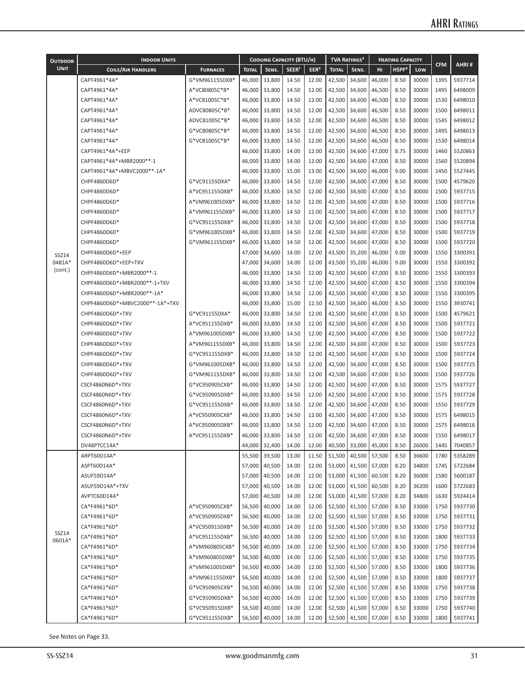| <b>UNIT</b><br>EER <sup>2</sup><br>HSPF <sup>4</sup><br><b>COILS/AIR HANDLERS</b><br>SEER <sup>1</sup><br>Low<br><b>FURNACES</b><br><b>TOTAL</b><br>SENS.<br><b>TOTAL</b><br>SENS.<br>HI<br>CAPT4961*4A*<br>46,000<br>33,800<br>14.50<br>12.00<br>42,500<br>34,600<br>46,000<br>8.50<br>30000<br>1395<br>5937714<br>G*VM961155DXB*<br>30000<br>A*VC80805C*B*<br>46,000<br>33,800<br>12.00<br>42,500<br>34,600<br>8.50<br>1495<br>6498009<br>CAPT4961*4A*<br>14.50<br>46,500<br>30000<br>CAPT4961*4A*<br>A*VC81005C*B*<br>46,000<br>33,800<br>14.50<br>12.00<br>42,500<br>34,600<br>8.50<br>1530<br>6498010<br>46,500<br>8.50<br>30000<br>1500<br>CAPT4961*4A*<br>ADVC80805C*B*<br>46,000<br>33,800<br>14.50<br>12.00<br>42,500<br>34,600<br>46,500<br>6498011<br>CAPT4961*4A*<br>ADVC81005C*B*<br>46,000<br>33,800<br>14.50<br>12.00<br>42,500<br>34,600<br>46,500<br>8.50<br>30000<br>1545<br>6498012<br>CAPT4961*4A*<br>G*VC80805C*B*<br>46,000<br>33,800<br>14.50<br>12.00<br>42,500<br>34,600<br>46,500<br>8.50<br>30000<br>1495<br>6498013<br>CAPT4961*4A*<br>G*VC81005C*B*<br>46,000<br>33,800<br>14.50<br>12.00<br>42,500<br>34,600<br>8.50<br>30000<br>1530<br>6498014<br>46,500<br>CAPT4961*4A*+EEP<br>46,000<br>33,800<br>14.00<br>12.00<br>42,500<br>34,600<br>47,000<br>8.75<br>30000<br>1460<br>5520863<br>CAPT4961*4A*+MBR2000**-1<br>46,000<br>33,800<br>14.00<br>12.00<br>42,500<br>34,600<br>47,000<br>8.50<br>30000<br>1560<br>5520894<br>CAPT4961*4A*+MBVC2000**-1A*<br>42,500<br>9.00<br>30000<br>1450<br>5527445<br>46,000<br>33,800<br>15.00<br>13.00<br>34,600<br>46,000<br>CHPF4860D6D*<br>33,800<br>42,500<br>34,600<br>8.50<br>30000<br>1500<br>4579620<br>G*VC91155DXA*<br>46,000<br>14.50<br>12.00<br>47,000<br>CHPF4860D6D*<br>46,000<br>33,800<br>12.00<br>42,500<br>34,600<br>8.50<br>30000<br>1500<br>5937715<br>A*VC951155DXB*<br>14.50<br>47,000<br>CHPF4860D6D*<br>A*VM961005DXB*<br>46,000<br>33,800<br>12.00<br>42,500<br>34,600<br>47,000<br>8.50<br>30000<br>1500<br>5937716<br>14.50<br>CHPF4860D6D*<br>46,000<br>33,800<br>12.00<br>42,500<br>34,600<br>47,000<br>8.50<br>30000<br>1500<br>5937717<br>A*VM961155DXB*<br>14.50<br>CHPF4860D6D*<br>G*VC951155DXB*<br>46,000<br>33,800<br>14.50<br>12.00<br>42,500<br>34,600<br>47,000<br>8.50<br>30000<br>1500<br>5937718<br>CHPF4860D6D*<br>G*VM961005DXB*<br>46,000<br>33,800<br>14.50<br>12.00<br>42,500<br>34,600<br>47,000<br>8.50<br>30000<br>1500<br>5937719<br>CHPF4860D6D*<br>G*VM961155DXB*<br>46,000<br>33,800<br>14.50<br>12.00<br>42,500<br>34,600<br>47,000<br>8.50<br>30000<br>1500<br>5937720<br>CHPF4860D6D*+EEP<br>47,000<br>34,600<br>14.00<br>12.00<br>43,500<br>35,200<br>9.00<br>30000<br>1550<br>3300391<br>46,000<br>SSZ14<br>0481A*<br>43,500<br>30000<br>1550<br>3300392<br>CHPF4860D6D*+EEP+TXV<br>47,000<br>34,600<br>14.00<br>12.00<br>35,200<br>46,000<br>9.00<br>(cont.)<br>CHPF4860D6D*+MBR2000**-1<br>46,000<br>33,800<br>42,500<br>34,600<br>47,000<br>8.50<br>30000<br>1550<br>3300393<br>14.50<br>12.00<br>CHPF4860D6D*+MBR2000**-1+TXV<br>46,000<br>42,500<br>47,000<br>8.50<br>30000<br>1550<br>3300394<br>33,800<br>14.50<br>12.00<br>34,600<br>CHPF4860D6D*+MBR2000**-1A*<br>46,000<br>33,800<br>12.00<br>42,500<br>34,600<br>47,000<br>8.50<br>30000<br>1550<br>3300395<br>14.50<br>CHPF4860D6D*+MBVC2000**-1A*+TXV<br>46,000<br>33,800<br>15.00<br>12.50<br>42,500<br>34,600<br>8.50<br>30000<br>1550<br>3930741<br>46,000<br>CHPF4860D6D*+TXV<br>G*VC91155DXA*<br>46,000<br>33,800<br>14.50<br>12.00<br>42,500<br>34,600<br>8.50<br>30000<br>1500<br>4579621<br>47,000<br>CHPF4860D6D*+TXV<br>46,000<br>33,800<br>14.50<br>12.00<br>42,500<br>34,600<br>47,000<br>8.50<br>30000<br>1500<br>5937721<br>A*VC951155DXB*<br>CHPF4860D6D*+TXV<br>A*VM961005DXB*<br>46,000<br>33,800<br>12.00<br>42,500<br>34,600<br>47,000<br>8.50<br>30000<br>1500<br>5937722<br>14.50<br>CHPF4860D6D*+TXV<br>46,000<br>33,800<br>12.00<br>42,500<br>34,600<br>47,000<br>8.50<br>30000<br>1500<br>5937723<br>A*VM961155DXB*<br>14.50<br>CHPF4860D6D*+TXV<br>G*VC951155DXB*<br>46,000<br>33,800<br>12.00<br>42,500<br>34,600<br>8.50<br>30000<br>1500<br>5937724<br>14.50<br>47,000<br>46,000<br>30000<br>1500<br>5937725<br>CHPF4860D6D*+TXV<br>G*VM961005DXB*<br>33,800<br>14.50<br>12.00<br>42,500<br>34,600<br>47,000<br>8.50<br>5937726<br>CHPF4860D6D*+TXV<br>G*VM961155DXB*<br>46,000<br>33,800<br>14.50<br>12.00<br>42,500<br>34,600<br>47,000<br>8.50<br>30000<br>1500<br>46,000<br>33,800<br>12.00<br>42,500<br>34,600<br>8.50<br>30000<br>1575<br>5937727<br>CSCF4860N6D*+TXV<br>G*VC950905CXB*<br>14.50<br>47,000<br>46,000<br>33,800<br>12.00<br>42,500<br>34,600<br>8.50<br>30000<br>1575<br>5937728<br>CSCF4860N6D*+TXV<br>G*VC950905DXB*<br>14.50<br>47,000<br>CSCF4860N6D*+TXV<br>46.000<br>33,800<br>12.00<br>42,500<br>34,600<br>47,000<br>8.50<br>30000<br>1550<br>5937729<br>G*VC951155DXB*<br>14.50<br>CSCF4860N6D*+TXV<br>A*VC950905CXB*<br>46,000<br>33,800<br>12.00<br>42,500<br>34,600<br>8.50<br>30000<br>1575<br>6498015<br>14.50<br>47,000<br>CSCF4860N6D*+TXV<br>A*VC950905DXB*<br>46,000<br>33,800<br>14.50<br>12.00<br>42,500<br>34,600<br>47,000<br>8.50<br>30000<br>1575<br>6498016<br>6498017<br>CSCF4860N6D*+TXV<br>A*VC951155DXB*<br>46,000 33,800<br>14.50<br>12.00<br>42,500<br>34,600 47,000<br>8.50<br>30000<br>1550<br>44,000 32,400<br>14.00<br>40,500 33,000 45,000<br>26000<br>7040857<br>DV48PTCC14A*<br>12.00<br>8.50<br>1445<br>ARPT60D14A*<br>55,500<br>39,500<br>13.00<br>11.50<br>51,500<br>40,500 57,500<br>8.50<br>36600<br>1780<br>5358289<br>57,000<br>40,500<br>12.00<br>53,000<br>41,500 57,000<br>34800<br>1745<br>5722684<br>ASPT60D14A*<br>14.00<br>8.20<br>ASUF59D14A*<br>57,000<br>40,500<br>12.00<br>53,000<br>41,500 60,500<br>8.20<br>36000<br>1580<br>5600187<br>14.00<br>57,000<br>40,500<br>14.00<br>12.00<br>53,000<br>41,500 60,500<br>8.20<br>36200<br>1600<br>5722683<br>ASUF59D14A*+TXV<br>AVPTC60D14A*<br>57,000<br>40,500<br>14.00<br>12.00<br>53,000<br>41,500 57,000<br>8.20<br>34800<br>1630<br>5924414<br>CA*F4961*6D*<br>A*VC950905CXB*<br>56,500<br>40,000<br>14.00<br>12.00<br>52,500<br>41,500 57,000<br>8.50<br>33000<br>1750<br>5937730<br>CA*F4961*6D*<br>A*VC950905DXB*<br>56,500<br>40,000<br>14.00<br>12.00<br>52,500<br>41,500 57,000<br>8.50<br>33000<br>1750<br>5937731<br>CA*F4961*6D*<br>A*VC950915DXB*<br>56,500<br>40,000<br>14.00<br>12.00<br>52,500<br>41,500 57,000<br>8.50<br>33000<br>1750<br>5937732<br>SSZ14<br>CA*F4961*6D*<br>56,500<br>40,000<br>14.00<br>12.00<br>52,500<br>41,500 57,000<br>8.50<br>33000<br>1800<br>5937733<br>A*VC951155DXB*<br>0601A*<br>CA*F4961*6D*<br>A*VM960805CXB*<br>56,500<br>40,000<br>14.00<br>12.00<br>52,500<br>41,500 57,000<br>8.50<br>33000<br>1750<br>5937734<br>CA*F4961*6D*<br>40,000<br>12.00<br>52,500<br>1750<br>5937735<br>A*VM960805DXB*<br>56,500<br>14.00<br>41,500   57,000<br>8.50<br>33000<br>CA*F4961*6D*<br>A*VM961005DXB*<br>56,500<br>40,000<br>12.00<br>52,500<br>41,500 57,000<br>33000<br>1800<br>5937736<br>14.00<br>8.50<br>CA*F4961*6D*<br>A*VM961155DXB*<br>56,500<br>40,000<br>12.00<br>52,500<br>41,500 57,000<br>33000<br>1800<br>5937737<br>14.00<br>8.50<br>CA*F4961*6D*<br>G*VC950905CXB*<br>56,500<br>40,000<br>12.00<br>52,500<br>41,500 57,000<br>8.50<br>33000<br>1750<br>5937738<br>14.00<br>CA*F4961*6D*<br>G*VC950905DXB*<br>56,500<br>40,000<br>12.00<br>52,500<br>41,500 57,000<br>33000<br>1750<br>5937739<br>14.00<br>8.50<br>CA*F4961*6D*<br>G*VC950915DXB*<br>56,500<br>40,000<br>14.00<br>12.00<br>52,500<br>41,500 57,000<br>8.50<br>33000<br>1750<br>5937740<br>41,500 57,000 | <b>OUTDOOR</b> | <b>INDOOR UNITS</b> |                |        | <b>COOLING CAPACITY (BTU/H)</b> |       |       | <b>TVA RATINGS<sup>3</sup></b> |  | <b>HEATING CAPACITY</b> |      |       | <b>CFM</b> |         |
|---------------------------------------------------------------------------------------------------------------------------------------------------------------------------------------------------------------------------------------------------------------------------------------------------------------------------------------------------------------------------------------------------------------------------------------------------------------------------------------------------------------------------------------------------------------------------------------------------------------------------------------------------------------------------------------------------------------------------------------------------------------------------------------------------------------------------------------------------------------------------------------------------------------------------------------------------------------------------------------------------------------------------------------------------------------------------------------------------------------------------------------------------------------------------------------------------------------------------------------------------------------------------------------------------------------------------------------------------------------------------------------------------------------------------------------------------------------------------------------------------------------------------------------------------------------------------------------------------------------------------------------------------------------------------------------------------------------------------------------------------------------------------------------------------------------------------------------------------------------------------------------------------------------------------------------------------------------------------------------------------------------------------------------------------------------------------------------------------------------------------------------------------------------------------------------------------------------------------------------------------------------------------------------------------------------------------------------------------------------------------------------------------------------------------------------------------------------------------------------------------------------------------------------------------------------------------------------------------------------------------------------------------------------------------------------------------------------------------------------------------------------------------------------------------------------------------------------------------------------------------------------------------------------------------------------------------------------------------------------------------------------------------------------------------------------------------------------------------------------------------------------------------------------------------------------------------------------------------------------------------------------------------------------------------------------------------------------------------------------------------------------------------------------------------------------------------------------------------------------------------------------------------------------------------------------------------------------------------------------------------------------------------------------------------------------------------------------------------------------------------------------------------------------------------------------------------------------------------------------------------------------------------------------------------------------------------------------------------------------------------------------------------------------------------------------------------------------------------------------------------------------------------------------------------------------------------------------------------------------------------------------------------------------------------------------------------------------------------------------------------------------------------------------------------------------------------------------------------------------------------------------------------------------------------------------------------------------------------------------------------------------------------------------------------------------------------------------------------------------------------------------------------------------------------------------------------------------------------------------------------------------------------------------------------------------------------------------------------------------------------------------------------------------------------------------------------------------------------------------------------------------------------------------------------------------------------------------------------------------------------------------------------------------------------------------------------------------------------------------------------------------------------------------------------------------------------------------------------------------------------------------------------------------------------------------------------------------------------------------------------------------------------------------------------------------------------------------------------------------------------------------------------------------------------------------------------------------------------------------------------------------------------------------------------------------------------------------------------------------------------------------------------------------------------------------------------------------------------------------------------------------------------------------------------------------------------------------------------------------------------------------------------------------------------------------------------------------------------------------------------------------------------------------------------------------------------------------------------------------------------------------------------------------------------------------------------------------------------------------------------------------------------------------------------------------------------------------------------------------------------------------------------------------------------------------------------------------------------------------------------------------------------------------------------------------------------------------------------------------------------------------------------------------------------------------------------------------------------------------------------------------------------------------------------------------------------------------------------------------------------------------------------------------------------------------------------------------------------------------------------------------------------------------------------------------------------------------------------------------------------------------------------------------------------------------------------------------------------------------------------------------------------------------------------------------|----------------|---------------------|----------------|--------|---------------------------------|-------|-------|--------------------------------|--|-------------------------|------|-------|------------|---------|
|                                                                                                                                                                                                                                                                                                                                                                                                                                                                                                                                                                                                                                                                                                                                                                                                                                                                                                                                                                                                                                                                                                                                                                                                                                                                                                                                                                                                                                                                                                                                                                                                                                                                                                                                                                                                                                                                                                                                                                                                                                                                                                                                                                                                                                                                                                                                                                                                                                                                                                                                                                                                                                                                                                                                                                                                                                                                                                                                                                                                                                                                                                                                                                                                                                                                                                                                                                                                                                                                                                                                                                                                                                                                                                                                                                                                                                                                                                                                                                                                                                                                                                                                                                                                                                                                                                                                                                                                                                                                                                                                                                                                                                                                                                                                                                                                                                                                                                                                                                                                                                                                                                                                                                                                                                                                                                                                                                                                                                                                                                                                                                                                                                                                                                                                                                                                                                                                                                                                                                                                                                                                                                                                                                                                                                                                                                                                                                                                                                                                                                                                                                                                                                                                                                                                                                                                                                                                                                                                                                                                                                                                                                                                                                                                                                                                                                                                                                                                                                                                                                                                                                                                                                                                                       |                |                     |                |        |                                 |       |       |                                |  |                         |      |       |            | AHRI#   |
|                                                                                                                                                                                                                                                                                                                                                                                                                                                                                                                                                                                                                                                                                                                                                                                                                                                                                                                                                                                                                                                                                                                                                                                                                                                                                                                                                                                                                                                                                                                                                                                                                                                                                                                                                                                                                                                                                                                                                                                                                                                                                                                                                                                                                                                                                                                                                                                                                                                                                                                                                                                                                                                                                                                                                                                                                                                                                                                                                                                                                                                                                                                                                                                                                                                                                                                                                                                                                                                                                                                                                                                                                                                                                                                                                                                                                                                                                                                                                                                                                                                                                                                                                                                                                                                                                                                                                                                                                                                                                                                                                                                                                                                                                                                                                                                                                                                                                                                                                                                                                                                                                                                                                                                                                                                                                                                                                                                                                                                                                                                                                                                                                                                                                                                                                                                                                                                                                                                                                                                                                                                                                                                                                                                                                                                                                                                                                                                                                                                                                                                                                                                                                                                                                                                                                                                                                                                                                                                                                                                                                                                                                                                                                                                                                                                                                                                                                                                                                                                                                                                                                                                                                                                                                       |                |                     |                |        |                                 |       |       |                                |  |                         |      |       |            |         |
|                                                                                                                                                                                                                                                                                                                                                                                                                                                                                                                                                                                                                                                                                                                                                                                                                                                                                                                                                                                                                                                                                                                                                                                                                                                                                                                                                                                                                                                                                                                                                                                                                                                                                                                                                                                                                                                                                                                                                                                                                                                                                                                                                                                                                                                                                                                                                                                                                                                                                                                                                                                                                                                                                                                                                                                                                                                                                                                                                                                                                                                                                                                                                                                                                                                                                                                                                                                                                                                                                                                                                                                                                                                                                                                                                                                                                                                                                                                                                                                                                                                                                                                                                                                                                                                                                                                                                                                                                                                                                                                                                                                                                                                                                                                                                                                                                                                                                                                                                                                                                                                                                                                                                                                                                                                                                                                                                                                                                                                                                                                                                                                                                                                                                                                                                                                                                                                                                                                                                                                                                                                                                                                                                                                                                                                                                                                                                                                                                                                                                                                                                                                                                                                                                                                                                                                                                                                                                                                                                                                                                                                                                                                                                                                                                                                                                                                                                                                                                                                                                                                                                                                                                                                                                       |                |                     |                |        |                                 |       |       |                                |  |                         |      |       |            |         |
|                                                                                                                                                                                                                                                                                                                                                                                                                                                                                                                                                                                                                                                                                                                                                                                                                                                                                                                                                                                                                                                                                                                                                                                                                                                                                                                                                                                                                                                                                                                                                                                                                                                                                                                                                                                                                                                                                                                                                                                                                                                                                                                                                                                                                                                                                                                                                                                                                                                                                                                                                                                                                                                                                                                                                                                                                                                                                                                                                                                                                                                                                                                                                                                                                                                                                                                                                                                                                                                                                                                                                                                                                                                                                                                                                                                                                                                                                                                                                                                                                                                                                                                                                                                                                                                                                                                                                                                                                                                                                                                                                                                                                                                                                                                                                                                                                                                                                                                                                                                                                                                                                                                                                                                                                                                                                                                                                                                                                                                                                                                                                                                                                                                                                                                                                                                                                                                                                                                                                                                                                                                                                                                                                                                                                                                                                                                                                                                                                                                                                                                                                                                                                                                                                                                                                                                                                                                                                                                                                                                                                                                                                                                                                                                                                                                                                                                                                                                                                                                                                                                                                                                                                                                                                       |                |                     |                |        |                                 |       |       |                                |  |                         |      |       |            |         |
|                                                                                                                                                                                                                                                                                                                                                                                                                                                                                                                                                                                                                                                                                                                                                                                                                                                                                                                                                                                                                                                                                                                                                                                                                                                                                                                                                                                                                                                                                                                                                                                                                                                                                                                                                                                                                                                                                                                                                                                                                                                                                                                                                                                                                                                                                                                                                                                                                                                                                                                                                                                                                                                                                                                                                                                                                                                                                                                                                                                                                                                                                                                                                                                                                                                                                                                                                                                                                                                                                                                                                                                                                                                                                                                                                                                                                                                                                                                                                                                                                                                                                                                                                                                                                                                                                                                                                                                                                                                                                                                                                                                                                                                                                                                                                                                                                                                                                                                                                                                                                                                                                                                                                                                                                                                                                                                                                                                                                                                                                                                                                                                                                                                                                                                                                                                                                                                                                                                                                                                                                                                                                                                                                                                                                                                                                                                                                                                                                                                                                                                                                                                                                                                                                                                                                                                                                                                                                                                                                                                                                                                                                                                                                                                                                                                                                                                                                                                                                                                                                                                                                                                                                                                                                       |                |                     |                |        |                                 |       |       |                                |  |                         |      |       |            |         |
|                                                                                                                                                                                                                                                                                                                                                                                                                                                                                                                                                                                                                                                                                                                                                                                                                                                                                                                                                                                                                                                                                                                                                                                                                                                                                                                                                                                                                                                                                                                                                                                                                                                                                                                                                                                                                                                                                                                                                                                                                                                                                                                                                                                                                                                                                                                                                                                                                                                                                                                                                                                                                                                                                                                                                                                                                                                                                                                                                                                                                                                                                                                                                                                                                                                                                                                                                                                                                                                                                                                                                                                                                                                                                                                                                                                                                                                                                                                                                                                                                                                                                                                                                                                                                                                                                                                                                                                                                                                                                                                                                                                                                                                                                                                                                                                                                                                                                                                                                                                                                                                                                                                                                                                                                                                                                                                                                                                                                                                                                                                                                                                                                                                                                                                                                                                                                                                                                                                                                                                                                                                                                                                                                                                                                                                                                                                                                                                                                                                                                                                                                                                                                                                                                                                                                                                                                                                                                                                                                                                                                                                                                                                                                                                                                                                                                                                                                                                                                                                                                                                                                                                                                                                                                       |                |                     |                |        |                                 |       |       |                                |  |                         |      |       |            |         |
|                                                                                                                                                                                                                                                                                                                                                                                                                                                                                                                                                                                                                                                                                                                                                                                                                                                                                                                                                                                                                                                                                                                                                                                                                                                                                                                                                                                                                                                                                                                                                                                                                                                                                                                                                                                                                                                                                                                                                                                                                                                                                                                                                                                                                                                                                                                                                                                                                                                                                                                                                                                                                                                                                                                                                                                                                                                                                                                                                                                                                                                                                                                                                                                                                                                                                                                                                                                                                                                                                                                                                                                                                                                                                                                                                                                                                                                                                                                                                                                                                                                                                                                                                                                                                                                                                                                                                                                                                                                                                                                                                                                                                                                                                                                                                                                                                                                                                                                                                                                                                                                                                                                                                                                                                                                                                                                                                                                                                                                                                                                                                                                                                                                                                                                                                                                                                                                                                                                                                                                                                                                                                                                                                                                                                                                                                                                                                                                                                                                                                                                                                                                                                                                                                                                                                                                                                                                                                                                                                                                                                                                                                                                                                                                                                                                                                                                                                                                                                                                                                                                                                                                                                                                                                       |                |                     |                |        |                                 |       |       |                                |  |                         |      |       |            |         |
|                                                                                                                                                                                                                                                                                                                                                                                                                                                                                                                                                                                                                                                                                                                                                                                                                                                                                                                                                                                                                                                                                                                                                                                                                                                                                                                                                                                                                                                                                                                                                                                                                                                                                                                                                                                                                                                                                                                                                                                                                                                                                                                                                                                                                                                                                                                                                                                                                                                                                                                                                                                                                                                                                                                                                                                                                                                                                                                                                                                                                                                                                                                                                                                                                                                                                                                                                                                                                                                                                                                                                                                                                                                                                                                                                                                                                                                                                                                                                                                                                                                                                                                                                                                                                                                                                                                                                                                                                                                                                                                                                                                                                                                                                                                                                                                                                                                                                                                                                                                                                                                                                                                                                                                                                                                                                                                                                                                                                                                                                                                                                                                                                                                                                                                                                                                                                                                                                                                                                                                                                                                                                                                                                                                                                                                                                                                                                                                                                                                                                                                                                                                                                                                                                                                                                                                                                                                                                                                                                                                                                                                                                                                                                                                                                                                                                                                                                                                                                                                                                                                                                                                                                                                                                       |                |                     |                |        |                                 |       |       |                                |  |                         |      |       |            |         |
|                                                                                                                                                                                                                                                                                                                                                                                                                                                                                                                                                                                                                                                                                                                                                                                                                                                                                                                                                                                                                                                                                                                                                                                                                                                                                                                                                                                                                                                                                                                                                                                                                                                                                                                                                                                                                                                                                                                                                                                                                                                                                                                                                                                                                                                                                                                                                                                                                                                                                                                                                                                                                                                                                                                                                                                                                                                                                                                                                                                                                                                                                                                                                                                                                                                                                                                                                                                                                                                                                                                                                                                                                                                                                                                                                                                                                                                                                                                                                                                                                                                                                                                                                                                                                                                                                                                                                                                                                                                                                                                                                                                                                                                                                                                                                                                                                                                                                                                                                                                                                                                                                                                                                                                                                                                                                                                                                                                                                                                                                                                                                                                                                                                                                                                                                                                                                                                                                                                                                                                                                                                                                                                                                                                                                                                                                                                                                                                                                                                                                                                                                                                                                                                                                                                                                                                                                                                                                                                                                                                                                                                                                                                                                                                                                                                                                                                                                                                                                                                                                                                                                                                                                                                                                       |                |                     |                |        |                                 |       |       |                                |  |                         |      |       |            |         |
|                                                                                                                                                                                                                                                                                                                                                                                                                                                                                                                                                                                                                                                                                                                                                                                                                                                                                                                                                                                                                                                                                                                                                                                                                                                                                                                                                                                                                                                                                                                                                                                                                                                                                                                                                                                                                                                                                                                                                                                                                                                                                                                                                                                                                                                                                                                                                                                                                                                                                                                                                                                                                                                                                                                                                                                                                                                                                                                                                                                                                                                                                                                                                                                                                                                                                                                                                                                                                                                                                                                                                                                                                                                                                                                                                                                                                                                                                                                                                                                                                                                                                                                                                                                                                                                                                                                                                                                                                                                                                                                                                                                                                                                                                                                                                                                                                                                                                                                                                                                                                                                                                                                                                                                                                                                                                                                                                                                                                                                                                                                                                                                                                                                                                                                                                                                                                                                                                                                                                                                                                                                                                                                                                                                                                                                                                                                                                                                                                                                                                                                                                                                                                                                                                                                                                                                                                                                                                                                                                                                                                                                                                                                                                                                                                                                                                                                                                                                                                                                                                                                                                                                                                                                                                       |                |                     |                |        |                                 |       |       |                                |  |                         |      |       |            |         |
|                                                                                                                                                                                                                                                                                                                                                                                                                                                                                                                                                                                                                                                                                                                                                                                                                                                                                                                                                                                                                                                                                                                                                                                                                                                                                                                                                                                                                                                                                                                                                                                                                                                                                                                                                                                                                                                                                                                                                                                                                                                                                                                                                                                                                                                                                                                                                                                                                                                                                                                                                                                                                                                                                                                                                                                                                                                                                                                                                                                                                                                                                                                                                                                                                                                                                                                                                                                                                                                                                                                                                                                                                                                                                                                                                                                                                                                                                                                                                                                                                                                                                                                                                                                                                                                                                                                                                                                                                                                                                                                                                                                                                                                                                                                                                                                                                                                                                                                                                                                                                                                                                                                                                                                                                                                                                                                                                                                                                                                                                                                                                                                                                                                                                                                                                                                                                                                                                                                                                                                                                                                                                                                                                                                                                                                                                                                                                                                                                                                                                                                                                                                                                                                                                                                                                                                                                                                                                                                                                                                                                                                                                                                                                                                                                                                                                                                                                                                                                                                                                                                                                                                                                                                                                       |                |                     |                |        |                                 |       |       |                                |  |                         |      |       |            |         |
|                                                                                                                                                                                                                                                                                                                                                                                                                                                                                                                                                                                                                                                                                                                                                                                                                                                                                                                                                                                                                                                                                                                                                                                                                                                                                                                                                                                                                                                                                                                                                                                                                                                                                                                                                                                                                                                                                                                                                                                                                                                                                                                                                                                                                                                                                                                                                                                                                                                                                                                                                                                                                                                                                                                                                                                                                                                                                                                                                                                                                                                                                                                                                                                                                                                                                                                                                                                                                                                                                                                                                                                                                                                                                                                                                                                                                                                                                                                                                                                                                                                                                                                                                                                                                                                                                                                                                                                                                                                                                                                                                                                                                                                                                                                                                                                                                                                                                                                                                                                                                                                                                                                                                                                                                                                                                                                                                                                                                                                                                                                                                                                                                                                                                                                                                                                                                                                                                                                                                                                                                                                                                                                                                                                                                                                                                                                                                                                                                                                                                                                                                                                                                                                                                                                                                                                                                                                                                                                                                                                                                                                                                                                                                                                                                                                                                                                                                                                                                                                                                                                                                                                                                                                                                       |                |                     |                |        |                                 |       |       |                                |  |                         |      |       |            |         |
|                                                                                                                                                                                                                                                                                                                                                                                                                                                                                                                                                                                                                                                                                                                                                                                                                                                                                                                                                                                                                                                                                                                                                                                                                                                                                                                                                                                                                                                                                                                                                                                                                                                                                                                                                                                                                                                                                                                                                                                                                                                                                                                                                                                                                                                                                                                                                                                                                                                                                                                                                                                                                                                                                                                                                                                                                                                                                                                                                                                                                                                                                                                                                                                                                                                                                                                                                                                                                                                                                                                                                                                                                                                                                                                                                                                                                                                                                                                                                                                                                                                                                                                                                                                                                                                                                                                                                                                                                                                                                                                                                                                                                                                                                                                                                                                                                                                                                                                                                                                                                                                                                                                                                                                                                                                                                                                                                                                                                                                                                                                                                                                                                                                                                                                                                                                                                                                                                                                                                                                                                                                                                                                                                                                                                                                                                                                                                                                                                                                                                                                                                                                                                                                                                                                                                                                                                                                                                                                                                                                                                                                                                                                                                                                                                                                                                                                                                                                                                                                                                                                                                                                                                                                                                       |                |                     |                |        |                                 |       |       |                                |  |                         |      |       |            |         |
|                                                                                                                                                                                                                                                                                                                                                                                                                                                                                                                                                                                                                                                                                                                                                                                                                                                                                                                                                                                                                                                                                                                                                                                                                                                                                                                                                                                                                                                                                                                                                                                                                                                                                                                                                                                                                                                                                                                                                                                                                                                                                                                                                                                                                                                                                                                                                                                                                                                                                                                                                                                                                                                                                                                                                                                                                                                                                                                                                                                                                                                                                                                                                                                                                                                                                                                                                                                                                                                                                                                                                                                                                                                                                                                                                                                                                                                                                                                                                                                                                                                                                                                                                                                                                                                                                                                                                                                                                                                                                                                                                                                                                                                                                                                                                                                                                                                                                                                                                                                                                                                                                                                                                                                                                                                                                                                                                                                                                                                                                                                                                                                                                                                                                                                                                                                                                                                                                                                                                                                                                                                                                                                                                                                                                                                                                                                                                                                                                                                                                                                                                                                                                                                                                                                                                                                                                                                                                                                                                                                                                                                                                                                                                                                                                                                                                                                                                                                                                                                                                                                                                                                                                                                                                       |                |                     |                |        |                                 |       |       |                                |  |                         |      |       |            |         |
|                                                                                                                                                                                                                                                                                                                                                                                                                                                                                                                                                                                                                                                                                                                                                                                                                                                                                                                                                                                                                                                                                                                                                                                                                                                                                                                                                                                                                                                                                                                                                                                                                                                                                                                                                                                                                                                                                                                                                                                                                                                                                                                                                                                                                                                                                                                                                                                                                                                                                                                                                                                                                                                                                                                                                                                                                                                                                                                                                                                                                                                                                                                                                                                                                                                                                                                                                                                                                                                                                                                                                                                                                                                                                                                                                                                                                                                                                                                                                                                                                                                                                                                                                                                                                                                                                                                                                                                                                                                                                                                                                                                                                                                                                                                                                                                                                                                                                                                                                                                                                                                                                                                                                                                                                                                                                                                                                                                                                                                                                                                                                                                                                                                                                                                                                                                                                                                                                                                                                                                                                                                                                                                                                                                                                                                                                                                                                                                                                                                                                                                                                                                                                                                                                                                                                                                                                                                                                                                                                                                                                                                                                                                                                                                                                                                                                                                                                                                                                                                                                                                                                                                                                                                                                       |                |                     |                |        |                                 |       |       |                                |  |                         |      |       |            |         |
|                                                                                                                                                                                                                                                                                                                                                                                                                                                                                                                                                                                                                                                                                                                                                                                                                                                                                                                                                                                                                                                                                                                                                                                                                                                                                                                                                                                                                                                                                                                                                                                                                                                                                                                                                                                                                                                                                                                                                                                                                                                                                                                                                                                                                                                                                                                                                                                                                                                                                                                                                                                                                                                                                                                                                                                                                                                                                                                                                                                                                                                                                                                                                                                                                                                                                                                                                                                                                                                                                                                                                                                                                                                                                                                                                                                                                                                                                                                                                                                                                                                                                                                                                                                                                                                                                                                                                                                                                                                                                                                                                                                                                                                                                                                                                                                                                                                                                                                                                                                                                                                                                                                                                                                                                                                                                                                                                                                                                                                                                                                                                                                                                                                                                                                                                                                                                                                                                                                                                                                                                                                                                                                                                                                                                                                                                                                                                                                                                                                                                                                                                                                                                                                                                                                                                                                                                                                                                                                                                                                                                                                                                                                                                                                                                                                                                                                                                                                                                                                                                                                                                                                                                                                                                       |                |                     |                |        |                                 |       |       |                                |  |                         |      |       |            |         |
|                                                                                                                                                                                                                                                                                                                                                                                                                                                                                                                                                                                                                                                                                                                                                                                                                                                                                                                                                                                                                                                                                                                                                                                                                                                                                                                                                                                                                                                                                                                                                                                                                                                                                                                                                                                                                                                                                                                                                                                                                                                                                                                                                                                                                                                                                                                                                                                                                                                                                                                                                                                                                                                                                                                                                                                                                                                                                                                                                                                                                                                                                                                                                                                                                                                                                                                                                                                                                                                                                                                                                                                                                                                                                                                                                                                                                                                                                                                                                                                                                                                                                                                                                                                                                                                                                                                                                                                                                                                                                                                                                                                                                                                                                                                                                                                                                                                                                                                                                                                                                                                                                                                                                                                                                                                                                                                                                                                                                                                                                                                                                                                                                                                                                                                                                                                                                                                                                                                                                                                                                                                                                                                                                                                                                                                                                                                                                                                                                                                                                                                                                                                                                                                                                                                                                                                                                                                                                                                                                                                                                                                                                                                                                                                                                                                                                                                                                                                                                                                                                                                                                                                                                                                                                       |                |                     |                |        |                                 |       |       |                                |  |                         |      |       |            |         |
|                                                                                                                                                                                                                                                                                                                                                                                                                                                                                                                                                                                                                                                                                                                                                                                                                                                                                                                                                                                                                                                                                                                                                                                                                                                                                                                                                                                                                                                                                                                                                                                                                                                                                                                                                                                                                                                                                                                                                                                                                                                                                                                                                                                                                                                                                                                                                                                                                                                                                                                                                                                                                                                                                                                                                                                                                                                                                                                                                                                                                                                                                                                                                                                                                                                                                                                                                                                                                                                                                                                                                                                                                                                                                                                                                                                                                                                                                                                                                                                                                                                                                                                                                                                                                                                                                                                                                                                                                                                                                                                                                                                                                                                                                                                                                                                                                                                                                                                                                                                                                                                                                                                                                                                                                                                                                                                                                                                                                                                                                                                                                                                                                                                                                                                                                                                                                                                                                                                                                                                                                                                                                                                                                                                                                                                                                                                                                                                                                                                                                                                                                                                                                                                                                                                                                                                                                                                                                                                                                                                                                                                                                                                                                                                                                                                                                                                                                                                                                                                                                                                                                                                                                                                                                       |                |                     |                |        |                                 |       |       |                                |  |                         |      |       |            |         |
|                                                                                                                                                                                                                                                                                                                                                                                                                                                                                                                                                                                                                                                                                                                                                                                                                                                                                                                                                                                                                                                                                                                                                                                                                                                                                                                                                                                                                                                                                                                                                                                                                                                                                                                                                                                                                                                                                                                                                                                                                                                                                                                                                                                                                                                                                                                                                                                                                                                                                                                                                                                                                                                                                                                                                                                                                                                                                                                                                                                                                                                                                                                                                                                                                                                                                                                                                                                                                                                                                                                                                                                                                                                                                                                                                                                                                                                                                                                                                                                                                                                                                                                                                                                                                                                                                                                                                                                                                                                                                                                                                                                                                                                                                                                                                                                                                                                                                                                                                                                                                                                                                                                                                                                                                                                                                                                                                                                                                                                                                                                                                                                                                                                                                                                                                                                                                                                                                                                                                                                                                                                                                                                                                                                                                                                                                                                                                                                                                                                                                                                                                                                                                                                                                                                                                                                                                                                                                                                                                                                                                                                                                                                                                                                                                                                                                                                                                                                                                                                                                                                                                                                                                                                                                       |                |                     |                |        |                                 |       |       |                                |  |                         |      |       |            |         |
|                                                                                                                                                                                                                                                                                                                                                                                                                                                                                                                                                                                                                                                                                                                                                                                                                                                                                                                                                                                                                                                                                                                                                                                                                                                                                                                                                                                                                                                                                                                                                                                                                                                                                                                                                                                                                                                                                                                                                                                                                                                                                                                                                                                                                                                                                                                                                                                                                                                                                                                                                                                                                                                                                                                                                                                                                                                                                                                                                                                                                                                                                                                                                                                                                                                                                                                                                                                                                                                                                                                                                                                                                                                                                                                                                                                                                                                                                                                                                                                                                                                                                                                                                                                                                                                                                                                                                                                                                                                                                                                                                                                                                                                                                                                                                                                                                                                                                                                                                                                                                                                                                                                                                                                                                                                                                                                                                                                                                                                                                                                                                                                                                                                                                                                                                                                                                                                                                                                                                                                                                                                                                                                                                                                                                                                                                                                                                                                                                                                                                                                                                                                                                                                                                                                                                                                                                                                                                                                                                                                                                                                                                                                                                                                                                                                                                                                                                                                                                                                                                                                                                                                                                                                                                       |                |                     |                |        |                                 |       |       |                                |  |                         |      |       |            |         |
|                                                                                                                                                                                                                                                                                                                                                                                                                                                                                                                                                                                                                                                                                                                                                                                                                                                                                                                                                                                                                                                                                                                                                                                                                                                                                                                                                                                                                                                                                                                                                                                                                                                                                                                                                                                                                                                                                                                                                                                                                                                                                                                                                                                                                                                                                                                                                                                                                                                                                                                                                                                                                                                                                                                                                                                                                                                                                                                                                                                                                                                                                                                                                                                                                                                                                                                                                                                                                                                                                                                                                                                                                                                                                                                                                                                                                                                                                                                                                                                                                                                                                                                                                                                                                                                                                                                                                                                                                                                                                                                                                                                                                                                                                                                                                                                                                                                                                                                                                                                                                                                                                                                                                                                                                                                                                                                                                                                                                                                                                                                                                                                                                                                                                                                                                                                                                                                                                                                                                                                                                                                                                                                                                                                                                                                                                                                                                                                                                                                                                                                                                                                                                                                                                                                                                                                                                                                                                                                                                                                                                                                                                                                                                                                                                                                                                                                                                                                                                                                                                                                                                                                                                                                                                       |                |                     |                |        |                                 |       |       |                                |  |                         |      |       |            |         |
|                                                                                                                                                                                                                                                                                                                                                                                                                                                                                                                                                                                                                                                                                                                                                                                                                                                                                                                                                                                                                                                                                                                                                                                                                                                                                                                                                                                                                                                                                                                                                                                                                                                                                                                                                                                                                                                                                                                                                                                                                                                                                                                                                                                                                                                                                                                                                                                                                                                                                                                                                                                                                                                                                                                                                                                                                                                                                                                                                                                                                                                                                                                                                                                                                                                                                                                                                                                                                                                                                                                                                                                                                                                                                                                                                                                                                                                                                                                                                                                                                                                                                                                                                                                                                                                                                                                                                                                                                                                                                                                                                                                                                                                                                                                                                                                                                                                                                                                                                                                                                                                                                                                                                                                                                                                                                                                                                                                                                                                                                                                                                                                                                                                                                                                                                                                                                                                                                                                                                                                                                                                                                                                                                                                                                                                                                                                                                                                                                                                                                                                                                                                                                                                                                                                                                                                                                                                                                                                                                                                                                                                                                                                                                                                                                                                                                                                                                                                                                                                                                                                                                                                                                                                                                       |                |                     |                |        |                                 |       |       |                                |  |                         |      |       |            |         |
|                                                                                                                                                                                                                                                                                                                                                                                                                                                                                                                                                                                                                                                                                                                                                                                                                                                                                                                                                                                                                                                                                                                                                                                                                                                                                                                                                                                                                                                                                                                                                                                                                                                                                                                                                                                                                                                                                                                                                                                                                                                                                                                                                                                                                                                                                                                                                                                                                                                                                                                                                                                                                                                                                                                                                                                                                                                                                                                                                                                                                                                                                                                                                                                                                                                                                                                                                                                                                                                                                                                                                                                                                                                                                                                                                                                                                                                                                                                                                                                                                                                                                                                                                                                                                                                                                                                                                                                                                                                                                                                                                                                                                                                                                                                                                                                                                                                                                                                                                                                                                                                                                                                                                                                                                                                                                                                                                                                                                                                                                                                                                                                                                                                                                                                                                                                                                                                                                                                                                                                                                                                                                                                                                                                                                                                                                                                                                                                                                                                                                                                                                                                                                                                                                                                                                                                                                                                                                                                                                                                                                                                                                                                                                                                                                                                                                                                                                                                                                                                                                                                                                                                                                                                                                       |                |                     |                |        |                                 |       |       |                                |  |                         |      |       |            |         |
|                                                                                                                                                                                                                                                                                                                                                                                                                                                                                                                                                                                                                                                                                                                                                                                                                                                                                                                                                                                                                                                                                                                                                                                                                                                                                                                                                                                                                                                                                                                                                                                                                                                                                                                                                                                                                                                                                                                                                                                                                                                                                                                                                                                                                                                                                                                                                                                                                                                                                                                                                                                                                                                                                                                                                                                                                                                                                                                                                                                                                                                                                                                                                                                                                                                                                                                                                                                                                                                                                                                                                                                                                                                                                                                                                                                                                                                                                                                                                                                                                                                                                                                                                                                                                                                                                                                                                                                                                                                                                                                                                                                                                                                                                                                                                                                                                                                                                                                                                                                                                                                                                                                                                                                                                                                                                                                                                                                                                                                                                                                                                                                                                                                                                                                                                                                                                                                                                                                                                                                                                                                                                                                                                                                                                                                                                                                                                                                                                                                                                                                                                                                                                                                                                                                                                                                                                                                                                                                                                                                                                                                                                                                                                                                                                                                                                                                                                                                                                                                                                                                                                                                                                                                                                       |                |                     |                |        |                                 |       |       |                                |  |                         |      |       |            |         |
|                                                                                                                                                                                                                                                                                                                                                                                                                                                                                                                                                                                                                                                                                                                                                                                                                                                                                                                                                                                                                                                                                                                                                                                                                                                                                                                                                                                                                                                                                                                                                                                                                                                                                                                                                                                                                                                                                                                                                                                                                                                                                                                                                                                                                                                                                                                                                                                                                                                                                                                                                                                                                                                                                                                                                                                                                                                                                                                                                                                                                                                                                                                                                                                                                                                                                                                                                                                                                                                                                                                                                                                                                                                                                                                                                                                                                                                                                                                                                                                                                                                                                                                                                                                                                                                                                                                                                                                                                                                                                                                                                                                                                                                                                                                                                                                                                                                                                                                                                                                                                                                                                                                                                                                                                                                                                                                                                                                                                                                                                                                                                                                                                                                                                                                                                                                                                                                                                                                                                                                                                                                                                                                                                                                                                                                                                                                                                                                                                                                                                                                                                                                                                                                                                                                                                                                                                                                                                                                                                                                                                                                                                                                                                                                                                                                                                                                                                                                                                                                                                                                                                                                                                                                                                       |                |                     |                |        |                                 |       |       |                                |  |                         |      |       |            |         |
|                                                                                                                                                                                                                                                                                                                                                                                                                                                                                                                                                                                                                                                                                                                                                                                                                                                                                                                                                                                                                                                                                                                                                                                                                                                                                                                                                                                                                                                                                                                                                                                                                                                                                                                                                                                                                                                                                                                                                                                                                                                                                                                                                                                                                                                                                                                                                                                                                                                                                                                                                                                                                                                                                                                                                                                                                                                                                                                                                                                                                                                                                                                                                                                                                                                                                                                                                                                                                                                                                                                                                                                                                                                                                                                                                                                                                                                                                                                                                                                                                                                                                                                                                                                                                                                                                                                                                                                                                                                                                                                                                                                                                                                                                                                                                                                                                                                                                                                                                                                                                                                                                                                                                                                                                                                                                                                                                                                                                                                                                                                                                                                                                                                                                                                                                                                                                                                                                                                                                                                                                                                                                                                                                                                                                                                                                                                                                                                                                                                                                                                                                                                                                                                                                                                                                                                                                                                                                                                                                                                                                                                                                                                                                                                                                                                                                                                                                                                                                                                                                                                                                                                                                                                                                       |                |                     |                |        |                                 |       |       |                                |  |                         |      |       |            |         |
|                                                                                                                                                                                                                                                                                                                                                                                                                                                                                                                                                                                                                                                                                                                                                                                                                                                                                                                                                                                                                                                                                                                                                                                                                                                                                                                                                                                                                                                                                                                                                                                                                                                                                                                                                                                                                                                                                                                                                                                                                                                                                                                                                                                                                                                                                                                                                                                                                                                                                                                                                                                                                                                                                                                                                                                                                                                                                                                                                                                                                                                                                                                                                                                                                                                                                                                                                                                                                                                                                                                                                                                                                                                                                                                                                                                                                                                                                                                                                                                                                                                                                                                                                                                                                                                                                                                                                                                                                                                                                                                                                                                                                                                                                                                                                                                                                                                                                                                                                                                                                                                                                                                                                                                                                                                                                                                                                                                                                                                                                                                                                                                                                                                                                                                                                                                                                                                                                                                                                                                                                                                                                                                                                                                                                                                                                                                                                                                                                                                                                                                                                                                                                                                                                                                                                                                                                                                                                                                                                                                                                                                                                                                                                                                                                                                                                                                                                                                                                                                                                                                                                                                                                                                                                       |                |                     |                |        |                                 |       |       |                                |  |                         |      |       |            |         |
|                                                                                                                                                                                                                                                                                                                                                                                                                                                                                                                                                                                                                                                                                                                                                                                                                                                                                                                                                                                                                                                                                                                                                                                                                                                                                                                                                                                                                                                                                                                                                                                                                                                                                                                                                                                                                                                                                                                                                                                                                                                                                                                                                                                                                                                                                                                                                                                                                                                                                                                                                                                                                                                                                                                                                                                                                                                                                                                                                                                                                                                                                                                                                                                                                                                                                                                                                                                                                                                                                                                                                                                                                                                                                                                                                                                                                                                                                                                                                                                                                                                                                                                                                                                                                                                                                                                                                                                                                                                                                                                                                                                                                                                                                                                                                                                                                                                                                                                                                                                                                                                                                                                                                                                                                                                                                                                                                                                                                                                                                                                                                                                                                                                                                                                                                                                                                                                                                                                                                                                                                                                                                                                                                                                                                                                                                                                                                                                                                                                                                                                                                                                                                                                                                                                                                                                                                                                                                                                                                                                                                                                                                                                                                                                                                                                                                                                                                                                                                                                                                                                                                                                                                                                                                       |                |                     |                |        |                                 |       |       |                                |  |                         |      |       |            |         |
|                                                                                                                                                                                                                                                                                                                                                                                                                                                                                                                                                                                                                                                                                                                                                                                                                                                                                                                                                                                                                                                                                                                                                                                                                                                                                                                                                                                                                                                                                                                                                                                                                                                                                                                                                                                                                                                                                                                                                                                                                                                                                                                                                                                                                                                                                                                                                                                                                                                                                                                                                                                                                                                                                                                                                                                                                                                                                                                                                                                                                                                                                                                                                                                                                                                                                                                                                                                                                                                                                                                                                                                                                                                                                                                                                                                                                                                                                                                                                                                                                                                                                                                                                                                                                                                                                                                                                                                                                                                                                                                                                                                                                                                                                                                                                                                                                                                                                                                                                                                                                                                                                                                                                                                                                                                                                                                                                                                                                                                                                                                                                                                                                                                                                                                                                                                                                                                                                                                                                                                                                                                                                                                                                                                                                                                                                                                                                                                                                                                                                                                                                                                                                                                                                                                                                                                                                                                                                                                                                                                                                                                                                                                                                                                                                                                                                                                                                                                                                                                                                                                                                                                                                                                                                       |                |                     |                |        |                                 |       |       |                                |  |                         |      |       |            |         |
|                                                                                                                                                                                                                                                                                                                                                                                                                                                                                                                                                                                                                                                                                                                                                                                                                                                                                                                                                                                                                                                                                                                                                                                                                                                                                                                                                                                                                                                                                                                                                                                                                                                                                                                                                                                                                                                                                                                                                                                                                                                                                                                                                                                                                                                                                                                                                                                                                                                                                                                                                                                                                                                                                                                                                                                                                                                                                                                                                                                                                                                                                                                                                                                                                                                                                                                                                                                                                                                                                                                                                                                                                                                                                                                                                                                                                                                                                                                                                                                                                                                                                                                                                                                                                                                                                                                                                                                                                                                                                                                                                                                                                                                                                                                                                                                                                                                                                                                                                                                                                                                                                                                                                                                                                                                                                                                                                                                                                                                                                                                                                                                                                                                                                                                                                                                                                                                                                                                                                                                                                                                                                                                                                                                                                                                                                                                                                                                                                                                                                                                                                                                                                                                                                                                                                                                                                                                                                                                                                                                                                                                                                                                                                                                                                                                                                                                                                                                                                                                                                                                                                                                                                                                                                       |                |                     |                |        |                                 |       |       |                                |  |                         |      |       |            |         |
|                                                                                                                                                                                                                                                                                                                                                                                                                                                                                                                                                                                                                                                                                                                                                                                                                                                                                                                                                                                                                                                                                                                                                                                                                                                                                                                                                                                                                                                                                                                                                                                                                                                                                                                                                                                                                                                                                                                                                                                                                                                                                                                                                                                                                                                                                                                                                                                                                                                                                                                                                                                                                                                                                                                                                                                                                                                                                                                                                                                                                                                                                                                                                                                                                                                                                                                                                                                                                                                                                                                                                                                                                                                                                                                                                                                                                                                                                                                                                                                                                                                                                                                                                                                                                                                                                                                                                                                                                                                                                                                                                                                                                                                                                                                                                                                                                                                                                                                                                                                                                                                                                                                                                                                                                                                                                                                                                                                                                                                                                                                                                                                                                                                                                                                                                                                                                                                                                                                                                                                                                                                                                                                                                                                                                                                                                                                                                                                                                                                                                                                                                                                                                                                                                                                                                                                                                                                                                                                                                                                                                                                                                                                                                                                                                                                                                                                                                                                                                                                                                                                                                                                                                                                                                       |                |                     |                |        |                                 |       |       |                                |  |                         |      |       |            |         |
|                                                                                                                                                                                                                                                                                                                                                                                                                                                                                                                                                                                                                                                                                                                                                                                                                                                                                                                                                                                                                                                                                                                                                                                                                                                                                                                                                                                                                                                                                                                                                                                                                                                                                                                                                                                                                                                                                                                                                                                                                                                                                                                                                                                                                                                                                                                                                                                                                                                                                                                                                                                                                                                                                                                                                                                                                                                                                                                                                                                                                                                                                                                                                                                                                                                                                                                                                                                                                                                                                                                                                                                                                                                                                                                                                                                                                                                                                                                                                                                                                                                                                                                                                                                                                                                                                                                                                                                                                                                                                                                                                                                                                                                                                                                                                                                                                                                                                                                                                                                                                                                                                                                                                                                                                                                                                                                                                                                                                                                                                                                                                                                                                                                                                                                                                                                                                                                                                                                                                                                                                                                                                                                                                                                                                                                                                                                                                                                                                                                                                                                                                                                                                                                                                                                                                                                                                                                                                                                                                                                                                                                                                                                                                                                                                                                                                                                                                                                                                                                                                                                                                                                                                                                                                       |                |                     |                |        |                                 |       |       |                                |  |                         |      |       |            |         |
|                                                                                                                                                                                                                                                                                                                                                                                                                                                                                                                                                                                                                                                                                                                                                                                                                                                                                                                                                                                                                                                                                                                                                                                                                                                                                                                                                                                                                                                                                                                                                                                                                                                                                                                                                                                                                                                                                                                                                                                                                                                                                                                                                                                                                                                                                                                                                                                                                                                                                                                                                                                                                                                                                                                                                                                                                                                                                                                                                                                                                                                                                                                                                                                                                                                                                                                                                                                                                                                                                                                                                                                                                                                                                                                                                                                                                                                                                                                                                                                                                                                                                                                                                                                                                                                                                                                                                                                                                                                                                                                                                                                                                                                                                                                                                                                                                                                                                                                                                                                                                                                                                                                                                                                                                                                                                                                                                                                                                                                                                                                                                                                                                                                                                                                                                                                                                                                                                                                                                                                                                                                                                                                                                                                                                                                                                                                                                                                                                                                                                                                                                                                                                                                                                                                                                                                                                                                                                                                                                                                                                                                                                                                                                                                                                                                                                                                                                                                                                                                                                                                                                                                                                                                                                       |                |                     |                |        |                                 |       |       |                                |  |                         |      |       |            |         |
|                                                                                                                                                                                                                                                                                                                                                                                                                                                                                                                                                                                                                                                                                                                                                                                                                                                                                                                                                                                                                                                                                                                                                                                                                                                                                                                                                                                                                                                                                                                                                                                                                                                                                                                                                                                                                                                                                                                                                                                                                                                                                                                                                                                                                                                                                                                                                                                                                                                                                                                                                                                                                                                                                                                                                                                                                                                                                                                                                                                                                                                                                                                                                                                                                                                                                                                                                                                                                                                                                                                                                                                                                                                                                                                                                                                                                                                                                                                                                                                                                                                                                                                                                                                                                                                                                                                                                                                                                                                                                                                                                                                                                                                                                                                                                                                                                                                                                                                                                                                                                                                                                                                                                                                                                                                                                                                                                                                                                                                                                                                                                                                                                                                                                                                                                                                                                                                                                                                                                                                                                                                                                                                                                                                                                                                                                                                                                                                                                                                                                                                                                                                                                                                                                                                                                                                                                                                                                                                                                                                                                                                                                                                                                                                                                                                                                                                                                                                                                                                                                                                                                                                                                                                                                       |                |                     |                |        |                                 |       |       |                                |  |                         |      |       |            |         |
|                                                                                                                                                                                                                                                                                                                                                                                                                                                                                                                                                                                                                                                                                                                                                                                                                                                                                                                                                                                                                                                                                                                                                                                                                                                                                                                                                                                                                                                                                                                                                                                                                                                                                                                                                                                                                                                                                                                                                                                                                                                                                                                                                                                                                                                                                                                                                                                                                                                                                                                                                                                                                                                                                                                                                                                                                                                                                                                                                                                                                                                                                                                                                                                                                                                                                                                                                                                                                                                                                                                                                                                                                                                                                                                                                                                                                                                                                                                                                                                                                                                                                                                                                                                                                                                                                                                                                                                                                                                                                                                                                                                                                                                                                                                                                                                                                                                                                                                                                                                                                                                                                                                                                                                                                                                                                                                                                                                                                                                                                                                                                                                                                                                                                                                                                                                                                                                                                                                                                                                                                                                                                                                                                                                                                                                                                                                                                                                                                                                                                                                                                                                                                                                                                                                                                                                                                                                                                                                                                                                                                                                                                                                                                                                                                                                                                                                                                                                                                                                                                                                                                                                                                                                                                       |                |                     |                |        |                                 |       |       |                                |  |                         |      |       |            |         |
|                                                                                                                                                                                                                                                                                                                                                                                                                                                                                                                                                                                                                                                                                                                                                                                                                                                                                                                                                                                                                                                                                                                                                                                                                                                                                                                                                                                                                                                                                                                                                                                                                                                                                                                                                                                                                                                                                                                                                                                                                                                                                                                                                                                                                                                                                                                                                                                                                                                                                                                                                                                                                                                                                                                                                                                                                                                                                                                                                                                                                                                                                                                                                                                                                                                                                                                                                                                                                                                                                                                                                                                                                                                                                                                                                                                                                                                                                                                                                                                                                                                                                                                                                                                                                                                                                                                                                                                                                                                                                                                                                                                                                                                                                                                                                                                                                                                                                                                                                                                                                                                                                                                                                                                                                                                                                                                                                                                                                                                                                                                                                                                                                                                                                                                                                                                                                                                                                                                                                                                                                                                                                                                                                                                                                                                                                                                                                                                                                                                                                                                                                                                                                                                                                                                                                                                                                                                                                                                                                                                                                                                                                                                                                                                                                                                                                                                                                                                                                                                                                                                                                                                                                                                                                       |                |                     |                |        |                                 |       |       |                                |  |                         |      |       |            |         |
|                                                                                                                                                                                                                                                                                                                                                                                                                                                                                                                                                                                                                                                                                                                                                                                                                                                                                                                                                                                                                                                                                                                                                                                                                                                                                                                                                                                                                                                                                                                                                                                                                                                                                                                                                                                                                                                                                                                                                                                                                                                                                                                                                                                                                                                                                                                                                                                                                                                                                                                                                                                                                                                                                                                                                                                                                                                                                                                                                                                                                                                                                                                                                                                                                                                                                                                                                                                                                                                                                                                                                                                                                                                                                                                                                                                                                                                                                                                                                                                                                                                                                                                                                                                                                                                                                                                                                                                                                                                                                                                                                                                                                                                                                                                                                                                                                                                                                                                                                                                                                                                                                                                                                                                                                                                                                                                                                                                                                                                                                                                                                                                                                                                                                                                                                                                                                                                                                                                                                                                                                                                                                                                                                                                                                                                                                                                                                                                                                                                                                                                                                                                                                                                                                                                                                                                                                                                                                                                                                                                                                                                                                                                                                                                                                                                                                                                                                                                                                                                                                                                                                                                                                                                                                       |                |                     |                |        |                                 |       |       |                                |  |                         |      |       |            |         |
|                                                                                                                                                                                                                                                                                                                                                                                                                                                                                                                                                                                                                                                                                                                                                                                                                                                                                                                                                                                                                                                                                                                                                                                                                                                                                                                                                                                                                                                                                                                                                                                                                                                                                                                                                                                                                                                                                                                                                                                                                                                                                                                                                                                                                                                                                                                                                                                                                                                                                                                                                                                                                                                                                                                                                                                                                                                                                                                                                                                                                                                                                                                                                                                                                                                                                                                                                                                                                                                                                                                                                                                                                                                                                                                                                                                                                                                                                                                                                                                                                                                                                                                                                                                                                                                                                                                                                                                                                                                                                                                                                                                                                                                                                                                                                                                                                                                                                                                                                                                                                                                                                                                                                                                                                                                                                                                                                                                                                                                                                                                                                                                                                                                                                                                                                                                                                                                                                                                                                                                                                                                                                                                                                                                                                                                                                                                                                                                                                                                                                                                                                                                                                                                                                                                                                                                                                                                                                                                                                                                                                                                                                                                                                                                                                                                                                                                                                                                                                                                                                                                                                                                                                                                                                       |                |                     |                |        |                                 |       |       |                                |  |                         |      |       |            |         |
|                                                                                                                                                                                                                                                                                                                                                                                                                                                                                                                                                                                                                                                                                                                                                                                                                                                                                                                                                                                                                                                                                                                                                                                                                                                                                                                                                                                                                                                                                                                                                                                                                                                                                                                                                                                                                                                                                                                                                                                                                                                                                                                                                                                                                                                                                                                                                                                                                                                                                                                                                                                                                                                                                                                                                                                                                                                                                                                                                                                                                                                                                                                                                                                                                                                                                                                                                                                                                                                                                                                                                                                                                                                                                                                                                                                                                                                                                                                                                                                                                                                                                                                                                                                                                                                                                                                                                                                                                                                                                                                                                                                                                                                                                                                                                                                                                                                                                                                                                                                                                                                                                                                                                                                                                                                                                                                                                                                                                                                                                                                                                                                                                                                                                                                                                                                                                                                                                                                                                                                                                                                                                                                                                                                                                                                                                                                                                                                                                                                                                                                                                                                                                                                                                                                                                                                                                                                                                                                                                                                                                                                                                                                                                                                                                                                                                                                                                                                                                                                                                                                                                                                                                                                                                       |                |                     |                |        |                                 |       |       |                                |  |                         |      |       |            |         |
|                                                                                                                                                                                                                                                                                                                                                                                                                                                                                                                                                                                                                                                                                                                                                                                                                                                                                                                                                                                                                                                                                                                                                                                                                                                                                                                                                                                                                                                                                                                                                                                                                                                                                                                                                                                                                                                                                                                                                                                                                                                                                                                                                                                                                                                                                                                                                                                                                                                                                                                                                                                                                                                                                                                                                                                                                                                                                                                                                                                                                                                                                                                                                                                                                                                                                                                                                                                                                                                                                                                                                                                                                                                                                                                                                                                                                                                                                                                                                                                                                                                                                                                                                                                                                                                                                                                                                                                                                                                                                                                                                                                                                                                                                                                                                                                                                                                                                                                                                                                                                                                                                                                                                                                                                                                                                                                                                                                                                                                                                                                                                                                                                                                                                                                                                                                                                                                                                                                                                                                                                                                                                                                                                                                                                                                                                                                                                                                                                                                                                                                                                                                                                                                                                                                                                                                                                                                                                                                                                                                                                                                                                                                                                                                                                                                                                                                                                                                                                                                                                                                                                                                                                                                                                       |                |                     |                |        |                                 |       |       |                                |  |                         |      |       |            |         |
|                                                                                                                                                                                                                                                                                                                                                                                                                                                                                                                                                                                                                                                                                                                                                                                                                                                                                                                                                                                                                                                                                                                                                                                                                                                                                                                                                                                                                                                                                                                                                                                                                                                                                                                                                                                                                                                                                                                                                                                                                                                                                                                                                                                                                                                                                                                                                                                                                                                                                                                                                                                                                                                                                                                                                                                                                                                                                                                                                                                                                                                                                                                                                                                                                                                                                                                                                                                                                                                                                                                                                                                                                                                                                                                                                                                                                                                                                                                                                                                                                                                                                                                                                                                                                                                                                                                                                                                                                                                                                                                                                                                                                                                                                                                                                                                                                                                                                                                                                                                                                                                                                                                                                                                                                                                                                                                                                                                                                                                                                                                                                                                                                                                                                                                                                                                                                                                                                                                                                                                                                                                                                                                                                                                                                                                                                                                                                                                                                                                                                                                                                                                                                                                                                                                                                                                                                                                                                                                                                                                                                                                                                                                                                                                                                                                                                                                                                                                                                                                                                                                                                                                                                                                                                       |                |                     |                |        |                                 |       |       |                                |  |                         |      |       |            |         |
|                                                                                                                                                                                                                                                                                                                                                                                                                                                                                                                                                                                                                                                                                                                                                                                                                                                                                                                                                                                                                                                                                                                                                                                                                                                                                                                                                                                                                                                                                                                                                                                                                                                                                                                                                                                                                                                                                                                                                                                                                                                                                                                                                                                                                                                                                                                                                                                                                                                                                                                                                                                                                                                                                                                                                                                                                                                                                                                                                                                                                                                                                                                                                                                                                                                                                                                                                                                                                                                                                                                                                                                                                                                                                                                                                                                                                                                                                                                                                                                                                                                                                                                                                                                                                                                                                                                                                                                                                                                                                                                                                                                                                                                                                                                                                                                                                                                                                                                                                                                                                                                                                                                                                                                                                                                                                                                                                                                                                                                                                                                                                                                                                                                                                                                                                                                                                                                                                                                                                                                                                                                                                                                                                                                                                                                                                                                                                                                                                                                                                                                                                                                                                                                                                                                                                                                                                                                                                                                                                                                                                                                                                                                                                                                                                                                                                                                                                                                                                                                                                                                                                                                                                                                                                       |                |                     |                |        |                                 |       |       |                                |  |                         |      |       |            |         |
|                                                                                                                                                                                                                                                                                                                                                                                                                                                                                                                                                                                                                                                                                                                                                                                                                                                                                                                                                                                                                                                                                                                                                                                                                                                                                                                                                                                                                                                                                                                                                                                                                                                                                                                                                                                                                                                                                                                                                                                                                                                                                                                                                                                                                                                                                                                                                                                                                                                                                                                                                                                                                                                                                                                                                                                                                                                                                                                                                                                                                                                                                                                                                                                                                                                                                                                                                                                                                                                                                                                                                                                                                                                                                                                                                                                                                                                                                                                                                                                                                                                                                                                                                                                                                                                                                                                                                                                                                                                                                                                                                                                                                                                                                                                                                                                                                                                                                                                                                                                                                                                                                                                                                                                                                                                                                                                                                                                                                                                                                                                                                                                                                                                                                                                                                                                                                                                                                                                                                                                                                                                                                                                                                                                                                                                                                                                                                                                                                                                                                                                                                                                                                                                                                                                                                                                                                                                                                                                                                                                                                                                                                                                                                                                                                                                                                                                                                                                                                                                                                                                                                                                                                                                                                       |                |                     |                |        |                                 |       |       |                                |  |                         |      |       |            |         |
|                                                                                                                                                                                                                                                                                                                                                                                                                                                                                                                                                                                                                                                                                                                                                                                                                                                                                                                                                                                                                                                                                                                                                                                                                                                                                                                                                                                                                                                                                                                                                                                                                                                                                                                                                                                                                                                                                                                                                                                                                                                                                                                                                                                                                                                                                                                                                                                                                                                                                                                                                                                                                                                                                                                                                                                                                                                                                                                                                                                                                                                                                                                                                                                                                                                                                                                                                                                                                                                                                                                                                                                                                                                                                                                                                                                                                                                                                                                                                                                                                                                                                                                                                                                                                                                                                                                                                                                                                                                                                                                                                                                                                                                                                                                                                                                                                                                                                                                                                                                                                                                                                                                                                                                                                                                                                                                                                                                                                                                                                                                                                                                                                                                                                                                                                                                                                                                                                                                                                                                                                                                                                                                                                                                                                                                                                                                                                                                                                                                                                                                                                                                                                                                                                                                                                                                                                                                                                                                                                                                                                                                                                                                                                                                                                                                                                                                                                                                                                                                                                                                                                                                                                                                                                       |                |                     |                |        |                                 |       |       |                                |  |                         |      |       |            |         |
|                                                                                                                                                                                                                                                                                                                                                                                                                                                                                                                                                                                                                                                                                                                                                                                                                                                                                                                                                                                                                                                                                                                                                                                                                                                                                                                                                                                                                                                                                                                                                                                                                                                                                                                                                                                                                                                                                                                                                                                                                                                                                                                                                                                                                                                                                                                                                                                                                                                                                                                                                                                                                                                                                                                                                                                                                                                                                                                                                                                                                                                                                                                                                                                                                                                                                                                                                                                                                                                                                                                                                                                                                                                                                                                                                                                                                                                                                                                                                                                                                                                                                                                                                                                                                                                                                                                                                                                                                                                                                                                                                                                                                                                                                                                                                                                                                                                                                                                                                                                                                                                                                                                                                                                                                                                                                                                                                                                                                                                                                                                                                                                                                                                                                                                                                                                                                                                                                                                                                                                                                                                                                                                                                                                                                                                                                                                                                                                                                                                                                                                                                                                                                                                                                                                                                                                                                                                                                                                                                                                                                                                                                                                                                                                                                                                                                                                                                                                                                                                                                                                                                                                                                                                                                       |                |                     |                |        |                                 |       |       |                                |  |                         |      |       |            |         |
|                                                                                                                                                                                                                                                                                                                                                                                                                                                                                                                                                                                                                                                                                                                                                                                                                                                                                                                                                                                                                                                                                                                                                                                                                                                                                                                                                                                                                                                                                                                                                                                                                                                                                                                                                                                                                                                                                                                                                                                                                                                                                                                                                                                                                                                                                                                                                                                                                                                                                                                                                                                                                                                                                                                                                                                                                                                                                                                                                                                                                                                                                                                                                                                                                                                                                                                                                                                                                                                                                                                                                                                                                                                                                                                                                                                                                                                                                                                                                                                                                                                                                                                                                                                                                                                                                                                                                                                                                                                                                                                                                                                                                                                                                                                                                                                                                                                                                                                                                                                                                                                                                                                                                                                                                                                                                                                                                                                                                                                                                                                                                                                                                                                                                                                                                                                                                                                                                                                                                                                                                                                                                                                                                                                                                                                                                                                                                                                                                                                                                                                                                                                                                                                                                                                                                                                                                                                                                                                                                                                                                                                                                                                                                                                                                                                                                                                                                                                                                                                                                                                                                                                                                                                                                       |                |                     |                |        |                                 |       |       |                                |  |                         |      |       |            |         |
|                                                                                                                                                                                                                                                                                                                                                                                                                                                                                                                                                                                                                                                                                                                                                                                                                                                                                                                                                                                                                                                                                                                                                                                                                                                                                                                                                                                                                                                                                                                                                                                                                                                                                                                                                                                                                                                                                                                                                                                                                                                                                                                                                                                                                                                                                                                                                                                                                                                                                                                                                                                                                                                                                                                                                                                                                                                                                                                                                                                                                                                                                                                                                                                                                                                                                                                                                                                                                                                                                                                                                                                                                                                                                                                                                                                                                                                                                                                                                                                                                                                                                                                                                                                                                                                                                                                                                                                                                                                                                                                                                                                                                                                                                                                                                                                                                                                                                                                                                                                                                                                                                                                                                                                                                                                                                                                                                                                                                                                                                                                                                                                                                                                                                                                                                                                                                                                                                                                                                                                                                                                                                                                                                                                                                                                                                                                                                                                                                                                                                                                                                                                                                                                                                                                                                                                                                                                                                                                                                                                                                                                                                                                                                                                                                                                                                                                                                                                                                                                                                                                                                                                                                                                                                       |                |                     |                |        |                                 |       |       |                                |  |                         |      |       |            |         |
|                                                                                                                                                                                                                                                                                                                                                                                                                                                                                                                                                                                                                                                                                                                                                                                                                                                                                                                                                                                                                                                                                                                                                                                                                                                                                                                                                                                                                                                                                                                                                                                                                                                                                                                                                                                                                                                                                                                                                                                                                                                                                                                                                                                                                                                                                                                                                                                                                                                                                                                                                                                                                                                                                                                                                                                                                                                                                                                                                                                                                                                                                                                                                                                                                                                                                                                                                                                                                                                                                                                                                                                                                                                                                                                                                                                                                                                                                                                                                                                                                                                                                                                                                                                                                                                                                                                                                                                                                                                                                                                                                                                                                                                                                                                                                                                                                                                                                                                                                                                                                                                                                                                                                                                                                                                                                                                                                                                                                                                                                                                                                                                                                                                                                                                                                                                                                                                                                                                                                                                                                                                                                                                                                                                                                                                                                                                                                                                                                                                                                                                                                                                                                                                                                                                                                                                                                                                                                                                                                                                                                                                                                                                                                                                                                                                                                                                                                                                                                                                                                                                                                                                                                                                                                       |                |                     |                |        |                                 |       |       |                                |  |                         |      |       |            |         |
|                                                                                                                                                                                                                                                                                                                                                                                                                                                                                                                                                                                                                                                                                                                                                                                                                                                                                                                                                                                                                                                                                                                                                                                                                                                                                                                                                                                                                                                                                                                                                                                                                                                                                                                                                                                                                                                                                                                                                                                                                                                                                                                                                                                                                                                                                                                                                                                                                                                                                                                                                                                                                                                                                                                                                                                                                                                                                                                                                                                                                                                                                                                                                                                                                                                                                                                                                                                                                                                                                                                                                                                                                                                                                                                                                                                                                                                                                                                                                                                                                                                                                                                                                                                                                                                                                                                                                                                                                                                                                                                                                                                                                                                                                                                                                                                                                                                                                                                                                                                                                                                                                                                                                                                                                                                                                                                                                                                                                                                                                                                                                                                                                                                                                                                                                                                                                                                                                                                                                                                                                                                                                                                                                                                                                                                                                                                                                                                                                                                                                                                                                                                                                                                                                                                                                                                                                                                                                                                                                                                                                                                                                                                                                                                                                                                                                                                                                                                                                                                                                                                                                                                                                                                                                       |                |                     |                |        |                                 |       |       |                                |  |                         |      |       |            |         |
|                                                                                                                                                                                                                                                                                                                                                                                                                                                                                                                                                                                                                                                                                                                                                                                                                                                                                                                                                                                                                                                                                                                                                                                                                                                                                                                                                                                                                                                                                                                                                                                                                                                                                                                                                                                                                                                                                                                                                                                                                                                                                                                                                                                                                                                                                                                                                                                                                                                                                                                                                                                                                                                                                                                                                                                                                                                                                                                                                                                                                                                                                                                                                                                                                                                                                                                                                                                                                                                                                                                                                                                                                                                                                                                                                                                                                                                                                                                                                                                                                                                                                                                                                                                                                                                                                                                                                                                                                                                                                                                                                                                                                                                                                                                                                                                                                                                                                                                                                                                                                                                                                                                                                                                                                                                                                                                                                                                                                                                                                                                                                                                                                                                                                                                                                                                                                                                                                                                                                                                                                                                                                                                                                                                                                                                                                                                                                                                                                                                                                                                                                                                                                                                                                                                                                                                                                                                                                                                                                                                                                                                                                                                                                                                                                                                                                                                                                                                                                                                                                                                                                                                                                                                                                       |                |                     |                |        |                                 |       |       |                                |  |                         |      |       |            |         |
|                                                                                                                                                                                                                                                                                                                                                                                                                                                                                                                                                                                                                                                                                                                                                                                                                                                                                                                                                                                                                                                                                                                                                                                                                                                                                                                                                                                                                                                                                                                                                                                                                                                                                                                                                                                                                                                                                                                                                                                                                                                                                                                                                                                                                                                                                                                                                                                                                                                                                                                                                                                                                                                                                                                                                                                                                                                                                                                                                                                                                                                                                                                                                                                                                                                                                                                                                                                                                                                                                                                                                                                                                                                                                                                                                                                                                                                                                                                                                                                                                                                                                                                                                                                                                                                                                                                                                                                                                                                                                                                                                                                                                                                                                                                                                                                                                                                                                                                                                                                                                                                                                                                                                                                                                                                                                                                                                                                                                                                                                                                                                                                                                                                                                                                                                                                                                                                                                                                                                                                                                                                                                                                                                                                                                                                                                                                                                                                                                                                                                                                                                                                                                                                                                                                                                                                                                                                                                                                                                                                                                                                                                                                                                                                                                                                                                                                                                                                                                                                                                                                                                                                                                                                                                       |                |                     |                |        |                                 |       |       |                                |  |                         |      |       |            |         |
|                                                                                                                                                                                                                                                                                                                                                                                                                                                                                                                                                                                                                                                                                                                                                                                                                                                                                                                                                                                                                                                                                                                                                                                                                                                                                                                                                                                                                                                                                                                                                                                                                                                                                                                                                                                                                                                                                                                                                                                                                                                                                                                                                                                                                                                                                                                                                                                                                                                                                                                                                                                                                                                                                                                                                                                                                                                                                                                                                                                                                                                                                                                                                                                                                                                                                                                                                                                                                                                                                                                                                                                                                                                                                                                                                                                                                                                                                                                                                                                                                                                                                                                                                                                                                                                                                                                                                                                                                                                                                                                                                                                                                                                                                                                                                                                                                                                                                                                                                                                                                                                                                                                                                                                                                                                                                                                                                                                                                                                                                                                                                                                                                                                                                                                                                                                                                                                                                                                                                                                                                                                                                                                                                                                                                                                                                                                                                                                                                                                                                                                                                                                                                                                                                                                                                                                                                                                                                                                                                                                                                                                                                                                                                                                                                                                                                                                                                                                                                                                                                                                                                                                                                                                                                       |                |                     |                |        |                                 |       |       |                                |  |                         |      |       |            |         |
|                                                                                                                                                                                                                                                                                                                                                                                                                                                                                                                                                                                                                                                                                                                                                                                                                                                                                                                                                                                                                                                                                                                                                                                                                                                                                                                                                                                                                                                                                                                                                                                                                                                                                                                                                                                                                                                                                                                                                                                                                                                                                                                                                                                                                                                                                                                                                                                                                                                                                                                                                                                                                                                                                                                                                                                                                                                                                                                                                                                                                                                                                                                                                                                                                                                                                                                                                                                                                                                                                                                                                                                                                                                                                                                                                                                                                                                                                                                                                                                                                                                                                                                                                                                                                                                                                                                                                                                                                                                                                                                                                                                                                                                                                                                                                                                                                                                                                                                                                                                                                                                                                                                                                                                                                                                                                                                                                                                                                                                                                                                                                                                                                                                                                                                                                                                                                                                                                                                                                                                                                                                                                                                                                                                                                                                                                                                                                                                                                                                                                                                                                                                                                                                                                                                                                                                                                                                                                                                                                                                                                                                                                                                                                                                                                                                                                                                                                                                                                                                                                                                                                                                                                                                                                       |                |                     |                |        |                                 |       |       |                                |  |                         |      |       |            |         |
|                                                                                                                                                                                                                                                                                                                                                                                                                                                                                                                                                                                                                                                                                                                                                                                                                                                                                                                                                                                                                                                                                                                                                                                                                                                                                                                                                                                                                                                                                                                                                                                                                                                                                                                                                                                                                                                                                                                                                                                                                                                                                                                                                                                                                                                                                                                                                                                                                                                                                                                                                                                                                                                                                                                                                                                                                                                                                                                                                                                                                                                                                                                                                                                                                                                                                                                                                                                                                                                                                                                                                                                                                                                                                                                                                                                                                                                                                                                                                                                                                                                                                                                                                                                                                                                                                                                                                                                                                                                                                                                                                                                                                                                                                                                                                                                                                                                                                                                                                                                                                                                                                                                                                                                                                                                                                                                                                                                                                                                                                                                                                                                                                                                                                                                                                                                                                                                                                                                                                                                                                                                                                                                                                                                                                                                                                                                                                                                                                                                                                                                                                                                                                                                                                                                                                                                                                                                                                                                                                                                                                                                                                                                                                                                                                                                                                                                                                                                                                                                                                                                                                                                                                                                                                       |                |                     |                |        |                                 |       |       |                                |  |                         |      |       |            |         |
|                                                                                                                                                                                                                                                                                                                                                                                                                                                                                                                                                                                                                                                                                                                                                                                                                                                                                                                                                                                                                                                                                                                                                                                                                                                                                                                                                                                                                                                                                                                                                                                                                                                                                                                                                                                                                                                                                                                                                                                                                                                                                                                                                                                                                                                                                                                                                                                                                                                                                                                                                                                                                                                                                                                                                                                                                                                                                                                                                                                                                                                                                                                                                                                                                                                                                                                                                                                                                                                                                                                                                                                                                                                                                                                                                                                                                                                                                                                                                                                                                                                                                                                                                                                                                                                                                                                                                                                                                                                                                                                                                                                                                                                                                                                                                                                                                                                                                                                                                                                                                                                                                                                                                                                                                                                                                                                                                                                                                                                                                                                                                                                                                                                                                                                                                                                                                                                                                                                                                                                                                                                                                                                                                                                                                                                                                                                                                                                                                                                                                                                                                                                                                                                                                                                                                                                                                                                                                                                                                                                                                                                                                                                                                                                                                                                                                                                                                                                                                                                                                                                                                                                                                                                                                       |                | CA*F4961*6D*        | G*VC951155DXB* | 56,500 | 40,000                          | 14.00 | 12.00 | 52,500                         |  |                         | 8.50 | 33000 | 1800       | 5937741 |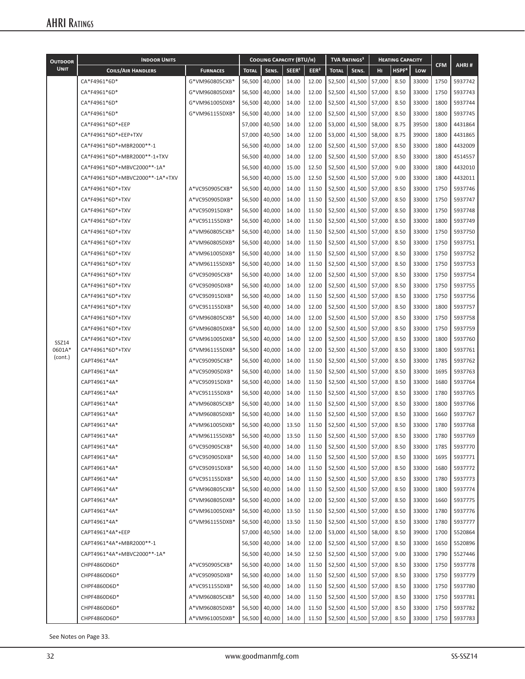| <b>OUTDOOR</b> | <b>INDOOR UNITS</b>             |                 | <b>COOLING CAPACITY (BTU/H)</b> |                 |                   |                  | <b>TVA RATINGS<sup>3</sup></b> |                          | <b>HEATING CAPACITY</b> |                   |       |            |         |
|----------------|---------------------------------|-----------------|---------------------------------|-----------------|-------------------|------------------|--------------------------------|--------------------------|-------------------------|-------------------|-------|------------|---------|
| <b>UNIT</b>    | <b>COILS/AIR HANDLERS</b>       | <b>FURNACES</b> | <b>TOTAL</b>                    | SENS.           | SEER <sup>1</sup> | EER <sup>2</sup> | <b>TOTAL</b>                   | SENS.                    | HI                      | HSPF <sup>4</sup> | Low   | <b>CFM</b> | AHRI#   |
|                | CA*F4961*6D*                    | G*VM960805CXB*  | 56,500                          | 40,000          | 14.00             | 12.00            | 52,500                         | 41,500                   | 57,000                  | 8.50              | 33000 | 1750       | 5937742 |
|                | CA*F4961*6D*                    | G*VM960805DXB*  | 56,500                          | 40,000          | 14.00             | 12.00            | 52,500                         | 41,500                   | 57,000                  | 8.50              | 33000 | 1750       | 5937743 |
|                | CA*F4961*6D*                    | G*VM961005DXB*  | 56,500                          | 40,000          | 14.00             | 12.00            | 52,500                         | 41,500                   | 57,000                  | 8.50              | 33000 | 1800       | 5937744 |
|                | CA*F4961*6D*                    | G*VM961155DXB*  | 56,500                          | 40,000          | 14.00             | 12.00            | 52,500                         | 41,500                   | 57,000                  | 8.50              | 33000 | 1800       | 5937745 |
|                | CA*F4961*6D*+EEP                |                 | 57,000                          | 40,500          | 14.00             | 12.00            | 53,000                         | 41,500                   | 58,000                  | 8.75              | 39500 | 1800       | 4431864 |
|                | $CA*F4961*6D*+EEP+TXV$          |                 | 57,000                          | 40,500          | 14.00             | 12.00            | 53,000                         | 41,500                   | 58,000                  | 8.75              | 39000 | 1800       | 4431865 |
|                | CA*F4961*6D*+MBR2000**-1        |                 | 56,500                          | 40,000          | 14.00             | 12.00            | 52,500                         | 41,500                   | 57,000                  | 8.50              | 33000 | 1800       | 4432009 |
|                | CA*F4961*6D*+MBR2000**-1+TXV    |                 | 56,500                          | 40,000          | 14.00             | 12.00            | 52,500                         | 41,500                   | 57,000                  | 8.50              | 33000 | 1800       | 4514557 |
|                | CA*F4961*6D*+MBVC2000**-1A*     |                 | 56,500                          | 40,000          | 15.00             | 12.50            | 52,500                         | 41,500                   | 57,000                  | 9.00              | 33000 | 1800       | 4432010 |
|                | CA*F4961*6D*+MBVC2000**-1A*+TXV |                 | 56,500                          | 40,000          | 15.00             | 12.50            | 52,500                         | 41,500                   | 57,000                  | 9.00              | 33000 | 1800       | 4432011 |
|                | CA*F4961*6D*+TXV                | A*VC950905CXB*  | 56,500                          | 40,000          | 14.00             | 11.50            | 52,500                         | 41,500                   | 57,000                  | 8.50              | 33000 | 1750       | 5937746 |
|                | CA*F4961*6D*+TXV                | A*VC950905DXB*  | 56,500                          | 40,000          | 14.00             | 11.50            | 52,500                         | 41,500                   | 57,000                  | 8.50              | 33000 | 1750       | 5937747 |
|                | CA*F4961*6D*+TXV                | A*VC950915DXB*  | 56,500                          | 40,000          | 14.00             | 11.50            | 52,500                         | 41,500                   | 57,000                  | 8.50              | 33000 | 1750       | 5937748 |
|                | CA*F4961*6D*+TXV                | A*VC951155DXB*  | 56,500                          | 40,000          | 14.00             | 11.50            | 52,500                         | 41,500                   | 57,000                  | 8.50              | 33000 | 1800       | 5937749 |
|                | CA*F4961*6D*+TXV                | A*VM960805CXB*  | 56,500                          | 40,000          | 14.00             | 11.50            | 52,500                         | 41,500                   | 57,000                  | 8.50              | 33000 | 1750       | 5937750 |
|                | CA*F4961*6D*+TXV                | A*VM960805DXB*  | 56,500                          | 40,000          | 14.00             | 11.50            | 52,500                         | 41,500                   | 57,000                  | 8.50              | 33000 | 1750       | 5937751 |
|                | CA*F4961*6D*+TXV                | A*VM961005DXB*  | 56,500                          | 40,000          | 14.00             | 11.50            | 52,500                         | 41,500                   | 57,000                  | 8.50              | 33000 | 1750       | 5937752 |
|                | CA*F4961*6D*+TXV                | A*VM961155DXB*  | 56,500                          | 40,000          | 14.00             | 11.50            | 52,500                         | 41,500                   | 57,000                  | 8.50              | 33000 | 1750       | 5937753 |
|                | CA*F4961*6D*+TXV                | G*VC950905CXB*  | 56,500                          | 40,000          | 14.00             | 12.00            | 52,500                         | 41,500                   | 57,000                  | 8.50              | 33000 | 1750       | 5937754 |
|                | $CA*F4961*6D*+TXV$              | G*VC950905DXB*  | 56,500                          | 40,000          | 14.00             | 12.00            | 52,500                         | 41,500                   | 57,000                  | 8.50              | 33000 | 1750       | 5937755 |
|                | CA*F4961*6D*+TXV                | G*VC950915DXB*  | 56,500                          | 40,000          | 14.00             | 11.50            | 52,500                         | 41,500                   | 57,000                  | 8.50              | 33000 | 1750       | 5937756 |
|                | CA*F4961*6D*+TXV                | G*VC951155DXB*  | 56,500                          | 40,000          | 14.00             | 12.00            | 52,500                         | 41,500                   | 57,000                  | 8.50              | 33000 | 1800       | 5937757 |
|                | CA*F4961*6D*+TXV                | G*VM960805CXB*  | 56,500                          | 40,000          | 14.00             | 12.00            | 52,500                         | 41,500                   | 57,000                  | 8.50              | 33000 | 1750       | 5937758 |
|                | CA*F4961*6D*+TXV                | G*VM960805DXB*  | 56,500                          | 40,000          | 14.00             | 12.00            | 52,500                         | 41,500                   | 57,000                  | 8.50              | 33000 | 1750       | 5937759 |
| <b>SSZ14</b>   | CA*F4961*6D*+TXV                | G*VM961005DXB*  | 56,500                          | 40,000          | 14.00             | 12.00            | 52,500                         | 41,500                   | 57,000                  | 8.50              | 33000 | 1800       | 5937760 |
| 0601A*         | CA*F4961*6D*+TXV                | G*VM961155DXB*  | 56,500                          | 40,000          | 14.00             | 12.00            | 52,500                         | 41,500                   | 57,000                  | 8.50              | 33000 | 1800       | 5937761 |
| (cont.)        | CAPT4961*4A*                    | A*VC950905CXB*  | 56,500                          | 40,000          | 14.00             | 11.50            | 52,500                         | 41,500                   | 57,000                  | 8.50              | 33000 | 1785       | 5937762 |
|                | CAPT4961*4A*                    | A*VC950905DXB*  | 56,500                          | 40,000          | 14.00             | 11.50            | 52,500                         | 41,500                   | 57,000                  | 8.50              | 33000 | 1695       | 5937763 |
|                | CAPT4961*4A*                    | A*VC950915DXB*  | 56,500                          | 40,000          | 14.00             | 11.50            | 52,500                         | 41,500                   | 57,000                  | 8.50              | 33000 | 1680       | 5937764 |
|                | CAPT4961*4A*                    | A*VC951155DXB*  | 56,500                          | 40,000          | 14.00             | 11.50            | 52,500                         | 41,500                   | 57,000                  | 8.50              | 33000 | 1780       | 5937765 |
|                | CAPT4961*4A*                    | A*VM960805CXB*  | 56,500                          | 40,000          | 14.00             | 11.50            | 52,500                         | 41,500                   | 57,000                  | 8.50              | 33000 | 1800       | 5937766 |
|                | CAPT4961*4A*                    | A*VM960805DXB*  | 56,500                          | 40,000          | 14.00             | 11.50            | 52,500                         | 41,500                   | 57,000                  | 8.50              | 33000 | 1660       | 5937767 |
|                | CAPT4961*4A*                    | A*VM961005DXB*  | 56,500                          | 40,000          | 13.50             | 11.50            | 52,500                         | 41,500                   | 57,000                  | 8.50              | 33000 | 1780       | 5937768 |
|                | CAPT4961*4A*                    | A*VM961155DXB*  |                                 | 56,500   40,000 | 13.50             | 11.50            |                                | 52,500 41,500 57,000     |                         | 8.50              | 33000 | 1780       | 5937769 |
|                | CAPT4961*4A*                    | G*VC950905CXB*  | 56,500                          | 40,000          | 14.00             | 11.50            |                                | 52,500 41,500 57,000     |                         | 8.50              | 33000 | 1785       | 5937770 |
|                | CAPT4961*4A*                    | G*VC950905DXB*  | 56,500                          | 40,000          | 14.00             | 11.50            | 52,500                         | 41,500                   | 57,000                  | 8.50              | 33000 | 1695       | 5937771 |
|                | CAPT4961*4A*                    | G*VC950915DXB*  | 56,500                          | 40,000          | 14.00             | 11.50            |                                | 52,500   41,500   57,000 |                         | 8.50              | 33000 | 1680       | 5937772 |
|                | CAPT4961*4A*                    | G*VC951155DXB*  | 56,500                          | 40,000          | 14.00             | 11.50            |                                | 52,500 41,500            | 57,000                  | 8.50              | 33000 | 1780       | 5937773 |
|                | CAPT4961*4A*                    | G*VM960805CXB*  | 56,500                          | 40,000          | 14.00             | 11.50            |                                | 52,500 41,500            | 57,000                  | 8.50              | 33000 | 1800       | 5937774 |
|                | CAPT4961*4A*                    | G*VM960805DXB*  | 56,500                          | 40,000          | 14.00             | 12.00            |                                | 52,500   41,500   57,000 |                         | 8.50              | 33000 | 1660       | 5937775 |
|                | CAPT4961*4A*                    | G*VM961005DXB*  | 56,500                          | 40,000          | 13.50             | 11.50            |                                | 52,500   41,500   57,000 |                         | 8.50              | 33000 | 1780       | 5937776 |
|                | CAPT4961*4A*                    | G*VM961155DXB*  | 56,500                          | 40,000          | 13.50             | 11.50            |                                | 52,500   41,500   57,000 |                         | 8.50              | 33000 | 1780       | 5937777 |
|                | CAPT4961*4A*+EEP                |                 | 57,000                          | 40,500          | 14.00             | 12.00            |                                | 53,000   41,500   58,000 |                         | 8.50              | 39000 | 1700       | 5520864 |
|                | CAPT4961*4A*+MBR2000**-1        |                 | 56,500                          | 40,000          | 14.00             | 12.00            |                                | 52,500   41,500   57,000 |                         | 8.50              | 33000 | 1650       | 5520896 |
|                | CAPT4961*4A*+MBVC2000**-1A*     |                 | 56,500                          | 40,000          | 14.50             | 12.50            |                                | 52,500   41,500   57,000 |                         | 9.00              | 33000 | 1790       | 5527446 |
|                | CHPF4860D6D*                    | A*VC950905CXB*  | 56,500                          | 40,000          | 14.00             | 11.50            |                                | 52,500 41,500 57,000     |                         | 8.50              | 33000 | 1750       | 5937778 |
|                | CHPF4860D6D*                    | A*VC950905DXB*  | 56,500                          | 40,000          | 14.00             | 11.50            |                                | 52,500 41,500 57,000     |                         | 8.50              | 33000 | 1750       | 5937779 |
|                | CHPF4860D6D*                    | A*VC951155DXB*  | 56,500                          | 40,000          | 14.00             | 11.50            |                                | 52,500   41,500   57,000 |                         | 8.50              | 33000 | 1750       | 5937780 |
|                | CHPF4860D6D*                    | A*VM960805CXB*  | 56,500                          | 40,000          | 14.00             | 11.50            |                                | 52,500 41,500 57,000     |                         | 8.50              | 33000 | 1750       | 5937781 |
|                | CHPF4860D6D*                    | A*VM960805DXB*  | 56,500                          | 40,000          | 14.00             | 11.50            |                                | 52,500 41,500 57,000     |                         | 8.50              | 33000 | 1750       | 5937782 |
|                | CHPF4860D6D*                    | A*VM961005DXB*  |                                 | 56,500   40,000 | 14.00             | 11.50            |                                | 52,500   41,500   57,000 |                         | 8.50              | 33000 | 1750       | 5937783 |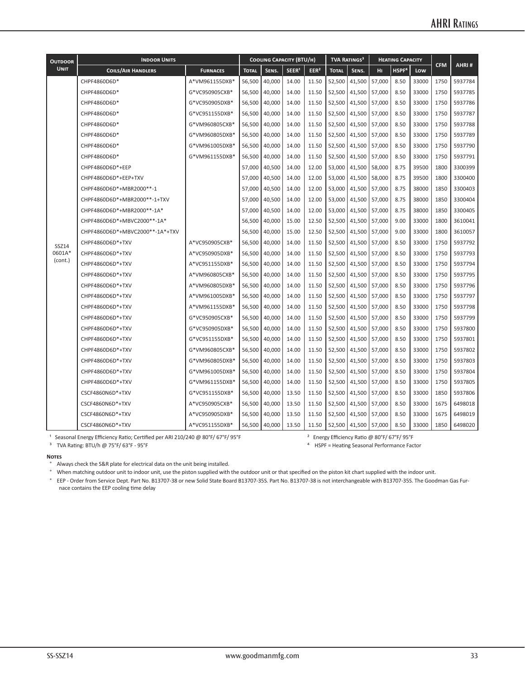| <b>OUTDOOR</b> | <b>INDOOR UNITS</b>             |                 |              | <b>COOLING CAPACITY (BTU/H)</b> |                   |                  |              | <b>TVA RATINGS3</b> |        | <b>HEATING CAPACITY</b> |       |            |         |
|----------------|---------------------------------|-----------------|--------------|---------------------------------|-------------------|------------------|--------------|---------------------|--------|-------------------------|-------|------------|---------|
| <b>UNIT</b>    | <b>COILS/AIR HANDLERS</b>       | <b>FURNACES</b> | <b>TOTAL</b> | SENS.                           | SEER <sup>1</sup> | EER <sup>2</sup> | <b>TOTAL</b> | SENS.               | HI     | HSPF <sup>4</sup>       | Low   | <b>CFM</b> | AHRI#   |
|                | CHPF4860D6D*                    | A*VM961155DXB*  | 56,500       | 40,000                          | 14.00             | 11.50            | 52,500       | 41,500              | 57,000 | 8.50                    | 33000 | 1750       | 5937784 |
|                | CHPF4860D6D*                    | G*VC950905CXB*  | 56,500       | 40,000                          | 14.00             | 11.50            | 52,500       | 41,500              | 57,000 | 8.50                    | 33000 | 1750       | 5937785 |
|                | CHPF4860D6D*                    | G*VC950905DXB*  | 56,500       | 40,000                          | 14.00             | 11.50            | 52,500       | 41,500              | 57,000 | 8.50                    | 33000 | 1750       | 5937786 |
|                | CHPF4860D6D*                    | G*VC951155DXB*  | 56,500       | 40,000                          | 14.00             | 11.50            | 52,500       | 41,500              | 57,000 | 8.50                    | 33000 | 1750       | 5937787 |
|                | CHPF4860D6D*                    | G*VM960805CXB*  | 56,500       | 40,000                          | 14.00             | 11.50            | 52,500       | 41,500              | 57,000 | 8.50                    | 33000 | 1750       | 5937788 |
|                | CHPF4860D6D*                    | G*VM960805DXB*  | 56,500       | 40,000                          | 14.00             | 11.50            | 52,500       | 41,500              | 57,000 | 8.50                    | 33000 | 1750       | 5937789 |
|                | CHPF4860D6D*                    | G*VM961005DXB*  | 56,500       | 40,000                          | 14.00             | 11.50            | 52,500       | 41,500              | 57,000 | 8.50                    | 33000 | 1750       | 5937790 |
|                | CHPF4860D6D*                    | G*VM961155DXB*  | 56,500       | 40,000                          | 14.00             | 11.50            | 52,500       | 41,500              | 57,000 | 8.50                    | 33000 | 1750       | 5937791 |
|                | CHPF4860D6D*+EEP                |                 | 57,000       | 40,500                          | 14.00             | 12.00            | 53,000       | 41,500              | 58,000 | 8.75                    | 39500 | 1800       | 3300399 |
|                | CHPF4860D6D*+EEP+TXV            |                 | 57,000       | 40,500                          | 14.00             | 12.00            | 53,000       | 41,500              | 58,000 | 8.75                    | 39500 | 1800       | 3300400 |
|                | CHPF4860D6D*+MBR2000**-1        |                 | 57,000       | 40,500                          | 14.00             | 12.00            | 53,000       | 41,500              | 57,000 | 8.75                    | 38000 | 1850       | 3300403 |
|                | CHPF4860D6D*+MBR2000**-1+TXV    |                 | 57,000       | 40,500                          | 14.00             | 12.00            | 53,000       | 41,500              | 57,000 | 8.75                    | 38000 | 1850       | 3300404 |
|                | CHPF4860D6D*+MBR2000**-1A*      |                 | 57,000       | 40,500                          | 14.00             | 12.00            | 53,000       | 41,500              | 57,000 | 8.75                    | 38000 | 1850       | 3300405 |
|                | CHPF4860D6D*+MBVC2000**-1A*     |                 | 56,500       | 40,000                          | 15.00             | 12.50            | 52,500       | 41,500              | 57,000 | 9.00                    | 33000 | 1800       | 3610041 |
|                | CHPF4860D6D*+MBVC2000**-1A*+TXV |                 | 56,500       | 40,000                          | 15.00             | 12.50            | 52,500       | 41,500              | 57,000 | 9.00                    | 33000 | 1800       | 3610057 |
| <b>SSZ14</b>   | CHPF4860D6D*+TXV                | A*VC950905CXB*  | 56,500       | 40,000                          | 14.00             | 11.50            | 52,500       | 41,500              | 57,000 | 8.50                    | 33000 | 1750       | 5937792 |
| 0601A*         | CHPF4860D6D*+TXV                | A*VC950905DXB*  | 56,500       | 40,000                          | 14.00             | 11.50            | 52,500       | 41,500              | 57,000 | 8.50                    | 33000 | 1750       | 5937793 |
| (cont.)        | CHPF4860D6D*+TXV                | A*VC951155DXB*  | 56,500       | 40,000                          | 14.00             | 11.50            | 52,500       | 41,500              | 57,000 | 8.50                    | 33000 | 1750       | 5937794 |
|                | CHPF4860D6D*+TXV                | A*VM960805CXB*  | 56,500       | 40,000                          | 14.00             | 11.50            | 52,500       | 41,500              | 57,000 | 8.50                    | 33000 | 1750       | 5937795 |
|                | CHPF4860D6D*+TXV                | A*VM960805DXB*  | 56,500       | 40,000                          | 14.00             | 11.50            | 52,500       | 41,500              | 57,000 | 8.50                    | 33000 | 1750       | 5937796 |
|                | CHPF4860D6D*+TXV                | A*VM961005DXB*  | 56,500       | 40,000                          | 14.00             | 11.50            | 52,500       | 41,500              | 57,000 | 8.50                    | 33000 | 1750       | 5937797 |
|                | CHPF4860D6D*+TXV                | A*VM961155DXB*  | 56,500       | 40,000                          | 14.00             | 11.50            | 52,500       | 41,500              | 57,000 | 8.50                    | 33000 | 1750       | 5937798 |
|                | CHPF4860D6D*+TXV                | G*VC950905CXB*  | 56,500       | 40,000                          | 14.00             | 11.50            | 52,500       | 41,500              | 57,000 | 8.50                    | 33000 | 1750       | 5937799 |
|                | CHPF4860D6D*+TXV                | G*VC950905DXB*  | 56,500       | 40,000                          | 14.00             | 11.50            | 52,500       | 41,500              | 57,000 | 8.50                    | 33000 | 1750       | 5937800 |
|                | CHPF4860D6D*+TXV                | G*VC951155DXB*  | 56,500       | 40,000                          | 14.00             | 11.50            | 52,500       | 41,500              | 57,000 | 8.50                    | 33000 | 1750       | 5937801 |
|                | CHPF4860D6D*+TXV                | G*VM960805CXB*  | 56,500       | 40,000                          | 14.00             | 11.50            | 52,500       | 41,500              | 57,000 | 8.50                    | 33000 | 1750       | 5937802 |
|                | CHPF4860D6D*+TXV                | G*VM960805DXB*  | 56,500       | 40,000                          | 14.00             | 11.50            | 52,500       | 41,500              | 57,000 | 8.50                    | 33000 | 1750       | 5937803 |
|                | CHPF4860D6D*+TXV                | G*VM961005DXB*  | 56,500       | 40,000                          | 14.00             | 11.50            | 52,500       | 41,500              | 57,000 | 8.50                    | 33000 | 1750       | 5937804 |
|                | CHPF4860D6D*+TXV                | G*VM961155DXB*  | 56,500       | 40,000                          | 14.00             | 11.50            | 52,500       | 41,500              | 57,000 | 8.50                    | 33000 | 1750       | 5937805 |
|                | CSCF4860N6D*+TXV                | G*VC951155DXB*  | 56,500       | 40,000                          | 13.50             | 11.50            | 52,500       | 41,500              | 57,000 | 8.50                    | 33000 | 1850       | 5937806 |
|                | CSCF4860N6D*+TXV                | A*VC950905CXB*  | 56,500       | 40,000                          | 13.50             | 11.50            | 52,500       | 41,500              | 57,000 | 8.50                    | 33000 | 1675       | 6498018 |
|                | CSCF4860N6D*+TXV                | A*VC950905DXB*  | 56,500       | 40,000                          | 13.50             | 11.50            | 52,500       | 41,500              | 57,000 | 8.50                    | 33000 | 1675       | 6498019 |
|                | CSCF4860N6D*+TXV                | A*VC951155DXB*  | 56,500       | 40,000                          | 13.50             | 11.50            | 52,500       | 41,500              | 57,000 | 8.50                    | 33000 | 1850       | 6498020 |

¹ Seasonal Energy Efficiency Ratio; Certified per ARI 210/240 @ 80°F/ 67°F/ 95°F ² Energy Efficiency Ratio @ 80°F/ 67°F/ 95°F

<sup>4</sup> HSPF = Heating Seasonal Performance Factor

**Notes**

° Always check the S&R plate for electrical data on the unit being installed.

° When matching outdoor unit to indoor unit, use the piston supplied with the outdoor unit or that specified on the piston kit chart supplied with the indoor unit.

° EEP - Order from Service Dept. Part No. B13707-38 or new Solid State Board B13707-35S. Part No. B13707-38 is not interchangeable with B13707-35S. The Goodman Gas Furnace contains the EEP cooling time delay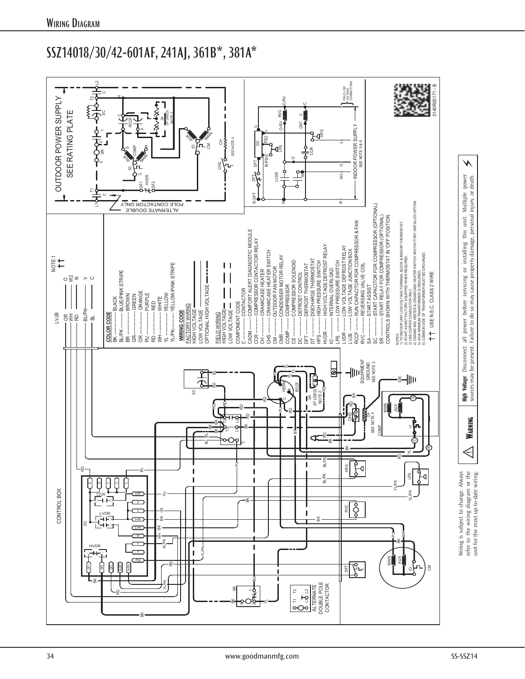## **SSZ14018/30/42-601AF, 241AJ, 361B\*, 381A\***

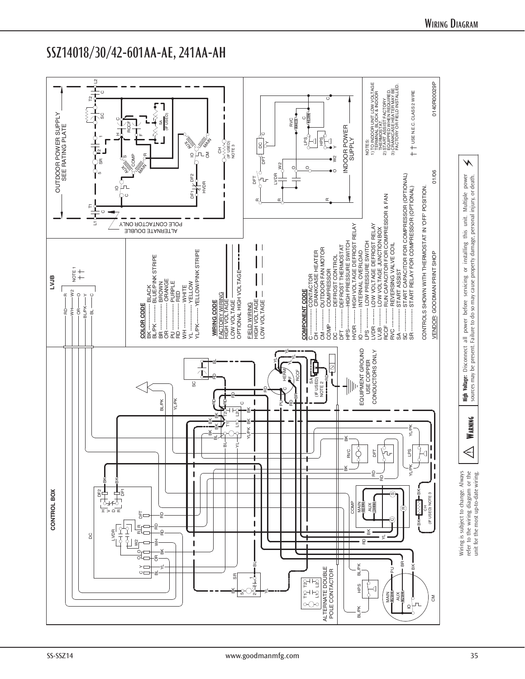

# **SSZ14018/30/42-601AA-AE, 241AA-AH**

unit for the most up-to-date wiring.